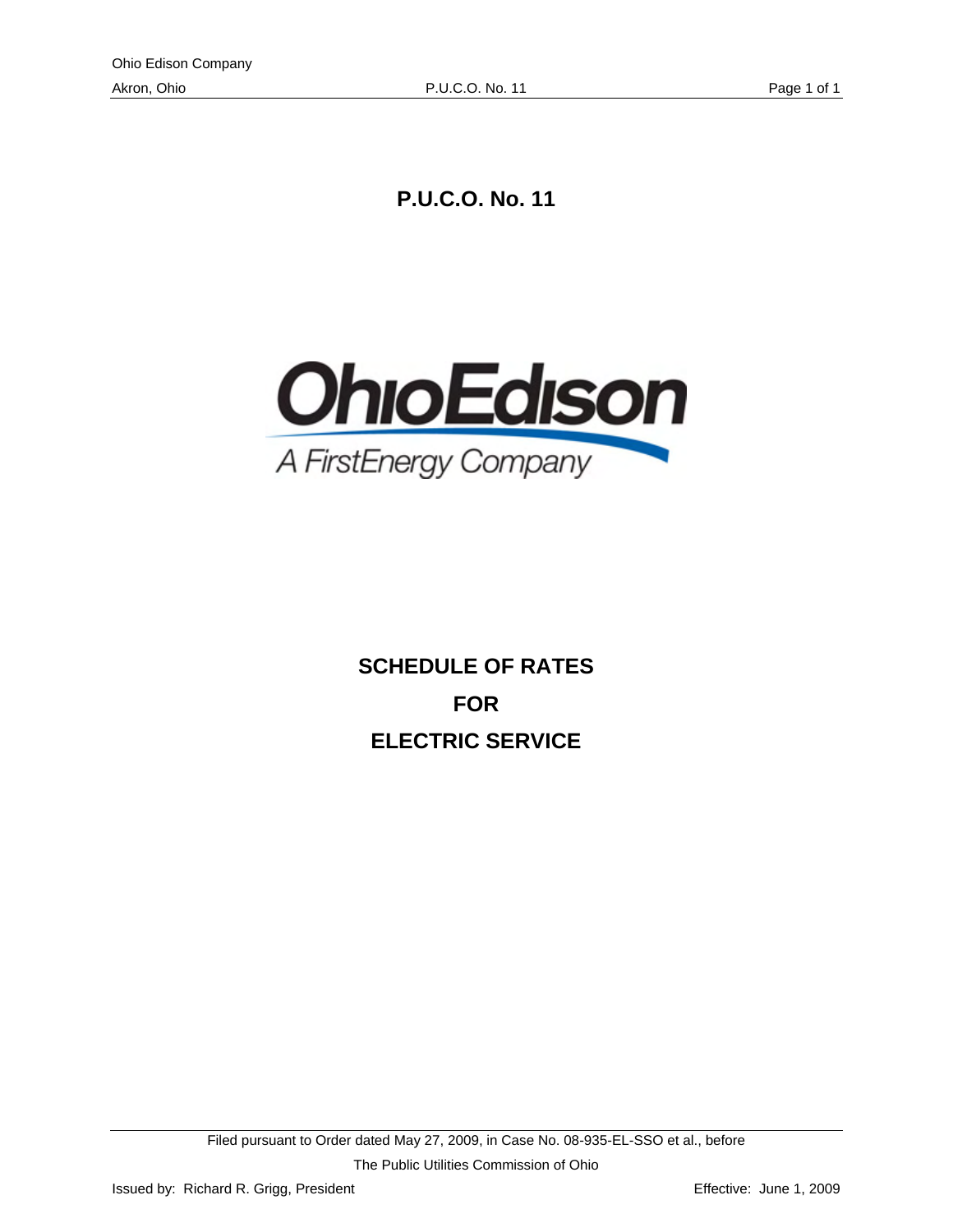**P.U.C.O. No. 11** 



**SCHEDULE OF RATES FOR ELECTRIC SERVICE**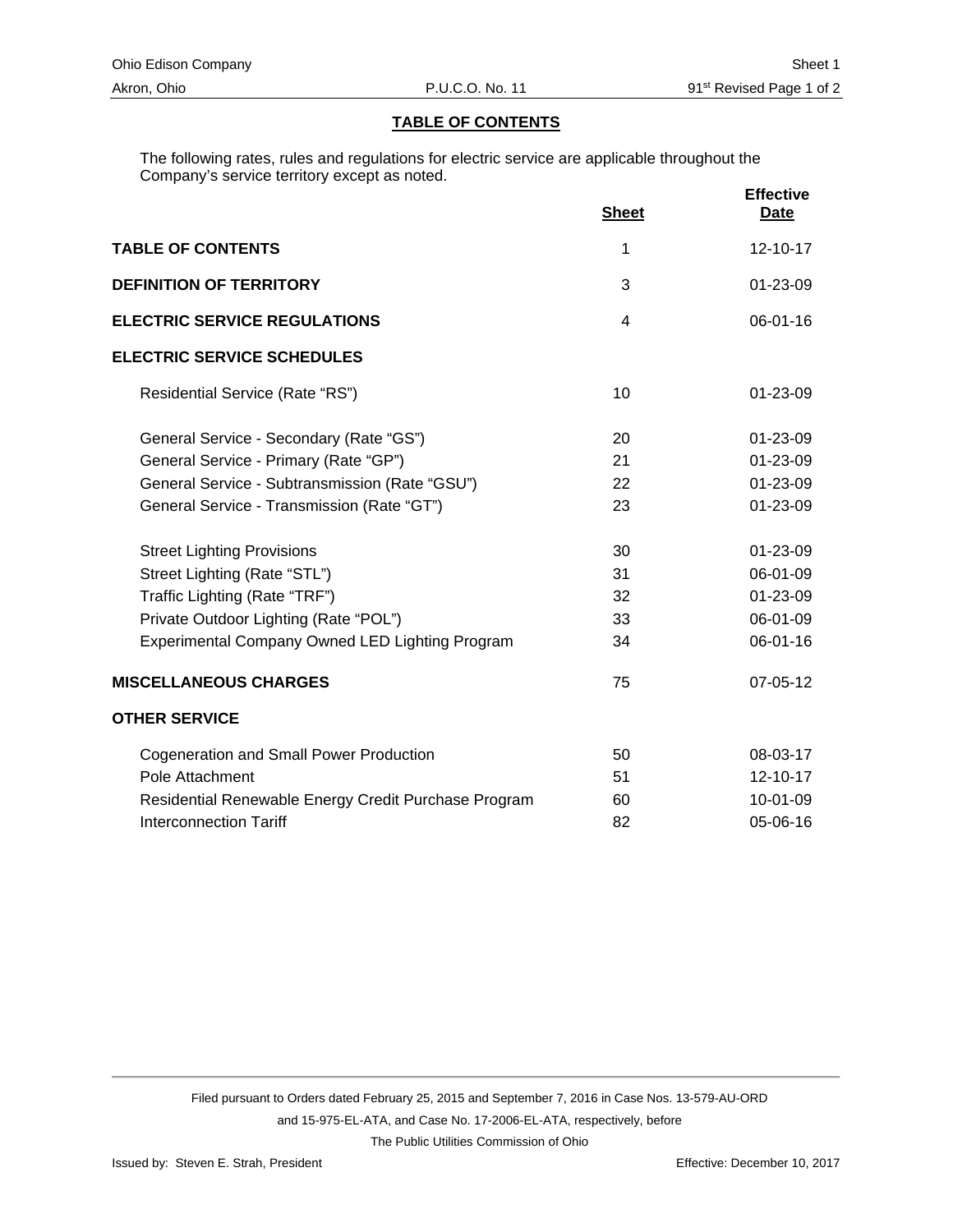#### **TABLE OF CONTENTS**

The following rates, rules and regulations for electric service are applicable throughout the Company's service territory except as noted.

|                                                      | <b>Sheet</b> | <b>Effective</b><br><b>Date</b> |
|------------------------------------------------------|--------------|---------------------------------|
| <b>TABLE OF CONTENTS</b>                             | 1            | $12 - 10 - 17$                  |
| <b>DEFINITION OF TERRITORY</b>                       | 3            | 01-23-09                        |
| <b>ELECTRIC SERVICE REGULATIONS</b>                  | 4            | 06-01-16                        |
| <b>ELECTRIC SERVICE SCHEDULES</b>                    |              |                                 |
| Residential Service (Rate "RS")                      | 10           | 01-23-09                        |
| General Service - Secondary (Rate "GS")              | 20           | $01 - 23 - 09$                  |
| General Service - Primary (Rate "GP")                | 21           | 01-23-09                        |
| General Service - Subtransmission (Rate "GSU")       | 22           | 01-23-09                        |
| General Service - Transmission (Rate "GT")           | 23           | 01-23-09                        |
| <b>Street Lighting Provisions</b>                    | 30           | 01-23-09                        |
| Street Lighting (Rate "STL")                         | 31           | 06-01-09                        |
| Traffic Lighting (Rate "TRF")                        | 32           | 01-23-09                        |
| Private Outdoor Lighting (Rate "POL")                | 33           | 06-01-09                        |
| Experimental Company Owned LED Lighting Program      | 34           | 06-01-16                        |
| <b>MISCELLANEOUS CHARGES</b>                         | 75           | 07-05-12                        |
| <b>OTHER SERVICE</b>                                 |              |                                 |
| <b>Cogeneration and Small Power Production</b>       | 50           | 08-03-17                        |
| Pole Attachment                                      | 51           | 12-10-17                        |
| Residential Renewable Energy Credit Purchase Program | 60           | 10-01-09                        |
| <b>Interconnection Tariff</b>                        | 82           | 05-06-16                        |

Filed pursuant to Orders dated February 25, 2015 and September 7, 2016 in Case Nos. 13-579-AU-ORD and 15-975-EL-ATA, and Case No. 17-2006-EL-ATA, respectively, before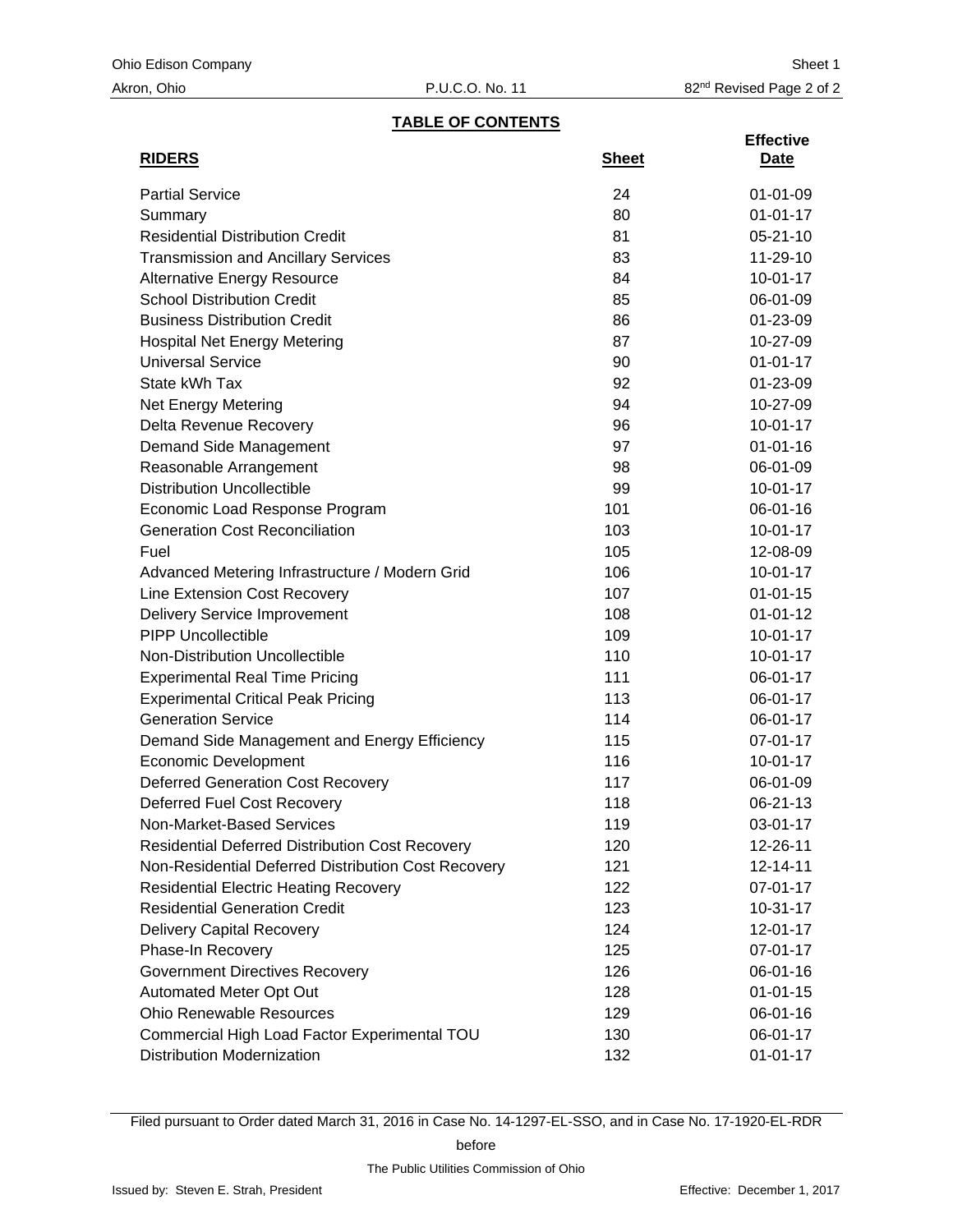#### **TABLE OF CONTENTS**

|                                                        |              | <b>Effective</b> |
|--------------------------------------------------------|--------------|------------------|
| <b>RIDERS</b>                                          | <b>Sheet</b> | Date             |
| <b>Partial Service</b>                                 | 24           | $01 - 01 - 09$   |
| Summary                                                | 80           | $01 - 01 - 17$   |
| <b>Residential Distribution Credit</b>                 | 81           | $05 - 21 - 10$   |
| <b>Transmission and Ancillary Services</b>             | 83           | 11-29-10         |
| <b>Alternative Energy Resource</b>                     | 84           | $10 - 01 - 17$   |
| <b>School Distribution Credit</b>                      | 85           | 06-01-09         |
| <b>Business Distribution Credit</b>                    | 86           | 01-23-09         |
| <b>Hospital Net Energy Metering</b>                    | 87           | 10-27-09         |
| <b>Universal Service</b>                               | 90           | $01 - 01 - 17$   |
| State kWh Tax                                          | 92           | 01-23-09         |
| Net Energy Metering                                    | 94           | 10-27-09         |
| Delta Revenue Recovery                                 | 96           | $10-01-17$       |
| Demand Side Management                                 | 97           | $01 - 01 - 16$   |
| Reasonable Arrangement                                 | 98           | 06-01-09         |
| <b>Distribution Uncollectible</b>                      | 99           | $10-01-17$       |
| Economic Load Response Program                         | 101          | 06-01-16         |
| <b>Generation Cost Reconciliation</b>                  | 103          | $10-01-17$       |
| Fuel                                                   | 105          | 12-08-09         |
| Advanced Metering Infrastructure / Modern Grid         | 106          | $10 - 01 - 17$   |
| Line Extension Cost Recovery                           | 107          | $01 - 01 - 15$   |
| <b>Delivery Service Improvement</b>                    | 108          | $01 - 01 - 12$   |
| <b>PIPP Uncollectible</b>                              | 109          | $10-01-17$       |
| <b>Non-Distribution Uncollectible</b>                  | 110          | $10-01-17$       |
| <b>Experimental Real Time Pricing</b>                  | 111          | 06-01-17         |
| <b>Experimental Critical Peak Pricing</b>              | 113          | 06-01-17         |
| <b>Generation Service</b>                              | 114          | 06-01-17         |
| Demand Side Management and Energy Efficiency           | 115          | 07-01-17         |
| <b>Economic Development</b>                            | 116          | $10 - 01 - 17$   |
| <b>Deferred Generation Cost Recovery</b>               | 117          | 06-01-09         |
| <b>Deferred Fuel Cost Recovery</b>                     | 118          | 06-21-13         |
| Non-Market-Based Services                              | 119          | 03-01-17         |
| <b>Residential Deferred Distribution Cost Recovery</b> | 120          | 12-26-11         |
| Non-Residential Deferred Distribution Cost Recovery    | 121          | 12-14-11         |
| <b>Residential Electric Heating Recovery</b>           | 122          | 07-01-17         |
| <b>Residential Generation Credit</b>                   | 123          | $10 - 31 - 17$   |
| <b>Delivery Capital Recovery</b>                       | 124          | 12-01-17         |
| Phase-In Recovery                                      | 125          | 07-01-17         |
| <b>Government Directives Recovery</b>                  | 126          | 06-01-16         |
| Automated Meter Opt Out                                | 128          | $01 - 01 - 15$   |
| <b>Ohio Renewable Resources</b>                        | 129          | 06-01-16         |
| Commercial High Load Factor Experimental TOU           | 130          | 06-01-17         |
| <b>Distribution Modernization</b>                      | 132          | $01 - 01 - 17$   |

Filed pursuant to Order dated March 31, 2016 in Case No. 14-1297-EL-SSO, and in Case No. 17-1920-EL-RDR

before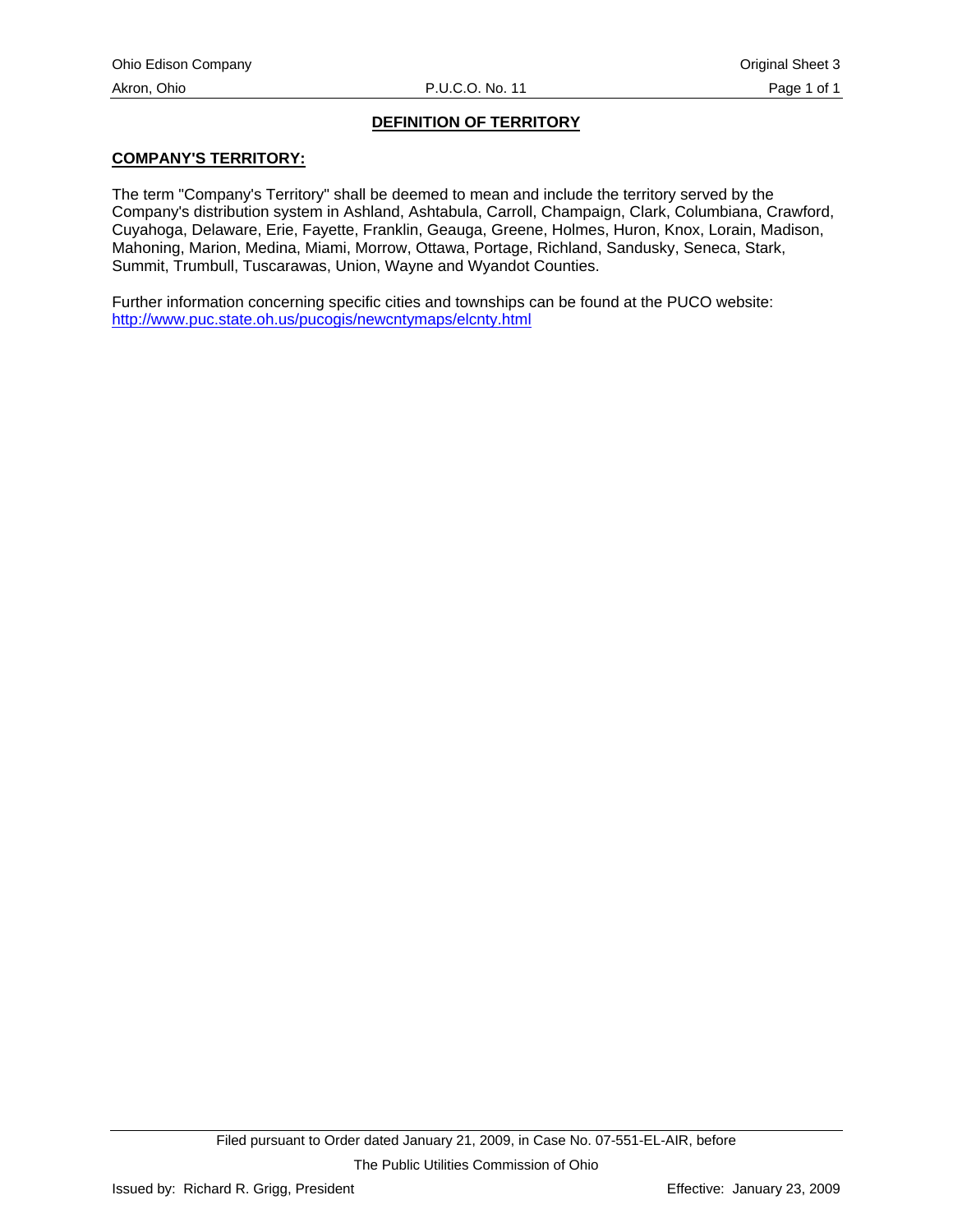# **DEFINITION OF TERRITORY**

#### <span id="page-3-0"></span>**COMPANY'S TERRITORY:**

The term "Company's Territory" shall be deemed to mean and include the territory served by the Company's distribution system in Ashland, Ashtabula, Carroll, Champaign, Clark, Columbiana, Crawford, Cuyahoga, Delaware, Erie, Fayette, Franklin, Geauga, Greene, Holmes, Huron, Knox, Lorain, Madison, Mahoning, Marion, Medina, Miami, Morrow, Ottawa, Portage, Richland, Sandusky, Seneca, Stark, Summit, Trumbull, Tuscarawas, Union, Wayne and Wyandot Counties.

Further information concerning specific cities and townships can be found at the PUCO website: http://www.puc.state.oh.us/pucogis/newcntymaps/elcnty.html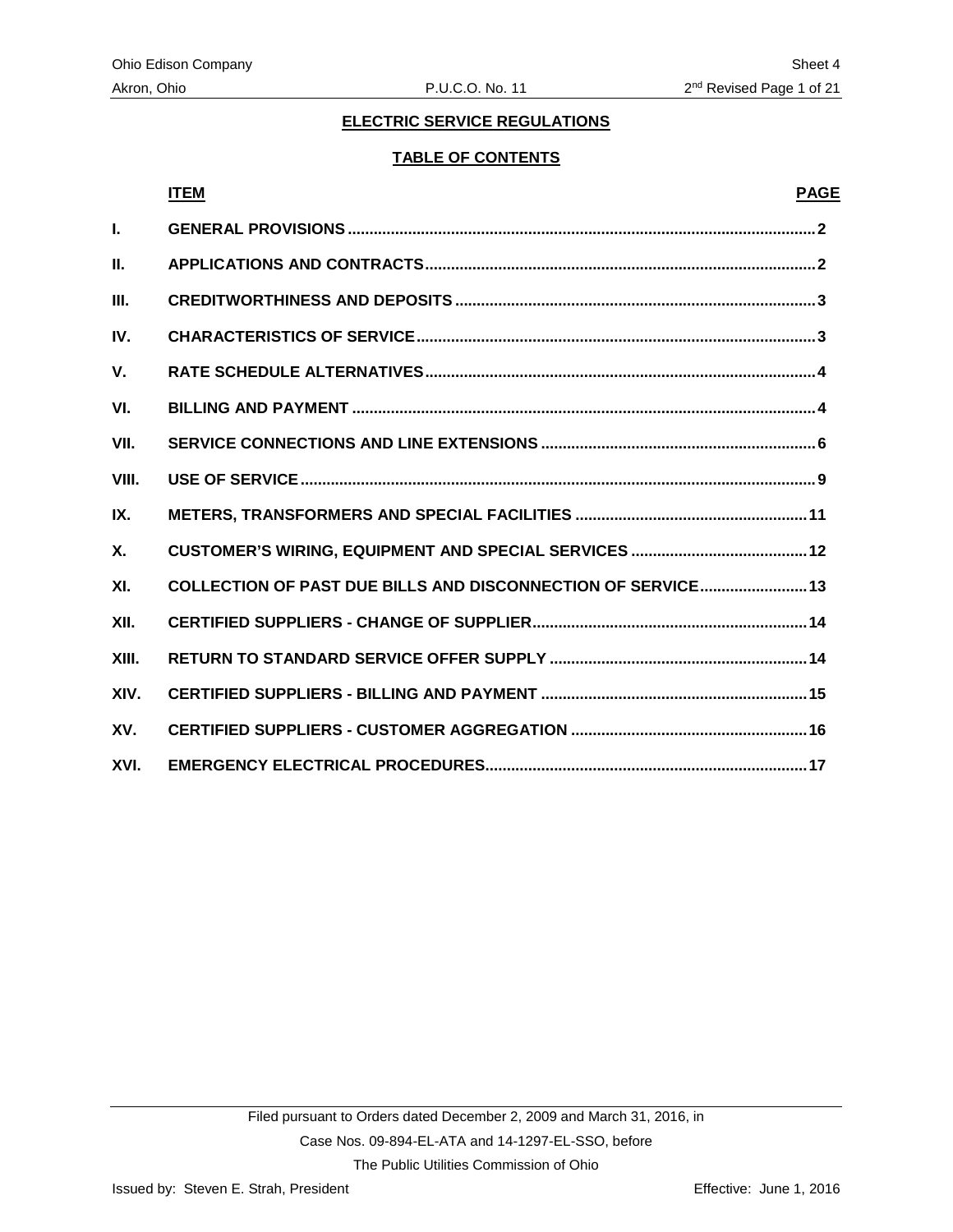#### **TABLE OF CONTENTS**

#### **ITEM PAGE**

<span id="page-4-0"></span>

| L.          |                                                              |  |
|-------------|--------------------------------------------------------------|--|
| Ш.          |                                                              |  |
| III.        |                                                              |  |
| IV.         |                                                              |  |
| $V_{\cdot}$ |                                                              |  |
| VI.         |                                                              |  |
| VII.        |                                                              |  |
| VIII.       |                                                              |  |
| IX.         |                                                              |  |
| <b>X.</b>   |                                                              |  |
| XI.         | COLLECTION OF PAST DUE BILLS AND DISCONNECTION OF SERVICE 13 |  |
| XII.        |                                                              |  |
| XIII.       |                                                              |  |
| XIV.        |                                                              |  |
| XV.         |                                                              |  |
| XVI.        |                                                              |  |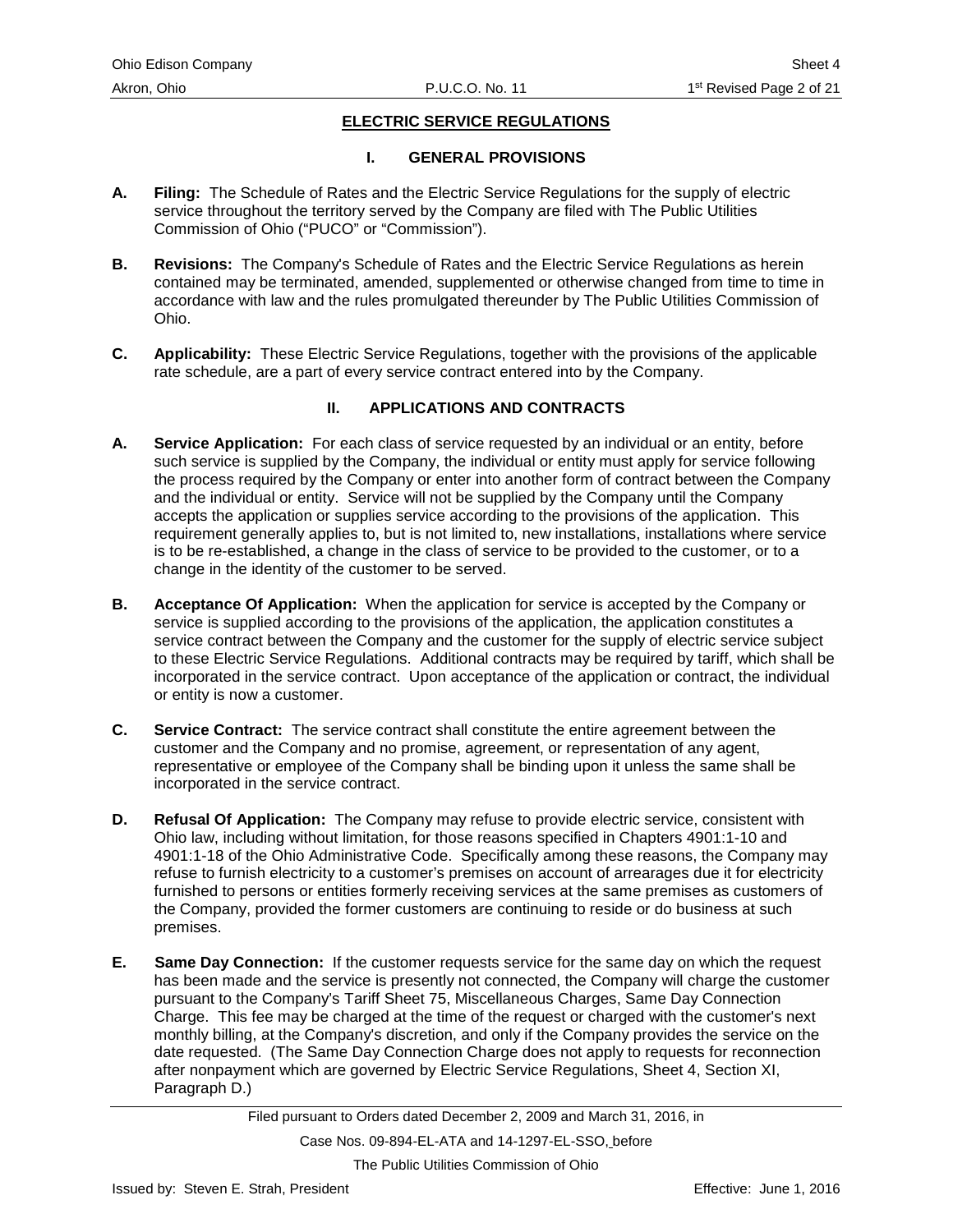#### **I. GENERAL PROVISIONS**

- <span id="page-5-0"></span>**A. Filing:** The Schedule of Rates and the Electric Service Regulations for the supply of electric service throughout the territory served by the Company are filed with The Public Utilities Commission of Ohio ("PUCO" or "Commission").
- **B. Revisions:** The Company's Schedule of Rates and the Electric Service Regulations as herein contained may be terminated, amended, supplemented or otherwise changed from time to time in accordance with law and the rules promulgated thereunder by The Public Utilities Commission of Ohio.
- **C. Applicability:** These Electric Service Regulations, together with the provisions of the applicable rate schedule, are a part of every service contract entered into by the Company.

#### **II. APPLICATIONS AND CONTRACTS**

- **A. Service Application:** For each class of service requested by an individual or an entity, before such service is supplied by the Company, the individual or entity must apply for service following the process required by the Company or enter into another form of contract between the Company and the individual or entity. Service will not be supplied by the Company until the Company accepts the application or supplies service according to the provisions of the application. This requirement generally applies to, but is not limited to, new installations, installations where service is to be re-established, a change in the class of service to be provided to the customer, or to a change in the identity of the customer to be served.
- **B. Acceptance Of Application:** When the application for service is accepted by the Company or service is supplied according to the provisions of the application, the application constitutes a service contract between the Company and the customer for the supply of electric service subject to these Electric Service Regulations. Additional contracts may be required by tariff, which shall be incorporated in the service contract. Upon acceptance of the application or contract, the individual or entity is now a customer.
- **C. Service Contract:** The service contract shall constitute the entire agreement between the customer and the Company and no promise, agreement, or representation of any agent, representative or employee of the Company shall be binding upon it unless the same shall be incorporated in the service contract.
- **D. Refusal Of Application:** The Company may refuse to provide electric service, consistent with Ohio law, including without limitation, for those reasons specified in Chapters 4901:1-10 and 4901:1-18 of the Ohio Administrative Code. Specifically among these reasons, the Company may refuse to furnish electricity to a customer's premises on account of arrearages due it for electricity furnished to persons or entities formerly receiving services at the same premises as customers of the Company, provided the former customers are continuing to reside or do business at such premises.
- **E. Same Day Connection:** If the customer requests service for the same day on which the request has been made and the service is presently not connected, the Company will charge the customer pursuant to the Company's Tariff Sheet 75, Miscellaneous Charges, Same Day Connection Charge. This fee may be charged at the time of the request or charged with the customer's next monthly billing, at the Company's discretion, and only if the Company provides the service on the date requested. (The Same Day Connection Charge does not apply to requests for reconnection after nonpayment which are governed by Electric Service Regulations, Sheet 4, Section XI, Paragraph D.)

Case Nos. 09-894-EL-ATA and 14-1297-EL-SSO, before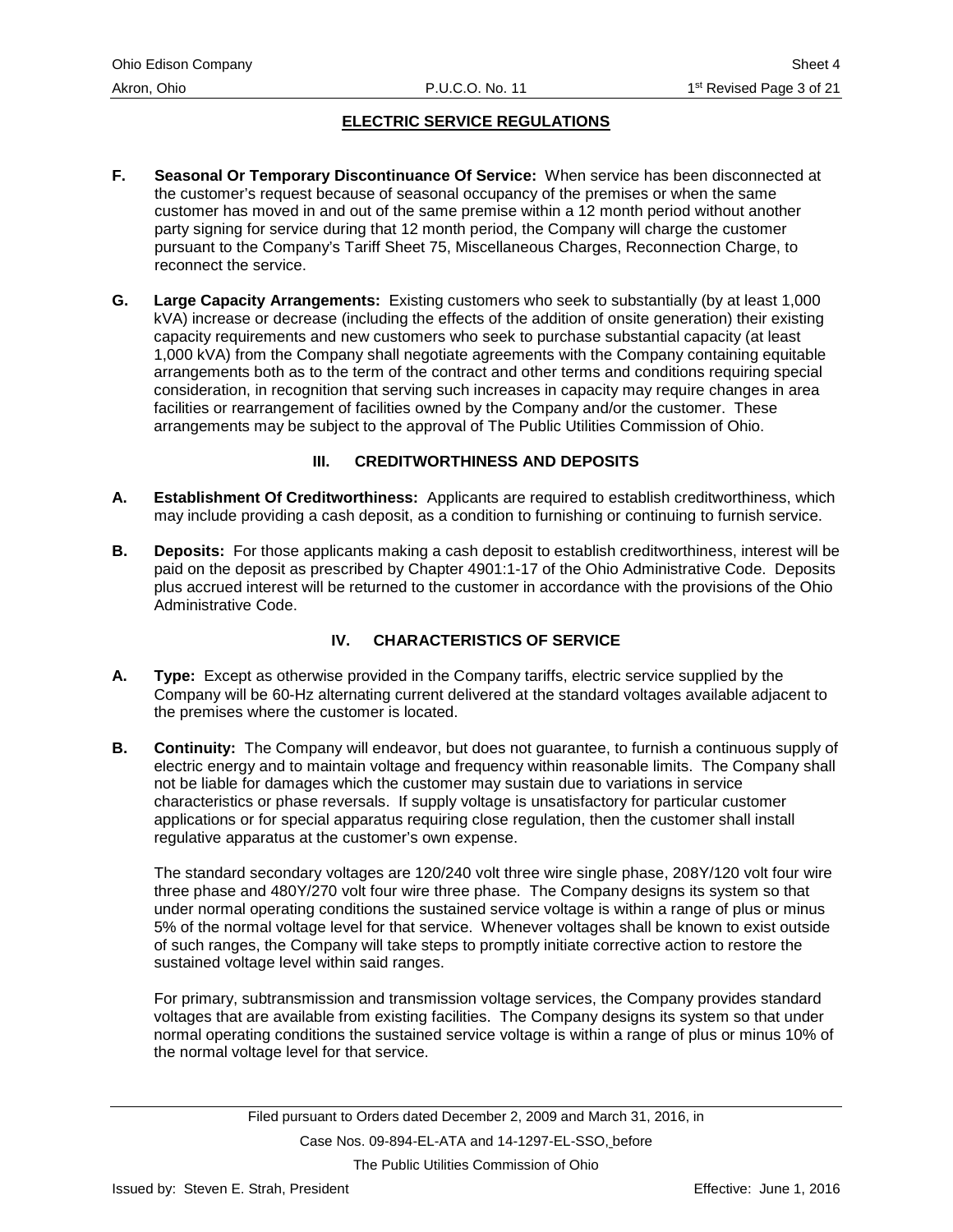- <span id="page-6-0"></span>**F. Seasonal Or Temporary Discontinuance Of Service:** When service has been disconnected at the customer's request because of seasonal occupancy of the premises or when the same customer has moved in and out of the same premise within a 12 month period without another party signing for service during that 12 month period, the Company will charge the customer pursuant to the Company's Tariff Sheet 75, Miscellaneous Charges, Reconnection Charge, to reconnect the service.
- **G. Large Capacity Arrangements:** Existing customers who seek to substantially (by at least 1,000 kVA) increase or decrease (including the effects of the addition of onsite generation) their existing capacity requirements and new customers who seek to purchase substantial capacity (at least 1,000 kVA) from the Company shall negotiate agreements with the Company containing equitable arrangements both as to the term of the contract and other terms and conditions requiring special consideration, in recognition that serving such increases in capacity may require changes in area facilities or rearrangement of facilities owned by the Company and/or the customer. These arrangements may be subject to the approval of The Public Utilities Commission of Ohio.

# **III. CREDITWORTHINESS AND DEPOSITS**

- **A. Establishment Of Creditworthiness:** Applicants are required to establish creditworthiness, which may include providing a cash deposit, as a condition to furnishing or continuing to furnish service.
- **B. Deposits:** For those applicants making a cash deposit to establish creditworthiness, interest will be paid on the deposit as prescribed by Chapter 4901:1-17 of the Ohio Administrative Code. Deposits plus accrued interest will be returned to the customer in accordance with the provisions of the Ohio Administrative Code.

# **IV. CHARACTERISTICS OF SERVICE**

- **A. Type:** Except as otherwise provided in the Company tariffs, electric service supplied by the Company will be 60-Hz alternating current delivered at the standard voltages available adjacent to the premises where the customer is located.
- **B. Continuity:** The Company will endeavor, but does not guarantee, to furnish a continuous supply of electric energy and to maintain voltage and frequency within reasonable limits. The Company shall not be liable for damages which the customer may sustain due to variations in service characteristics or phase reversals. If supply voltage is unsatisfactory for particular customer applications or for special apparatus requiring close regulation, then the customer shall install regulative apparatus at the customer's own expense.

The standard secondary voltages are 120/240 volt three wire single phase, 208Y/120 volt four wire three phase and 480Y/270 volt four wire three phase. The Company designs its system so that under normal operating conditions the sustained service voltage is within a range of plus or minus 5% of the normal voltage level for that service. Whenever voltages shall be known to exist outside of such ranges, the Company will take steps to promptly initiate corrective action to restore the sustained voltage level within said ranges.

For primary, subtransmission and transmission voltage services, the Company provides standard voltages that are available from existing facilities. The Company designs its system so that under normal operating conditions the sustained service voltage is within a range of plus or minus 10% of the normal voltage level for that service.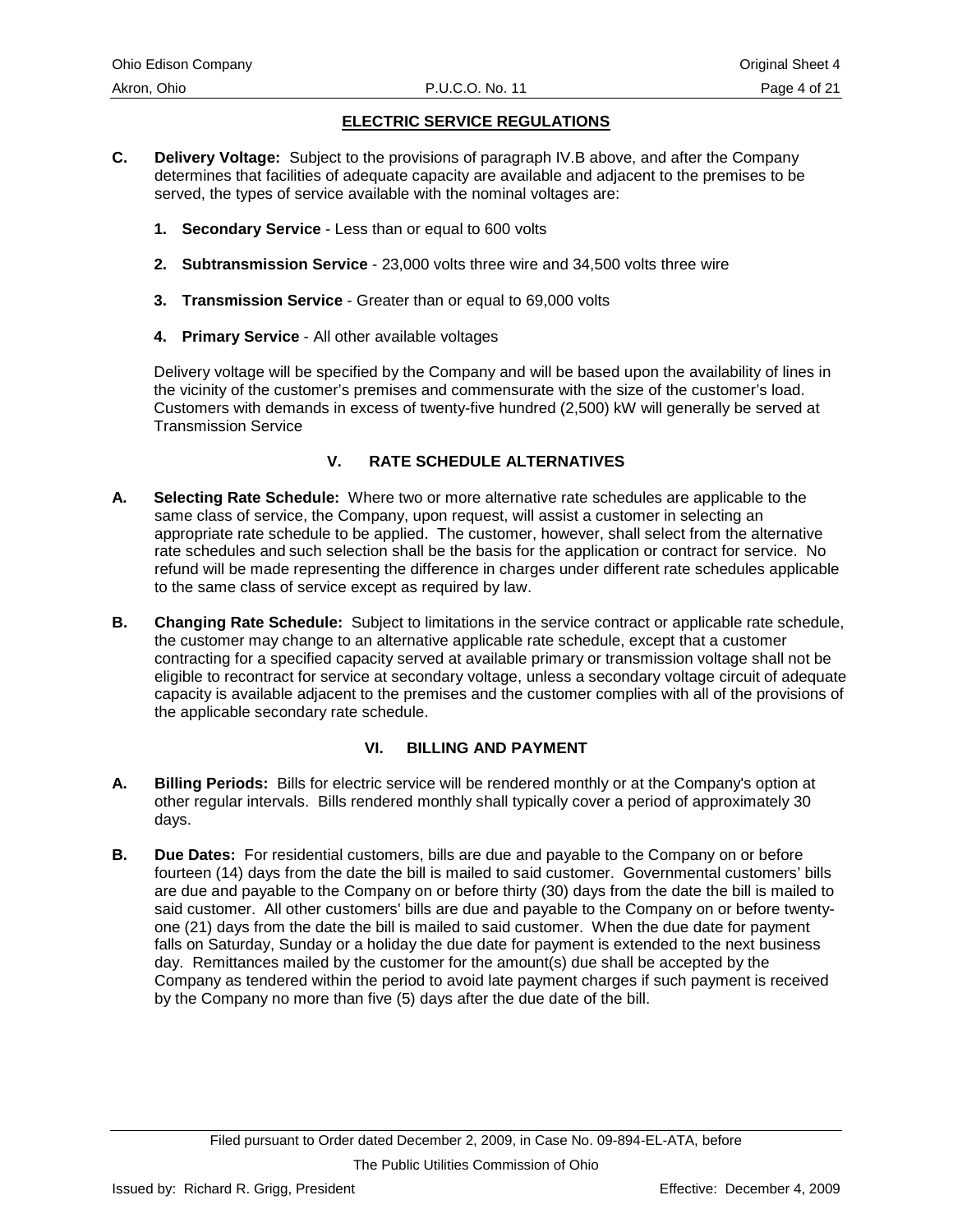- <span id="page-7-0"></span>**C. Delivery Voltage:** Subject to the provisions of paragraph IV.B above, and after the Company determines that facilities of adequate capacity are available and adjacent to the premises to be served, the types of service available with the nominal voltages are:
	- **1. Secondary Service** Less than or equal to 600 volts
	- **2. Subtransmission Service** 23,000 volts three wire and 34,500 volts three wire
	- **3. Transmission Service** Greater than or equal to 69,000 volts
	- **4. Primary Service** All other available voltages

Delivery voltage will be specified by the Company and will be based upon the availability of lines in the vicinity of the customer's premises and commensurate with the size of the customer's load. Customers with demands in excess of twenty-five hundred (2,500) kW will generally be served at Transmission Service

# **V. RATE SCHEDULE ALTERNATIVES**

- **A. Selecting Rate Schedule:** Where two or more alternative rate schedules are applicable to the same class of service, the Company, upon request, will assist a customer in selecting an appropriate rate schedule to be applied. The customer, however, shall select from the alternative rate schedules and such selection shall be the basis for the application or contract for service. No refund will be made representing the difference in charges under different rate schedules applicable to the same class of service except as required by law.
- **B. Changing Rate Schedule:** Subject to limitations in the service contract or applicable rate schedule, the customer may change to an alternative applicable rate schedule, except that a customer contracting for a specified capacity served at available primary or transmission voltage shall not be eligible to recontract for service at secondary voltage, unless a secondary voltage circuit of adequate capacity is available adjacent to the premises and the customer complies with all of the provisions of the applicable secondary rate schedule.

# **VI. BILLING AND PAYMENT**

- **A. Billing Periods:** Bills for electric service will be rendered monthly or at the Company's option at other regular intervals. Bills rendered monthly shall typically cover a period of approximately 30 days.
- **B. Due Dates:** For residential customers, bills are due and payable to the Company on or before fourteen (14) days from the date the bill is mailed to said customer. Governmental customers' bills are due and payable to the Company on or before thirty (30) days from the date the bill is mailed to said customer. All other customers' bills are due and payable to the Company on or before twentyone (21) days from the date the bill is mailed to said customer. When the due date for payment falls on Saturday, Sunday or a holiday the due date for payment is extended to the next business day. Remittances mailed by the customer for the amount(s) due shall be accepted by the Company as tendered within the period to avoid late payment charges if such payment is received by the Company no more than five (5) days after the due date of the bill.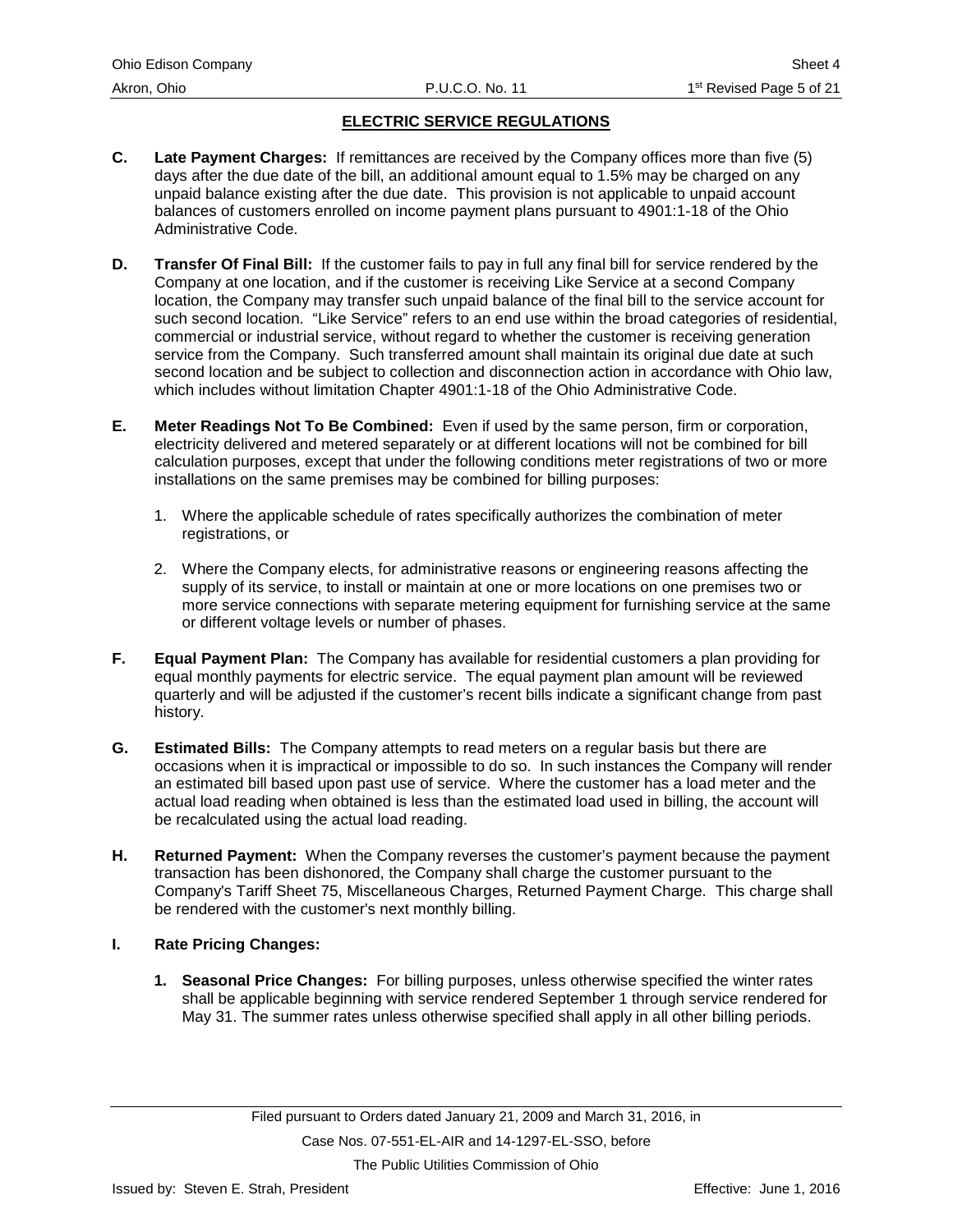- **C. Late Payment Charges:** If remittances are received by the Company offices more than five (5) days after the due date of the bill, an additional amount equal to 1.5% may be charged on any unpaid balance existing after the due date. This provision is not applicable to unpaid account balances of customers enrolled on income payment plans pursuant to 4901:1-18 of the Ohio Administrative Code.
- **D. Transfer Of Final Bill:** If the customer fails to pay in full any final bill for service rendered by the Company at one location, and if the customer is receiving Like Service at a second Company location, the Company may transfer such unpaid balance of the final bill to the service account for such second location. "Like Service" refers to an end use within the broad categories of residential, commercial or industrial service, without regard to whether the customer is receiving generation service from the Company. Such transferred amount shall maintain its original due date at such second location and be subject to collection and disconnection action in accordance with Ohio law, which includes without limitation Chapter 4901:1-18 of the Ohio Administrative Code.
- **E. Meter Readings Not To Be Combined:** Even if used by the same person, firm or corporation, electricity delivered and metered separately or at different locations will not be combined for bill calculation purposes, except that under the following conditions meter registrations of two or more installations on the same premises may be combined for billing purposes:
	- 1. Where the applicable schedule of rates specifically authorizes the combination of meter registrations, or
	- 2. Where the Company elects, for administrative reasons or engineering reasons affecting the supply of its service, to install or maintain at one or more locations on one premises two or more service connections with separate metering equipment for furnishing service at the same or different voltage levels or number of phases.
- **F. Equal Payment Plan:** The Company has available for residential customers a plan providing for equal monthly payments for electric service. The equal payment plan amount will be reviewed quarterly and will be adjusted if the customer's recent bills indicate a significant change from past history.
- **G. Estimated Bills:** The Company attempts to read meters on a regular basis but there are occasions when it is impractical or impossible to do so. In such instances the Company will render an estimated bill based upon past use of service. Where the customer has a load meter and the actual load reading when obtained is less than the estimated load used in billing, the account will be recalculated using the actual load reading.
- **H. Returned Payment:** When the Company reverses the customer's payment because the payment transaction has been dishonored, the Company shall charge the customer pursuant to the Company's Tariff Sheet 75, Miscellaneous Charges, Returned Payment Charge. This charge shall be rendered with the customer's next monthly billing.
- **I. Rate Pricing Changes:**
	- **1. Seasonal Price Changes:** For billing purposes, unless otherwise specified the winter rates shall be applicable beginning with service rendered September 1 through service rendered for May 31. The summer rates unless otherwise specified shall apply in all other billing periods.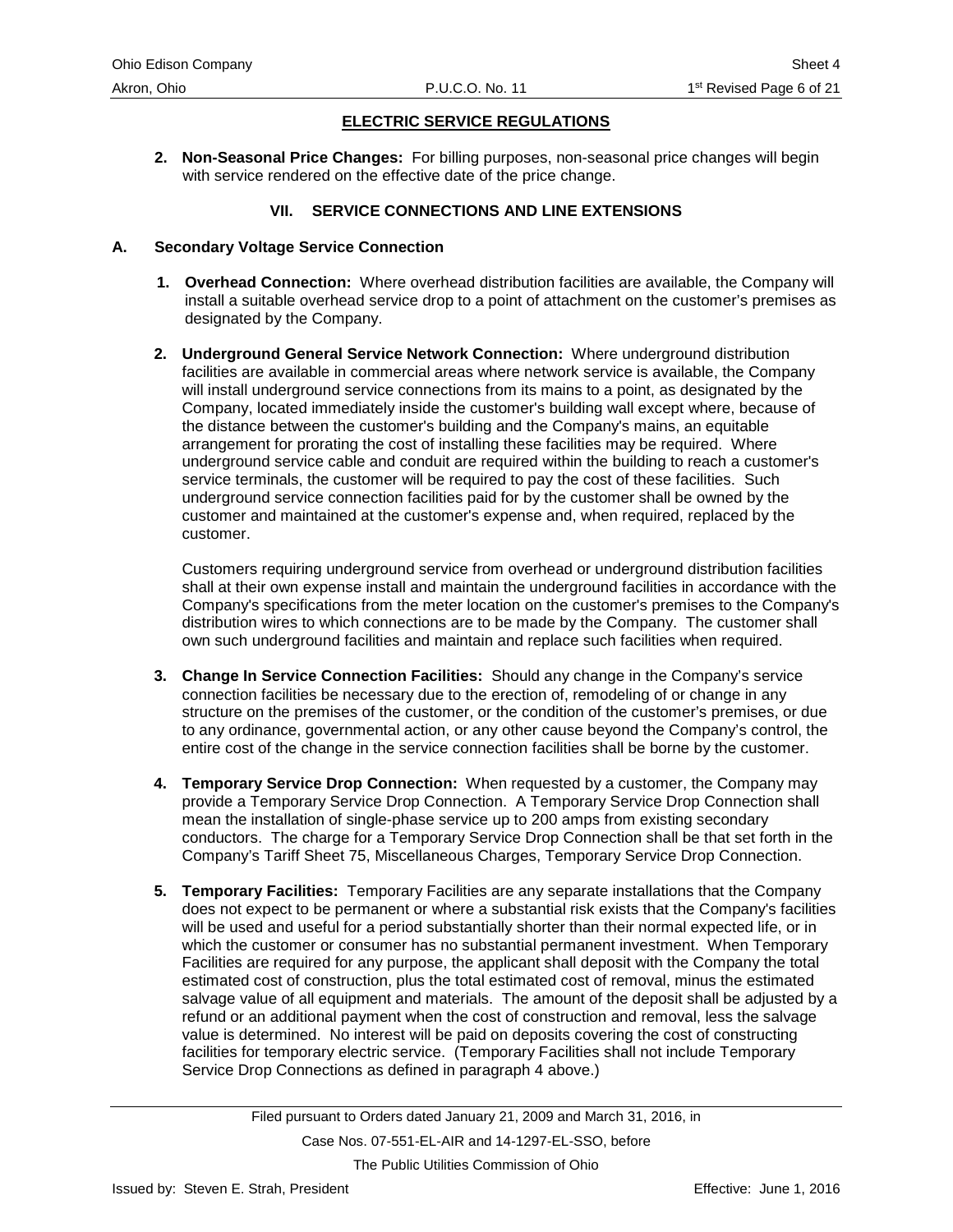<span id="page-9-0"></span>**2. Non-Seasonal Price Changes:** For billing purposes, non-seasonal price changes will begin with service rendered on the effective date of the price change.

#### **VII. SERVICE CONNECTIONS AND LINE EXTENSIONS**

#### **A. Secondary Voltage Service Connection**

- **1. Overhead Connection:** Where overhead distribution facilities are available, the Company will install a suitable overhead service drop to a point of attachment on the customer's premises as designated by the Company.
- **2. Underground General Service Network Connection:** Where underground distribution facilities are available in commercial areas where network service is available, the Company will install underground service connections from its mains to a point, as designated by the Company, located immediately inside the customer's building wall except where, because of the distance between the customer's building and the Company's mains, an equitable arrangement for prorating the cost of installing these facilities may be required. Where underground service cable and conduit are required within the building to reach a customer's service terminals, the customer will be required to pay the cost of these facilities. Such underground service connection facilities paid for by the customer shall be owned by the customer and maintained at the customer's expense and, when required, replaced by the customer.

Customers requiring underground service from overhead or underground distribution facilities shall at their own expense install and maintain the underground facilities in accordance with the Company's specifications from the meter location on the customer's premises to the Company's distribution wires to which connections are to be made by the Company. The customer shall own such underground facilities and maintain and replace such facilities when required.

- **3. Change In Service Connection Facilities:** Should any change in the Company's service connection facilities be necessary due to the erection of, remodeling of or change in any structure on the premises of the customer, or the condition of the customer's premises, or due to any ordinance, governmental action, or any other cause beyond the Company's control, the entire cost of the change in the service connection facilities shall be borne by the customer.
- **4. Temporary Service Drop Connection:** When requested by a customer, the Company may provide a Temporary Service Drop Connection. A Temporary Service Drop Connection shall mean the installation of single-phase service up to 200 amps from existing secondary conductors. The charge for a Temporary Service Drop Connection shall be that set forth in the Company's Tariff Sheet 75, Miscellaneous Charges, Temporary Service Drop Connection.
- **5. Temporary Facilities:** Temporary Facilities are any separate installations that the Company does not expect to be permanent or where a substantial risk exists that the Company's facilities will be used and useful for a period substantially shorter than their normal expected life, or in which the customer or consumer has no substantial permanent investment. When Temporary Facilities are required for any purpose, the applicant shall deposit with the Company the total estimated cost of construction, plus the total estimated cost of removal, minus the estimated salvage value of all equipment and materials. The amount of the deposit shall be adjusted by a refund or an additional payment when the cost of construction and removal, less the salvage value is determined. No interest will be paid on deposits covering the cost of constructing facilities for temporary electric service. (Temporary Facilities shall not include Temporary Service Drop Connections as defined in paragraph 4 above.)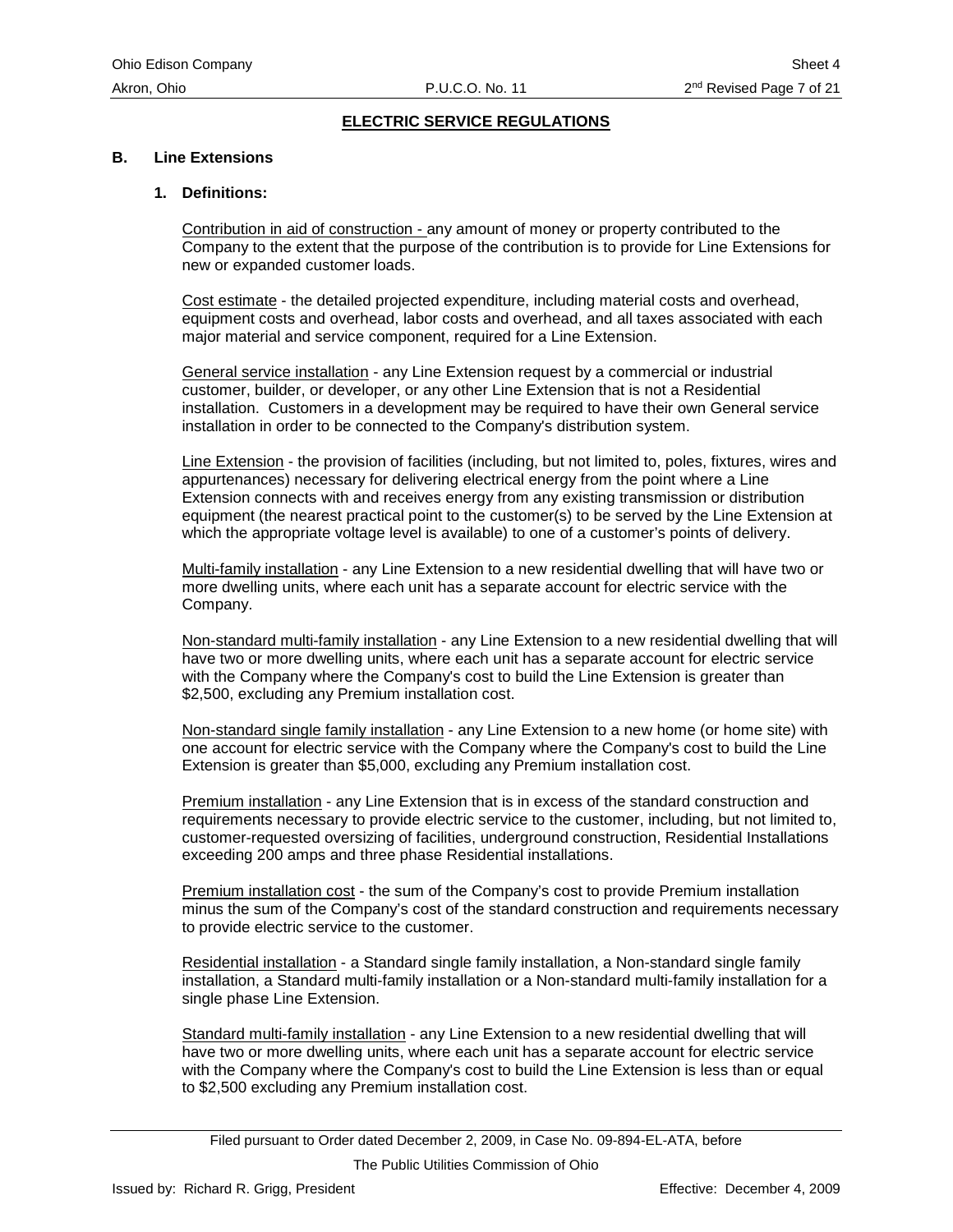#### **B. Line Extensions**

#### **1. Definitions:**

Contribution in aid of construction - any amount of money or property contributed to the Company to the extent that the purpose of the contribution is to provide for Line Extensions for new or expanded customer loads.

Cost estimate - the detailed projected expenditure, including material costs and overhead, equipment costs and overhead, labor costs and overhead, and all taxes associated with each major material and service component, required for a Line Extension.

General service installation - any Line Extension request by a commercial or industrial customer, builder, or developer, or any other Line Extension that is not a Residential installation. Customers in a development may be required to have their own General service installation in order to be connected to the Company's distribution system.

Line Extension - the provision of facilities (including, but not limited to, poles, fixtures, wires and appurtenances) necessary for delivering electrical energy from the point where a Line Extension connects with and receives energy from any existing transmission or distribution equipment (the nearest practical point to the customer(s) to be served by the Line Extension at which the appropriate voltage level is available) to one of a customer's points of delivery.

Multi-family installation - any Line Extension to a new residential dwelling that will have two or more dwelling units, where each unit has a separate account for electric service with the Company.

Non-standard multi-family installation - any Line Extension to a new residential dwelling that will have two or more dwelling units, where each unit has a separate account for electric service with the Company where the Company's cost to build the Line Extension is greater than \$2,500, excluding any Premium installation cost.

Non-standard single family installation - any Line Extension to a new home (or home site) with one account for electric service with the Company where the Company's cost to build the Line Extension is greater than \$5,000, excluding any Premium installation cost.

Premium installation - any Line Extension that is in excess of the standard construction and requirements necessary to provide electric service to the customer, including, but not limited to, customer-requested oversizing of facilities, underground construction, Residential Installations exceeding 200 amps and three phase Residential installations.

Premium installation cost - the sum of the Company's cost to provide Premium installation minus the sum of the Company's cost of the standard construction and requirements necessary to provide electric service to the customer.

Residential installation - a Standard single family installation, a Non-standard single family installation, a Standard multi-family installation or a Non-standard multi-family installation for a single phase Line Extension.

Standard multi-family installation - any Line Extension to a new residential dwelling that will have two or more dwelling units, where each unit has a separate account for electric service with the Company where the Company's cost to build the Line Extension is less than or equal to \$2,500 excluding any Premium installation cost.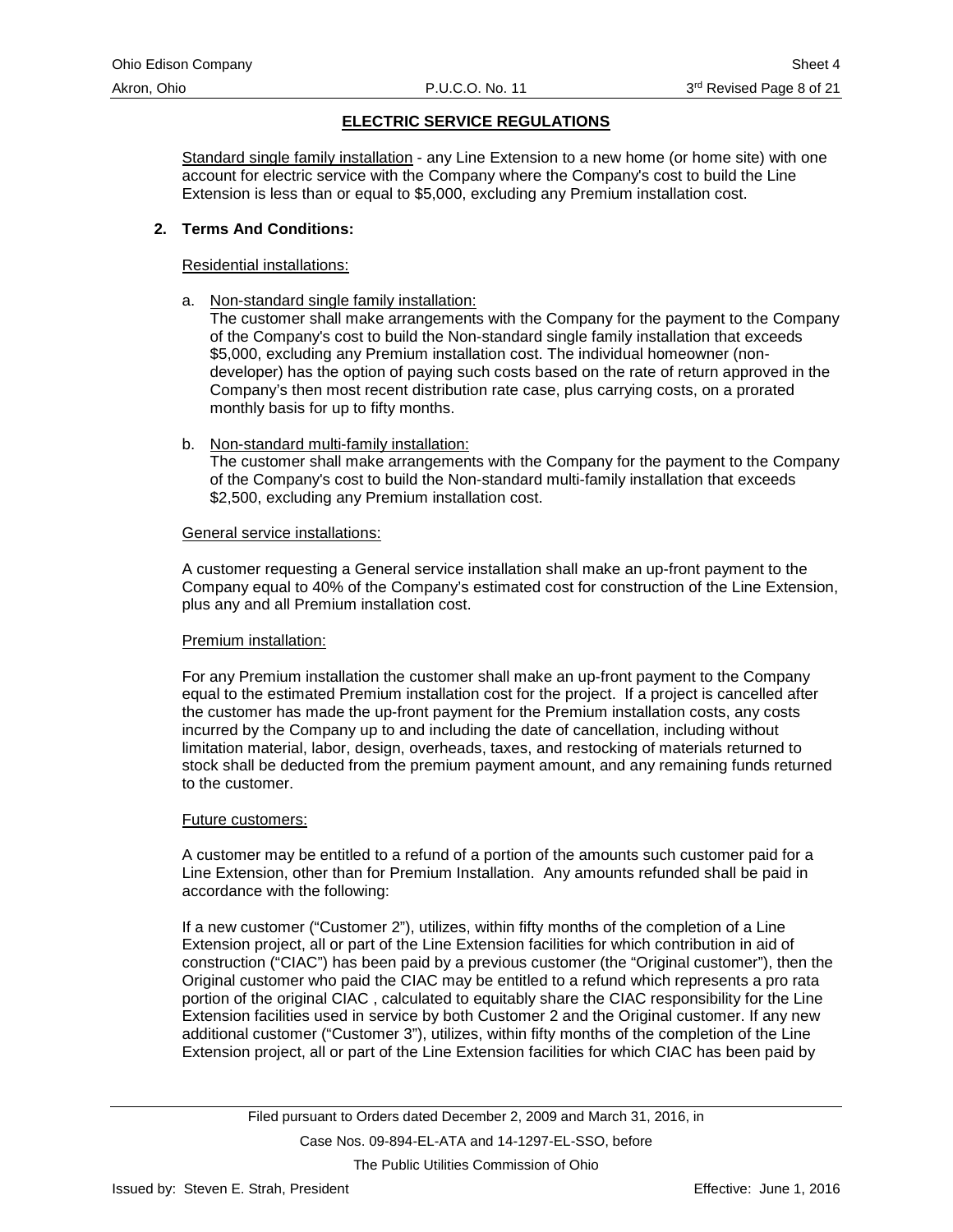Standard single family installation - any Line Extension to a new home (or home site) with one account for electric service with the Company where the Company's cost to build the Line Extension is less than or equal to \$5,000, excluding any Premium installation cost.

#### **2. Terms And Conditions:**

#### Residential installations:

a. Non-standard single family installation:

The customer shall make arrangements with the Company for the payment to the Company of the Company's cost to build the Non-standard single family installation that exceeds \$5,000, excluding any Premium installation cost. The individual homeowner (nondeveloper) has the option of paying such costs based on the rate of return approved in the Company's then most recent distribution rate case, plus carrying costs, on a prorated monthly basis for up to fifty months.

b. Non-standard multi-family installation:

The customer shall make arrangements with the Company for the payment to the Company of the Company's cost to build the Non-standard multi-family installation that exceeds \$2,500, excluding any Premium installation cost.

#### General service installations:

A customer requesting a General service installation shall make an up-front payment to the Company equal to 40% of the Company's estimated cost for construction of the Line Extension, plus any and all Premium installation cost.

#### Premium installation:

For any Premium installation the customer shall make an up-front payment to the Company equal to the estimated Premium installation cost for the project. If a project is cancelled after the customer has made the up-front payment for the Premium installation costs, any costs incurred by the Company up to and including the date of cancellation, including without limitation material, labor, design, overheads, taxes, and restocking of materials returned to stock shall be deducted from the premium payment amount, and any remaining funds returned to the customer.

#### Future customers:

A customer may be entitled to a refund of a portion of the amounts such customer paid for a Line Extension, other than for Premium Installation. Any amounts refunded shall be paid in accordance with the following:

If a new customer ("Customer 2"), utilizes, within fifty months of the completion of a Line Extension project, all or part of the Line Extension facilities for which contribution in aid of construction ("CIAC") has been paid by a previous customer (the "Original customer"), then the Original customer who paid the CIAC may be entitled to a refund which represents a pro rata portion of the original CIAC , calculated to equitably share the CIAC responsibility for the Line Extension facilities used in service by both Customer 2 and the Original customer. If any new additional customer ("Customer 3"), utilizes, within fifty months of the completion of the Line Extension project, all or part of the Line Extension facilities for which CIAC has been paid by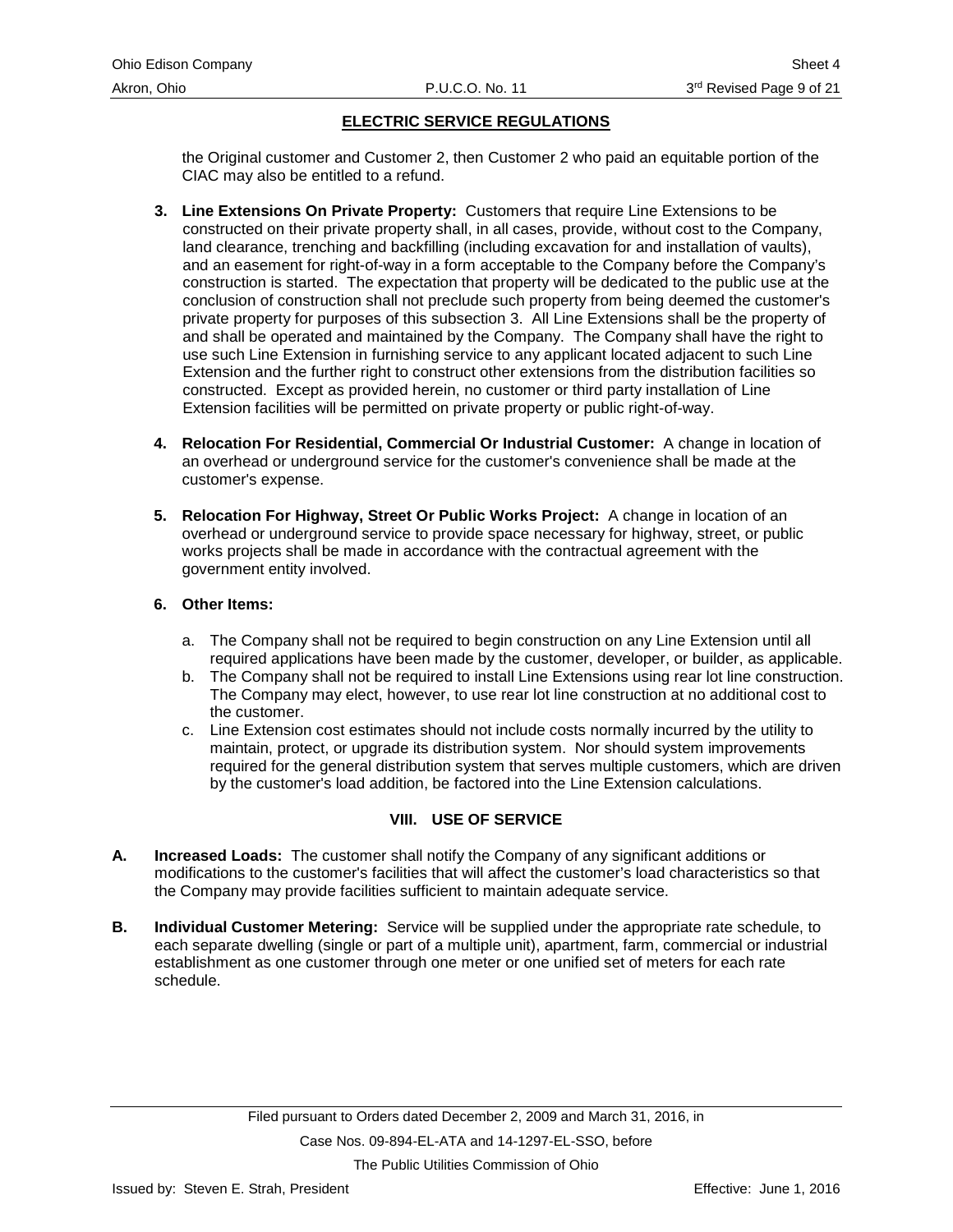<span id="page-12-0"></span>the Original customer and Customer 2, then Customer 2 who paid an equitable portion of the CIAC may also be entitled to a refund.

- **3. Line Extensions On Private Property:** Customers that require Line Extensions to be constructed on their private property shall, in all cases, provide, without cost to the Company, land clearance, trenching and backfilling (including excavation for and installation of vaults), and an easement for right-of-way in a form acceptable to the Company before the Company's construction is started. The expectation that property will be dedicated to the public use at the conclusion of construction shall not preclude such property from being deemed the customer's private property for purposes of this subsection 3. All Line Extensions shall be the property of and shall be operated and maintained by the Company. The Company shall have the right to use such Line Extension in furnishing service to any applicant located adjacent to such Line Extension and the further right to construct other extensions from the distribution facilities so constructed. Except as provided herein, no customer or third party installation of Line Extension facilities will be permitted on private property or public right-of-way.
- **4. Relocation For Residential, Commercial Or Industrial Customer:** A change in location of an overhead or underground service for the customer's convenience shall be made at the customer's expense.
- **5. Relocation For Highway, Street Or Public Works Project:** A change in location of an overhead or underground service to provide space necessary for highway, street, or public works projects shall be made in accordance with the contractual agreement with the government entity involved.

#### **6. Other Items:**

- a. The Company shall not be required to begin construction on any Line Extension until all required applications have been made by the customer, developer, or builder, as applicable.
- b. The Company shall not be required to install Line Extensions using rear lot line construction. The Company may elect, however, to use rear lot line construction at no additional cost to the customer.
- c. Line Extension cost estimates should not include costs normally incurred by the utility to maintain, protect, or upgrade its distribution system. Nor should system improvements required for the general distribution system that serves multiple customers, which are driven by the customer's load addition, be factored into the Line Extension calculations.

# **VIII. USE OF SERVICE**

- **A. Increased Loads:** The customer shall notify the Company of any significant additions or modifications to the customer's facilities that will affect the customer's load characteristics so that the Company may provide facilities sufficient to maintain adequate service.
- **B. Individual Customer Metering:** Service will be supplied under the appropriate rate schedule, to each separate dwelling (single or part of a multiple unit), apartment, farm, commercial or industrial establishment as one customer through one meter or one unified set of meters for each rate schedule.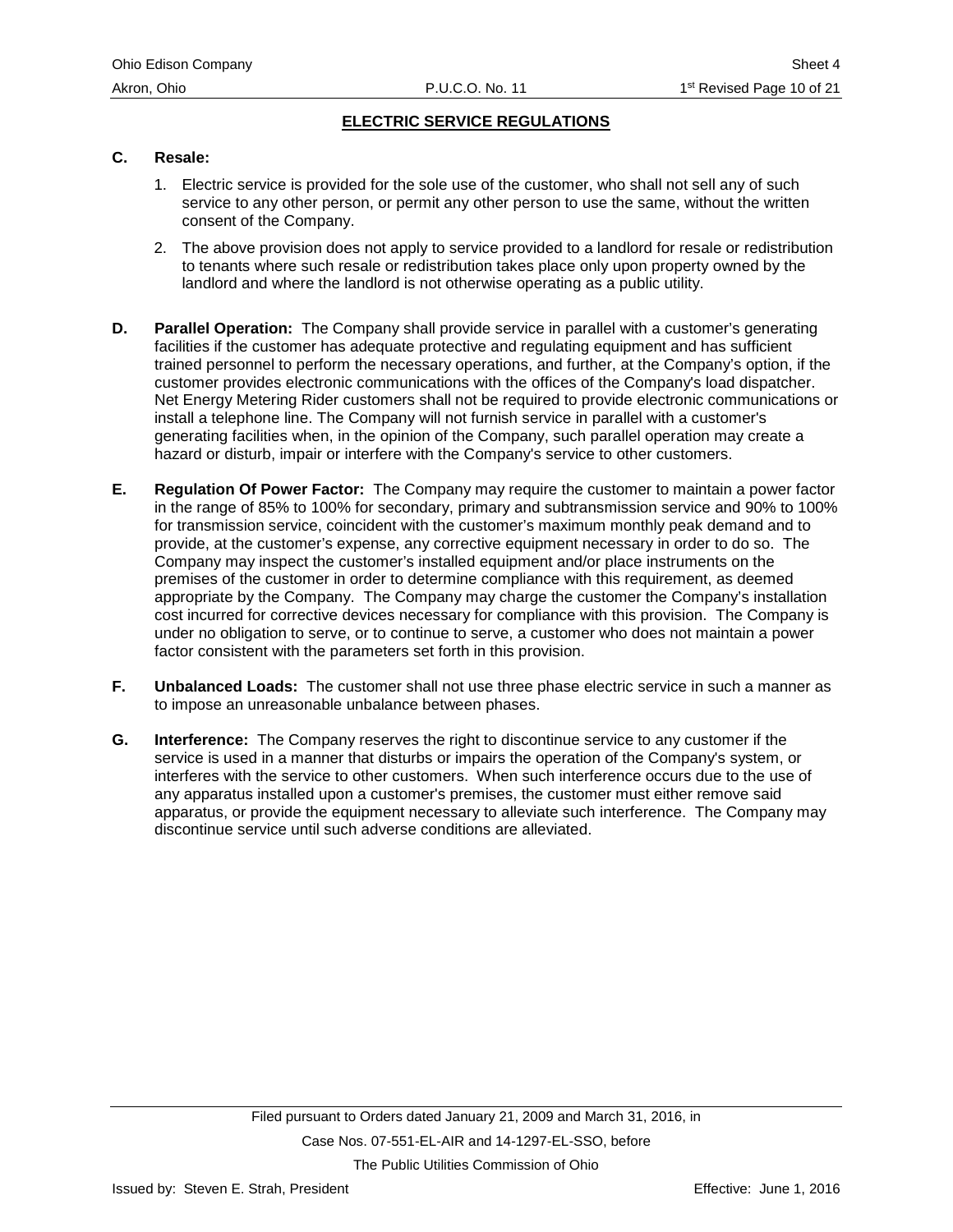#### **C. Resale:**

- 1. Electric service is provided for the sole use of the customer, who shall not sell any of such service to any other person, or permit any other person to use the same, without the written consent of the Company.
- 2. The above provision does not apply to service provided to a landlord for resale or redistribution to tenants where such resale or redistribution takes place only upon property owned by the landlord and where the landlord is not otherwise operating as a public utility.
- **D. Parallel Operation:** The Company shall provide service in parallel with a customer's generating facilities if the customer has adequate protective and regulating equipment and has sufficient trained personnel to perform the necessary operations, and further, at the Company's option, if the customer provides electronic communications with the offices of the Company's load dispatcher. Net Energy Metering Rider customers shall not be required to provide electronic communications or install a telephone line. The Company will not furnish service in parallel with a customer's generating facilities when, in the opinion of the Company, such parallel operation may create a hazard or disturb, impair or interfere with the Company's service to other customers.
- **E. Regulation Of Power Factor:** The Company may require the customer to maintain a power factor in the range of 85% to 100% for secondary, primary and subtransmission service and 90% to 100% for transmission service, coincident with the customer's maximum monthly peak demand and to provide, at the customer's expense, any corrective equipment necessary in order to do so. The Company may inspect the customer's installed equipment and/or place instruments on the premises of the customer in order to determine compliance with this requirement, as deemed appropriate by the Company. The Company may charge the customer the Company's installation cost incurred for corrective devices necessary for compliance with this provision. The Company is under no obligation to serve, or to continue to serve, a customer who does not maintain a power factor consistent with the parameters set forth in this provision.
- **F. Unbalanced Loads:** The customer shall not use three phase electric service in such a manner as to impose an unreasonable unbalance between phases.
- **G. Interference:** The Company reserves the right to discontinue service to any customer if the service is used in a manner that disturbs or impairs the operation of the Company's system, or interferes with the service to other customers. When such interference occurs due to the use of any apparatus installed upon a customer's premises, the customer must either remove said apparatus, or provide the equipment necessary to alleviate such interference. The Company may discontinue service until such adverse conditions are alleviated.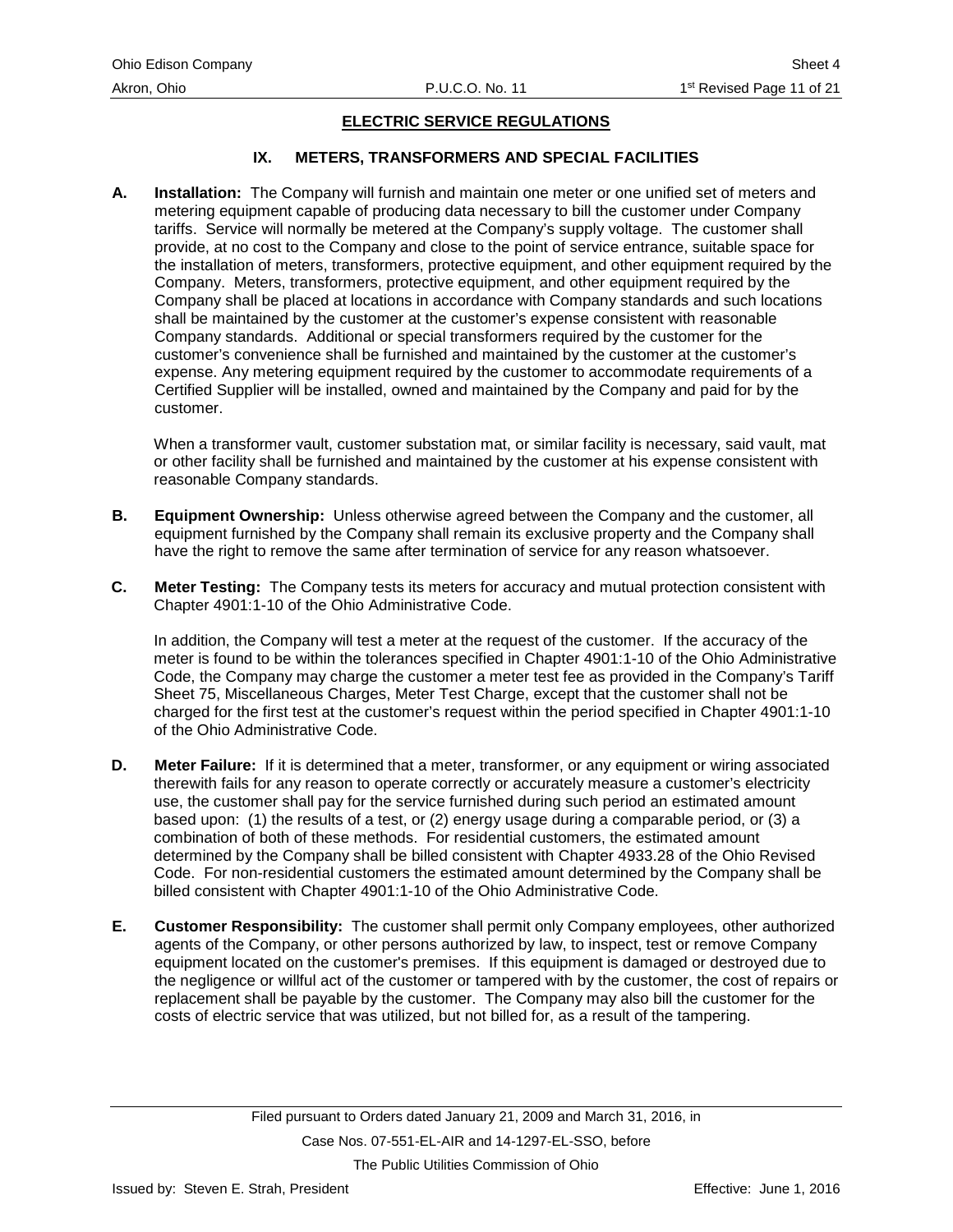#### **IX. METERS, TRANSFORMERS AND SPECIAL FACILITIES**

<span id="page-14-0"></span>**A. Installation:** The Company will furnish and maintain one meter or one unified set of meters and metering equipment capable of producing data necessary to bill the customer under Company tariffs. Service will normally be metered at the Company's supply voltage. The customer shall provide, at no cost to the Company and close to the point of service entrance, suitable space for the installation of meters, transformers, protective equipment, and other equipment required by the Company. Meters, transformers, protective equipment, and other equipment required by the Company shall be placed at locations in accordance with Company standards and such locations shall be maintained by the customer at the customer's expense consistent with reasonable Company standards. Additional or special transformers required by the customer for the customer's convenience shall be furnished and maintained by the customer at the customer's expense. Any metering equipment required by the customer to accommodate requirements of a Certified Supplier will be installed, owned and maintained by the Company and paid for by the customer.

When a transformer vault, customer substation mat, or similar facility is necessary, said vault, mat or other facility shall be furnished and maintained by the customer at his expense consistent with reasonable Company standards.

- **B. Equipment Ownership:** Unless otherwise agreed between the Company and the customer, all equipment furnished by the Company shall remain its exclusive property and the Company shall have the right to remove the same after termination of service for any reason whatsoever.
- **C. Meter Testing:** The Company tests its meters for accuracy and mutual protection consistent with Chapter 4901:1-10 of the Ohio Administrative Code.

In addition, the Company will test a meter at the request of the customer. If the accuracy of the meter is found to be within the tolerances specified in Chapter 4901:1-10 of the Ohio Administrative Code, the Company may charge the customer a meter test fee as provided in the Company's Tariff Sheet 75, Miscellaneous Charges, Meter Test Charge, except that the customer shall not be charged for the first test at the customer's request within the period specified in Chapter 4901:1-10 of the Ohio Administrative Code.

- **D. Meter Failure:** If it is determined that a meter, transformer, or any equipment or wiring associated therewith fails for any reason to operate correctly or accurately measure a customer's electricity use, the customer shall pay for the service furnished during such period an estimated amount based upon: (1) the results of a test, or (2) energy usage during a comparable period, or (3) a combination of both of these methods. For residential customers, the estimated amount determined by the Company shall be billed consistent with Chapter 4933.28 of the Ohio Revised Code. For non-residential customers the estimated amount determined by the Company shall be billed consistent with Chapter 4901:1-10 of the Ohio Administrative Code.
- **E. Customer Responsibility:** The customer shall permit only Company employees, other authorized agents of the Company, or other persons authorized by law, to inspect, test or remove Company equipment located on the customer's premises. If this equipment is damaged or destroyed due to the negligence or willful act of the customer or tampered with by the customer, the cost of repairs or replacement shall be payable by the customer. The Company may also bill the customer for the costs of electric service that was utilized, but not billed for, as a result of the tampering.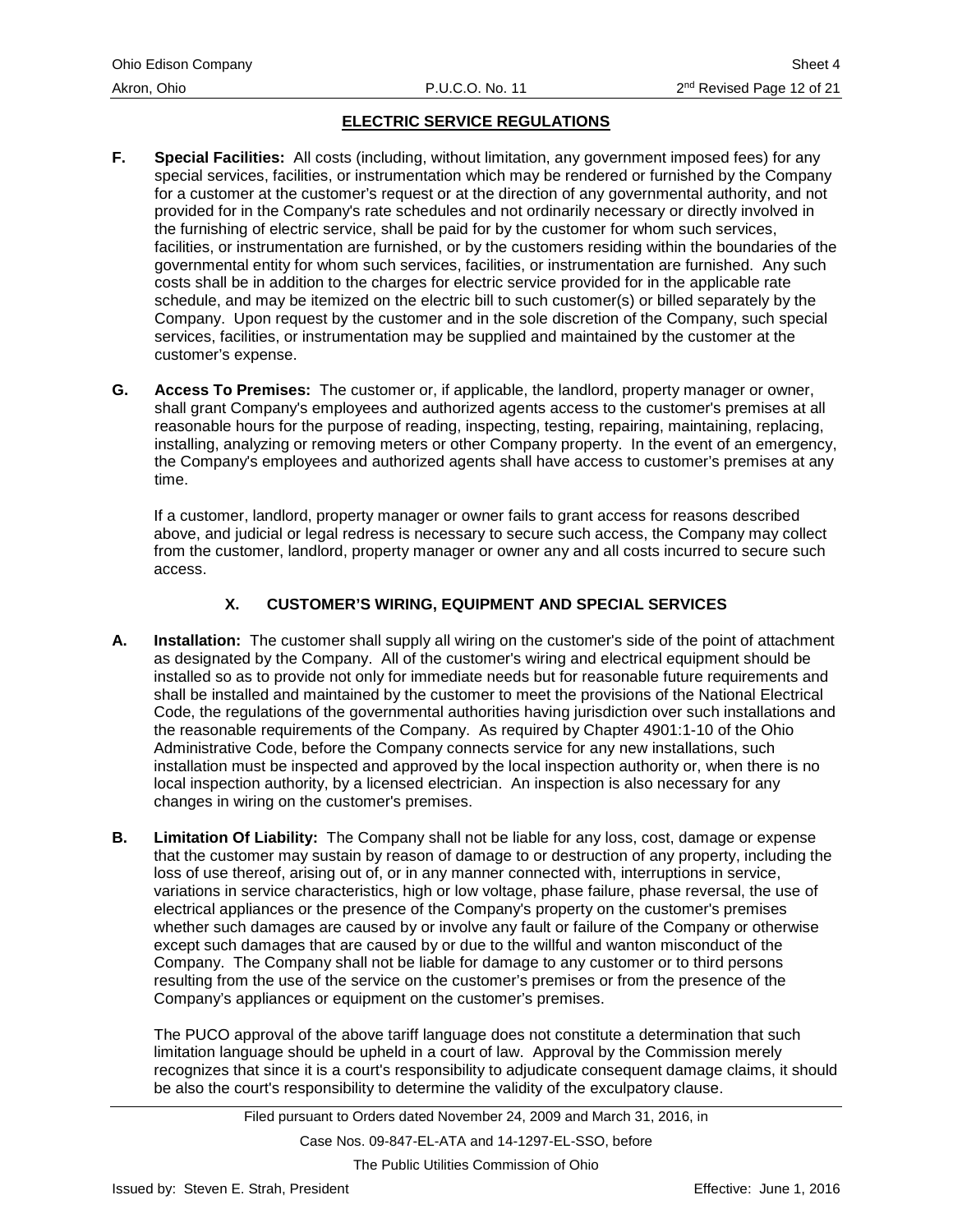- <span id="page-15-0"></span>**F. Special Facilities:** All costs (including, without limitation, any government imposed fees) for any special services, facilities, or instrumentation which may be rendered or furnished by the Company for a customer at the customer's request or at the direction of any governmental authority, and not provided for in the Company's rate schedules and not ordinarily necessary or directly involved in the furnishing of electric service, shall be paid for by the customer for whom such services, facilities, or instrumentation are furnished, or by the customers residing within the boundaries of the governmental entity for whom such services, facilities, or instrumentation are furnished. Any such costs shall be in addition to the charges for electric service provided for in the applicable rate schedule, and may be itemized on the electric bill to such customer(s) or billed separately by the Company. Upon request by the customer and in the sole discretion of the Company, such special services, facilities, or instrumentation may be supplied and maintained by the customer at the customer's expense.
- **G. Access To Premises:** The customer or, if applicable, the landlord, property manager or owner, shall grant Company's employees and authorized agents access to the customer's premises at all reasonable hours for the purpose of reading, inspecting, testing, repairing, maintaining, replacing, installing, analyzing or removing meters or other Company property. In the event of an emergency, the Company's employees and authorized agents shall have access to customer's premises at any time.

If a customer, landlord, property manager or owner fails to grant access for reasons described above, and judicial or legal redress is necessary to secure such access, the Company may collect from the customer, landlord, property manager or owner any and all costs incurred to secure such access.

# **X. CUSTOMER'S WIRING, EQUIPMENT AND SPECIAL SERVICES**

- **A. Installation:** The customer shall supply all wiring on the customer's side of the point of attachment as designated by the Company. All of the customer's wiring and electrical equipment should be installed so as to provide not only for immediate needs but for reasonable future requirements and shall be installed and maintained by the customer to meet the provisions of the National Electrical Code, the regulations of the governmental authorities having jurisdiction over such installations and the reasonable requirements of the Company. As required by Chapter 4901:1-10 of the Ohio Administrative Code, before the Company connects service for any new installations, such installation must be inspected and approved by the local inspection authority or, when there is no local inspection authority, by a licensed electrician. An inspection is also necessary for any changes in wiring on the customer's premises.
- **B. Limitation Of Liability:** The Company shall not be liable for any loss, cost, damage or expense that the customer may sustain by reason of damage to or destruction of any property, including the loss of use thereof, arising out of, or in any manner connected with, interruptions in service, variations in service characteristics, high or low voltage, phase failure, phase reversal, the use of electrical appliances or the presence of the Company's property on the customer's premises whether such damages are caused by or involve any fault or failure of the Company or otherwise except such damages that are caused by or due to the willful and wanton misconduct of the Company. The Company shall not be liable for damage to any customer or to third persons resulting from the use of the service on the customer's premises or from the presence of the Company's appliances or equipment on the customer's premises.

The PUCO approval of the above tariff language does not constitute a determination that such limitation language should be upheld in a court of law. Approval by the Commission merely recognizes that since it is a court's responsibility to adjudicate consequent damage claims, it should be also the court's responsibility to determine the validity of the exculpatory clause.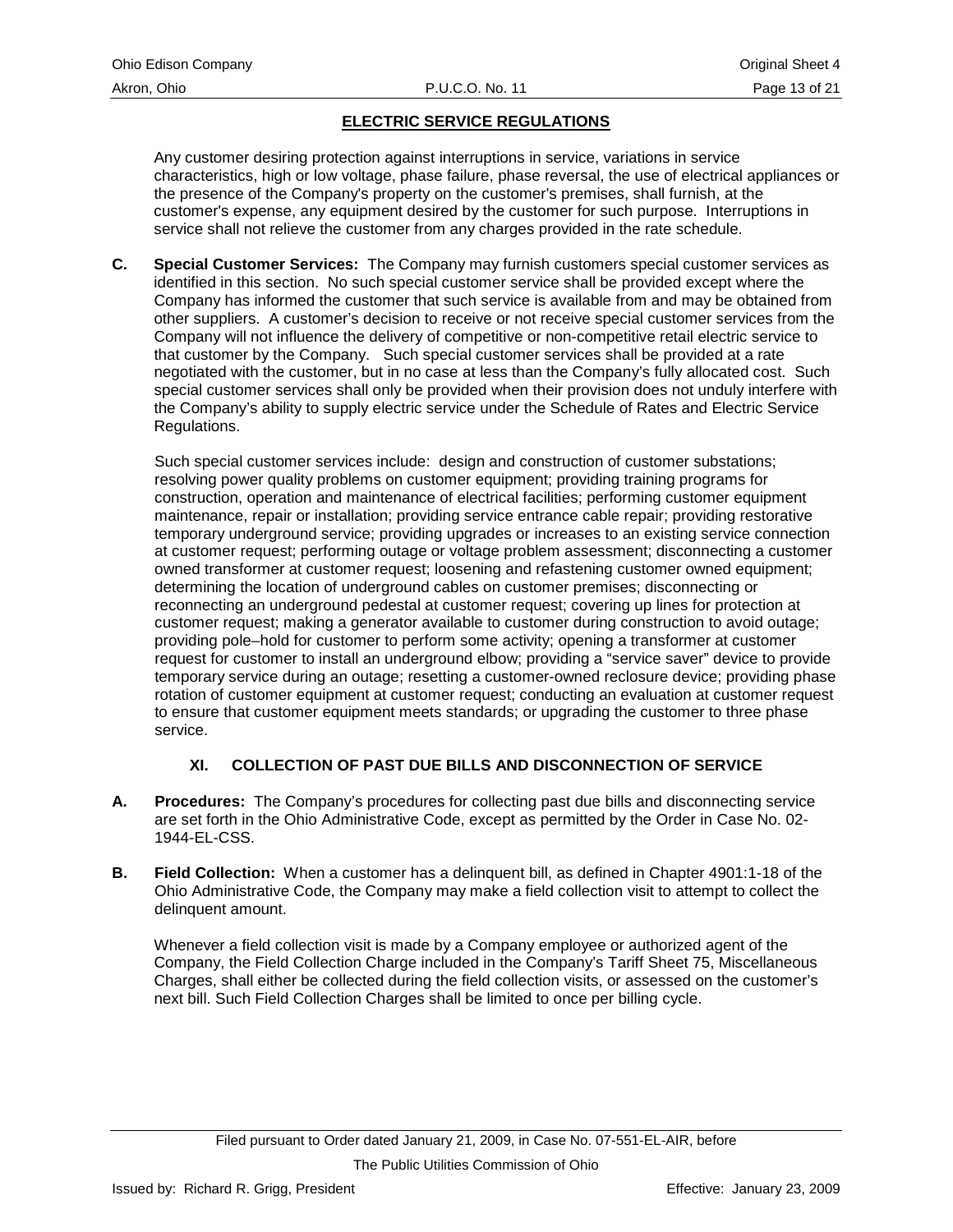<span id="page-16-0"></span>Any customer desiring protection against interruptions in service, variations in service characteristics, high or low voltage, phase failure, phase reversal, the use of electrical appliances or the presence of the Company's property on the customer's premises, shall furnish, at the customer's expense, any equipment desired by the customer for such purpose. Interruptions in service shall not relieve the customer from any charges provided in the rate schedule.

**C. Special Customer Services:** The Company may furnish customers special customer services as identified in this section. No such special customer service shall be provided except where the Company has informed the customer that such service is available from and may be obtained from other suppliers. A customer's decision to receive or not receive special customer services from the Company will not influence the delivery of competitive or non-competitive retail electric service to that customer by the Company. Such special customer services shall be provided at a rate negotiated with the customer, but in no case at less than the Company's fully allocated cost. Such special customer services shall only be provided when their provision does not unduly interfere with the Company's ability to supply electric service under the Schedule of Rates and Electric Service Regulations.

Such special customer services include: design and construction of customer substations; resolving power quality problems on customer equipment; providing training programs for construction, operation and maintenance of electrical facilities; performing customer equipment maintenance, repair or installation; providing service entrance cable repair; providing restorative temporary underground service; providing upgrades or increases to an existing service connection at customer request; performing outage or voltage problem assessment; disconnecting a customer owned transformer at customer request; loosening and refastening customer owned equipment; determining the location of underground cables on customer premises; disconnecting or reconnecting an underground pedestal at customer request; covering up lines for protection at customer request; making a generator available to customer during construction to avoid outage; providing pole–hold for customer to perform some activity; opening a transformer at customer request for customer to install an underground elbow; providing a "service saver" device to provide temporary service during an outage; resetting a customer-owned reclosure device; providing phase rotation of customer equipment at customer request; conducting an evaluation at customer request to ensure that customer equipment meets standards; or upgrading the customer to three phase service.

# **XI. COLLECTION OF PAST DUE BILLS AND DISCONNECTION OF SERVICE**

- **A. Procedures:** The Company's procedures for collecting past due bills and disconnecting service are set forth in the Ohio Administrative Code, except as permitted by the Order in Case No. 02- 1944-EL-CSS.
- **B. Field Collection:** When a customer has a delinquent bill, as defined in Chapter 4901:1-18 of the Ohio Administrative Code, the Company may make a field collection visit to attempt to collect the delinquent amount.

Whenever a field collection visit is made by a Company employee or authorized agent of the Company, the Field Collection Charge included in the Company's Tariff Sheet 75, Miscellaneous Charges, shall either be collected during the field collection visits, or assessed on the customer's next bill. Such Field Collection Charges shall be limited to once per billing cycle.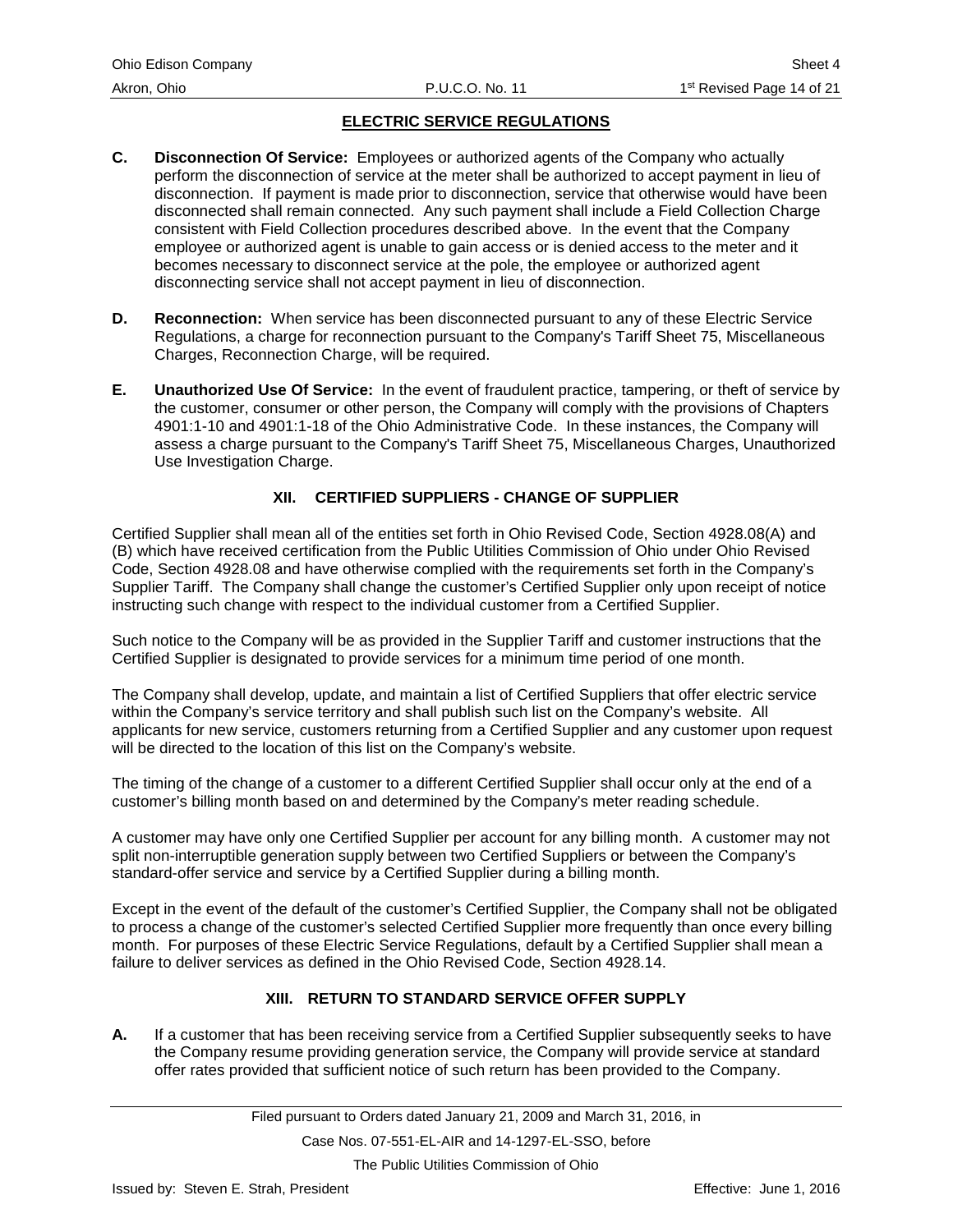- <span id="page-17-0"></span>**C. Disconnection Of Service:** Employees or authorized agents of the Company who actually perform the disconnection of service at the meter shall be authorized to accept payment in lieu of disconnection. If payment is made prior to disconnection, service that otherwise would have been disconnected shall remain connected. Any such payment shall include a Field Collection Charge consistent with Field Collection procedures described above. In the event that the Company employee or authorized agent is unable to gain access or is denied access to the meter and it becomes necessary to disconnect service at the pole, the employee or authorized agent disconnecting service shall not accept payment in lieu of disconnection.
- **D. Reconnection:** When service has been disconnected pursuant to any of these Electric Service Regulations, a charge for reconnection pursuant to the Company's Tariff Sheet 75, Miscellaneous Charges, Reconnection Charge, will be required.
- **E. Unauthorized Use Of Service:** In the event of fraudulent practice, tampering, or theft of service by the customer, consumer or other person, the Company will comply with the provisions of Chapters 4901:1-10 and 4901:1-18 of the Ohio Administrative Code. In these instances, the Company will assess a charge pursuant to the Company's Tariff Sheet 75, Miscellaneous Charges, Unauthorized Use Investigation Charge.

# **XII. CERTIFIED SUPPLIERS - CHANGE OF SUPPLIER**

Certified Supplier shall mean all of the entities set forth in Ohio Revised Code, Section 4928.08(A) and (B) which have received certification from the Public Utilities Commission of Ohio under Ohio Revised Code, Section 4928.08 and have otherwise complied with the requirements set forth in the Company's Supplier Tariff. The Company shall change the customer's Certified Supplier only upon receipt of notice instructing such change with respect to the individual customer from a Certified Supplier.

Such notice to the Company will be as provided in the Supplier Tariff and customer instructions that the Certified Supplier is designated to provide services for a minimum time period of one month.

The Company shall develop, update, and maintain a list of Certified Suppliers that offer electric service within the Company's service territory and shall publish such list on the Company's website. All applicants for new service, customers returning from a Certified Supplier and any customer upon request will be directed to the location of this list on the Company's website.

The timing of the change of a customer to a different Certified Supplier shall occur only at the end of a customer's billing month based on and determined by the Company's meter reading schedule.

A customer may have only one Certified Supplier per account for any billing month. A customer may not split non-interruptible generation supply between two Certified Suppliers or between the Company's standard-offer service and service by a Certified Supplier during a billing month.

Except in the event of the default of the customer's Certified Supplier, the Company shall not be obligated to process a change of the customer's selected Certified Supplier more frequently than once every billing month. For purposes of these Electric Service Regulations, default by a Certified Supplier shall mean a failure to deliver services as defined in the Ohio Revised Code, Section 4928.14.

# **XIII. RETURN TO STANDARD SERVICE OFFER SUPPLY**

**A.** If a customer that has been receiving service from a Certified Supplier subsequently seeks to have the Company resume providing generation service, the Company will provide service at standard offer rates provided that sufficient notice of such return has been provided to the Company.

Case Nos. 07-551-EL-AIR and 14-1297-EL-SSO, before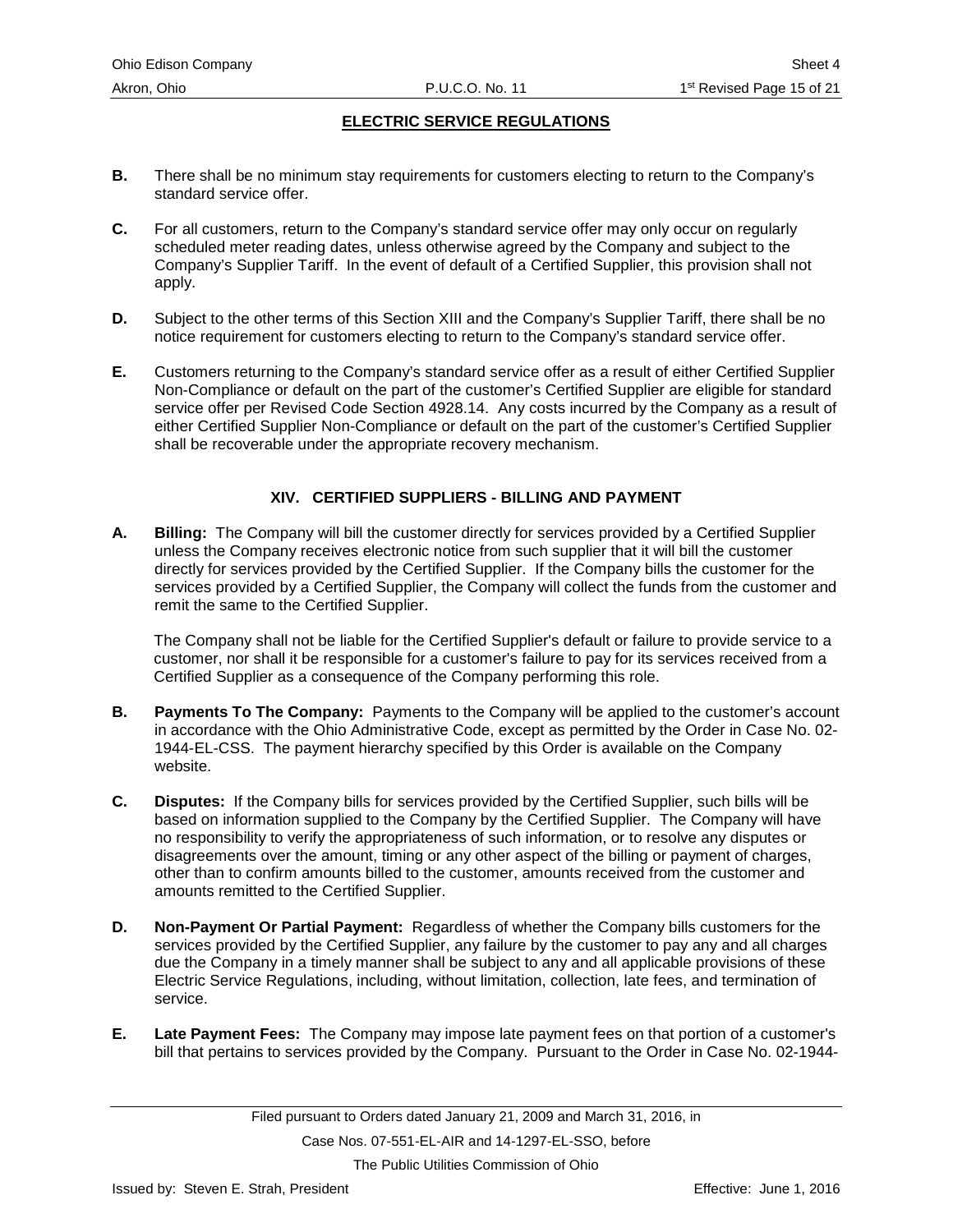- <span id="page-18-0"></span>**B.** There shall be no minimum stay requirements for customers electing to return to the Company's standard service offer.
- **C.** For all customers, return to the Company's standard service offer may only occur on regularly scheduled meter reading dates, unless otherwise agreed by the Company and subject to the Company's Supplier Tariff. In the event of default of a Certified Supplier, this provision shall not apply.
- **D.** Subject to the other terms of this Section XIII and the Company's Supplier Tariff, there shall be no notice requirement for customers electing to return to the Company's standard service offer.
- **E.** Customers returning to the Company's standard service offer as a result of either Certified Supplier Non-Compliance or default on the part of the customer's Certified Supplier are eligible for standard service offer per Revised Code Section 4928.14. Any costs incurred by the Company as a result of either Certified Supplier Non-Compliance or default on the part of the customer's Certified Supplier shall be recoverable under the appropriate recovery mechanism.

# **XIV. CERTIFIED SUPPLIERS - BILLING AND PAYMENT**

**A. Billing:** The Company will bill the customer directly for services provided by a Certified Supplier unless the Company receives electronic notice from such supplier that it will bill the customer directly for services provided by the Certified Supplier. If the Company bills the customer for the services provided by a Certified Supplier, the Company will collect the funds from the customer and remit the same to the Certified Supplier.

The Company shall not be liable for the Certified Supplier's default or failure to provide service to a customer, nor shall it be responsible for a customer's failure to pay for its services received from a Certified Supplier as a consequence of the Company performing this role.

- **B. Payments To The Company:** Payments to the Company will be applied to the customer's account in accordance with the Ohio Administrative Code, except as permitted by the Order in Case No. 02- 1944-EL-CSS. The payment hierarchy specified by this Order is available on the Company website.
- **C. Disputes:** If the Company bills for services provided by the Certified Supplier, such bills will be based on information supplied to the Company by the Certified Supplier. The Company will have no responsibility to verify the appropriateness of such information, or to resolve any disputes or disagreements over the amount, timing or any other aspect of the billing or payment of charges, other than to confirm amounts billed to the customer, amounts received from the customer and amounts remitted to the Certified Supplier.
- **D. Non-Payment Or Partial Payment:** Regardless of whether the Company bills customers for the services provided by the Certified Supplier, any failure by the customer to pay any and all charges due the Company in a timely manner shall be subject to any and all applicable provisions of these Electric Service Regulations, including, without limitation, collection, late fees, and termination of service.
- **E. Late Payment Fees:** The Company may impose late payment fees on that portion of a customer's bill that pertains to services provided by the Company. Pursuant to the Order in Case No. 02-1944-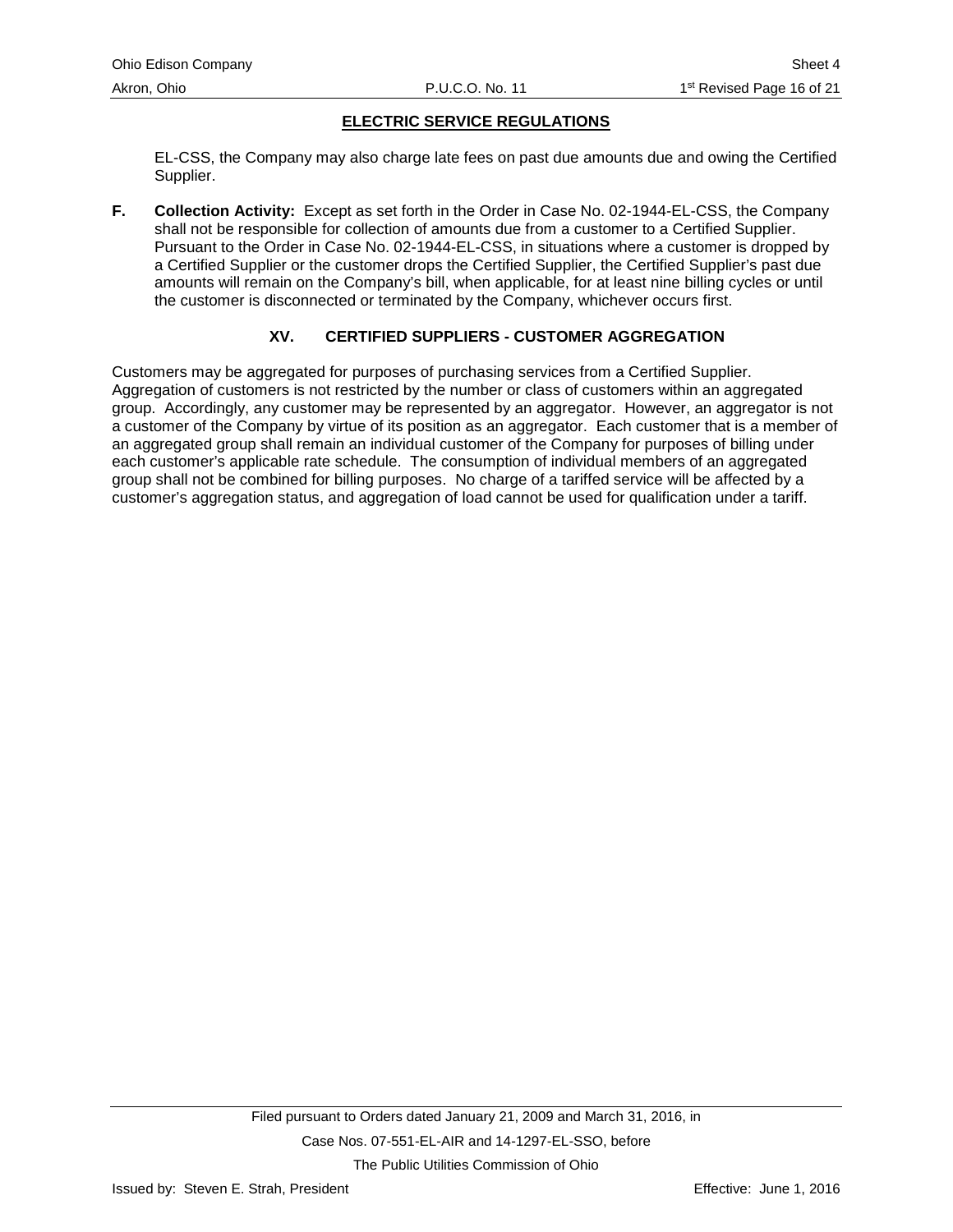<span id="page-19-0"></span>EL-CSS, the Company may also charge late fees on past due amounts due and owing the Certified Supplier.

**F. Collection Activity:** Except as set forth in the Order in Case No. 02-1944-EL-CSS, the Company shall not be responsible for collection of amounts due from a customer to a Certified Supplier. Pursuant to the Order in Case No. 02-1944-EL-CSS, in situations where a customer is dropped by a Certified Supplier or the customer drops the Certified Supplier, the Certified Supplier's past due amounts will remain on the Company's bill, when applicable, for at least nine billing cycles or until the customer is disconnected or terminated by the Company, whichever occurs first.

# **XV. CERTIFIED SUPPLIERS - CUSTOMER AGGREGATION**

Customers may be aggregated for purposes of purchasing services from a Certified Supplier. Aggregation of customers is not restricted by the number or class of customers within an aggregated group. Accordingly, any customer may be represented by an aggregator. However, an aggregator is not a customer of the Company by virtue of its position as an aggregator. Each customer that is a member of an aggregated group shall remain an individual customer of the Company for purposes of billing under each customer's applicable rate schedule. The consumption of individual members of an aggregated group shall not be combined for billing purposes. No charge of a tariffed service will be affected by a customer's aggregation status, and aggregation of load cannot be used for qualification under a tariff.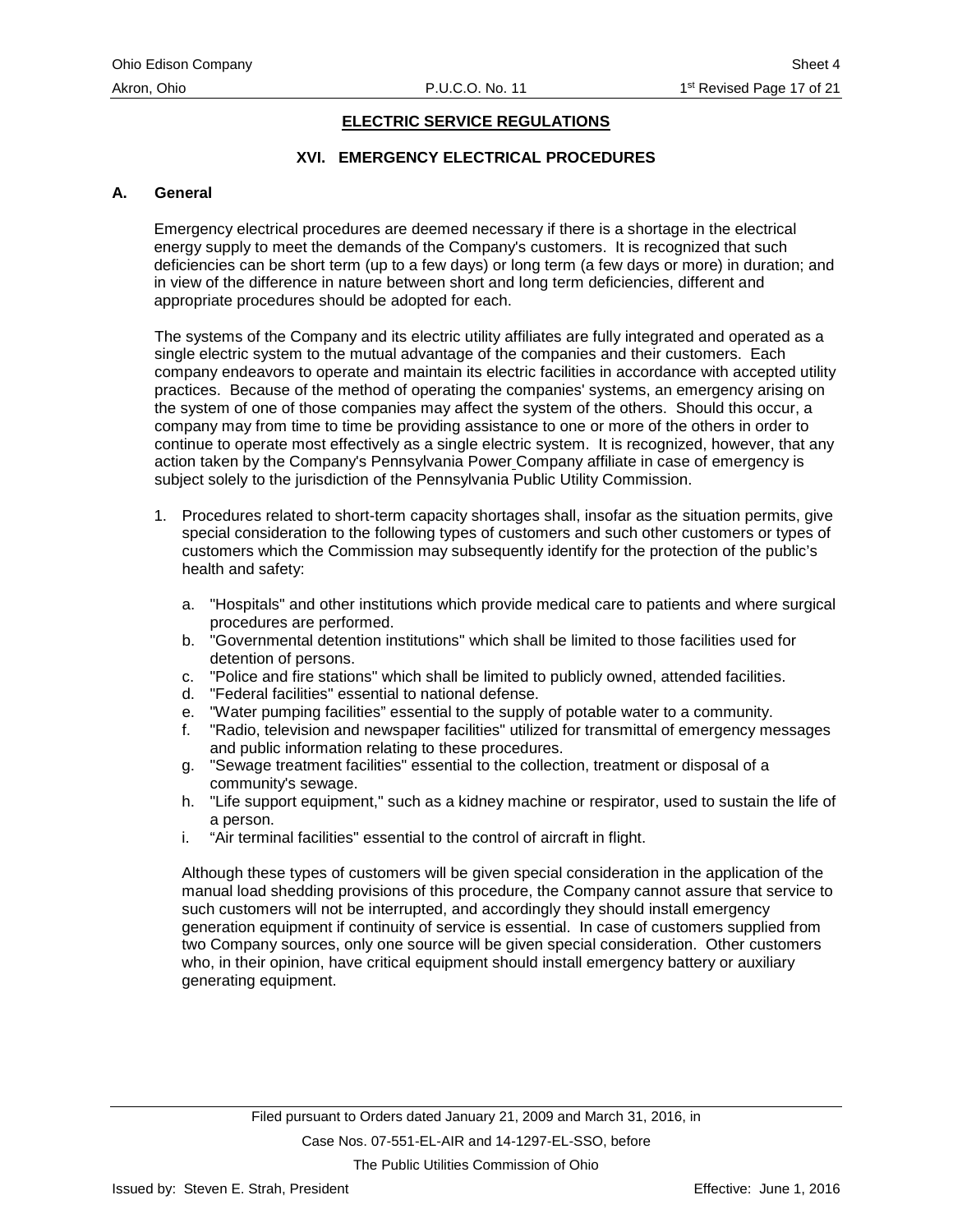# **XVI. EMERGENCY ELECTRICAL PROCEDURES**

#### <span id="page-20-0"></span>**A. General**

Emergency electrical procedures are deemed necessary if there is a shortage in the electrical energy supply to meet the demands of the Company's customers. It is recognized that such deficiencies can be short term (up to a few days) or long term (a few days or more) in duration; and in view of the difference in nature between short and long term deficiencies, different and appropriate procedures should be adopted for each.

The systems of the Company and its electric utility affiliates are fully integrated and operated as a single electric system to the mutual advantage of the companies and their customers. Each company endeavors to operate and maintain its electric facilities in accordance with accepted utility practices. Because of the method of operating the companies' systems, an emergency arising on the system of one of those companies may affect the system of the others. Should this occur, a company may from time to time be providing assistance to one or more of the others in order to continue to operate most effectively as a single electric system. It is recognized, however, that any action taken by the Company's Pennsylvania Power Company affiliate in case of emergency is subject solely to the jurisdiction of the Pennsylvania Public Utility Commission.

- 1. Procedures related to short-term capacity shortages shall, insofar as the situation permits, give special consideration to the following types of customers and such other customers or types of customers which the Commission may subsequently identify for the protection of the public's health and safety:
	- a. "Hospitals" and other institutions which provide medical care to patients and where surgical procedures are performed.
	- b. "Governmental detention institutions" which shall be limited to those facilities used for detention of persons.
	- c. "Police and fire stations" which shall be limited to publicly owned, attended facilities.
	- d. "Federal facilities" essential to national defense.
	- e. "Water pumping facilities" essential to the supply of potable water to a community.
	- f. "Radio, television and newspaper facilities" utilized for transmittal of emergency messages and public information relating to these procedures.
	- g. "Sewage treatment facilities" essential to the collection, treatment or disposal of a community's sewage.
	- h. "Life support equipment," such as a kidney machine or respirator, used to sustain the life of a person.
	- i. "Air terminal facilities" essential to the control of aircraft in flight.

Although these types of customers will be given special consideration in the application of the manual load shedding provisions of this procedure, the Company cannot assure that service to such customers will not be interrupted, and accordingly they should install emergency generation equipment if continuity of service is essential. In case of customers supplied from two Company sources, only one source will be given special consideration. Other customers who, in their opinion, have critical equipment should install emergency battery or auxiliary generating equipment.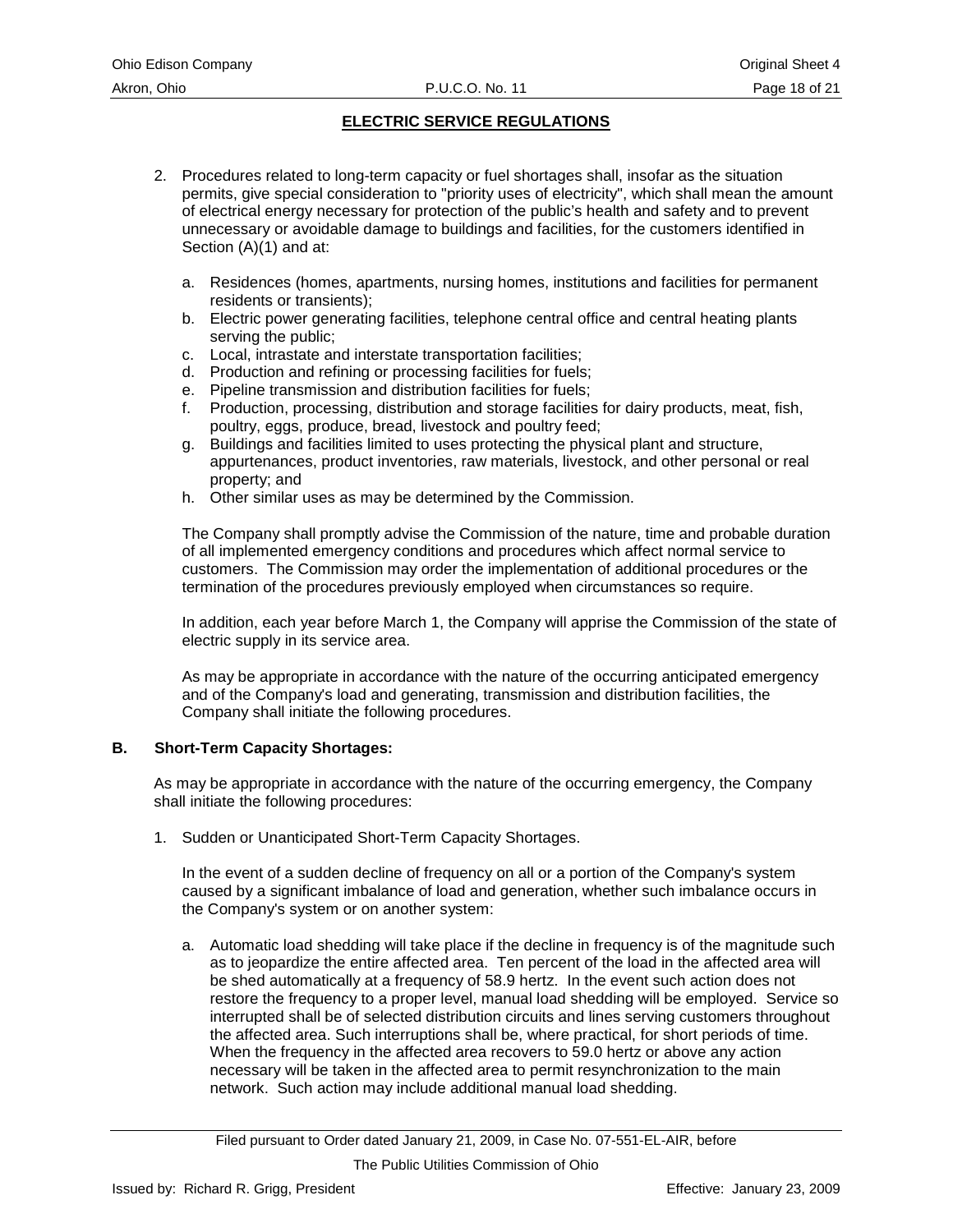- 2. Procedures related to long-term capacity or fuel shortages shall, insofar as the situation permits, give special consideration to "priority uses of electricity", which shall mean the amount of electrical energy necessary for protection of the public's health and safety and to prevent unnecessary or avoidable damage to buildings and facilities, for the customers identified in Section (A)(1) and at:
	- a. Residences (homes, apartments, nursing homes, institutions and facilities for permanent residents or transients);
	- b. Electric power generating facilities, telephone central office and central heating plants serving the public;
	- c. Local, intrastate and interstate transportation facilities;
	- d. Production and refining or processing facilities for fuels;
	- e. Pipeline transmission and distribution facilities for fuels;
	- f. Production, processing, distribution and storage facilities for dairy products, meat, fish, poultry, eggs, produce, bread, livestock and poultry feed;
	- g. Buildings and facilities limited to uses protecting the physical plant and structure, appurtenances, product inventories, raw materials, livestock, and other personal or real property; and
	- h. Other similar uses as may be determined by the Commission.

The Company shall promptly advise the Commission of the nature, time and probable duration of all implemented emergency conditions and procedures which affect normal service to customers. The Commission may order the implementation of additional procedures or the termination of the procedures previously employed when circumstances so require.

In addition, each year before March 1, the Company will apprise the Commission of the state of electric supply in its service area.

As may be appropriate in accordance with the nature of the occurring anticipated emergency and of the Company's load and generating, transmission and distribution facilities, the Company shall initiate the following procedures.

# **B. Short-Term Capacity Shortages:**

As may be appropriate in accordance with the nature of the occurring emergency, the Company shall initiate the following procedures:

1. Sudden or Unanticipated Short-Term Capacity Shortages.

In the event of a sudden decline of frequency on all or a portion of the Company's system caused by a significant imbalance of load and generation, whether such imbalance occurs in the Company's system or on another system:

a. Automatic load shedding will take place if the decline in frequency is of the magnitude such as to jeopardize the entire affected area. Ten percent of the load in the affected area will be shed automatically at a frequency of 58.9 hertz. In the event such action does not restore the frequency to a proper level, manual load shedding will be employed. Service so interrupted shall be of selected distribution circuits and lines serving customers throughout the affected area. Such interruptions shall be, where practical, for short periods of time. When the frequency in the affected area recovers to 59.0 hertz or above any action necessary will be taken in the affected area to permit resynchronization to the main network. Such action may include additional manual load shedding.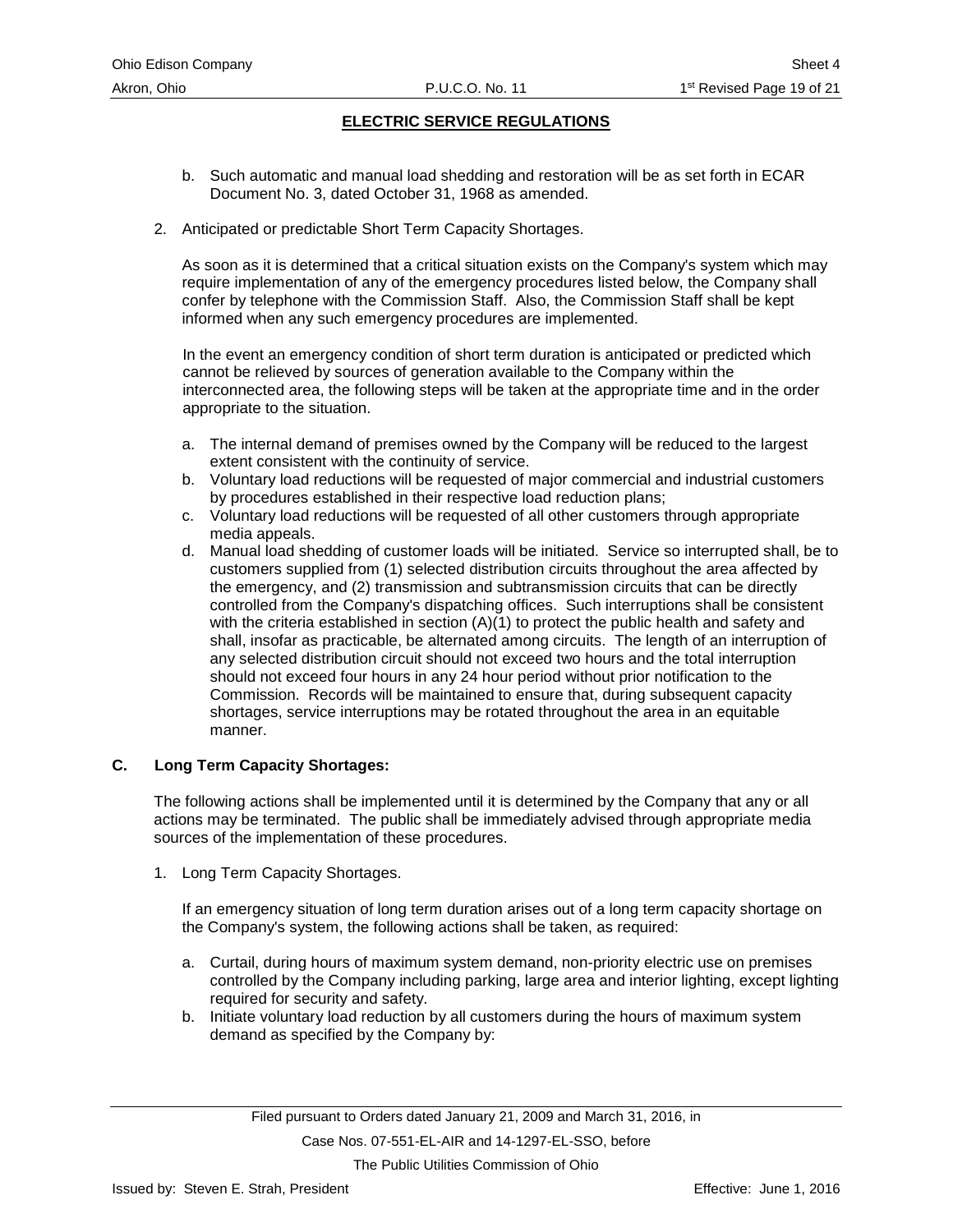- b. Such automatic and manual load shedding and restoration will be as set forth in ECAR Document No. 3, dated October 31, 1968 as amended.
- 2. Anticipated or predictable Short Term Capacity Shortages.

As soon as it is determined that a critical situation exists on the Company's system which may require implementation of any of the emergency procedures listed below, the Company shall confer by telephone with the Commission Staff. Also, the Commission Staff shall be kept informed when any such emergency procedures are implemented.

In the event an emergency condition of short term duration is anticipated or predicted which cannot be relieved by sources of generation available to the Company within the interconnected area, the following steps will be taken at the appropriate time and in the order appropriate to the situation.

- a. The internal demand of premises owned by the Company will be reduced to the largest extent consistent with the continuity of service.
- b. Voluntary load reductions will be requested of major commercial and industrial customers by procedures established in their respective load reduction plans;
- c. Voluntary load reductions will be requested of all other customers through appropriate media appeals.
- d. Manual load shedding of customer loads will be initiated. Service so interrupted shall, be to customers supplied from (1) selected distribution circuits throughout the area affected by the emergency, and (2) transmission and subtransmission circuits that can be directly controlled from the Company's dispatching offices. Such interruptions shall be consistent with the criteria established in section  $(A)(1)$  to protect the public health and safety and shall, insofar as practicable, be alternated among circuits. The length of an interruption of any selected distribution circuit should not exceed two hours and the total interruption should not exceed four hours in any 24 hour period without prior notification to the Commission. Records will be maintained to ensure that, during subsequent capacity shortages, service interruptions may be rotated throughout the area in an equitable manner.

# **C. Long Term Capacity Shortages:**

The following actions shall be implemented until it is determined by the Company that any or all actions may be terminated. The public shall be immediately advised through appropriate media sources of the implementation of these procedures.

1. Long Term Capacity Shortages.

If an emergency situation of long term duration arises out of a long term capacity shortage on the Company's system, the following actions shall be taken, as required:

- a. Curtail, during hours of maximum system demand, non-priority electric use on premises controlled by the Company including parking, large area and interior lighting, except lighting required for security and safety.
- b. Initiate voluntary load reduction by all customers during the hours of maximum system demand as specified by the Company by: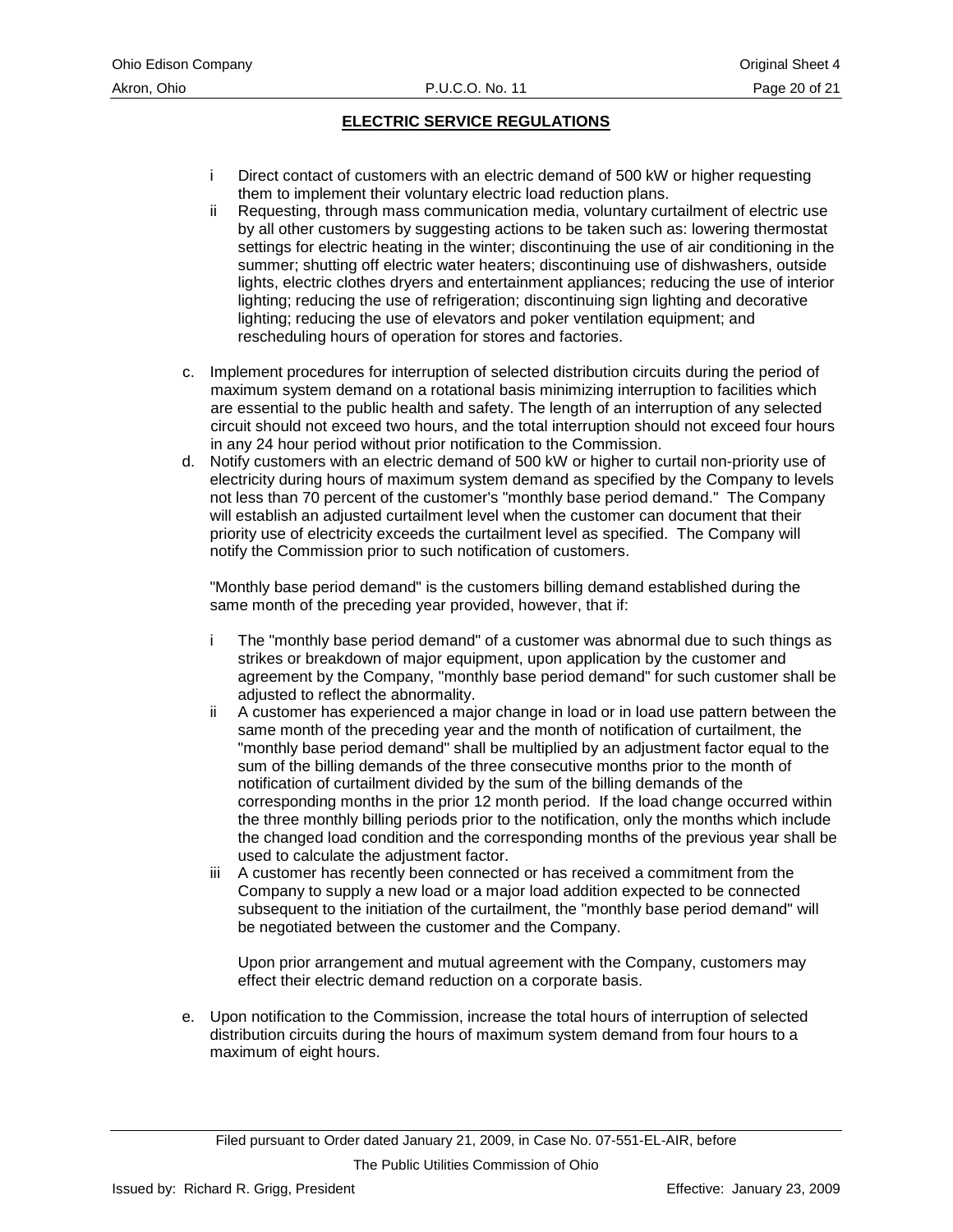- i Direct contact of customers with an electric demand of 500 kW or higher requesting them to implement their voluntary electric load reduction plans.
- ii Requesting, through mass communication media, voluntary curtailment of electric use by all other customers by suggesting actions to be taken such as: lowering thermostat settings for electric heating in the winter; discontinuing the use of air conditioning in the summer; shutting off electric water heaters; discontinuing use of dishwashers, outside lights, electric clothes dryers and entertainment appliances; reducing the use of interior lighting; reducing the use of refrigeration; discontinuing sign lighting and decorative lighting; reducing the use of elevators and poker ventilation equipment; and rescheduling hours of operation for stores and factories.
- c. Implement procedures for interruption of selected distribution circuits during the period of maximum system demand on a rotational basis minimizing interruption to facilities which are essential to the public health and safety. The length of an interruption of any selected circuit should not exceed two hours, and the total interruption should not exceed four hours in any 24 hour period without prior notification to the Commission.
- d. Notify customers with an electric demand of 500 kW or higher to curtail non-priority use of electricity during hours of maximum system demand as specified by the Company to levels not less than 70 percent of the customer's "monthly base period demand." The Company will establish an adjusted curtailment level when the customer can document that their priority use of electricity exceeds the curtailment level as specified. The Company will notify the Commission prior to such notification of customers.

"Monthly base period demand" is the customers billing demand established during the same month of the preceding year provided, however, that if:

- i The "monthly base period demand" of a customer was abnormal due to such things as strikes or breakdown of major equipment, upon application by the customer and agreement by the Company, "monthly base period demand" for such customer shall be adjusted to reflect the abnormality.
- ii A customer has experienced a major change in load or in load use pattern between the same month of the preceding year and the month of notification of curtailment, the "monthly base period demand" shall be multiplied by an adjustment factor equal to the sum of the billing demands of the three consecutive months prior to the month of notification of curtailment divided by the sum of the billing demands of the corresponding months in the prior 12 month period. If the load change occurred within the three monthly billing periods prior to the notification, only the months which include the changed load condition and the corresponding months of the previous year shall be used to calculate the adjustment factor.
- iii A customer has recently been connected or has received a commitment from the Company to supply a new load or a major load addition expected to be connected subsequent to the initiation of the curtailment, the "monthly base period demand" will be negotiated between the customer and the Company.

Upon prior arrangement and mutual agreement with the Company, customers may effect their electric demand reduction on a corporate basis.

e. Upon notification to the Commission, increase the total hours of interruption of selected distribution circuits during the hours of maximum system demand from four hours to a maximum of eight hours.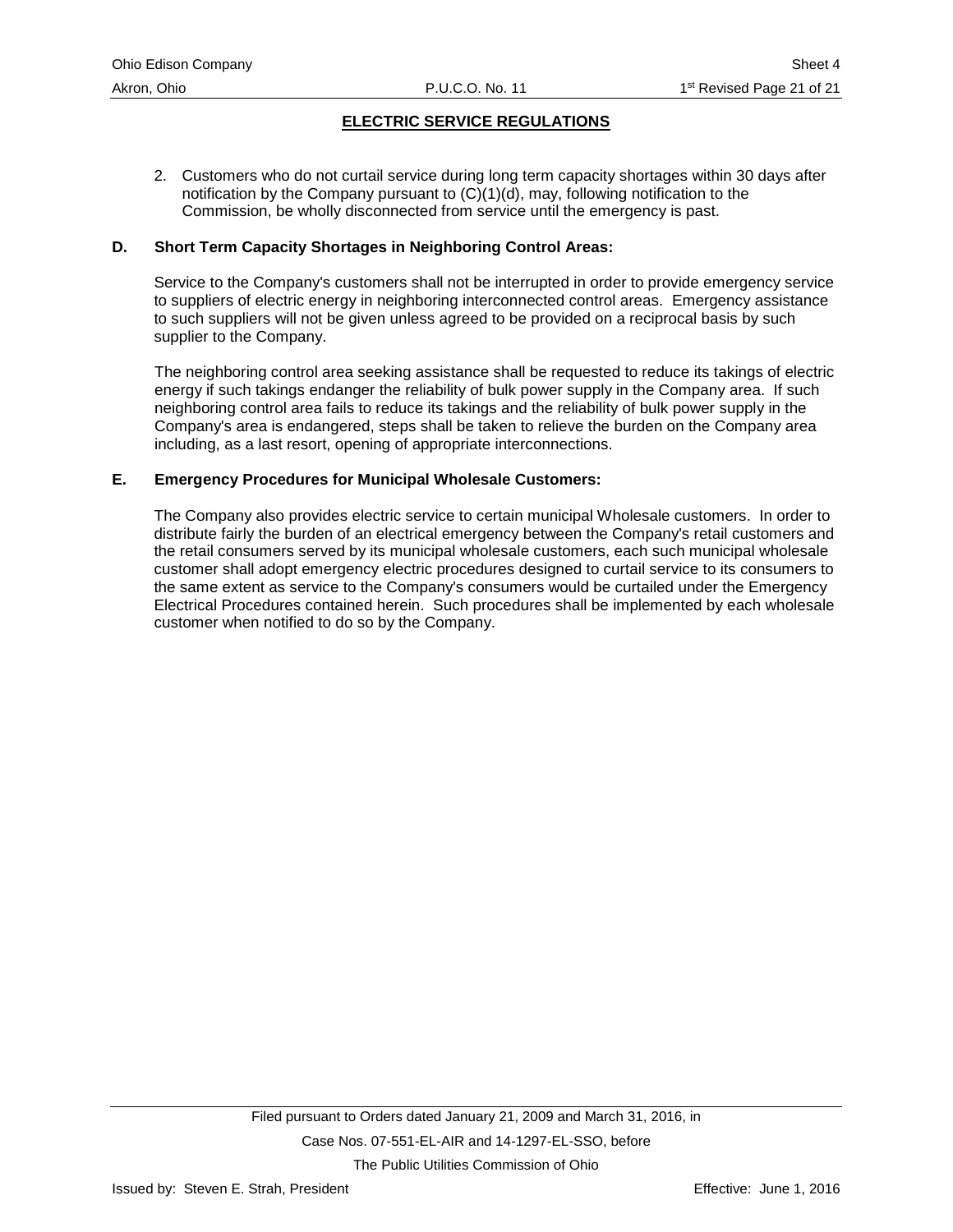2. Customers who do not curtail service during long term capacity shortages within 30 days after notification by the Company pursuant to  $(C)(1)(d)$ , may, following notification to the Commission, be wholly disconnected from service until the emergency is past.

#### **D. Short Term Capacity Shortages in Neighboring Control Areas:**

Service to the Company's customers shall not be interrupted in order to provide emergency service to suppliers of electric energy in neighboring interconnected control areas. Emergency assistance to such suppliers will not be given unless agreed to be provided on a reciprocal basis by such supplier to the Company.

The neighboring control area seeking assistance shall be requested to reduce its takings of electric energy if such takings endanger the reliability of bulk power supply in the Company area. If such neighboring control area fails to reduce its takings and the reliability of bulk power supply in the Company's area is endangered, steps shall be taken to relieve the burden on the Company area including, as a last resort, opening of appropriate interconnections.

#### **E. Emergency Procedures for Municipal Wholesale Customers:**

The Company also provides electric service to certain municipal Wholesale customers. In order to distribute fairly the burden of an electrical emergency between the Company's retail customers and the retail consumers served by its municipal wholesale customers, each such municipal wholesale customer shall adopt emergency electric procedures designed to curtail service to its consumers to the same extent as service to the Company's consumers would be curtailed under the Emergency Electrical Procedures contained herein. Such procedures shall be implemented by each wholesale customer when notified to do so by the Company.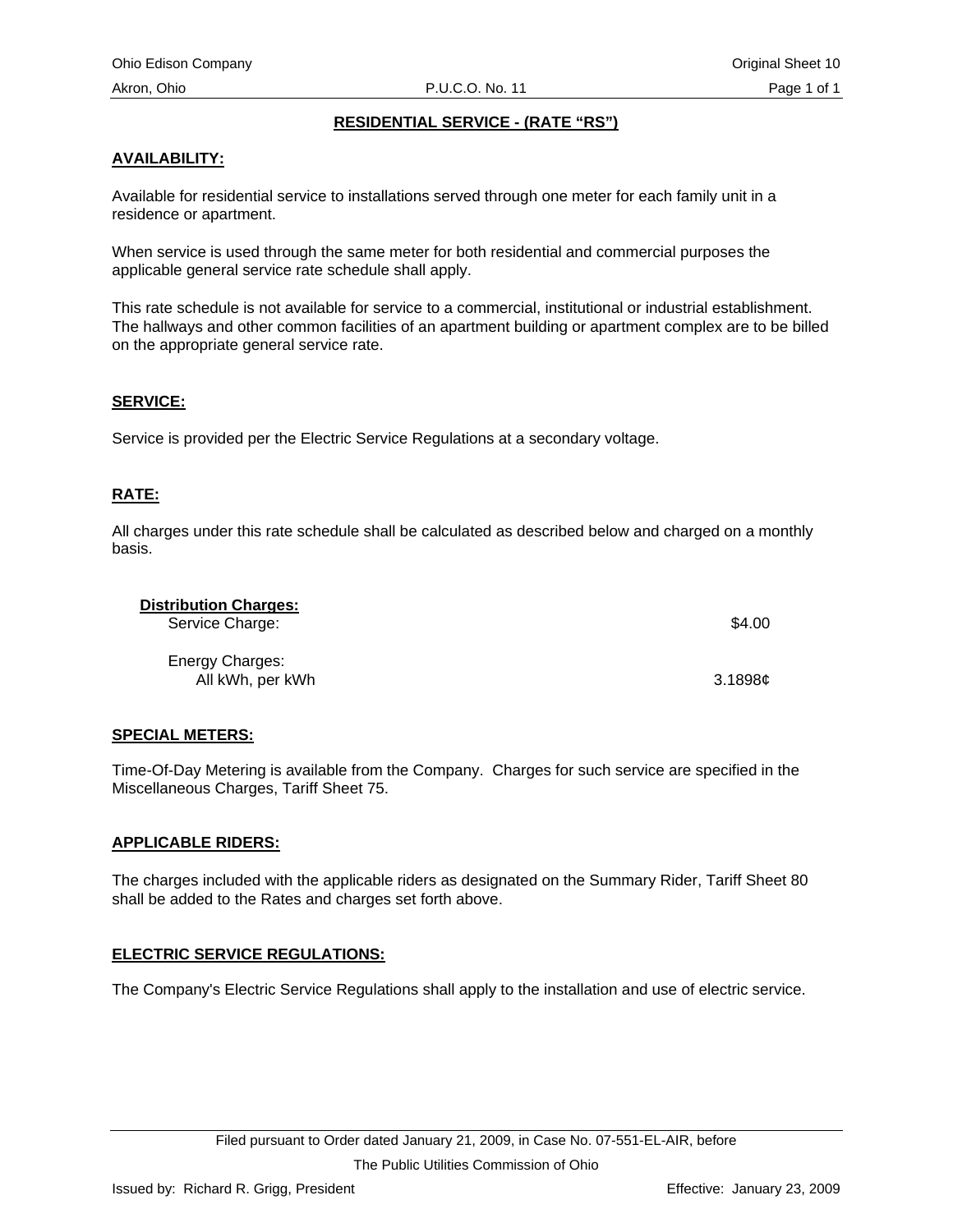# **RESIDENTIAL SERVICE - (RATE "RS")**

# <span id="page-25-0"></span>**AVAILABILITY:**

Available for residential service to installations served through one meter for each family unit in a residence or apartment.

When service is used through the same meter for both residential and commercial purposes the applicable general service rate schedule shall apply.

This rate schedule is not available for service to a commercial, institutional or industrial establishment. The hallways and other common facilities of an apartment building or apartment complex are to be billed on the appropriate general service rate.

#### **SERVICE:**

Service is provided per the Electric Service Regulations at a secondary voltage.

# **RATE:**

All charges under this rate schedule shall be calculated as described below and charged on a monthly basis.

| <b>Distribution Charges:</b><br>Service Charge: | \$4.00  |
|-------------------------------------------------|---------|
| Energy Charges:<br>All kWh, per kWh             | 3.1898c |

# **SPECIAL METERS:**

Time-Of-Day Metering is available from the Company. Charges for such service are specified in the Miscellaneous Charges, Tariff Sheet 75.

#### **APPLICABLE RIDERS:**

The charges included with the applicable riders as designated on the Summary Rider, Tariff Sheet 80 shall be added to the Rates and charges set forth above.

# **ELECTRIC SERVICE REGULATIONS:**

The Company's Electric Service Regulations shall apply to the installation and use of electric service.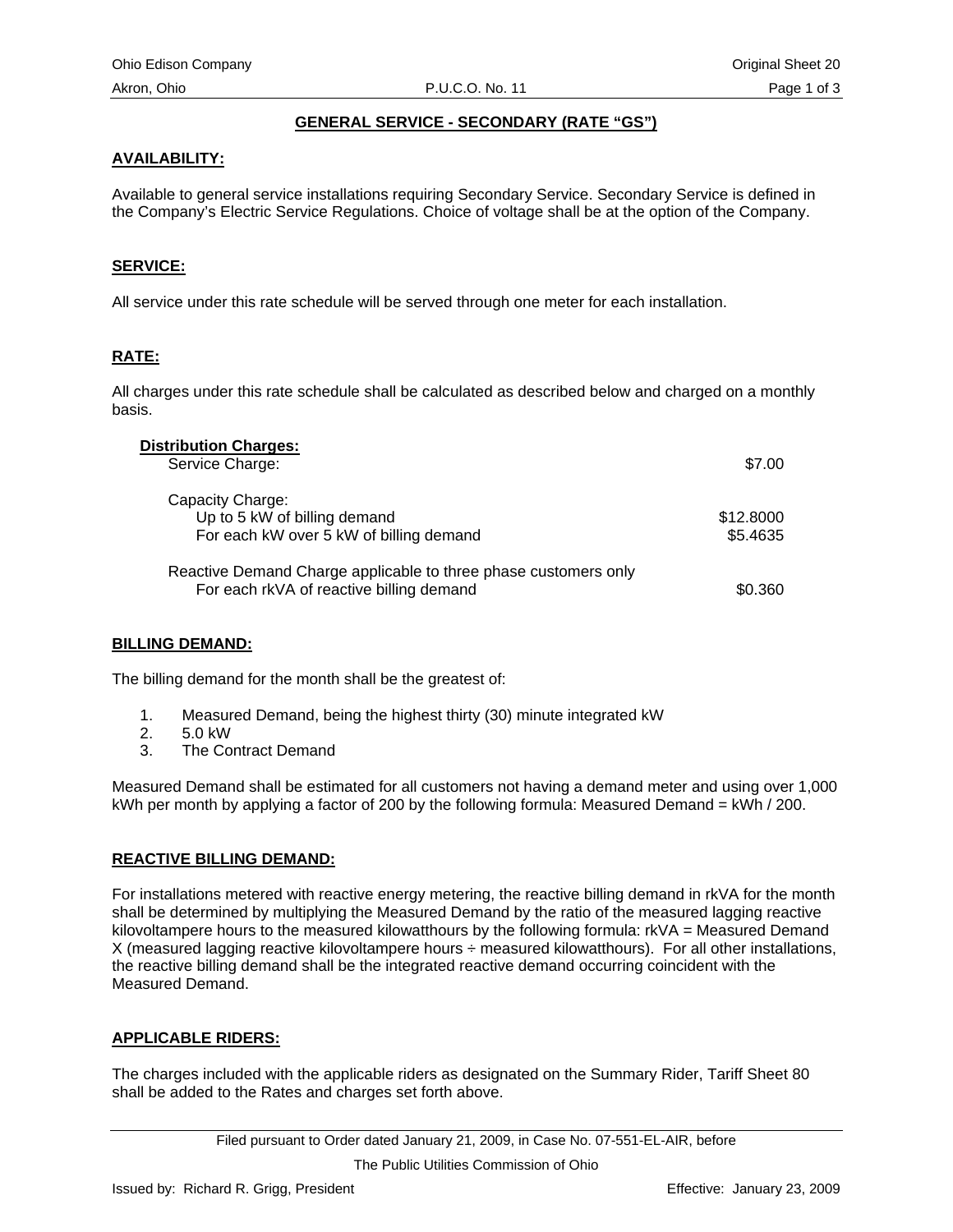# **GENERAL SERVICE - SECONDARY (RATE "GS")**

# **AVAILABILITY:**

Available to general service installations requiring Secondary Service. Secondary Service is defined in the Company's Electric Service Regulations. Choice of voltage shall be at the option of the Company.

# **SERVICE:**

All service under this rate schedule will be served through one meter for each installation.

# **RATE:**

All charges under this rate schedule shall be calculated as described below and charged on a monthly basis.

| <b>Distribution Charges:</b><br>Service Charge:                                                             | \$7.00                |
|-------------------------------------------------------------------------------------------------------------|-----------------------|
| Capacity Charge:<br>Up to 5 kW of billing demand<br>For each kW over 5 kW of billing demand                 | \$12.8000<br>\$5.4635 |
| Reactive Demand Charge applicable to three phase customers only<br>For each rkVA of reactive billing demand | \$0.360               |

#### **BILLING DEMAND:**

The billing demand for the month shall be the greatest of:

- 1. Measured Demand, being the highest thirty (30) minute integrated kW
- 2. 5.0 kW
- 3. The Contract Demand

Measured Demand shall be estimated for all customers not having a demand meter and using over 1,000 kWh per month by applying a factor of 200 by the following formula: Measured Demand = kWh / 200.

#### **REACTIVE BILLING DEMAND:**

For installations metered with reactive energy metering, the reactive billing demand in rkVA for the month shall be determined by multiplying the Measured Demand by the ratio of the measured lagging reactive kilovoltampere hours to the measured kilowatthours by the following formula: rkVA = Measured Demand X (measured lagging reactive kilovoltampere hours ÷ measured kilowatthours). For all other installations, the reactive billing demand shall be the integrated reactive demand occurring coincident with the Measured Demand.

#### **APPLICABLE RIDERS:**

The charges included with the applicable riders as designated on the Summary Rider, Tariff Sheet 80 shall be added to the Rates and charges set forth above.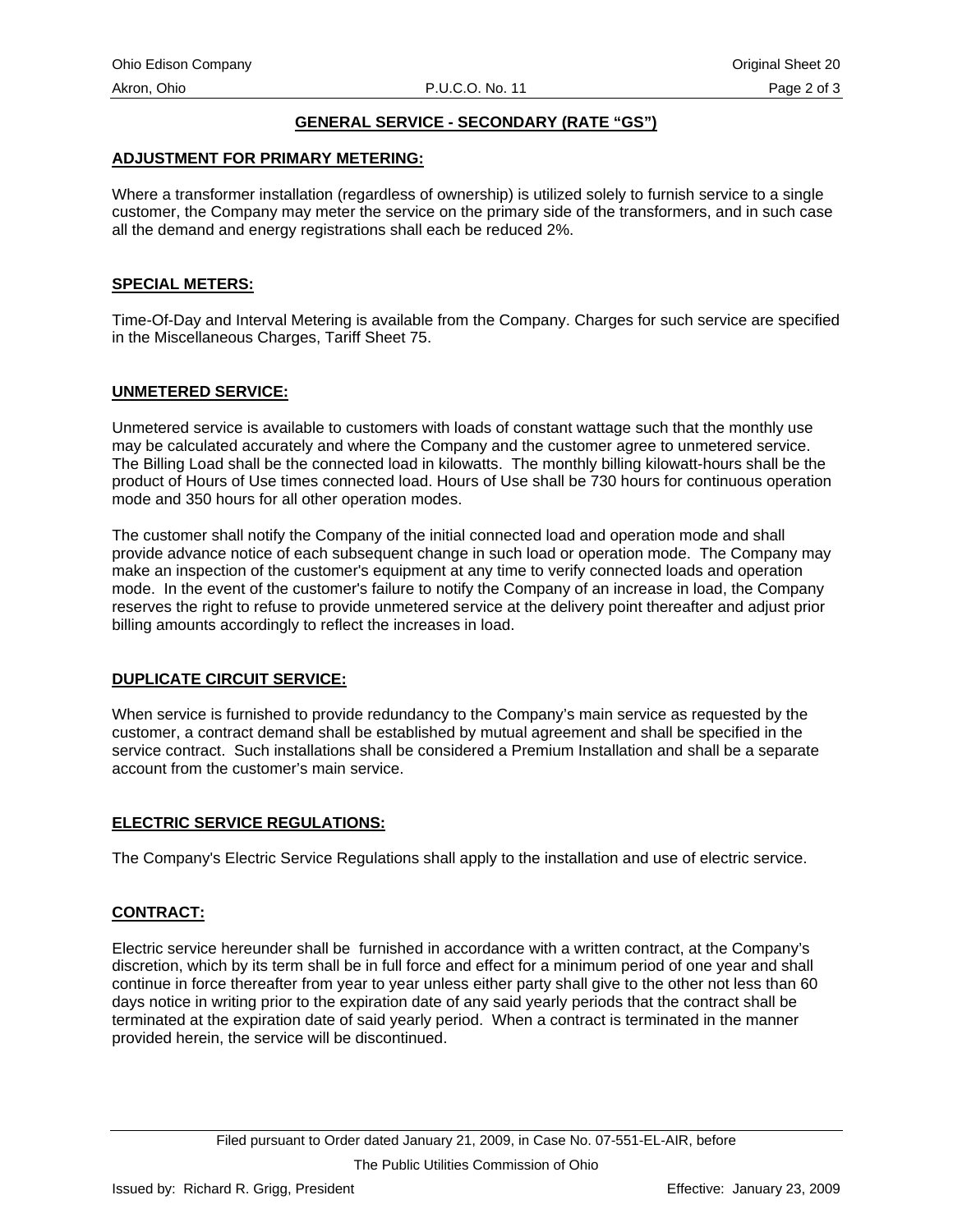# **GENERAL SERVICE - SECONDARY (RATE "GS")**

#### <span id="page-27-0"></span>**ADJUSTMENT FOR PRIMARY METERING:**

Where a transformer installation (regardless of ownership) is utilized solely to furnish service to a single customer, the Company may meter the service on the primary side of the transformers, and in such case all the demand and energy registrations shall each be reduced 2%.

#### **SPECIAL METERS:**

Time-Of-Day and Interval Metering is available from the Company. Charges for such service are specified in the Miscellaneous Charges, Tariff Sheet 75.

#### **UNMETERED SERVICE:**

Unmetered service is available to customers with loads of constant wattage such that the monthly use may be calculated accurately and where the Company and the customer agree to unmetered service. The Billing Load shall be the connected load in kilowatts. The monthly billing kilowatt-hours shall be the product of Hours of Use times connected load. Hours of Use shall be 730 hours for continuous operation mode and 350 hours for all other operation modes.

The customer shall notify the Company of the initial connected load and operation mode and shall provide advance notice of each subsequent change in such load or operation mode. The Company may make an inspection of the customer's equipment at any time to verify connected loads and operation mode. In the event of the customer's failure to notify the Company of an increase in load, the Company reserves the right to refuse to provide unmetered service at the delivery point thereafter and adjust prior billing amounts accordingly to reflect the increases in load.

#### **DUPLICATE CIRCUIT SERVICE:**

When service is furnished to provide redundancy to the Company's main service as requested by the customer, a contract demand shall be established by mutual agreement and shall be specified in the service contract. Such installations shall be considered a Premium Installation and shall be a separate account from the customer's main service.

# **ELECTRIC SERVICE REGULATIONS:**

The Company's Electric Service Regulations shall apply to the installation and use of electric service.

# **CONTRACT:**

Electric service hereunder shall be furnished in accordance with a written contract, at the Company's discretion, which by its term shall be in full force and effect for a minimum period of one year and shall continue in force thereafter from year to year unless either party shall give to the other not less than 60 days notice in writing prior to the expiration date of any said yearly periods that the contract shall be terminated at the expiration date of said yearly period. When a contract is terminated in the manner provided herein, the service will be discontinued.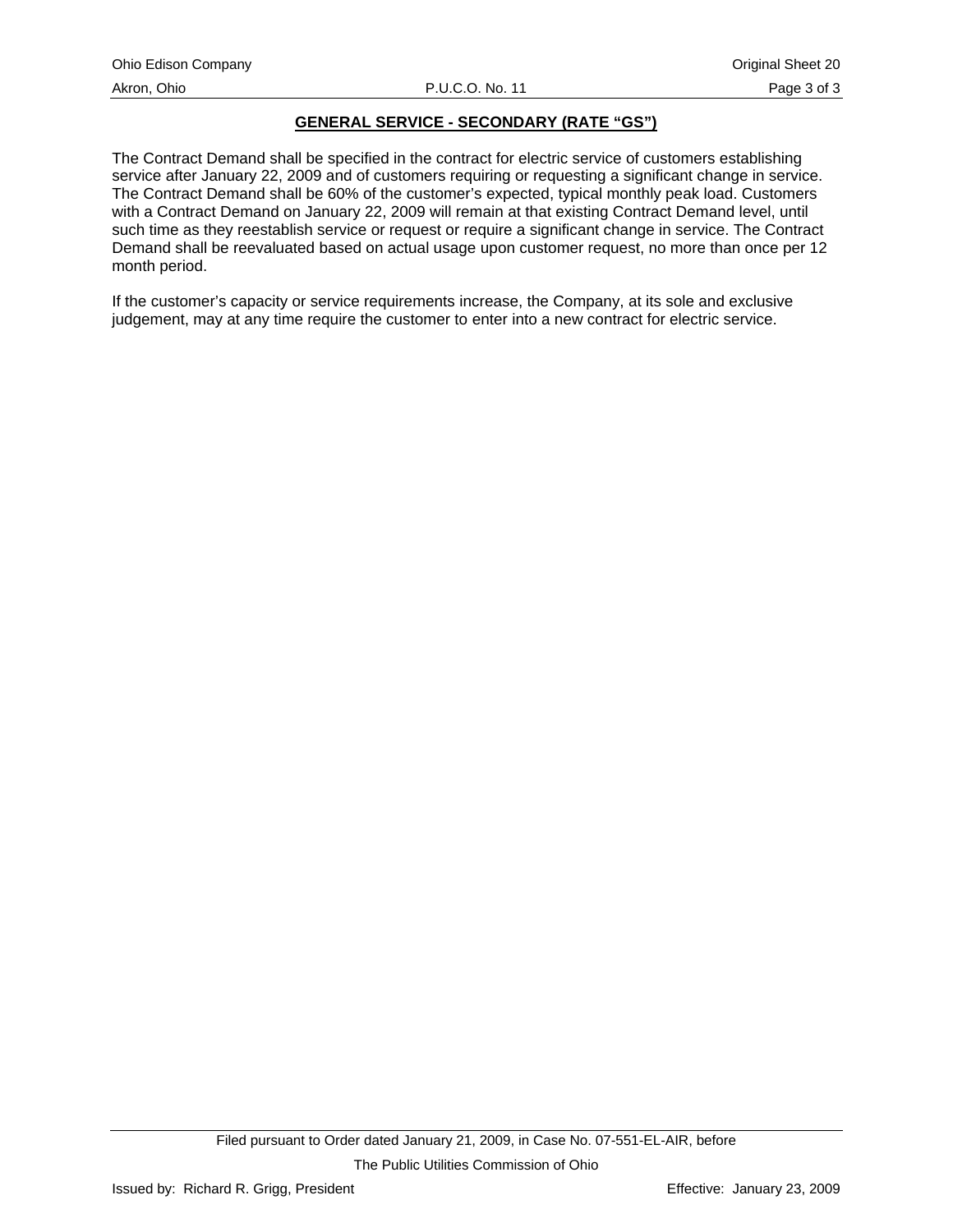# **GENERAL SERVICE - SECONDARY (RATE "GS")**

The Contract Demand shall be specified in the contract for electric service of customers establishing service after January 22, 2009 and of customers requiring or requesting a significant change in service. The Contract Demand shall be 60% of the customer's expected, typical monthly peak load. Customers with a Contract Demand on January 22, 2009 will remain at that existing Contract Demand level, until such time as they reestablish service or request or require a significant change in service. The Contract Demand shall be reevaluated based on actual usage upon customer request, no more than once per 12 month period.

If the customer's capacity or service requirements increase, the Company, at its sole and exclusive judgement, may at any time require the customer to enter into a new contract for electric service.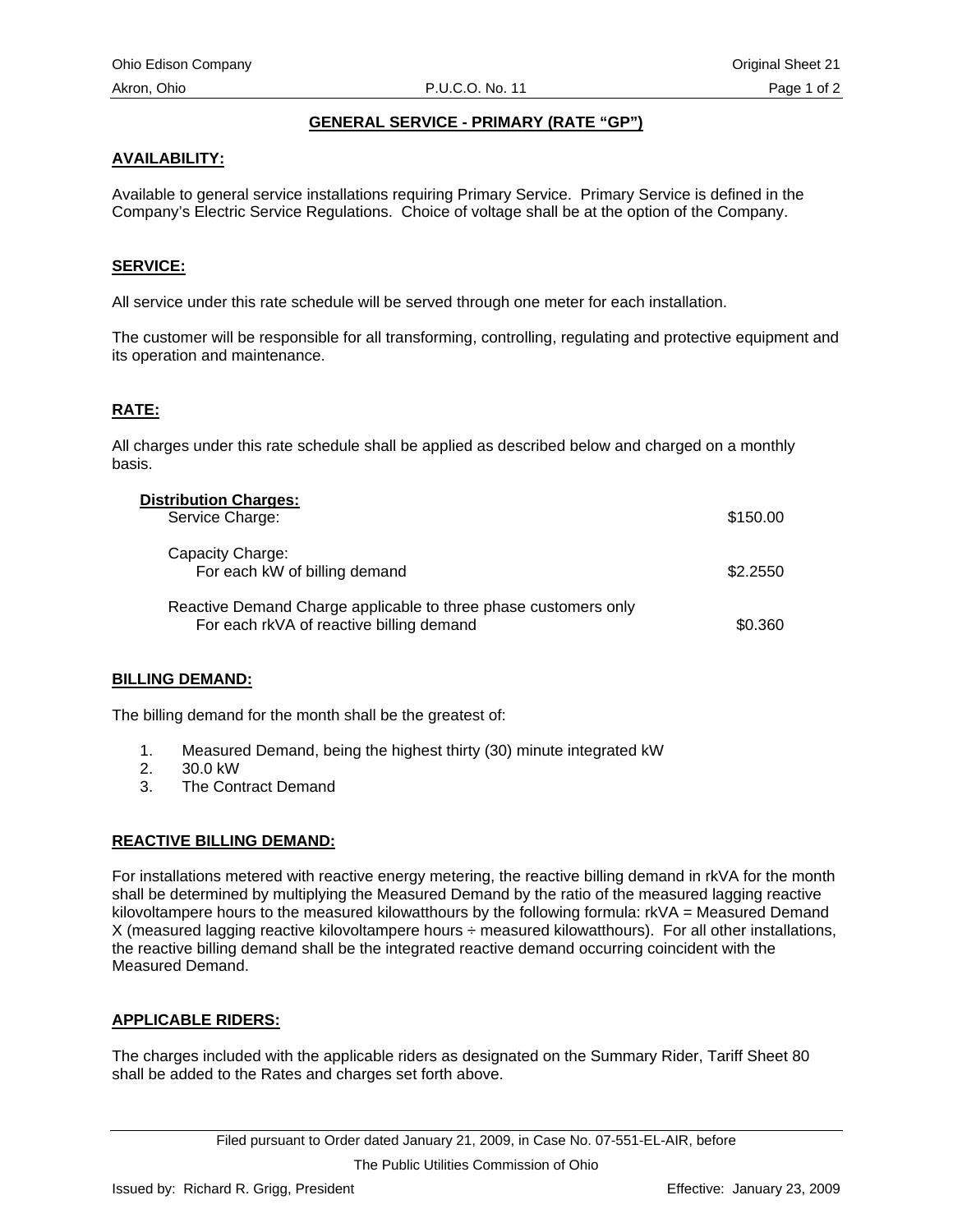# **GENERAL SERVICE - PRIMARY (RATE "GP")**

# <span id="page-29-0"></span>**AVAILABILITY:**

Available to general service installations requiring Primary Service. Primary Service is defined in the Company's Electric Service Regulations. Choice of voltage shall be at the option of the Company.

# **SERVICE:**

All service under this rate schedule will be served through one meter for each installation.

The customer will be responsible for all transforming, controlling, regulating and protective equipment and its operation and maintenance.

# **RATE:**

All charges under this rate schedule shall be applied as described below and charged on a monthly basis.

| <b>Distribution Charges:</b>                                                                                |          |
|-------------------------------------------------------------------------------------------------------------|----------|
| Service Charge:                                                                                             | \$150.00 |
| Capacity Charge:<br>For each kW of billing demand                                                           | \$2,2550 |
| Reactive Demand Charge applicable to three phase customers only<br>For each rkVA of reactive billing demand | \$0.360  |

# **BILLING DEMAND:**

The billing demand for the month shall be the greatest of:

- 1. Measured Demand, being the highest thirty (30) minute integrated kW
- 2. 30.0 kW
- 3. The Contract Demand

# **REACTIVE BILLING DEMAND:**

For installations metered with reactive energy metering, the reactive billing demand in rkVA for the month shall be determined by multiplying the Measured Demand by the ratio of the measured lagging reactive kilovoltampere hours to the measured kilowatthours by the following formula: rkVA = Measured Demand X (measured lagging reactive kilovoltampere hours ÷ measured kilowatthours). For all other installations, the reactive billing demand shall be the integrated reactive demand occurring coincident with the Measured Demand.

# **APPLICABLE RIDERS:**

The charges included with the applicable riders as designated on the Summary Rider, Tariff Sheet 80 shall be added to the Rates and charges set forth above.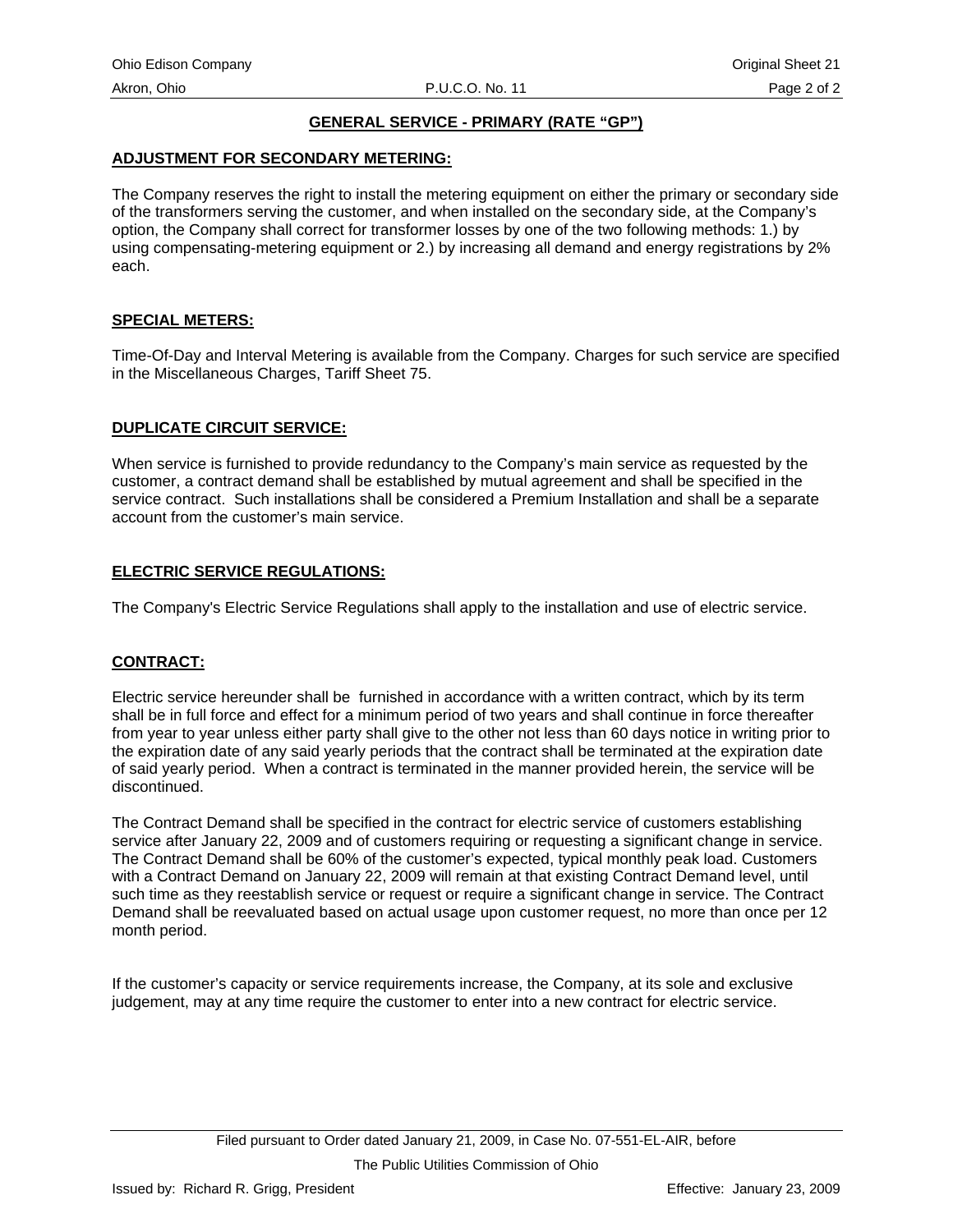# **GENERAL SERVICE - PRIMARY (RATE "GP")**

#### **ADJUSTMENT FOR SECONDARY METERING:**

The Company reserves the right to install the metering equipment on either the primary or secondary side of the transformers serving the customer, and when installed on the secondary side, at the Company's option, the Company shall correct for transformer losses by one of the two following methods: 1.) by using compensating-metering equipment or 2.) by increasing all demand and energy registrations by 2% each.

#### **SPECIAL METERS:**

Time-Of-Day and Interval Metering is available from the Company. Charges for such service are specified in the Miscellaneous Charges, Tariff Sheet 75.

#### **DUPLICATE CIRCUIT SERVICE:**

When service is furnished to provide redundancy to the Company's main service as requested by the customer, a contract demand shall be established by mutual agreement and shall be specified in the service contract. Such installations shall be considered a Premium Installation and shall be a separate account from the customer's main service.

#### **ELECTRIC SERVICE REGULATIONS:**

The Company's Electric Service Regulations shall apply to the installation and use of electric service.

#### **CONTRACT:**

Electric service hereunder shall be furnished in accordance with a written contract, which by its term shall be in full force and effect for a minimum period of two years and shall continue in force thereafter from year to year unless either party shall give to the other not less than 60 days notice in writing prior to the expiration date of any said yearly periods that the contract shall be terminated at the expiration date of said yearly period. When a contract is terminated in the manner provided herein, the service will be discontinued.

The Contract Demand shall be specified in the contract for electric service of customers establishing service after January 22, 2009 and of customers requiring or requesting a significant change in service. The Contract Demand shall be 60% of the customer's expected, typical monthly peak load. Customers with a Contract Demand on January 22, 2009 will remain at that existing Contract Demand level, until such time as they reestablish service or request or require a significant change in service. The Contract Demand shall be reevaluated based on actual usage upon customer request, no more than once per 12 month period.

If the customer's capacity or service requirements increase, the Company, at its sole and exclusive judgement, may at any time require the customer to enter into a new contract for electric service.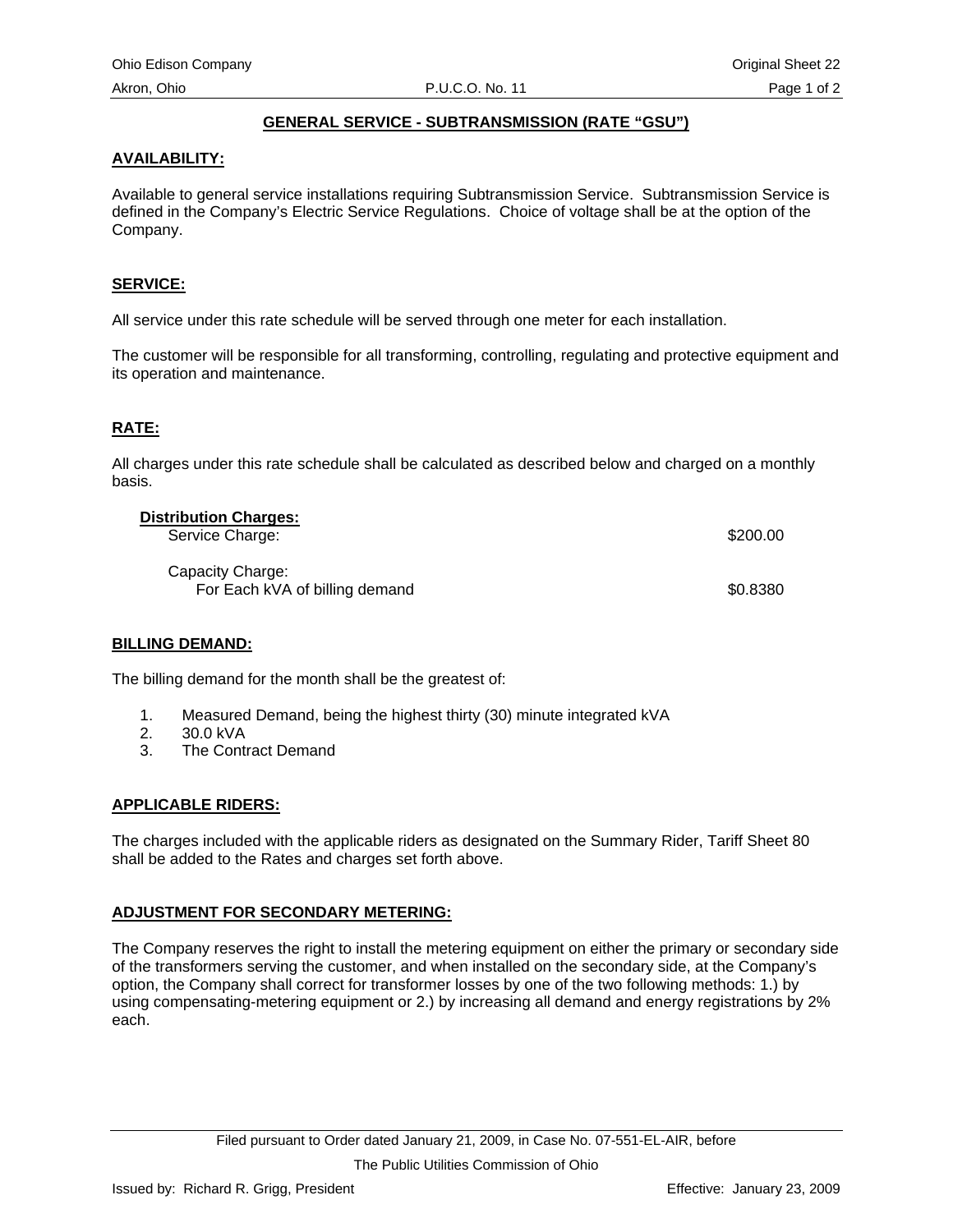# **GENERAL SERVICE - SUBTRANSMISSION (RATE "GSU")**

# <span id="page-31-0"></span>**AVAILABILITY:**

Available to general service installations requiring Subtransmission Service. Subtransmission Service is defined in the Company's Electric Service Regulations. Choice of voltage shall be at the option of the Company.

# **SERVICE:**

All service under this rate schedule will be served through one meter for each installation.

The customer will be responsible for all transforming, controlling, regulating and protective equipment and its operation and maintenance.

# **RATE:**

All charges under this rate schedule shall be calculated as described below and charged on a monthly basis.

| <b>Distribution Charges:</b><br>Service Charge:    | \$200.00 |
|----------------------------------------------------|----------|
| Capacity Charge:<br>For Each kVA of billing demand | \$0.8380 |

# **BILLING DEMAND:**

The billing demand for the month shall be the greatest of:

- 1. Measured Demand, being the highest thirty (30) minute integrated kVA
- 2. 30.0 kVA
- 3. The Contract Demand

# **APPLICABLE RIDERS:**

The charges included with the applicable riders as designated on the Summary Rider, Tariff Sheet 80 shall be added to the Rates and charges set forth above.

# **ADJUSTMENT FOR SECONDARY METERING:**

The Company reserves the right to install the metering equipment on either the primary or secondary side of the transformers serving the customer, and when installed on the secondary side, at the Company's option, the Company shall correct for transformer losses by one of the two following methods: 1.) by using compensating-metering equipment or 2.) by increasing all demand and energy registrations by 2% each.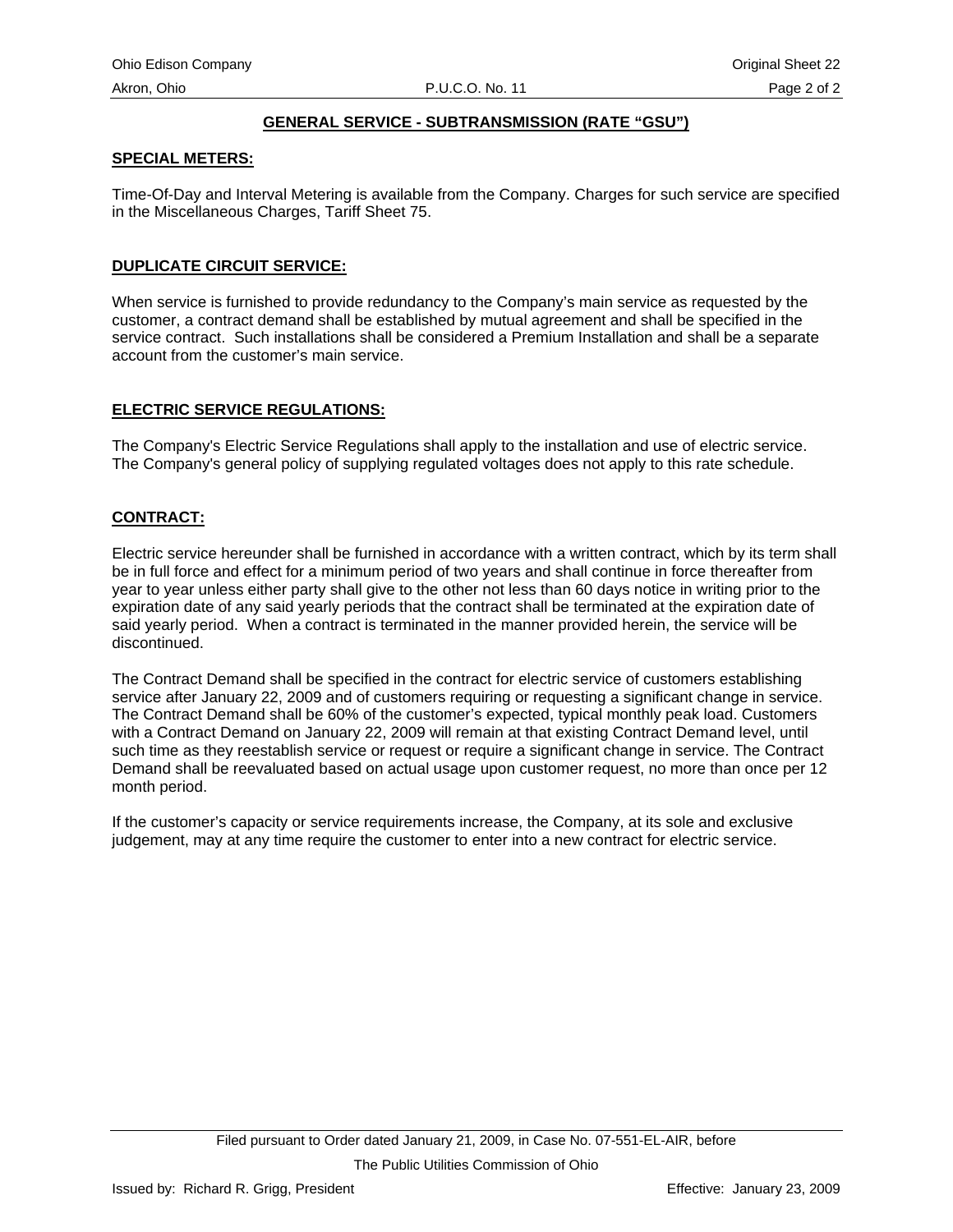# **GENERAL SERVICE - SUBTRANSMISSION (RATE "GSU")**

# **SPECIAL METERS:**

Time-Of-Day and Interval Metering is available from the Company. Charges for such service are specified in the Miscellaneous Charges, Tariff Sheet 75.

# **DUPLICATE CIRCUIT SERVICE:**

When service is furnished to provide redundancy to the Company's main service as requested by the customer, a contract demand shall be established by mutual agreement and shall be specified in the service contract. Such installations shall be considered a Premium Installation and shall be a separate account from the customer's main service.

# **ELECTRIC SERVICE REGULATIONS:**

The Company's Electric Service Regulations shall apply to the installation and use of electric service. The Company's general policy of supplying regulated voltages does not apply to this rate schedule.

# **CONTRACT:**

Electric service hereunder shall be furnished in accordance with a written contract, which by its term shall be in full force and effect for a minimum period of two years and shall continue in force thereafter from year to year unless either party shall give to the other not less than 60 days notice in writing prior to the expiration date of any said yearly periods that the contract shall be terminated at the expiration date of said yearly period. When a contract is terminated in the manner provided herein, the service will be discontinued.

The Contract Demand shall be specified in the contract for electric service of customers establishing service after January 22, 2009 and of customers requiring or requesting a significant change in service. The Contract Demand shall be 60% of the customer's expected, typical monthly peak load. Customers with a Contract Demand on January 22, 2009 will remain at that existing Contract Demand level, until such time as they reestablish service or request or require a significant change in service. The Contract Demand shall be reevaluated based on actual usage upon customer request, no more than once per 12 month period.

If the customer's capacity or service requirements increase, the Company, at its sole and exclusive judgement, may at any time require the customer to enter into a new contract for electric service.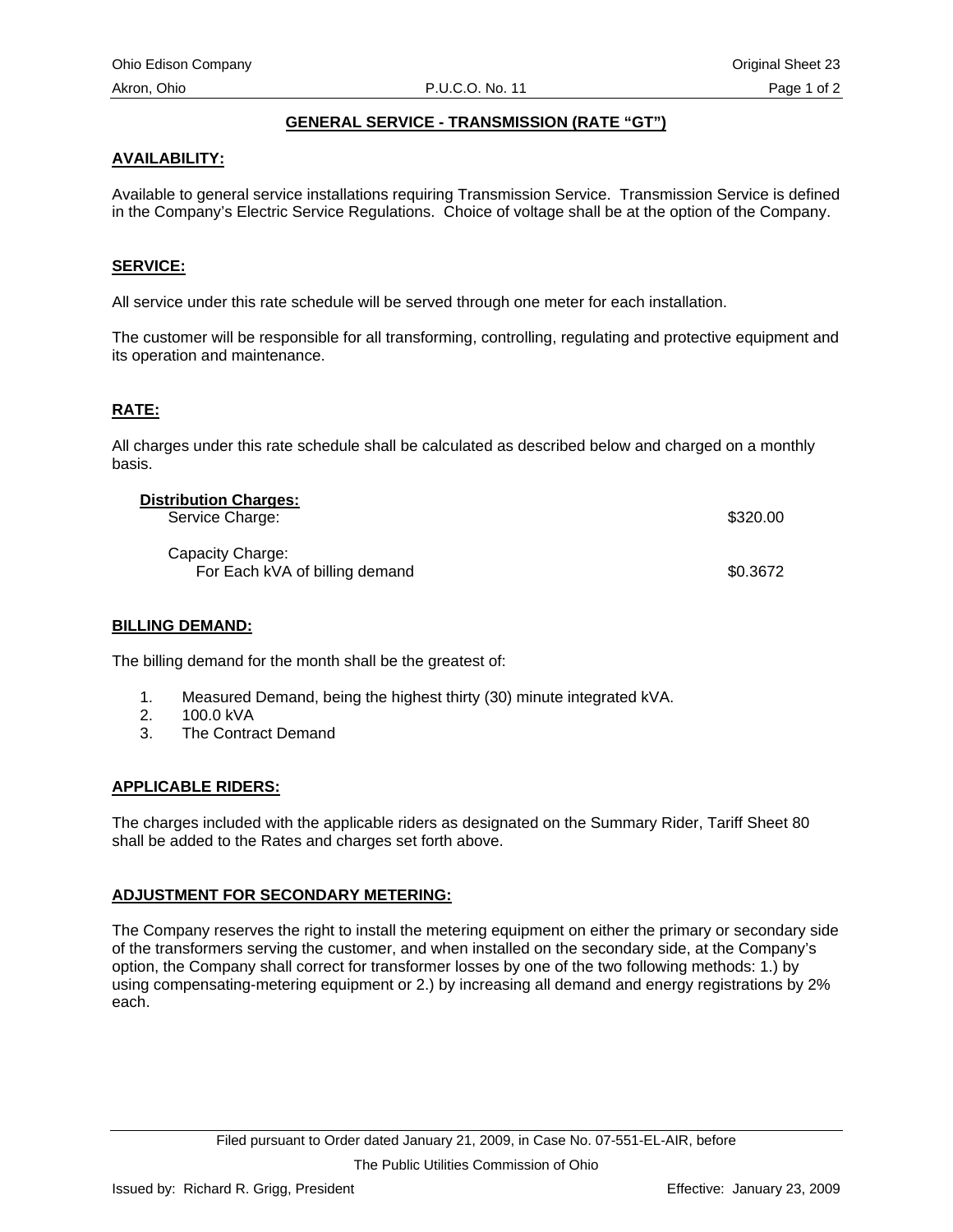# **GENERAL SERVICE - TRANSMISSION (RATE "GT")**

# <span id="page-33-0"></span>**AVAILABILITY:**

Available to general service installations requiring Transmission Service. Transmission Service is defined in the Company's Electric Service Regulations. Choice of voltage shall be at the option of the Company.

# **SERVICE:**

All service under this rate schedule will be served through one meter for each installation.

The customer will be responsible for all transforming, controlling, regulating and protective equipment and its operation and maintenance.

# **RATE:**

All charges under this rate schedule shall be calculated as described below and charged on a monthly basis.

| <b>Distribution Charges:</b>   |          |
|--------------------------------|----------|
| Service Charge:                | \$320.00 |
| Capacity Charge:               |          |
| For Each kVA of billing demand | \$0.3672 |

#### **BILLING DEMAND:**

The billing demand for the month shall be the greatest of:

- 1. Measured Demand, being the highest thirty (30) minute integrated kVA.
- 2. 100.0 kVA
- 3. The Contract Demand

# **APPLICABLE RIDERS:**

The charges included with the applicable riders as designated on the Summary Rider, Tariff Sheet 80 shall be added to the Rates and charges set forth above.

# **ADJUSTMENT FOR SECONDARY METERING:**

The Company reserves the right to install the metering equipment on either the primary or secondary side of the transformers serving the customer, and when installed on the secondary side, at the Company's option, the Company shall correct for transformer losses by one of the two following methods: 1.) by using compensating-metering equipment or 2.) by increasing all demand and energy registrations by 2% each.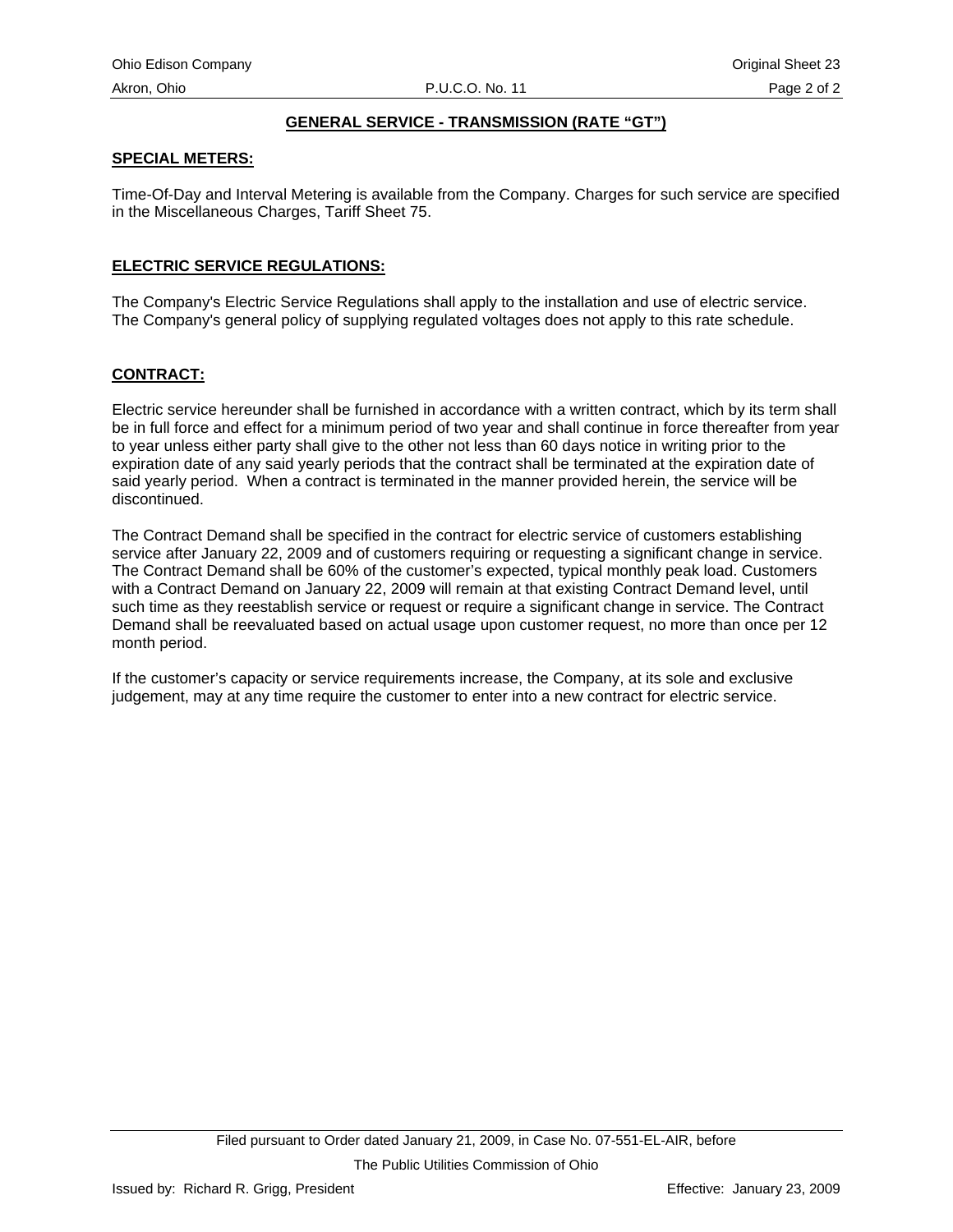# **GENERAL SERVICE - TRANSMISSION (RATE "GT")**

# **SPECIAL METERS:**

Time-Of-Day and Interval Metering is available from the Company. Charges for such service are specified in the Miscellaneous Charges, Tariff Sheet 75.

# **ELECTRIC SERVICE REGULATIONS:**

The Company's Electric Service Regulations shall apply to the installation and use of electric service. The Company's general policy of supplying regulated voltages does not apply to this rate schedule.

# **CONTRACT:**

Electric service hereunder shall be furnished in accordance with a written contract, which by its term shall be in full force and effect for a minimum period of two year and shall continue in force thereafter from year to year unless either party shall give to the other not less than 60 days notice in writing prior to the expiration date of any said yearly periods that the contract shall be terminated at the expiration date of said yearly period. When a contract is terminated in the manner provided herein, the service will be discontinued.

The Contract Demand shall be specified in the contract for electric service of customers establishing service after January 22, 2009 and of customers requiring or requesting a significant change in service. The Contract Demand shall be 60% of the customer's expected, typical monthly peak load. Customers with a Contract Demand on January 22, 2009 will remain at that existing Contract Demand level, until such time as they reestablish service or request or require a significant change in service. The Contract Demand shall be reevaluated based on actual usage upon customer request, no more than once per 12 month period.

If the customer's capacity or service requirements increase, the Company, at its sole and exclusive judgement, may at any time require the customer to enter into a new contract for electric service.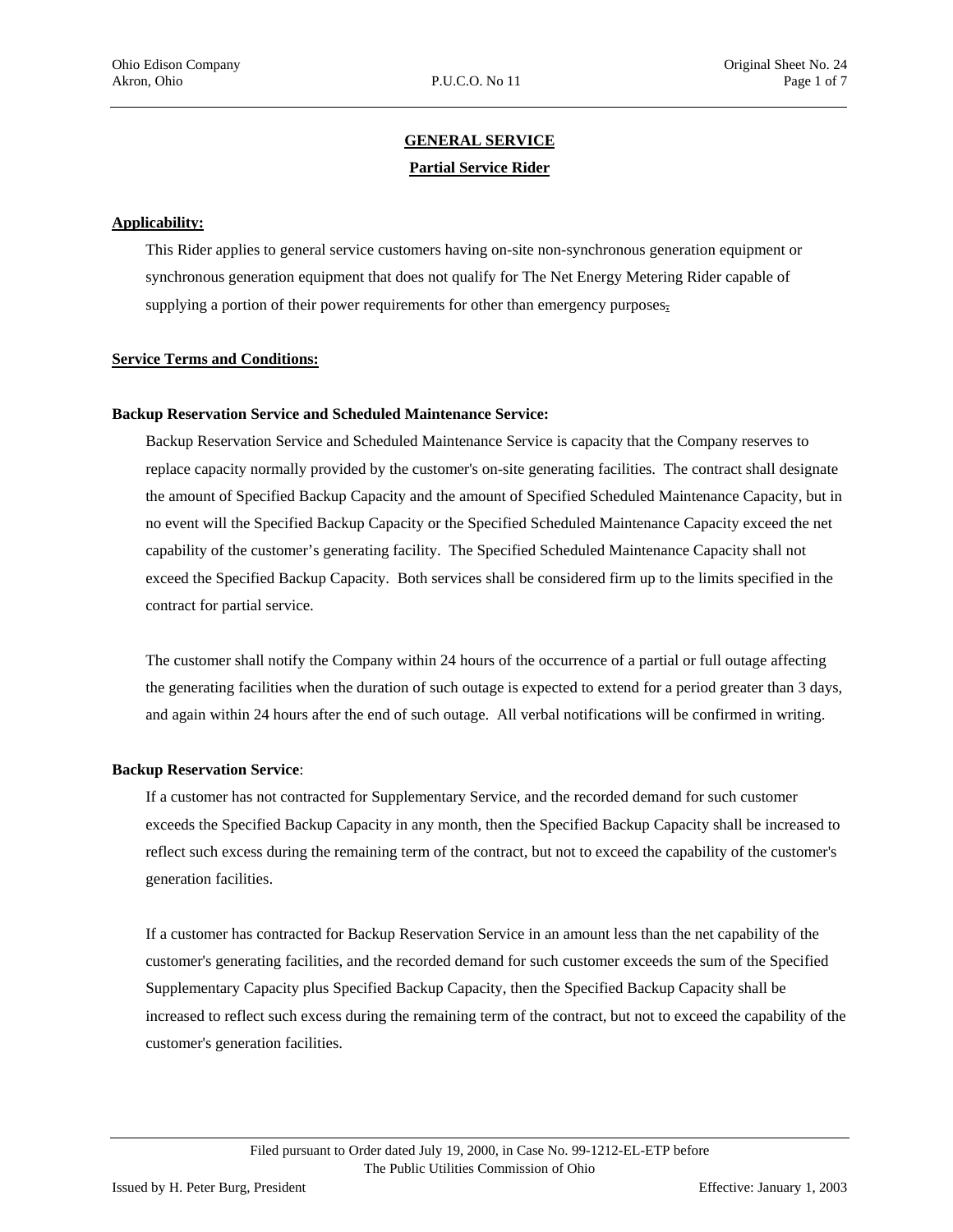# **GENERAL SERVICE Partial Service Rider**

#### <span id="page-35-0"></span>**Applicability:**

This Rider applies to general service customers having on-site non-synchronous generation equipment or synchronous generation equipment that does not qualify for The Net Energy Metering Rider capable of supplying a portion of their power requirements for other than emergency purposes.

#### **Service Terms and Conditions:**

#### **Backup Reservation Service and Scheduled Maintenance Service:**

Backup Reservation Service and Scheduled Maintenance Service is capacity that the Company reserves to replace capacity normally provided by the customer's on-site generating facilities. The contract shall designate the amount of Specified Backup Capacity and the amount of Specified Scheduled Maintenance Capacity, but in no event will the Specified Backup Capacity or the Specified Scheduled Maintenance Capacity exceed the net capability of the customer's generating facility. The Specified Scheduled Maintenance Capacity shall not exceed the Specified Backup Capacity. Both services shall be considered firm up to the limits specified in the contract for partial service.

The customer shall notify the Company within 24 hours of the occurrence of a partial or full outage affecting the generating facilities when the duration of such outage is expected to extend for a period greater than 3 days, and again within 24 hours after the end of such outage. All verbal notifications will be confirmed in writing.

#### **Backup Reservation Service**:

If a customer has not contracted for Supplementary Service, and the recorded demand for such customer exceeds the Specified Backup Capacity in any month, then the Specified Backup Capacity shall be increased to reflect such excess during the remaining term of the contract, but not to exceed the capability of the customer's generation facilities.

If a customer has contracted for Backup Reservation Service in an amount less than the net capability of the customer's generating facilities, and the recorded demand for such customer exceeds the sum of the Specified Supplementary Capacity plus Specified Backup Capacity, then the Specified Backup Capacity shall be increased to reflect such excess during the remaining term of the contract, but not to exceed the capability of the customer's generation facilities.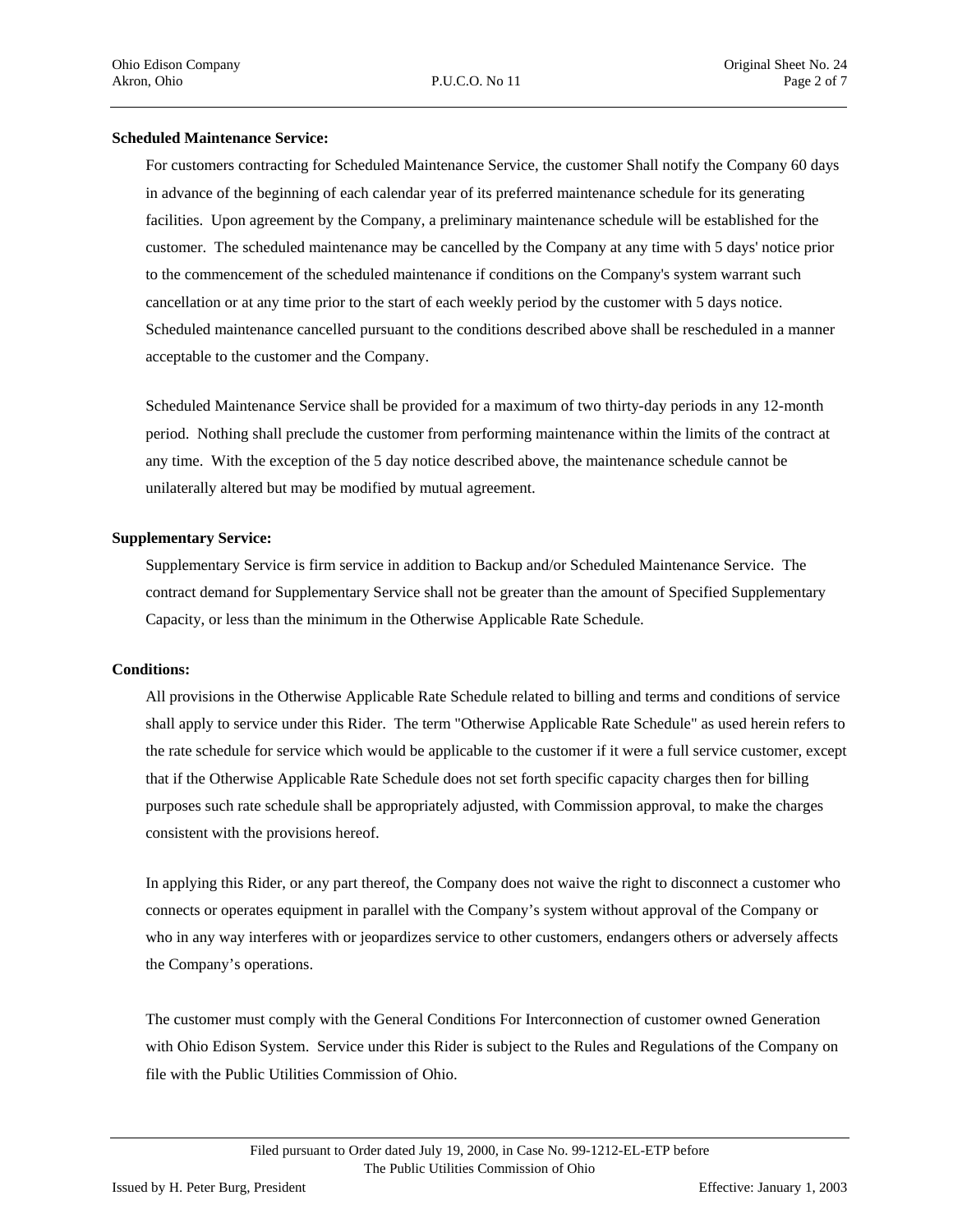#### **Scheduled Maintenance Service:**

For customers contracting for Scheduled Maintenance Service, the customer Shall notify the Company 60 days in advance of the beginning of each calendar year of its preferred maintenance schedule for its generating facilities. Upon agreement by the Company, a preliminary maintenance schedule will be established for the customer. The scheduled maintenance may be cancelled by the Company at any time with 5 days' notice prior to the commencement of the scheduled maintenance if conditions on the Company's system warrant such cancellation or at any time prior to the start of each weekly period by the customer with 5 days notice. Scheduled maintenance cancelled pursuant to the conditions described above shall be rescheduled in a manner acceptable to the customer and the Company.

Scheduled Maintenance Service shall be provided for a maximum of two thirty-day periods in any 12-month period. Nothing shall preclude the customer from performing maintenance within the limits of the contract at any time. With the exception of the 5 day notice described above, the maintenance schedule cannot be unilaterally altered but may be modified by mutual agreement.

#### **Supplementary Service:**

Supplementary Service is firm service in addition to Backup and/or Scheduled Maintenance Service. The contract demand for Supplementary Service shall not be greater than the amount of Specified Supplementary Capacity, or less than the minimum in the Otherwise Applicable Rate Schedule.

#### **Conditions:**

All provisions in the Otherwise Applicable Rate Schedule related to billing and terms and conditions of service shall apply to service under this Rider. The term "Otherwise Applicable Rate Schedule" as used herein refers to the rate schedule for service which would be applicable to the customer if it were a full service customer, except that if the Otherwise Applicable Rate Schedule does not set forth specific capacity charges then for billing purposes such rate schedule shall be appropriately adjusted, with Commission approval, to make the charges consistent with the provisions hereof.

In applying this Rider, or any part thereof, the Company does not waive the right to disconnect a customer who connects or operates equipment in parallel with the Company's system without approval of the Company or who in any way interferes with or jeopardizes service to other customers, endangers others or adversely affects the Company's operations.

The customer must comply with the General Conditions For Interconnection of customer owned Generation with Ohio Edison System. Service under this Rider is subject to the Rules and Regulations of the Company on file with the Public Utilities Commission of Ohio.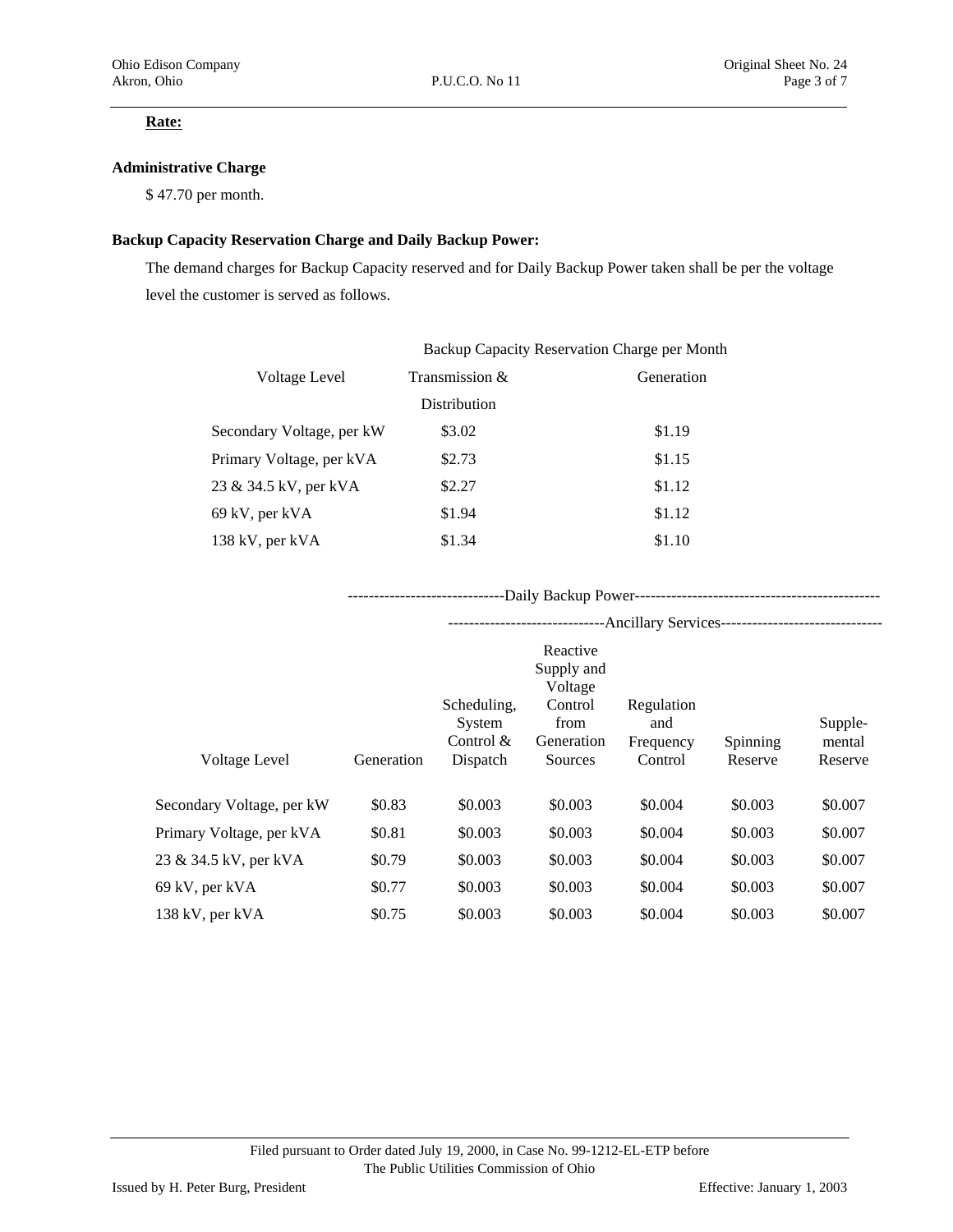#### **Rate:**

#### **Administrative Charge**

\$ 47.70 per month.

#### **Backup Capacity Reservation Charge and Daily Backup Power:**

The demand charges for Backup Capacity reserved and for Daily Backup Power taken shall be per the voltage level the customer is served as follows.

|                           | Backup Capacity Reservation Charge per Month |            |
|---------------------------|----------------------------------------------|------------|
| Voltage Level             | Transmission &                               | Generation |
|                           | Distribution                                 |            |
| Secondary Voltage, per kW | \$3.02                                       | \$1.19     |
| Primary Voltage, per kVA  | \$2.73                                       | \$1.15     |
| 23 & 34.5 kV, per kVA     | \$2.27                                       | \$1.12     |
| 69 kV, per kVA            | \$1.94                                       | \$1.12     |
| 138 kV, per kVA           | \$1.34                                       | \$1.10     |
|                           |                                              |            |

------------------------------Daily Backup Power-----------------------------------------------

|                           |            | --------------------------           |                                   | -Ancillary Services-------------------------------- |                 |                   |
|---------------------------|------------|--------------------------------------|-----------------------------------|-----------------------------------------------------|-----------------|-------------------|
|                           |            |                                      | Reactive<br>Supply and<br>Voltage |                                                     |                 |                   |
|                           |            | Scheduling,<br>System<br>Control $&$ | Control<br>from<br>Generation     | Regulation<br>and<br>Frequency                      | <b>Spinning</b> | Supple-<br>mental |
| <b>Voltage Level</b>      | Generation | Dispatch                             | Sources                           | Control                                             | Reserve         | Reserve           |
| Secondary Voltage, per kW | \$0.83     | \$0.003                              | \$0.003                           | \$0.004                                             | \$0.003         | \$0.007           |
| Primary Voltage, per kVA  | \$0.81     | \$0.003                              | \$0.003                           | \$0.004                                             | \$0.003         | \$0.007           |
| 23 & 34.5 kV, per kVA     | \$0.79     | \$0.003                              | \$0.003                           | \$0.004                                             | \$0.003         | \$0.007           |
| 69 kV, per kVA            | \$0.77     | \$0.003                              | \$0.003                           | \$0.004                                             | \$0.003         | \$0.007           |
| 138 kV, per kVA           | \$0.75     | \$0.003                              | \$0.003                           | \$0.004                                             | \$0.003         | \$0.007           |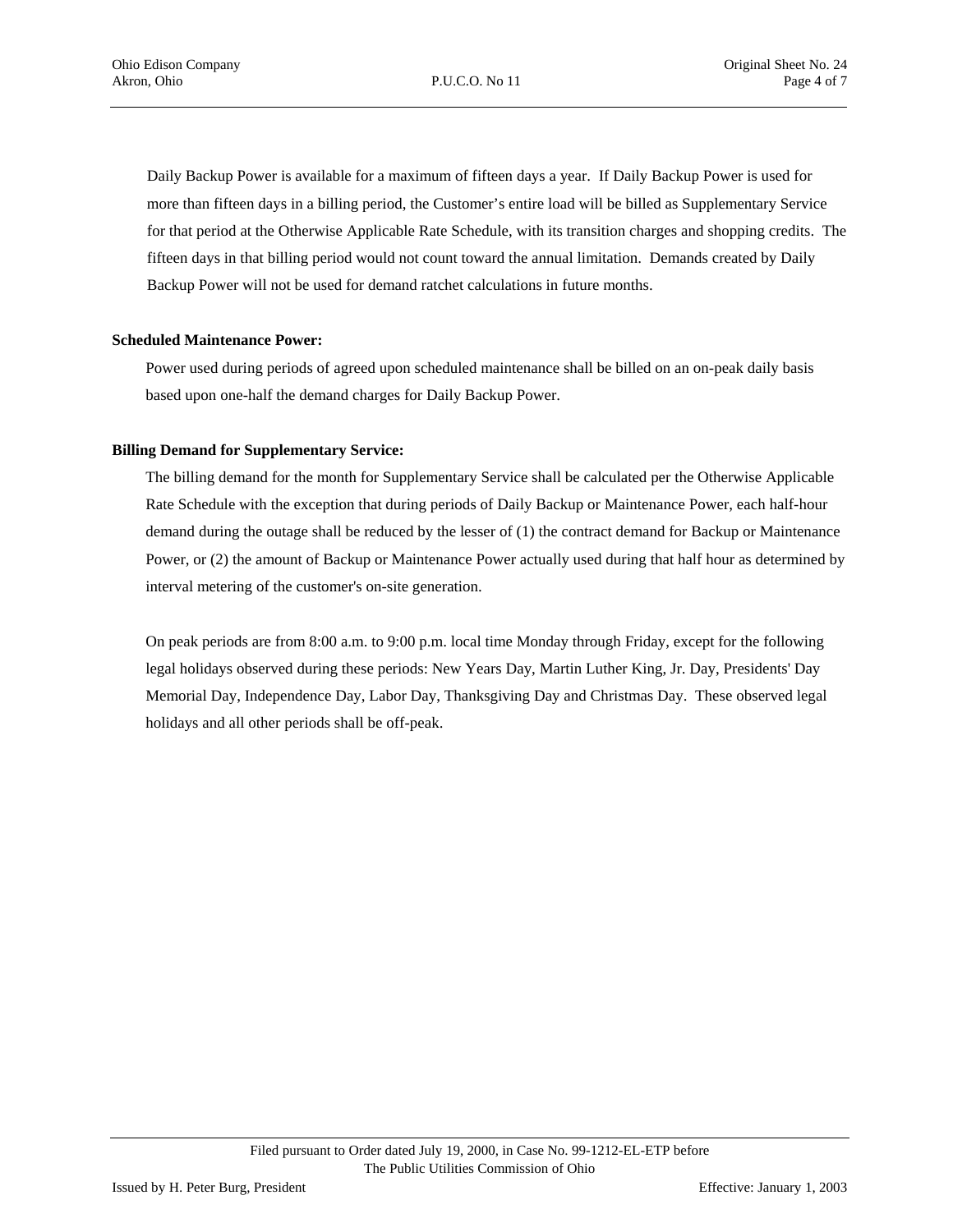Daily Backup Power is available for a maximum of fifteen days a year. If Daily Backup Power is used for more than fifteen days in a billing period, the Customer's entire load will be billed as Supplementary Service for that period at the Otherwise Applicable Rate Schedule, with its transition charges and shopping credits. The fifteen days in that billing period would not count toward the annual limitation. Demands created by Daily Backup Power will not be used for demand ratchet calculations in future months.

#### **Scheduled Maintenance Power:**

Power used during periods of agreed upon scheduled maintenance shall be billed on an on-peak daily basis based upon one-half the demand charges for Daily Backup Power.

#### **Billing Demand for Supplementary Service:**

The billing demand for the month for Supplementary Service shall be calculated per the Otherwise Applicable Rate Schedule with the exception that during periods of Daily Backup or Maintenance Power, each half-hour demand during the outage shall be reduced by the lesser of (1) the contract demand for Backup or Maintenance Power, or (2) the amount of Backup or Maintenance Power actually used during that half hour as determined by interval metering of the customer's on-site generation.

On peak periods are from 8:00 a.m. to 9:00 p.m. local time Monday through Friday, except for the following legal holidays observed during these periods: New Years Day, Martin Luther King, Jr. Day, Presidents' Day Memorial Day, Independence Day, Labor Day, Thanksgiving Day and Christmas Day. These observed legal holidays and all other periods shall be off-peak.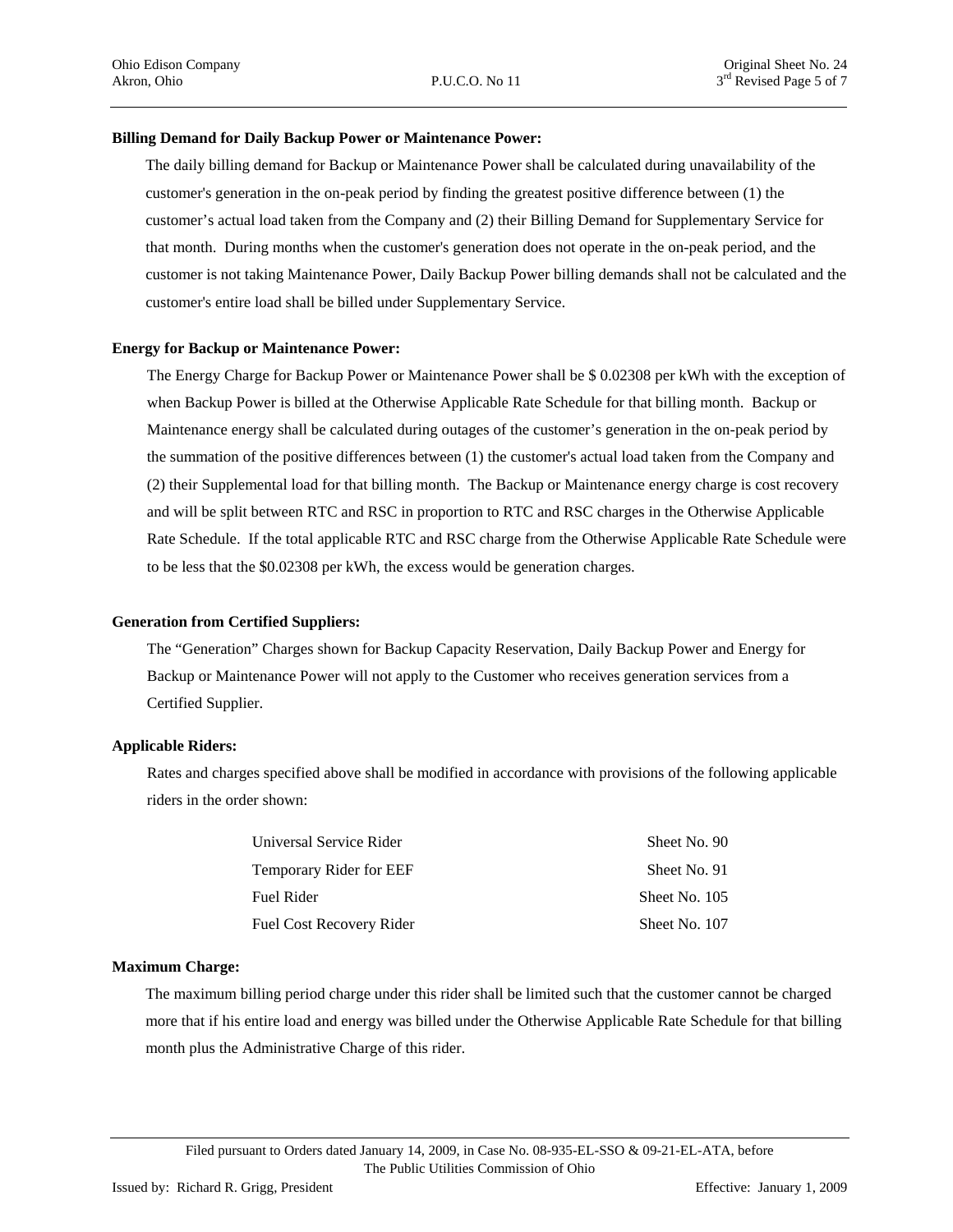#### **Billing Demand for Daily Backup Power or Maintenance Power:**

The daily billing demand for Backup or Maintenance Power shall be calculated during unavailability of the customer's generation in the on-peak period by finding the greatest positive difference between (1) the customer's actual load taken from the Company and (2) their Billing Demand for Supplementary Service for that month. During months when the customer's generation does not operate in the on-peak period, and the customer is not taking Maintenance Power, Daily Backup Power billing demands shall not be calculated and the customer's entire load shall be billed under Supplementary Service.

#### **Energy for Backup or Maintenance Power:**

The Energy Charge for Backup Power or Maintenance Power shall be \$ 0.02308 per kWh with the exception of when Backup Power is billed at the Otherwise Applicable Rate Schedule for that billing month. Backup or Maintenance energy shall be calculated during outages of the customer's generation in the on-peak period by the summation of the positive differences between (1) the customer's actual load taken from the Company and (2) their Supplemental load for that billing month. The Backup or Maintenance energy charge is cost recovery and will be split between RTC and RSC in proportion to RTC and RSC charges in the Otherwise Applicable Rate Schedule. If the total applicable RTC and RSC charge from the Otherwise Applicable Rate Schedule were to be less that the \$0.02308 per kWh, the excess would be generation charges.

#### **Generation from Certified Suppliers:**

 The "Generation" Charges shown for Backup Capacity Reservation, Daily Backup Power and Energy for Backup or Maintenance Power will not apply to the Customer who receives generation services from a Certified Supplier.

#### **Applicable Riders:**

Rates and charges specified above shall be modified in accordance with provisions of the following applicable riders in the order shown:

| Universal Service Rider  | Sheet No. 90  |
|--------------------------|---------------|
| Temporary Rider for EEF  | Sheet No. 91  |
| Fuel Rider               | Sheet No. 105 |
| Fuel Cost Recovery Rider | Sheet No. 107 |

#### **Maximum Charge:**

The maximum billing period charge under this rider shall be limited such that the customer cannot be charged more that if his entire load and energy was billed under the Otherwise Applicable Rate Schedule for that billing month plus the Administrative Charge of this rider.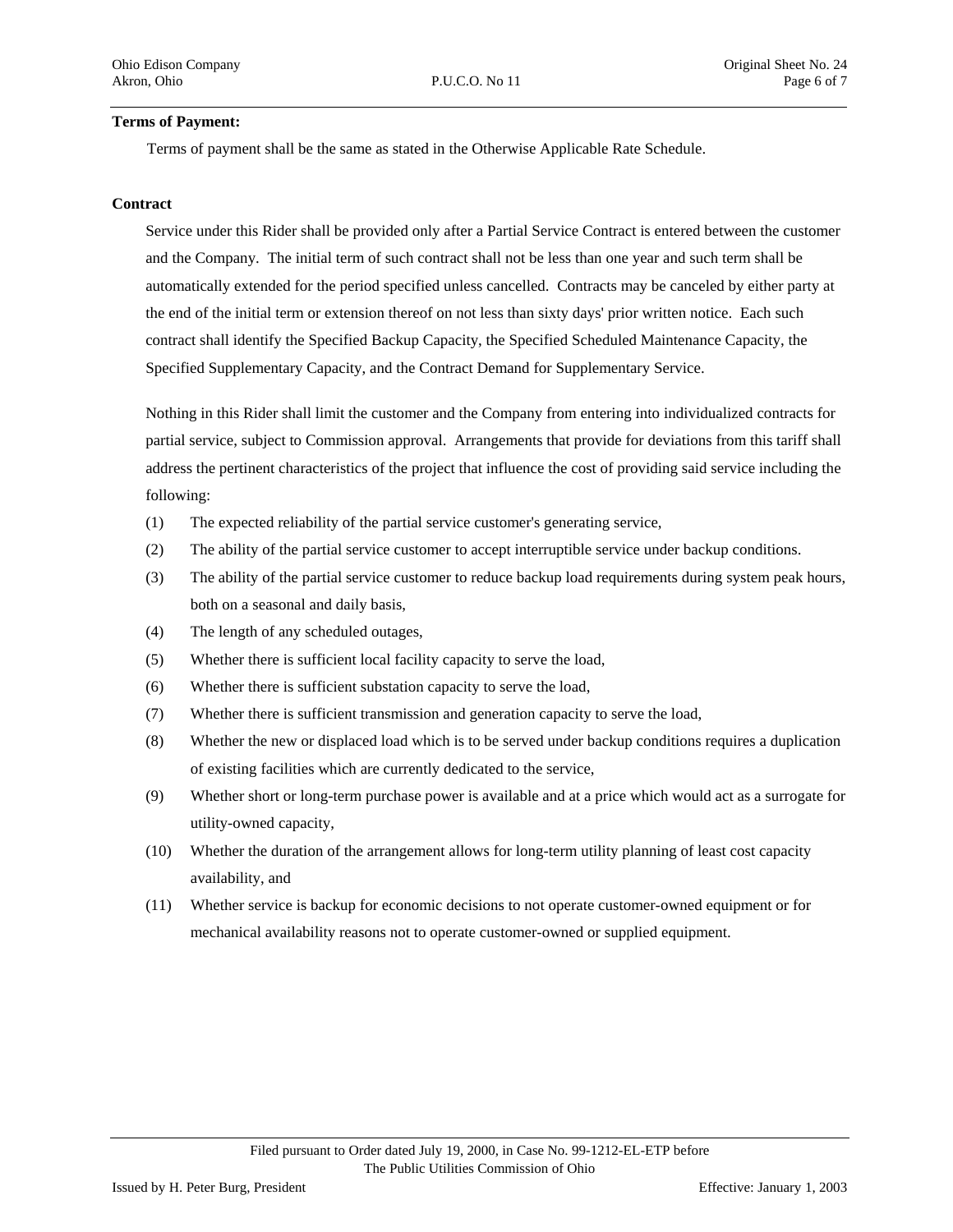#### **Terms of Payment:**

Terms of payment shall be the same as stated in the Otherwise Applicable Rate Schedule.

#### **Contract**

Service under this Rider shall be provided only after a Partial Service Contract is entered between the customer and the Company. The initial term of such contract shall not be less than one year and such term shall be automatically extended for the period specified unless cancelled. Contracts may be canceled by either party at the end of the initial term or extension thereof on not less than sixty days' prior written notice. Each such contract shall identify the Specified Backup Capacity, the Specified Scheduled Maintenance Capacity, the Specified Supplementary Capacity, and the Contract Demand for Supplementary Service.

Nothing in this Rider shall limit the customer and the Company from entering into individualized contracts for partial service, subject to Commission approval. Arrangements that provide for deviations from this tariff shall address the pertinent characteristics of the project that influence the cost of providing said service including the following:

- (1) The expected reliability of the partial service customer's generating service,
- (2) The ability of the partial service customer to accept interruptible service under backup conditions.
- (3) The ability of the partial service customer to reduce backup load requirements during system peak hours, both on a seasonal and daily basis,
- (4) The length of any scheduled outages,
- (5) Whether there is sufficient local facility capacity to serve the load,
- (6) Whether there is sufficient substation capacity to serve the load,
- (7) Whether there is sufficient transmission and generation capacity to serve the load,
- (8) Whether the new or displaced load which is to be served under backup conditions requires a duplication of existing facilities which are currently dedicated to the service,
- (9) Whether short or long-term purchase power is available and at a price which would act as a surrogate for utility-owned capacity,
- (10) Whether the duration of the arrangement allows for long-term utility planning of least cost capacity availability, and
- (11) Whether service is backup for economic decisions to not operate customer-owned equipment or for mechanical availability reasons not to operate customer-owned or supplied equipment.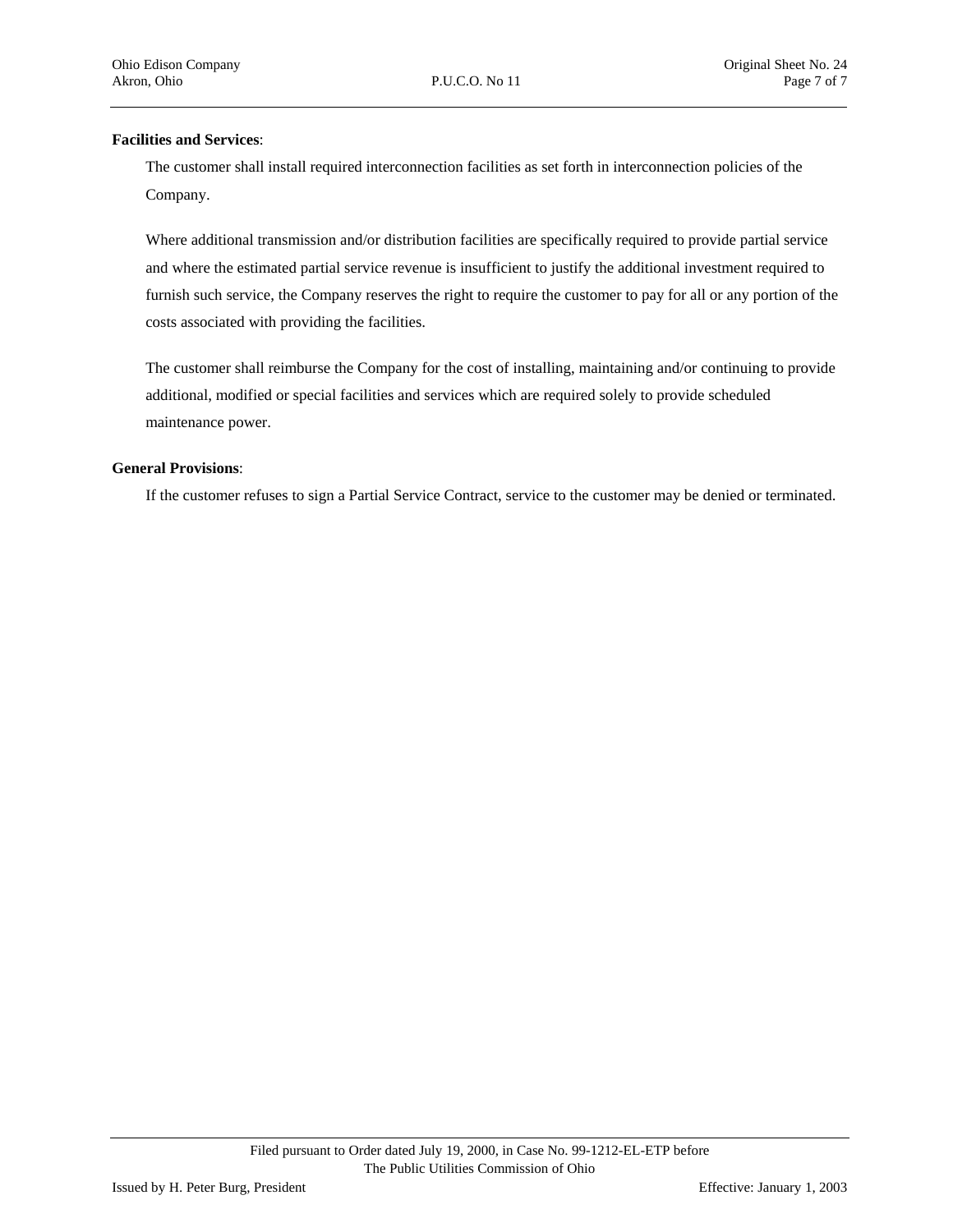#### **Facilities and Services**:

The customer shall install required interconnection facilities as set forth in interconnection policies of the Company.

Where additional transmission and/or distribution facilities are specifically required to provide partial service and where the estimated partial service revenue is insufficient to justify the additional investment required to furnish such service, the Company reserves the right to require the customer to pay for all or any portion of the costs associated with providing the facilities.

The customer shall reimburse the Company for the cost of installing, maintaining and/or continuing to provide additional, modified or special facilities and services which are required solely to provide scheduled maintenance power.

#### **General Provisions**:

If the customer refuses to sign a Partial Service Contract, service to the customer may be denied or terminated.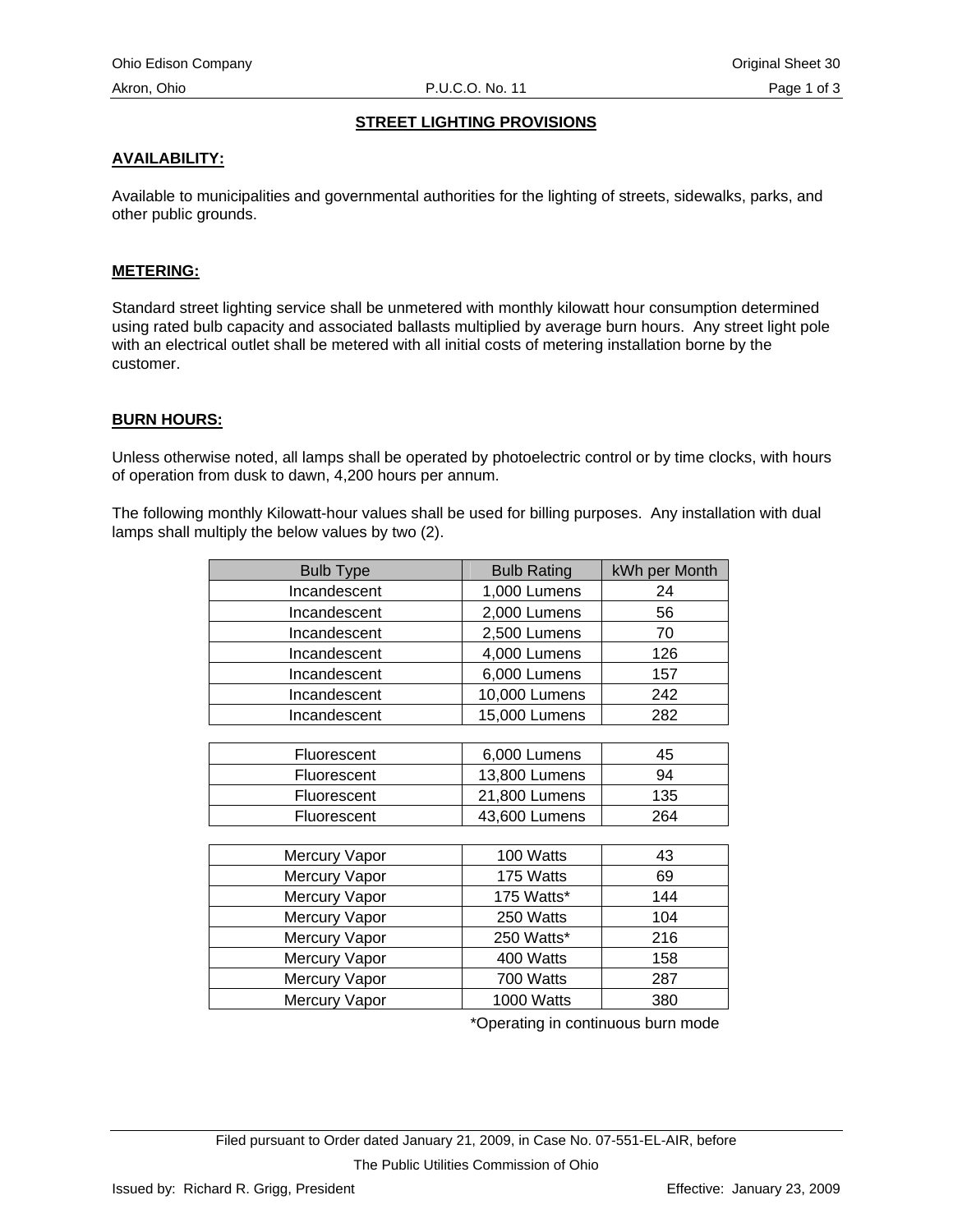#### **STREET LIGHTING PROVISIONS**

## **AVAILABILITY:**

Available to municipalities and governmental authorities for the lighting of streets, sidewalks, parks, and other public grounds.

#### **METERING:**

Standard street lighting service shall be unmetered with monthly kilowatt hour consumption determined using rated bulb capacity and associated ballasts multiplied by average burn hours. Any street light pole with an electrical outlet shall be metered with all initial costs of metering installation borne by the customer.

#### **BURN HOURS:**

Unless otherwise noted, all lamps shall be operated by photoelectric control or by time clocks, with hours of operation from dusk to dawn, 4,200 hours per annum.

The following monthly Kilowatt-hour values shall be used for billing purposes. Any installation with dual lamps shall multiply the below values by two (2).

| <b>Bulb Type</b> | <b>Bulb Rating</b> | kWh per Month |
|------------------|--------------------|---------------|
| Incandescent     | 1,000 Lumens       | 24            |
| Incandescent     | 2,000 Lumens       | 56            |
| Incandescent     | 2,500 Lumens       | 70            |
| Incandescent     | 4,000 Lumens       | 126           |
| Incandescent     | 6,000 Lumens       | 157           |
| Incandescent     | 10,000 Lumens      | 242           |
| Incandescent     | 15,000 Lumens      | 282           |
|                  |                    |               |
| Fluorescent      | 6,000 Lumens       | 45            |
| Fluorescent      | 13,800 Lumens      | 94            |
| Fluorescent      | 21,800 Lumens      | 135           |
| Fluorescent      | 43,600 Lumens      | 264           |
|                  |                    |               |
| Mercury Vapor    | 100 Watts          | 43            |
| Mercury Vapor    | 175 Watts          | 69            |
| Mercury Vapor    | 175 Watts*         | 144           |
| Mercury Vapor    | 250 Watts          | 104           |
| Mercury Vapor    | 250 Watts*         | 216           |
| Mercury Vapor    | 400 Watts          | 158           |
| Mercury Vapor    | 700 Watts          | 287           |
| Mercury Vapor    | 1000 Watts         | 380           |

\*Operating in continuous burn mode

Filed pursuant to Order dated January 21, 2009, in Case No. 07-551-EL-AIR, before The Public Utilities Commission of Ohio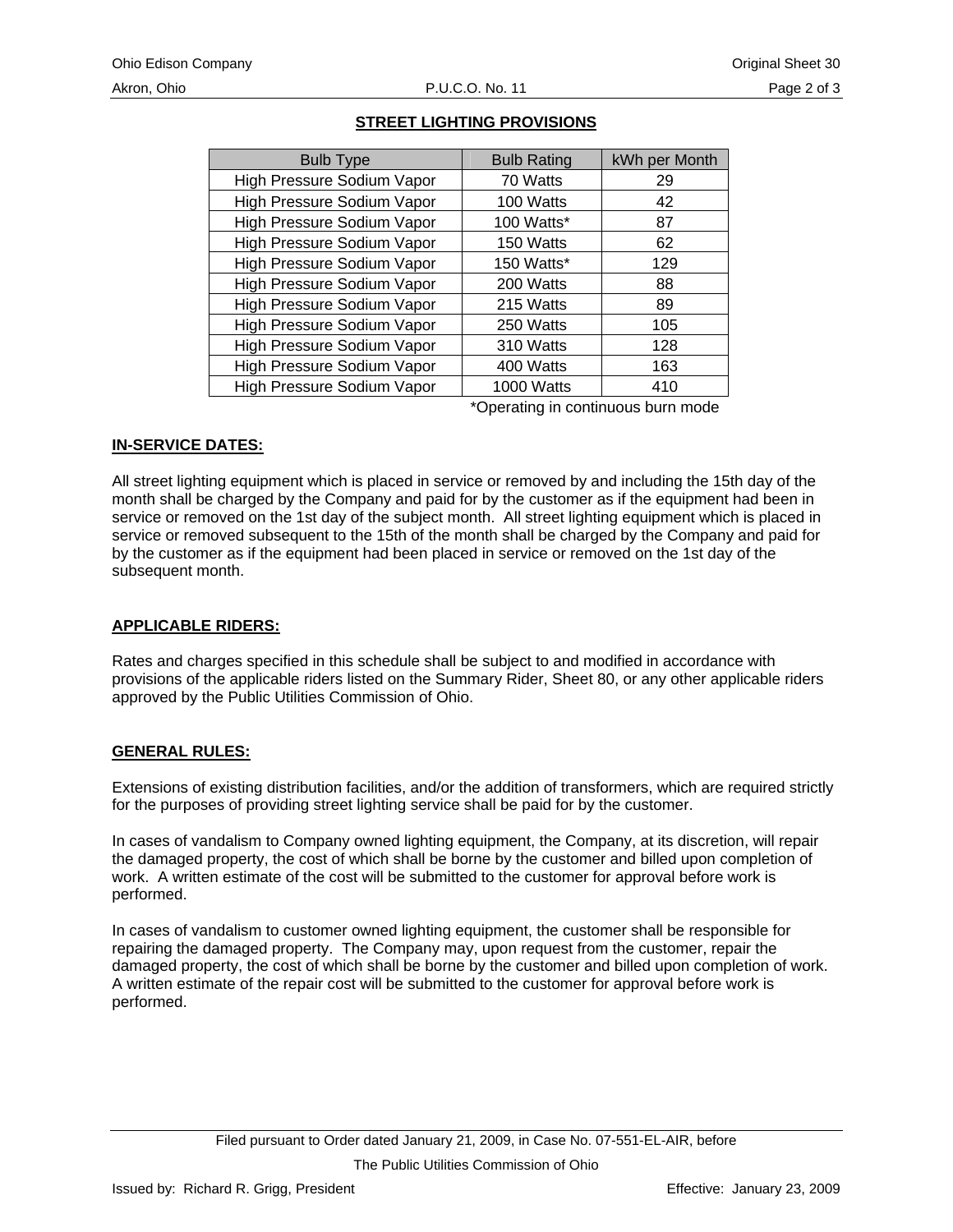| <b>Bulb Type</b>           | <b>Bulb Rating</b> | kWh per Month |
|----------------------------|--------------------|---------------|
| High Pressure Sodium Vapor | 70 Watts           | 29            |
| High Pressure Sodium Vapor | 100 Watts          | 42            |
| High Pressure Sodium Vapor | 100 Watts*         | 87            |
| High Pressure Sodium Vapor | 150 Watts          | 62            |
| High Pressure Sodium Vapor | 150 Watts*         | 129           |
| High Pressure Sodium Vapor | 200 Watts          | 88            |
| High Pressure Sodium Vapor | 215 Watts          | 89            |
| High Pressure Sodium Vapor | 250 Watts          | 105           |
| High Pressure Sodium Vapor | 310 Watts          | 128           |
| High Pressure Sodium Vapor | 400 Watts          | 163           |
| High Pressure Sodium Vapor | 1000 Watts         | 410           |
|                            |                    |               |

## **STREET LIGHTING PROVISIONS**

\*Operating in continuous burn mode

## **IN-SERVICE DATES:**

All street lighting equipment which is placed in service or removed by and including the 15th day of the month shall be charged by the Company and paid for by the customer as if the equipment had been in service or removed on the 1st day of the subject month. All street lighting equipment which is placed in service or removed subsequent to the 15th of the month shall be charged by the Company and paid for by the customer as if the equipment had been placed in service or removed on the 1st day of the subsequent month.

## **APPLICABLE RIDERS:**

Rates and charges specified in this schedule shall be subject to and modified in accordance with provisions of the applicable riders listed on the Summary Rider, Sheet 80, or any other applicable riders approved by the Public Utilities Commission of Ohio.

## **GENERAL RULES:**

Extensions of existing distribution facilities, and/or the addition of transformers, which are required strictly for the purposes of providing street lighting service shall be paid for by the customer.

In cases of vandalism to Company owned lighting equipment, the Company, at its discretion, will repair the damaged property, the cost of which shall be borne by the customer and billed upon completion of work. A written estimate of the cost will be submitted to the customer for approval before work is performed.

In cases of vandalism to customer owned lighting equipment, the customer shall be responsible for repairing the damaged property. The Company may, upon request from the customer, repair the damaged property, the cost of which shall be borne by the customer and billed upon completion of work. A written estimate of the repair cost will be submitted to the customer for approval before work is performed.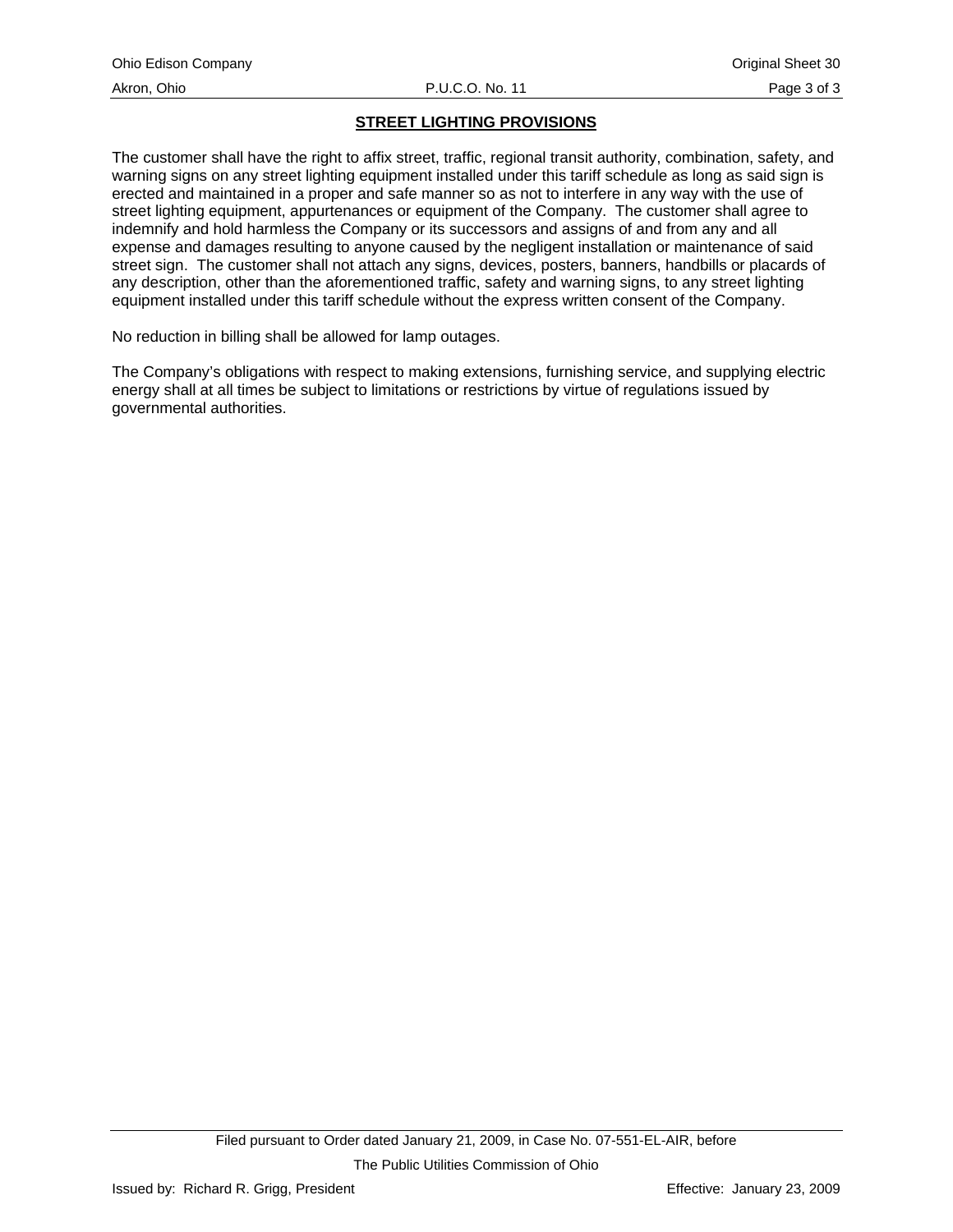## **STREET LIGHTING PROVISIONS**

The customer shall have the right to affix street, traffic, regional transit authority, combination, safety, and warning signs on any street lighting equipment installed under this tariff schedule as long as said sign is erected and maintained in a proper and safe manner so as not to interfere in any way with the use of street lighting equipment, appurtenances or equipment of the Company. The customer shall agree to indemnify and hold harmless the Company or its successors and assigns of and from any and all expense and damages resulting to anyone caused by the negligent installation or maintenance of said street sign. The customer shall not attach any signs, devices, posters, banners, handbills or placards of any description, other than the aforementioned traffic, safety and warning signs, to any street lighting equipment installed under this tariff schedule without the express written consent of the Company.

No reduction in billing shall be allowed for lamp outages.

The Company's obligations with respect to making extensions, furnishing service, and supplying electric energy shall at all times be subject to limitations or restrictions by virtue of regulations issued by governmental authorities.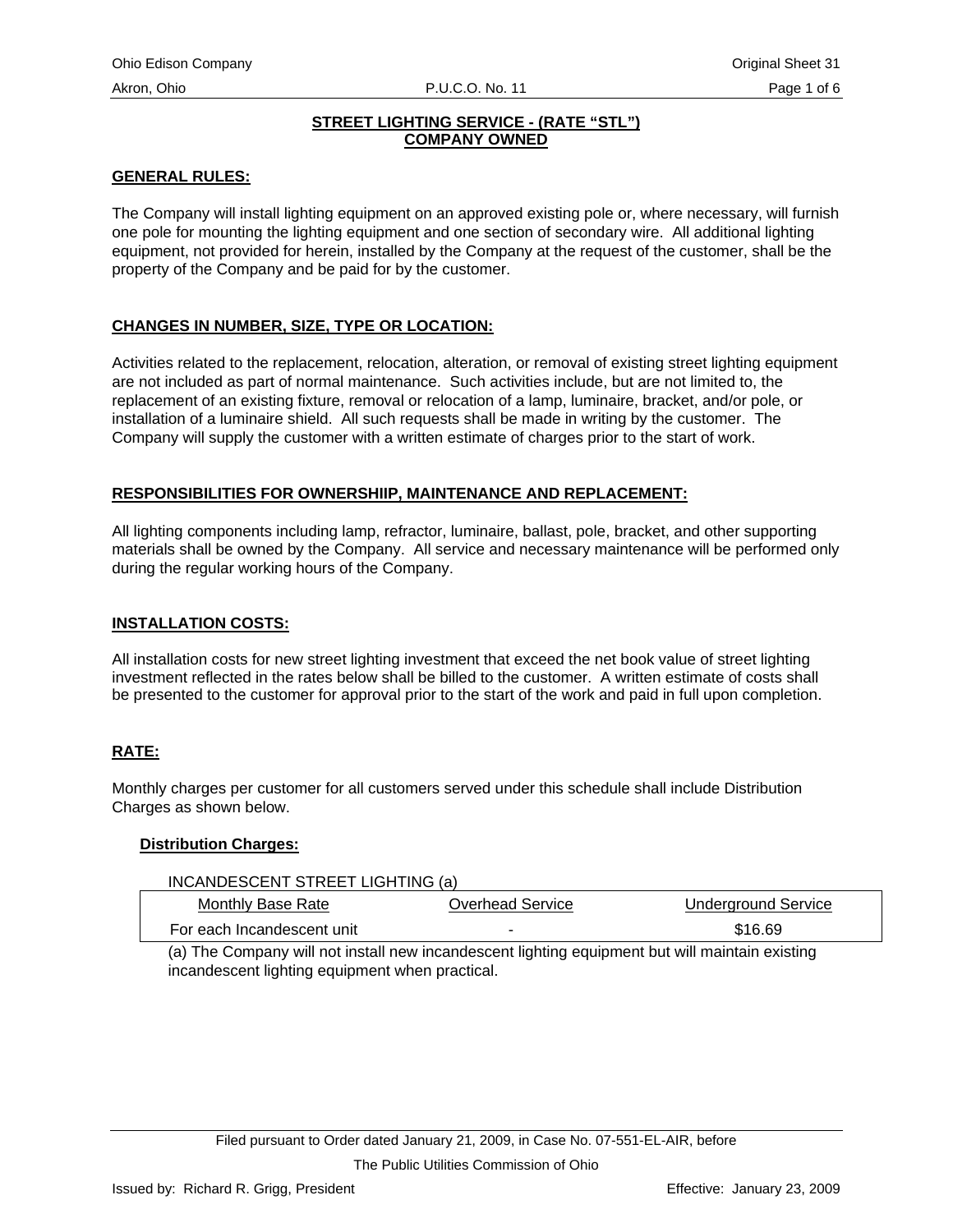## **STREET LIGHTING SERVICE - (RATE "STL") COMPANY OWNED**

#### **GENERAL RULES:**

The Company will install lighting equipment on an approved existing pole or, where necessary, will furnish one pole for mounting the lighting equipment and one section of secondary wire. All additional lighting equipment, not provided for herein, installed by the Company at the request of the customer, shall be the property of the Company and be paid for by the customer.

## **CHANGES IN NUMBER, SIZE, TYPE OR LOCATION:**

Activities related to the replacement, relocation, alteration, or removal of existing street lighting equipment are not included as part of normal maintenance. Such activities include, but are not limited to, the replacement of an existing fixture, removal or relocation of a lamp, luminaire, bracket, and/or pole, or installation of a luminaire shield. All such requests shall be made in writing by the customer. The Company will supply the customer with a written estimate of charges prior to the start of work.

## **RESPONSIBILITIES FOR OWNERSHIIP, MAINTENANCE AND REPLACEMENT:**

All lighting components including lamp, refractor, luminaire, ballast, pole, bracket, and other supporting materials shall be owned by the Company. All service and necessary maintenance will be performed only during the regular working hours of the Company.

#### **INSTALLATION COSTS:**

All installation costs for new street lighting investment that exceed the net book value of street lighting investment reflected in the rates below shall be billed to the customer. A written estimate of costs shall be presented to the customer for approval prior to the start of the work and paid in full upon completion.

## **RATE:**

Monthly charges per customer for all customers served under this schedule shall include Distribution Charges as shown below.

#### **Distribution Charges:**

| Monthly Base Rate<br>Overhead Service<br>Underground Service | INCANDESCENT STREET LIGHTING (a) |  |  |  |  |
|--------------------------------------------------------------|----------------------------------|--|--|--|--|
|                                                              |                                  |  |  |  |  |
| \$16.69<br>For each Incandescent unit                        |                                  |  |  |  |  |

(a) The Company will not install new incandescent lighting equipment but will maintain existing incandescent lighting equipment when practical.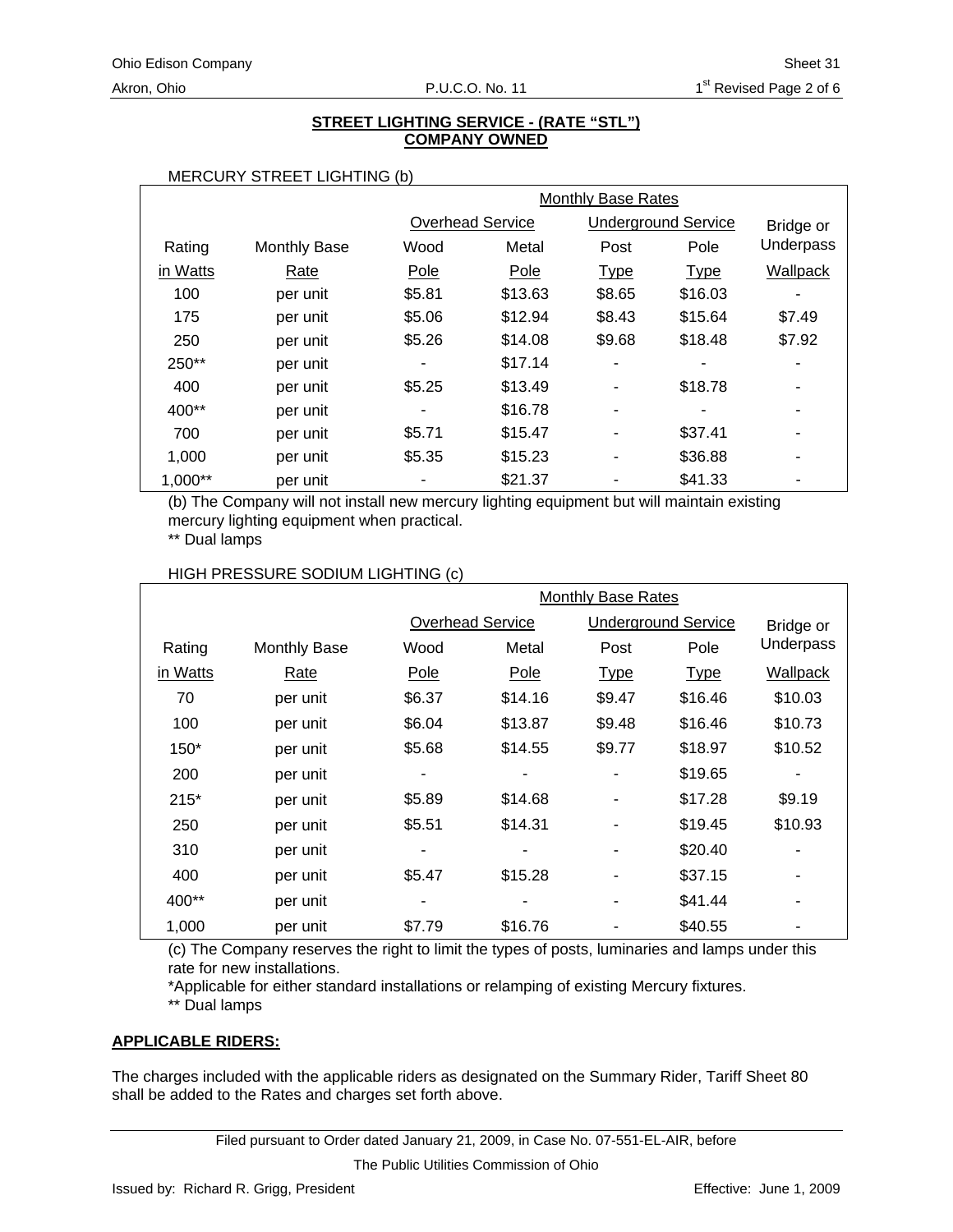#### **STREET LIGHTING SERVICE - (RATE "STL") COMPANY OWNED**

#### MERCURY STREET LIGHTING (b)

|           |                     | Monthly Base Rates |                         |             |                            |           |
|-----------|---------------------|--------------------|-------------------------|-------------|----------------------------|-----------|
|           |                     |                    | <b>Overhead Service</b> |             | <b>Underground Service</b> | Bridge or |
| Rating    | <b>Monthly Base</b> | Wood               | Metal                   | Post        | Pole                       | Underpass |
| in Watts  | Rate                | Pole               | Pole                    | <b>Type</b> | <b>Type</b>                | Wallpack  |
| 100       | per unit            | \$5.81             | \$13.63                 | \$8.65      | \$16.03                    |           |
| 175       | per unit            | \$5.06             | \$12.94                 | \$8.43      | \$15.64                    | \$7.49    |
| 250       | per unit            | \$5.26             | \$14.08                 | \$9.68      | \$18.48                    | \$7.92    |
| 250**     | per unit            |                    | \$17.14                 |             |                            |           |
| 400       | per unit            | \$5.25             | \$13.49                 |             | \$18.78                    |           |
| 400**     | per unit            |                    | \$16.78                 | -           |                            |           |
| 700       | per unit            | \$5.71             | \$15.47                 |             | \$37.41                    | ٠         |
| 1,000     | per unit            | \$5.35             | \$15.23                 |             | \$36.88                    |           |
| $1,000**$ | per unit            |                    | \$21.37                 |             | \$41.33                    |           |

(b) The Company will not install new mercury lighting equipment but will maintain existing mercury lighting equipment when practical.

\*\* Dual lamps

#### HIGH PRESSURE SODIUM LIGHTING (c)

|          |                     | <b>Monthly Base Rates</b> |                         |                            |             |                 |
|----------|---------------------|---------------------------|-------------------------|----------------------------|-------------|-----------------|
|          |                     |                           | <b>Overhead Service</b> | <b>Underground Service</b> |             | Bridge or       |
| Rating   | <b>Monthly Base</b> | Wood                      | Metal                   | Post                       | Pole        | Underpass       |
| in Watts | Rate                | Pole                      | Pole                    | <b>Type</b>                | <b>Type</b> | <b>Wallpack</b> |
| 70       | per unit            | \$6.37                    | \$14.16                 | \$9.47                     | \$16.46     | \$10.03         |
| 100      | per unit            | \$6.04                    | \$13.87                 | \$9.48                     | \$16.46     | \$10.73         |
| $150*$   | per unit            | \$5.68                    | \$14.55                 | \$9.77                     | \$18.97     | \$10.52         |
| 200      | per unit            | ٠                         |                         |                            | \$19.65     |                 |
| $215*$   | per unit            | \$5.89                    | \$14.68                 |                            | \$17.28     | \$9.19          |
| 250      | per unit            | \$5.51                    | \$14.31                 |                            | \$19.45     | \$10.93         |
| 310      | per unit            | ۰                         |                         |                            | \$20.40     |                 |
| 400      | per unit            | \$5.47                    | \$15.28                 | ۰                          | \$37.15     | ۰               |
| 400**    | per unit            | ٠                         | ۰                       |                            | \$41.44     | -               |
| 1,000    | per unit            | \$7.79                    | \$16.76                 |                            | \$40.55     |                 |

(c) The Company reserves the right to limit the types of posts, luminaries and lamps under this rate for new installations.

\*Applicable for either standard installations or relamping of existing Mercury fixtures. \*\* Dual lamps

# **APPLICABLE RIDERS:**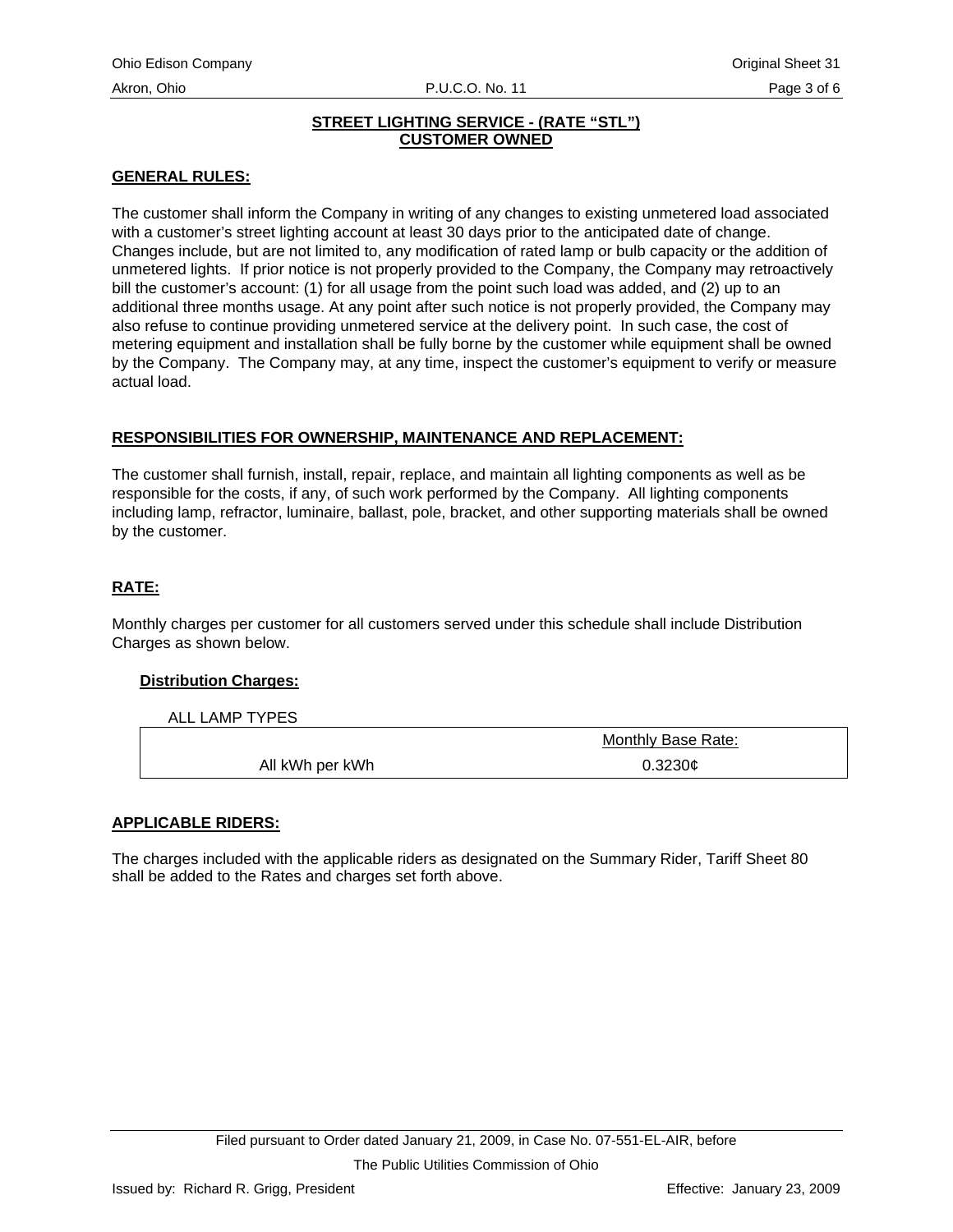#### **STREET LIGHTING SERVICE - (RATE "STL") CUSTOMER OWNED**

## **GENERAL RULES:**

The customer shall inform the Company in writing of any changes to existing unmetered load associated with a customer's street lighting account at least 30 days prior to the anticipated date of change. Changes include, but are not limited to, any modification of rated lamp or bulb capacity or the addition of unmetered lights. If prior notice is not properly provided to the Company, the Company may retroactively bill the customer's account: (1) for all usage from the point such load was added, and (2) up to an additional three months usage. At any point after such notice is not properly provided, the Company may also refuse to continue providing unmetered service at the delivery point. In such case, the cost of metering equipment and installation shall be fully borne by the customer while equipment shall be owned by the Company. The Company may, at any time, inspect the customer's equipment to verify or measure actual load.

#### **RESPONSIBILITIES FOR OWNERSHIP, MAINTENANCE AND REPLACEMENT:**

The customer shall furnish, install, repair, replace, and maintain all lighting components as well as be responsible for the costs, if any, of such work performed by the Company. All lighting components including lamp, refractor, luminaire, ballast, pole, bracket, and other supporting materials shall be owned by the customer.

## **RATE:**

Monthly charges per customer for all customers served under this schedule shall include Distribution Charges as shown below.

#### **Distribution Charges:**

ALL LAMP TYPES

|                 | Monthly Base Rate: |
|-----------------|--------------------|
| All kWh per kWh | 0.3230c            |

#### **APPLICABLE RIDERS:**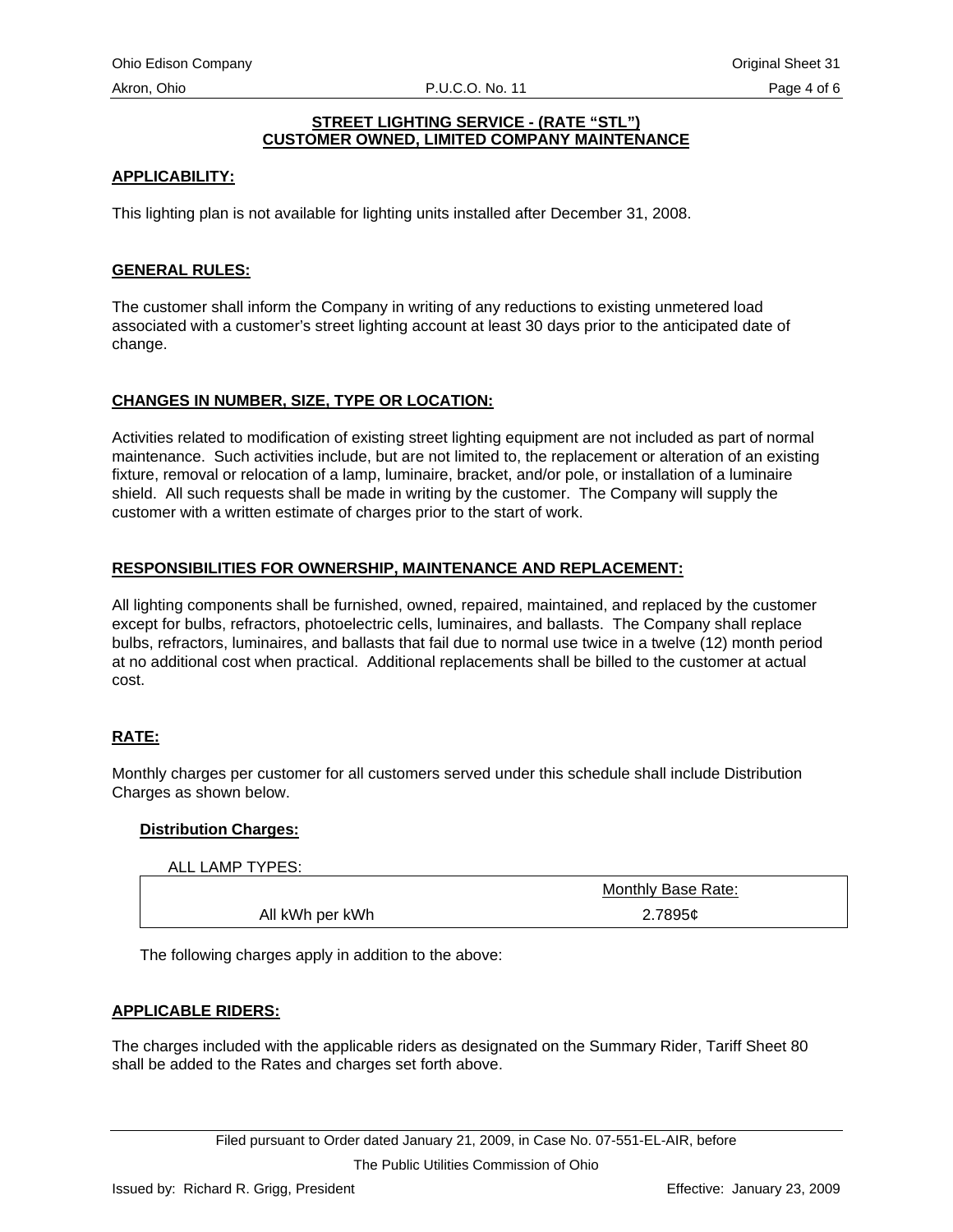#### **STREET LIGHTING SERVICE - (RATE "STL") CUSTOMER OWNED, LIMITED COMPANY MAINTENANCE**

## **APPLICABILITY:**

This lighting plan is not available for lighting units installed after December 31, 2008.

## **GENERAL RULES:**

The customer shall inform the Company in writing of any reductions to existing unmetered load associated with a customer's street lighting account at least 30 days prior to the anticipated date of change.

## **CHANGES IN NUMBER, SIZE, TYPE OR LOCATION:**

Activities related to modification of existing street lighting equipment are not included as part of normal maintenance. Such activities include, but are not limited to, the replacement or alteration of an existing fixture, removal or relocation of a lamp, luminaire, bracket, and/or pole, or installation of a luminaire shield. All such requests shall be made in writing by the customer. The Company will supply the customer with a written estimate of charges prior to the start of work.

## **RESPONSIBILITIES FOR OWNERSHIP, MAINTENANCE AND REPLACEMENT:**

All lighting components shall be furnished, owned, repaired, maintained, and replaced by the customer except for bulbs, refractors, photoelectric cells, luminaires, and ballasts. The Company shall replace bulbs, refractors, luminaires, and ballasts that fail due to normal use twice in a twelve (12) month period at no additional cost when practical. Additional replacements shall be billed to the customer at actual cost.

## **RATE:**

Monthly charges per customer for all customers served under this schedule shall include Distribution Charges as shown below.

#### **Distribution Charges:**

ALL LAMP TYPES:

| ALL LAIVIE II FEO. |                    |
|--------------------|--------------------|
|                    | Monthly Base Rate: |
| All kWh per kWh    | 2.7895¢            |

The following charges apply in addition to the above:

#### **APPLICABLE RIDERS:**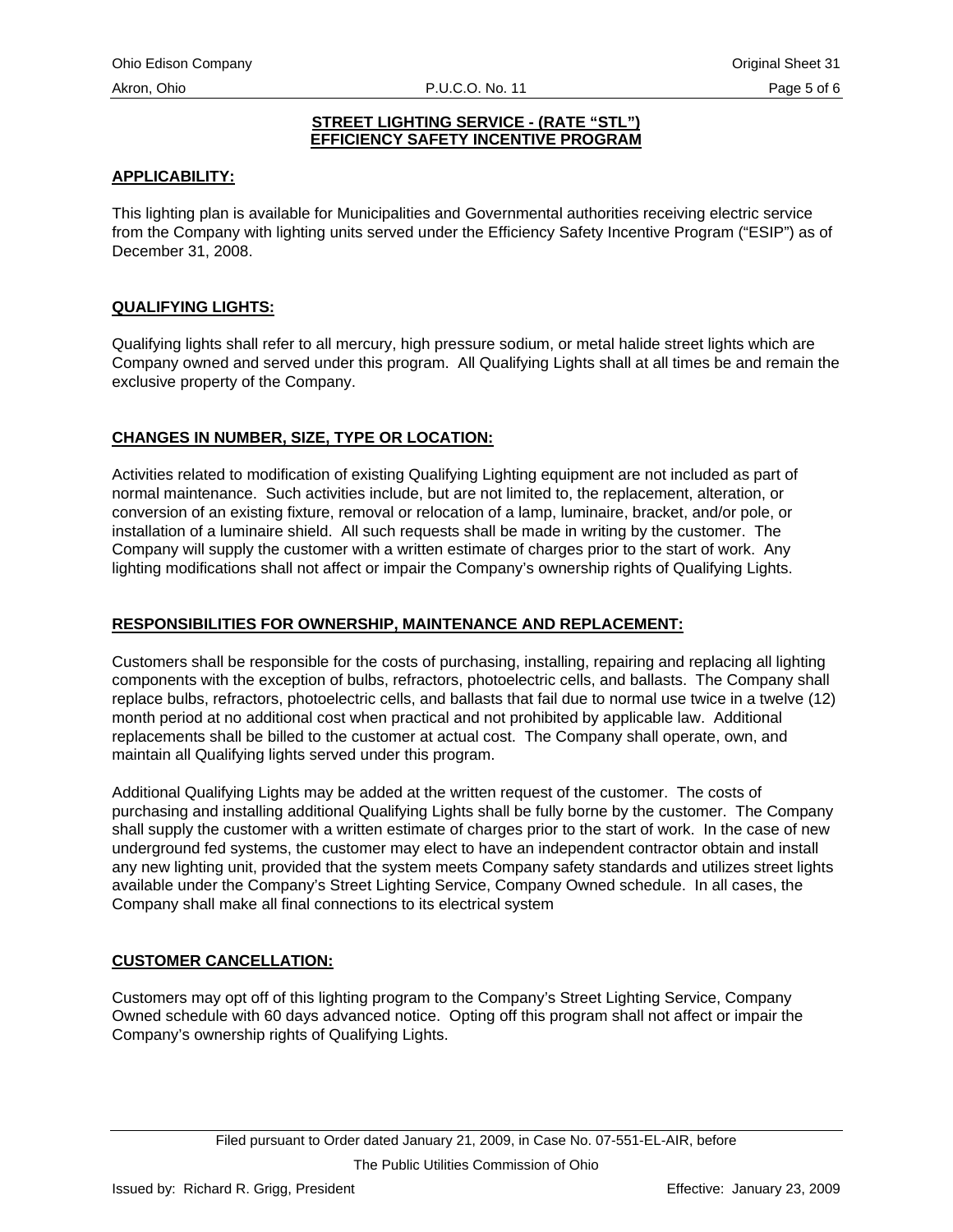#### **STREET LIGHTING SERVICE - (RATE "STL") EFFICIENCY SAFETY INCENTIVE PROGRAM**

#### **APPLICABILITY:**

This lighting plan is available for Municipalities and Governmental authorities receiving electric service from the Company with lighting units served under the Efficiency Safety Incentive Program ("ESIP") as of December 31, 2008.

#### **QUALIFYING LIGHTS:**

Qualifying lights shall refer to all mercury, high pressure sodium, or metal halide street lights which are Company owned and served under this program. All Qualifying Lights shall at all times be and remain the exclusive property of the Company.

#### **CHANGES IN NUMBER, SIZE, TYPE OR LOCATION:**

Activities related to modification of existing Qualifying Lighting equipment are not included as part of normal maintenance. Such activities include, but are not limited to, the replacement, alteration, or conversion of an existing fixture, removal or relocation of a lamp, luminaire, bracket, and/or pole, or installation of a luminaire shield. All such requests shall be made in writing by the customer. The Company will supply the customer with a written estimate of charges prior to the start of work. Any lighting modifications shall not affect or impair the Company's ownership rights of Qualifying Lights.

#### **RESPONSIBILITIES FOR OWNERSHIP, MAINTENANCE AND REPLACEMENT:**

Customers shall be responsible for the costs of purchasing, installing, repairing and replacing all lighting components with the exception of bulbs, refractors, photoelectric cells, and ballasts. The Company shall replace bulbs, refractors, photoelectric cells, and ballasts that fail due to normal use twice in a twelve (12) month period at no additional cost when practical and not prohibited by applicable law. Additional replacements shall be billed to the customer at actual cost. The Company shall operate, own, and maintain all Qualifying lights served under this program.

Additional Qualifying Lights may be added at the written request of the customer. The costs of purchasing and installing additional Qualifying Lights shall be fully borne by the customer. The Company shall supply the customer with a written estimate of charges prior to the start of work. In the case of new underground fed systems, the customer may elect to have an independent contractor obtain and install any new lighting unit, provided that the system meets Company safety standards and utilizes street lights available under the Company's Street Lighting Service, Company Owned schedule. In all cases, the Company shall make all final connections to its electrical system

#### **CUSTOMER CANCELLATION:**

Customers may opt off of this lighting program to the Company's Street Lighting Service, Company Owned schedule with 60 days advanced notice. Opting off this program shall not affect or impair the Company's ownership rights of Qualifying Lights.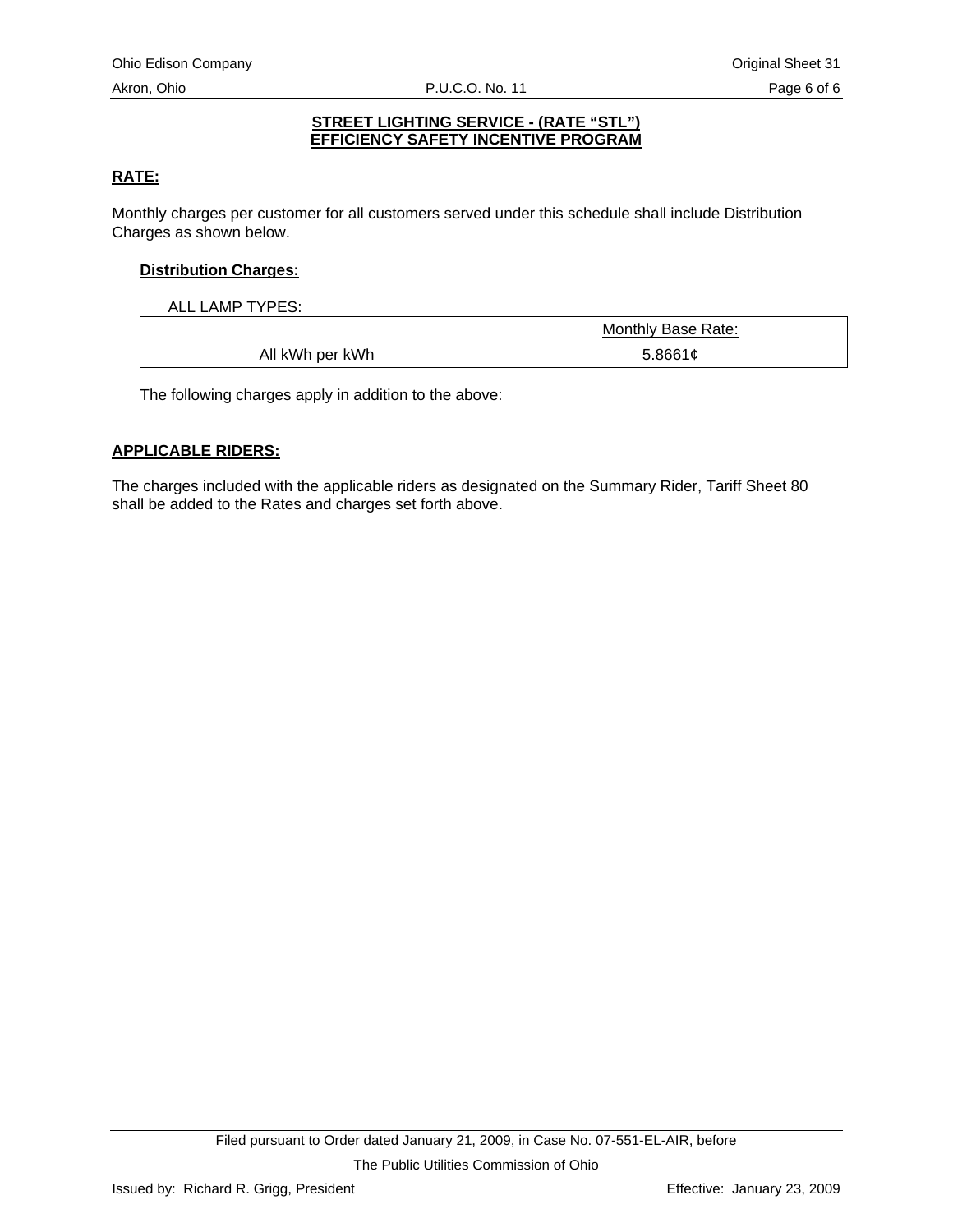#### **STREET LIGHTING SERVICE - (RATE "STL") EFFICIENCY SAFETY INCENTIVE PROGRAM**

## **RATE:**

Monthly charges per customer for all customers served under this schedule shall include Distribution Charges as shown below.

## **Distribution Charges:**

ALL LAMP TYPES:

|                 | Monthly Base Rate: |
|-----------------|--------------------|
| All kWh per kWh | 5.8661c            |

The following charges apply in addition to the above:

#### **APPLICABLE RIDERS:**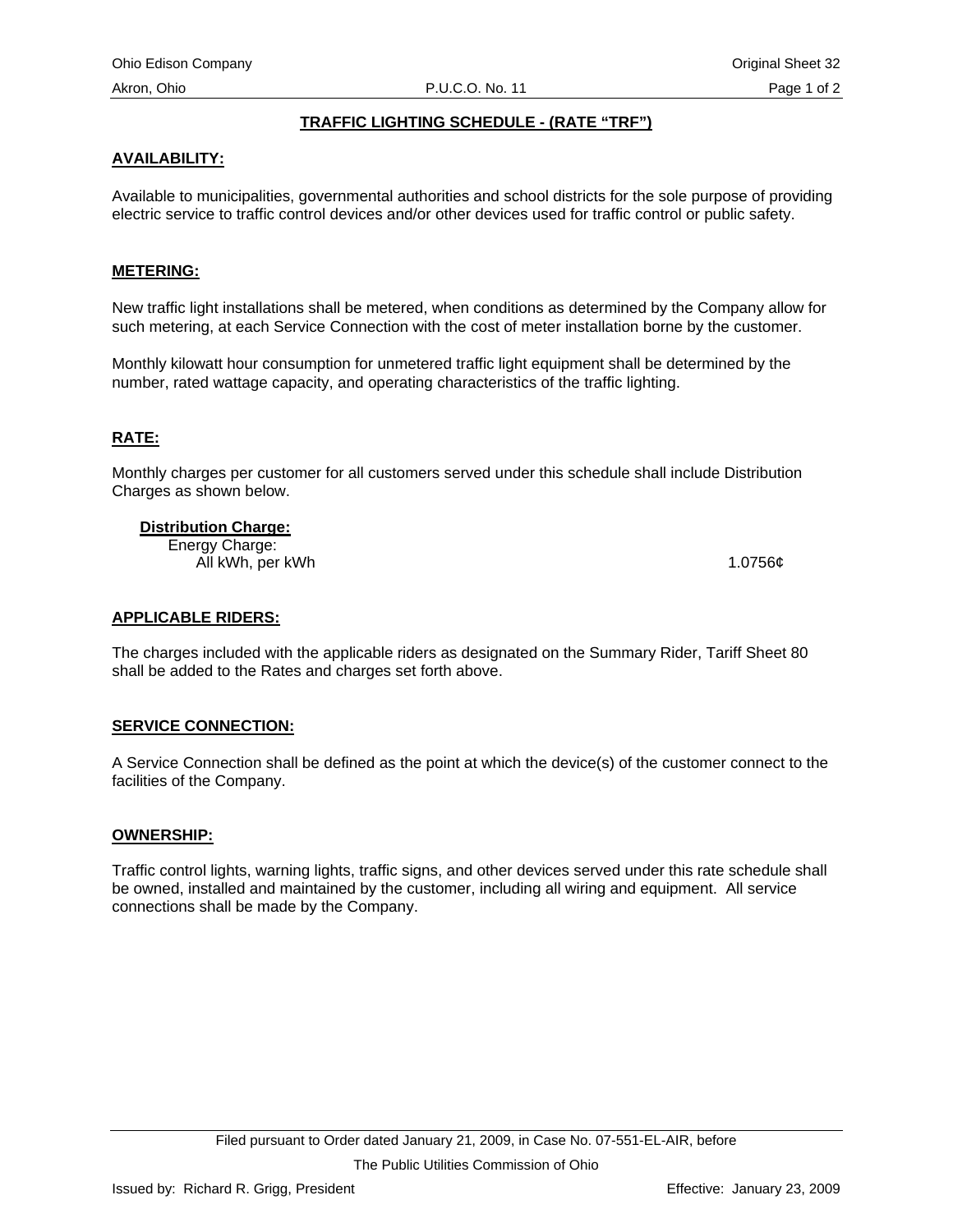#### **TRAFFIC LIGHTING SCHEDULE - (RATE "TRF")**

#### **AVAILABILITY:**

Available to municipalities, governmental authorities and school districts for the sole purpose of providing electric service to traffic control devices and/or other devices used for traffic control or public safety.

#### **METERING:**

New traffic light installations shall be metered, when conditions as determined by the Company allow for such metering, at each Service Connection with the cost of meter installation borne by the customer.

Monthly kilowatt hour consumption for unmetered traffic light equipment shall be determined by the number, rated wattage capacity, and operating characteristics of the traffic lighting.

#### **RATE:**

Monthly charges per customer for all customers served under this schedule shall include Distribution Charges as shown below.

#### **Distribution Charge:**

Energy Charge: All kWh, per kWh 1.0756¢

#### **APPLICABLE RIDERS:**

The charges included with the applicable riders as designated on the Summary Rider, Tariff Sheet 80 shall be added to the Rates and charges set forth above.

#### **SERVICE CONNECTION:**

A Service Connection shall be defined as the point at which the device(s) of the customer connect to the facilities of the Company.

#### **OWNERSHIP:**

Traffic control lights, warning lights, traffic signs, and other devices served under this rate schedule shall be owned, installed and maintained by the customer, including all wiring and equipment. All service connections shall be made by the Company.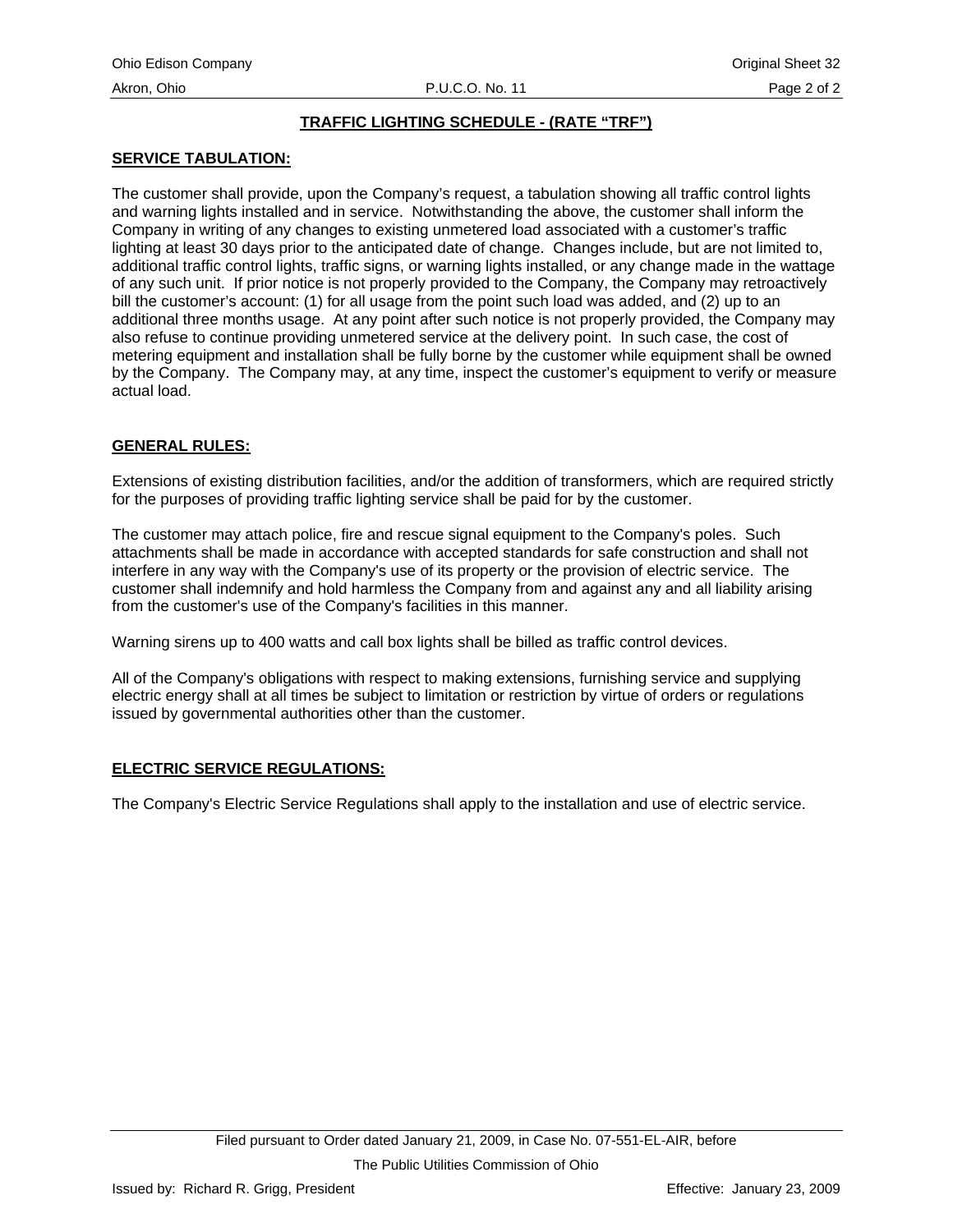## **TRAFFIC LIGHTING SCHEDULE - (RATE "TRF")**

#### **SERVICE TABULATION:**

The customer shall provide, upon the Company's request, a tabulation showing all traffic control lights and warning lights installed and in service. Notwithstanding the above, the customer shall inform the Company in writing of any changes to existing unmetered load associated with a customer's traffic lighting at least 30 days prior to the anticipated date of change. Changes include, but are not limited to, additional traffic control lights, traffic signs, or warning lights installed, or any change made in the wattage of any such unit. If prior notice is not properly provided to the Company, the Company may retroactively bill the customer's account: (1) for all usage from the point such load was added, and (2) up to an additional three months usage. At any point after such notice is not properly provided, the Company may also refuse to continue providing unmetered service at the delivery point. In such case, the cost of metering equipment and installation shall be fully borne by the customer while equipment shall be owned by the Company. The Company may, at any time, inspect the customer's equipment to verify or measure actual load.

## **GENERAL RULES:**

Extensions of existing distribution facilities, and/or the addition of transformers, which are required strictly for the purposes of providing traffic lighting service shall be paid for by the customer.

The customer may attach police, fire and rescue signal equipment to the Company's poles. Such attachments shall be made in accordance with accepted standards for safe construction and shall not interfere in any way with the Company's use of its property or the provision of electric service. The customer shall indemnify and hold harmless the Company from and against any and all liability arising from the customer's use of the Company's facilities in this manner.

Warning sirens up to 400 watts and call box lights shall be billed as traffic control devices.

All of the Company's obligations with respect to making extensions, furnishing service and supplying electric energy shall at all times be subject to limitation or restriction by virtue of orders or regulations issued by governmental authorities other than the customer.

#### **ELECTRIC SERVICE REGULATIONS:**

The Company's Electric Service Regulations shall apply to the installation and use of electric service.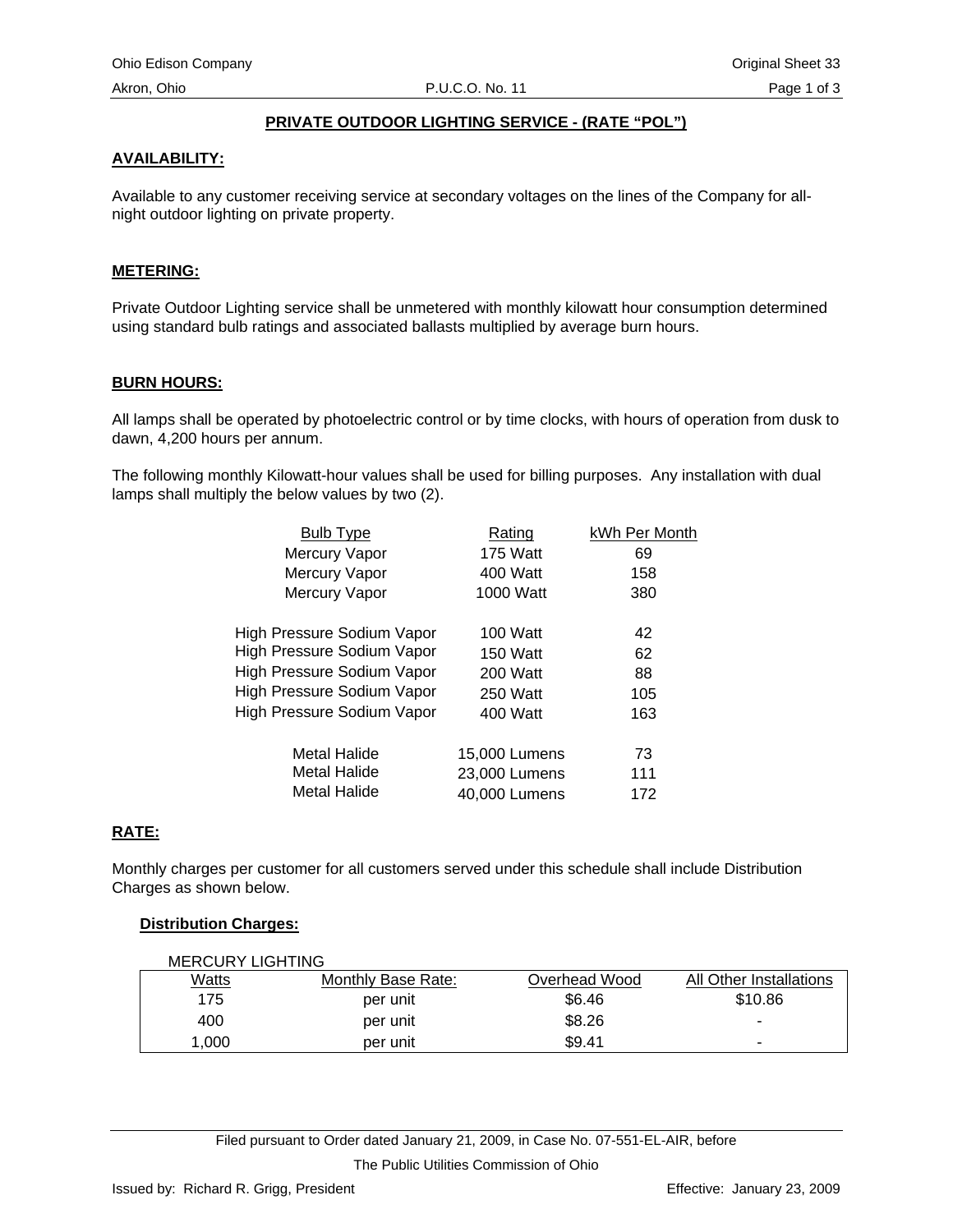#### **PRIVATE OUTDOOR LIGHTING SERVICE - (RATE "POL")**

#### **AVAILABILITY:**

Available to any customer receiving service at secondary voltages on the lines of the Company for allnight outdoor lighting on private property.

#### **METERING:**

Private Outdoor Lighting service shall be unmetered with monthly kilowatt hour consumption determined using standard bulb ratings and associated ballasts multiplied by average burn hours.

#### **BURN HOURS:**

All lamps shall be operated by photoelectric control or by time clocks, with hours of operation from dusk to dawn, 4,200 hours per annum.

The following monthly Kilowatt-hour values shall be used for billing purposes. Any installation with dual lamps shall multiply the below values by two (2).

| <b>Bulb Type</b>                  | Rating          | kWh Per Month |
|-----------------------------------|-----------------|---------------|
| Mercury Vapor                     | <b>175 Watt</b> | 69            |
| Mercury Vapor                     | 400 Watt        | 158           |
| Mercury Vapor                     | 1000 Watt       | 380           |
| High Pressure Sodium Vapor        | 100 Watt        | 42            |
| High Pressure Sodium Vapor        | <b>150 Watt</b> | 62            |
| High Pressure Sodium Vapor        | 200 Watt        | 88            |
| High Pressure Sodium Vapor        | 250 Watt        | 105           |
| <b>High Pressure Sodium Vapor</b> | 400 Watt        | 163           |
| Metal Halide                      | 15,000 Lumens   | 73            |
| Metal Halide                      | 23,000 Lumens   | 111           |
| Metal Halide                      | 40,000 Lumens   | 172           |

#### **RATE:**

Monthly charges per customer for all customers served under this schedule shall include Distribution Charges as shown below.

#### **Distribution Charges:**

| <b>MERCURY LIGHTING</b> |                    |               |                          |
|-------------------------|--------------------|---------------|--------------------------|
| <u>Watts</u>            | Monthly Base Rate: | Overhead Wood | All Other Installations  |
| 175                     | per unit           | \$6.46        | \$10.86                  |
| 400                     | per unit           | \$8.26        | -                        |
| 1.000                   | per unit           | \$9.41        | $\overline{\phantom{a}}$ |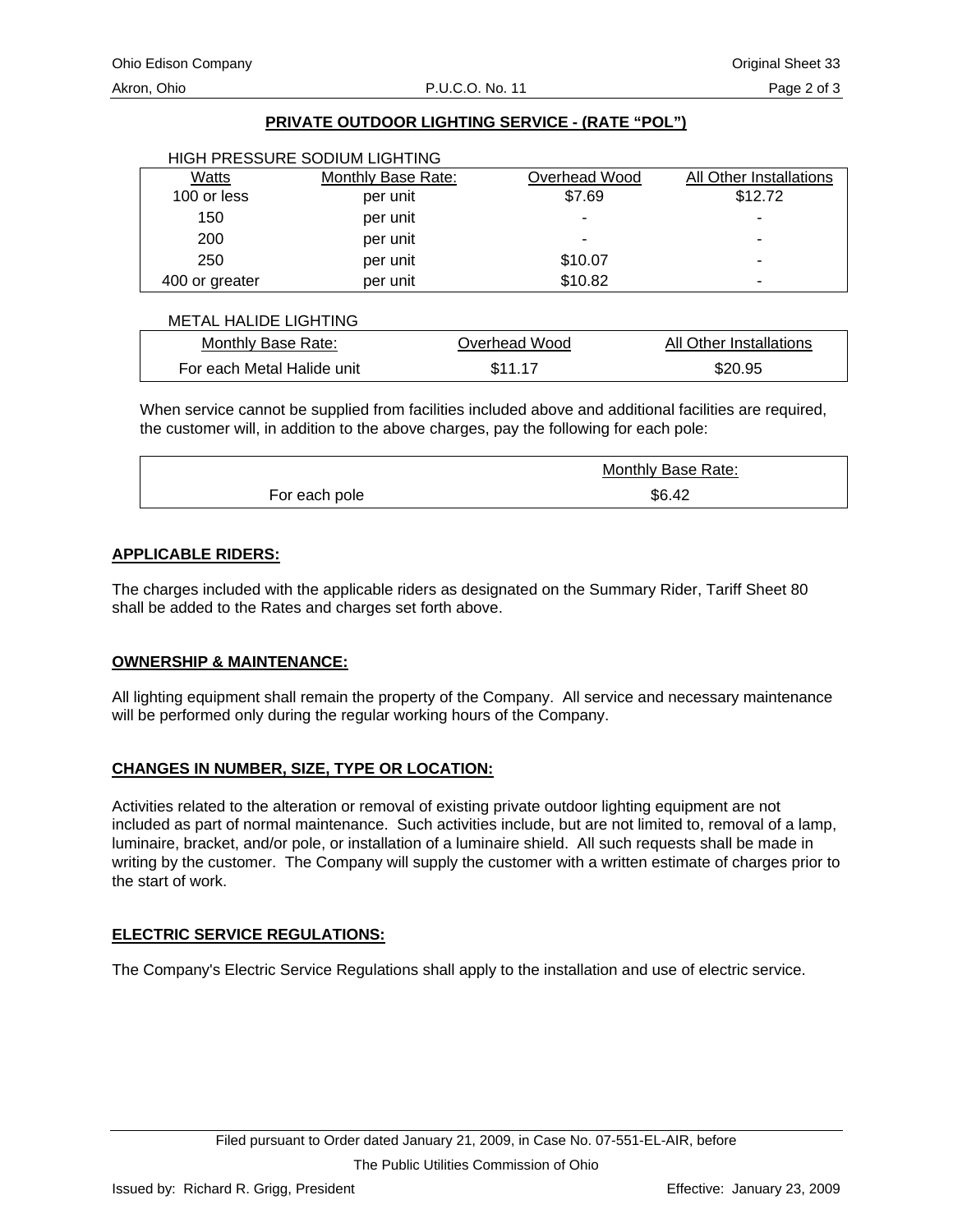## **PRIVATE OUTDOOR LIGHTING SERVICE - (RATE "POL")**

|                | HIGH PRESSURE SODIUM LIGHTING |               |                         |
|----------------|-------------------------------|---------------|-------------------------|
| Watts          | Monthly Base Rate:            | Overhead Wood | All Other Installations |
| 100 or less    | per unit                      | \$7.69        | \$12.72                 |
| 150            | per unit                      |               | -                       |
| 200            | per unit                      |               | ٠                       |
| 250            | per unit                      | \$10.07       | ٠                       |
| 400 or greater | per unit                      | \$10.82       | -                       |

#### METAL HALIDE LIGHTING

| Monthly Base Rate:         | Overhead Wood | All Other Installations |
|----------------------------|---------------|-------------------------|
| For each Metal Halide unit | \$11.17       | \$20.95                 |

When service cannot be supplied from facilities included above and additional facilities are required, the customer will, in addition to the above charges, pay the following for each pole:

|               | Monthly Base Rate: |
|---------------|--------------------|
| For each pole | \$6.42             |

#### **APPLICABLE RIDERS:**

The charges included with the applicable riders as designated on the Summary Rider, Tariff Sheet 80 shall be added to the Rates and charges set forth above.

#### **OWNERSHIP & MAINTENANCE:**

All lighting equipment shall remain the property of the Company. All service and necessary maintenance will be performed only during the regular working hours of the Company.

## **CHANGES IN NUMBER, SIZE, TYPE OR LOCATION:**

Activities related to the alteration or removal of existing private outdoor lighting equipment are not included as part of normal maintenance. Such activities include, but are not limited to, removal of a lamp, luminaire, bracket, and/or pole, or installation of a luminaire shield. All such requests shall be made in writing by the customer. The Company will supply the customer with a written estimate of charges prior to the start of work.

#### **ELECTRIC SERVICE REGULATIONS:**

The Company's Electric Service Regulations shall apply to the installation and use of electric service.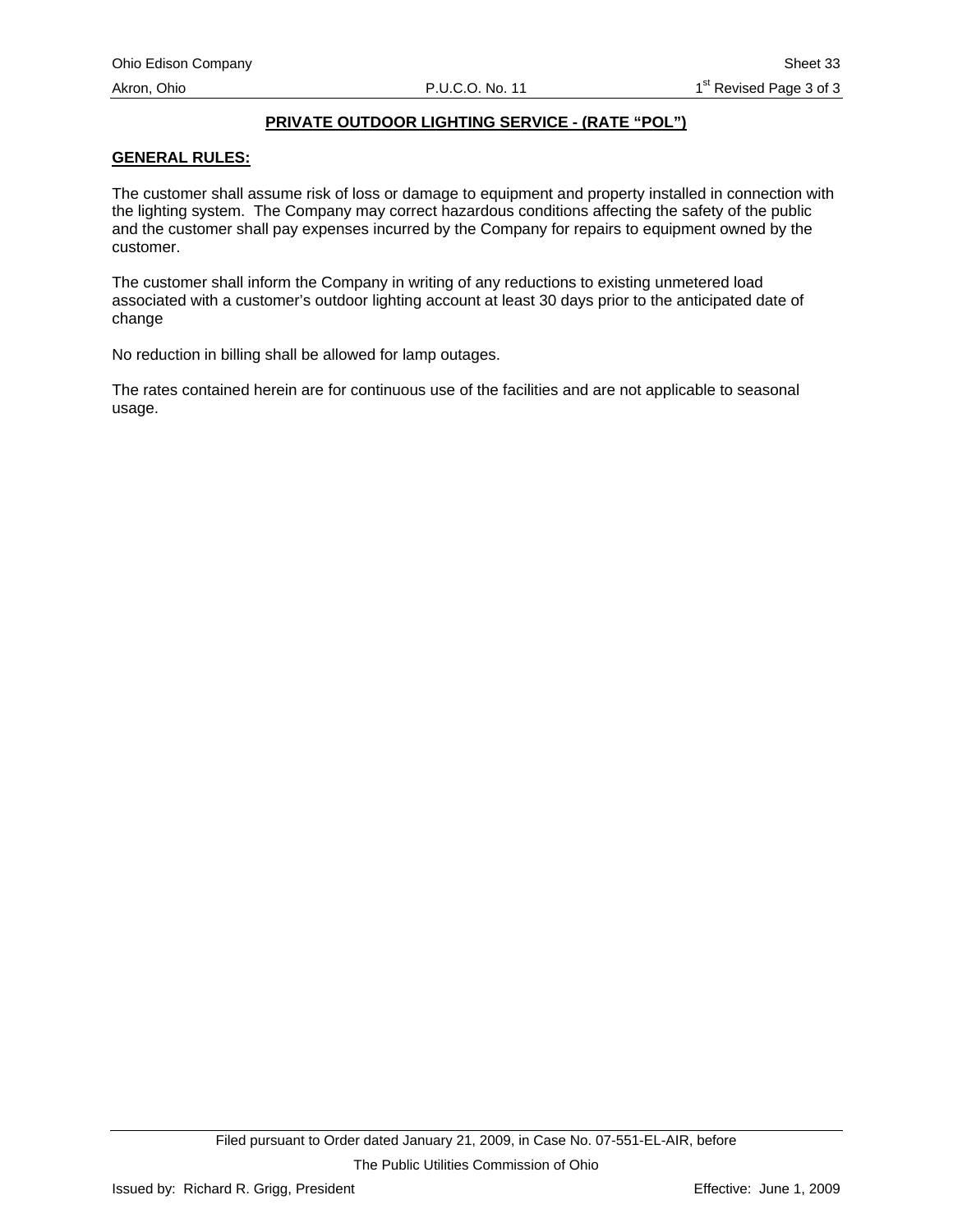## **PRIVATE OUTDOOR LIGHTING SERVICE - (RATE "POL")**

## **GENERAL RULES:**

The customer shall assume risk of loss or damage to equipment and property installed in connection with the lighting system. The Company may correct hazardous conditions affecting the safety of the public and the customer shall pay expenses incurred by the Company for repairs to equipment owned by the customer.

The customer shall inform the Company in writing of any reductions to existing unmetered load associated with a customer's outdoor lighting account at least 30 days prior to the anticipated date of change

No reduction in billing shall be allowed for lamp outages.

The rates contained herein are for continuous use of the facilities and are not applicable to seasonal usage.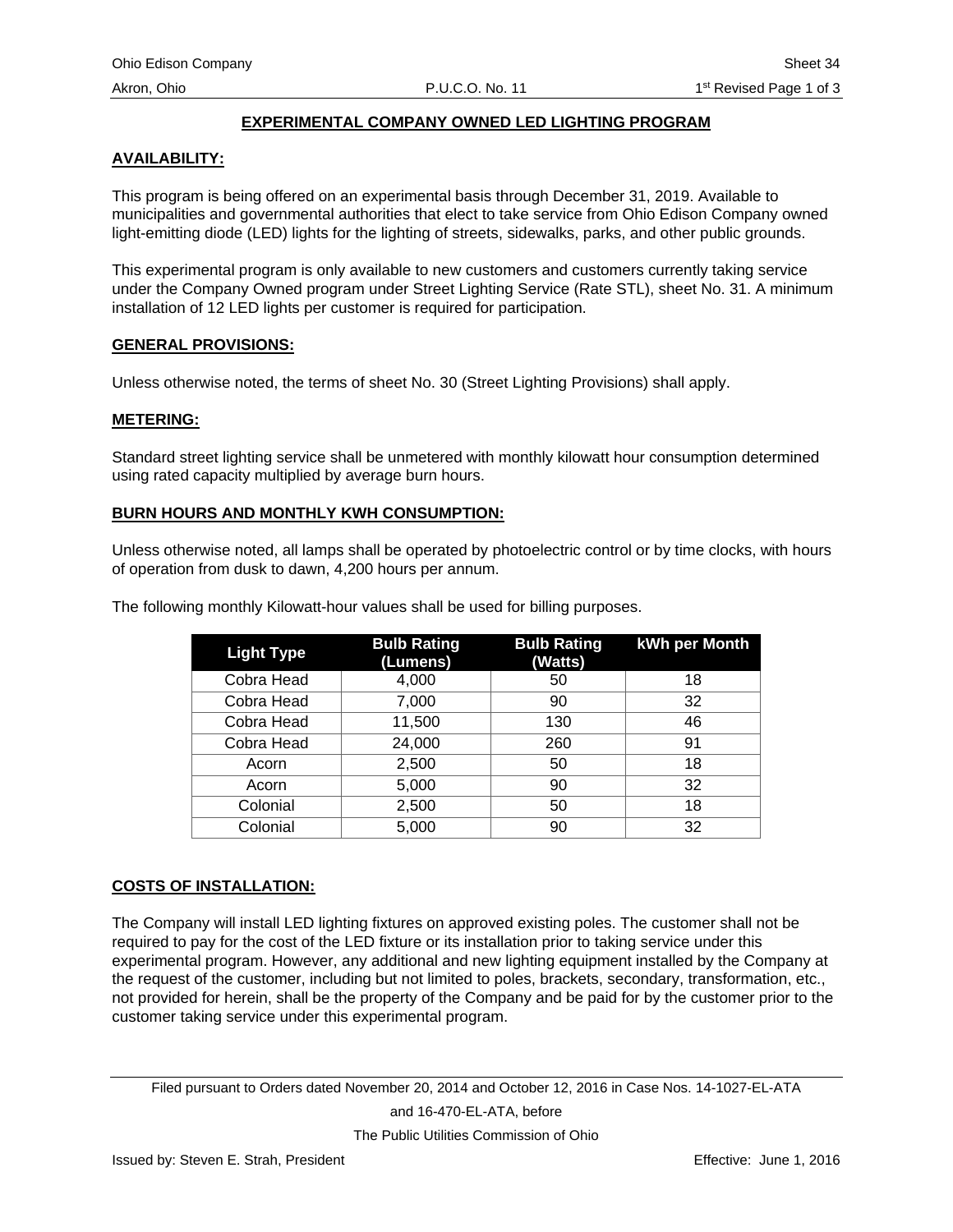#### **EXPERIMENTAL COMPANY OWNED LED LIGHTING PROGRAM**

#### **AVAILABILITY:**

This program is being offered on an experimental basis through December 31, 2019. Available to municipalities and governmental authorities that elect to take service from Ohio Edison Company owned light-emitting diode (LED) lights for the lighting of streets, sidewalks, parks, and other public grounds.

This experimental program is only available to new customers and customers currently taking service under the Company Owned program under Street Lighting Service (Rate STL), sheet No. 31. A minimum installation of 12 LED lights per customer is required for participation.

#### **GENERAL PROVISIONS:**

Unless otherwise noted, the terms of sheet No. 30 (Street Lighting Provisions) shall apply.

#### **METERING:**

Standard street lighting service shall be unmetered with monthly kilowatt hour consumption determined using rated capacity multiplied by average burn hours.

#### **BURN HOURS AND MONTHLY KWH CONSUMPTION:**

Unless otherwise noted, all lamps shall be operated by photoelectric control or by time clocks, with hours of operation from dusk to dawn, 4,200 hours per annum.

| <b>Light Type</b> | <b>Bulb Rating</b><br>(Lumens) | <b>Bulb Rating</b><br>(Watts) | kWh per Month |
|-------------------|--------------------------------|-------------------------------|---------------|
| Cobra Head        | 4,000                          | 50                            | 18            |
| Cobra Head        | 7,000                          | 90                            | 32            |
| Cobra Head        | 11,500                         | 130                           | 46            |
| Cobra Head        | 24,000                         | 260                           | 91            |
| Acorn             | 2,500                          | 50                            | 18            |
| Acorn             | 5,000                          | 90                            | 32            |
| Colonial          | 2,500                          | 50                            | 18            |
| Colonial          | 5,000                          | 90                            | 32            |

The following monthly Kilowatt-hour values shall be used for billing purposes.

#### **COSTS OF INSTALLATION:**

The Company will install LED lighting fixtures on approved existing poles. The customer shall not be required to pay for the cost of the LED fixture or its installation prior to taking service under this experimental program. However, any additional and new lighting equipment installed by the Company at the request of the customer, including but not limited to poles, brackets, secondary, transformation, etc., not provided for herein, shall be the property of the Company and be paid for by the customer prior to the customer taking service under this experimental program.

Filed pursuant to Orders dated November 20, 2014 and October 12, 2016 in Case Nos. 14-1027-EL-ATA and 16-470-EL-ATA, before

The Public Utilities Commission of Ohio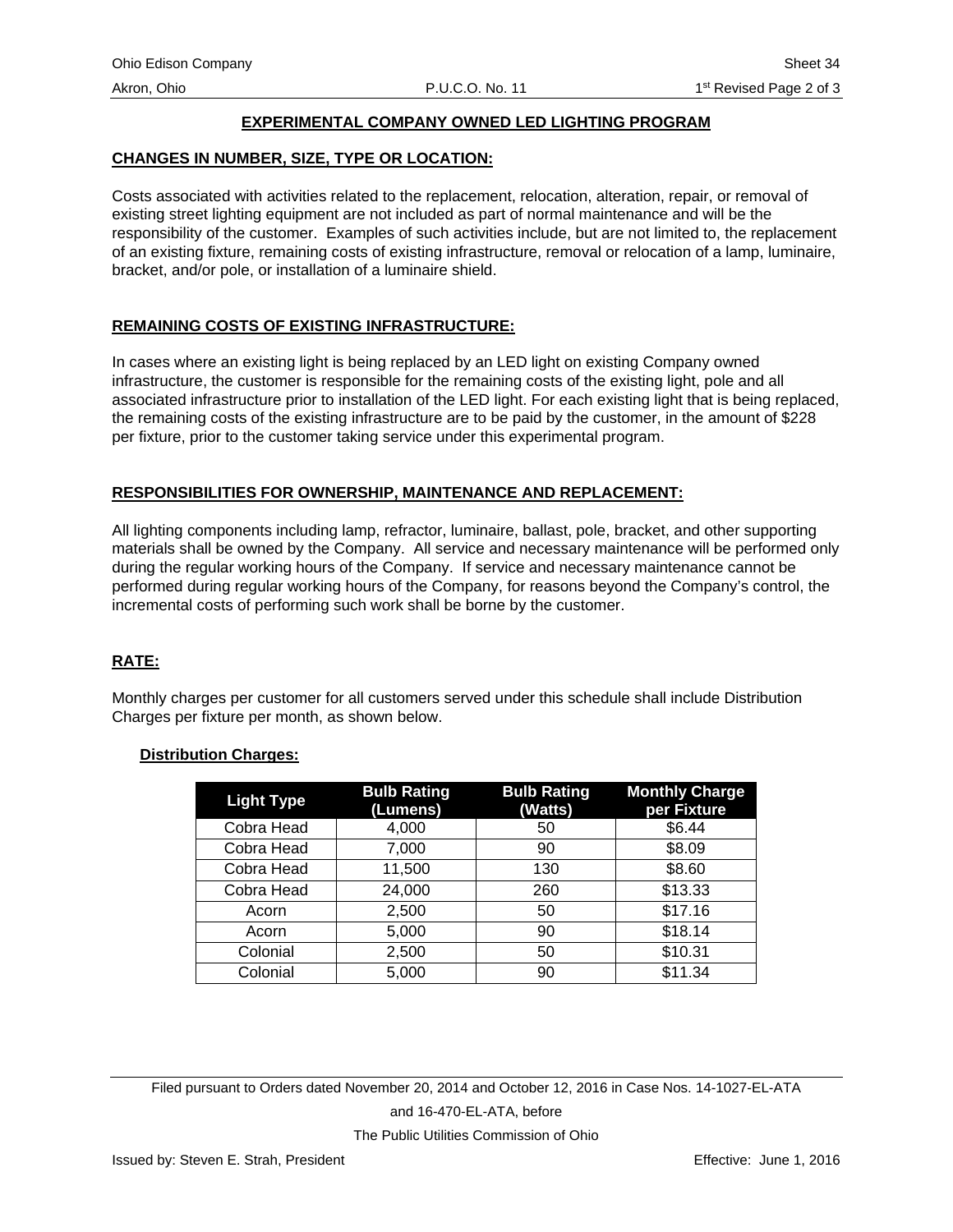## **EXPERIMENTAL COMPANY OWNED LED LIGHTING PROGRAM**

#### **CHANGES IN NUMBER, SIZE, TYPE OR LOCATION:**

Costs associated with activities related to the replacement, relocation, alteration, repair, or removal of existing street lighting equipment are not included as part of normal maintenance and will be the responsibility of the customer. Examples of such activities include, but are not limited to, the replacement of an existing fixture, remaining costs of existing infrastructure, removal or relocation of a lamp, luminaire, bracket, and/or pole, or installation of a luminaire shield.

#### **REMAINING COSTS OF EXISTING INFRASTRUCTURE:**

In cases where an existing light is being replaced by an LED light on existing Company owned infrastructure, the customer is responsible for the remaining costs of the existing light, pole and all associated infrastructure prior to installation of the LED light. For each existing light that is being replaced, the remaining costs of the existing infrastructure are to be paid by the customer, in the amount of \$228 per fixture, prior to the customer taking service under this experimental program.

#### **RESPONSIBILITIES FOR OWNERSHIP, MAINTENANCE AND REPLACEMENT:**

All lighting components including lamp, refractor, luminaire, ballast, pole, bracket, and other supporting materials shall be owned by the Company. All service and necessary maintenance will be performed only during the regular working hours of the Company. If service and necessary maintenance cannot be performed during regular working hours of the Company, for reasons beyond the Company's control, the incremental costs of performing such work shall be borne by the customer.

#### **RATE:**

Monthly charges per customer for all customers served under this schedule shall include Distribution Charges per fixture per month, as shown below.

#### **Distribution Charges:**

| <b>Light Type</b> | <b>Bulb Rating</b><br>(Lumens) | <b>Bulb Rating</b><br>(Watts) | <b>Monthly Charge</b><br>per Fixture |
|-------------------|--------------------------------|-------------------------------|--------------------------------------|
| Cobra Head        | 4,000                          | 50                            | \$6.44                               |
| Cobra Head        | 7,000                          | 90                            | \$8.09                               |
| Cobra Head        | 11,500                         | 130                           | \$8.60                               |
| Cobra Head        | 24,000                         | 260                           | \$13.33                              |
| Acorn             | 2,500                          | 50                            | \$17.16                              |
| Acorn             | 5,000                          | 90                            | \$18.14                              |
| Colonial          | 2,500                          | 50                            | \$10.31                              |
| Colonial          | 5,000                          | 90                            | \$11.34                              |

Filed pursuant to Orders dated November 20, 2014 and October 12, 2016 in Case Nos. 14-1027-EL-ATA and 16-470-EL-ATA, before The Public Utilities Commission of Ohio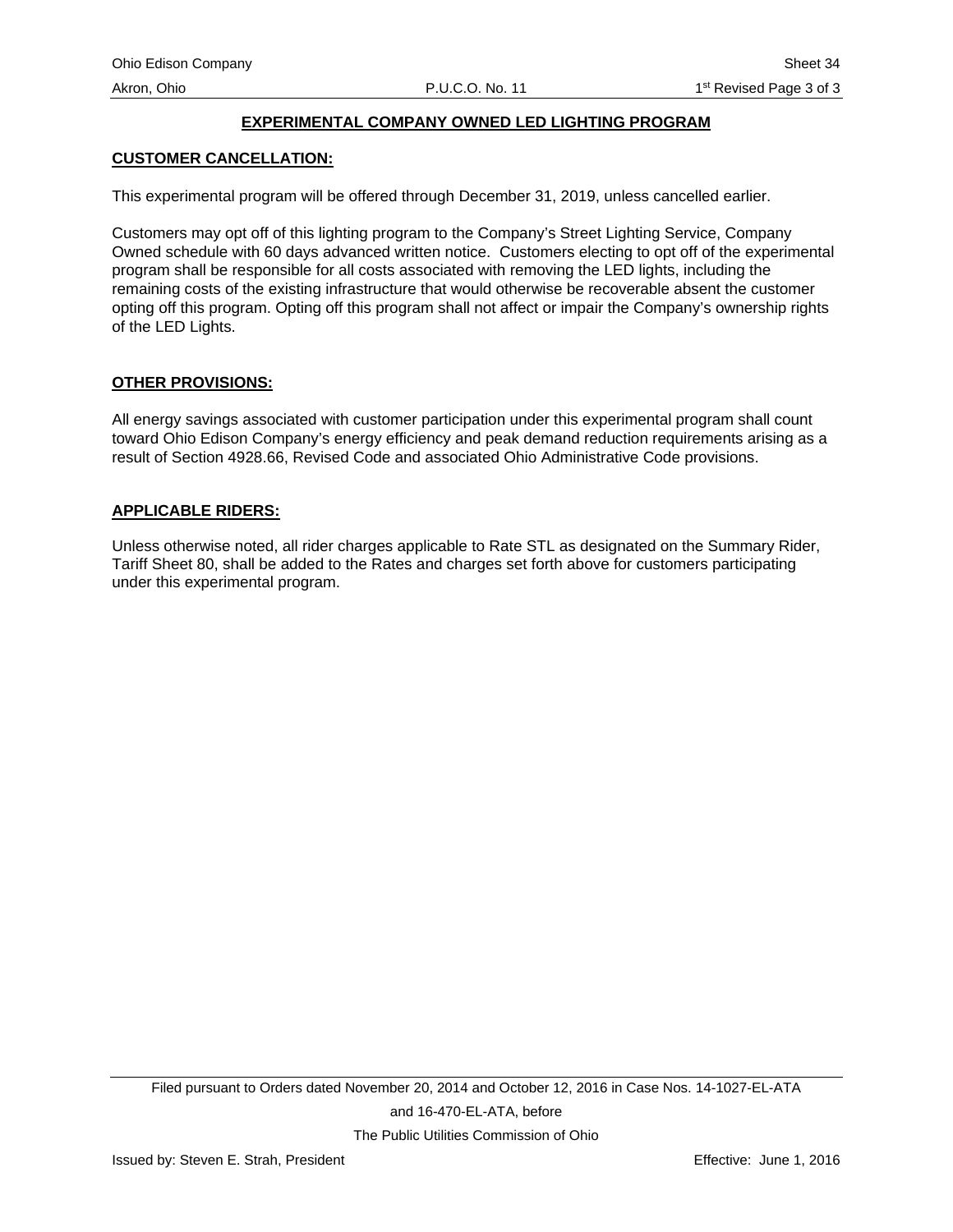## **EXPERIMENTAL COMPANY OWNED LED LIGHTING PROGRAM**

#### **CUSTOMER CANCELLATION:**

This experimental program will be offered through December 31, 2019, unless cancelled earlier.

Customers may opt off of this lighting program to the Company's Street Lighting Service, Company Owned schedule with 60 days advanced written notice. Customers electing to opt off of the experimental program shall be responsible for all costs associated with removing the LED lights, including the remaining costs of the existing infrastructure that would otherwise be recoverable absent the customer opting off this program. Opting off this program shall not affect or impair the Company's ownership rights of the LED Lights.

#### **OTHER PROVISIONS:**

All energy savings associated with customer participation under this experimental program shall count toward Ohio Edison Company's energy efficiency and peak demand reduction requirements arising as a result of Section 4928.66, Revised Code and associated Ohio Administrative Code provisions.

#### **APPLICABLE RIDERS:**

Unless otherwise noted, all rider charges applicable to Rate STL as designated on the Summary Rider, Tariff Sheet 80, shall be added to the Rates and charges set forth above for customers participating under this experimental program.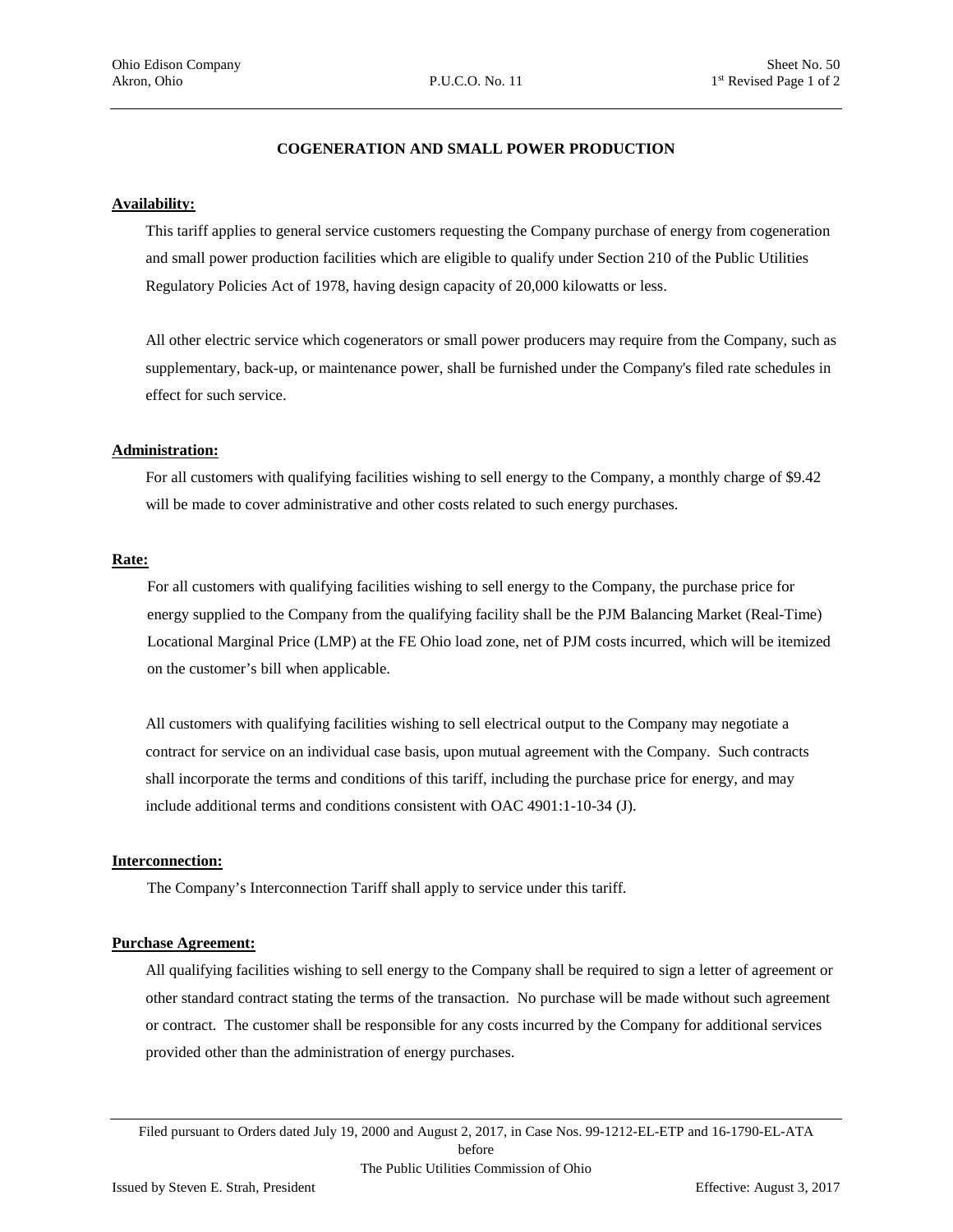#### **COGENERATION AND SMALL POWER PRODUCTION**

#### **Availability:**

This tariff applies to general service customers requesting the Company purchase of energy from cogeneration and small power production facilities which are eligible to qualify under Section 210 of the Public Utilities Regulatory Policies Act of 1978, having design capacity of 20,000 kilowatts or less.

All other electric service which cogenerators or small power producers may require from the Company, such as supplementary, back-up, or maintenance power, shall be furnished under the Company's filed rate schedules in effect for such service.

#### **Administration:**

For all customers with qualifying facilities wishing to sell energy to the Company, a monthly charge of \$9.42 will be made to cover administrative and other costs related to such energy purchases.

#### **Rate:**

For all customers with qualifying facilities wishing to sell energy to the Company, the purchase price for energy supplied to the Company from the qualifying facility shall be the PJM Balancing Market (Real-Time) Locational Marginal Price (LMP) at the FE Ohio load zone, net of PJM costs incurred, which will be itemized on the customer's bill when applicable.

All customers with qualifying facilities wishing to sell electrical output to the Company may negotiate a contract for service on an individual case basis, upon mutual agreement with the Company. Such contracts shall incorporate the terms and conditions of this tariff, including the purchase price for energy, and may include additional terms and conditions consistent with OAC 4901:1-10-34 (J).

#### **Interconnection:**

The Company's Interconnection Tariff shall apply to service under this tariff.

#### **Purchase Agreement:**

All qualifying facilities wishing to sell energy to the Company shall be required to sign a letter of agreement or other standard contract stating the terms of the transaction. No purchase will be made without such agreement or contract. The customer shall be responsible for any costs incurred by the Company for additional services provided other than the administration of energy purchases.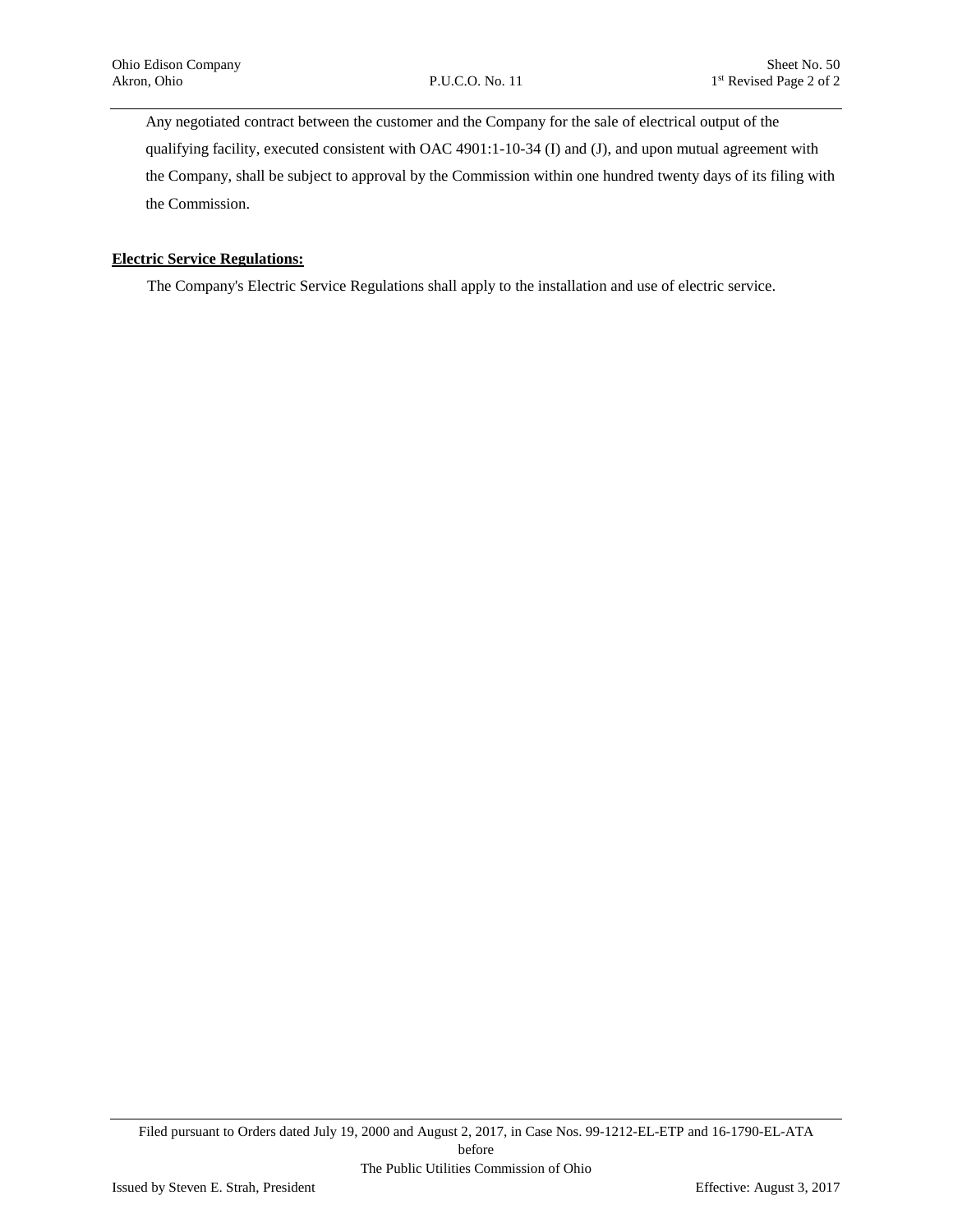Any negotiated contract between the customer and the Company for the sale of electrical output of the qualifying facility, executed consistent with OAC 4901:1-10-34 (I) and (J), and upon mutual agreement with the Company, shall be subject to approval by the Commission within one hundred twenty days of its filing with the Commission.

#### **Electric Service Regulations:**

The Company's Electric Service Regulations shall apply to the installation and use of electric service.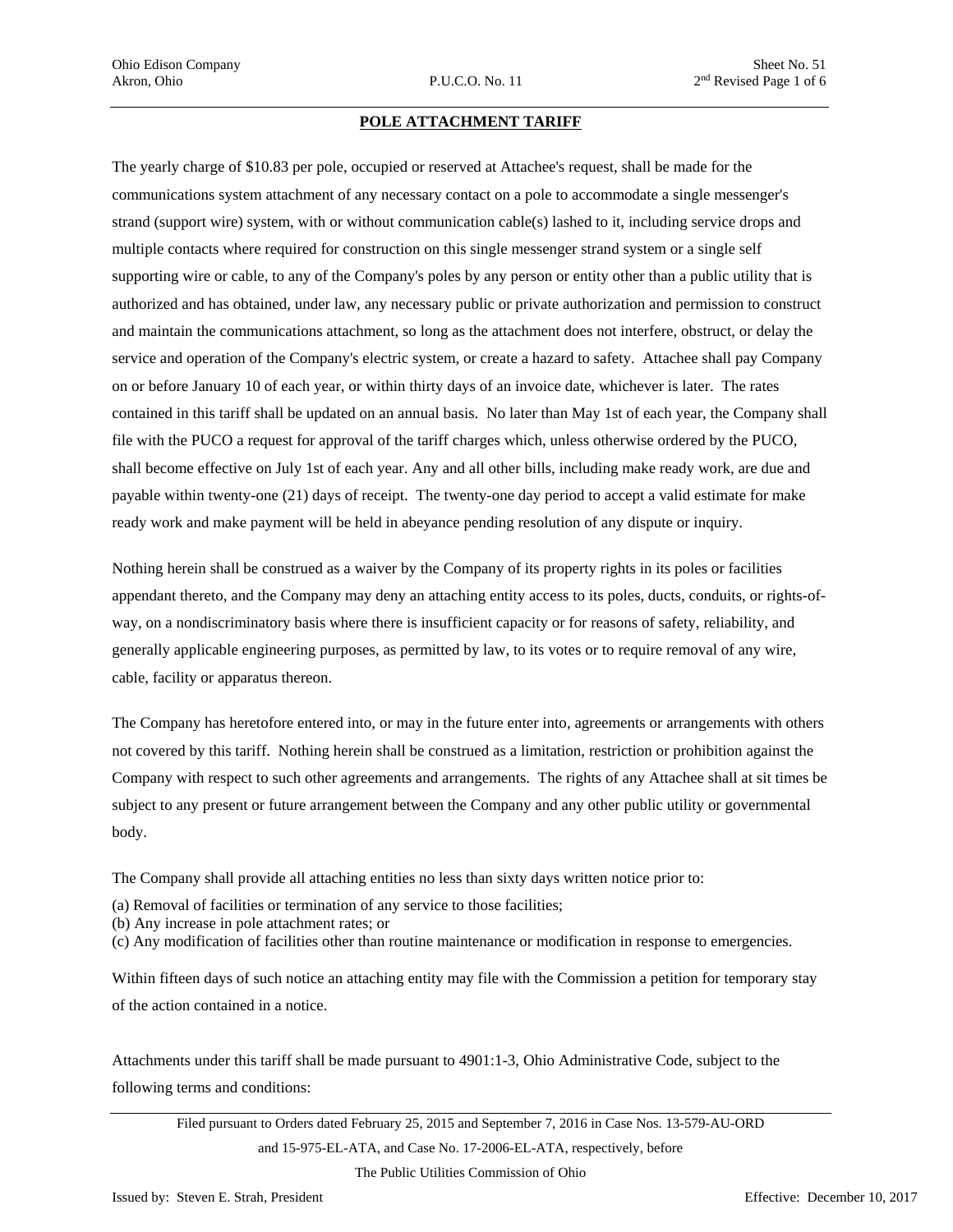#### **POLE ATTACHMENT TARIFF**

The yearly charge of \$10.83 per pole, occupied or reserved at Attachee's request, shall be made for the communications system attachment of any necessary contact on a pole to accommodate a single messenger's strand (support wire) system, with or without communication cable(s) lashed to it, including service drops and multiple contacts where required for construction on this single messenger strand system or a single self supporting wire or cable, to any of the Company's poles by any person or entity other than a public utility that is authorized and has obtained, under law, any necessary public or private authorization and permission to construct and maintain the communications attachment, so long as the attachment does not interfere, obstruct, or delay the service and operation of the Company's electric system, or create a hazard to safety. Attachee shall pay Company on or before January 10 of each year, or within thirty days of an invoice date, whichever is later. The rates contained in this tariff shall be updated on an annual basis. No later than May 1st of each year, the Company shall file with the PUCO a request for approval of the tariff charges which, unless otherwise ordered by the PUCO, shall become effective on July 1st of each year. Any and all other bills, including make ready work, are due and payable within twenty-one (21) days of receipt. The twenty-one day period to accept a valid estimate for make ready work and make payment will be held in abeyance pending resolution of any dispute or inquiry.

Nothing herein shall be construed as a waiver by the Company of its property rights in its poles or facilities appendant thereto, and the Company may deny an attaching entity access to its poles, ducts, conduits, or rights-ofway, on a nondiscriminatory basis where there is insufficient capacity or for reasons of safety, reliability, and generally applicable engineering purposes, as permitted by law, to its votes or to require removal of any wire, cable, facility or apparatus thereon.

The Company has heretofore entered into, or may in the future enter into, agreements or arrangements with others not covered by this tariff. Nothing herein shall be construed as a limitation, restriction or prohibition against the Company with respect to such other agreements and arrangements. The rights of any Attachee shall at sit times be subject to any present or future arrangement between the Company and any other public utility or governmental body.

The Company shall provide all attaching entities no less than sixty days written notice prior to:

- (a) Removal of facilities or termination of any service to those facilities;
- (b) Any increase in pole attachment rates; or
- (c) Any modification of facilities other than routine maintenance or modification in response to emergencies.

Within fifteen days of such notice an attaching entity may file with the Commission a petition for temporary stay of the action contained in a notice.

Attachments under this tariff shall be made pursuant to 4901:1-3, Ohio Administrative Code, subject to the following terms and conditions:

Filed pursuant to Orders dated February 25, 2015 and September 7, 2016 in Case Nos. 13-579-AU-ORD and 15-975-EL-ATA, and Case No. 17-2006-EL-ATA, respectively, before

The Public Utilities Commission of Ohio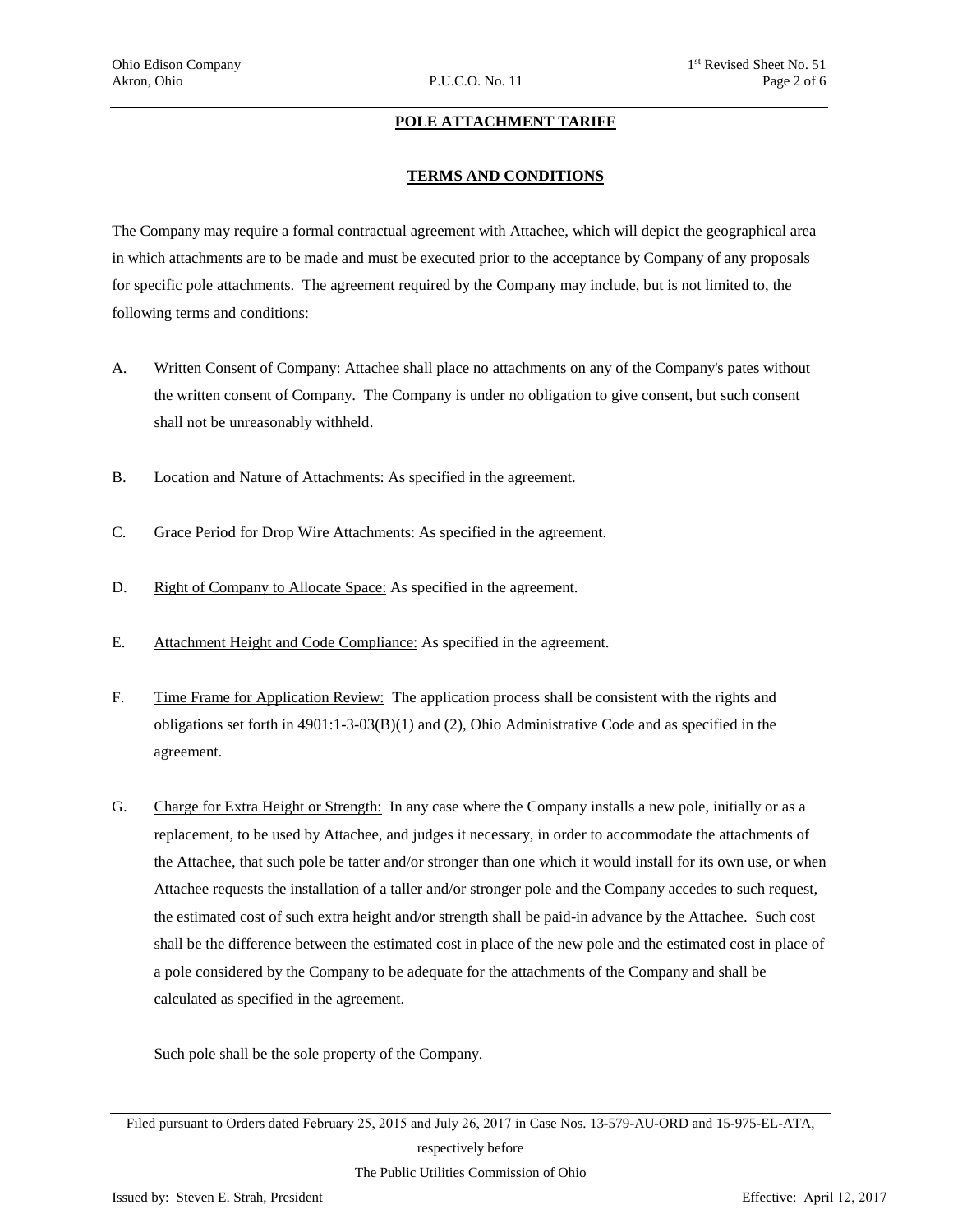#### **POLE ATTACHMENT TARIFF**

#### **TERMS AND CONDITIONS**

The Company may require a formal contractual agreement with Attachee, which will depict the geographical area in which attachments are to be made and must be executed prior to the acceptance by Company of any proposals for specific pole attachments. The agreement required by the Company may include, but is not limited to, the following terms and conditions:

- A. Written Consent of Company: Attachee shall place no attachments on any of the Company's pates without the written consent of Company. The Company is under no obligation to give consent, but such consent shall not be unreasonably withheld.
- B. Location and Nature of Attachments: As specified in the agreement.
- C. Grace Period for Drop Wire Attachments: As specified in the agreement.
- D. Right of Company to Allocate Space: As specified in the agreement.
- E. Attachment Height and Code Compliance: As specified in the agreement.
- F. Time Frame for Application Review: The application process shall be consistent with the rights and obligations set forth in 4901:1-3-03(B)(1) and (2), Ohio Administrative Code and as specified in the agreement.
- G. Charge for Extra Height or Strength: In any case where the Company installs a new pole, initially or as a replacement, to be used by Attachee, and judges it necessary, in order to accommodate the attachments of the Attachee, that such pole be tatter and/or stronger than one which it would install for its own use, or when Attachee requests the installation of a taller and/or stronger pole and the Company accedes to such request, the estimated cost of such extra height and/or strength shall be paid-in advance by the Attachee. Such cost shall be the difference between the estimated cost in place of the new pole and the estimated cost in place of a pole considered by the Company to be adequate for the attachments of the Company and shall be calculated as specified in the agreement.

Such pole shall be the sole property of the Company.

The Public Utilities Commission of Ohio

Filed pursuant to Orders dated February 25, 2015 and July 26, 2017 in Case Nos. 13-579-AU-ORD and 15-975-EL-ATA, respectively before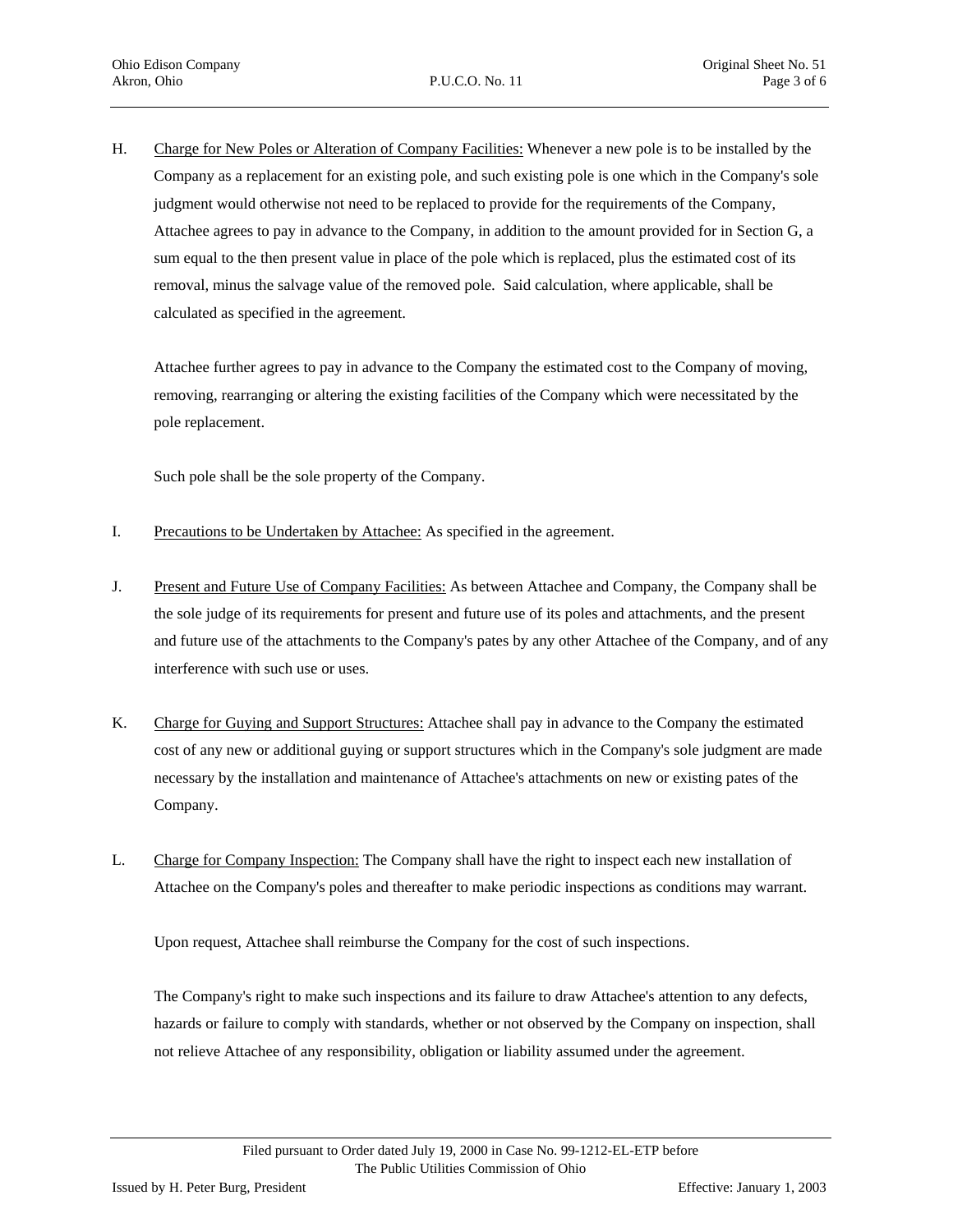H. Charge for New Poles or Alteration of Company Facilities: Whenever a new pole is to be installed by the Company as a replacement for an existing pole, and such existing pole is one which in the Company's sole judgment would otherwise not need to be replaced to provide for the requirements of the Company, Attachee agrees to pay in advance to the Company, in addition to the amount provided for in Section G, a sum equal to the then present value in place of the pole which is replaced, plus the estimated cost of its removal, minus the salvage value of the removed pole. Said calculation, where applicable, shall be calculated as specified in the agreement.

Attachee further agrees to pay in advance to the Company the estimated cost to the Company of moving, removing, rearranging or altering the existing facilities of the Company which were necessitated by the pole replacement.

Such pole shall be the sole property of the Company.

- I. Precautions to be Undertaken by Attachee: As specified in the agreement.
- J. Present and Future Use of Company Facilities: As between Attachee and Company, the Company shall be the sole judge of its requirements for present and future use of its poles and attachments, and the present and future use of the attachments to the Company's pates by any other Attachee of the Company, and of any interference with such use or uses.
- K. Charge for Guying and Support Structures: Attachee shall pay in advance to the Company the estimated cost of any new or additional guying or support structures which in the Company's sole judgment are made necessary by the installation and maintenance of Attachee's attachments on new or existing pates of the Company.
- L. Charge for Company Inspection: The Company shall have the right to inspect each new installation of Attachee on the Company's poles and thereafter to make periodic inspections as conditions may warrant.

Upon request, Attachee shall reimburse the Company for the cost of such inspections.

The Company's right to make such inspections and its failure to draw Attachee's attention to any defects, hazards or failure to comply with standards, whether or not observed by the Company on inspection, shall not relieve Attachee of any responsibility, obligation or liability assumed under the agreement.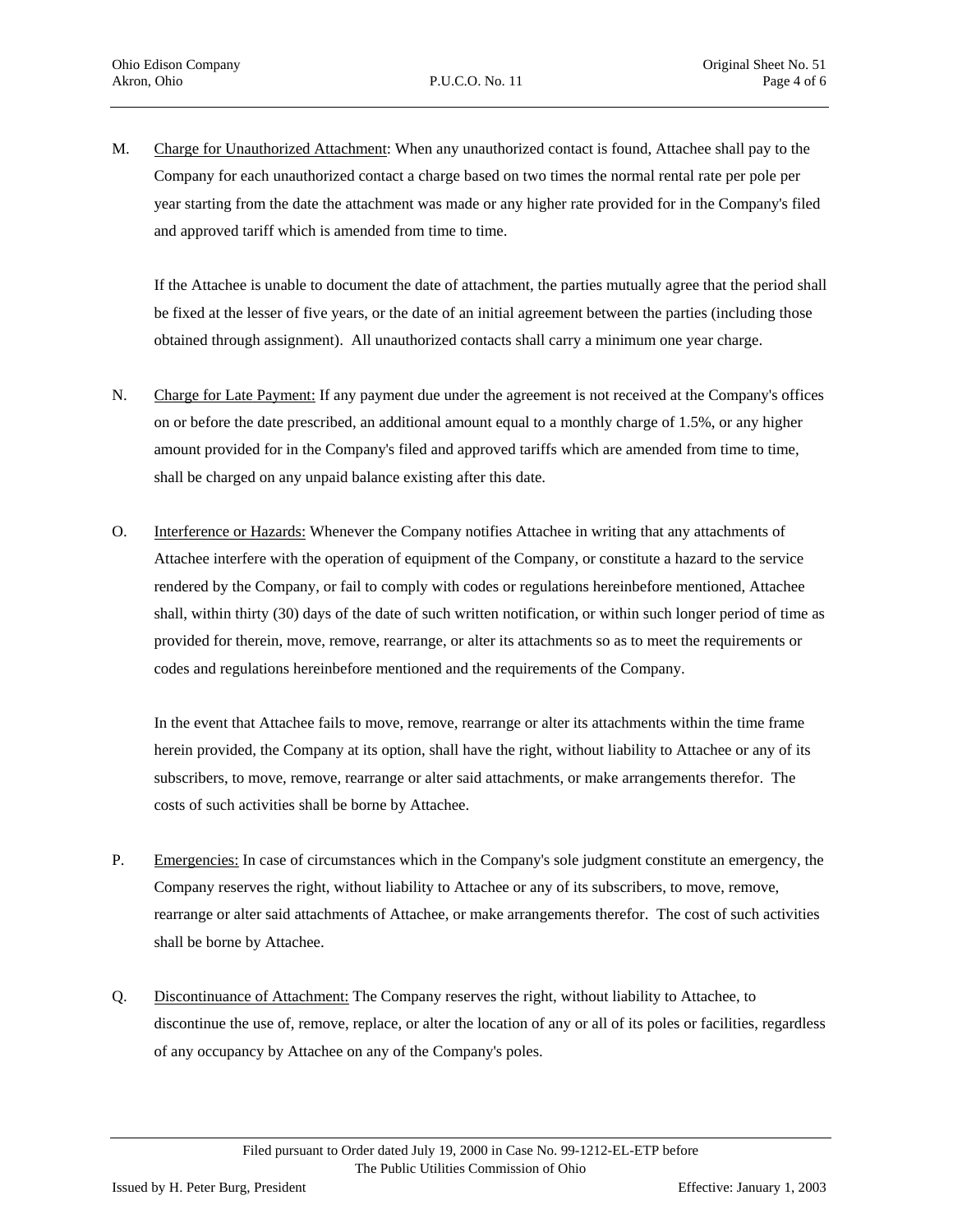M. Charge for Unauthorized Attachment: When any unauthorized contact is found, Attachee shall pay to the Company for each unauthorized contact a charge based on two times the normal rental rate per pole per year starting from the date the attachment was made or any higher rate provided for in the Company's filed and approved tariff which is amended from time to time.

If the Attachee is unable to document the date of attachment, the parties mutually agree that the period shall be fixed at the lesser of five years, or the date of an initial agreement between the parties (including those obtained through assignment). All unauthorized contacts shall carry a minimum one year charge.

- N. Charge for Late Payment: If any payment due under the agreement is not received at the Company's offices on or before the date prescribed, an additional amount equal to a monthly charge of 1.5%, or any higher amount provided for in the Company's filed and approved tariffs which are amended from time to time, shall be charged on any unpaid balance existing after this date.
- O. Interference or Hazards: Whenever the Company notifies Attachee in writing that any attachments of Attachee interfere with the operation of equipment of the Company, or constitute a hazard to the service rendered by the Company, or fail to comply with codes or regulations hereinbefore mentioned, Attachee shall, within thirty (30) days of the date of such written notification, or within such longer period of time as provided for therein, move, remove, rearrange, or alter its attachments so as to meet the requirements or codes and regulations hereinbefore mentioned and the requirements of the Company.

In the event that Attachee fails to move, remove, rearrange or alter its attachments within the time frame herein provided, the Company at its option, shall have the right, without liability to Attachee or any of its subscribers, to move, remove, rearrange or alter said attachments, or make arrangements therefor. The costs of such activities shall be borne by Attachee.

- P. Emergencies: In case of circumstances which in the Company's sole judgment constitute an emergency, the Company reserves the right, without liability to Attachee or any of its subscribers, to move, remove, rearrange or alter said attachments of Attachee, or make arrangements therefor. The cost of such activities shall be borne by Attachee.
- Q. Discontinuance of Attachment: The Company reserves the right, without liability to Attachee, to discontinue the use of, remove, replace, or alter the location of any or all of its poles or facilities, regardless of any occupancy by Attachee on any of the Company's poles.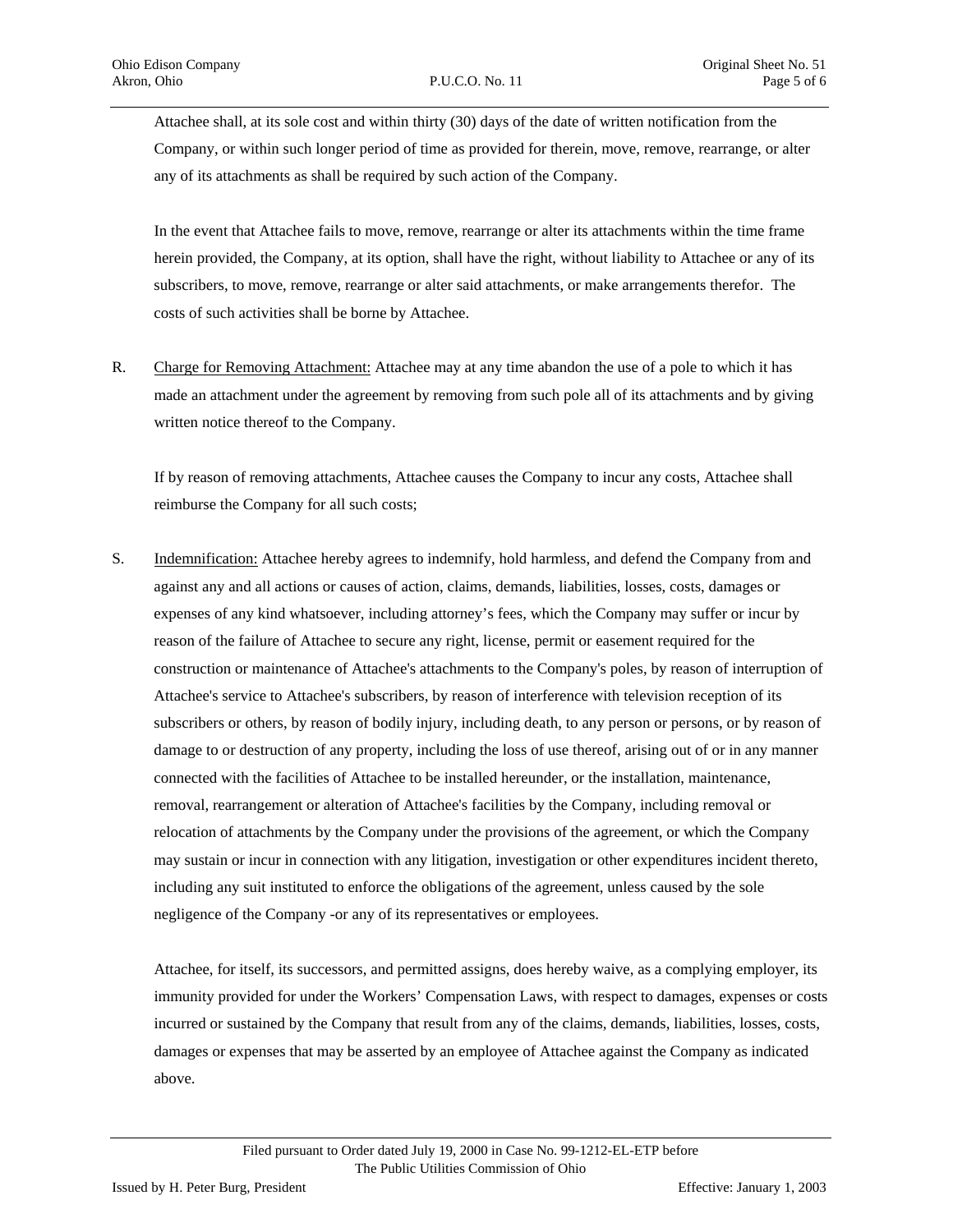Attachee shall, at its sole cost and within thirty (30) days of the date of written notification from the Company, or within such longer period of time as provided for therein, move, remove, rearrange, or alter any of its attachments as shall be required by such action of the Company.

In the event that Attachee fails to move, remove, rearrange or alter its attachments within the time frame herein provided, the Company, at its option, shall have the right, without liability to Attachee or any of its subscribers, to move, remove, rearrange or alter said attachments, or make arrangements therefor. The costs of such activities shall be borne by Attachee.

R. Charge for Removing Attachment: Attachee may at any time abandon the use of a pole to which it has made an attachment under the agreement by removing from such pole all of its attachments and by giving written notice thereof to the Company.

If by reason of removing attachments, Attachee causes the Company to incur any costs, Attachee shall reimburse the Company for all such costs;

S. Indemnification: Attachee hereby agrees to indemnify, hold harmless, and defend the Company from and against any and all actions or causes of action, claims, demands, liabilities, losses, costs, damages or expenses of any kind whatsoever, including attorney's fees, which the Company may suffer or incur by reason of the failure of Attachee to secure any right, license, permit or easement required for the construction or maintenance of Attachee's attachments to the Company's poles, by reason of interruption of Attachee's service to Attachee's subscribers, by reason of interference with television reception of its subscribers or others, by reason of bodily injury, including death, to any person or persons, or by reason of damage to or destruction of any property, including the loss of use thereof, arising out of or in any manner connected with the facilities of Attachee to be installed hereunder, or the installation, maintenance, removal, rearrangement or alteration of Attachee's facilities by the Company, including removal or relocation of attachments by the Company under the provisions of the agreement, or which the Company may sustain or incur in connection with any litigation, investigation or other expenditures incident thereto, including any suit instituted to enforce the obligations of the agreement, unless caused by the sole negligence of the Company -or any of its representatives or employees.

Attachee, for itself, its successors, and permitted assigns, does hereby waive, as a complying employer, its immunity provided for under the Workers' Compensation Laws, with respect to damages, expenses or costs incurred or sustained by the Company that result from any of the claims, demands, liabilities, losses, costs, damages or expenses that may be asserted by an employee of Attachee against the Company as indicated above.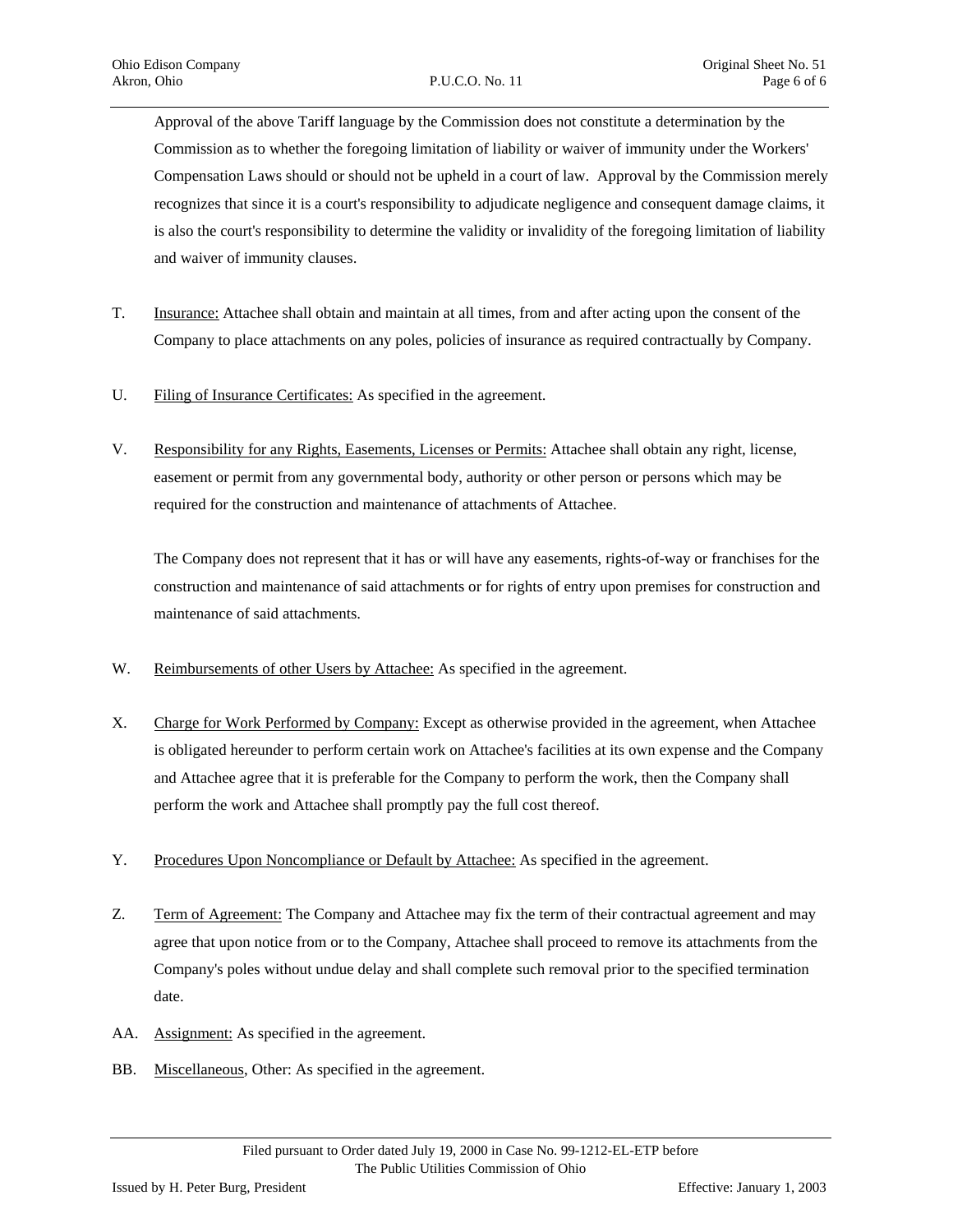Approval of the above Tariff language by the Commission does not constitute a determination by the Commission as to whether the foregoing limitation of liability or waiver of immunity under the Workers' Compensation Laws should or should not be upheld in a court of law. Approval by the Commission merely recognizes that since it is a court's responsibility to adjudicate negligence and consequent damage claims, it is also the court's responsibility to determine the validity or invalidity of the foregoing limitation of liability and waiver of immunity clauses.

- T. Insurance: Attachee shall obtain and maintain at all times, from and after acting upon the consent of the Company to place attachments on any poles, policies of insurance as required contractually by Company.
- U. Filing of Insurance Certificates: As specified in the agreement.
- V. Responsibility for any Rights, Easements, Licenses or Permits: Attachee shall obtain any right, license, easement or permit from any governmental body, authority or other person or persons which may be required for the construction and maintenance of attachments of Attachee.

The Company does not represent that it has or will have any easements, rights-of-way or franchises for the construction and maintenance of said attachments or for rights of entry upon premises for construction and maintenance of said attachments.

- W. Reimbursements of other Users by Attachee: As specified in the agreement.
- X. Charge for Work Performed by Company: Except as otherwise provided in the agreement, when Attachee is obligated hereunder to perform certain work on Attachee's facilities at its own expense and the Company and Attachee agree that it is preferable for the Company to perform the work, then the Company shall perform the work and Attachee shall promptly pay the full cost thereof.
- Y. Procedures Upon Noncompliance or Default by Attachee: As specified in the agreement.
- Z. Term of Agreement: The Company and Attachee may fix the term of their contractual agreement and may agree that upon notice from or to the Company, Attachee shall proceed to remove its attachments from the Company's poles without undue delay and shall complete such removal prior to the specified termination date.
- AA. Assignment: As specified in the agreement.
- BB. Miscellaneous, Other: As specified in the agreement.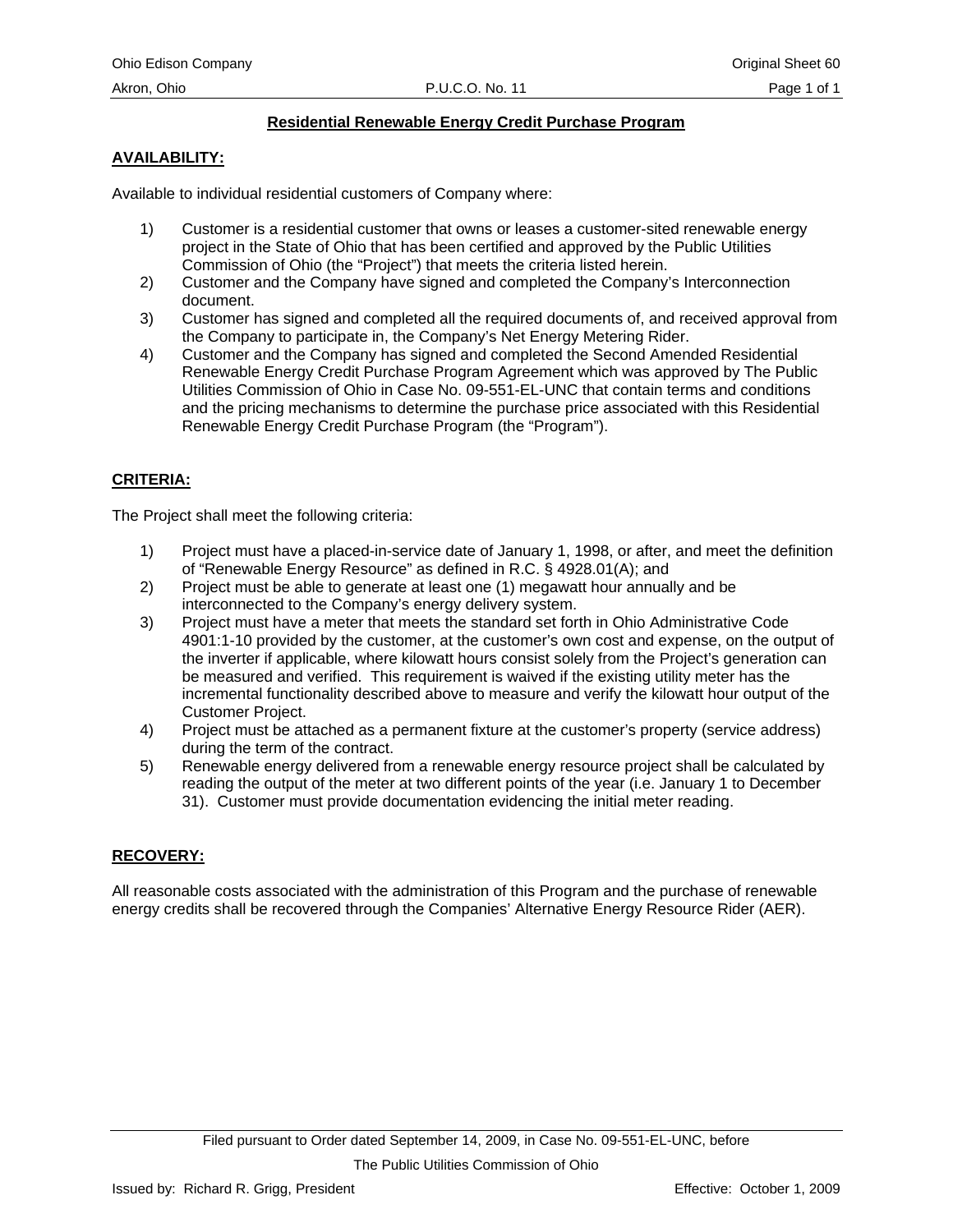## **Residential Renewable Energy Credit Purchase Program**

## **AVAILABILITY:**

Available to individual residential customers of Company where:

- 1) Customer is a residential customer that owns or leases a customer-sited renewable energy project in the State of Ohio that has been certified and approved by the Public Utilities Commission of Ohio (the "Project") that meets the criteria listed herein.
- 2) Customer and the Company have signed and completed the Company's Interconnection document.
- 3) Customer has signed and completed all the required documents of, and received approval from the Company to participate in, the Company's Net Energy Metering Rider.
- 4) Customer and the Company has signed and completed the Second Amended Residential Renewable Energy Credit Purchase Program Agreement which was approved by The Public Utilities Commission of Ohio in Case No. 09-551-EL-UNC that contain terms and conditions and the pricing mechanisms to determine the purchase price associated with this Residential Renewable Energy Credit Purchase Program (the "Program").

## **CRITERIA:**

The Project shall meet the following criteria:

- 1) Project must have a placed-in-service date of January 1, 1998, or after, and meet the definition of "Renewable Energy Resource" as defined in R.C. § 4928.01(A); and
- 2) Project must be able to generate at least one (1) megawatt hour annually and be interconnected to the Company's energy delivery system.
- 3) Project must have a meter that meets the standard set forth in Ohio Administrative Code 4901:1-10 provided by the customer, at the customer's own cost and expense, on the output of the inverter if applicable, where kilowatt hours consist solely from the Project's generation can be measured and verified. This requirement is waived if the existing utility meter has the incremental functionality described above to measure and verify the kilowatt hour output of the Customer Project.
- 4) Project must be attached as a permanent fixture at the customer's property (service address) during the term of the contract.
- 5) Renewable energy delivered from a renewable energy resource project shall be calculated by reading the output of the meter at two different points of the year (i.e. January 1 to December 31). Customer must provide documentation evidencing the initial meter reading.

#### **RECOVERY:**

All reasonable costs associated with the administration of this Program and the purchase of renewable energy credits shall be recovered through the Companies' Alternative Energy Resource Rider (AER).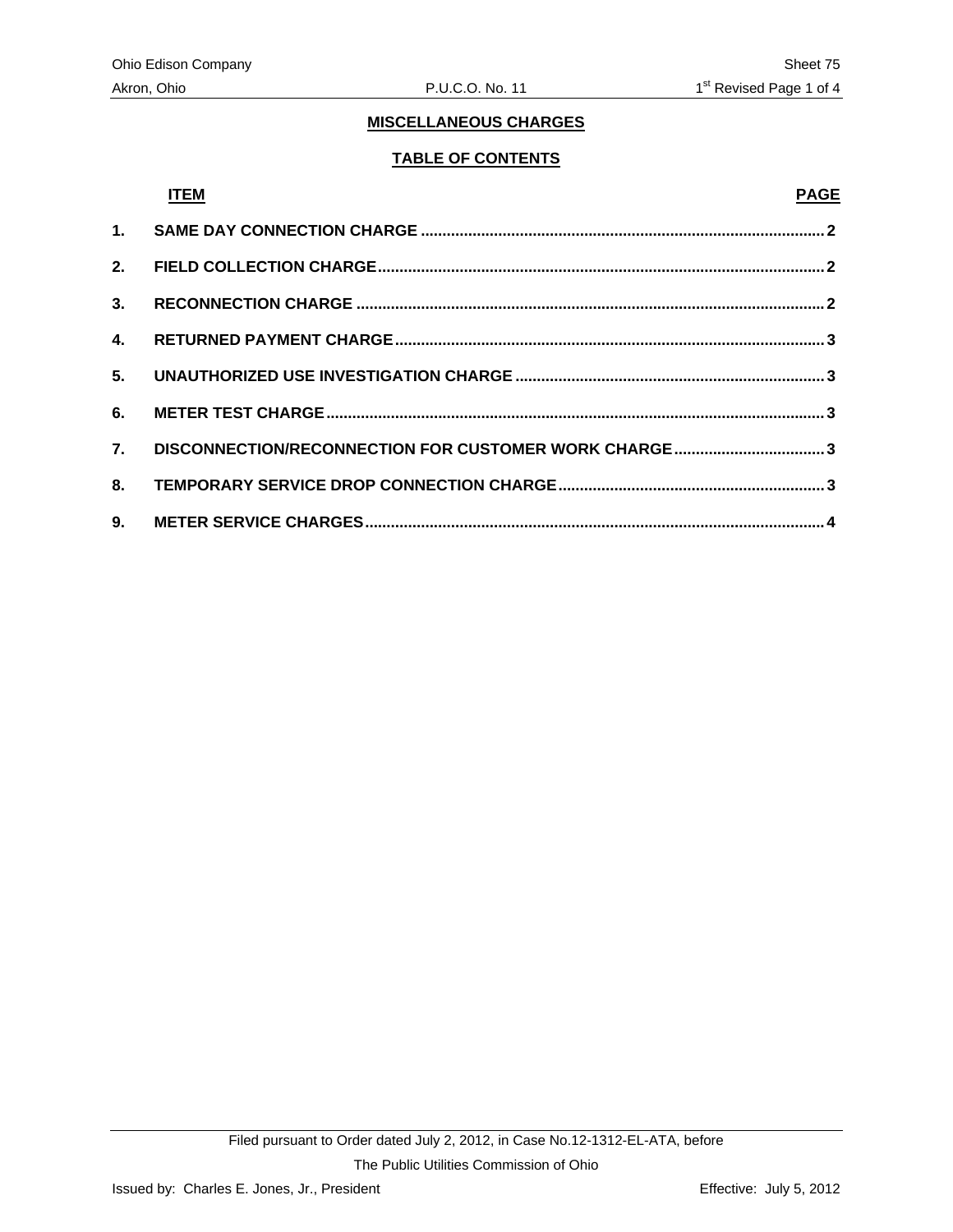## **TABLE OF CONTENTS**

## **ITEM PAGE**

| 5. |                                                      |  |
|----|------------------------------------------------------|--|
| 6. |                                                      |  |
| 7. | DISCONNECTION/RECONNECTION FOR CUSTOMER WORK CHARGE3 |  |
| 8. |                                                      |  |
|    |                                                      |  |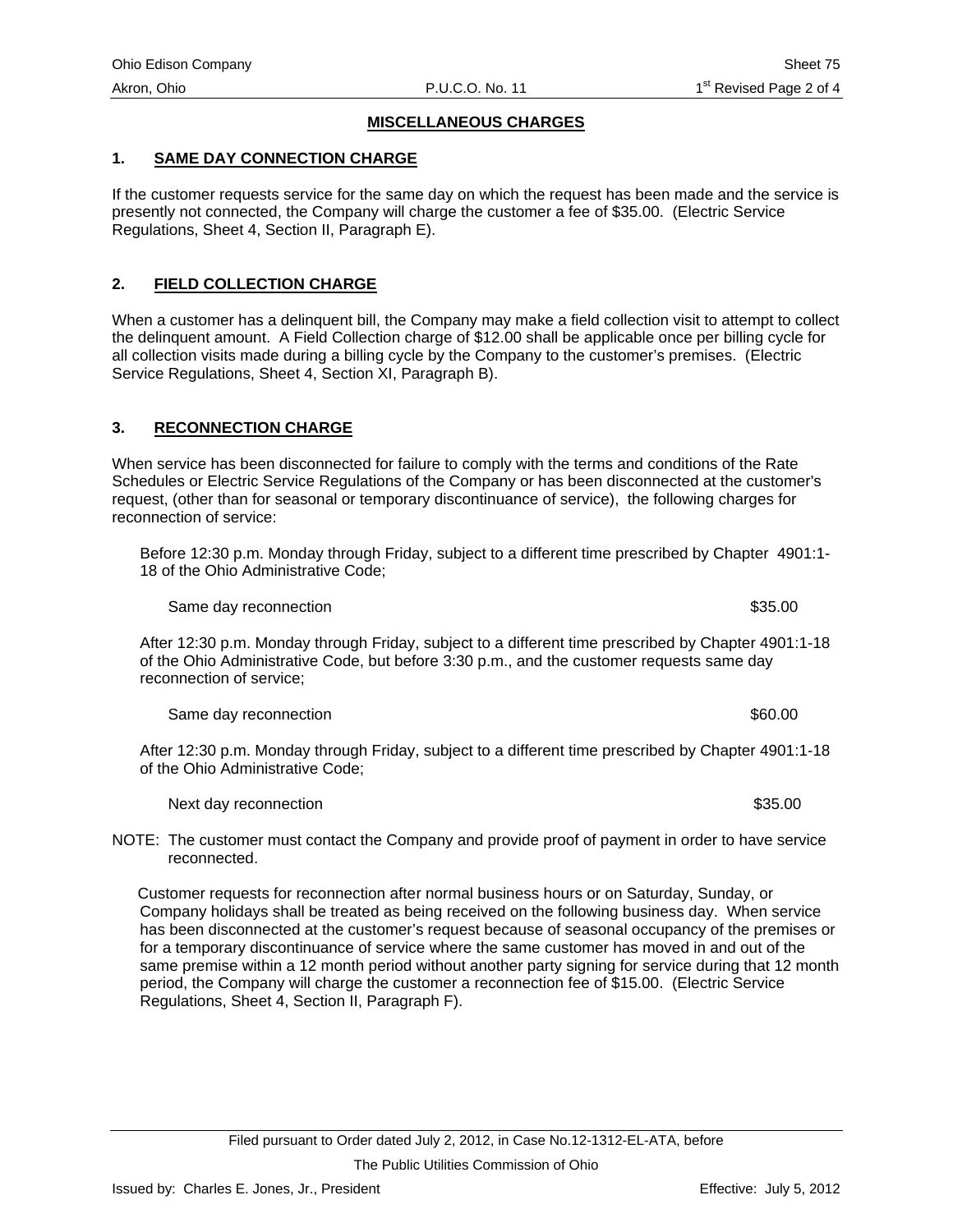#### <span id="page-69-0"></span>**1. SAME DAY CONNECTION CHARGE**

If the customer requests service for the same day on which the request has been made and the service is presently not connected, the Company will charge the customer a fee of \$35.00. (Electric Service Regulations, Sheet 4, Section II, Paragraph E).

#### **2. FIELD COLLECTION CHARGE**

When a customer has a delinquent bill, the Company may make a field collection visit to attempt to collect the delinquent amount. A Field Collection charge of \$12.00 shall be applicable once per billing cycle for all collection visits made during a billing cycle by the Company to the customer's premises. (Electric Service Regulations, Sheet 4, Section XI, Paragraph B).

#### **3. RECONNECTION CHARGE**

When service has been disconnected for failure to comply with the terms and conditions of the Rate Schedules or Electric Service Regulations of the Company or has been disconnected at the customer's request, (other than for seasonal or temporary discontinuance of service), the following charges for reconnection of service:

Before 12:30 p.m. Monday through Friday, subject to a different time prescribed by Chapter 4901:1- 18 of the Ohio Administrative Code;

Same day reconnection  $$35.00$ 

After 12:30 p.m. Monday through Friday, subject to a different time prescribed by Chapter 4901:1-18 of the Ohio Administrative Code, but before 3:30 p.m., and the customer requests same day reconnection of service;

Same day reconnection  $$60.00$ 

After 12:30 p.m. Monday through Friday, subject to a different time prescribed by Chapter 4901:1-18 of the Ohio Administrative Code;

Next day reconnection  $$35.00$ 

NOTE: The customer must contact the Company and provide proof of payment in order to have service reconnected.

 Customer requests for reconnection after normal business hours or on Saturday, Sunday, or Company holidays shall be treated as being received on the following business day. When service has been disconnected at the customer's request because of seasonal occupancy of the premises or for a temporary discontinuance of service where the same customer has moved in and out of the same premise within a 12 month period without another party signing for service during that 12 month period, the Company will charge the customer a reconnection fee of \$15.00. (Electric Service Regulations, Sheet 4, Section II, Paragraph F).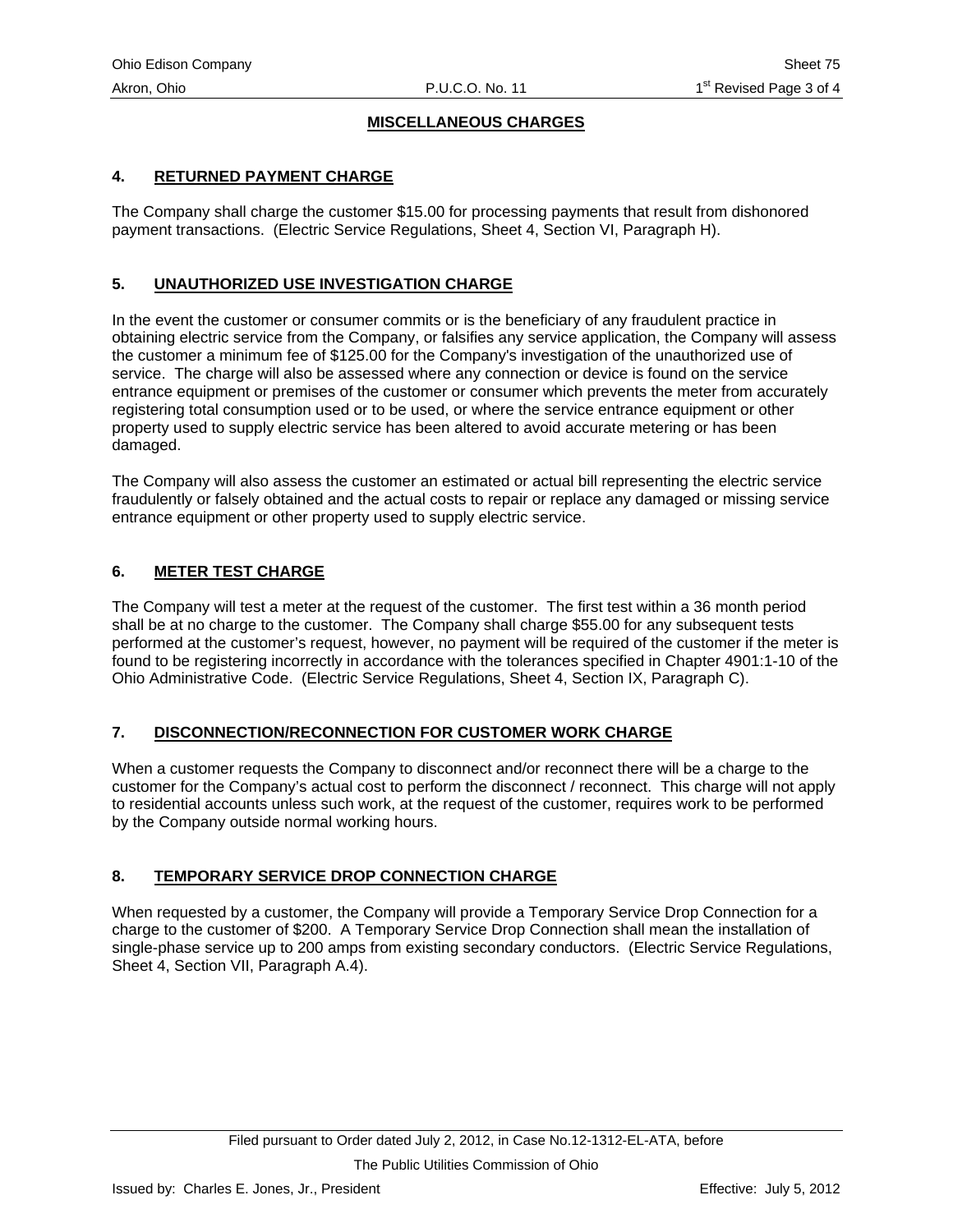## <span id="page-70-0"></span>**4. RETURNED PAYMENT CHARGE**

The Company shall charge the customer \$15.00 for processing payments that result from dishonored payment transactions. (Electric Service Regulations, Sheet 4, Section VI, Paragraph H).

## **5. UNAUTHORIZED USE INVESTIGATION CHARGE**

In the event the customer or consumer commits or is the beneficiary of any fraudulent practice in obtaining electric service from the Company, or falsifies any service application, the Company will assess the customer a minimum fee of \$125.00 for the Company's investigation of the unauthorized use of service. The charge will also be assessed where any connection or device is found on the service entrance equipment or premises of the customer or consumer which prevents the meter from accurately registering total consumption used or to be used, or where the service entrance equipment or other property used to supply electric service has been altered to avoid accurate metering or has been damaged.

The Company will also assess the customer an estimated or actual bill representing the electric service fraudulently or falsely obtained and the actual costs to repair or replace any damaged or missing service entrance equipment or other property used to supply electric service.

## **6. METER TEST CHARGE**

The Company will test a meter at the request of the customer. The first test within a 36 month period shall be at no charge to the customer. The Company shall charge \$55.00 for any subsequent tests performed at the customer's request, however, no payment will be required of the customer if the meter is found to be registering incorrectly in accordance with the tolerances specified in Chapter 4901:1-10 of the Ohio Administrative Code. (Electric Service Regulations, Sheet 4, Section IX, Paragraph C).

#### **7. DISCONNECTION/RECONNECTION FOR CUSTOMER WORK CHARGE**

When a customer requests the Company to disconnect and/or reconnect there will be a charge to the customer for the Company's actual cost to perform the disconnect / reconnect. This charge will not apply to residential accounts unless such work, at the request of the customer, requires work to be performed by the Company outside normal working hours.

## **8. TEMPORARY SERVICE DROP CONNECTION CHARGE**

When requested by a customer, the Company will provide a Temporary Service Drop Connection for a charge to the customer of \$200. A Temporary Service Drop Connection shall mean the installation of single-phase service up to 200 amps from existing secondary conductors. (Electric Service Regulations, Sheet 4, Section VII, Paragraph A.4).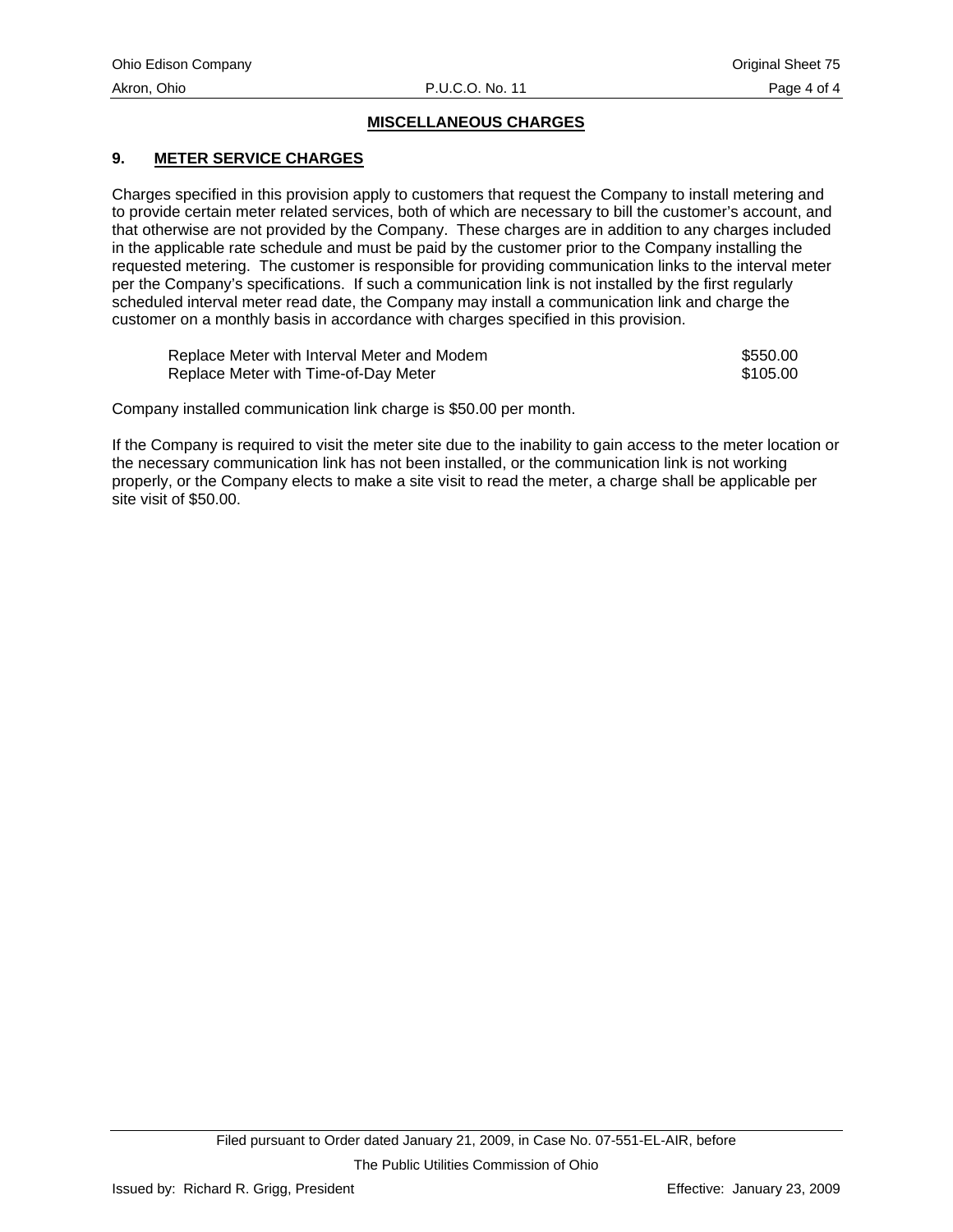## <span id="page-71-0"></span>**9. METER SERVICE CHARGES**

Charges specified in this provision apply to customers that request the Company to install metering and to provide certain meter related services, both of which are necessary to bill the customer's account, and that otherwise are not provided by the Company. These charges are in addition to any charges included in the applicable rate schedule and must be paid by the customer prior to the Company installing the requested metering. The customer is responsible for providing communication links to the interval meter per the Company's specifications. If such a communication link is not installed by the first regularly scheduled interval meter read date, the Company may install a communication link and charge the customer on a monthly basis in accordance with charges specified in this provision.

| Replace Meter with Interval Meter and Modem | \$550.00 |
|---------------------------------------------|----------|
| Replace Meter with Time-of-Day Meter        | \$105.00 |

Company installed communication link charge is \$50.00 per month.

If the Company is required to visit the meter site due to the inability to gain access to the meter location or the necessary communication link has not been installed, or the communication link is not working properly, or the Company elects to make a site visit to read the meter, a charge shall be applicable per site visit of \$50.00.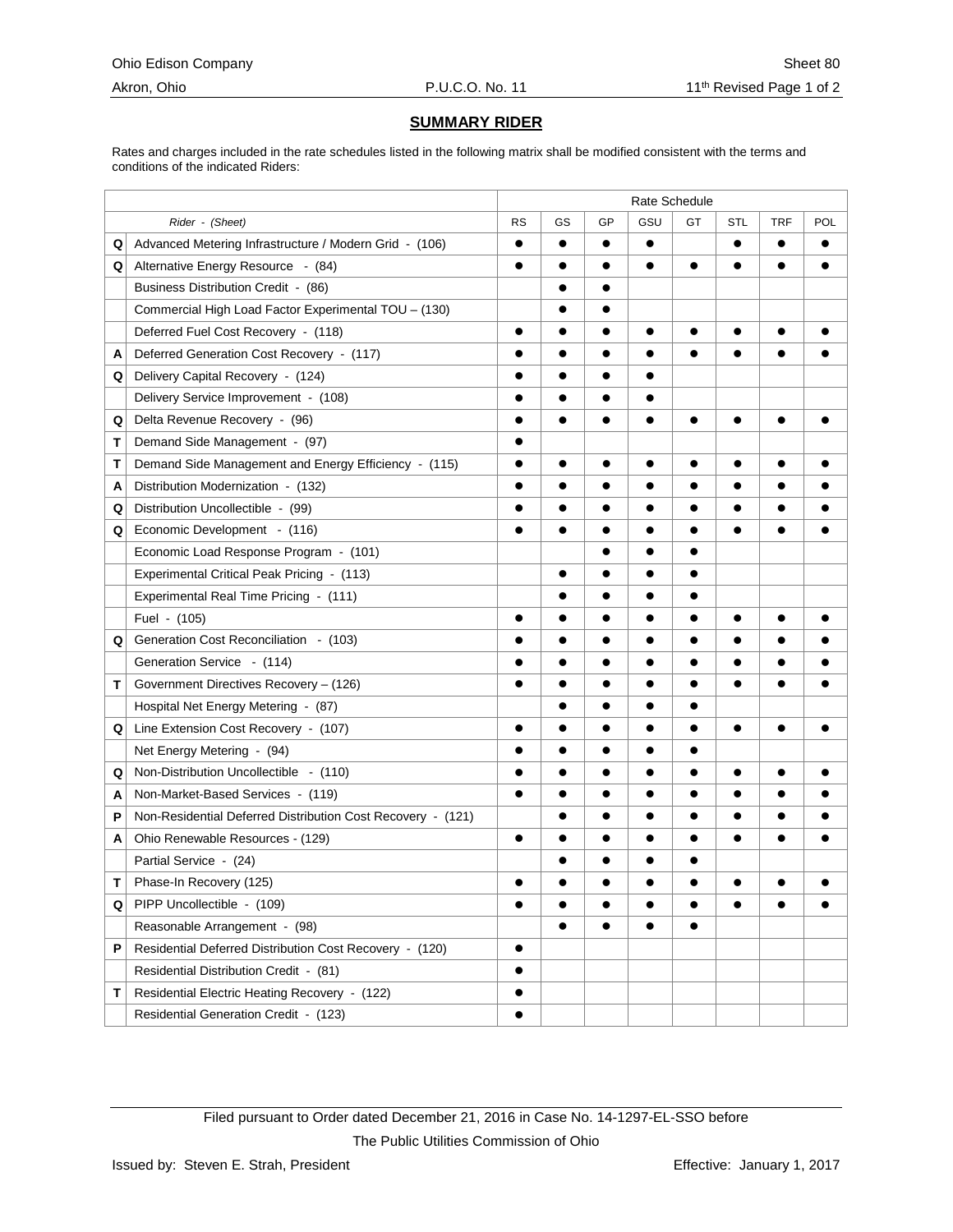# **SUMMARY RIDER**

Rates and charges included in the rate schedules listed in the following matrix shall be modified consistent with the terms and conditions of the indicated Riders:

|   |                                                             | Rate Schedule |           |           |           |           |            |            |           |
|---|-------------------------------------------------------------|---------------|-----------|-----------|-----------|-----------|------------|------------|-----------|
|   | Rider - (Sheet)                                             | <b>RS</b>     | GS        | GP        | GSU       | GT        | <b>STL</b> | <b>TRF</b> | POL       |
| Q | Advanced Metering Infrastructure / Modern Grid - (106)      | $\bullet$     | $\bullet$ | $\bullet$ | $\bullet$ |           | $\bullet$  | $\bullet$  | $\bullet$ |
| Q | Alternative Energy Resource - (84)                          | $\bullet$     | $\bullet$ | $\bullet$ | $\bullet$ | $\bullet$ | $\bullet$  | $\bullet$  | $\bullet$ |
|   | Business Distribution Credit - (86)                         |               | $\bullet$ | $\bullet$ |           |           |            |            |           |
|   | Commercial High Load Factor Experimental TOU - (130)        |               | $\bullet$ | $\bullet$ |           |           |            |            |           |
|   | Deferred Fuel Cost Recovery - (118)                         |               | $\bullet$ |           |           |           |            |            |           |
| A | Deferred Generation Cost Recovery - (117)                   |               | $\bullet$ | $\bullet$ | $\bullet$ | $\bullet$ | $\bullet$  |            |           |
| Q | Delivery Capital Recovery - (124)                           | $\bullet$     | $\bullet$ | $\bullet$ | $\bullet$ |           |            |            |           |
|   | Delivery Service Improvement - (108)                        |               | $\bullet$ | $\bullet$ |           |           |            |            |           |
| Q | Delta Revenue Recovery - (96)                               | $\bullet$     | $\bullet$ | $\bullet$ | $\bullet$ | $\bullet$ | $\bullet$  | $\bullet$  | $\bullet$ |
| т | Demand Side Management - (97)                               | $\bullet$     |           |           |           |           |            |            |           |
| т | Demand Side Management and Energy Efficiency - (115)        | $\bullet$     | $\bullet$ | $\bullet$ | $\bullet$ | $\bullet$ | $\bullet$  | $\bullet$  | $\bullet$ |
| A | Distribution Modernization - (132)                          | $\bullet$     | $\bullet$ | $\bullet$ | $\bullet$ | $\bullet$ | $\bullet$  | $\bullet$  |           |
| Q | Distribution Uncollectible - (99)                           |               |           |           | $\bullet$ | $\bullet$ | $\bullet$  | $\bullet$  | $\bullet$ |
| Q | Economic Development - (116)                                |               | $\bullet$ | $\bullet$ |           | $\bullet$ |            |            |           |
|   | Economic Load Response Program - (101)                      |               |           | $\bullet$ | $\bullet$ | $\bullet$ |            |            |           |
|   | Experimental Critical Peak Pricing - (113)                  |               | $\bullet$ |           |           | $\bullet$ |            |            |           |
|   | Experimental Real Time Pricing - (111)                      |               |           | $\bullet$ | $\bullet$ | $\bullet$ |            |            |           |
|   | Fuel - (105)                                                | $\bullet$     | $\bullet$ | $\bullet$ | $\bullet$ | $\bullet$ | $\bullet$  | $\bullet$  | $\bullet$ |
| Q | Generation Cost Reconciliation - (103)                      |               | $\bullet$ | $\bullet$ |           |           |            |            |           |
|   | Generation Service - (114)                                  |               | $\bullet$ | $\bullet$ | $\bullet$ | $\bullet$ | $\bullet$  | $\bullet$  | $\bullet$ |
| т | Government Directives Recovery - (126)                      | $\bullet$     | $\bullet$ | $\bullet$ | $\bullet$ | $\bullet$ | $\bullet$  | $\bullet$  | $\bullet$ |
|   | Hospital Net Energy Metering - (87)                         |               | $\bullet$ | $\bullet$ | $\bullet$ |           |            |            |           |
| Q | Line Extension Cost Recovery - (107)                        | $\bullet$     | $\bullet$ | $\bullet$ | $\bullet$ | $\bullet$ | $\bullet$  | $\bullet$  | $\bullet$ |
|   | Net Energy Metering - (94)                                  | $\bullet$     | $\bullet$ | $\bullet$ | $\bullet$ | $\bullet$ |            |            |           |
| Q | Non-Distribution Uncollectible - (110)                      |               | $\bullet$ | $\bullet$ | $\bullet$ | $\bullet$ | $\bullet$  | $\bullet$  | $\bullet$ |
| A | Non-Market-Based Services - (119)                           | $\bullet$     | $\bullet$ | $\bullet$ | $\bullet$ | $\bullet$ | $\bullet$  | $\bullet$  |           |
| P | Non-Residential Deferred Distribution Cost Recovery - (121) |               | $\bullet$ | $\bullet$ | $\bullet$ | $\bullet$ | $\bullet$  | $\bullet$  |           |
| A | Ohio Renewable Resources - (129)                            | $\bullet$     |           |           |           | $\bullet$ | $\bullet$  |            |           |
|   | Partial Service - (24)                                      |               | $\bullet$ | $\bullet$ | $\bullet$ | $\bullet$ |            |            |           |
| т | Phase-In Recovery (125)                                     |               |           |           |           |           |            |            |           |
| Q | PIPP Uncollectible - (109)                                  | $\bullet$     | $\bullet$ | $\bullet$ | $\bullet$ | $\bullet$ | $\bullet$  | $\bullet$  | $\bullet$ |
|   | Reasonable Arrangement - (98)                               |               | $\bullet$ | $\bullet$ | ●         | $\bullet$ |            |            |           |
| P | Residential Deferred Distribution Cost Recovery - (120)     | $\bullet$     |           |           |           |           |            |            |           |
|   | Residential Distribution Credit - (81)                      | $\bullet$     |           |           |           |           |            |            |           |
| т | Residential Electric Heating Recovery - (122)               | $\bullet$     |           |           |           |           |            |            |           |
|   | Residential Generation Credit - (123)                       |               |           |           |           |           |            |            |           |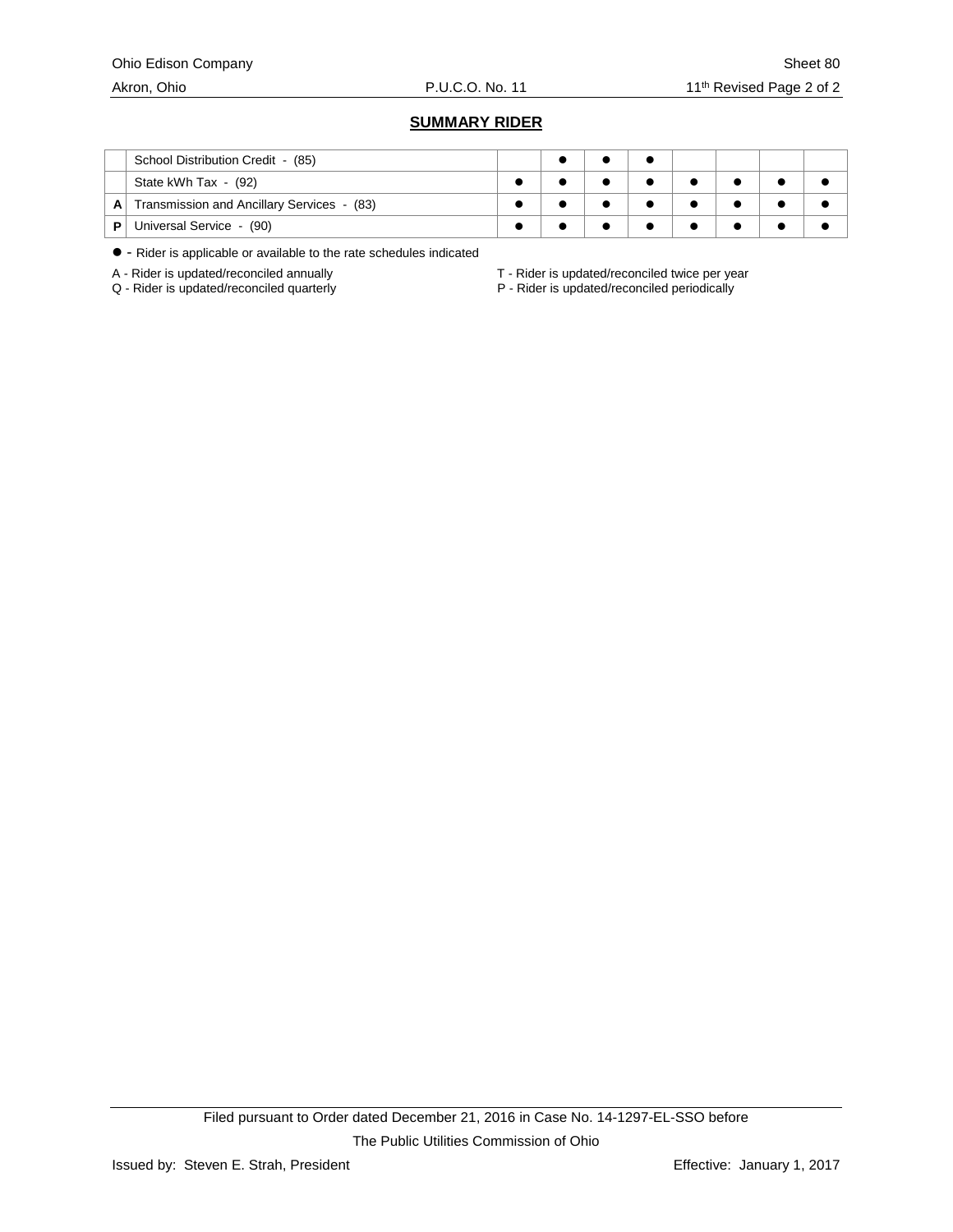#### Ohio Edison Company Sheet 80

# **SUMMARY RIDER**

|   | School Distribution Credit - (85)          |  |  |  |  |
|---|--------------------------------------------|--|--|--|--|
|   | State kWh Tax - (92)                       |  |  |  |  |
| A | Transmission and Ancillary Services - (83) |  |  |  |  |
| Р | Universal Service - (90)                   |  |  |  |  |

- Rider is applicable or available to the rate schedules indicated

A - Rider is updated/reconciled annually  $A - R$ ider is updated/reconciled twice per year<br>Q - Rider is updated/reconciled periodically

P - Rider is updated/reconciled periodically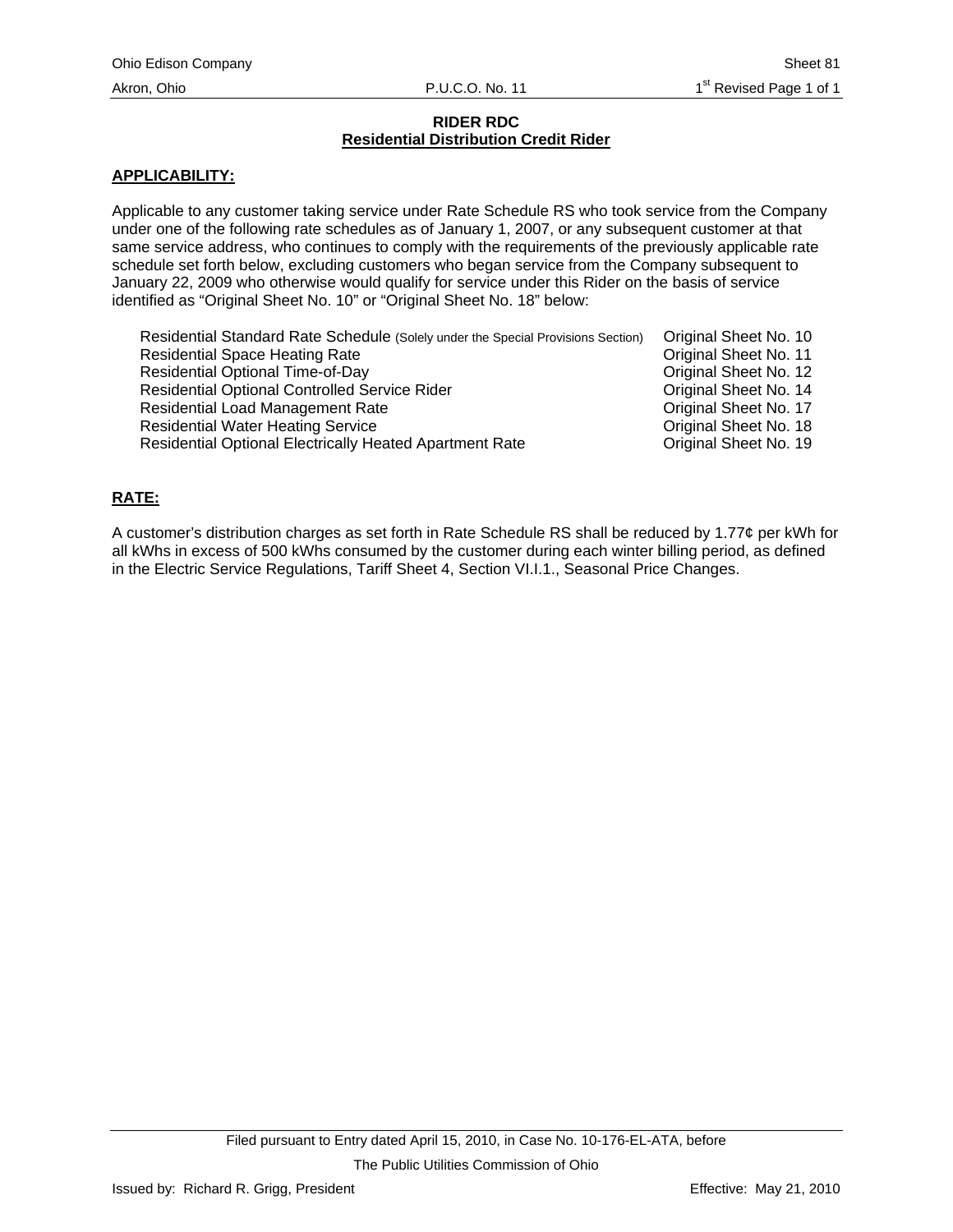## **RIDER RDC Residential Distribution Credit Rider**

# <span id="page-74-0"></span>**APPLICABILITY:**

Applicable to any customer taking service under Rate Schedule RS who took service from the Company under one of the following rate schedules as of January 1, 2007, or any subsequent customer at that same service address, who continues to comply with the requirements of the previously applicable rate schedule set forth below, excluding customers who began service from the Company subsequent to January 22, 2009 who otherwise would qualify for service under this Rider on the basis of service identified as "Original Sheet No. 10" or "Original Sheet No. 18" below:

| Residential Standard Rate Schedule (Solely under the Special Provisions Section) | Original Sheet No. 10 |
|----------------------------------------------------------------------------------|-----------------------|
| <b>Residential Space Heating Rate</b>                                            | Original Sheet No. 11 |
| <b>Residential Optional Time-of-Day</b>                                          | Original Sheet No. 12 |
| <b>Residential Optional Controlled Service Rider</b>                             | Original Sheet No. 14 |
| Residential Load Management Rate                                                 | Original Sheet No. 17 |
| <b>Residential Water Heating Service</b>                                         | Original Sheet No. 18 |
| Residential Optional Electrically Heated Apartment Rate                          | Original Sheet No. 19 |

# **RATE:**

A customer's distribution charges as set forth in Rate Schedule RS shall be reduced by 1.77¢ per kWh for all kWhs in excess of 500 kWhs consumed by the customer during each winter billing period, as defined in the Electric Service Regulations, Tariff Sheet 4, Section VI.I.1., Seasonal Price Changes.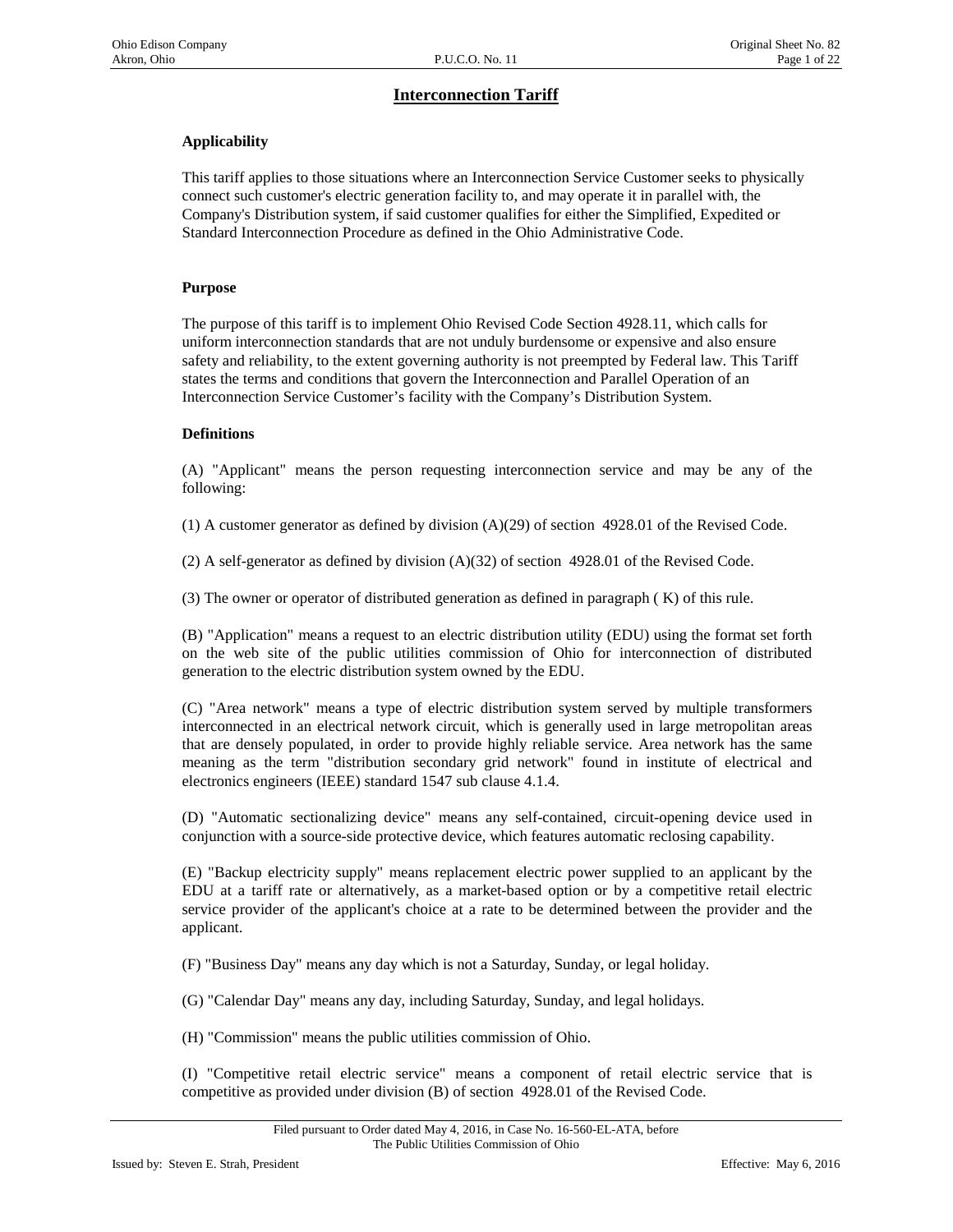# **Interconnection Tariff**

# **Applicability**

This tariff applies to those situations where an Interconnection Service Customer seeks to physically connect such customer's electric generation facility to, and may operate it in parallel with, the Company's Distribution system, if said customer qualifies for either the Simplified, Expedited or Standard Interconnection Procedure as defined in the Ohio Administrative Code.

#### **Purpose**

The purpose of this tariff is to implement Ohio Revised Code Section 4928.11, which calls for uniform interconnection standards that are not unduly burdensome or expensive and also ensure safety and reliability, to the extent governing authority is not preempted by Federal law. This Tariff states the terms and conditions that govern the Interconnection and Parallel Operation of an Interconnection Service Customer's facility with the Company's Distribution System.

#### **Definitions**

(A) "Applicant" means the person requesting interconnection service and may be any of the following:

(1) A customer generator as defined by division (A)(29) of section 4928.01 of the Revised Code.

(2) A self-generator as defined by division  $(A)(32)$  of section 4928.01 of the Revised Code.

(3) The owner or operator of distributed generation as defined in paragraph ( K) of this rule.

(B) "Application" means a request to an electric distribution utility (EDU) using the format set forth on the web site of the public utilities commission of Ohio for interconnection of distributed generation to the electric distribution system owned by the EDU.

(C) "Area network" means a type of electric distribution system served by multiple transformers interconnected in an electrical network circuit, which is generally used in large metropolitan areas that are densely populated, in order to provide highly reliable service. Area network has the same meaning as the term "distribution secondary grid network" found in institute of electrical and electronics engineers (IEEE) standard 1547 sub clause 4.1.4.

(D) "Automatic sectionalizing device" means any self-contained, circuit-opening device used in conjunction with a source-side protective device, which features automatic reclosing capability.

(E) "Backup electricity supply" means replacement electric power supplied to an applicant by the EDU at a tariff rate or alternatively, as a market-based option or by a competitive retail electric service provider of the applicant's choice at a rate to be determined between the provider and the applicant.

(F) "Business Day" means any day which is not a Saturday, Sunday, or legal holiday.

(G) "Calendar Day" means any day, including Saturday, Sunday, and legal holidays.

(H) "Commission" means the public utilities commission of Ohio.

(I) "Competitive retail electric service" means a component of retail electric service that is competitive as provided under division (B) of section 4928.01 of the Revised Code.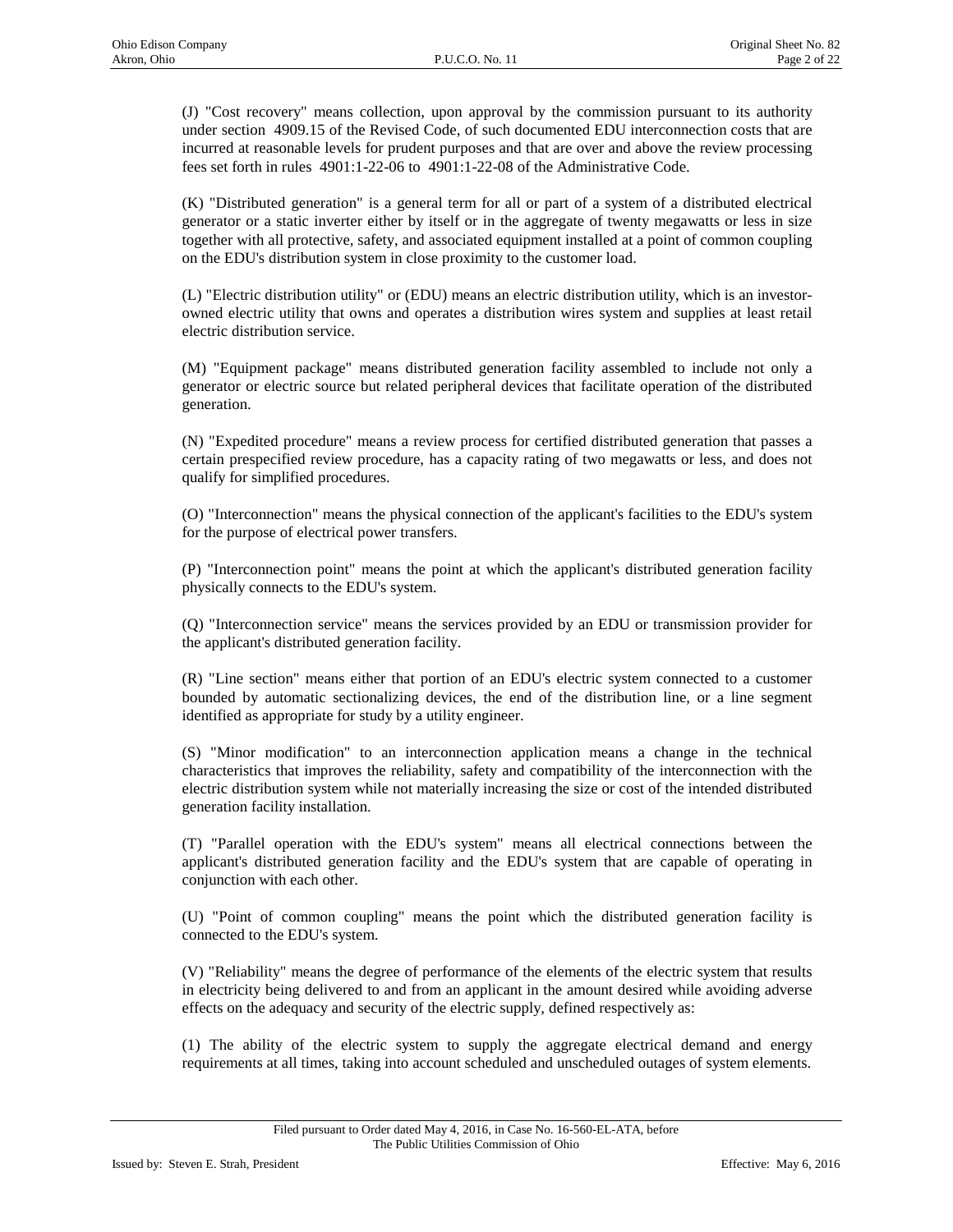(J) "Cost recovery" means collection, upon approval by the commission pursuant to its authority under section 4909.15 of the Revised Code, of such documented EDU interconnection costs that are incurred at reasonable levels for prudent purposes and that are over and above the review processing fees set forth in rules 4901:1-22-06 to 4901:1-22-08 of the Administrative Code.

(K) "Distributed generation" is a general term for all or part of a system of a distributed electrical generator or a static inverter either by itself or in the aggregate of twenty megawatts or less in size together with all protective, safety, and associated equipment installed at a point of common coupling on the EDU's distribution system in close proximity to the customer load.

(L) "Electric distribution utility" or (EDU) means an electric distribution utility, which is an investorowned electric utility that owns and operates a distribution wires system and supplies at least retail electric distribution service.

(M) "Equipment package" means distributed generation facility assembled to include not only a generator or electric source but related peripheral devices that facilitate operation of the distributed generation.

(N) "Expedited procedure" means a review process for certified distributed generation that passes a certain prespecified review procedure, has a capacity rating of two megawatts or less, and does not qualify for simplified procedures.

(O) "Interconnection" means the physical connection of the applicant's facilities to the EDU's system for the purpose of electrical power transfers.

(P) "Interconnection point" means the point at which the applicant's distributed generation facility physically connects to the EDU's system.

(Q) "Interconnection service" means the services provided by an EDU or transmission provider for the applicant's distributed generation facility.

(R) "Line section" means either that portion of an EDU's electric system connected to a customer bounded by automatic sectionalizing devices, the end of the distribution line, or a line segment identified as appropriate for study by a utility engineer.

(S) "Minor modification" to an interconnection application means a change in the technical characteristics that improves the reliability, safety and compatibility of the interconnection with the electric distribution system while not materially increasing the size or cost of the intended distributed generation facility installation.

(T) "Parallel operation with the EDU's system" means all electrical connections between the applicant's distributed generation facility and the EDU's system that are capable of operating in conjunction with each other.

(U) "Point of common coupling" means the point which the distributed generation facility is connected to the EDU's system.

(V) "Reliability" means the degree of performance of the elements of the electric system that results in electricity being delivered to and from an applicant in the amount desired while avoiding adverse effects on the adequacy and security of the electric supply, defined respectively as:

(1) The ability of the electric system to supply the aggregate electrical demand and energy requirements at all times, taking into account scheduled and unscheduled outages of system elements.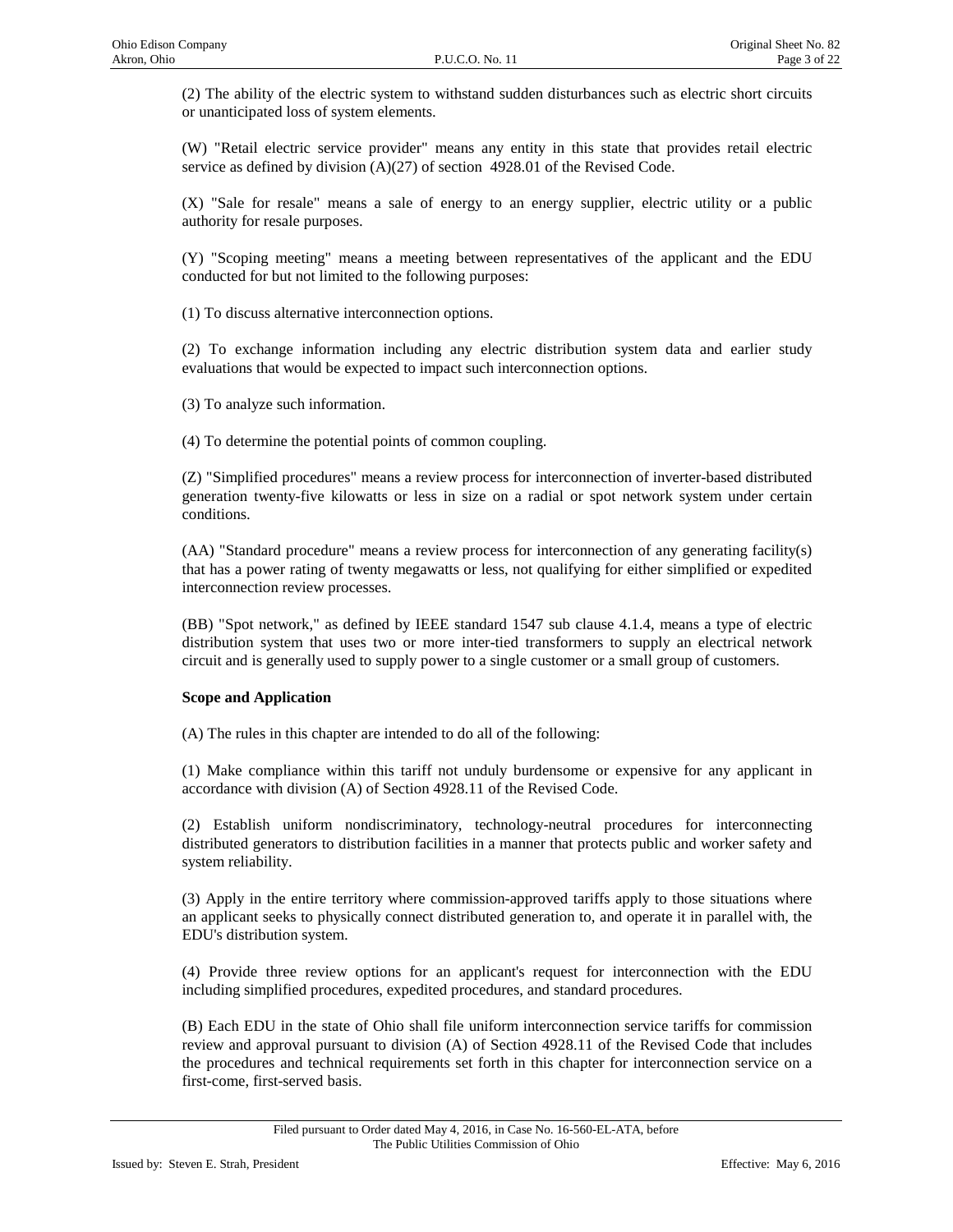(2) The ability of the electric system to withstand sudden disturbances such as electric short circuits or unanticipated loss of system elements.

(W) "Retail electric service provider" means any entity in this state that provides retail electric service as defined by division (A)(27) of section 4928.01 of the Revised Code.

(X) "Sale for resale" means a sale of energy to an energy supplier, electric utility or a public authority for resale purposes.

(Y) "Scoping meeting" means a meeting between representatives of the applicant and the EDU conducted for but not limited to the following purposes:

(1) To discuss alternative interconnection options.

(2) To exchange information including any electric distribution system data and earlier study evaluations that would be expected to impact such interconnection options.

(3) To analyze such information.

(4) To determine the potential points of common coupling.

(Z) "Simplified procedures" means a review process for interconnection of inverter-based distributed generation twenty-five kilowatts or less in size on a radial or spot network system under certain conditions.

(AA) "Standard procedure" means a review process for interconnection of any generating facility(s) that has a power rating of twenty megawatts or less, not qualifying for either simplified or expedited interconnection review processes.

(BB) "Spot network," as defined by IEEE standard 1547 sub clause 4.1.4, means a type of electric distribution system that uses two or more inter-tied transformers to supply an electrical network circuit and is generally used to supply power to a single customer or a small group of customers.

## **Scope and Application**

(A) The rules in this chapter are intended to do all of the following:

(1) Make compliance within this tariff not unduly burdensome or expensive for any applicant in accordance with division (A) of Section 4928.11 of the Revised Code.

(2) Establish uniform nondiscriminatory, technology-neutral procedures for interconnecting distributed generators to distribution facilities in a manner that protects public and worker safety and system reliability.

(3) Apply in the entire territory where commission-approved tariffs apply to those situations where an applicant seeks to physically connect distributed generation to, and operate it in parallel with, the EDU's distribution system.

(4) Provide three review options for an applicant's request for interconnection with the EDU including simplified procedures, expedited procedures, and standard procedures.

(B) Each EDU in the state of Ohio shall file uniform interconnection service tariffs for commission review and approval pursuant to division (A) of Section 4928.11 of the Revised Code that includes the procedures and technical requirements set forth in this chapter for interconnection service on a first-come, first-served basis.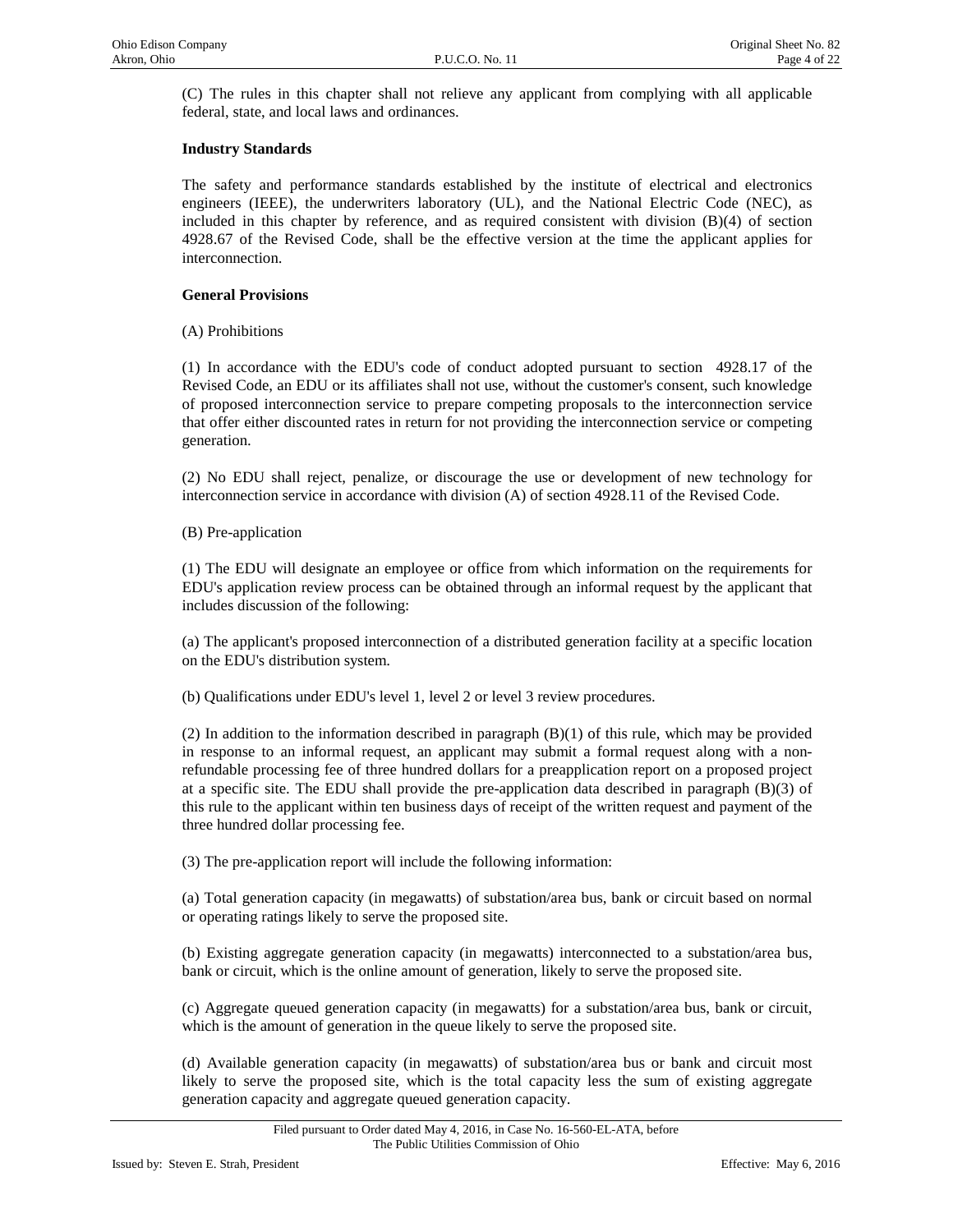(C) The rules in this chapter shall not relieve any applicant from complying with all applicable federal, state, and local laws and ordinances.

## **Industry Standards**

The safety and performance standards established by the institute of electrical and electronics engineers (IEEE), the underwriters laboratory (UL), and the National Electric Code (NEC), as included in this chapter by reference, and as required consistent with division (B)(4) of section 4928.67 of the Revised Code, shall be the effective version at the time the applicant applies for interconnection.

## **General Provisions**

(A) Prohibitions

(1) In accordance with the EDU's code of conduct adopted pursuant to section 4928.17 of the Revised Code, an EDU or its affiliates shall not use, without the customer's consent, such knowledge of proposed interconnection service to prepare competing proposals to the interconnection service that offer either discounted rates in return for not providing the interconnection service or competing generation.

(2) No EDU shall reject, penalize, or discourage the use or development of new technology for interconnection service in accordance with division (A) of section 4928.11 of the Revised Code.

(B) Pre-application

(1) The EDU will designate an employee or office from which information on the requirements for EDU's application review process can be obtained through an informal request by the applicant that includes discussion of the following:

(a) The applicant's proposed interconnection of a distributed generation facility at a specific location on the EDU's distribution system.

(b) Qualifications under EDU's level 1, level 2 or level 3 review procedures.

(2) In addition to the information described in paragraph  $(B)(1)$  of this rule, which may be provided in response to an informal request, an applicant may submit a formal request along with a nonrefundable processing fee of three hundred dollars for a preapplication report on a proposed project at a specific site. The EDU shall provide the pre-application data described in paragraph (B)(3) of this rule to the applicant within ten business days of receipt of the written request and payment of the three hundred dollar processing fee.

(3) The pre-application report will include the following information:

(a) Total generation capacity (in megawatts) of substation/area bus, bank or circuit based on normal or operating ratings likely to serve the proposed site.

(b) Existing aggregate generation capacity (in megawatts) interconnected to a substation/area bus, bank or circuit, which is the online amount of generation, likely to serve the proposed site.

(c) Aggregate queued generation capacity (in megawatts) for a substation/area bus, bank or circuit, which is the amount of generation in the queue likely to serve the proposed site.

(d) Available generation capacity (in megawatts) of substation/area bus or bank and circuit most likely to serve the proposed site, which is the total capacity less the sum of existing aggregate generation capacity and aggregate queued generation capacity.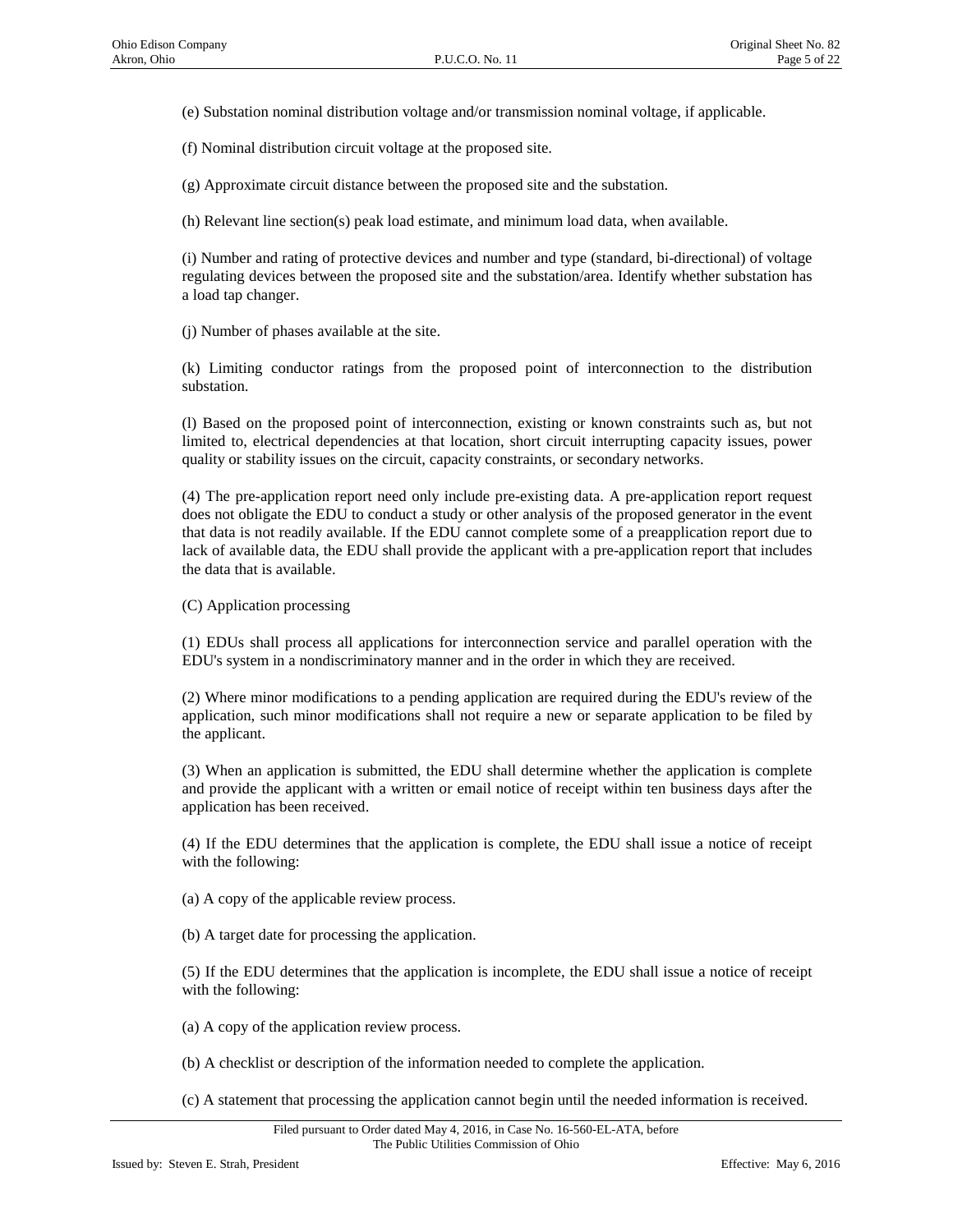(e) Substation nominal distribution voltage and/or transmission nominal voltage, if applicable.

(f) Nominal distribution circuit voltage at the proposed site.

(g) Approximate circuit distance between the proposed site and the substation.

(h) Relevant line section(s) peak load estimate, and minimum load data, when available.

(i) Number and rating of protective devices and number and type (standard, bi-directional) of voltage regulating devices between the proposed site and the substation/area. Identify whether substation has a load tap changer.

(j) Number of phases available at the site.

(k) Limiting conductor ratings from the proposed point of interconnection to the distribution substation.

(l) Based on the proposed point of interconnection, existing or known constraints such as, but not limited to, electrical dependencies at that location, short circuit interrupting capacity issues, power quality or stability issues on the circuit, capacity constraints, or secondary networks.

(4) The pre-application report need only include pre-existing data. A pre-application report request does not obligate the EDU to conduct a study or other analysis of the proposed generator in the event that data is not readily available. If the EDU cannot complete some of a preapplication report due to lack of available data, the EDU shall provide the applicant with a pre-application report that includes the data that is available.

(C) Application processing

(1) EDUs shall process all applications for interconnection service and parallel operation with the EDU's system in a nondiscriminatory manner and in the order in which they are received.

(2) Where minor modifications to a pending application are required during the EDU's review of the application, such minor modifications shall not require a new or separate application to be filed by the applicant.

(3) When an application is submitted, the EDU shall determine whether the application is complete and provide the applicant with a written or email notice of receipt within ten business days after the application has been received.

(4) If the EDU determines that the application is complete, the EDU shall issue a notice of receipt with the following:

(a) A copy of the applicable review process.

(b) A target date for processing the application.

(5) If the EDU determines that the application is incomplete, the EDU shall issue a notice of receipt with the following:

(a) A copy of the application review process.

(b) A checklist or description of the information needed to complete the application.

(c) A statement that processing the application cannot begin until the needed information is received.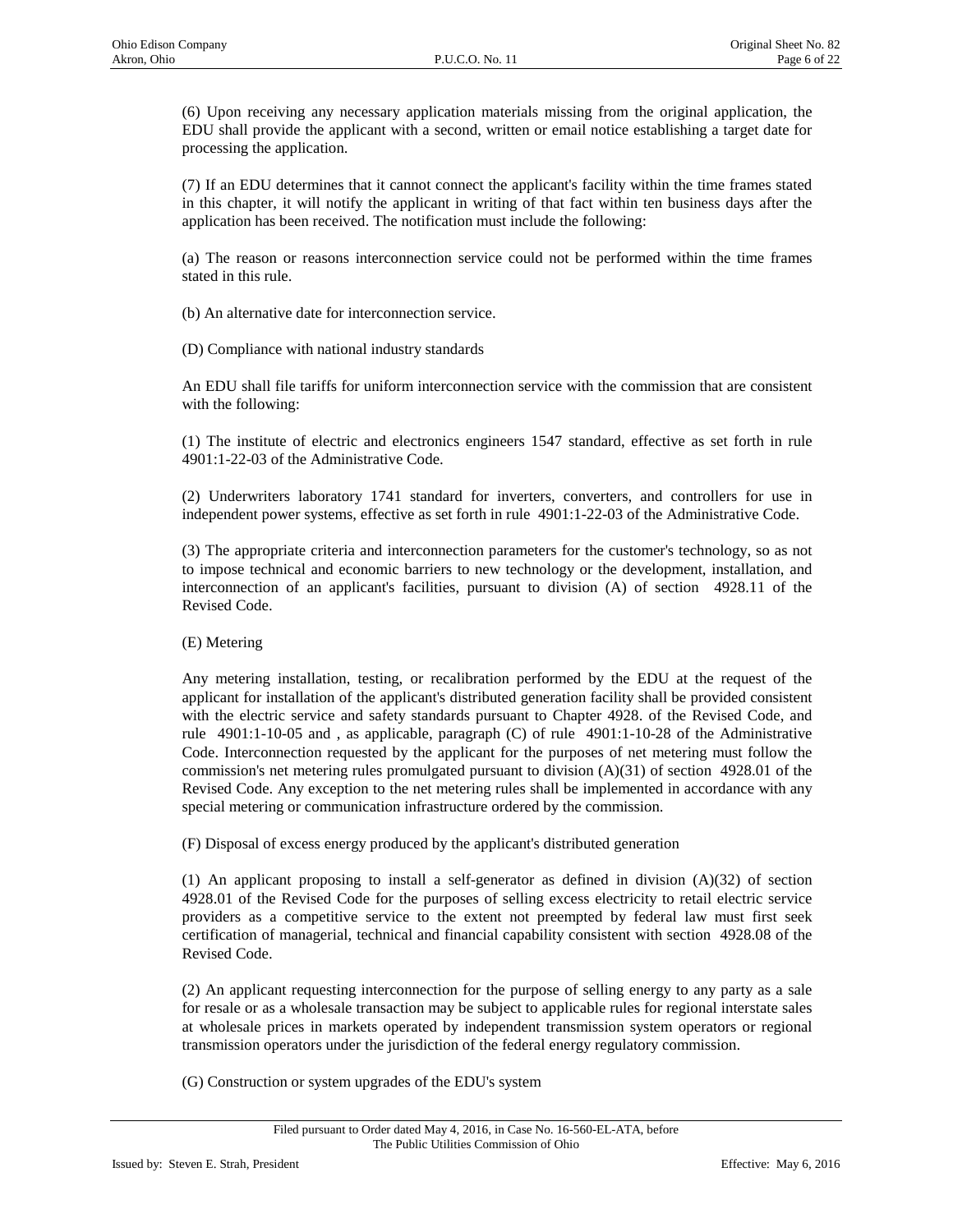(6) Upon receiving any necessary application materials missing from the original application, the EDU shall provide the applicant with a second, written or email notice establishing a target date for processing the application.

(7) If an EDU determines that it cannot connect the applicant's facility within the time frames stated in this chapter, it will notify the applicant in writing of that fact within ten business days after the application has been received. The notification must include the following:

(a) The reason or reasons interconnection service could not be performed within the time frames stated in this rule.

(b) An alternative date for interconnection service.

(D) Compliance with national industry standards

An EDU shall file tariffs for uniform interconnection service with the commission that are consistent with the following:

(1) The institute of electric and electronics engineers 1547 standard, effective as set forth in rule 4901:1-22-03 of the Administrative Code.

(2) Underwriters laboratory 1741 standard for inverters, converters, and controllers for use in independent power systems, effective as set forth in rule 4901:1-22-03 of the Administrative Code.

(3) The appropriate criteria and interconnection parameters for the customer's technology, so as not to impose technical and economic barriers to new technology or the development, installation, and interconnection of an applicant's facilities, pursuant to division (A) of section 4928.11 of the Revised Code.

## (E) Metering

Any metering installation, testing, or recalibration performed by the EDU at the request of the applicant for installation of the applicant's distributed generation facility shall be provided consistent with the electric service and safety standards pursuant to Chapter 4928. of the Revised Code, and rule 4901:1-10-05 and , as applicable, paragraph (C) of rule 4901:1-10-28 of the Administrative Code. Interconnection requested by the applicant for the purposes of net metering must follow the commission's net metering rules promulgated pursuant to division (A)(31) of section 4928.01 of the Revised Code. Any exception to the net metering rules shall be implemented in accordance with any special metering or communication infrastructure ordered by the commission.

(F) Disposal of excess energy produced by the applicant's distributed generation

(1) An applicant proposing to install a self-generator as defined in division  $(A)(32)$  of section 4928.01 of the Revised Code for the purposes of selling excess electricity to retail electric service providers as a competitive service to the extent not preempted by federal law must first seek certification of managerial, technical and financial capability consistent with section 4928.08 of the Revised Code.

(2) An applicant requesting interconnection for the purpose of selling energy to any party as a sale for resale or as a wholesale transaction may be subject to applicable rules for regional interstate sales at wholesale prices in markets operated by independent transmission system operators or regional transmission operators under the jurisdiction of the federal energy regulatory commission.

(G) Construction or system upgrades of the EDU's system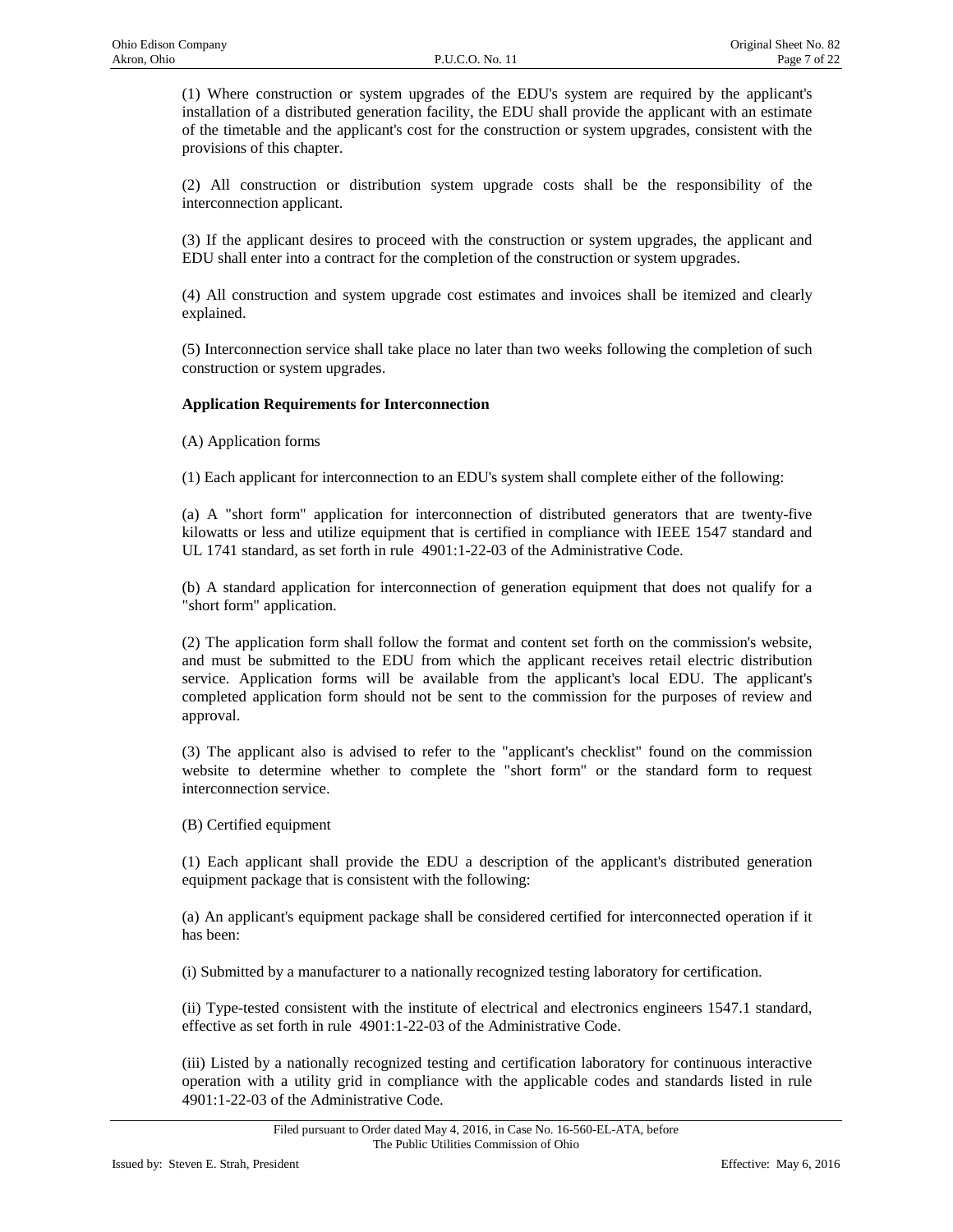(1) Where construction or system upgrades of the EDU's system are required by the applicant's installation of a distributed generation facility, the EDU shall provide the applicant with an estimate of the timetable and the applicant's cost for the construction or system upgrades, consistent with the provisions of this chapter.

(2) All construction or distribution system upgrade costs shall be the responsibility of the interconnection applicant.

(3) If the applicant desires to proceed with the construction or system upgrades, the applicant and EDU shall enter into a contract for the completion of the construction or system upgrades.

(4) All construction and system upgrade cost estimates and invoices shall be itemized and clearly explained.

(5) Interconnection service shall take place no later than two weeks following the completion of such construction or system upgrades.

## **Application Requirements for Interconnection**

(A) Application forms

(1) Each applicant for interconnection to an EDU's system shall complete either of the following:

(a) A "short form" application for interconnection of distributed generators that are twenty-five kilowatts or less and utilize equipment that is certified in compliance with IEEE 1547 standard and UL 1741 standard, as set forth in rule 4901:1-22-03 of the Administrative Code.

(b) A standard application for interconnection of generation equipment that does not qualify for a "short form" application.

(2) The application form shall follow the format and content set forth on the commission's website, and must be submitted to the EDU from which the applicant receives retail electric distribution service. Application forms will be available from the applicant's local EDU. The applicant's completed application form should not be sent to the commission for the purposes of review and approval.

(3) The applicant also is advised to refer to the "applicant's checklist" found on the commission website to determine whether to complete the "short form" or the standard form to request interconnection service.

(B) Certified equipment

(1) Each applicant shall provide the EDU a description of the applicant's distributed generation equipment package that is consistent with the following:

(a) An applicant's equipment package shall be considered certified for interconnected operation if it has been:

(i) Submitted by a manufacturer to a nationally recognized testing laboratory for certification.

(ii) Type-tested consistent with the institute of electrical and electronics engineers 1547.1 standard, effective as set forth in rule 4901:1-22-03 of the Administrative Code.

(iii) Listed by a nationally recognized testing and certification laboratory for continuous interactive operation with a utility grid in compliance with the applicable codes and standards listed in rule 4901:1-22-03 of the Administrative Code.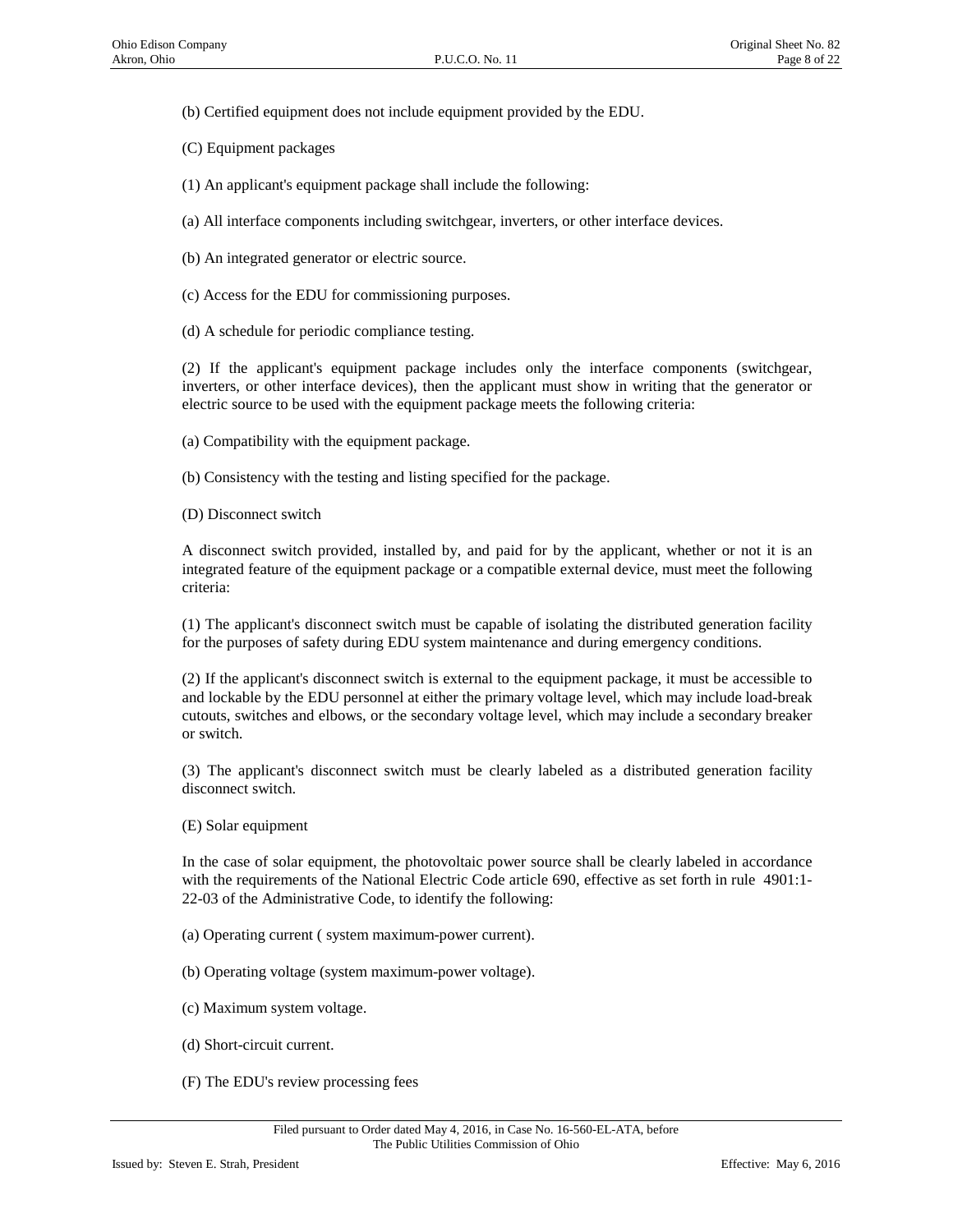(b) Certified equipment does not include equipment provided by the EDU.

(C) Equipment packages

(1) An applicant's equipment package shall include the following:

(a) All interface components including switchgear, inverters, or other interface devices.

(b) An integrated generator or electric source.

(c) Access for the EDU for commissioning purposes.

(d) A schedule for periodic compliance testing.

(2) If the applicant's equipment package includes only the interface components (switchgear, inverters, or other interface devices), then the applicant must show in writing that the generator or electric source to be used with the equipment package meets the following criteria:

(a) Compatibility with the equipment package.

(b) Consistency with the testing and listing specified for the package.

(D) Disconnect switch

A disconnect switch provided, installed by, and paid for by the applicant, whether or not it is an integrated feature of the equipment package or a compatible external device, must meet the following criteria:

(1) The applicant's disconnect switch must be capable of isolating the distributed generation facility for the purposes of safety during EDU system maintenance and during emergency conditions.

(2) If the applicant's disconnect switch is external to the equipment package, it must be accessible to and lockable by the EDU personnel at either the primary voltage level, which may include load-break cutouts, switches and elbows, or the secondary voltage level, which may include a secondary breaker or switch.

(3) The applicant's disconnect switch must be clearly labeled as a distributed generation facility disconnect switch.

(E) Solar equipment

In the case of solar equipment, the photovoltaic power source shall be clearly labeled in accordance with the requirements of the National Electric Code article 690, effective as set forth in rule 4901:1- 22-03 of the Administrative Code, to identify the following:

(a) Operating current ( system maximum-power current).

(b) Operating voltage (system maximum-power voltage).

- (c) Maximum system voltage.
- (d) Short-circuit current.
- (F) The EDU's review processing fees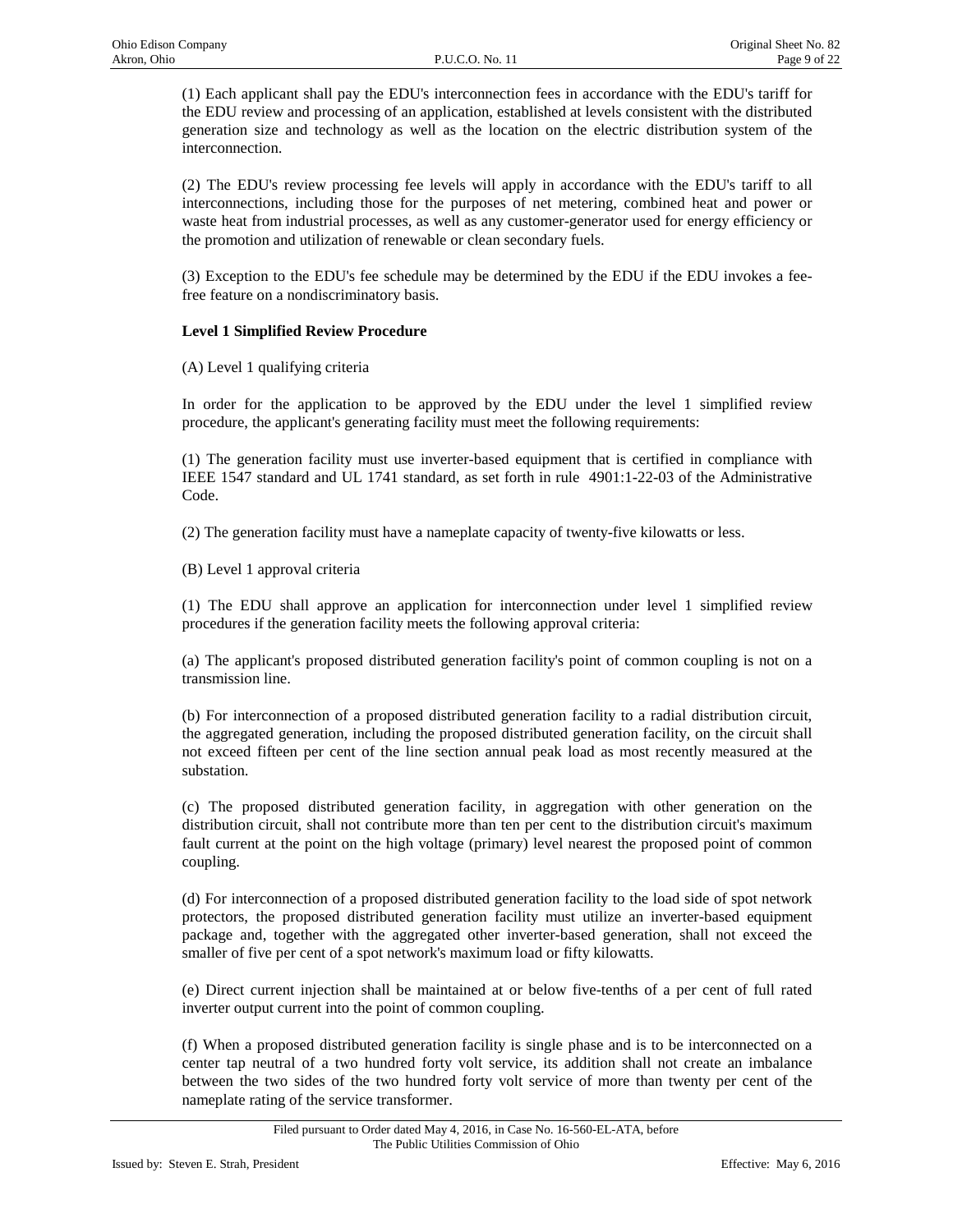(1) Each applicant shall pay the EDU's interconnection fees in accordance with the EDU's tariff for the EDU review and processing of an application, established at levels consistent with the distributed generation size and technology as well as the location on the electric distribution system of the interconnection.

(2) The EDU's review processing fee levels will apply in accordance with the EDU's tariff to all interconnections, including those for the purposes of net metering, combined heat and power or waste heat from industrial processes, as well as any customer-generator used for energy efficiency or the promotion and utilization of renewable or clean secondary fuels.

(3) Exception to the EDU's fee schedule may be determined by the EDU if the EDU invokes a feefree feature on a nondiscriminatory basis.

# **Level 1 Simplified Review Procedure**

(A) Level 1 qualifying criteria

In order for the application to be approved by the EDU under the level 1 simplified review procedure, the applicant's generating facility must meet the following requirements:

(1) The generation facility must use inverter-based equipment that is certified in compliance with IEEE 1547 standard and UL 1741 standard, as set forth in rule 4901:1-22-03 of the Administrative Code.

(2) The generation facility must have a nameplate capacity of twenty-five kilowatts or less.

(B) Level 1 approval criteria

(1) The EDU shall approve an application for interconnection under level 1 simplified review procedures if the generation facility meets the following approval criteria:

(a) The applicant's proposed distributed generation facility's point of common coupling is not on a transmission line.

(b) For interconnection of a proposed distributed generation facility to a radial distribution circuit, the aggregated generation, including the proposed distributed generation facility, on the circuit shall not exceed fifteen per cent of the line section annual peak load as most recently measured at the substation.

(c) The proposed distributed generation facility, in aggregation with other generation on the distribution circuit, shall not contribute more than ten per cent to the distribution circuit's maximum fault current at the point on the high voltage (primary) level nearest the proposed point of common coupling.

(d) For interconnection of a proposed distributed generation facility to the load side of spot network protectors, the proposed distributed generation facility must utilize an inverter-based equipment package and, together with the aggregated other inverter-based generation, shall not exceed the smaller of five per cent of a spot network's maximum load or fifty kilowatts.

(e) Direct current injection shall be maintained at or below five-tenths of a per cent of full rated inverter output current into the point of common coupling.

(f) When a proposed distributed generation facility is single phase and is to be interconnected on a center tap neutral of a two hundred forty volt service, its addition shall not create an imbalance between the two sides of the two hundred forty volt service of more than twenty per cent of the nameplate rating of the service transformer.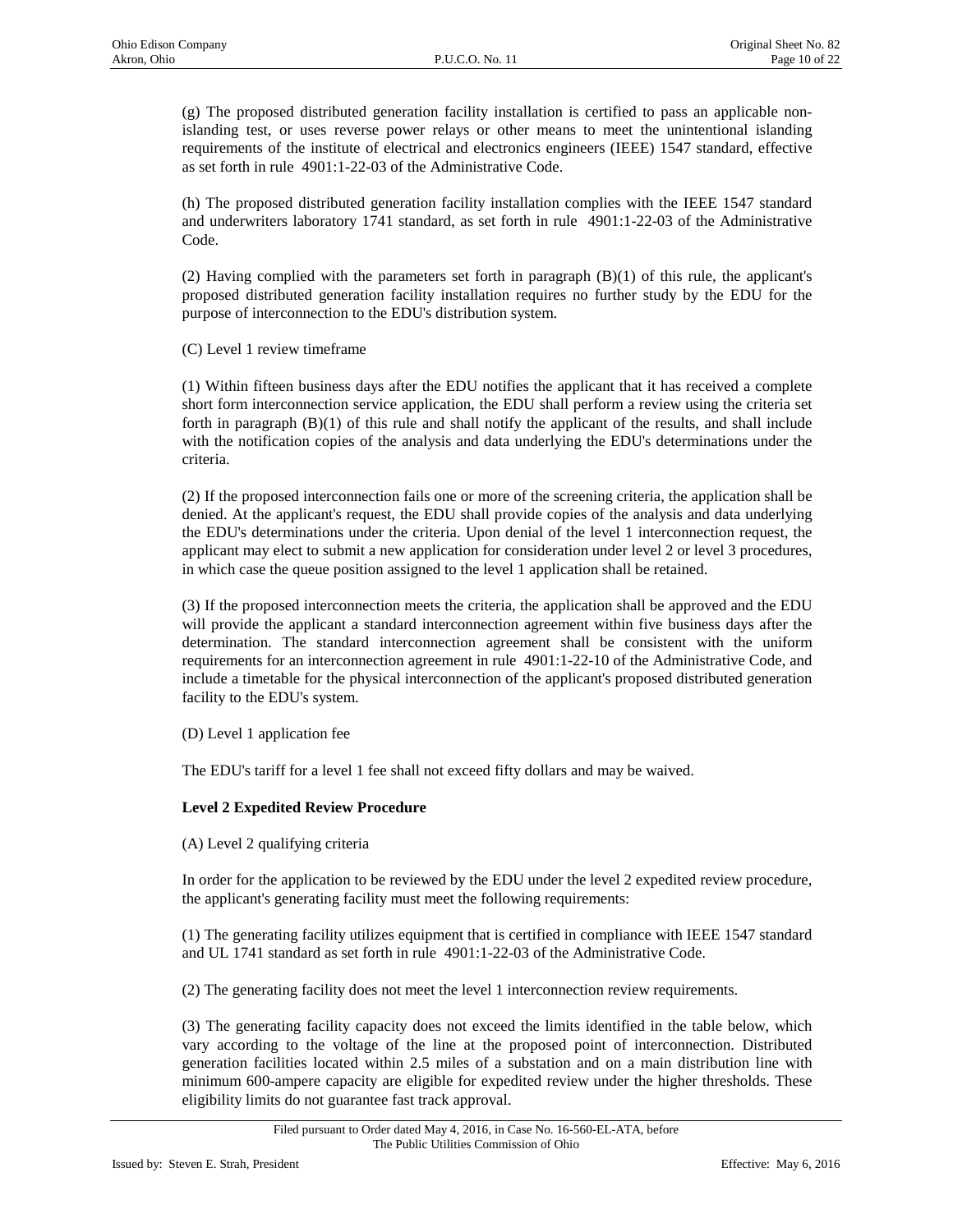(g) The proposed distributed generation facility installation is certified to pass an applicable nonislanding test, or uses reverse power relays or other means to meet the unintentional islanding requirements of the institute of electrical and electronics engineers (IEEE) 1547 standard, effective as set forth in rule 4901:1-22-03 of the Administrative Code.

(h) The proposed distributed generation facility installation complies with the IEEE 1547 standard and underwriters laboratory 1741 standard, as set forth in rule 4901:1-22-03 of the Administrative Code.

(2) Having complied with the parameters set forth in paragraph (B)(1) of this rule, the applicant's proposed distributed generation facility installation requires no further study by the EDU for the purpose of interconnection to the EDU's distribution system.

(C) Level 1 review timeframe

(1) Within fifteen business days after the EDU notifies the applicant that it has received a complete short form interconnection service application, the EDU shall perform a review using the criteria set forth in paragraph (B)(1) of this rule and shall notify the applicant of the results, and shall include with the notification copies of the analysis and data underlying the EDU's determinations under the criteria.

(2) If the proposed interconnection fails one or more of the screening criteria, the application shall be denied. At the applicant's request, the EDU shall provide copies of the analysis and data underlying the EDU's determinations under the criteria. Upon denial of the level 1 interconnection request, the applicant may elect to submit a new application for consideration under level 2 or level 3 procedures, in which case the queue position assigned to the level 1 application shall be retained.

(3) If the proposed interconnection meets the criteria, the application shall be approved and the EDU will provide the applicant a standard interconnection agreement within five business days after the determination. The standard interconnection agreement shall be consistent with the uniform requirements for an interconnection agreement in rule 4901:1-22-10 of the Administrative Code, and include a timetable for the physical interconnection of the applicant's proposed distributed generation facility to the EDU's system.

(D) Level 1 application fee

The EDU's tariff for a level 1 fee shall not exceed fifty dollars and may be waived.

## **Level 2 Expedited Review Procedure**

(A) Level 2 qualifying criteria

In order for the application to be reviewed by the EDU under the level 2 expedited review procedure, the applicant's generating facility must meet the following requirements:

(1) The generating facility utilizes equipment that is certified in compliance with IEEE 1547 standard and UL 1741 standard as set forth in rule 4901:1-22-03 of the Administrative Code.

(2) The generating facility does not meet the level 1 interconnection review requirements.

(3) The generating facility capacity does not exceed the limits identified in the table below, which vary according to the voltage of the line at the proposed point of interconnection. Distributed generation facilities located within 2.5 miles of a substation and on a main distribution line with minimum 600-ampere capacity are eligible for expedited review under the higher thresholds. These eligibility limits do not guarantee fast track approval.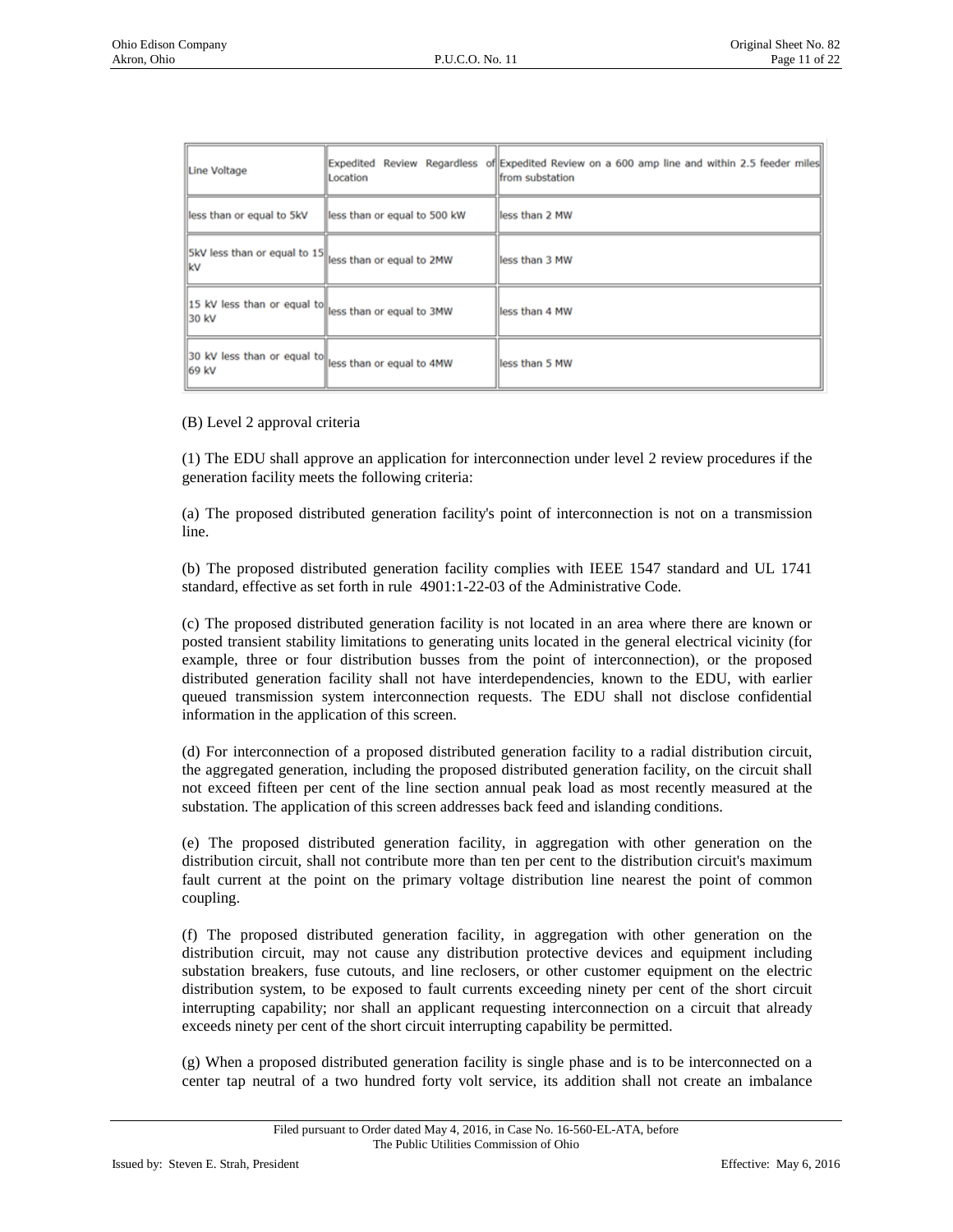| Line Voltage                         | Location                      | [Expedited Review Regardless of Expedited Review on a 600 amp line and within 2.5 feeder miles<br>from substation |
|--------------------------------------|-------------------------------|-------------------------------------------------------------------------------------------------------------------|
| less than or equal to 5kV            | lless than or equal to 500 kW | lless than 2 MW                                                                                                   |
| SkV less than or equal to 15<br>kv   | less than or equal to 2MW     | less than 3 MW                                                                                                    |
| 15 kV less than or equal to<br>30 kV | less than or equal to 3MW     | lless than 4 MW                                                                                                   |
| 30 kV less than or equal to<br>69 kV | less than or equal to 4MW     | less than 5 MW                                                                                                    |

(B) Level 2 approval criteria

(1) The EDU shall approve an application for interconnection under level 2 review procedures if the generation facility meets the following criteria:

(a) The proposed distributed generation facility's point of interconnection is not on a transmission line.

(b) The proposed distributed generation facility complies with IEEE 1547 standard and UL 1741 standard, effective as set forth in rule 4901:1-22-03 of the Administrative Code.

(c) The proposed distributed generation facility is not located in an area where there are known or posted transient stability limitations to generating units located in the general electrical vicinity (for example, three or four distribution busses from the point of interconnection), or the proposed distributed generation facility shall not have interdependencies, known to the EDU, with earlier queued transmission system interconnection requests. The EDU shall not disclose confidential information in the application of this screen.

(d) For interconnection of a proposed distributed generation facility to a radial distribution circuit, the aggregated generation, including the proposed distributed generation facility, on the circuit shall not exceed fifteen per cent of the line section annual peak load as most recently measured at the substation. The application of this screen addresses back feed and islanding conditions.

(e) The proposed distributed generation facility, in aggregation with other generation on the distribution circuit, shall not contribute more than ten per cent to the distribution circuit's maximum fault current at the point on the primary voltage distribution line nearest the point of common coupling.

(f) The proposed distributed generation facility, in aggregation with other generation on the distribution circuit, may not cause any distribution protective devices and equipment including substation breakers, fuse cutouts, and line reclosers, or other customer equipment on the electric distribution system, to be exposed to fault currents exceeding ninety per cent of the short circuit interrupting capability; nor shall an applicant requesting interconnection on a circuit that already exceeds ninety per cent of the short circuit interrupting capability be permitted.

(g) When a proposed distributed generation facility is single phase and is to be interconnected on a center tap neutral of a two hundred forty volt service, its addition shall not create an imbalance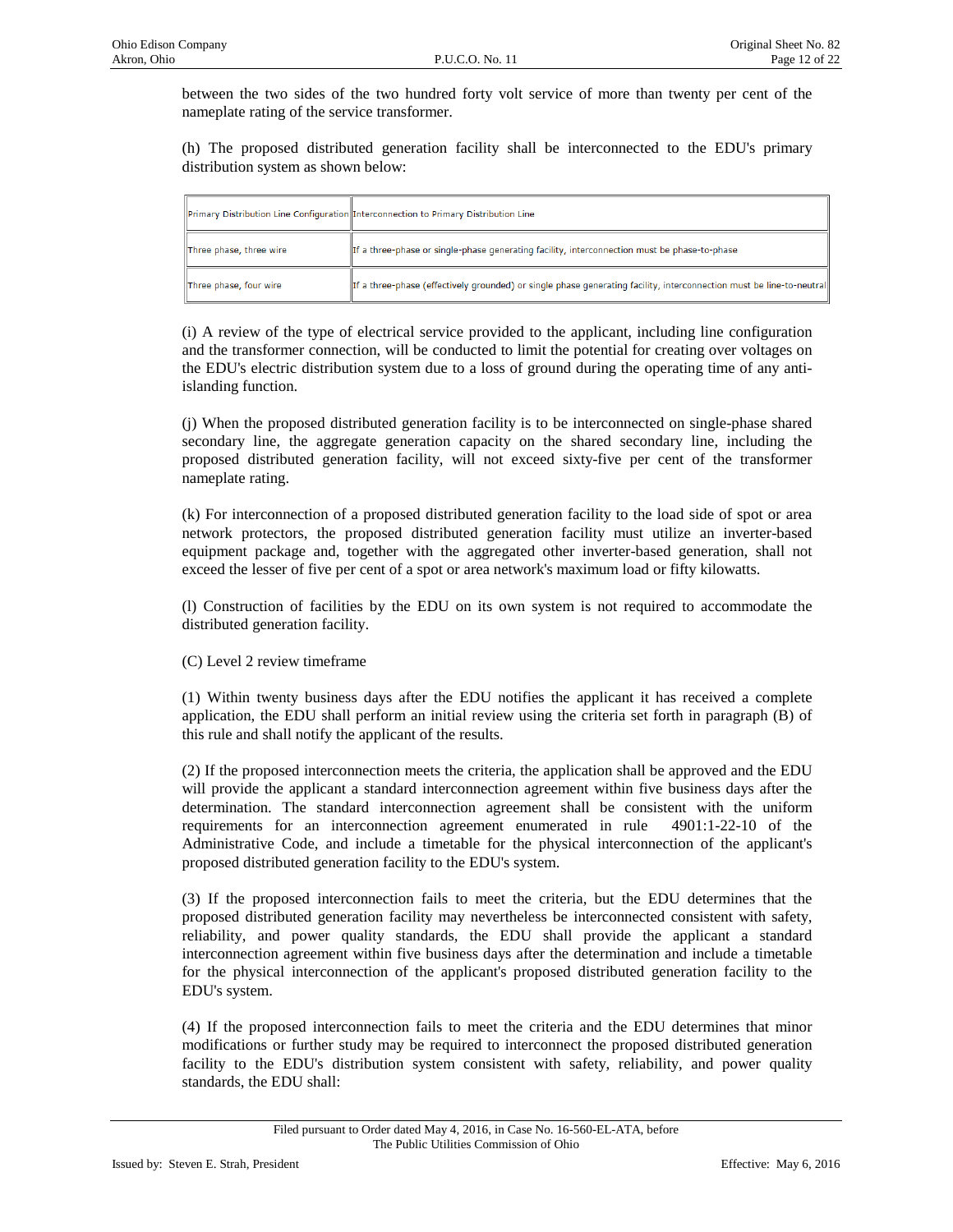between the two sides of the two hundred forty volt service of more than twenty per cent of the nameplate rating of the service transformer.

(h) The proposed distributed generation facility shall be interconnected to the EDU's primary distribution system as shown below:

|                         | Primary Distribution Line Configuration Interconnection to Primary Distribution Line                                 |
|-------------------------|----------------------------------------------------------------------------------------------------------------------|
| Three phase, three wire | If a three-phase or single-phase generating facility, interconnection must be phase-to-phase                         |
| Three phase, four wire  | If a three-phase (effectively grounded) or single phase generating facility, interconnection must be line-to-neutral |

(i) A review of the type of electrical service provided to the applicant, including line configuration and the transformer connection, will be conducted to limit the potential for creating over voltages on the EDU's electric distribution system due to a loss of ground during the operating time of any antiislanding function.

(j) When the proposed distributed generation facility is to be interconnected on single-phase shared secondary line, the aggregate generation capacity on the shared secondary line, including the proposed distributed generation facility, will not exceed sixty-five per cent of the transformer nameplate rating.

(k) For interconnection of a proposed distributed generation facility to the load side of spot or area network protectors, the proposed distributed generation facility must utilize an inverter-based equipment package and, together with the aggregated other inverter-based generation, shall not exceed the lesser of five per cent of a spot or area network's maximum load or fifty kilowatts.

(l) Construction of facilities by the EDU on its own system is not required to accommodate the distributed generation facility.

(C) Level 2 review timeframe

(1) Within twenty business days after the EDU notifies the applicant it has received a complete application, the EDU shall perform an initial review using the criteria set forth in paragraph (B) of this rule and shall notify the applicant of the results.

(2) If the proposed interconnection meets the criteria, the application shall be approved and the EDU will provide the applicant a standard interconnection agreement within five business days after the determination. The standard interconnection agreement shall be consistent with the uniform requirements for an interconnection agreement enumerated in rule 4901:1-22-10 of the Administrative Code, and include a timetable for the physical interconnection of the applicant's proposed distributed generation facility to the EDU's system.

(3) If the proposed interconnection fails to meet the criteria, but the EDU determines that the proposed distributed generation facility may nevertheless be interconnected consistent with safety, reliability, and power quality standards, the EDU shall provide the applicant a standard interconnection agreement within five business days after the determination and include a timetable for the physical interconnection of the applicant's proposed distributed generation facility to the EDU's system.

(4) If the proposed interconnection fails to meet the criteria and the EDU determines that minor modifications or further study may be required to interconnect the proposed distributed generation facility to the EDU's distribution system consistent with safety, reliability, and power quality standards, the EDU shall: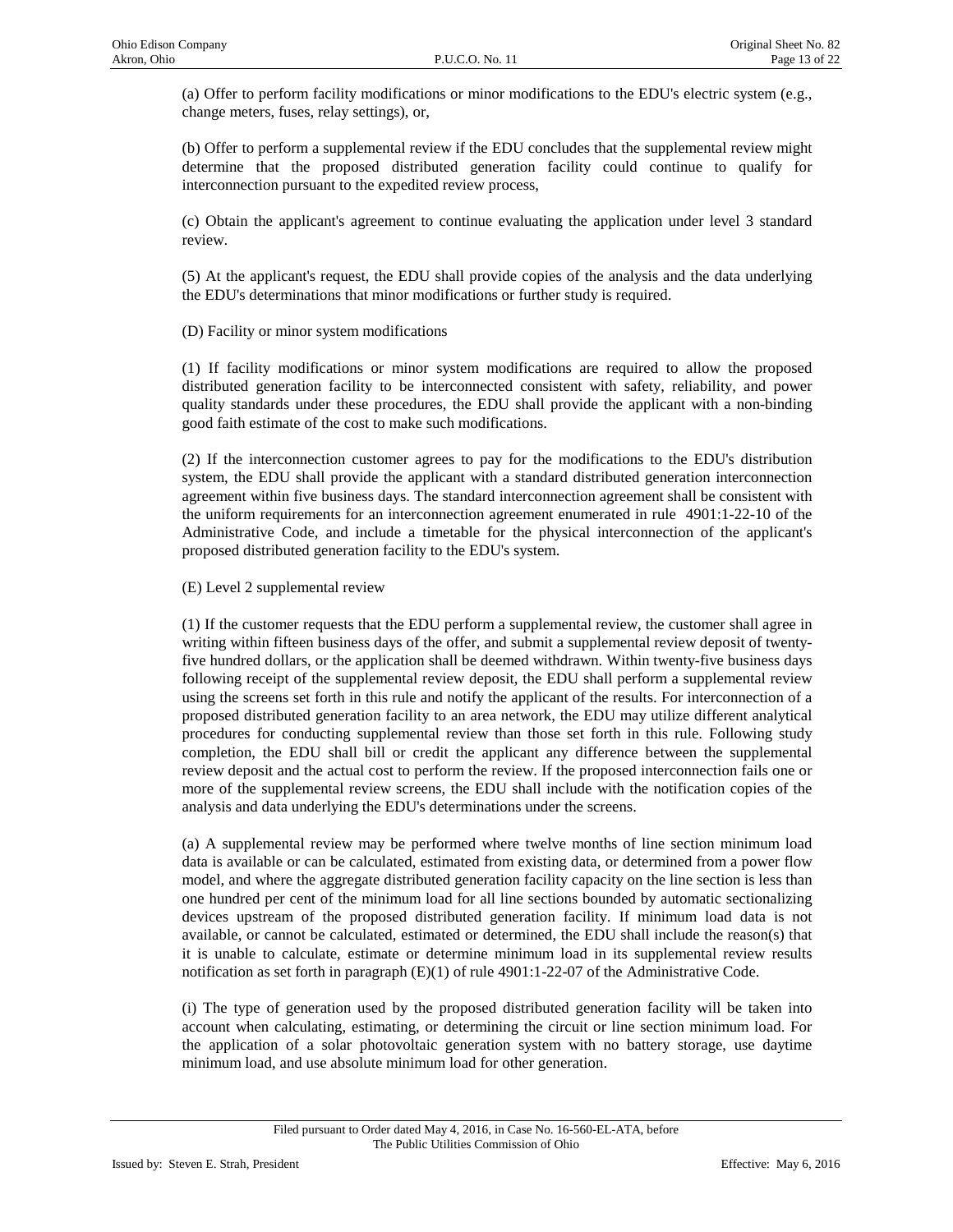(a) Offer to perform facility modifications or minor modifications to the EDU's electric system (e.g., change meters, fuses, relay settings), or,

(b) Offer to perform a supplemental review if the EDU concludes that the supplemental review might determine that the proposed distributed generation facility could continue to qualify for interconnection pursuant to the expedited review process,

(c) Obtain the applicant's agreement to continue evaluating the application under level 3 standard review.

(5) At the applicant's request, the EDU shall provide copies of the analysis and the data underlying the EDU's determinations that minor modifications or further study is required.

(D) Facility or minor system modifications

(1) If facility modifications or minor system modifications are required to allow the proposed distributed generation facility to be interconnected consistent with safety, reliability, and power quality standards under these procedures, the EDU shall provide the applicant with a non-binding good faith estimate of the cost to make such modifications.

(2) If the interconnection customer agrees to pay for the modifications to the EDU's distribution system, the EDU shall provide the applicant with a standard distributed generation interconnection agreement within five business days. The standard interconnection agreement shall be consistent with the uniform requirements for an interconnection agreement enumerated in rule 4901:1-22-10 of the Administrative Code, and include a timetable for the physical interconnection of the applicant's proposed distributed generation facility to the EDU's system.

(E) Level 2 supplemental review

(1) If the customer requests that the EDU perform a supplemental review, the customer shall agree in writing within fifteen business days of the offer, and submit a supplemental review deposit of twentyfive hundred dollars, or the application shall be deemed withdrawn. Within twenty-five business days following receipt of the supplemental review deposit, the EDU shall perform a supplemental review using the screens set forth in this rule and notify the applicant of the results. For interconnection of a proposed distributed generation facility to an area network, the EDU may utilize different analytical procedures for conducting supplemental review than those set forth in this rule. Following study completion, the EDU shall bill or credit the applicant any difference between the supplemental review deposit and the actual cost to perform the review. If the proposed interconnection fails one or more of the supplemental review screens, the EDU shall include with the notification copies of the analysis and data underlying the EDU's determinations under the screens.

(a) A supplemental review may be performed where twelve months of line section minimum load data is available or can be calculated, estimated from existing data, or determined from a power flow model, and where the aggregate distributed generation facility capacity on the line section is less than one hundred per cent of the minimum load for all line sections bounded by automatic sectionalizing devices upstream of the proposed distributed generation facility. If minimum load data is not available, or cannot be calculated, estimated or determined, the EDU shall include the reason(s) that it is unable to calculate, estimate or determine minimum load in its supplemental review results notification as set forth in paragraph (E)(1) of rule 4901:1-22-07 of the Administrative Code.

(i) The type of generation used by the proposed distributed generation facility will be taken into account when calculating, estimating, or determining the circuit or line section minimum load. For the application of a solar photovoltaic generation system with no battery storage, use daytime minimum load, and use absolute minimum load for other generation.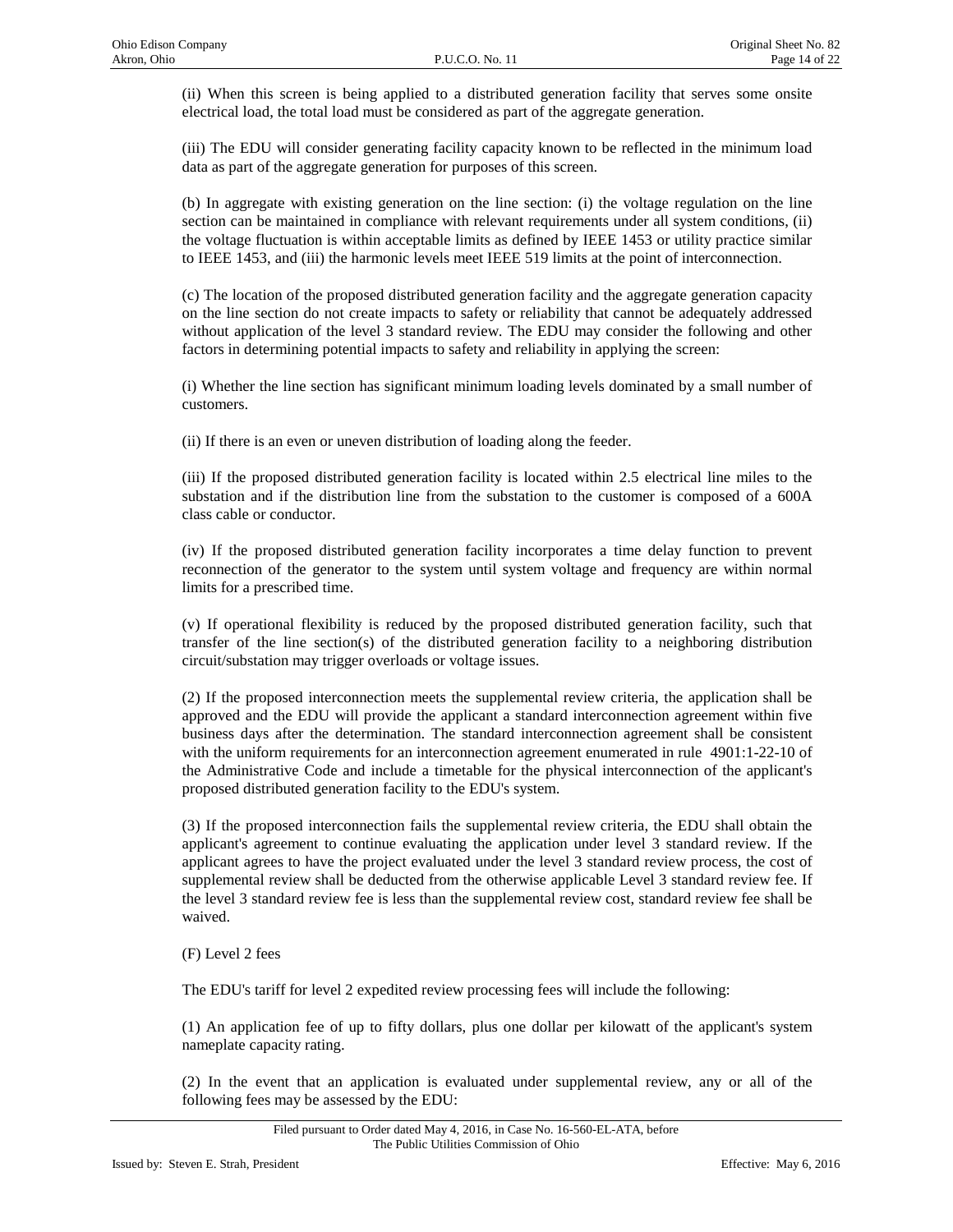(ii) When this screen is being applied to a distributed generation facility that serves some onsite electrical load, the total load must be considered as part of the aggregate generation.

(iii) The EDU will consider generating facility capacity known to be reflected in the minimum load data as part of the aggregate generation for purposes of this screen.

(b) In aggregate with existing generation on the line section: (i) the voltage regulation on the line section can be maintained in compliance with relevant requirements under all system conditions, (ii) the voltage fluctuation is within acceptable limits as defined by IEEE 1453 or utility practice similar to IEEE 1453, and (iii) the harmonic levels meet IEEE 519 limits at the point of interconnection.

(c) The location of the proposed distributed generation facility and the aggregate generation capacity on the line section do not create impacts to safety or reliability that cannot be adequately addressed without application of the level 3 standard review. The EDU may consider the following and other factors in determining potential impacts to safety and reliability in applying the screen:

(i) Whether the line section has significant minimum loading levels dominated by a small number of customers.

(ii) If there is an even or uneven distribution of loading along the feeder.

(iii) If the proposed distributed generation facility is located within 2.5 electrical line miles to the substation and if the distribution line from the substation to the customer is composed of a 600A class cable or conductor.

(iv) If the proposed distributed generation facility incorporates a time delay function to prevent reconnection of the generator to the system until system voltage and frequency are within normal limits for a prescribed time.

(v) If operational flexibility is reduced by the proposed distributed generation facility, such that transfer of the line section(s) of the distributed generation facility to a neighboring distribution circuit/substation may trigger overloads or voltage issues.

(2) If the proposed interconnection meets the supplemental review criteria, the application shall be approved and the EDU will provide the applicant a standard interconnection agreement within five business days after the determination. The standard interconnection agreement shall be consistent with the uniform requirements for an interconnection agreement enumerated in rule 4901:1-22-10 of the Administrative Code and include a timetable for the physical interconnection of the applicant's proposed distributed generation facility to the EDU's system.

(3) If the proposed interconnection fails the supplemental review criteria, the EDU shall obtain the applicant's agreement to continue evaluating the application under level 3 standard review. If the applicant agrees to have the project evaluated under the level 3 standard review process, the cost of supplemental review shall be deducted from the otherwise applicable Level 3 standard review fee. If the level 3 standard review fee is less than the supplemental review cost, standard review fee shall be waived.

(F) Level 2 fees

The EDU's tariff for level 2 expedited review processing fees will include the following:

(1) An application fee of up to fifty dollars, plus one dollar per kilowatt of the applicant's system nameplate capacity rating.

(2) In the event that an application is evaluated under supplemental review, any or all of the following fees may be assessed by the EDU: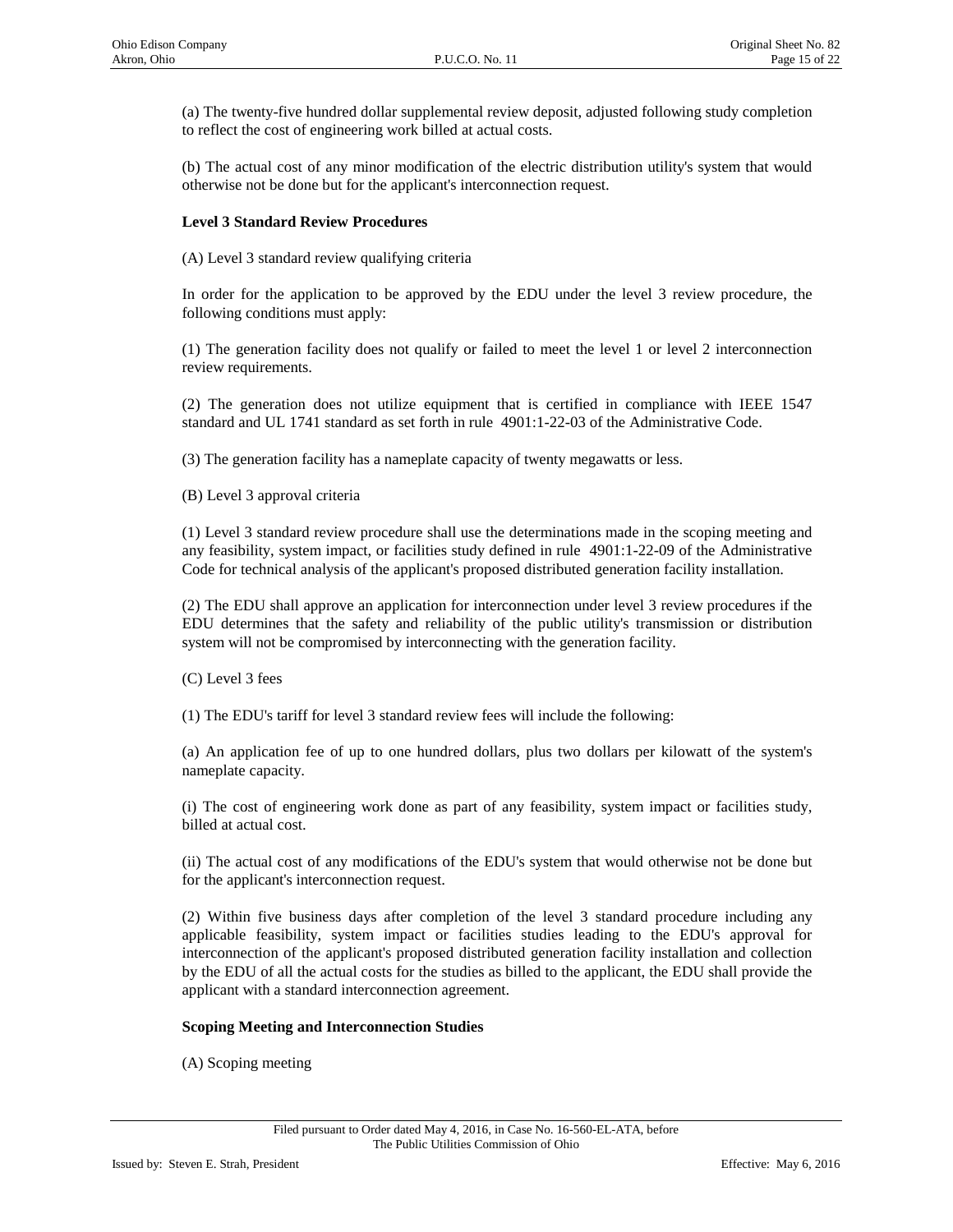(a) The twenty-five hundred dollar supplemental review deposit, adjusted following study completion to reflect the cost of engineering work billed at actual costs.

(b) The actual cost of any minor modification of the electric distribution utility's system that would otherwise not be done but for the applicant's interconnection request.

## **Level 3 Standard Review Procedures**

(A) Level 3 standard review qualifying criteria

In order for the application to be approved by the EDU under the level 3 review procedure, the following conditions must apply:

(1) The generation facility does not qualify or failed to meet the level 1 or level 2 interconnection review requirements.

(2) The generation does not utilize equipment that is certified in compliance with IEEE 1547 standard and UL 1741 standard as set forth in rule 4901:1-22-03 of the Administrative Code.

(3) The generation facility has a nameplate capacity of twenty megawatts or less.

(B) Level 3 approval criteria

(1) Level 3 standard review procedure shall use the determinations made in the scoping meeting and any feasibility, system impact, or facilities study defined in rule 4901:1-22-09 of the Administrative Code for technical analysis of the applicant's proposed distributed generation facility installation.

(2) The EDU shall approve an application for interconnection under level 3 review procedures if the EDU determines that the safety and reliability of the public utility's transmission or distribution system will not be compromised by interconnecting with the generation facility.

(C) Level 3 fees

(1) The EDU's tariff for level 3 standard review fees will include the following:

(a) An application fee of up to one hundred dollars, plus two dollars per kilowatt of the system's nameplate capacity.

(i) The cost of engineering work done as part of any feasibility, system impact or facilities study, billed at actual cost.

(ii) The actual cost of any modifications of the EDU's system that would otherwise not be done but for the applicant's interconnection request.

(2) Within five business days after completion of the level 3 standard procedure including any applicable feasibility, system impact or facilities studies leading to the EDU's approval for interconnection of the applicant's proposed distributed generation facility installation and collection by the EDU of all the actual costs for the studies as billed to the applicant, the EDU shall provide the applicant with a standard interconnection agreement.

#### **Scoping Meeting and Interconnection Studies**

(A) Scoping meeting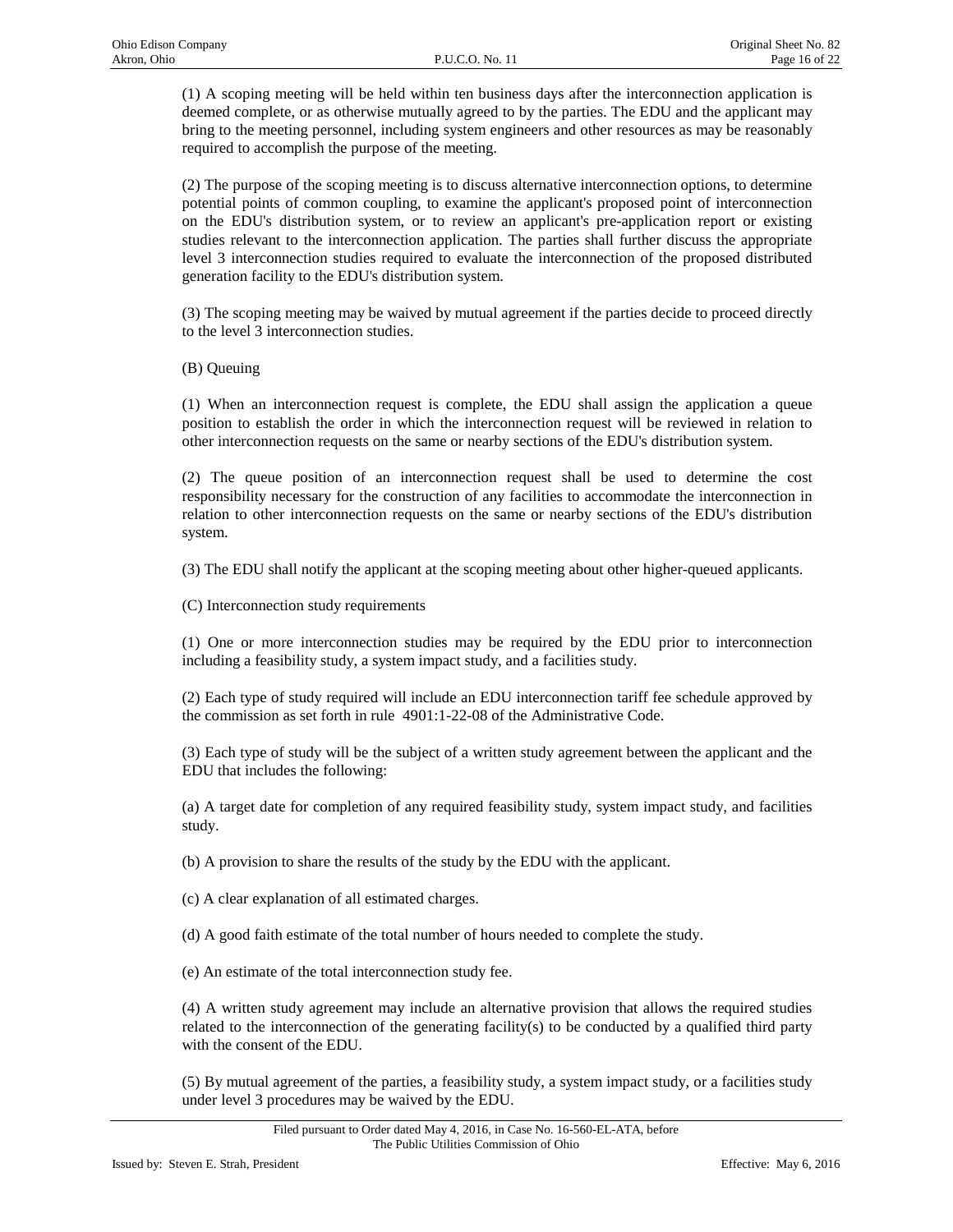(1) A scoping meeting will be held within ten business days after the interconnection application is deemed complete, or as otherwise mutually agreed to by the parties. The EDU and the applicant may bring to the meeting personnel, including system engineers and other resources as may be reasonably required to accomplish the purpose of the meeting.

(2) The purpose of the scoping meeting is to discuss alternative interconnection options, to determine potential points of common coupling, to examine the applicant's proposed point of interconnection on the EDU's distribution system, or to review an applicant's pre-application report or existing studies relevant to the interconnection application. The parties shall further discuss the appropriate level 3 interconnection studies required to evaluate the interconnection of the proposed distributed generation facility to the EDU's distribution system.

(3) The scoping meeting may be waived by mutual agreement if the parties decide to proceed directly to the level 3 interconnection studies.

(B) Queuing

(1) When an interconnection request is complete, the EDU shall assign the application a queue position to establish the order in which the interconnection request will be reviewed in relation to other interconnection requests on the same or nearby sections of the EDU's distribution system.

(2) The queue position of an interconnection request shall be used to determine the cost responsibility necessary for the construction of any facilities to accommodate the interconnection in relation to other interconnection requests on the same or nearby sections of the EDU's distribution system.

(3) The EDU shall notify the applicant at the scoping meeting about other higher-queued applicants.

(C) Interconnection study requirements

(1) One or more interconnection studies may be required by the EDU prior to interconnection including a feasibility study, a system impact study, and a facilities study.

(2) Each type of study required will include an EDU interconnection tariff fee schedule approved by the commission as set forth in rule 4901:1-22-08 of the Administrative Code.

(3) Each type of study will be the subject of a written study agreement between the applicant and the EDU that includes the following:

(a) A target date for completion of any required feasibility study, system impact study, and facilities study.

(b) A provision to share the results of the study by the EDU with the applicant.

(c) A clear explanation of all estimated charges.

(d) A good faith estimate of the total number of hours needed to complete the study.

(e) An estimate of the total interconnection study fee.

(4) A written study agreement may include an alternative provision that allows the required studies related to the interconnection of the generating facility(s) to be conducted by a qualified third party with the consent of the EDU.

(5) By mutual agreement of the parties, a feasibility study, a system impact study, or a facilities study under level 3 procedures may be waived by the EDU.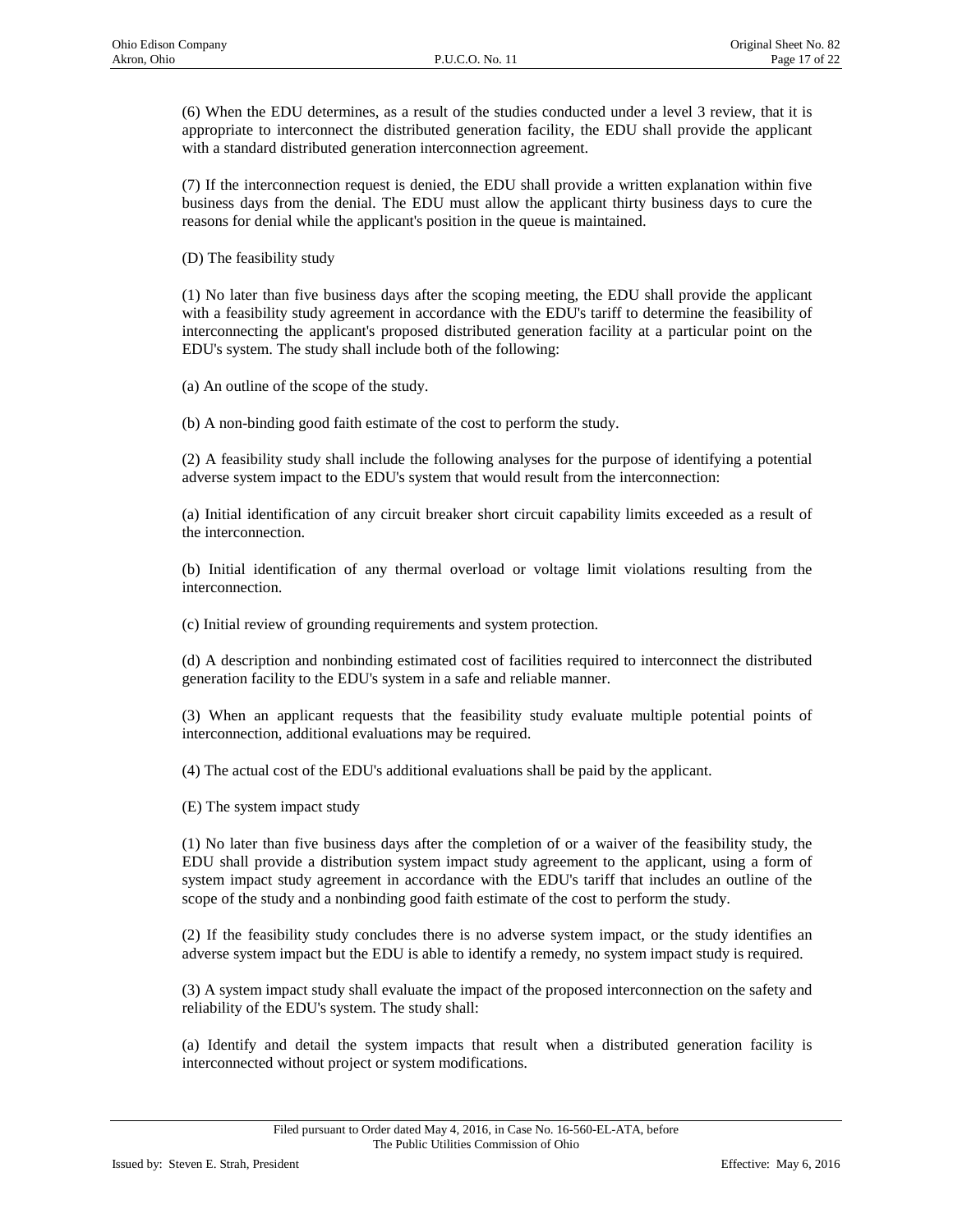(6) When the EDU determines, as a result of the studies conducted under a level 3 review, that it is appropriate to interconnect the distributed generation facility, the EDU shall provide the applicant with a standard distributed generation interconnection agreement.

(7) If the interconnection request is denied, the EDU shall provide a written explanation within five business days from the denial. The EDU must allow the applicant thirty business days to cure the reasons for denial while the applicant's position in the queue is maintained.

(D) The feasibility study

(1) No later than five business days after the scoping meeting, the EDU shall provide the applicant with a feasibility study agreement in accordance with the EDU's tariff to determine the feasibility of interconnecting the applicant's proposed distributed generation facility at a particular point on the EDU's system. The study shall include both of the following:

(a) An outline of the scope of the study.

(b) A non-binding good faith estimate of the cost to perform the study.

(2) A feasibility study shall include the following analyses for the purpose of identifying a potential adverse system impact to the EDU's system that would result from the interconnection:

(a) Initial identification of any circuit breaker short circuit capability limits exceeded as a result of the interconnection.

(b) Initial identification of any thermal overload or voltage limit violations resulting from the interconnection.

(c) Initial review of grounding requirements and system protection.

(d) A description and nonbinding estimated cost of facilities required to interconnect the distributed generation facility to the EDU's system in a safe and reliable manner.

(3) When an applicant requests that the feasibility study evaluate multiple potential points of interconnection, additional evaluations may be required.

(4) The actual cost of the EDU's additional evaluations shall be paid by the applicant.

(E) The system impact study

(1) No later than five business days after the completion of or a waiver of the feasibility study, the EDU shall provide a distribution system impact study agreement to the applicant, using a form of system impact study agreement in accordance with the EDU's tariff that includes an outline of the scope of the study and a nonbinding good faith estimate of the cost to perform the study.

(2) If the feasibility study concludes there is no adverse system impact, or the study identifies an adverse system impact but the EDU is able to identify a remedy, no system impact study is required.

(3) A system impact study shall evaluate the impact of the proposed interconnection on the safety and reliability of the EDU's system. The study shall:

(a) Identify and detail the system impacts that result when a distributed generation facility is interconnected without project or system modifications.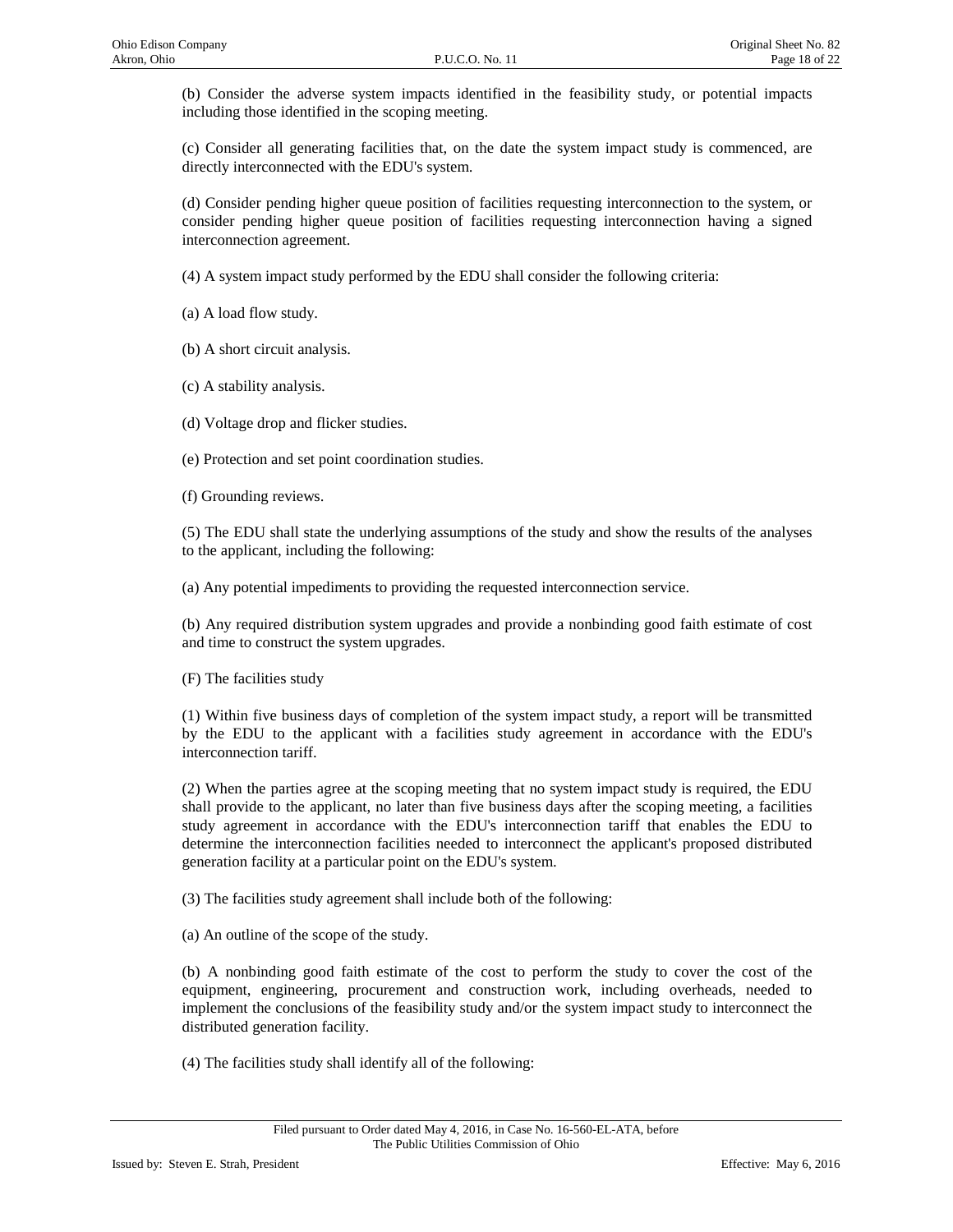(b) Consider the adverse system impacts identified in the feasibility study, or potential impacts including those identified in the scoping meeting.

(c) Consider all generating facilities that, on the date the system impact study is commenced, are directly interconnected with the EDU's system.

(d) Consider pending higher queue position of facilities requesting interconnection to the system, or consider pending higher queue position of facilities requesting interconnection having a signed interconnection agreement.

(4) A system impact study performed by the EDU shall consider the following criteria:

(a) A load flow study.

(b) A short circuit analysis.

(c) A stability analysis.

(d) Voltage drop and flicker studies.

(e) Protection and set point coordination studies.

(f) Grounding reviews.

(5) The EDU shall state the underlying assumptions of the study and show the results of the analyses to the applicant, including the following:

(a) Any potential impediments to providing the requested interconnection service.

(b) Any required distribution system upgrades and provide a nonbinding good faith estimate of cost and time to construct the system upgrades.

(F) The facilities study

(1) Within five business days of completion of the system impact study, a report will be transmitted by the EDU to the applicant with a facilities study agreement in accordance with the EDU's interconnection tariff.

(2) When the parties agree at the scoping meeting that no system impact study is required, the EDU shall provide to the applicant, no later than five business days after the scoping meeting, a facilities study agreement in accordance with the EDU's interconnection tariff that enables the EDU to determine the interconnection facilities needed to interconnect the applicant's proposed distributed generation facility at a particular point on the EDU's system.

(3) The facilities study agreement shall include both of the following:

(a) An outline of the scope of the study.

(b) A nonbinding good faith estimate of the cost to perform the study to cover the cost of the equipment, engineering, procurement and construction work, including overheads, needed to implement the conclusions of the feasibility study and/or the system impact study to interconnect the distributed generation facility.

(4) The facilities study shall identify all of the following: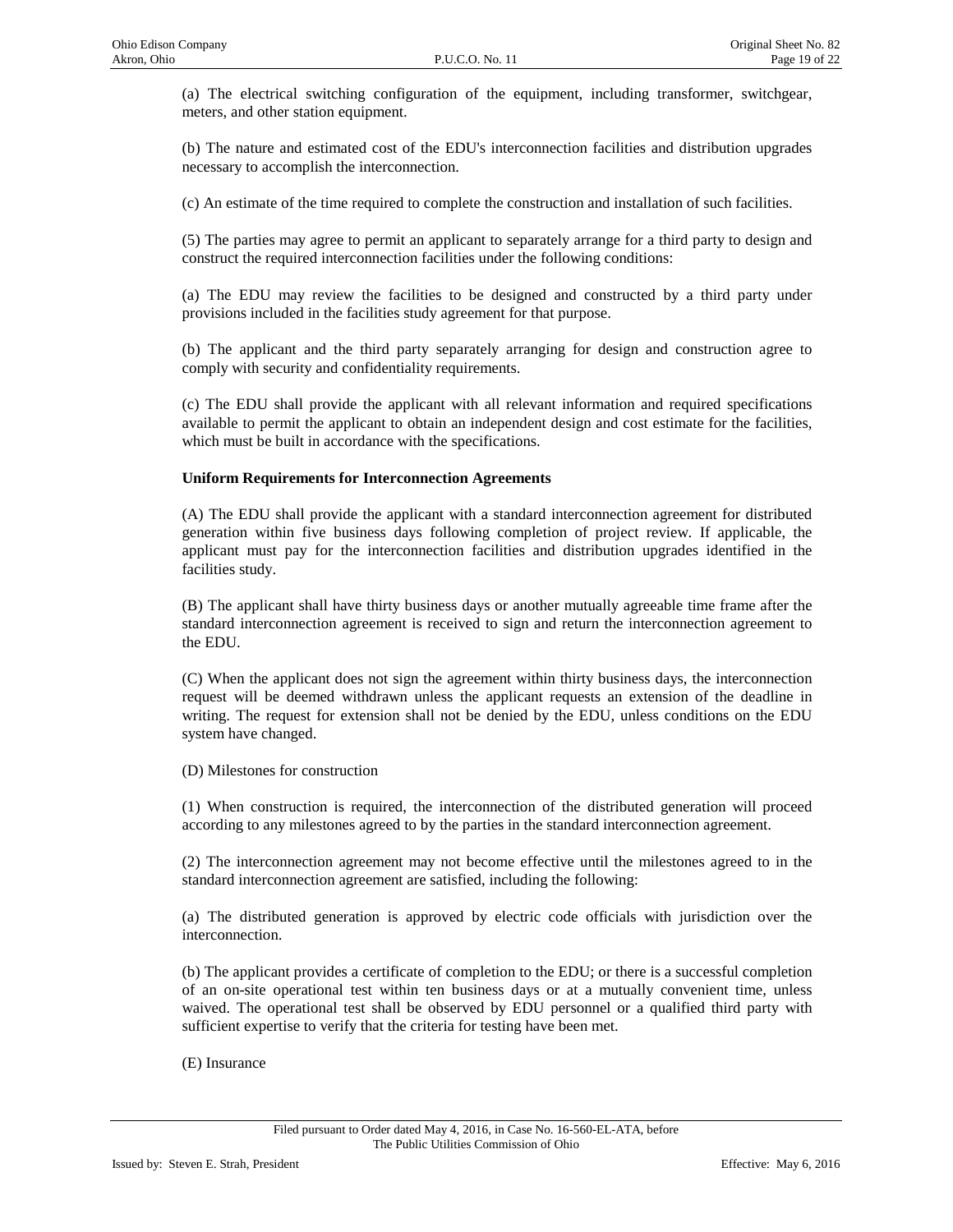(a) The electrical switching configuration of the equipment, including transformer, switchgear, meters, and other station equipment.

(b) The nature and estimated cost of the EDU's interconnection facilities and distribution upgrades necessary to accomplish the interconnection.

(c) An estimate of the time required to complete the construction and installation of such facilities.

(5) The parties may agree to permit an applicant to separately arrange for a third party to design and construct the required interconnection facilities under the following conditions:

(a) The EDU may review the facilities to be designed and constructed by a third party under provisions included in the facilities study agreement for that purpose.

(b) The applicant and the third party separately arranging for design and construction agree to comply with security and confidentiality requirements.

(c) The EDU shall provide the applicant with all relevant information and required specifications available to permit the applicant to obtain an independent design and cost estimate for the facilities, which must be built in accordance with the specifications.

#### **Uniform Requirements for Interconnection Agreements**

(A) The EDU shall provide the applicant with a standard interconnection agreement for distributed generation within five business days following completion of project review. If applicable, the applicant must pay for the interconnection facilities and distribution upgrades identified in the facilities study.

(B) The applicant shall have thirty business days or another mutually agreeable time frame after the standard interconnection agreement is received to sign and return the interconnection agreement to the EDU.

(C) When the applicant does not sign the agreement within thirty business days, the interconnection request will be deemed withdrawn unless the applicant requests an extension of the deadline in writing. The request for extension shall not be denied by the EDU, unless conditions on the EDU system have changed.

(D) Milestones for construction

(1) When construction is required, the interconnection of the distributed generation will proceed according to any milestones agreed to by the parties in the standard interconnection agreement.

(2) The interconnection agreement may not become effective until the milestones agreed to in the standard interconnection agreement are satisfied, including the following:

(a) The distributed generation is approved by electric code officials with jurisdiction over the interconnection.

(b) The applicant provides a certificate of completion to the EDU; or there is a successful completion of an on-site operational test within ten business days or at a mutually convenient time, unless waived. The operational test shall be observed by EDU personnel or a qualified third party with sufficient expertise to verify that the criteria for testing have been met.

(E) Insurance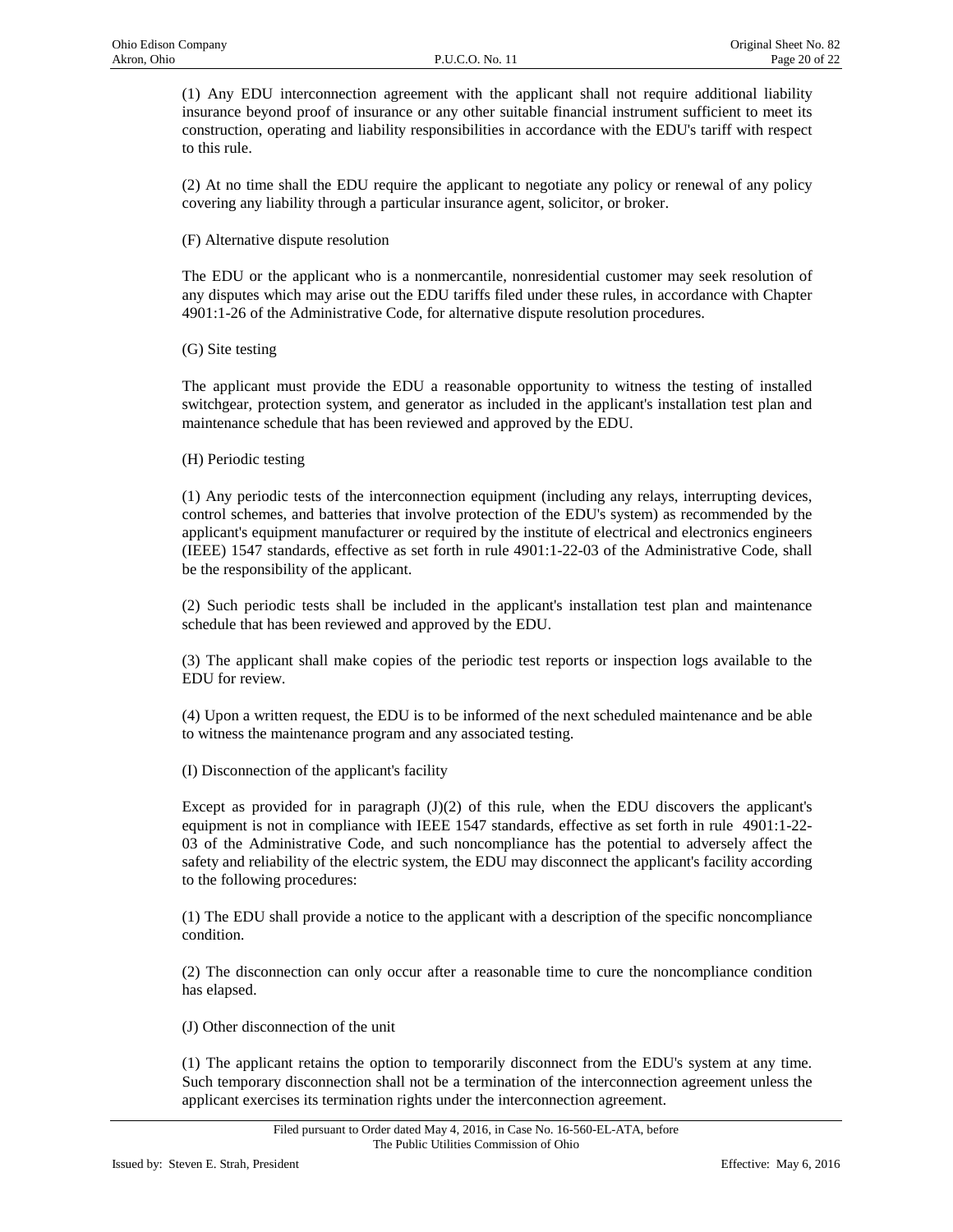(1) Any EDU interconnection agreement with the applicant shall not require additional liability insurance beyond proof of insurance or any other suitable financial instrument sufficient to meet its construction, operating and liability responsibilities in accordance with the EDU's tariff with respect to this rule.

(2) At no time shall the EDU require the applicant to negotiate any policy or renewal of any policy covering any liability through a particular insurance agent, solicitor, or broker.

(F) Alternative dispute resolution

The EDU or the applicant who is a nonmercantile, nonresidential customer may seek resolution of any disputes which may arise out the EDU tariffs filed under these rules, in accordance with Chapter 4901:1-26 of the Administrative Code, for alternative dispute resolution procedures.

(G) Site testing

The applicant must provide the EDU a reasonable opportunity to witness the testing of installed switchgear, protection system, and generator as included in the applicant's installation test plan and maintenance schedule that has been reviewed and approved by the EDU.

(H) Periodic testing

(1) Any periodic tests of the interconnection equipment (including any relays, interrupting devices, control schemes, and batteries that involve protection of the EDU's system) as recommended by the applicant's equipment manufacturer or required by the institute of electrical and electronics engineers (IEEE) 1547 standards, effective as set forth in rule 4901:1-22-03 of the Administrative Code, shall be the responsibility of the applicant.

(2) Such periodic tests shall be included in the applicant's installation test plan and maintenance schedule that has been reviewed and approved by the EDU.

(3) The applicant shall make copies of the periodic test reports or inspection logs available to the EDU for review.

(4) Upon a written request, the EDU is to be informed of the next scheduled maintenance and be able to witness the maintenance program and any associated testing.

(I) Disconnection of the applicant's facility

Except as provided for in paragraph  $J(1)(2)$  of this rule, when the EDU discovers the applicant's equipment is not in compliance with IEEE 1547 standards, effective as set forth in rule 4901:1-22- 03 of the Administrative Code, and such noncompliance has the potential to adversely affect the safety and reliability of the electric system, the EDU may disconnect the applicant's facility according to the following procedures:

(1) The EDU shall provide a notice to the applicant with a description of the specific noncompliance condition.

(2) The disconnection can only occur after a reasonable time to cure the noncompliance condition has elapsed.

(J) Other disconnection of the unit

(1) The applicant retains the option to temporarily disconnect from the EDU's system at any time. Such temporary disconnection shall not be a termination of the interconnection agreement unless the applicant exercises its termination rights under the interconnection agreement.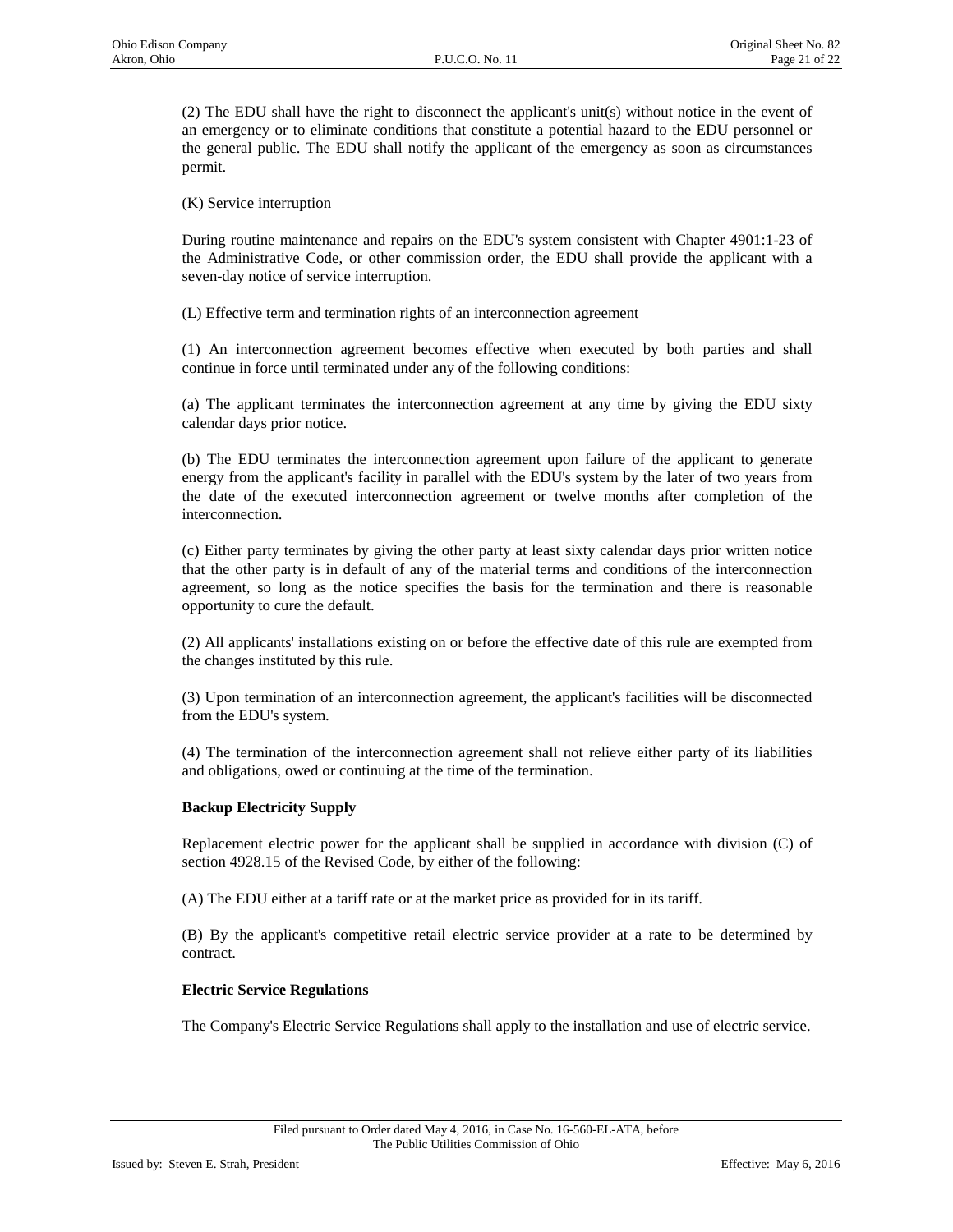(2) The EDU shall have the right to disconnect the applicant's unit(s) without notice in the event of an emergency or to eliminate conditions that constitute a potential hazard to the EDU personnel or the general public. The EDU shall notify the applicant of the emergency as soon as circumstances permit.

(K) Service interruption

During routine maintenance and repairs on the EDU's system consistent with Chapter 4901:1-23 of the Administrative Code, or other commission order, the EDU shall provide the applicant with a seven-day notice of service interruption.

(L) Effective term and termination rights of an interconnection agreement

(1) An interconnection agreement becomes effective when executed by both parties and shall continue in force until terminated under any of the following conditions:

(a) The applicant terminates the interconnection agreement at any time by giving the EDU sixty calendar days prior notice.

(b) The EDU terminates the interconnection agreement upon failure of the applicant to generate energy from the applicant's facility in parallel with the EDU's system by the later of two years from the date of the executed interconnection agreement or twelve months after completion of the interconnection.

(c) Either party terminates by giving the other party at least sixty calendar days prior written notice that the other party is in default of any of the material terms and conditions of the interconnection agreement, so long as the notice specifies the basis for the termination and there is reasonable opportunity to cure the default.

(2) All applicants' installations existing on or before the effective date of this rule are exempted from the changes instituted by this rule.

(3) Upon termination of an interconnection agreement, the applicant's facilities will be disconnected from the EDU's system.

(4) The termination of the interconnection agreement shall not relieve either party of its liabilities and obligations, owed or continuing at the time of the termination.

## **Backup Electricity Supply**

Replacement electric power for the applicant shall be supplied in accordance with division (C) of section 4928.15 of the Revised Code, by either of the following:

(A) The EDU either at a tariff rate or at the market price as provided for in its tariff.

(B) By the applicant's competitive retail electric service provider at a rate to be determined by contract.

## **Electric Service Regulations**

The Company's Electric Service Regulations shall apply to the installation and use of electric service.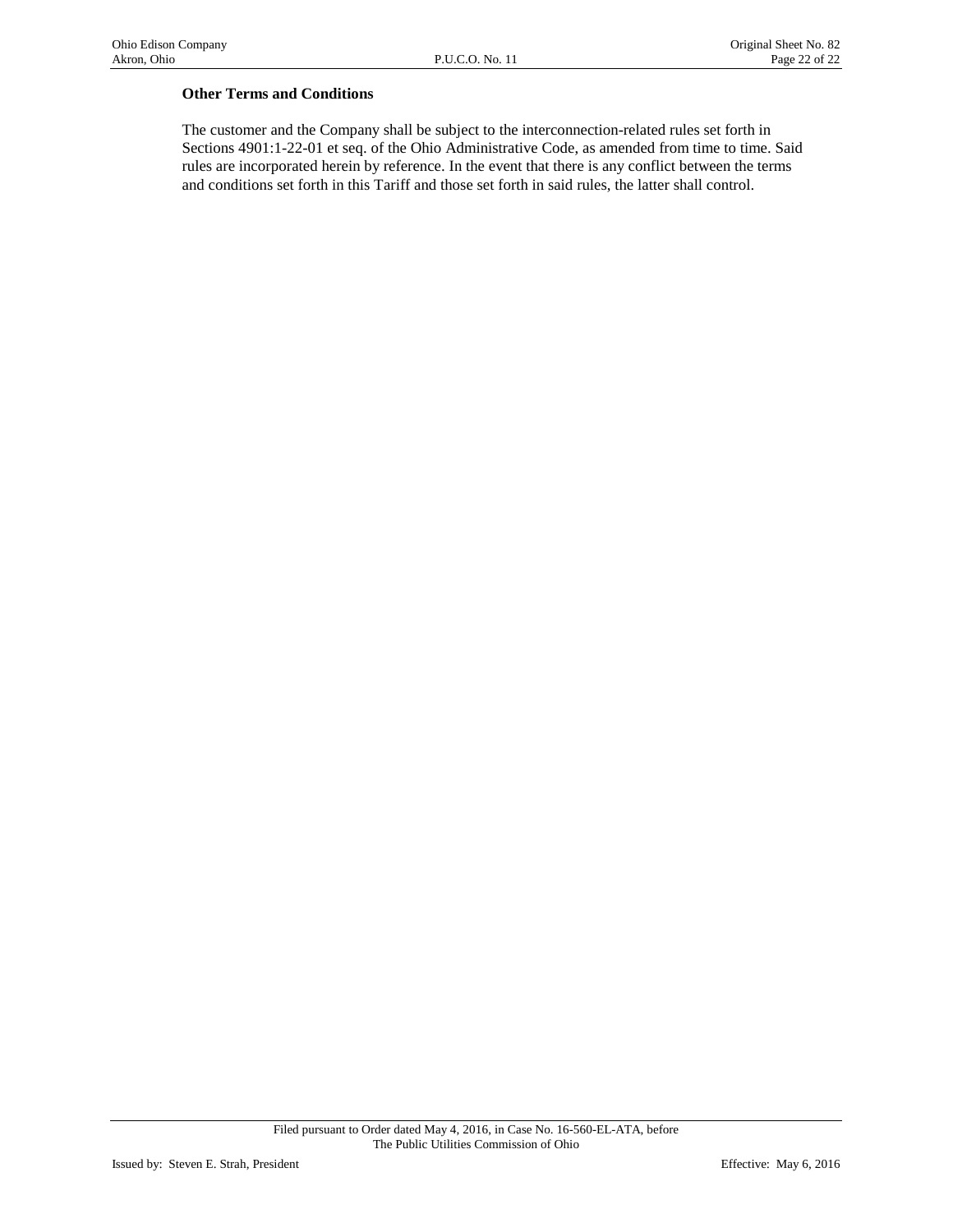## **Other Terms and Conditions**

The customer and the Company shall be subject to the interconnection-related rules set forth in Sections 4901:1-22-01 et seq. of the Ohio Administrative Code, as amended from time to time. Said rules are incorporated herein by reference. In the event that there is any conflict between the terms and conditions set forth in this Tariff and those set forth in said rules, the latter shall control.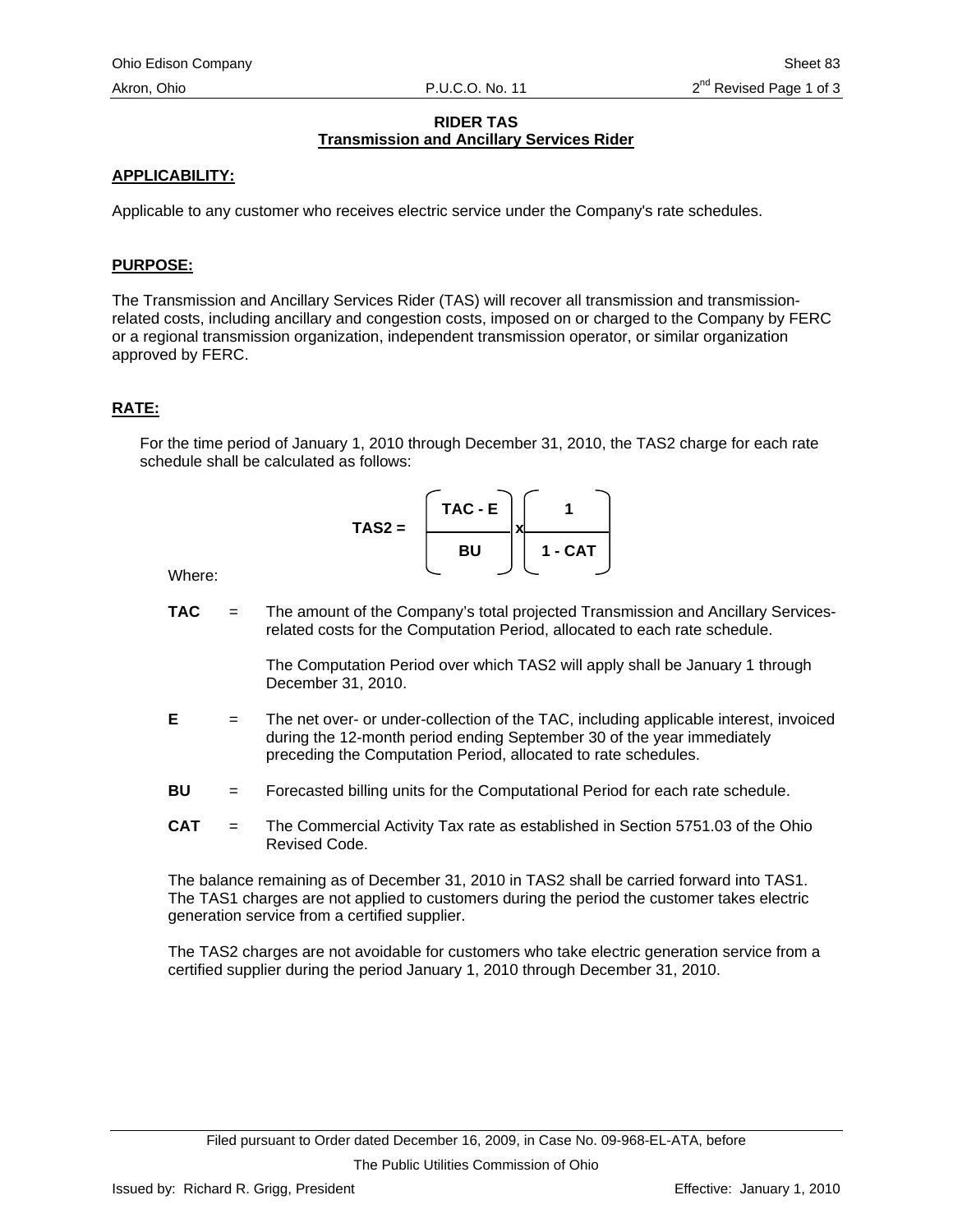# **RIDER TAS Transmission and Ancillary Services Rider**

# <span id="page-97-0"></span>**APPLICABILITY:**

Applicable to any customer who receives electric service under the Company's rate schedules.

# **PURPOSE:**

The Transmission and Ancillary Services Rider (TAS) will recover all transmission and transmissionrelated costs, including ancillary and congestion costs, imposed on or charged to the Company by FERC or a regional transmission organization, independent transmission operator, or similar organization approved by FERC.

# **RATE:**

For the time period of January 1, 2010 through December 31, 2010, the TAS2 charge for each rate schedule shall be calculated as follows:

$$
\mathsf{TAS2} = \left[\begin{array}{c}\n\mathsf{TAC} - \mathsf{E} \\
\mathsf{B}\mathsf{U}\n\end{array}\right] \mathsf{X} \left[\begin{array}{c}\n\mathsf{1} \\
\mathsf{1} - \mathsf{CAT}\n\end{array}\right]
$$

Where:

**TAC** = The amount of the Company's total projected Transmission and Ancillary Servicesrelated costs for the Computation Period, allocated to each rate schedule.

> The Computation Period over which TAS2 will apply shall be January 1 through December 31, 2010.

- **E** = The net over- or under-collection of the TAC, including applicable interest, invoiced during the 12-month period ending September 30 of the year immediately preceding the Computation Period, allocated to rate schedules.
- **BU** = Forecasted billing units for the Computational Period for each rate schedule.
- **CAT** = The Commercial Activity Tax rate as established in Section 5751.03 of the Ohio Revised Code.

The balance remaining as of December 31, 2010 in TAS2 shall be carried forward into TAS1. The TAS1 charges are not applied to customers during the period the customer takes electric generation service from a certified supplier.

The TAS2 charges are not avoidable for customers who take electric generation service from a certified supplier during the period January 1, 2010 through December 31, 2010.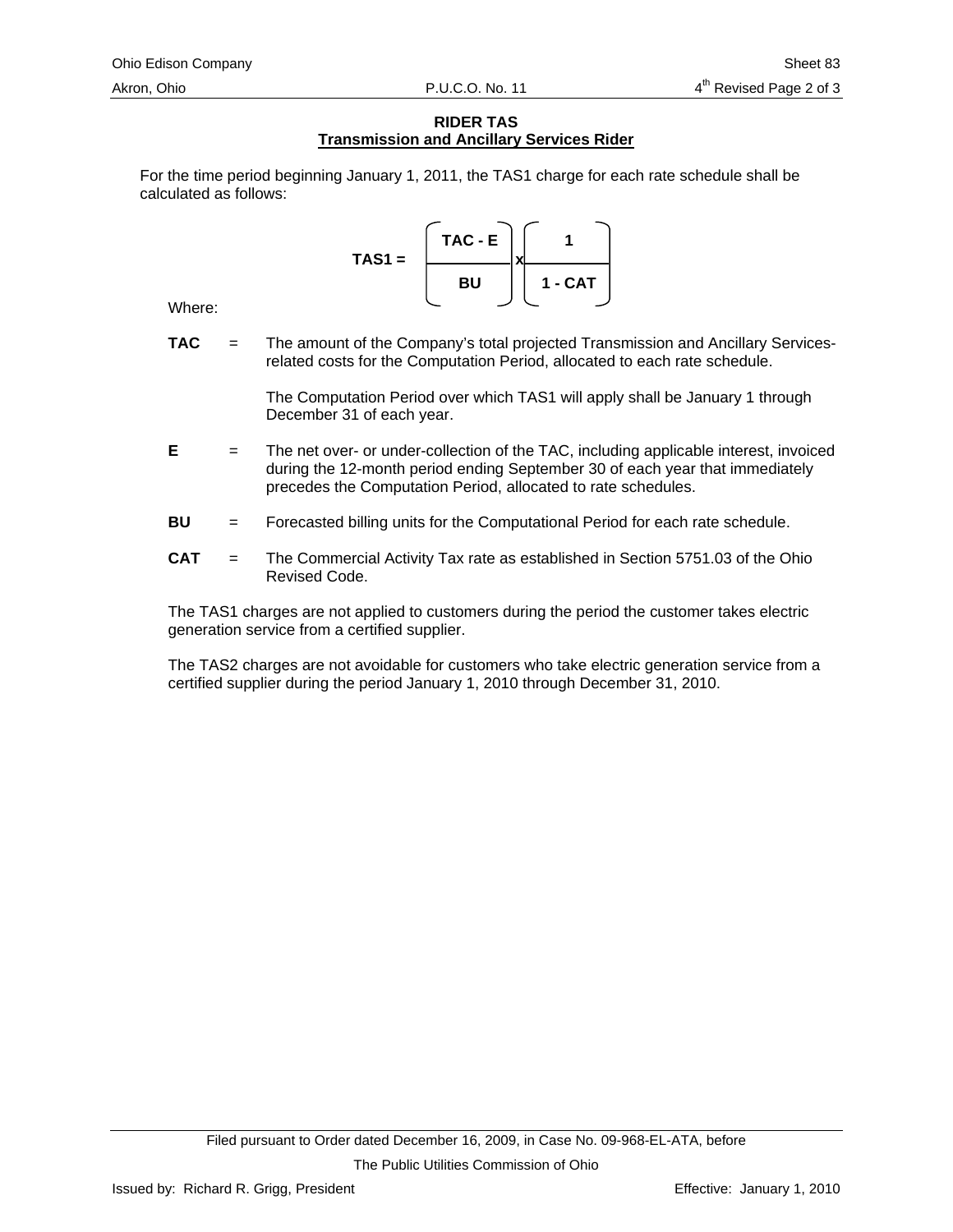# **RIDER TAS Transmission and Ancillary Services Rider**

For the time period beginning January 1, 2011, the TAS1 charge for each rate schedule shall be calculated as follows:

> **TAC - E 1**  TAS1 =  $\qquad \qquad \qquad \Box x$ **BU 1 - CAT**

Where:

**TAC** = The amount of the Company's total projected Transmission and Ancillary Servicesrelated costs for the Computation Period, allocated to each rate schedule.

> The Computation Period over which TAS1 will apply shall be January 1 through December 31 of each year.

- **E** = The net over- or under-collection of the TAC, including applicable interest, invoiced during the 12-month period ending September 30 of each year that immediately precedes the Computation Period, allocated to rate schedules.
- **BU** = Forecasted billing units for the Computational Period for each rate schedule.
- **CAT** = The Commercial Activity Tax rate as established in Section 5751.03 of the Ohio Revised Code.

The TAS1 charges are not applied to customers during the period the customer takes electric generation service from a certified supplier.

The TAS2 charges are not avoidable for customers who take electric generation service from a certified supplier during the period January 1, 2010 through December 31, 2010.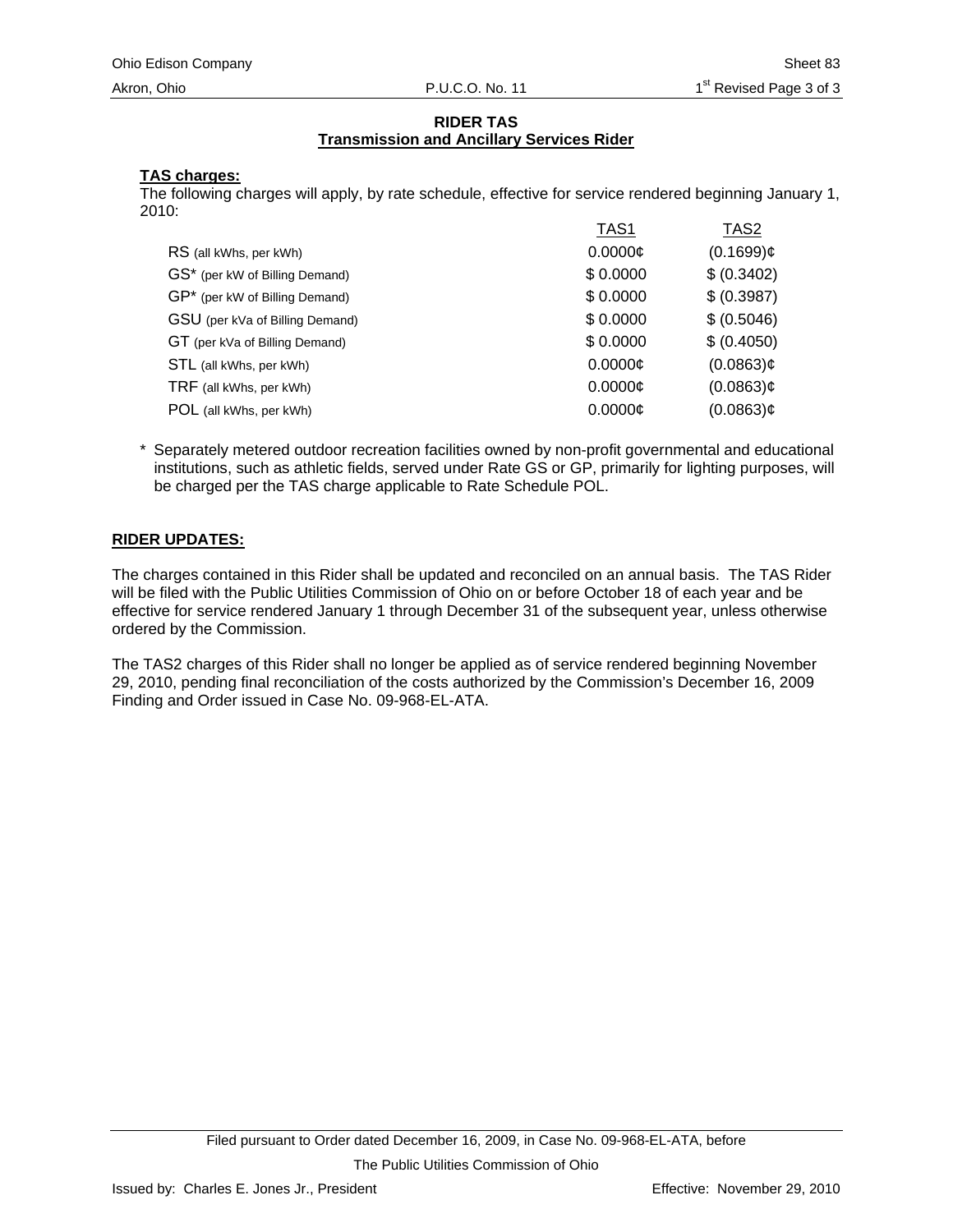# **RIDER TAS Transmission and Ancillary Services Rider**

# **TAS charges:**

The following charges will apply, by rate schedule, effective for service rendered beginning January 1, 2010:

|                                 | TAS1          | TAS <sub>2</sub> |
|---------------------------------|---------------|------------------|
| RS (all kWhs, per kWh)          | $0.0000 \phi$ | $(0.1699)$ ¢     |
| GS* (per kW of Billing Demand)  | \$0.0000      | \$ (0.3402)      |
| GP* (per kW of Billing Demand)  | \$0.0000      | \$ (0.3987)      |
| GSU (per kVa of Billing Demand) | \$0.0000      | \$ (0.5046)      |
| GT (per kVa of Billing Demand)  | \$0.0000      | \$ (0.4050)      |
| STL (all kWhs, per kWh)         | $0.0000 \phi$ | $(0.0863)$ ¢     |
| TRF (all kWhs, per kWh)         | 0.0000c       | $(0.0863)$ ¢     |
| POL (all kWhs, per kWh)         | $0.0000$ ¢    | $(0.0863)$ ¢     |
|                                 |               |                  |

\* Separately metered outdoor recreation facilities owned by non-profit governmental and educational institutions, such as athletic fields, served under Rate GS or GP, primarily for lighting purposes, will be charged per the TAS charge applicable to Rate Schedule POL.

# **RIDER UPDATES:**

The charges contained in this Rider shall be updated and reconciled on an annual basis. The TAS Rider will be filed with the Public Utilities Commission of Ohio on or before October 18 of each year and be effective for service rendered January 1 through December 31 of the subsequent year, unless otherwise ordered by the Commission.

The TAS2 charges of this Rider shall no longer be applied as of service rendered beginning November 29, 2010, pending final reconciliation of the costs authorized by the Commission's December 16, 2009 Finding and Order issued in Case No. 09-968-EL-ATA.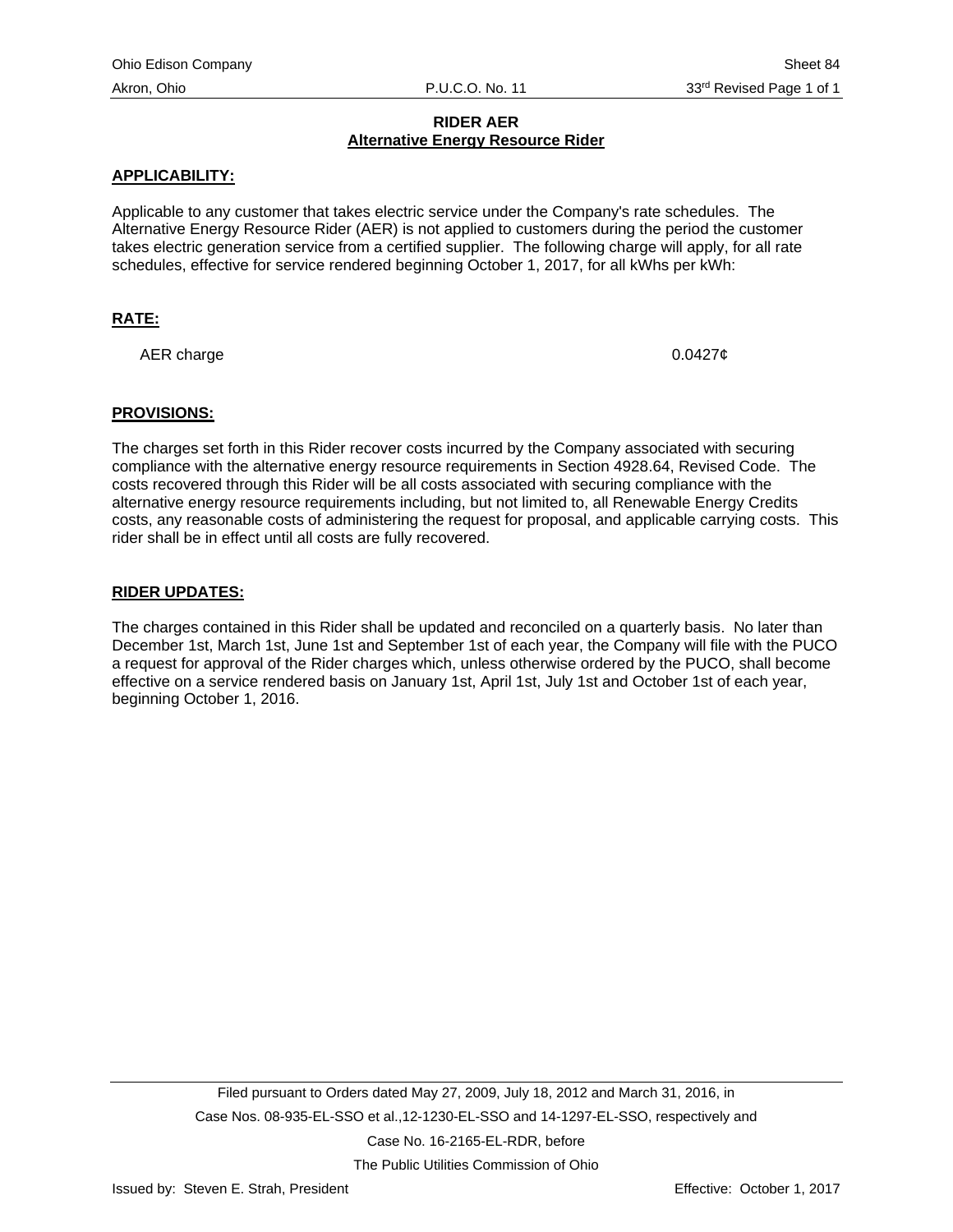# **RIDER AER Alternative Energy Resource Rider**

# <span id="page-100-0"></span>**APPLICABILITY:**

Applicable to any customer that takes electric service under the Company's rate schedules. The Alternative Energy Resource Rider (AER) is not applied to customers during the period the customer takes electric generation service from a certified supplier. The following charge will apply, for all rate schedules, effective for service rendered beginning October 1, 2017, for all kWhs per kWh:

# **RATE:**

AER charge  $0.0427¢$ 

## **PROVISIONS:**

The charges set forth in this Rider recover costs incurred by the Company associated with securing compliance with the alternative energy resource requirements in Section 4928.64, Revised Code. The costs recovered through this Rider will be all costs associated with securing compliance with the alternative energy resource requirements including, but not limited to, all Renewable Energy Credits costs, any reasonable costs of administering the request for proposal, and applicable carrying costs. This rider shall be in effect until all costs are fully recovered.

## **RIDER UPDATES:**

The charges contained in this Rider shall be updated and reconciled on a quarterly basis. No later than December 1st, March 1st, June 1st and September 1st of each year, the Company will file with the PUCO a request for approval of the Rider charges which, unless otherwise ordered by the PUCO, shall become effective on a service rendered basis on January 1st, April 1st, July 1st and October 1st of each year, beginning October 1, 2016.

The Public Utilities Commission of Ohio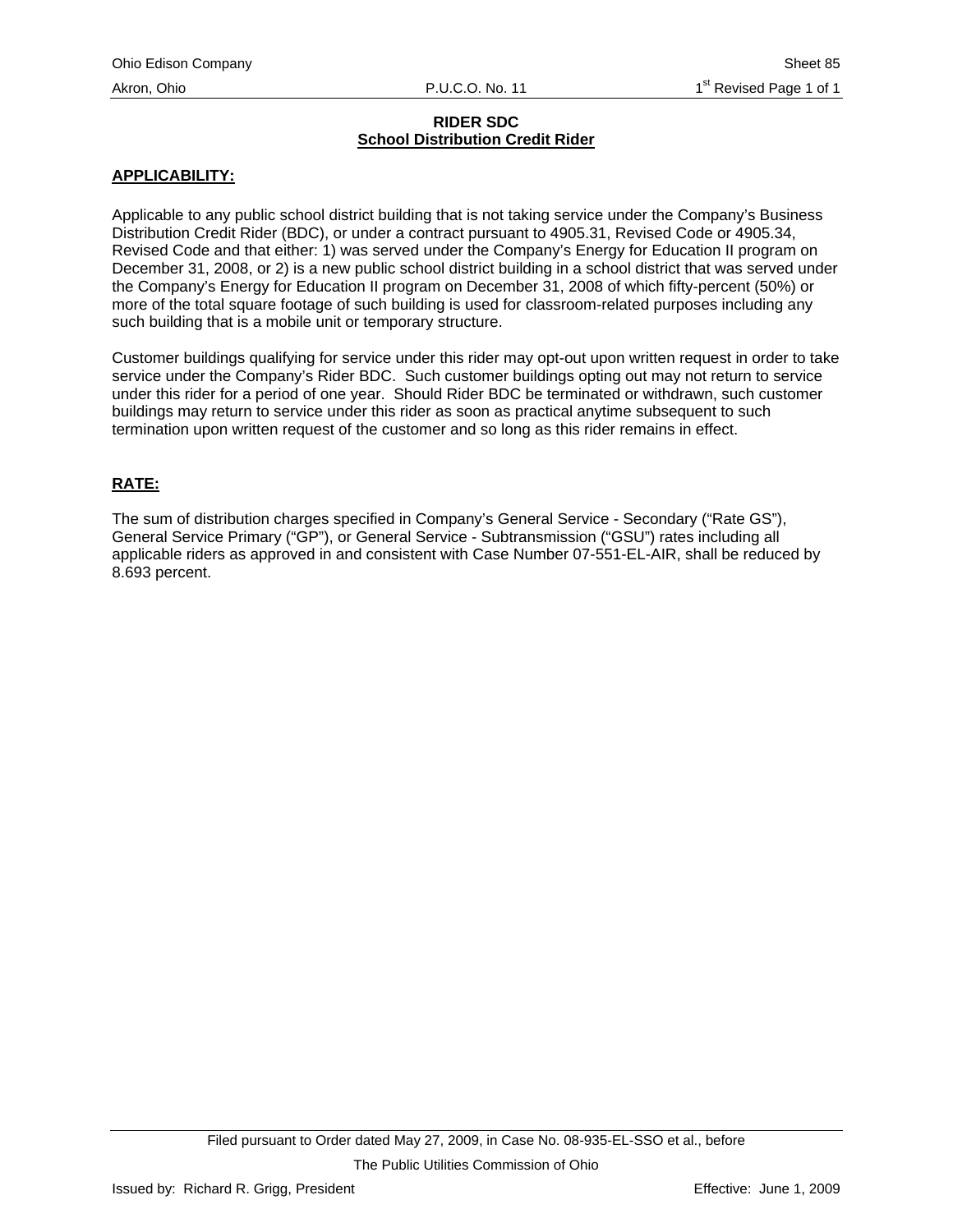# **RIDER SDC School Distribution Credit Rider**

# <span id="page-101-0"></span>**APPLICABILITY:**

Applicable to any public school district building that is not taking service under the Company's Business Distribution Credit Rider (BDC), or under a contract pursuant to 4905.31, Revised Code or 4905.34, Revised Code and that either: 1) was served under the Company's Energy for Education II program on December 31, 2008, or 2) is a new public school district building in a school district that was served under the Company's Energy for Education II program on December 31, 2008 of which fifty-percent (50%) or more of the total square footage of such building is used for classroom-related purposes including any such building that is a mobile unit or temporary structure.

Customer buildings qualifying for service under this rider may opt-out upon written request in order to take service under the Company's Rider BDC. Such customer buildings opting out may not return to service under this rider for a period of one year. Should Rider BDC be terminated or withdrawn, such customer buildings may return to service under this rider as soon as practical anytime subsequent to such termination upon written request of the customer and so long as this rider remains in effect.

# **RATE:**

The sum of distribution charges specified in Company's General Service - Secondary ("Rate GS"), General Service Primary ("GP"), or General Service - Subtransmission ("GSU") rates including all applicable riders as approved in and consistent with Case Number 07-551-EL-AIR, shall be reduced by 8.693 percent.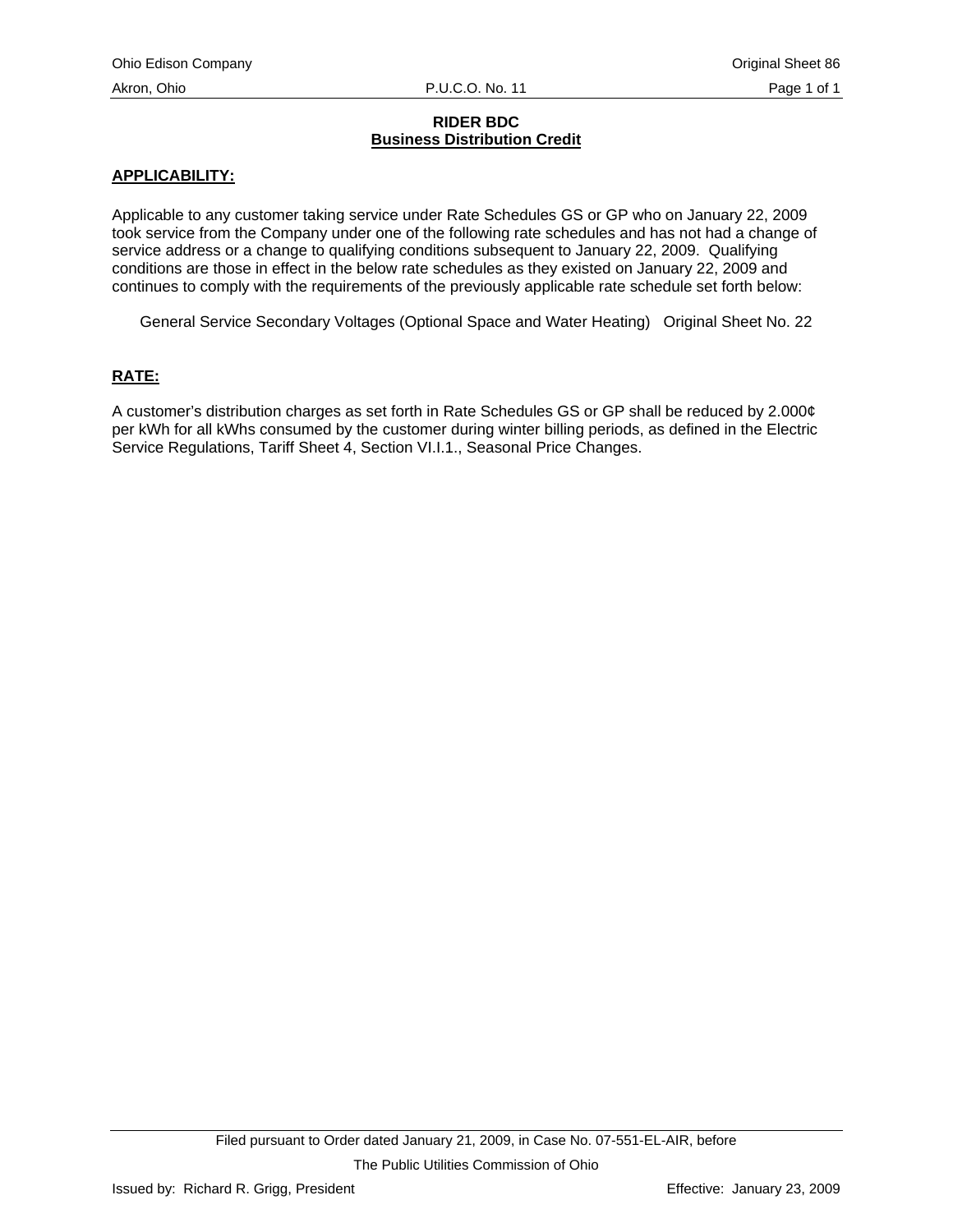# **RIDER BDC Business Distribution Credit**

# <span id="page-102-0"></span>**APPLICABILITY:**

Applicable to any customer taking service under Rate Schedules GS or GP who on January 22, 2009 took service from the Company under one of the following rate schedules and has not had a change of service address or a change to qualifying conditions subsequent to January 22, 2009. Qualifying conditions are those in effect in the below rate schedules as they existed on January 22, 2009 and continues to comply with the requirements of the previously applicable rate schedule set forth below:

General Service Secondary Voltages (Optional Space and Water Heating) Original Sheet No. 22

# **RATE:**

A customer's distribution charges as set forth in Rate Schedules GS or GP shall be reduced by 2.000¢ per kWh for all kWhs consumed by the customer during winter billing periods, as defined in the Electric Service Regulations, Tariff Sheet 4, Section VI.I.1., Seasonal Price Changes.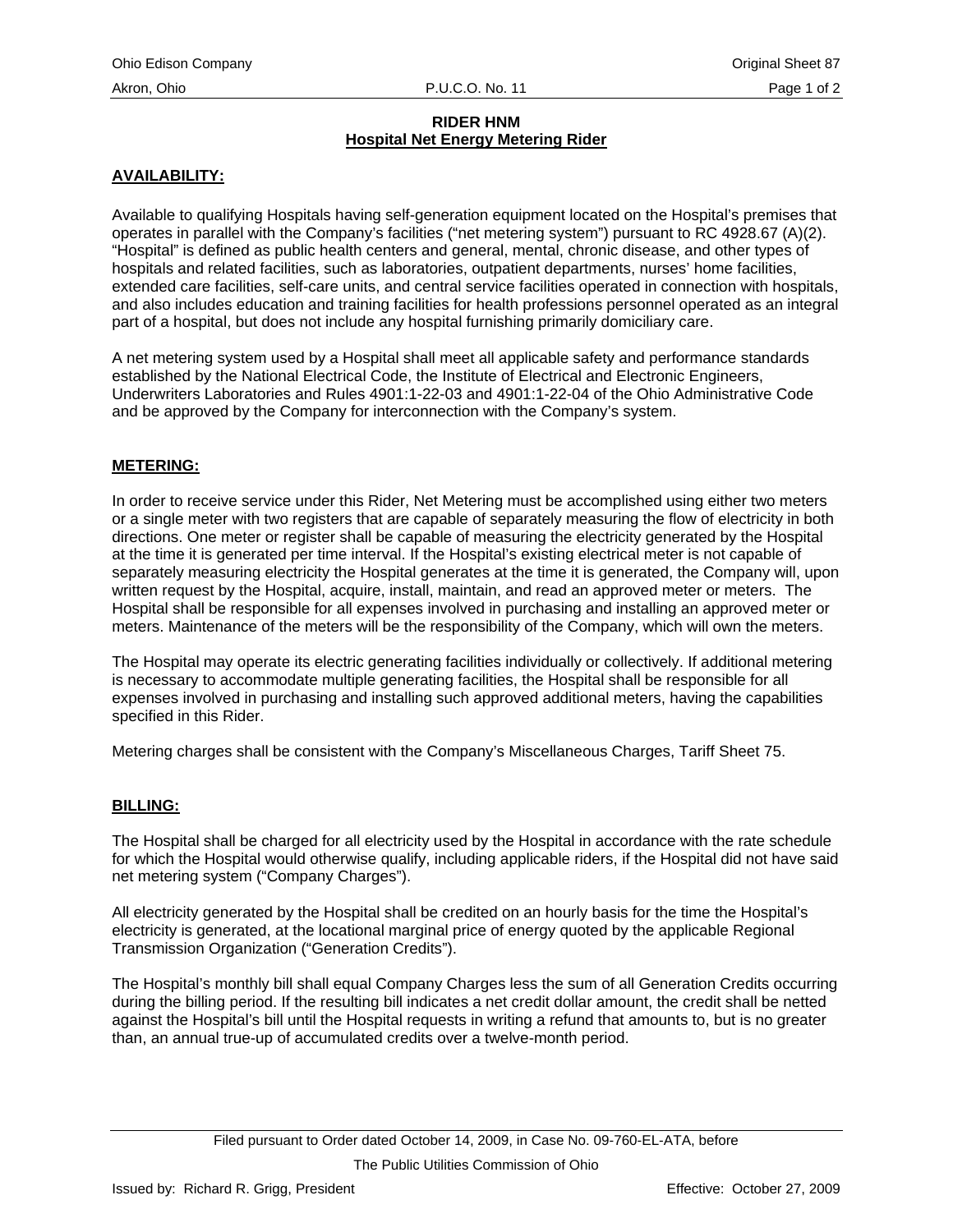# **RIDER HNM Hospital Net Energy Metering Rider**

# <span id="page-103-0"></span>**AVAILABILITY:**

Available to qualifying Hospitals having self-generation equipment located on the Hospital's premises that operates in parallel with the Company's facilities ("net metering system") pursuant to RC 4928.67 (A)(2). "Hospital" is defined as public health centers and general, mental, chronic disease, and other types of hospitals and related facilities, such as laboratories, outpatient departments, nurses' home facilities, extended care facilities, self-care units, and central service facilities operated in connection with hospitals, and also includes education and training facilities for health professions personnel operated as an integral part of a hospital, but does not include any hospital furnishing primarily domiciliary care.

A net metering system used by a Hospital shall meet all applicable safety and performance standards established by the National Electrical Code, the Institute of Electrical and Electronic Engineers, Underwriters Laboratories and Rules 4901:1-22-03 and 4901:1-22-04 of the Ohio Administrative Code and be approved by the Company for interconnection with the Company's system.

# **METERING:**

In order to receive service under this Rider, Net Metering must be accomplished using either two meters or a single meter with two registers that are capable of separately measuring the flow of electricity in both directions. One meter or register shall be capable of measuring the electricity generated by the Hospital at the time it is generated per time interval. If the Hospital's existing electrical meter is not capable of separately measuring electricity the Hospital generates at the time it is generated, the Company will, upon written request by the Hospital, acquire, install, maintain, and read an approved meter or meters. The Hospital shall be responsible for all expenses involved in purchasing and installing an approved meter or meters. Maintenance of the meters will be the responsibility of the Company, which will own the meters.

The Hospital may operate its electric generating facilities individually or collectively. If additional metering is necessary to accommodate multiple generating facilities, the Hospital shall be responsible for all expenses involved in purchasing and installing such approved additional meters, having the capabilities specified in this Rider.

Metering charges shall be consistent with the Company's Miscellaneous Charges, Tariff Sheet 75.

## **BILLING:**

The Hospital shall be charged for all electricity used by the Hospital in accordance with the rate schedule for which the Hospital would otherwise qualify, including applicable riders, if the Hospital did not have said net metering system ("Company Charges").

All electricity generated by the Hospital shall be credited on an hourly basis for the time the Hospital's electricity is generated, at the locational marginal price of energy quoted by the applicable Regional Transmission Organization ("Generation Credits").

The Hospital's monthly bill shall equal Company Charges less the sum of all Generation Credits occurring during the billing period. If the resulting bill indicates a net credit dollar amount, the credit shall be netted against the Hospital's bill until the Hospital requests in writing a refund that amounts to, but is no greater than, an annual true-up of accumulated credits over a twelve-month period.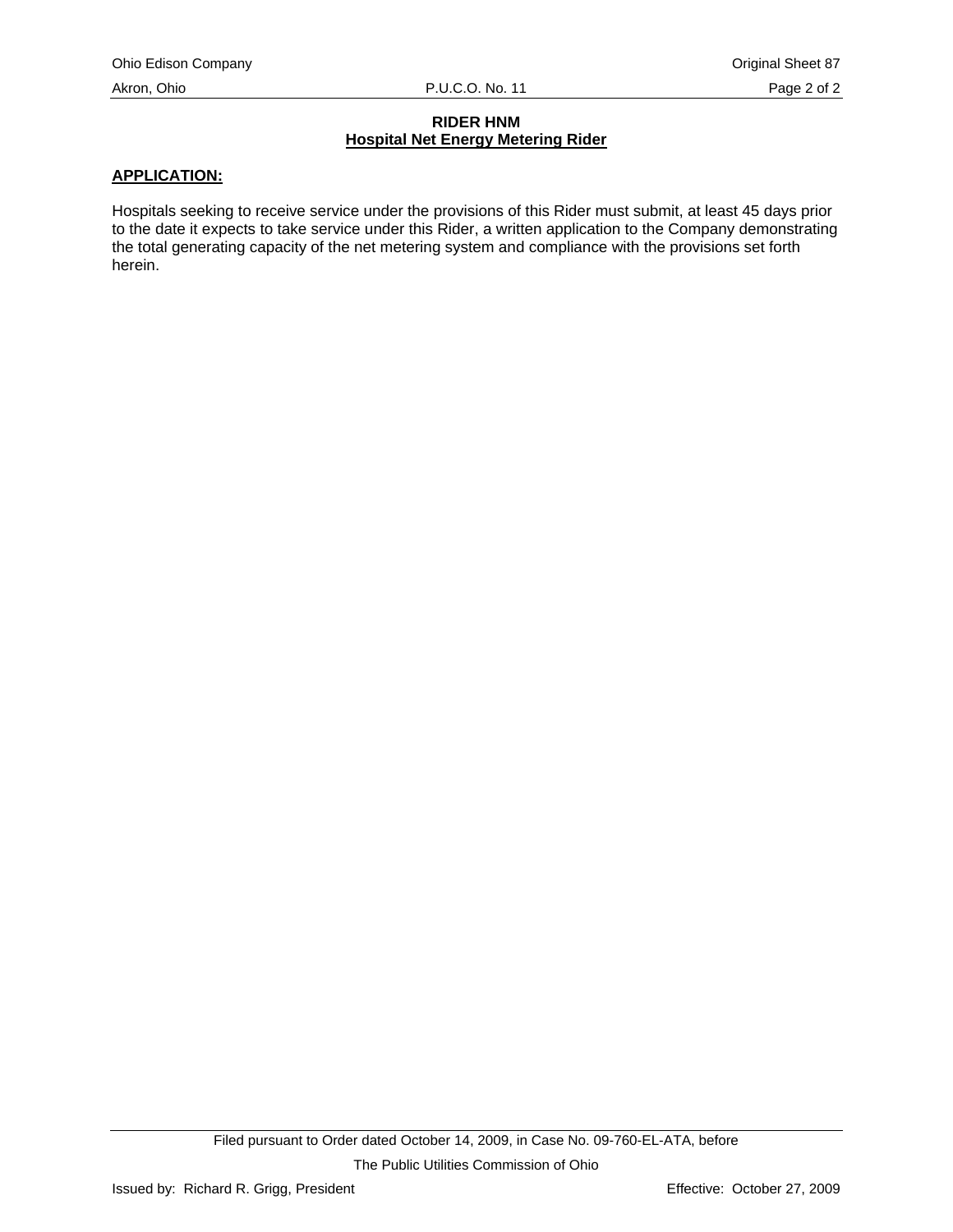# **RIDER HNM Hospital Net Energy Metering Rider**

# **APPLICATION:**

Hospitals seeking to receive service under the provisions of this Rider must submit, at least 45 days prior to the date it expects to take service under this Rider, a written application to the Company demonstrating the total generating capacity of the net metering system and compliance with the provisions set forth herein.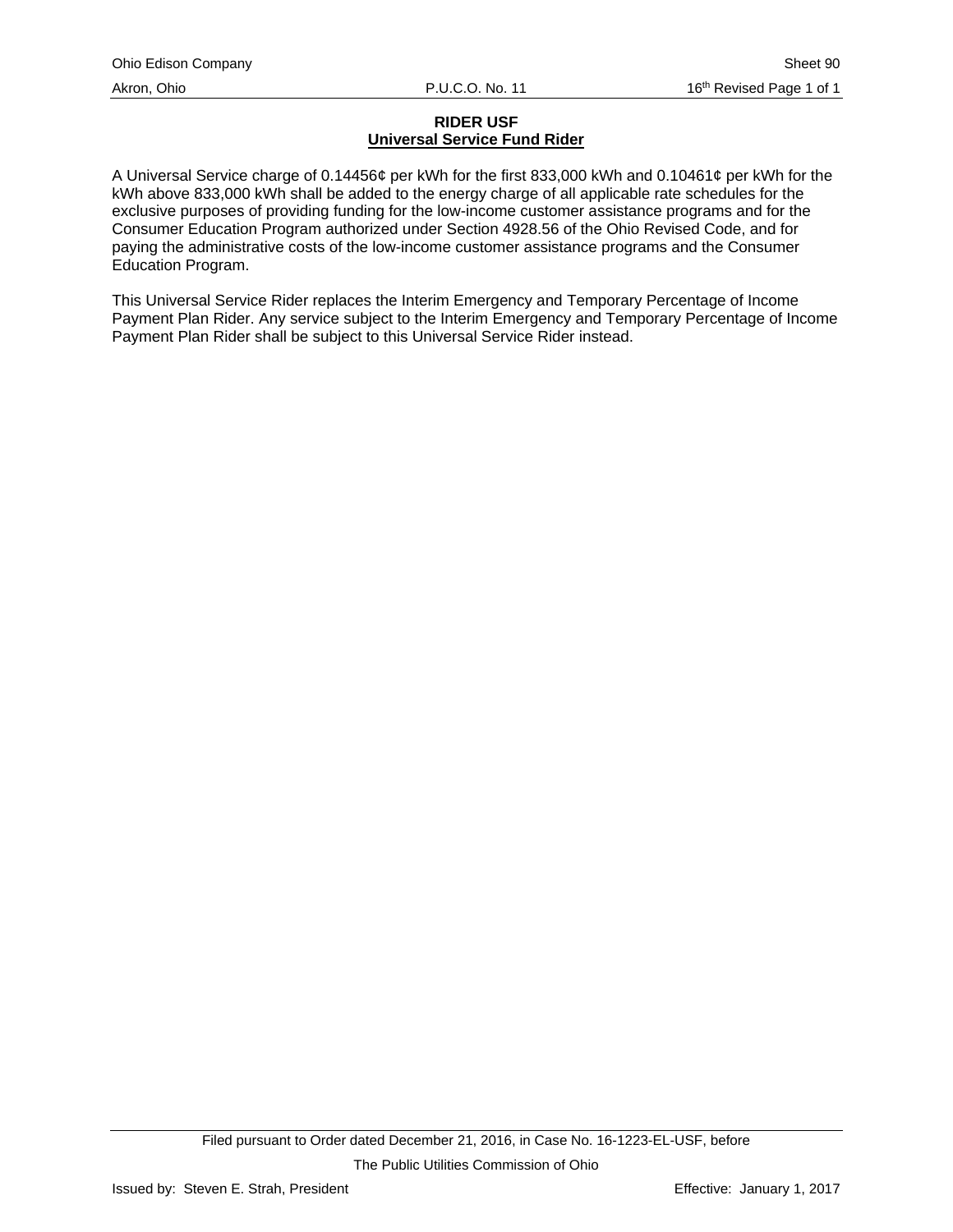# **RIDER USF Universal Service Fund Rider**

<span id="page-105-0"></span>A Universal Service charge of 0.14456¢ per kWh for the first 833,000 kWh and 0.10461¢ per kWh for the kWh above 833,000 kWh shall be added to the energy charge of all applicable rate schedules for the exclusive purposes of providing funding for the low-income customer assistance programs and for the Consumer Education Program authorized under Section 4928.56 of the Ohio Revised Code, and for paying the administrative costs of the low-income customer assistance programs and the Consumer Education Program.

This Universal Service Rider replaces the Interim Emergency and Temporary Percentage of Income Payment Plan Rider. Any service subject to the Interim Emergency and Temporary Percentage of Income Payment Plan Rider shall be subject to this Universal Service Rider instead.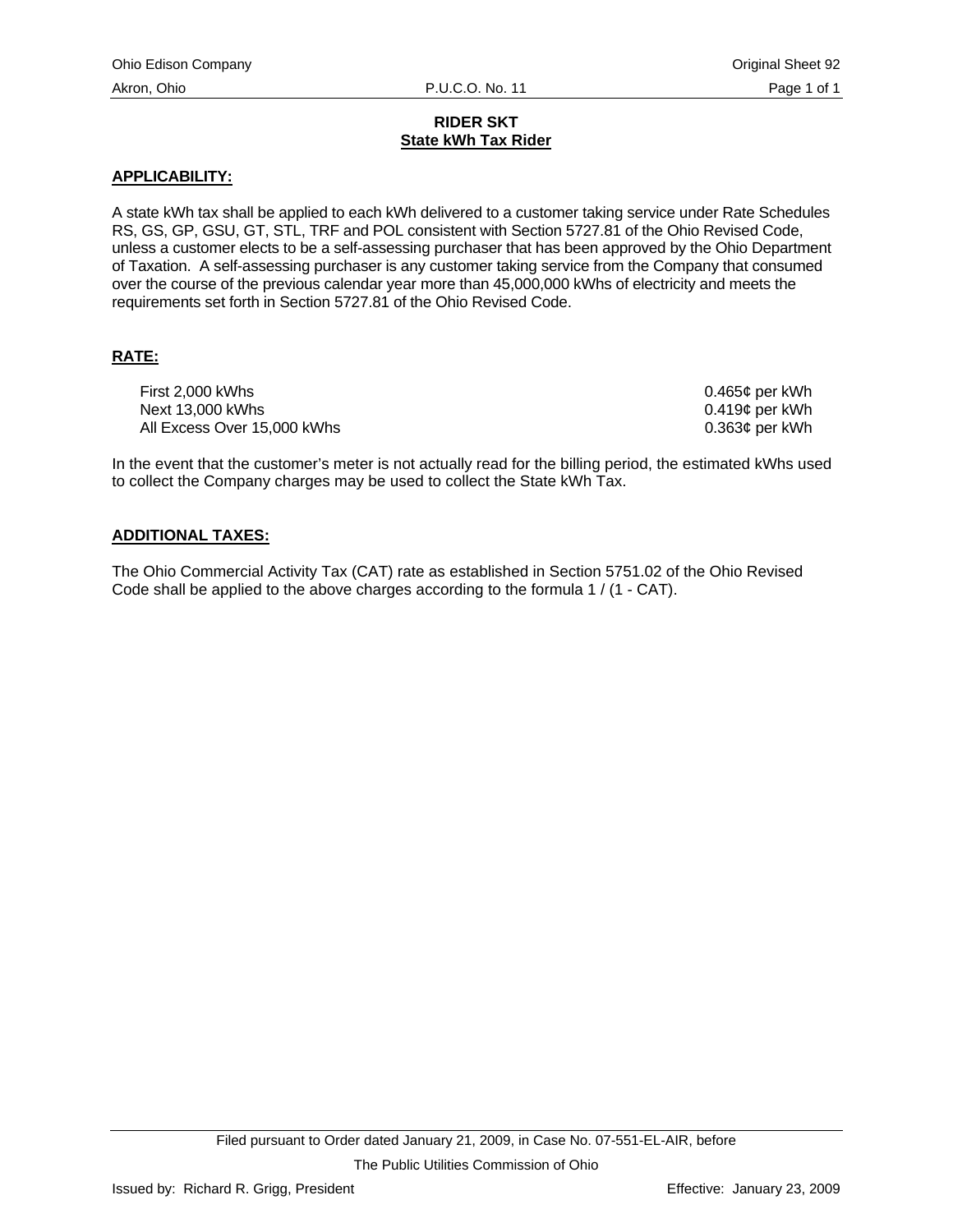# **RIDER SKT State kWh Tax Rider**

# <span id="page-106-0"></span>**APPLICABILITY:**

A state kWh tax shall be applied to each kWh delivered to a customer taking service under Rate Schedules RS, GS, GP, GSU, GT, STL, TRF and POL consistent with Section 5727.81 of the Ohio Revised Code, unless a customer elects to be a self-assessing purchaser that has been approved by the Ohio Department of Taxation. A self-assessing purchaser is any customer taking service from the Company that consumed over the course of the previous calendar year more than 45,000,000 kWhs of electricity and meets the requirements set forth in Section 5727.81 of the Ohio Revised Code.

# **RATE:**

First 2,000 kWhs **Data and Struck 2000** kWhs **0.465¢** per kWh Next 13,000 kWhs  $0.419¢$  per kWh All Excess Over 15,000 kWhs 0.363¢ per kWh

In the event that the customer's meter is not actually read for the billing period, the estimated kWhs used to collect the Company charges may be used to collect the State kWh Tax.

# **ADDITIONAL TAXES:**

The Ohio Commercial Activity Tax (CAT) rate as established in Section 5751.02 of the Ohio Revised Code shall be applied to the above charges according to the formula 1 / (1 - CAT).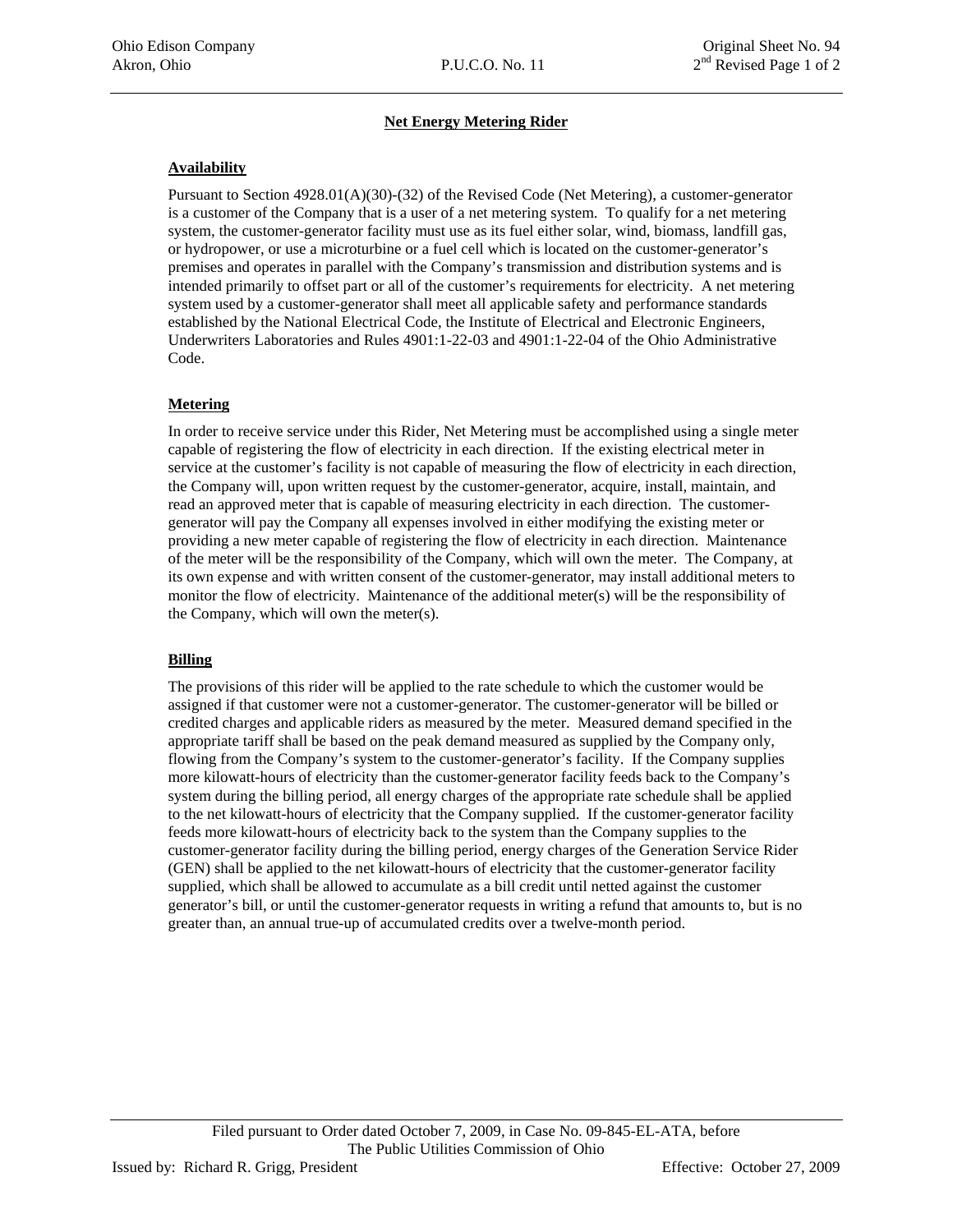## **Net Energy Metering Rider**

## <span id="page-107-0"></span>**Availability**

Pursuant to Section 4928.01(A)(30)-(32) of the Revised Code (Net Metering), a customer-generator is a customer of the Company that is a user of a net metering system. To qualify for a net metering system, the customer-generator facility must use as its fuel either solar, wind, biomass, landfill gas, or hydropower, or use a microturbine or a fuel cell which is located on the customer-generator's premises and operates in parallel with the Company's transmission and distribution systems and is intended primarily to offset part or all of the customer's requirements for electricity. A net metering system used by a customer-generator shall meet all applicable safety and performance standards established by the National Electrical Code, the Institute of Electrical and Electronic Engineers, Underwriters Laboratories and Rules 4901:1-22-03 and 4901:1-22-04 of the Ohio Administrative Code.

# **Metering**

In order to receive service under this Rider, Net Metering must be accomplished using a single meter capable of registering the flow of electricity in each direction. If the existing electrical meter in service at the customer's facility is not capable of measuring the flow of electricity in each direction, the Company will, upon written request by the customer-generator, acquire, install, maintain, and read an approved meter that is capable of measuring electricity in each direction. The customergenerator will pay the Company all expenses involved in either modifying the existing meter or providing a new meter capable of registering the flow of electricity in each direction. Maintenance of the meter will be the responsibility of the Company, which will own the meter. The Company, at its own expense and with written consent of the customer-generator, may install additional meters to monitor the flow of electricity. Maintenance of the additional meter(s) will be the responsibility of the Company, which will own the meter(s).

## **Billing**

The provisions of this rider will be applied to the rate schedule to which the customer would be assigned if that customer were not a customer-generator. The customer-generator will be billed or credited charges and applicable riders as measured by the meter. Measured demand specified in the appropriate tariff shall be based on the peak demand measured as supplied by the Company only, flowing from the Company's system to the customer-generator's facility. If the Company supplies more kilowatt-hours of electricity than the customer-generator facility feeds back to the Company's system during the billing period, all energy charges of the appropriate rate schedule shall be applied to the net kilowatt-hours of electricity that the Company supplied. If the customer-generator facility feeds more kilowatt-hours of electricity back to the system than the Company supplies to the customer-generator facility during the billing period, energy charges of the Generation Service Rider (GEN) shall be applied to the net kilowatt-hours of electricity that the customer-generator facility supplied, which shall be allowed to accumulate as a bill credit until netted against the customer generator's bill, or until the customer-generator requests in writing a refund that amounts to, but is no greater than, an annual true-up of accumulated credits over a twelve-month period.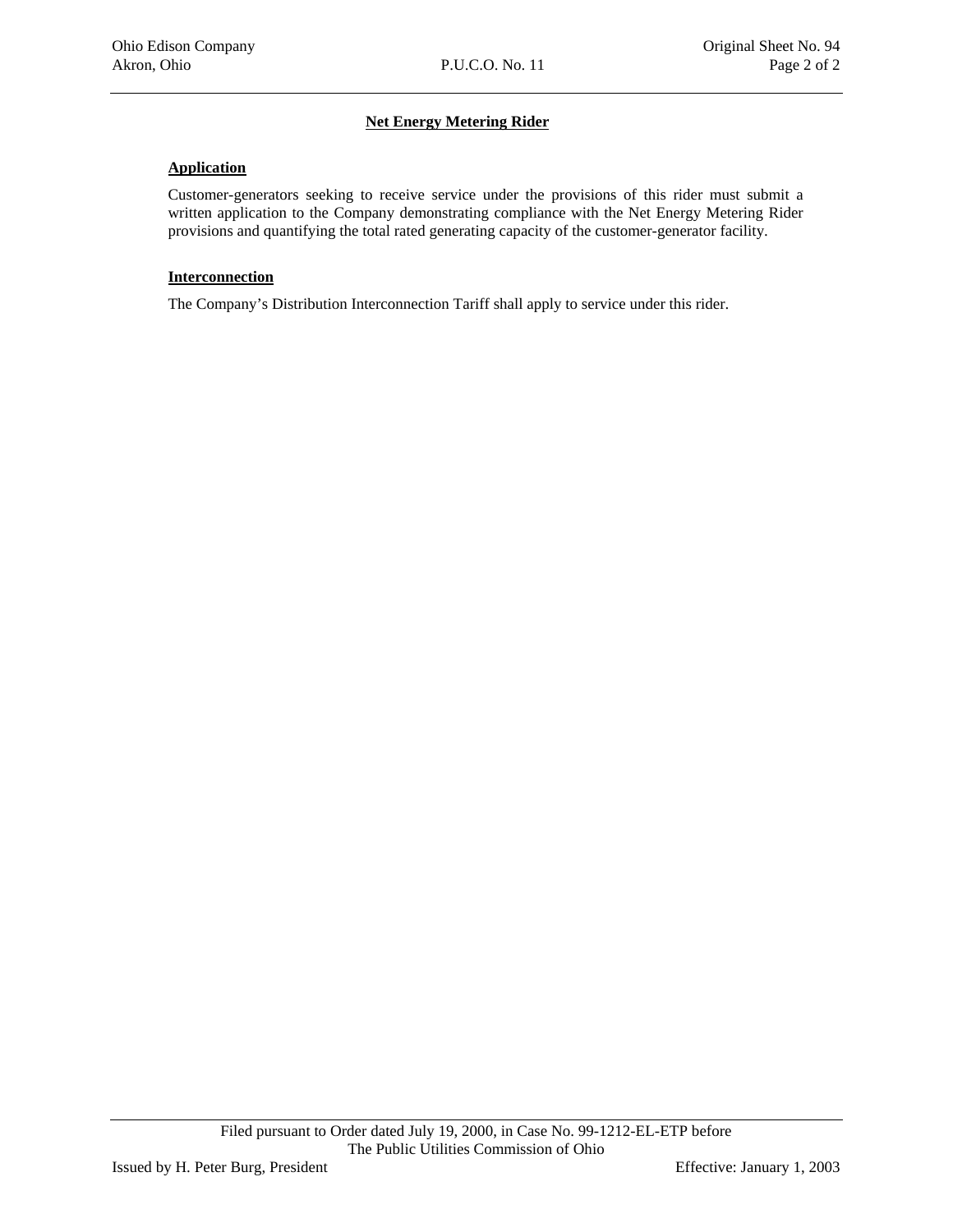## **Net Energy Metering Rider**

#### **Application**

Customer-generators seeking to receive service under the provisions of this rider must submit a written application to the Company demonstrating compliance with the Net Energy Metering Rider provisions and quantifying the total rated generating capacity of the customer-generator facility.

#### **Interconnection**

The Company's Distribution Interconnection Tariff shall apply to service under this rider.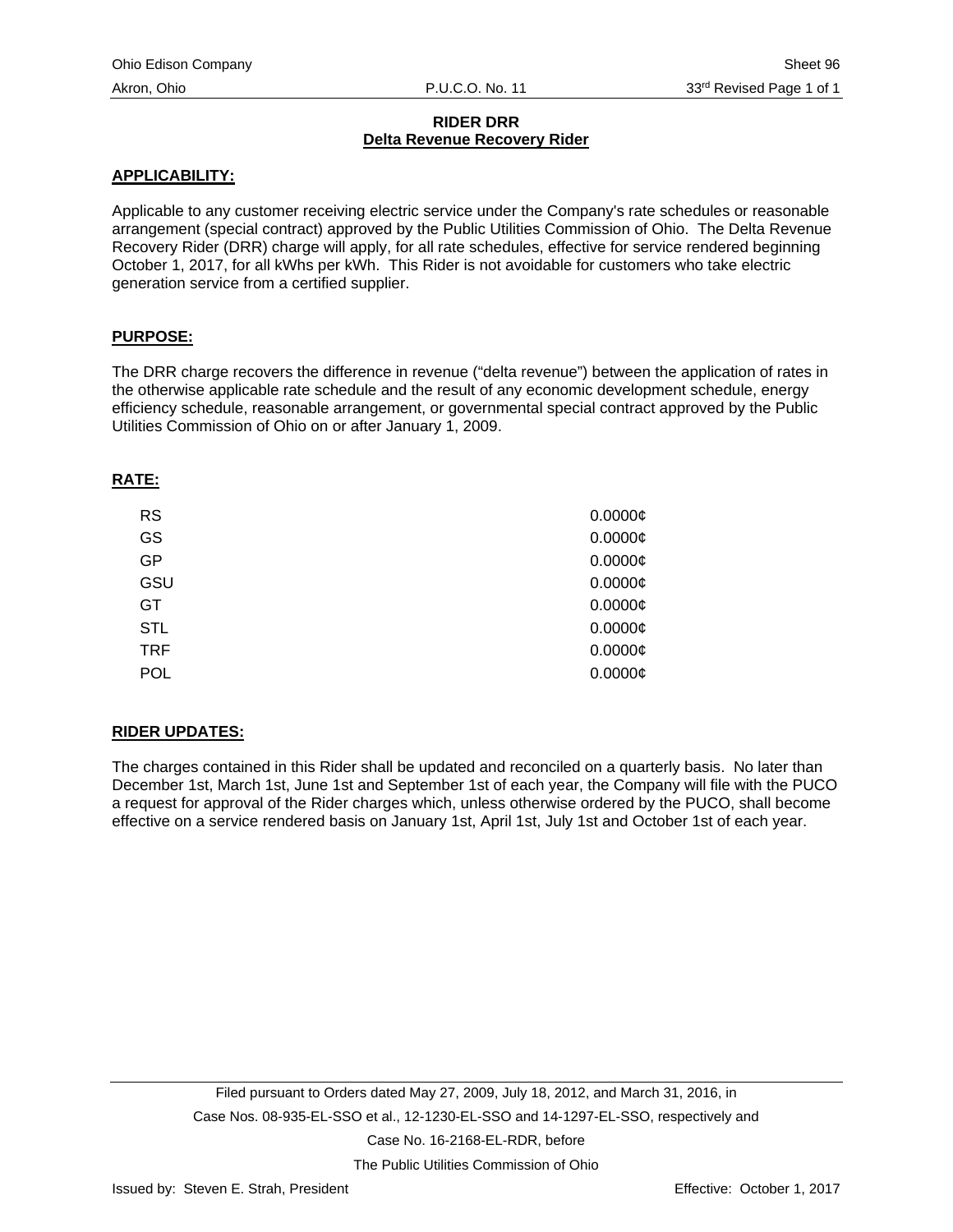## **RIDER DRR Delta Revenue Recovery Rider**

#### **APPLICABILITY:**

Applicable to any customer receiving electric service under the Company's rate schedules or reasonable arrangement (special contract) approved by the Public Utilities Commission of Ohio. The Delta Revenue Recovery Rider (DRR) charge will apply, for all rate schedules, effective for service rendered beginning October 1, 2017, for all kWhs per kWh. This Rider is not avoidable for customers who take electric generation service from a certified supplier.

## **PURPOSE:**

The DRR charge recovers the difference in revenue ("delta revenue") between the application of rates in the otherwise applicable rate schedule and the result of any economic development schedule, energy efficiency schedule, reasonable arrangement, or governmental special contract approved by the Public Utilities Commission of Ohio on or after January 1, 2009.

## **RATE:**

| <b>RS</b>  | 0.0000C    |
|------------|------------|
| GS         | $0.0000$ ¢ |
| GP         | 0.0000C    |
| GSU        | 0.0000C    |
| GT         | 0.0000C    |
| <b>STL</b> | 0.0000C    |
| <b>TRF</b> | 0.0000C    |
| <b>POL</b> | 0.0000C    |

# **RIDER UPDATES:**

The charges contained in this Rider shall be updated and reconciled on a quarterly basis. No later than December 1st, March 1st, June 1st and September 1st of each year, the Company will file with the PUCO a request for approval of the Rider charges which, unless otherwise ordered by the PUCO, shall become effective on a service rendered basis on January 1st, April 1st, July 1st and October 1st of each year.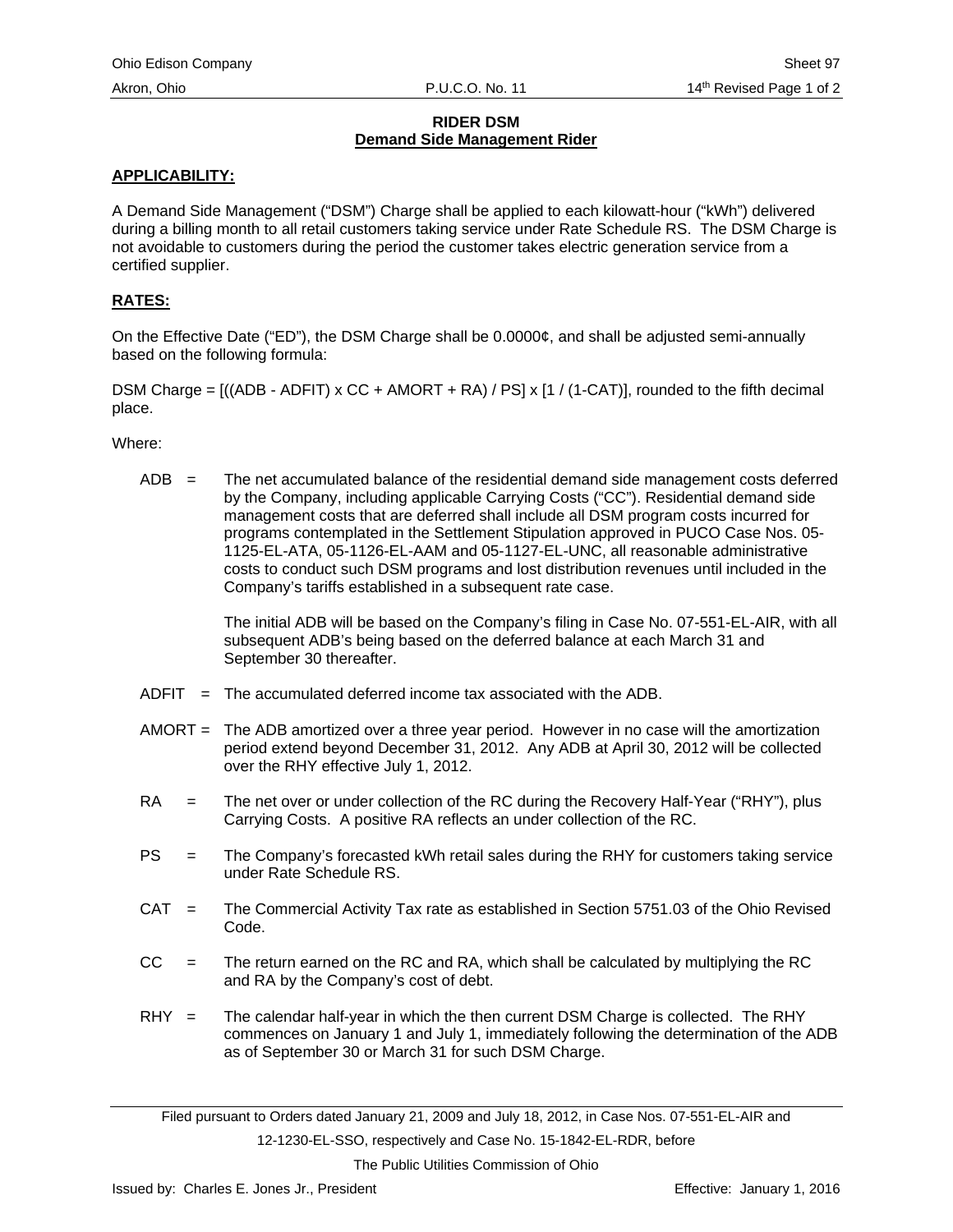## **RIDER DSM Demand Side Management Rider**

## **APPLICABILITY:**

A Demand Side Management ("DSM") Charge shall be applied to each kilowatt-hour ("kWh") delivered during a billing month to all retail customers taking service under Rate Schedule RS. The DSM Charge is not avoidable to customers during the period the customer takes electric generation service from a certified supplier.

## **RATES:**

On the Effective Date ("ED"), the DSM Charge shall be 0.0000¢, and shall be adjusted semi-annually based on the following formula:

DSM Charge =  $((ADB - ADFIT) \times CC + AMORT + RA) / PS \times [1 / (1 - CAT)]$ , rounded to the fifth decimal place.

Where:

 $ADB =$  The net accumulated balance of the residential demand side management costs deferred by the Company, including applicable Carrying Costs ("CC"). Residential demand side management costs that are deferred shall include all DSM program costs incurred for programs contemplated in the Settlement Stipulation approved in PUCO Case Nos. 05- 1125-EL-ATA, 05-1126-EL-AAM and 05-1127-EL-UNC, all reasonable administrative costs to conduct such DSM programs and lost distribution revenues until included in the Company's tariffs established in a subsequent rate case.

> The initial ADB will be based on the Company's filing in Case No. 07-551-EL-AIR, with all subsequent ADB's being based on the deferred balance at each March 31 and September 30 thereafter.

- ADFIT = The accumulated deferred income tax associated with the ADB.
- AMORT = The ADB amortized over a three year period. However in no case will the amortization period extend beyond December 31, 2012. Any ADB at April 30, 2012 will be collected over the RHY effective July 1, 2012.
- RA = The net over or under collection of the RC during the Recovery Half-Year ("RHY"), plus Carrying Costs. A positive RA reflects an under collection of the RC.
- PS = The Company's forecasted kWh retail sales during the RHY for customers taking service under Rate Schedule RS.
- CAT = The Commercial Activity Tax rate as established in Section 5751.03 of the Ohio Revised Code.
- $CC =$  The return earned on the RC and RA, which shall be calculated by multiplying the RC and RA by the Company's cost of debt.
- $RHY =$  The calendar half-year in which the then current DSM Charge is collected. The RHY commences on January 1 and July 1, immediately following the determination of the ADB as of September 30 or March 31 for such DSM Charge.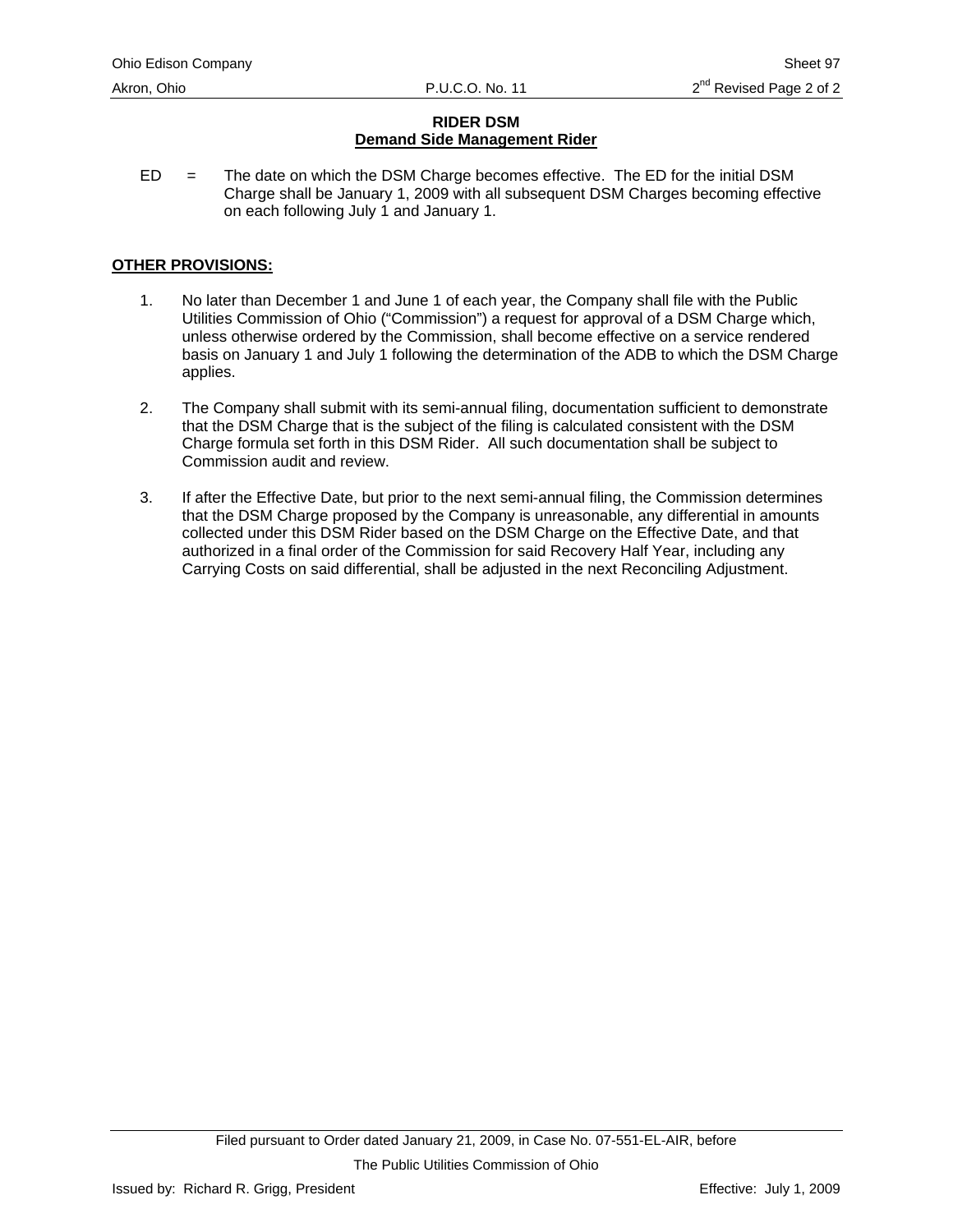# **RIDER DSM Demand Side Management Rider**

 $ED =$  The date on which the DSM Charge becomes effective. The ED for the initial DSM Charge shall be January 1, 2009 with all subsequent DSM Charges becoming effective on each following July 1 and January 1.

# **OTHER PROVISIONS:**

- 1. No later than December 1 and June 1 of each year, the Company shall file with the Public Utilities Commission of Ohio ("Commission") a request for approval of a DSM Charge which, unless otherwise ordered by the Commission, shall become effective on a service rendered basis on January 1 and July 1 following the determination of the ADB to which the DSM Charge applies.
- 2. The Company shall submit with its semi-annual filing, documentation sufficient to demonstrate that the DSM Charge that is the subject of the filing is calculated consistent with the DSM Charge formula set forth in this DSM Rider. All such documentation shall be subject to Commission audit and review.
- 3. If after the Effective Date, but prior to the next semi-annual filing, the Commission determines that the DSM Charge proposed by the Company is unreasonable, any differential in amounts collected under this DSM Rider based on the DSM Charge on the Effective Date, and that authorized in a final order of the Commission for said Recovery Half Year, including any Carrying Costs on said differential, shall be adjusted in the next Reconciling Adjustment.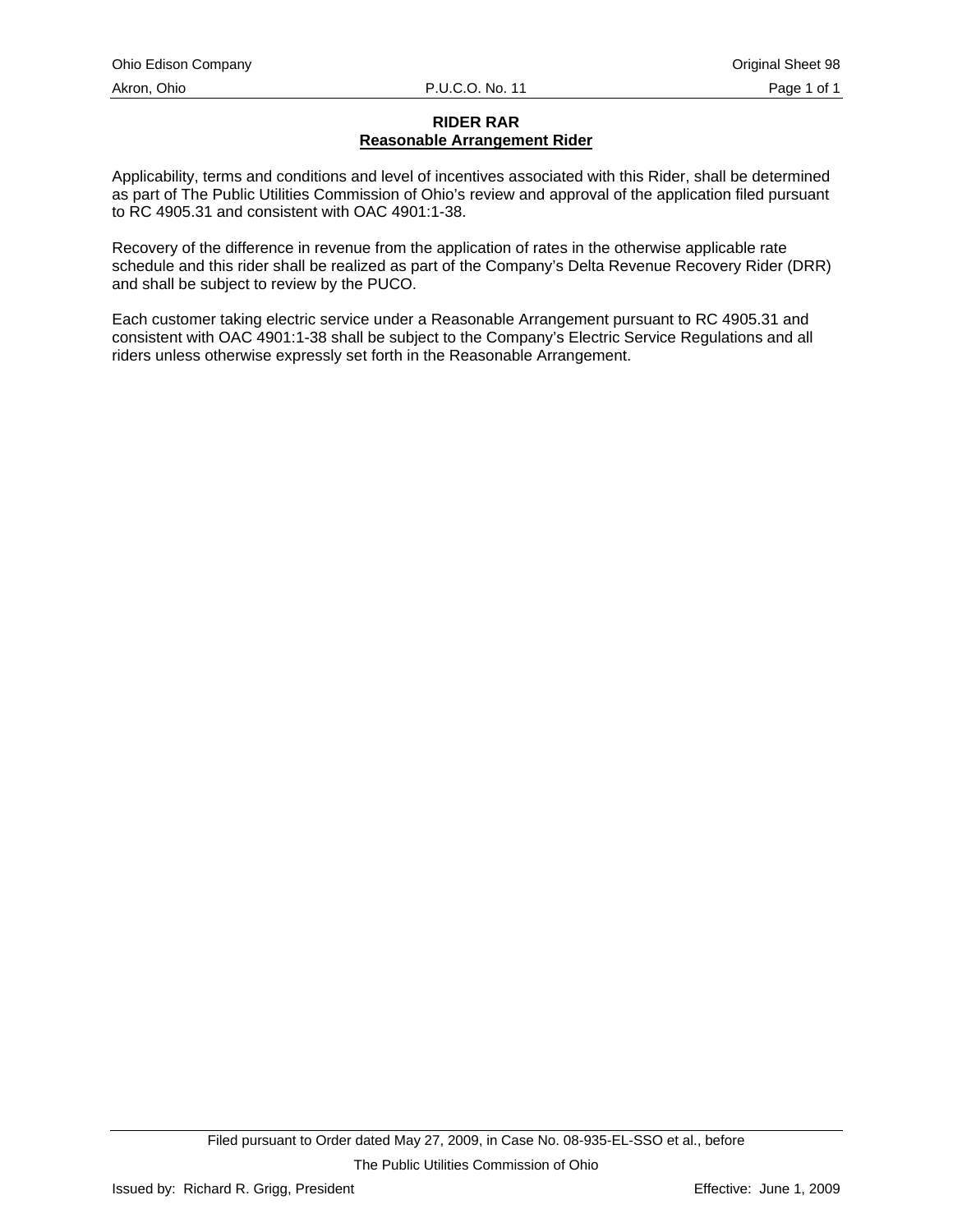# **RIDER RAR Reasonable Arrangement Rider**

Applicability, terms and conditions and level of incentives associated with this Rider, shall be determined as part of The Public Utilities Commission of Ohio's review and approval of the application filed pursuant to RC 4905.31 and consistent with OAC 4901:1-38.

Recovery of the difference in revenue from the application of rates in the otherwise applicable rate schedule and this rider shall be realized as part of the Company's Delta Revenue Recovery Rider (DRR) and shall be subject to review by the PUCO.

Each customer taking electric service under a Reasonable Arrangement pursuant to RC 4905.31 and consistent with OAC 4901:1-38 shall be subject to the Company's Electric Service Regulations and all riders unless otherwise expressly set forth in the Reasonable Arrangement.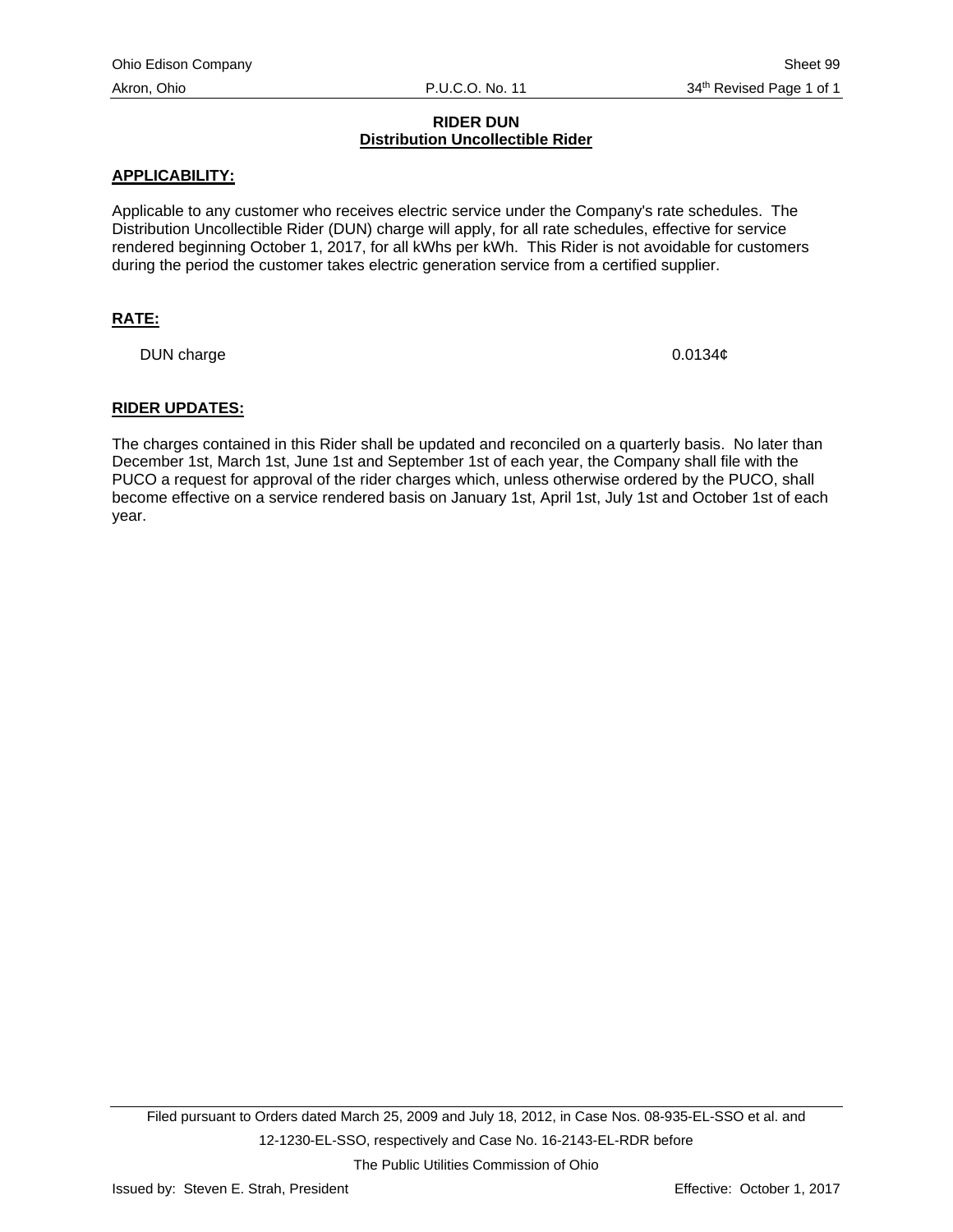# **RIDER DUN Distribution Uncollectible Rider**

## **APPLICABILITY:**

Applicable to any customer who receives electric service under the Company's rate schedules. The Distribution Uncollectible Rider (DUN) charge will apply, for all rate schedules, effective for service rendered beginning October 1, 2017, for all kWhs per kWh. This Rider is not avoidable for customers during the period the customer takes electric generation service from a certified supplier.

# **RATE:**

DUN charge 0.0134¢

#### **RIDER UPDATES:**

The charges contained in this Rider shall be updated and reconciled on a quarterly basis. No later than December 1st, March 1st, June 1st and September 1st of each year, the Company shall file with the PUCO a request for approval of the rider charges which, unless otherwise ordered by the PUCO, shall become effective on a service rendered basis on January 1st, April 1st, July 1st and October 1st of each year.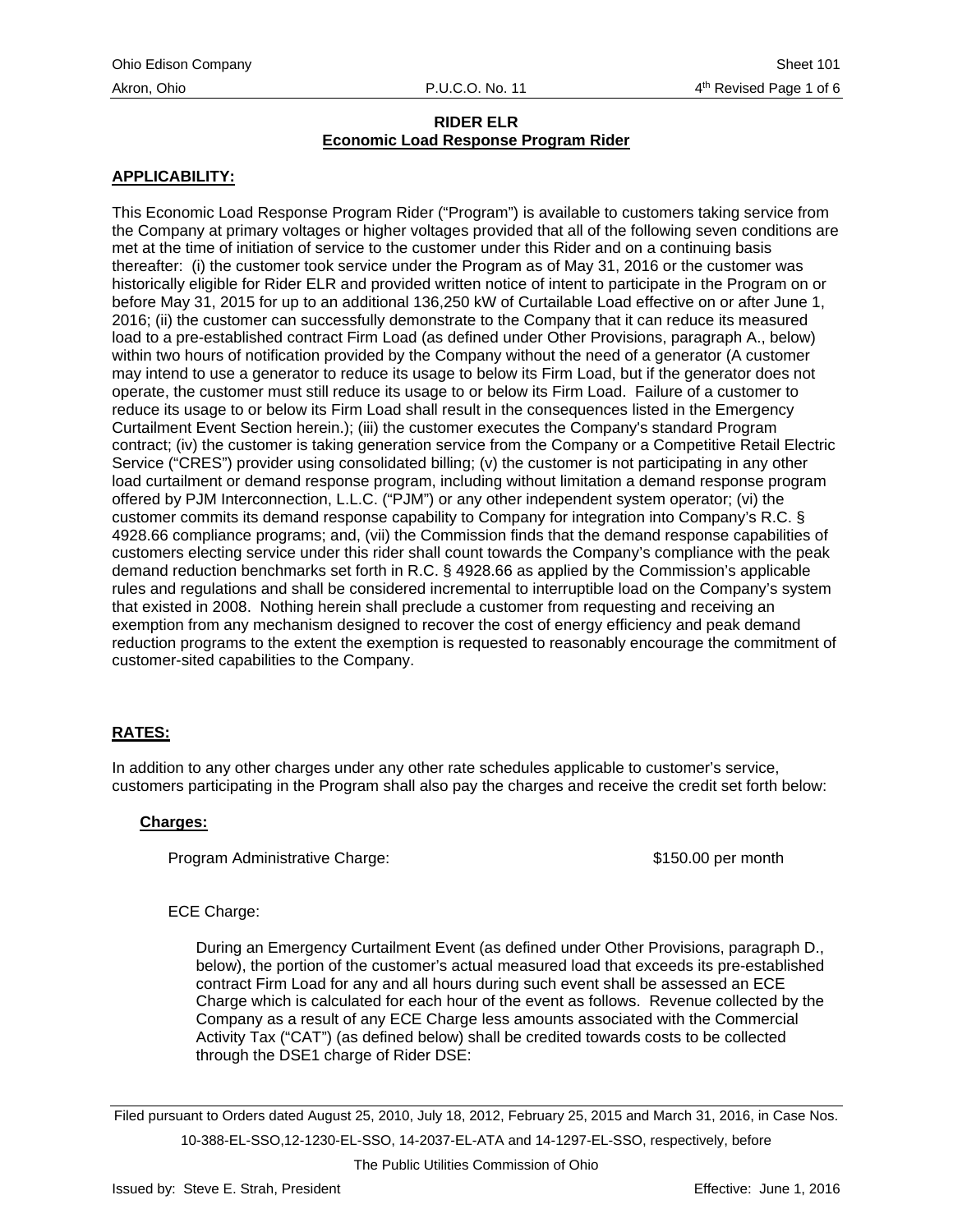# **APPLICABILITY:**

This Economic Load Response Program Rider ("Program") is available to customers taking service from the Company at primary voltages or higher voltages provided that all of the following seven conditions are met at the time of initiation of service to the customer under this Rider and on a continuing basis thereafter: (i) the customer took service under the Program as of May 31, 2016 or the customer was historically eligible for Rider ELR and provided written notice of intent to participate in the Program on or before May 31, 2015 for up to an additional 136,250 kW of Curtailable Load effective on or after June 1, 2016; (ii) the customer can successfully demonstrate to the Company that it can reduce its measured load to a pre-established contract Firm Load (as defined under Other Provisions, paragraph A., below) within two hours of notification provided by the Company without the need of a generator (A customer may intend to use a generator to reduce its usage to below its Firm Load, but if the generator does not operate, the customer must still reduce its usage to or below its Firm Load. Failure of a customer to reduce its usage to or below its Firm Load shall result in the consequences listed in the Emergency Curtailment Event Section herein.); (iii) the customer executes the Company's standard Program contract; (iv) the customer is taking generation service from the Company or a Competitive Retail Electric Service ("CRES") provider using consolidated billing; (v) the customer is not participating in any other load curtailment or demand response program, including without limitation a demand response program offered by PJM Interconnection, L.L.C. ("PJM") or any other independent system operator; (vi) the customer commits its demand response capability to Company for integration into Company's R.C. § 4928.66 compliance programs; and, (vii) the Commission finds that the demand response capabilities of customers electing service under this rider shall count towards the Company's compliance with the peak demand reduction benchmarks set forth in R.C. § 4928.66 as applied by the Commission's applicable rules and regulations and shall be considered incremental to interruptible load on the Company's system that existed in 2008. Nothing herein shall preclude a customer from requesting and receiving an exemption from any mechanism designed to recover the cost of energy efficiency and peak demand reduction programs to the extent the exemption is requested to reasonably encourage the commitment of customer-sited capabilities to the Company.

# **RATES:**

In addition to any other charges under any other rate schedules applicable to customer's service, customers participating in the Program shall also pay the charges and receive the credit set forth below:

#### **Charges:**

Program Administrative Charge:  $$150.00$  per month

# ECE Charge:

During an Emergency Curtailment Event (as defined under Other Provisions, paragraph D., below), the portion of the customer's actual measured load that exceeds its pre-established contract Firm Load for any and all hours during such event shall be assessed an ECE Charge which is calculated for each hour of the event as follows. Revenue collected by the Company as a result of any ECE Charge less amounts associated with the Commercial Activity Tax ("CAT") (as defined below) shall be credited towards costs to be collected through the DSE1 charge of Rider DSE:

Filed pursuant to Orders dated August 25, 2010, July 18, 2012, February 25, 2015 and March 31, 2016, in Case Nos. 10-388-EL-SSO,12-1230-EL-SSO, 14-2037-EL-ATA and 14-1297-EL-SSO, respectively, before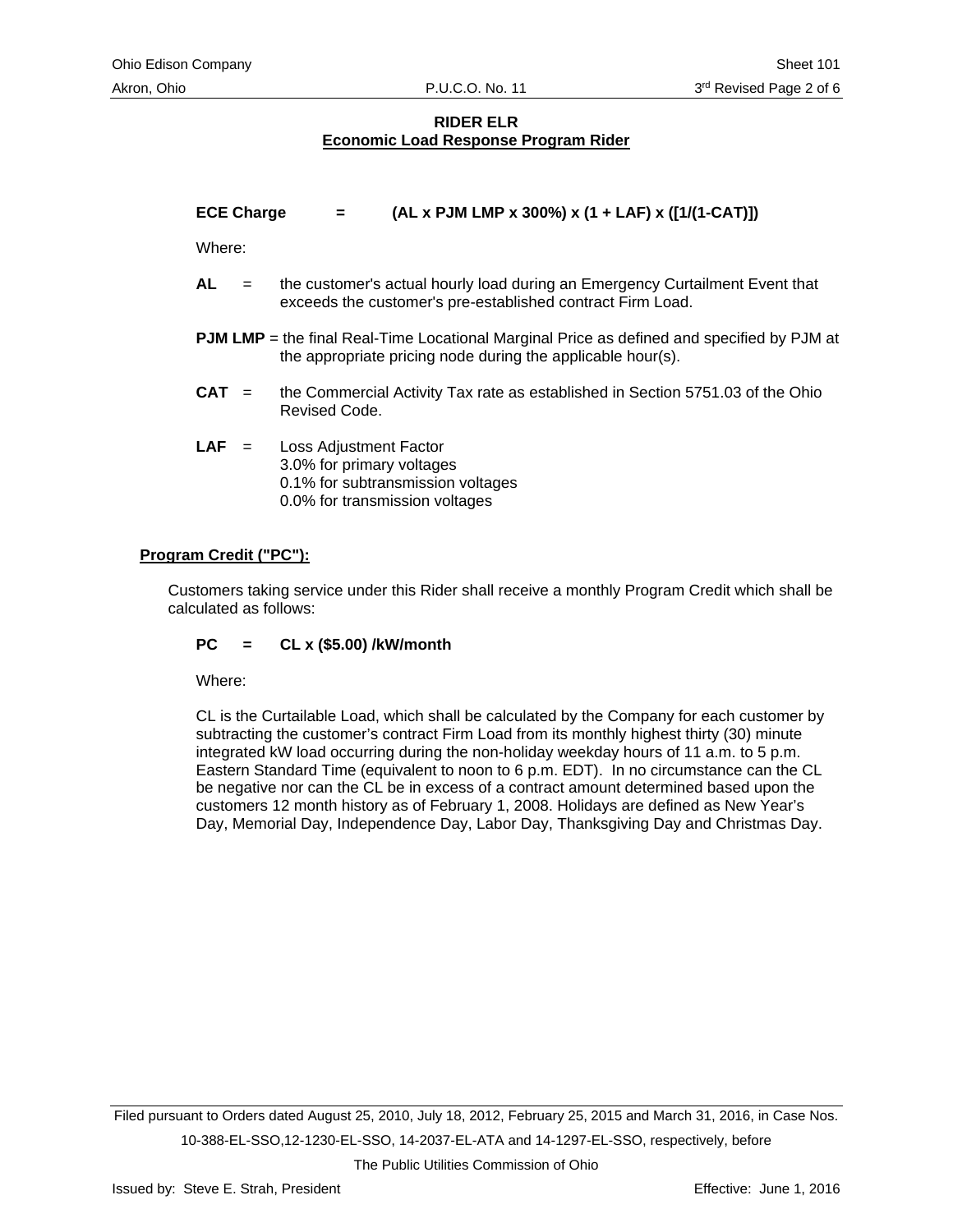**ECE Charge = (AL x PJM LMP x 300%) x (1 + LAF) x ([1/(1-CAT)])** 

Where:

- **AL** = the customer's actual hourly load during an Emergency Curtailment Event that exceeds the customer's pre-established contract Firm Load.
- **PJM LMP** = the final Real-Time Locational Marginal Price as defined and specified by PJM at the appropriate pricing node during the applicable hour(s).
- **CAT** = the Commercial Activity Tax rate as established in Section 5751.03 of the Ohio Revised Code.
- **LAF** = Loss Adjustment Factor 3.0% for primary voltages 0.1% for subtransmission voltages 0.0% for transmission voltages

## **Program Credit ("PC"):**

Customers taking service under this Rider shall receive a monthly Program Credit which shall be calculated as follows:

#### **PC = CL x (\$5.00) /kW/month**

Where:

CL is the Curtailable Load, which shall be calculated by the Company for each customer by subtracting the customer's contract Firm Load from its monthly highest thirty (30) minute integrated kW load occurring during the non-holiday weekday hours of 11 a.m. to 5 p.m. Eastern Standard Time (equivalent to noon to 6 p.m. EDT). In no circumstance can the CL be negative nor can the CL be in excess of a contract amount determined based upon the customers 12 month history as of February 1, 2008. Holidays are defined as New Year's Day, Memorial Day, Independence Day, Labor Day, Thanksgiving Day and Christmas Day.

Filed pursuant to Orders dated August 25, 2010, July 18, 2012, February 25, 2015 and March 31, 2016, in Case Nos. 10-388-EL-SSO,12-1230-EL-SSO, 14-2037-EL-ATA and 14-1297-EL-SSO, respectively, before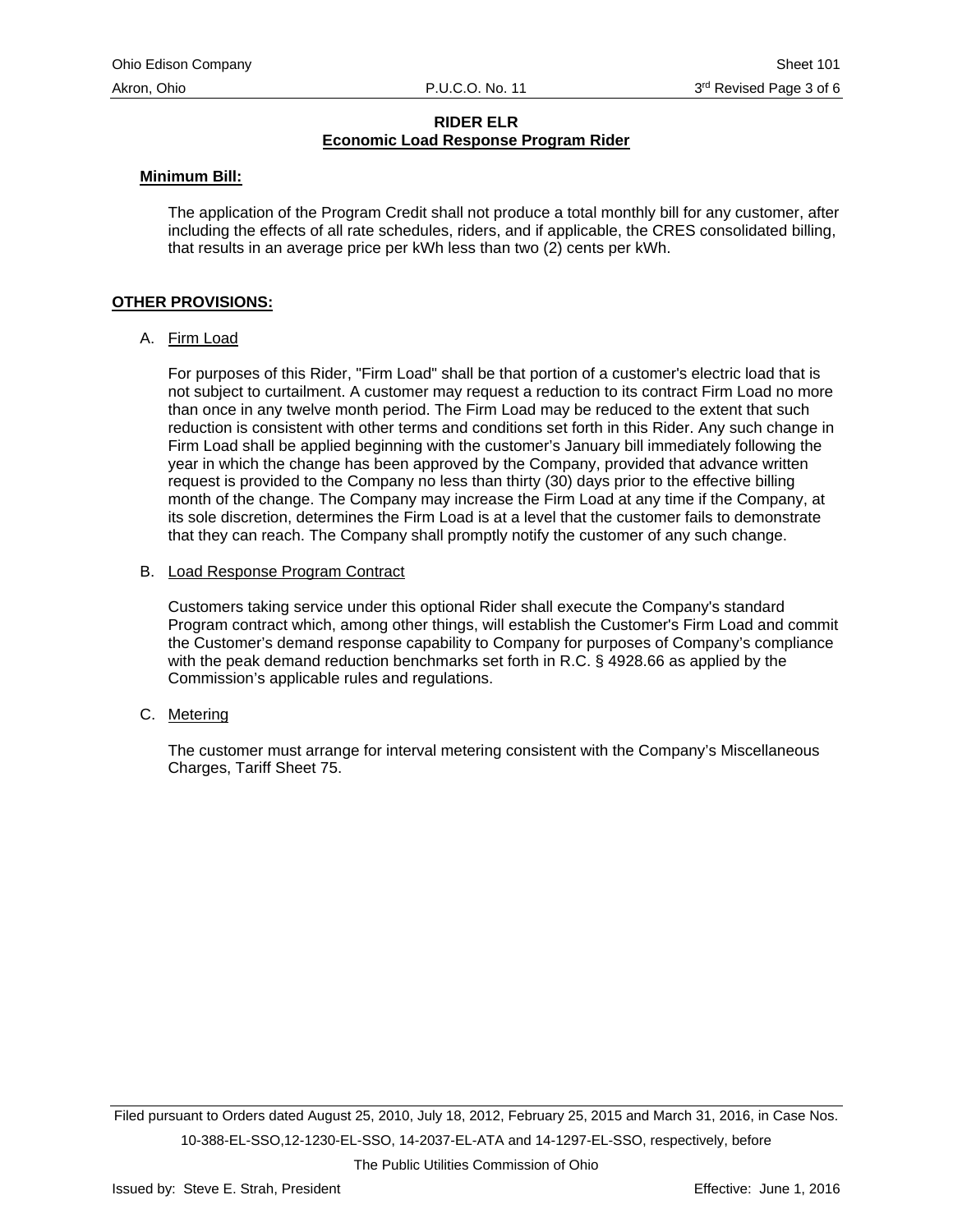#### **Minimum Bill:**

The application of the Program Credit shall not produce a total monthly bill for any customer, after including the effects of all rate schedules, riders, and if applicable, the CRES consolidated billing, that results in an average price per kWh less than two (2) cents per kWh.

## **OTHER PROVISIONS:**

## A. Firm Load

For purposes of this Rider, "Firm Load" shall be that portion of a customer's electric load that is not subject to curtailment. A customer may request a reduction to its contract Firm Load no more than once in any twelve month period. The Firm Load may be reduced to the extent that such reduction is consistent with other terms and conditions set forth in this Rider. Any such change in Firm Load shall be applied beginning with the customer's January bill immediately following the year in which the change has been approved by the Company, provided that advance written request is provided to the Company no less than thirty (30) days prior to the effective billing month of the change. The Company may increase the Firm Load at any time if the Company, at its sole discretion, determines the Firm Load is at a level that the customer fails to demonstrate that they can reach. The Company shall promptly notify the customer of any such change.

#### B. Load Response Program Contract

Customers taking service under this optional Rider shall execute the Company's standard Program contract which, among other things, will establish the Customer's Firm Load and commit the Customer's demand response capability to Company for purposes of Company's compliance with the peak demand reduction benchmarks set forth in R.C. § 4928.66 as applied by the Commission's applicable rules and regulations.

C. Metering

The customer must arrange for interval metering consistent with the Company's Miscellaneous Charges, Tariff Sheet 75.

Filed pursuant to Orders dated August 25, 2010, July 18, 2012, February 25, 2015 and March 31, 2016, in Case Nos. 10-388-EL-SSO,12-1230-EL-SSO, 14-2037-EL-ATA and 14-1297-EL-SSO, respectively, before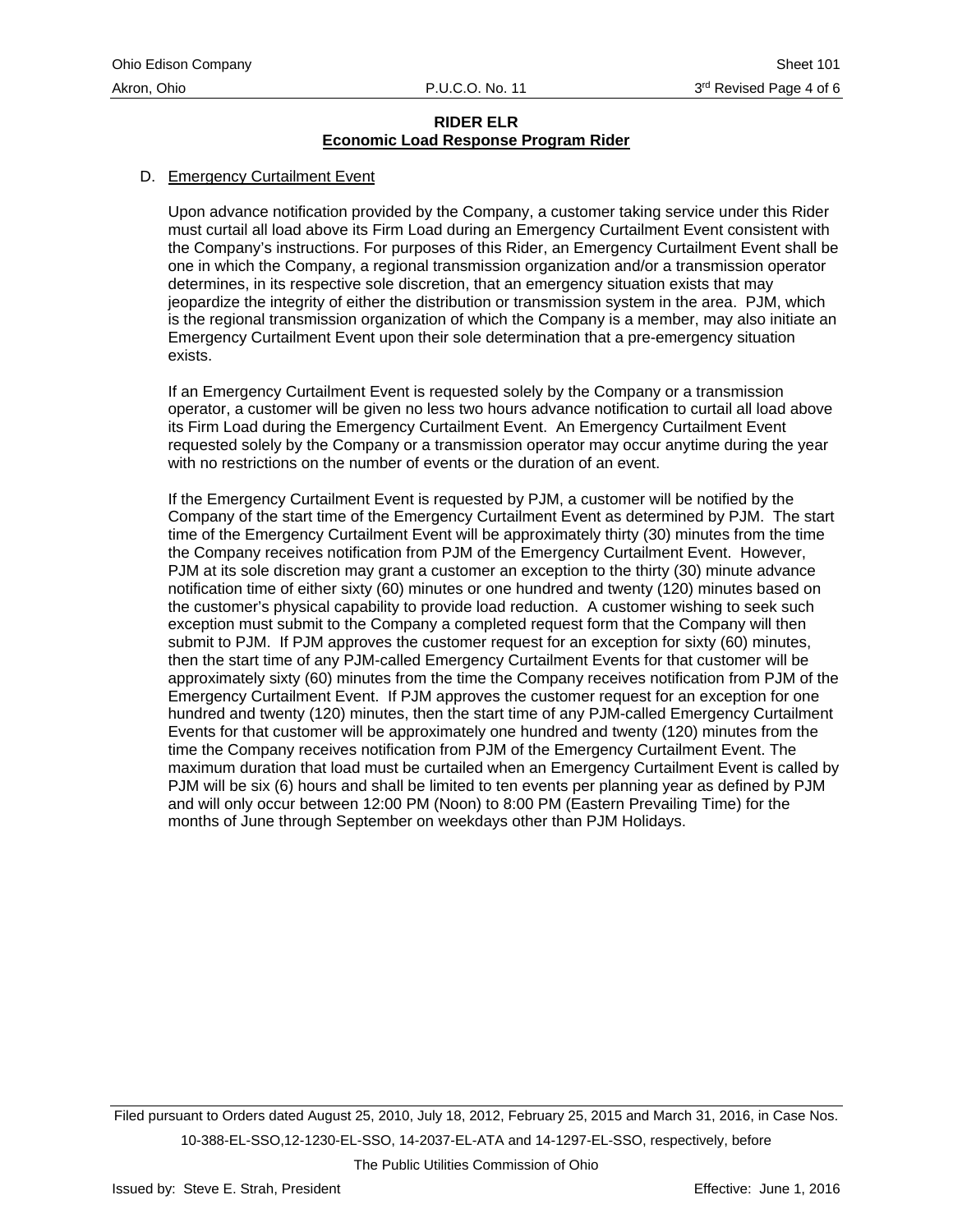#### D. Emergency Curtailment Event

Upon advance notification provided by the Company, a customer taking service under this Rider must curtail all load above its Firm Load during an Emergency Curtailment Event consistent with the Company's instructions. For purposes of this Rider, an Emergency Curtailment Event shall be one in which the Company, a regional transmission organization and/or a transmission operator determines, in its respective sole discretion, that an emergency situation exists that may jeopardize the integrity of either the distribution or transmission system in the area. PJM, which is the regional transmission organization of which the Company is a member, may also initiate an Emergency Curtailment Event upon their sole determination that a pre-emergency situation exists.

If an Emergency Curtailment Event is requested solely by the Company or a transmission operator, a customer will be given no less two hours advance notification to curtail all load above its Firm Load during the Emergency Curtailment Event. An Emergency Curtailment Event requested solely by the Company or a transmission operator may occur anytime during the year with no restrictions on the number of events or the duration of an event.

If the Emergency Curtailment Event is requested by PJM, a customer will be notified by the Company of the start time of the Emergency Curtailment Event as determined by PJM. The start time of the Emergency Curtailment Event will be approximately thirty (30) minutes from the time the Company receives notification from PJM of the Emergency Curtailment Event. However, PJM at its sole discretion may grant a customer an exception to the thirty (30) minute advance notification time of either sixty (60) minutes or one hundred and twenty (120) minutes based on the customer's physical capability to provide load reduction. A customer wishing to seek such exception must submit to the Company a completed request form that the Company will then submit to PJM. If PJM approves the customer request for an exception for sixty (60) minutes, then the start time of any PJM-called Emergency Curtailment Events for that customer will be approximately sixty (60) minutes from the time the Company receives notification from PJM of the Emergency Curtailment Event. If PJM approves the customer request for an exception for one hundred and twenty (120) minutes, then the start time of any PJM-called Emergency Curtailment Events for that customer will be approximately one hundred and twenty (120) minutes from the time the Company receives notification from PJM of the Emergency Curtailment Event. The maximum duration that load must be curtailed when an Emergency Curtailment Event is called by PJM will be six (6) hours and shall be limited to ten events per planning year as defined by PJM and will only occur between 12:00 PM (Noon) to 8:00 PM (Eastern Prevailing Time) for the months of June through September on weekdays other than PJM Holidays.

Filed pursuant to Orders dated August 25, 2010, July 18, 2012, February 25, 2015 and March 31, 2016, in Case Nos. 10-388-EL-SSO,12-1230-EL-SSO, 14-2037-EL-ATA and 14-1297-EL-SSO, respectively, before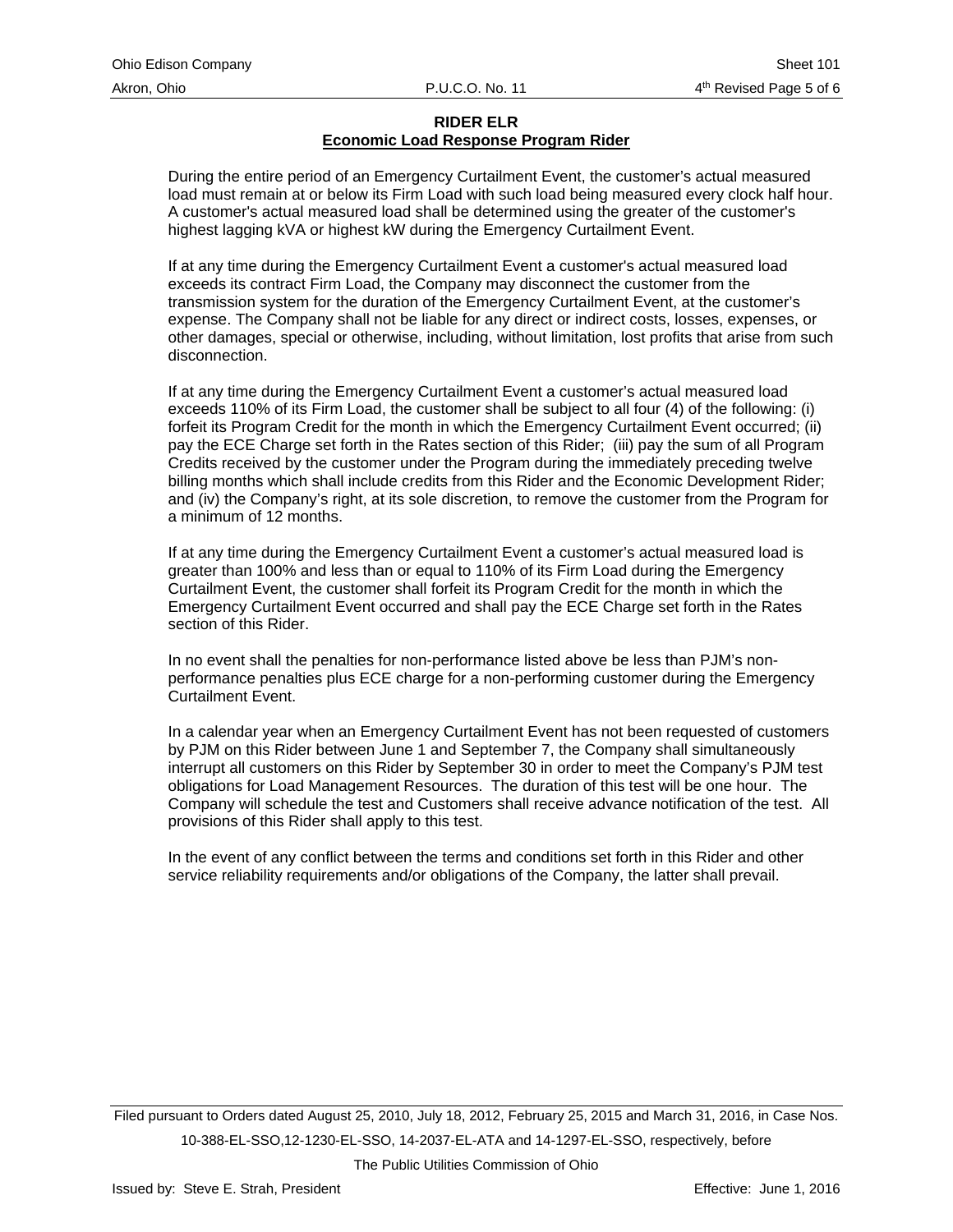During the entire period of an Emergency Curtailment Event, the customer's actual measured load must remain at or below its Firm Load with such load being measured every clock half hour. A customer's actual measured load shall be determined using the greater of the customer's highest lagging kVA or highest kW during the Emergency Curtailment Event.

If at any time during the Emergency Curtailment Event a customer's actual measured load exceeds its contract Firm Load, the Company may disconnect the customer from the transmission system for the duration of the Emergency Curtailment Event, at the customer's expense. The Company shall not be liable for any direct or indirect costs, losses, expenses, or other damages, special or otherwise, including, without limitation, lost profits that arise from such disconnection.

If at any time during the Emergency Curtailment Event a customer's actual measured load exceeds 110% of its Firm Load, the customer shall be subject to all four (4) of the following: (i) forfeit its Program Credit for the month in which the Emergency Curtailment Event occurred; (ii) pay the ECE Charge set forth in the Rates section of this Rider; (iii) pay the sum of all Program Credits received by the customer under the Program during the immediately preceding twelve billing months which shall include credits from this Rider and the Economic Development Rider; and (iv) the Company's right, at its sole discretion, to remove the customer from the Program for a minimum of 12 months.

If at any time during the Emergency Curtailment Event a customer's actual measured load is greater than 100% and less than or equal to 110% of its Firm Load during the Emergency Curtailment Event, the customer shall forfeit its Program Credit for the month in which the Emergency Curtailment Event occurred and shall pay the ECE Charge set forth in the Rates section of this Rider.

In no event shall the penalties for non-performance listed above be less than PJM's nonperformance penalties plus ECE charge for a non-performing customer during the Emergency Curtailment Event.

In a calendar year when an Emergency Curtailment Event has not been requested of customers by PJM on this Rider between June 1 and September 7, the Company shall simultaneously interrupt all customers on this Rider by September 30 in order to meet the Company's PJM test obligations for Load Management Resources. The duration of this test will be one hour. The Company will schedule the test and Customers shall receive advance notification of the test. All provisions of this Rider shall apply to this test.

In the event of any conflict between the terms and conditions set forth in this Rider and other service reliability requirements and/or obligations of the Company, the latter shall prevail.

Filed pursuant to Orders dated August 25, 2010, July 18, 2012, February 25, 2015 and March 31, 2016, in Case Nos. 10-388-EL-SSO,12-1230-EL-SSO, 14-2037-EL-ATA and 14-1297-EL-SSO, respectively, before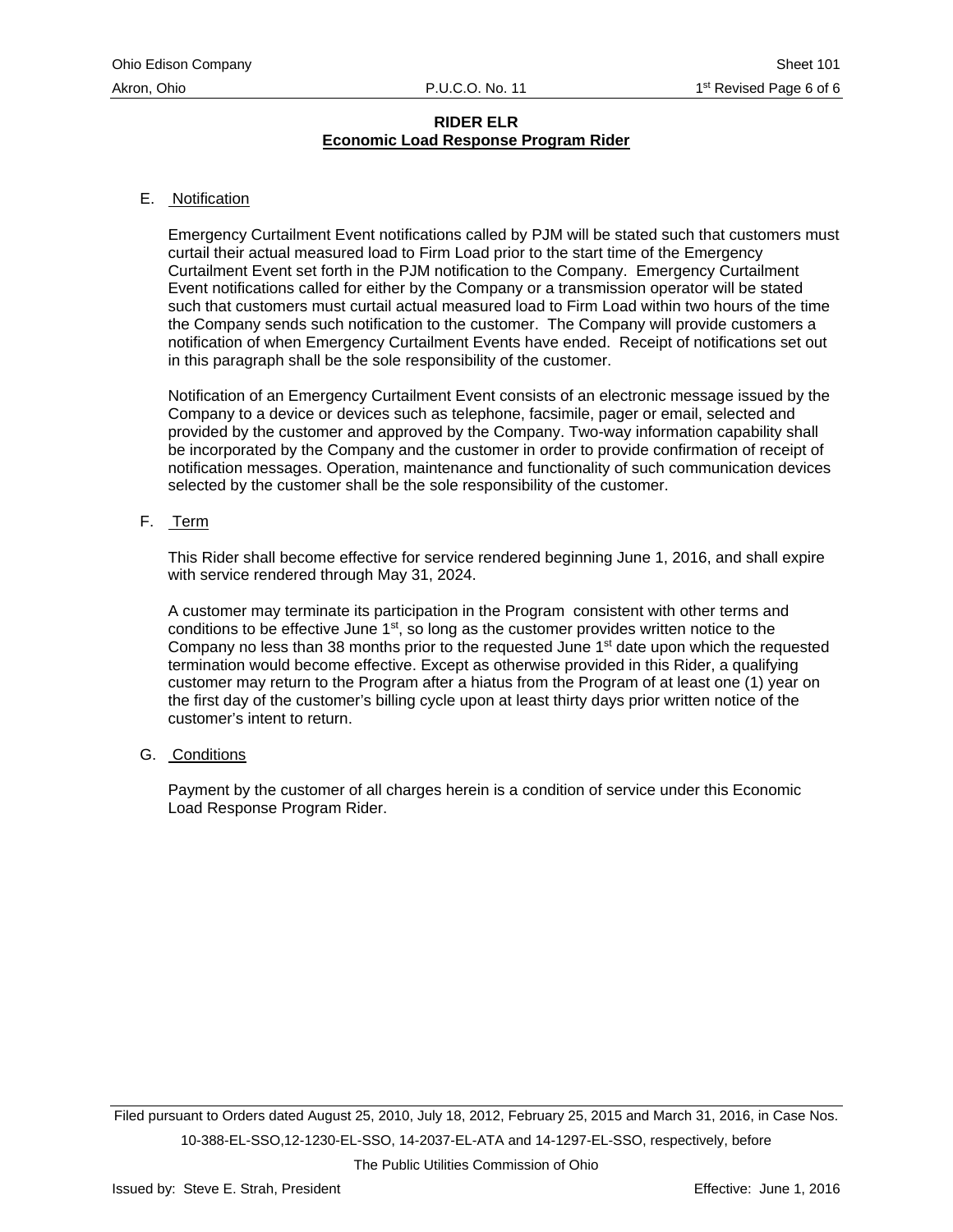## E. Notification

Emergency Curtailment Event notifications called by PJM will be stated such that customers must curtail their actual measured load to Firm Load prior to the start time of the Emergency Curtailment Event set forth in the PJM notification to the Company. Emergency Curtailment Event notifications called for either by the Company or a transmission operator will be stated such that customers must curtail actual measured load to Firm Load within two hours of the time the Company sends such notification to the customer. The Company will provide customers a notification of when Emergency Curtailment Events have ended. Receipt of notifications set out in this paragraph shall be the sole responsibility of the customer.

Notification of an Emergency Curtailment Event consists of an electronic message issued by the Company to a device or devices such as telephone, facsimile, pager or email, selected and provided by the customer and approved by the Company. Two-way information capability shall be incorporated by the Company and the customer in order to provide confirmation of receipt of notification messages. Operation, maintenance and functionality of such communication devices selected by the customer shall be the sole responsibility of the customer.

# F. Term

This Rider shall become effective for service rendered beginning June 1, 2016, and shall expire with service rendered through May 31, 2024.

A customer may terminate its participation in the Program consistent with other terms and conditions to be effective June  $1<sup>st</sup>$ , so long as the customer provides written notice to the Company no less than 38 months prior to the requested June  $1<sup>st</sup>$  date upon which the requested termination would become effective. Except as otherwise provided in this Rider, a qualifying customer may return to the Program after a hiatus from the Program of at least one (1) year on the first day of the customer's billing cycle upon at least thirty days prior written notice of the customer's intent to return.

G. Conditions

Payment by the customer of all charges herein is a condition of service under this Economic Load Response Program Rider.

Filed pursuant to Orders dated August 25, 2010, July 18, 2012, February 25, 2015 and March 31, 2016, in Case Nos. 10-388-EL-SSO,12-1230-EL-SSO, 14-2037-EL-ATA and 14-1297-EL-SSO, respectively, before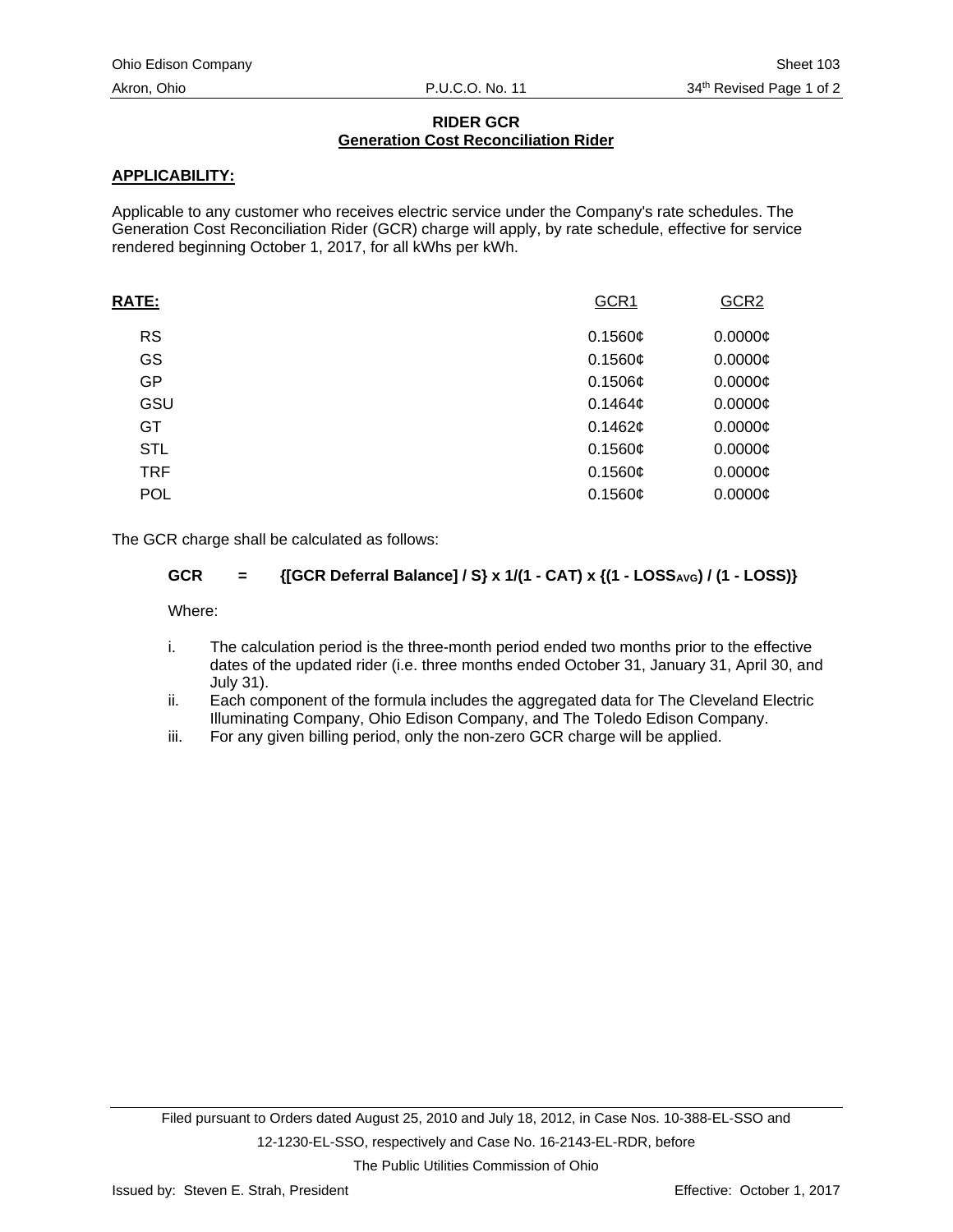# **RIDER GCR Generation Cost Reconciliation Rider**

# **APPLICABILITY:**

Applicable to any customer who receives electric service under the Company's rate schedules. The Generation Cost Reconciliation Rider (GCR) charge will apply, by rate schedule, effective for service rendered beginning October 1, 2017, for all kWhs per kWh.

| <b>RATE:</b> | GCR1    | GCR <sub>2</sub> |
|--------------|---------|------------------|
| <b>RS</b>    | 0.1560¢ | $0.0000$ ¢       |
| GS           | 0.1560¢ | $0.0000$ ¢       |
| GP           | 0.1506¢ | $0.0000$ ¢       |
| GSU          | 0.1464c | $0.0000$ ¢       |
| GT           | 0.1462¢ | $0.0000$ ¢       |
| <b>STL</b>   | 0.1560¢ | $0.0000$ ¢       |
| <b>TRF</b>   | 0.1560¢ | $0.0000$ ¢       |
| <b>POL</b>   | 0.1560¢ | $0.0000$ ¢       |
|              |         |                  |

The GCR charge shall be calculated as follows:

# GCR = {[GCR Deferral Balance] / S} x 1/(1 - CAT) x {(1 - LOSS<sub>AVG</sub>) / (1 - LOSS)}

Where:

- i. The calculation period is the three-month period ended two months prior to the effective dates of the updated rider (i.e. three months ended October 31, January 31, April 30, and July 31).
- ii. Each component of the formula includes the aggregated data for The Cleveland Electric Illuminating Company, Ohio Edison Company, and The Toledo Edison Company.
- iii. For any given billing period, only the non-zero GCR charge will be applied.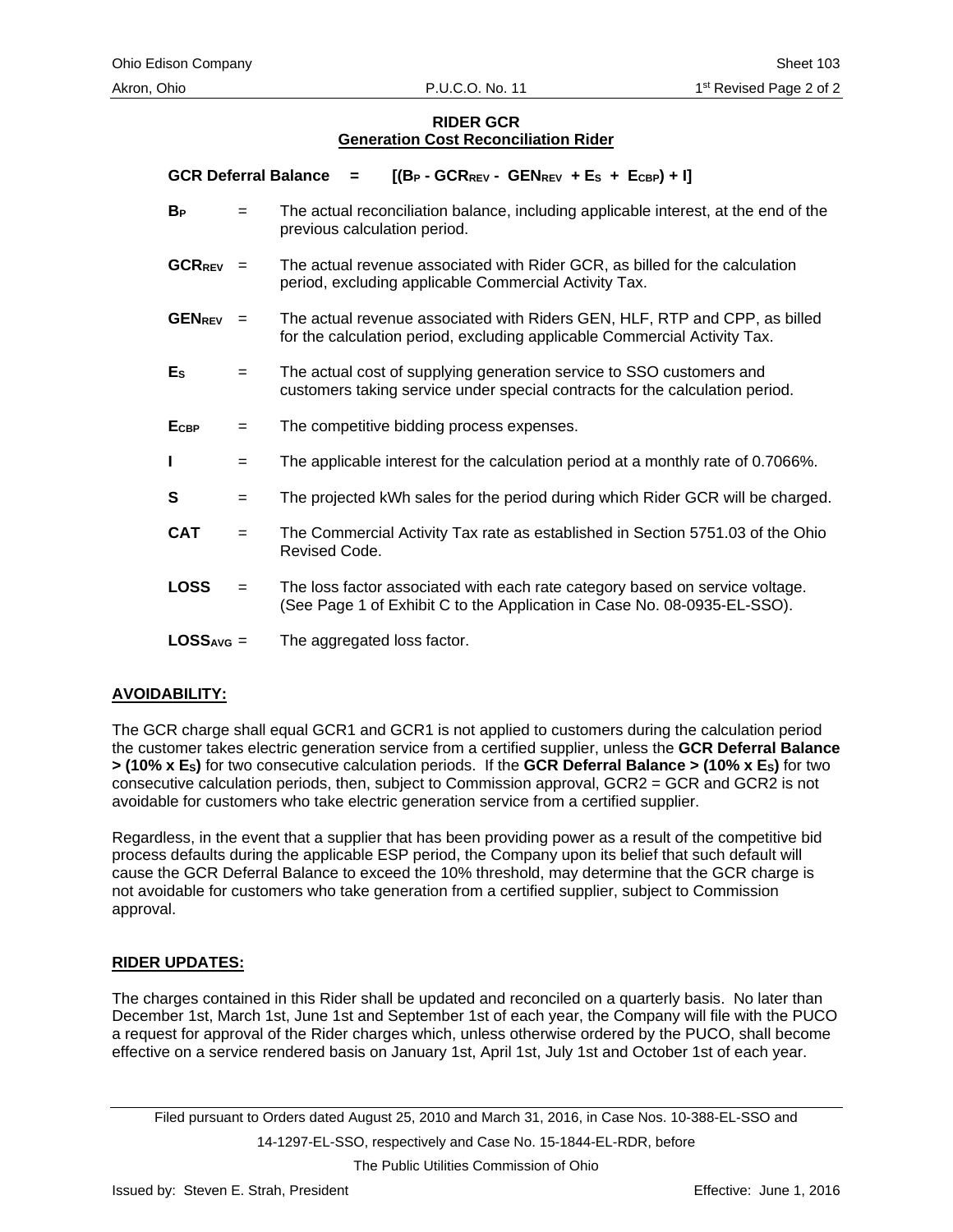## **RIDER GCR Generation Cost Reconciliation Rider**

**GCR Deferral Balance**  $=$   $[(B_P - GCR_{REV} - GEN_{REV} + E_S + E_{CBP}) + I]$ 

- **BP** = The actual reconciliation balance, including applicable interest, at the end of the previous calculation period.
- **GCRREV** = The actual revenue associated with Rider GCR, as billed for the calculation period, excluding applicable Commercial Activity Tax.
- **GENREV** = The actual revenue associated with Riders GEN, HLF, RTP and CPP, as billed for the calculation period, excluding applicable Commercial Activity Tax.
- **ES** = The actual cost of supplying generation service to SSO customers and customers taking service under special contracts for the calculation period.
- E<sub>CBP</sub> = The competitive bidding process expenses.
- **I**  $=$  The applicable interest for the calculation period at a monthly rate of 0.7066%.
- **S**  $=$  The projected kWh sales for the period during which Rider GCR will be charged.
- **CAT** = The Commercial Activity Tax rate as established in Section 5751.03 of the Ohio Revised Code.
- **LOSS** = The loss factor associated with each rate category based on service voltage. (See Page 1 of Exhibit C to the Application in Case No. 08-0935-EL-SSO).
- LOSS<sub>AVG</sub> = The aggregated loss factor.

# **AVOIDABILITY:**

The GCR charge shall equal GCR1 and GCR1 is not applied to customers during the calculation period the customer takes electric generation service from a certified supplier, unless the **GCR Deferral Balance > (10% x ES)** for two consecutive calculation periods. If the **GCR Deferral Balance > (10% x ES)** for two consecutive calculation periods, then, subject to Commission approval, GCR2 = GCR and GCR2 is not avoidable for customers who take electric generation service from a certified supplier.

Regardless, in the event that a supplier that has been providing power as a result of the competitive bid process defaults during the applicable ESP period, the Company upon its belief that such default will cause the GCR Deferral Balance to exceed the 10% threshold, may determine that the GCR charge is not avoidable for customers who take generation from a certified supplier, subject to Commission approval.

#### **RIDER UPDATES:**

The charges contained in this Rider shall be updated and reconciled on a quarterly basis. No later than December 1st, March 1st, June 1st and September 1st of each year, the Company will file with the PUCO a request for approval of the Rider charges which, unless otherwise ordered by the PUCO, shall become effective on a service rendered basis on January 1st, April 1st, July 1st and October 1st of each year.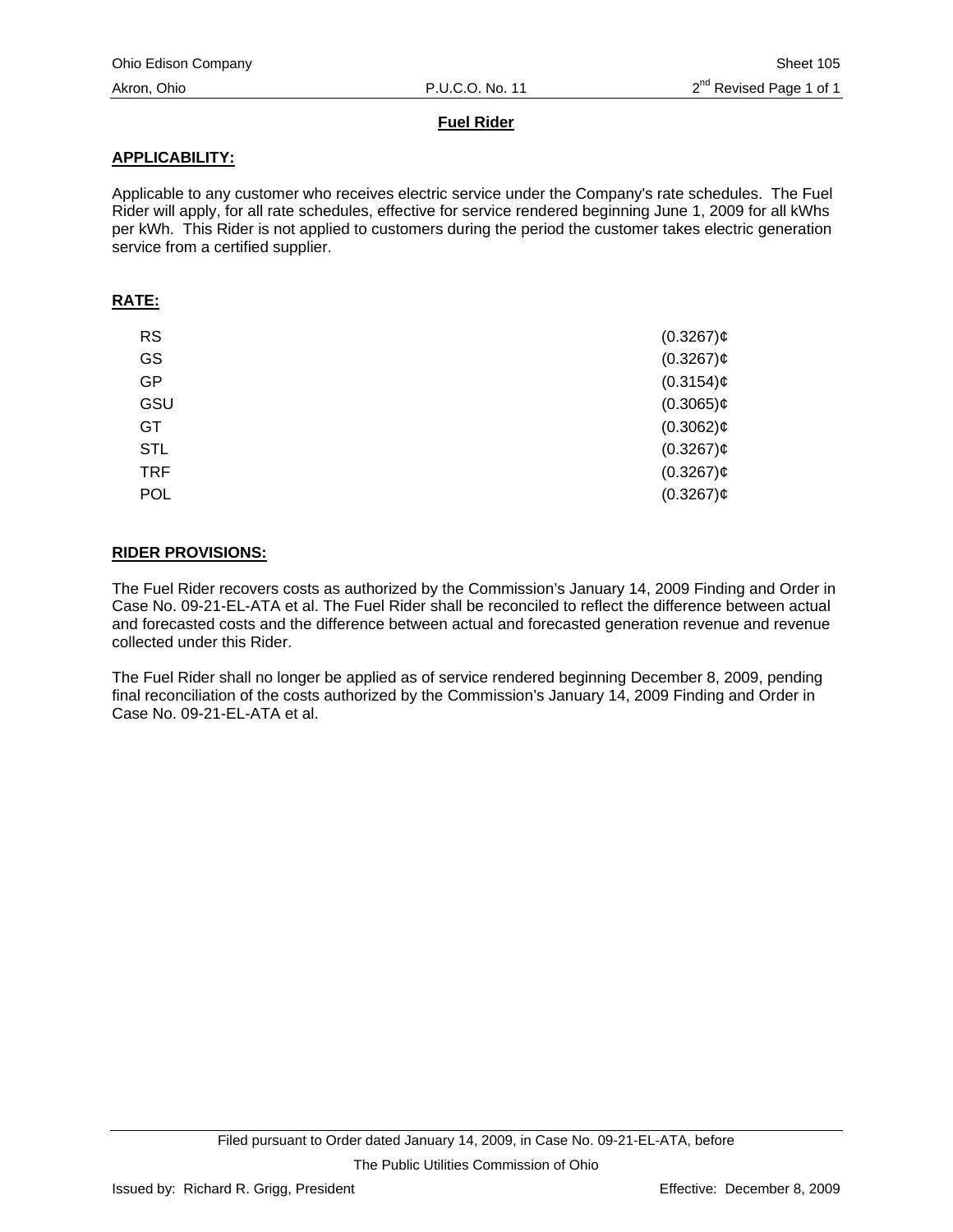# **Fuel Rider**

# **APPLICABILITY:**

Applicable to any customer who receives electric service under the Company's rate schedules. The Fuel Rider will apply, for all rate schedules, effective for service rendered beginning June 1, 2009 for all kWhs per kWh. This Rider is not applied to customers during the period the customer takes electric generation service from a certified supplier.

## **RATE:**

| <b>RS</b>  | $(0.3267)$ ¢ |
|------------|--------------|
| GS         | $(0.3267)$ ¢ |
| <b>GP</b>  | $(0.3154)$ ¢ |
| GSU        | $(0.3065)$ ¢ |
| <b>GT</b>  | $(0.3062)$ ¢ |
| <b>STL</b> | $(0.3267)$ ¢ |
| <b>TRF</b> | $(0.3267)$ ¢ |
| <b>POL</b> | $(0.3267)$ ¢ |

# **RIDER PROVISIONS:**

The Fuel Rider recovers costs as authorized by the Commission's January 14, 2009 Finding and Order in Case No. 09-21-EL-ATA et al. The Fuel Rider shall be reconciled to reflect the difference between actual and forecasted costs and the difference between actual and forecasted generation revenue and revenue collected under this Rider.

The Fuel Rider shall no longer be applied as of service rendered beginning December 8, 2009, pending final reconciliation of the costs authorized by the Commission's January 14, 2009 Finding and Order in Case No. 09-21-EL-ATA et al.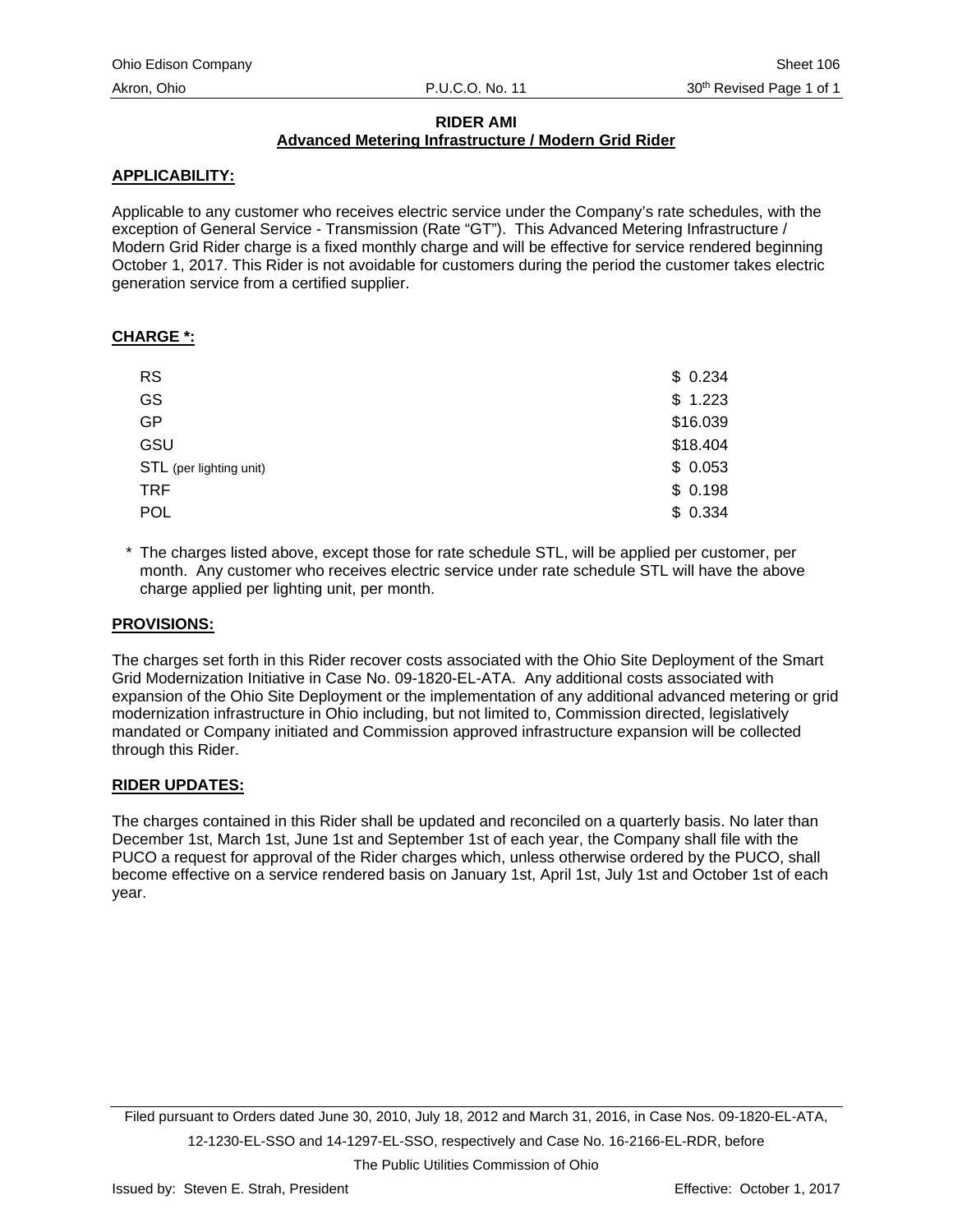# **RIDER AMI**

# **Advanced Metering Infrastructure / Modern Grid Rider**

# **APPLICABILITY:**

Applicable to any customer who receives electric service under the Company's rate schedules, with the exception of General Service - Transmission (Rate "GT"). This Advanced Metering Infrastructure / Modern Grid Rider charge is a fixed monthly charge and will be effective for service rendered beginning October 1, 2017. This Rider is not avoidable for customers during the period the customer takes electric generation service from a certified supplier.

# **CHARGE \*:**

| <b>RS</b>               | \$0.234  |
|-------------------------|----------|
| GS                      | \$1.223  |
| <b>GP</b>               | \$16.039 |
| GSU                     | \$18.404 |
| STL (per lighting unit) | \$0.053  |
| <b>TRF</b>              | \$0.198  |
| POL                     | \$0.334  |

\* The charges listed above, except those for rate schedule STL, will be applied per customer, per month. Any customer who receives electric service under rate schedule STL will have the above charge applied per lighting unit, per month.

## **PROVISIONS:**

The charges set forth in this Rider recover costs associated with the Ohio Site Deployment of the Smart Grid Modernization Initiative in Case No. 09-1820-EL-ATA. Any additional costs associated with expansion of the Ohio Site Deployment or the implementation of any additional advanced metering or grid modernization infrastructure in Ohio including, but not limited to, Commission directed, legislatively mandated or Company initiated and Commission approved infrastructure expansion will be collected through this Rider.

# **RIDER UPDATES:**

The charges contained in this Rider shall be updated and reconciled on a quarterly basis. No later than December 1st, March 1st, June 1st and September 1st of each year, the Company shall file with the PUCO a request for approval of the Rider charges which, unless otherwise ordered by the PUCO, shall become effective on a service rendered basis on January 1st, April 1st, July 1st and October 1st of each year.

Filed pursuant to Orders dated June 30, 2010, July 18, 2012 and March 31, 2016, in Case Nos. 09-1820-EL-ATA, 12-1230-EL-SSO and 14-1297-EL-SSO, respectively and Case No. 16-2166-EL-RDR, before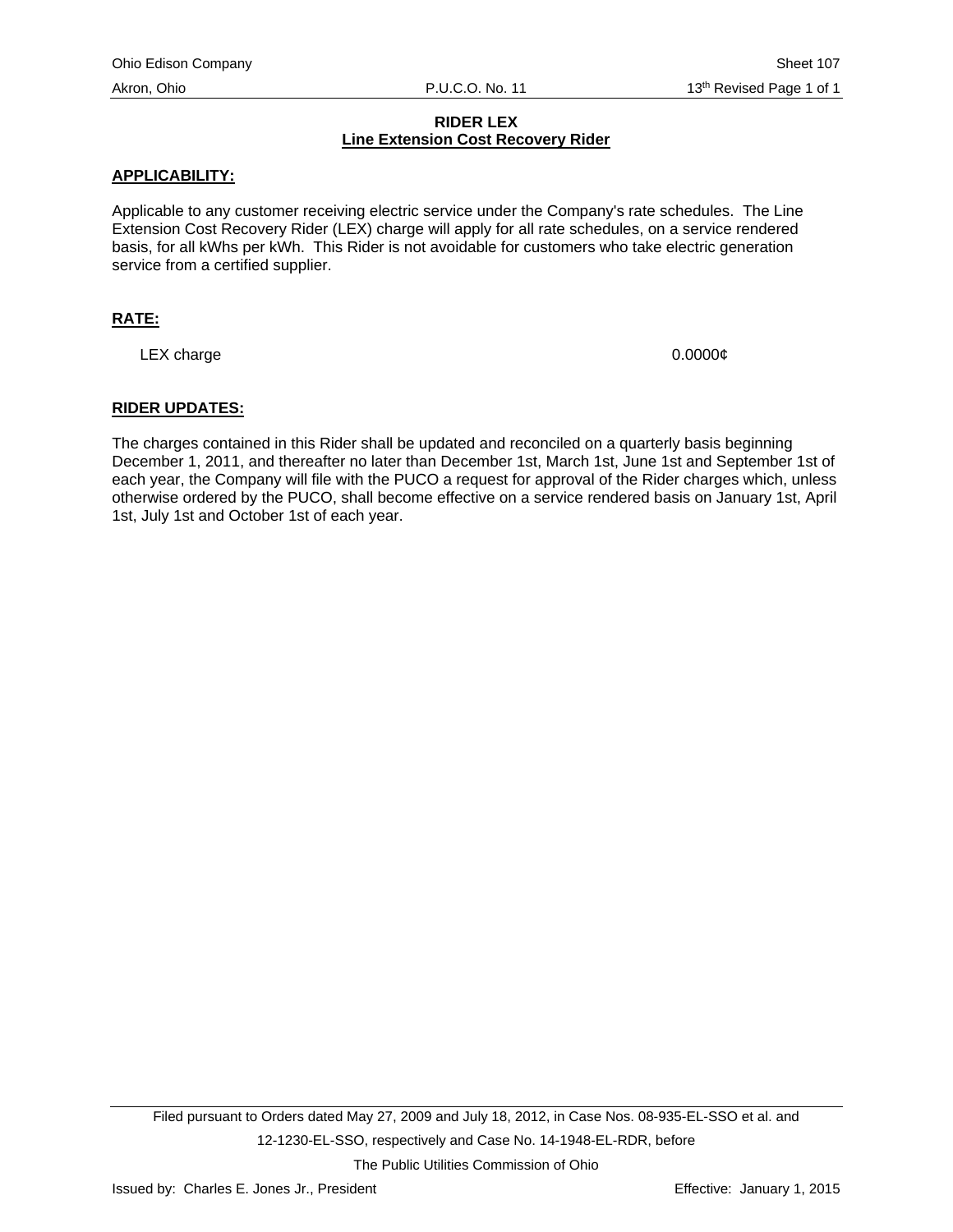# **RIDER LEX Line Extension Cost Recovery Rider**

## **APPLICABILITY:**

Applicable to any customer receiving electric service under the Company's rate schedules. The Line Extension Cost Recovery Rider (LEX) charge will apply for all rate schedules, on a service rendered basis, for all kWhs per kWh. This Rider is not avoidable for customers who take electric generation service from a certified supplier.

# **RATE:**

LEX charge 0.0000 $\phi$ 

#### **RIDER UPDATES:**

The charges contained in this Rider shall be updated and reconciled on a quarterly basis beginning December 1, 2011, and thereafter no later than December 1st, March 1st, June 1st and September 1st of each year, the Company will file with the PUCO a request for approval of the Rider charges which, unless otherwise ordered by the PUCO, shall become effective on a service rendered basis on January 1st, April 1st, July 1st and October 1st of each year.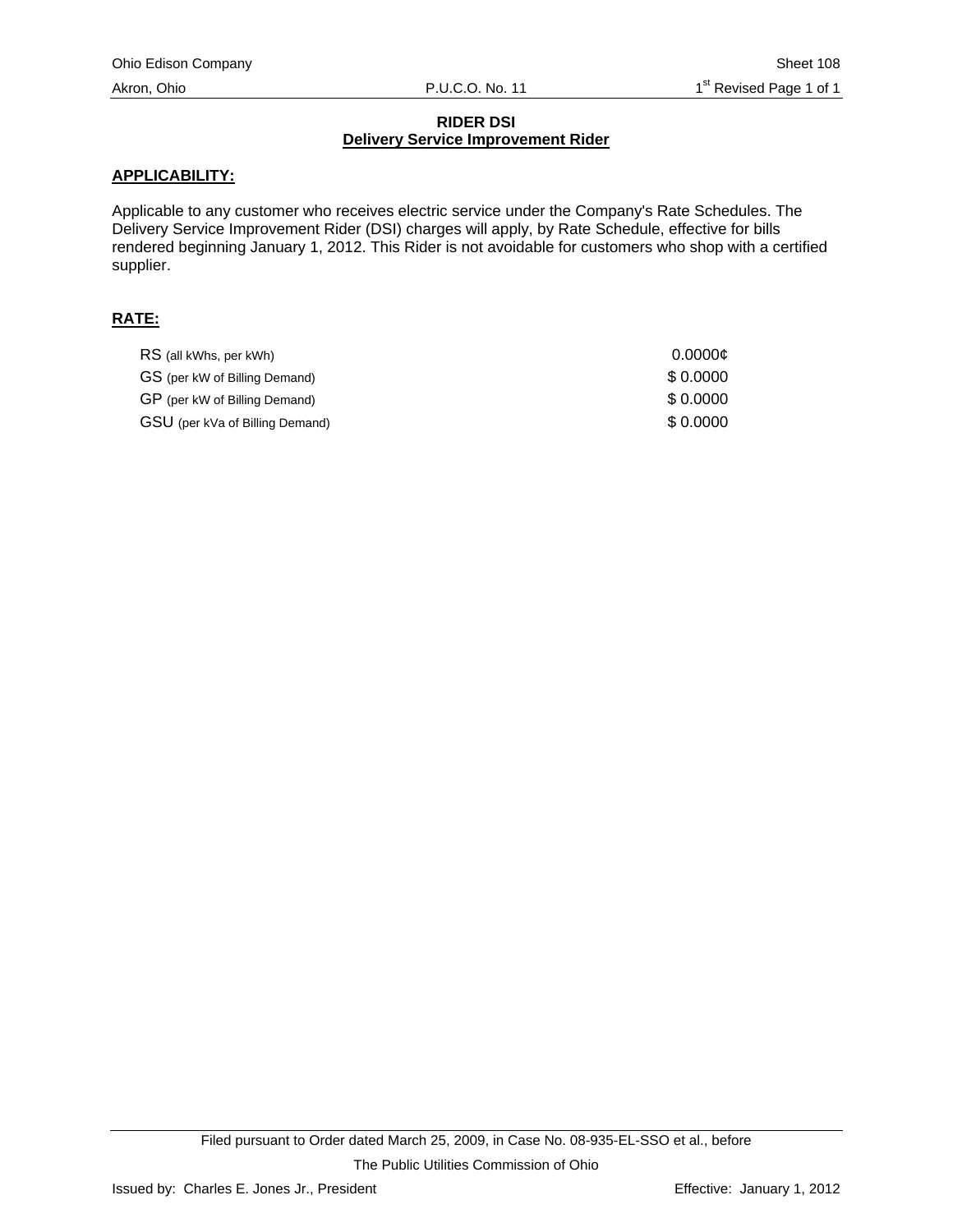## **RIDER DSI Delivery Service Improvement Rider**

## **APPLICABILITY:**

Applicable to any customer who receives electric service under the Company's Rate Schedules. The Delivery Service Improvement Rider (DSI) charges will apply, by Rate Schedule, effective for bills rendered beginning January 1, 2012. This Rider is not avoidable for customers who shop with a certified supplier.

# **RATE:**

| RS (all kWhs, per kWh)          | 0.0000c  |
|---------------------------------|----------|
| GS (per kW of Billing Demand)   | \$0.0000 |
| GP (per kW of Billing Demand)   | \$0.0000 |
| GSU (per kVa of Billing Demand) | \$0.0000 |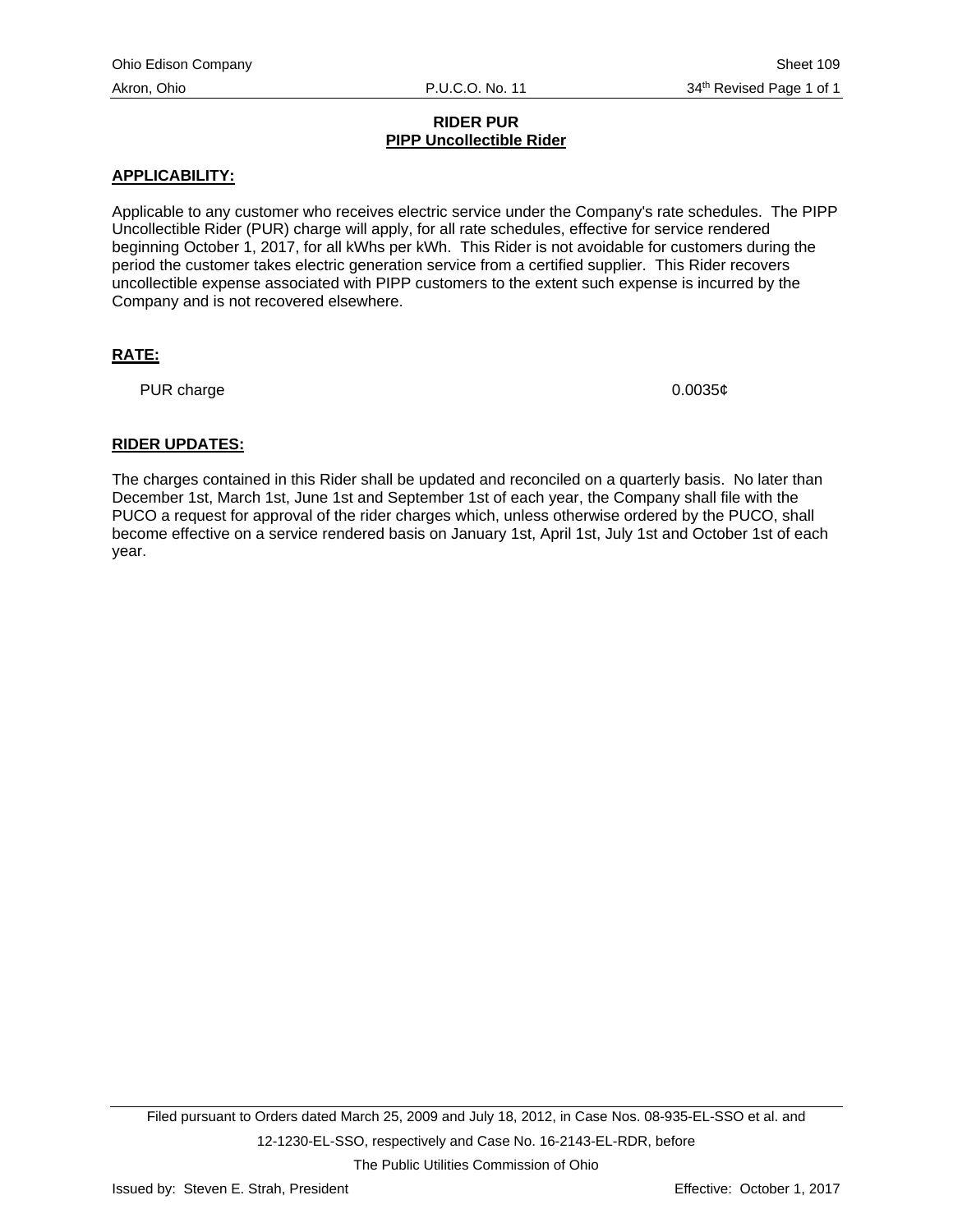## **RIDER PUR PIPP Uncollectible Rider**

## **APPLICABILITY:**

Applicable to any customer who receives electric service under the Company's rate schedules. The PIPP Uncollectible Rider (PUR) charge will apply, for all rate schedules, effective for service rendered beginning October 1, 2017, for all kWhs per kWh. This Rider is not avoidable for customers during the period the customer takes electric generation service from a certified supplier. This Rider recovers uncollectible expense associated with PIPP customers to the extent such expense is incurred by the Company and is not recovered elsewhere.

# **RATE:**

PUR charge  $0.0035¢$ 

## **RIDER UPDATES:**

The charges contained in this Rider shall be updated and reconciled on a quarterly basis. No later than December 1st, March 1st, June 1st and September 1st of each year, the Company shall file with the PUCO a request for approval of the rider charges which, unless otherwise ordered by the PUCO, shall become effective on a service rendered basis on January 1st, April 1st, July 1st and October 1st of each year.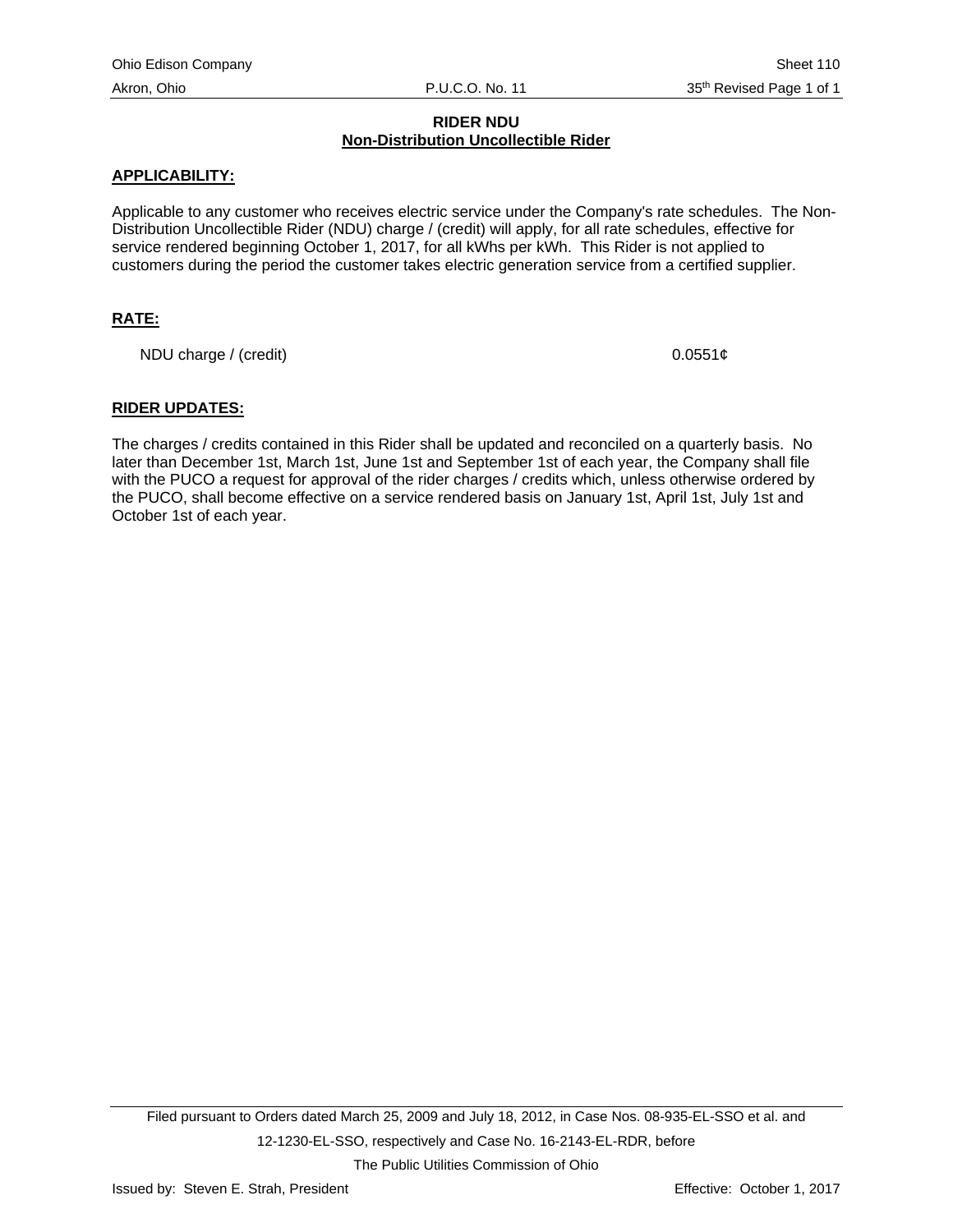# **RIDER NDU Non-Distribution Uncollectible Rider**

## **APPLICABILITY:**

Applicable to any customer who receives electric service under the Company's rate schedules. The Non-Distribution Uncollectible Rider (NDU) charge / (credit) will apply, for all rate schedules, effective for service rendered beginning October 1, 2017, for all kWhs per kWh. This Rider is not applied to customers during the period the customer takes electric generation service from a certified supplier.

# **RATE:**

NDU charge / (credit)  $0.0551¢$ 

## **RIDER UPDATES:**

The charges / credits contained in this Rider shall be updated and reconciled on a quarterly basis. No later than December 1st, March 1st, June 1st and September 1st of each year, the Company shall file with the PUCO a request for approval of the rider charges / credits which, unless otherwise ordered by the PUCO, shall become effective on a service rendered basis on January 1st, April 1st, July 1st and October 1st of each year.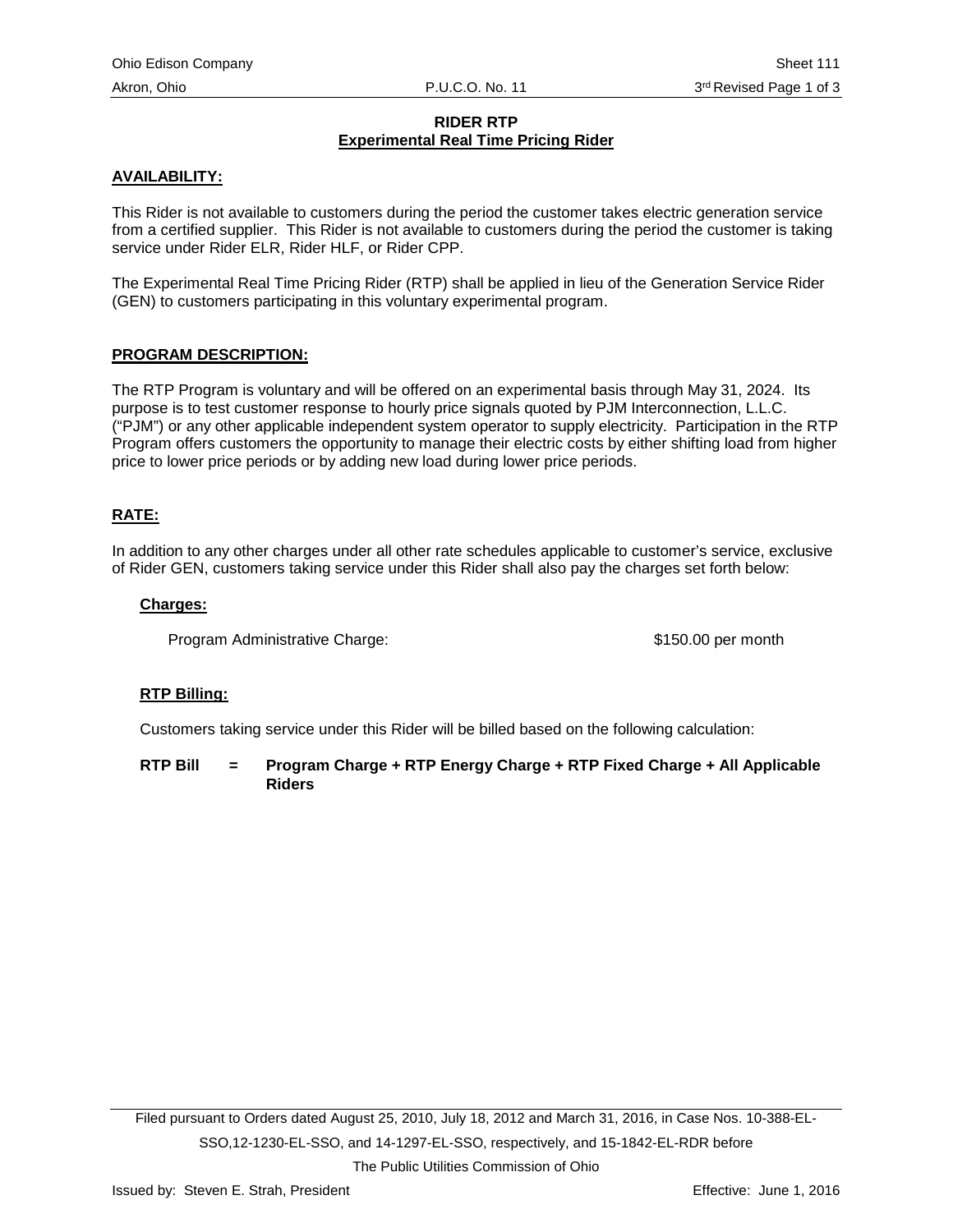# **RIDER RTP Experimental Real Time Pricing Rider**

# **AVAILABILITY:**

This Rider is not available to customers during the period the customer takes electric generation service from a certified supplier. This Rider is not available to customers during the period the customer is taking service under Rider ELR, Rider HLF, or Rider CPP.

The Experimental Real Time Pricing Rider (RTP) shall be applied in lieu of the Generation Service Rider (GEN) to customers participating in this voluntary experimental program.

# **PROGRAM DESCRIPTION:**

The RTP Program is voluntary and will be offered on an experimental basis through May 31, 2024. Its purpose is to test customer response to hourly price signals quoted by PJM Interconnection, L.L.C. ("PJM") or any other applicable independent system operator to supply electricity. Participation in the RTP Program offers customers the opportunity to manage their electric costs by either shifting load from higher price to lower price periods or by adding new load during lower price periods.

# **RATE:**

In addition to any other charges under all other rate schedules applicable to customer's service, exclusive of Rider GEN, customers taking service under this Rider shall also pay the charges set forth below:

#### **Charges:**

Program Administrative Charge: \$150.00 per month

#### **RTP Billing:**

Customers taking service under this Rider will be billed based on the following calculation:

**RTP Bill = Program Charge + RTP Energy Charge + RTP Fixed Charge + All Applicable Riders**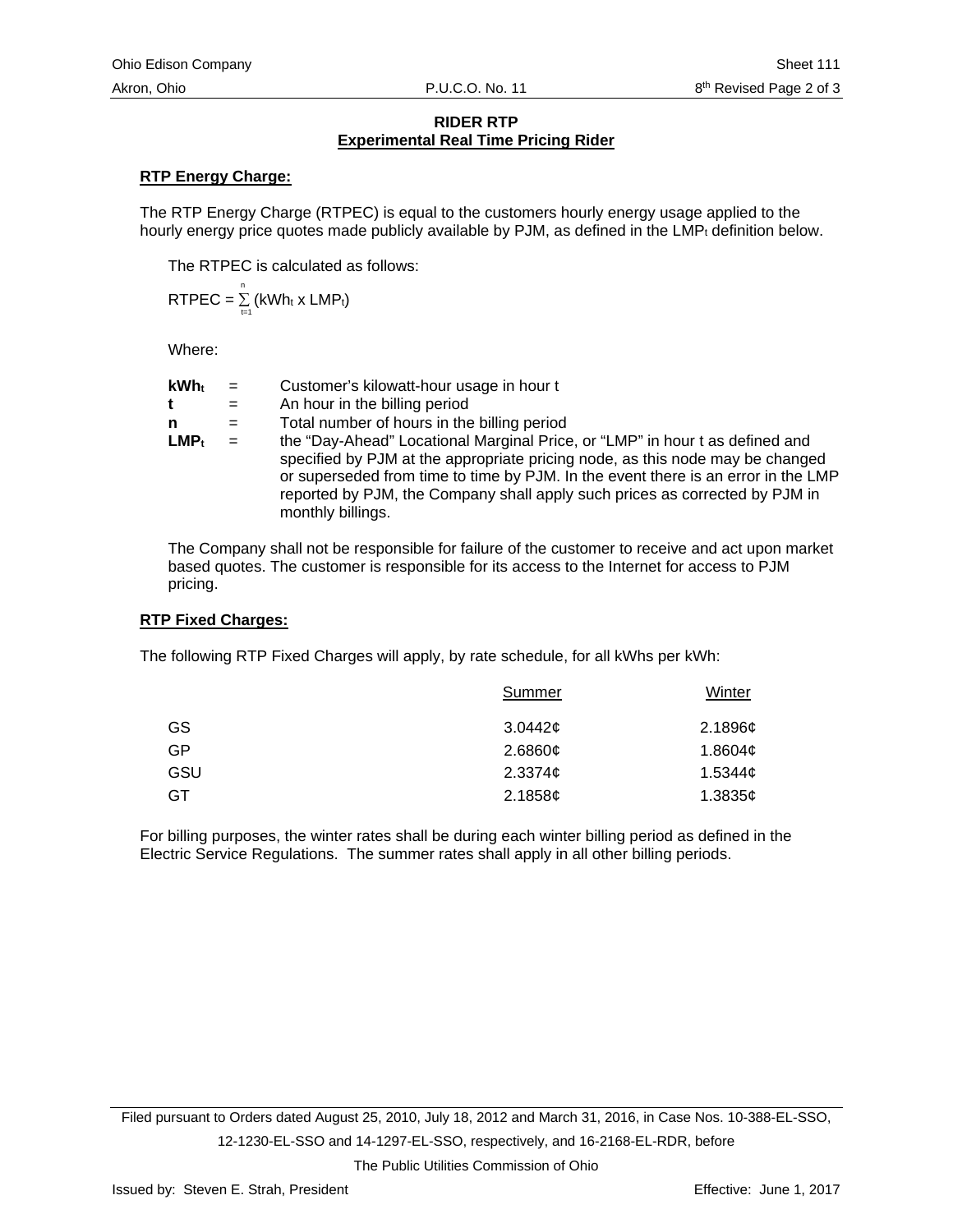## **RIDER RTP Experimental Real Time Pricing Rider**

# **RTP Energy Charge:**

The RTP Energy Charge (RTPEC) is equal to the customers hourly energy usage applied to the hourly energy price quotes made publicly available by PJM, as defined in the  $LMP<sub>t</sub>$  definition below.

The RTPEC is calculated as follows:

$$
RTPEC = \sum_{t=1}^{n} (kWh_t \times LMP_t)
$$

Where:

| <b>kWh</b> t | $=$ | Customer's kilowatt-hour usage in hour t                                                                                                                                                                                                                                                                                                               |
|--------------|-----|--------------------------------------------------------------------------------------------------------------------------------------------------------------------------------------------------------------------------------------------------------------------------------------------------------------------------------------------------------|
|              |     |                                                                                                                                                                                                                                                                                                                                                        |
| t            | $=$ | An hour in the billing period                                                                                                                                                                                                                                                                                                                          |
| n            | $=$ | Total number of hours in the billing period                                                                                                                                                                                                                                                                                                            |
| $LMP_t$      | $=$ | the "Day-Ahead" Locational Marginal Price, or "LMP" in hour t as defined and<br>specified by PJM at the appropriate pricing node, as this node may be changed<br>or superseded from time to time by PJM. In the event there is an error in the LMP<br>reported by PJM, the Company shall apply such prices as corrected by PJM in<br>monthly billings. |

The Company shall not be responsible for failure of the customer to receive and act upon market based quotes. The customer is responsible for its access to the Internet for access to PJM pricing.

#### **RTP Fixed Charges:**

The following RTP Fixed Charges will apply, by rate schedule, for all kWhs per kWh:

| Summer              | Winter        |
|---------------------|---------------|
| 3.0442c             | 2.1896 $\phi$ |
| 2.6860¢             | 1.8604 $\phi$ |
| 2.3374 <sub>¢</sub> | 1.5344c       |
| 2.1858¢             | 1.3835 $¢$    |
|                     |               |

For billing purposes, the winter rates shall be during each winter billing period as defined in the Electric Service Regulations. The summer rates shall apply in all other billing periods.

Filed pursuant to Orders dated August 25, 2010, July 18, 2012 and March 31, 2016, in Case Nos. 10-388-EL-SSO, 12-1230-EL-SSO and 14-1297-EL-SSO, respectively, and 16-2168-EL-RDR, before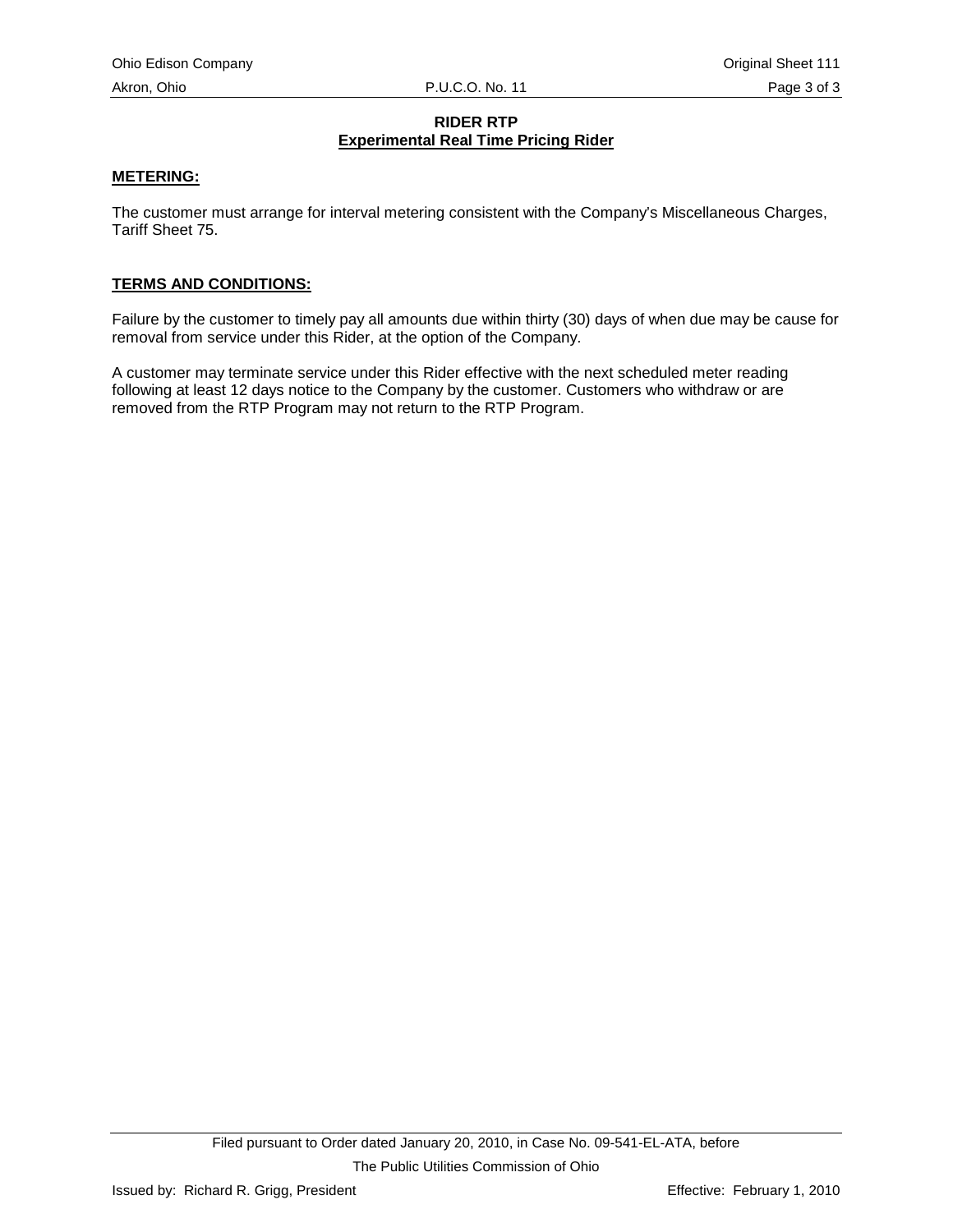# **RIDER RTP Experimental Real Time Pricing Rider**

## **METERING:**

The customer must arrange for interval metering consistent with the Company's Miscellaneous Charges, Tariff Sheet 75.

#### **TERMS AND CONDITIONS:**

Failure by the customer to timely pay all amounts due within thirty (30) days of when due may be cause for removal from service under this Rider, at the option of the Company.

A customer may terminate service under this Rider effective with the next scheduled meter reading following at least 12 days notice to the Company by the customer. Customers who withdraw or are removed from the RTP Program may not return to the RTP Program.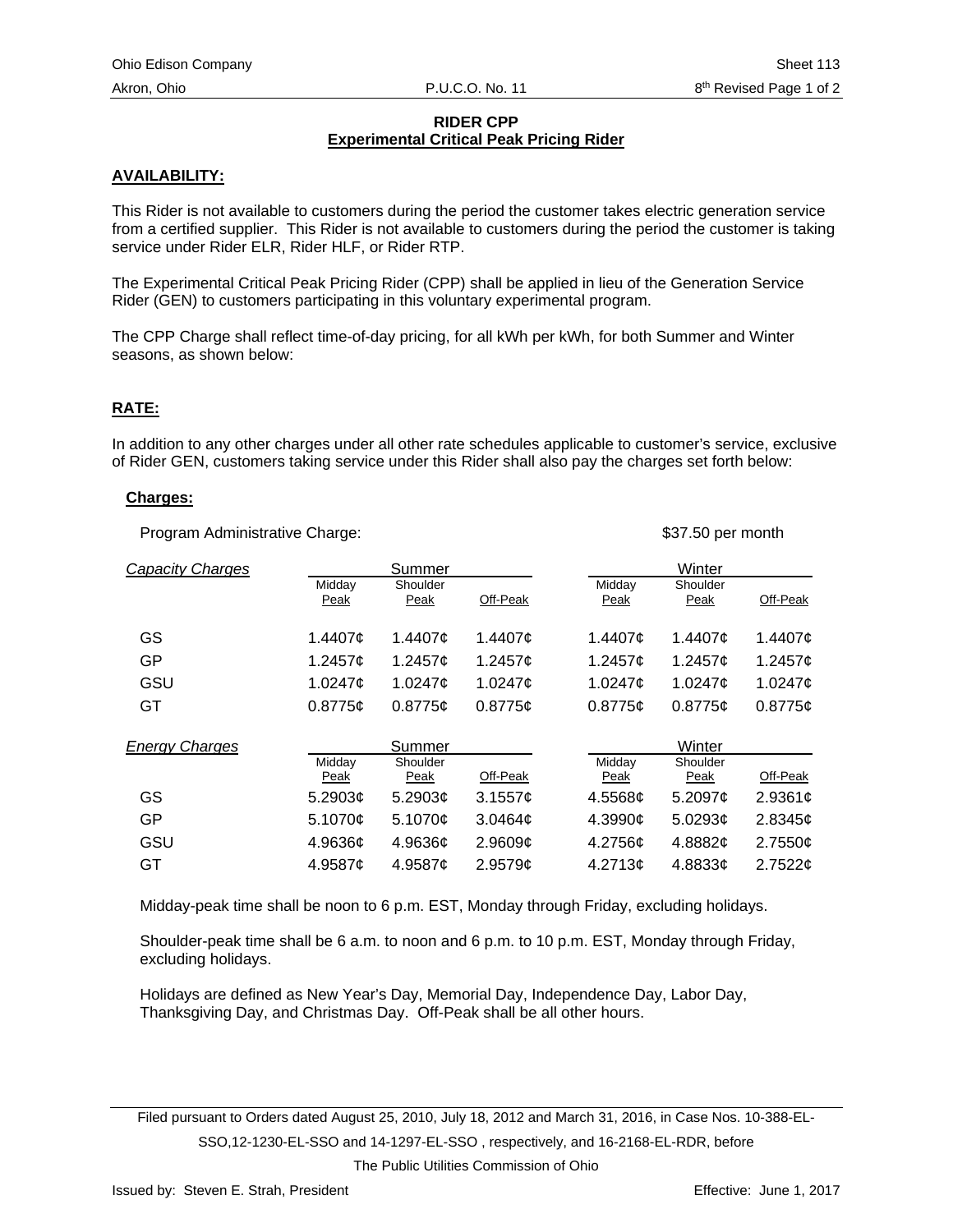# **RIDER CPP Experimental Critical Peak Pricing Rider**

# **AVAILABILITY:**

This Rider is not available to customers during the period the customer takes electric generation service from a certified supplier. This Rider is not available to customers during the period the customer is taking service under Rider ELR, Rider HLF, or Rider RTP.

The Experimental Critical Peak Pricing Rider (CPP) shall be applied in lieu of the Generation Service Rider (GEN) to customers participating in this voluntary experimental program.

The CPP Charge shall reflect time-of-day pricing, for all kWh per kWh, for both Summer and Winter seasons, as shown below:

## **RATE:**

In addition to any other charges under all other rate schedules applicable to customer's service, exclusive of Rider GEN, customers taking service under this Rider shall also pay the charges set forth below:

## **Charges:**

Program Administrative Charge:  $$37.50$  per month

| <b>Capacity Charges</b> |                | Summer           |                 |                     | Winter           |               |
|-------------------------|----------------|------------------|-----------------|---------------------|------------------|---------------|
|                         | Midday<br>Peak | Shoulder<br>Peak | Off-Peak        | Midday<br>Peak      | Shoulder<br>Peak | Off-Peak      |
| GS                      | 1.4407¢        | 1.4407¢          | 1.4407¢         | 1.4407¢             | 1.4407¢          | 1.4407 $\phi$ |
| GP                      | 1.2457 $\phi$  | 1.2457¢          | 1.2457 $\sigma$ | 1.2457 $\sigma$     | 1.2457 $\phi$    | 1.2457¢       |
| GSU                     | 1.0247¢        | 1.0247¢          | 1.0247¢         | 1.0247¢             | 1.0247¢          | 1.0247¢       |
| GT                      | 0.8775c        | 0.8775c          | 0.8775c         | 0.8775c             | 0.8775c          | 0.8775c       |
| <b>Energy Charges</b>   |                | Summer           |                 |                     | Winter           |               |
|                         | Middav<br>Peak | Shoulder<br>Peak | Off-Peak        | Middav<br>Peak      | Shoulder<br>Peak | Off-Peak      |
| GS                      | 5.2903¢        | 5.2903¢          | 3.1557c         | 4.5568¢             | 5.2097 $\phi$    | 2.9361¢       |
| GP                      | 5.1070c        | 5.1070¢          | 3.0464c         | 4.3990 $\sigma$     | 5.0293¢          | 2.8345¢       |
| GSU                     | 4.9636c        | 4.9636¢          | 2.9609¢         | 4.2756¢             | 4.8882¢          | 2.7550¢       |
| GT                      | 4.9587¢        | 4.9587 $\sigma$  | 2.9579c         | 4.2713 <sub>c</sub> | 4.8833c          | 2.7522c       |

Midday-peak time shall be noon to 6 p.m. EST, Monday through Friday, excluding holidays.

Shoulder-peak time shall be 6 a.m. to noon and 6 p.m. to 10 p.m. EST, Monday through Friday, excluding holidays.

Holidays are defined as New Year's Day, Memorial Day, Independence Day, Labor Day, Thanksgiving Day, and Christmas Day. Off-Peak shall be all other hours.

Filed pursuant to Orders dated August 25, 2010, July 18, 2012 and March 31, 2016, in Case Nos. 10-388-EL-SSO,12-1230-EL-SSO and 14-1297-EL-SSO , respectively, and 16-2168-EL-RDR, before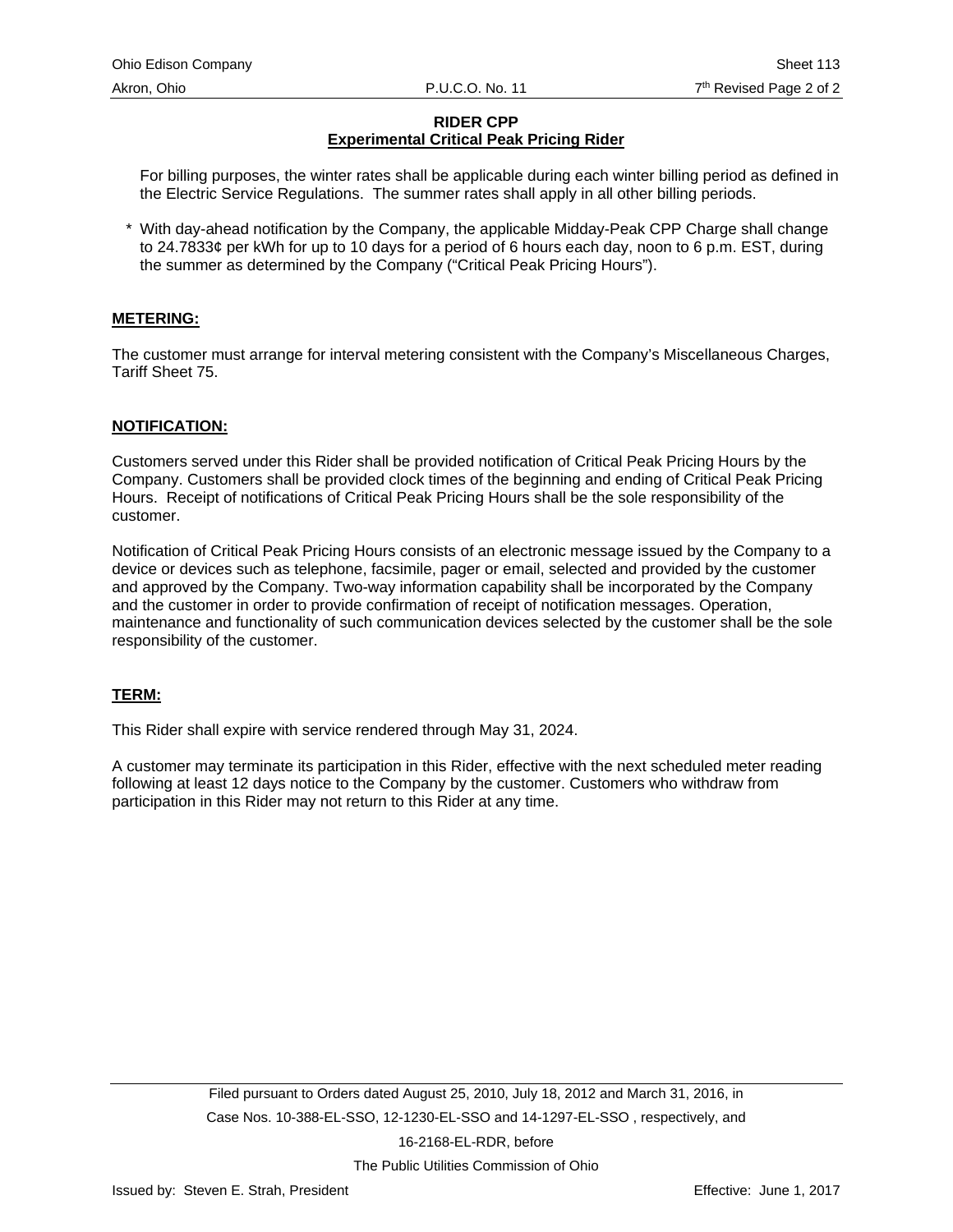# **RIDER CPP Experimental Critical Peak Pricing Rider**

For billing purposes, the winter rates shall be applicable during each winter billing period as defined in the Electric Service Regulations. The summer rates shall apply in all other billing periods.

With day-ahead notification by the Company, the applicable Midday-Peak CPP Charge shall change to 24.7833¢ per kWh for up to 10 days for a period of 6 hours each day, noon to 6 p.m. EST, during the summer as determined by the Company ("Critical Peak Pricing Hours").

## **METERING:**

The customer must arrange for interval metering consistent with the Company's Miscellaneous Charges, Tariff Sheet 75.

#### **NOTIFICATION:**

Customers served under this Rider shall be provided notification of Critical Peak Pricing Hours by the Company. Customers shall be provided clock times of the beginning and ending of Critical Peak Pricing Hours. Receipt of notifications of Critical Peak Pricing Hours shall be the sole responsibility of the customer.

Notification of Critical Peak Pricing Hours consists of an electronic message issued by the Company to a device or devices such as telephone, facsimile, pager or email, selected and provided by the customer and approved by the Company. Two-way information capability shall be incorporated by the Company and the customer in order to provide confirmation of receipt of notification messages. Operation, maintenance and functionality of such communication devices selected by the customer shall be the sole responsibility of the customer.

#### **TERM:**

This Rider shall expire with service rendered through May 31, 2024.

A customer may terminate its participation in this Rider, effective with the next scheduled meter reading following at least 12 days notice to the Company by the customer. Customers who withdraw from participation in this Rider may not return to this Rider at any time.

16-2168-EL-RDR, before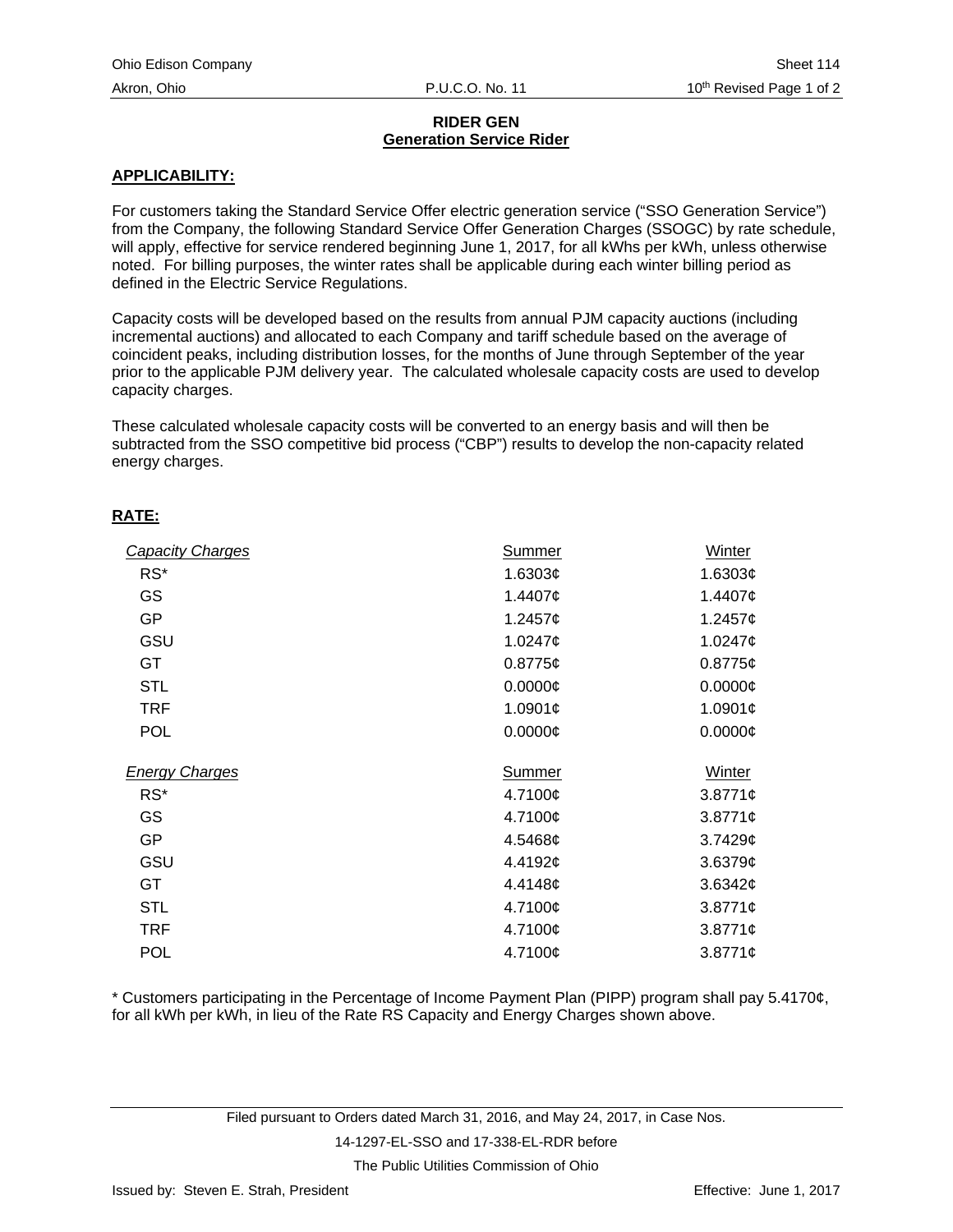# **RIDER GEN Generation Service Rider**

## **APPLICABILITY:**

For customers taking the Standard Service Offer electric generation service ("SSO Generation Service") from the Company, the following Standard Service Offer Generation Charges (SSOGC) by rate schedule, will apply, effective for service rendered beginning June 1, 2017, for all kWhs per kWh, unless otherwise noted. For billing purposes, the winter rates shall be applicable during each winter billing period as defined in the Electric Service Regulations.

Capacity costs will be developed based on the results from annual PJM capacity auctions (including incremental auctions) and allocated to each Company and tariff schedule based on the average of coincident peaks, including distribution losses, for the months of June through September of the year prior to the applicable PJM delivery year. The calculated wholesale capacity costs are used to develop capacity charges.

These calculated wholesale capacity costs will be converted to an energy basis and will then be subtracted from the SSO competitive bid process ("CBP") results to develop the non-capacity related energy charges.

## **RATE:**

| <b>Capacity Charges</b> | <b>Summer</b> | Winter        |
|-------------------------|---------------|---------------|
| $RS^*$                  | 1.6303 $\phi$ | 1.6303 $\phi$ |
| GS                      | 1.4407¢       | 1.4407 $\phi$ |
| <b>GP</b>               | 1.2457¢       | 1.2457¢       |
| GSU                     | 1.0247¢       | 1.0247¢       |
| GT                      | $0.8775$ ¢    | $0.8775$ ¢    |
| <b>STL</b>              | $0.0000$ ¢    | $0.0000\phi$  |
| <b>TRF</b>              | 1.0901¢       | 1.0901 $\phi$ |
| <b>POL</b>              | $0.0000$ ¢    | $0.0000\phi$  |
| <b>Energy Charges</b>   | <b>Summer</b> | Winter        |
| $RS^*$                  | 4.7100¢       | $3.8771$ ¢    |
| GS                      | 4.7100¢       | $3.8771$ ¢    |
| <b>GP</b>               | 4.5468¢       | 3.74296       |
| GSU                     | 4.4192¢       | $3.6379$ ¢    |
| GT                      | 4.4148¢       | 3.6342¢       |
| <b>STL</b>              | 4.7100¢       | $3.8771$ ¢    |
| <b>TRF</b>              | 4.7100¢       | $3.8771$ ¢    |
| <b>POL</b>              | 4.7100¢       | $3.8771$ ¢    |

\* Customers participating in the Percentage of Income Payment Plan (PIPP) program shall pay 5.4170¢, for all kWh per kWh, in lieu of the Rate RS Capacity and Energy Charges shown above.

Filed pursuant to Orders dated March 31, 2016, and May 24, 2017, in Case Nos.

14-1297-EL-SSO and 17-338-EL-RDR before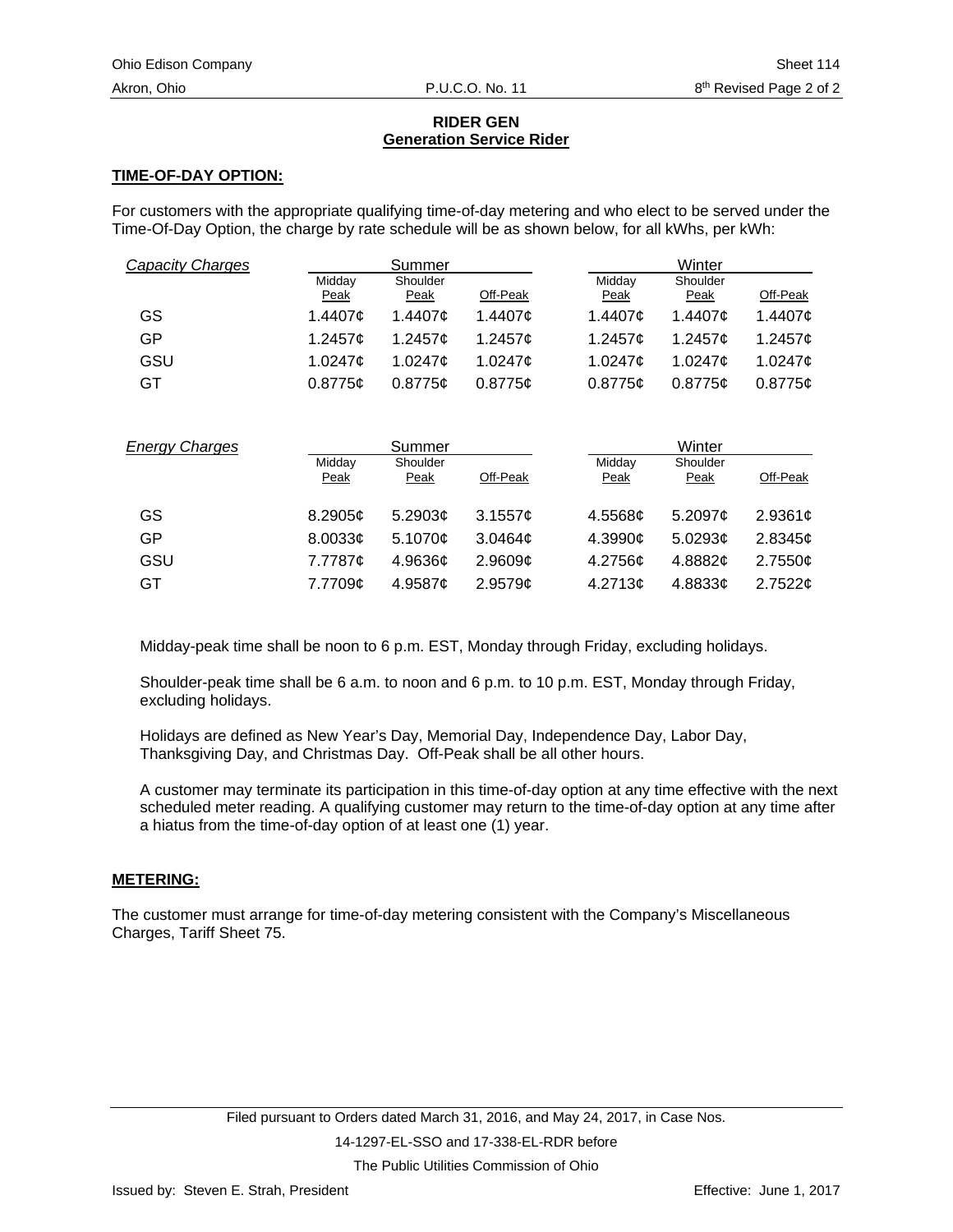# **RIDER GEN Generation Service Rider**

## **TIME-OF-DAY OPTION:**

For customers with the appropriate qualifying time-of-day metering and who elect to be served under the Time-Of-Day Option, the charge by rate schedule will be as shown below, for all kWhs, per kWh:

| <b>Capacity Charges</b> |                | Summer              |                     |                | Winter           |               |
|-------------------------|----------------|---------------------|---------------------|----------------|------------------|---------------|
|                         | Midday<br>Peak | Shoulder<br>Peak    | Off-Peak            | Midday<br>Peak | Shoulder<br>Peak | Off-Peak      |
| GS                      | 1.4407¢        | 1.4407¢             | 1.4407¢             | 1.4407c        | 1.4407c          | 1.4407 $\phi$ |
| GP                      | 1.2457 $\phi$  | $1.2457$ ¢          | 1.2457 $\phi$       | 1.2457c        | 1.2457 $\sigma$  | 1.2457¢       |
| GSU                     | 1.0247¢        | 1.0247¢             | 1.0247¢             | 1.0247¢        | 1.0247¢          | 1.0247¢       |
| GT                      | 0.8775c        | 0.8775c             | 0.8775c             | 0.8775c        | 0.8775c          | $0.8775$ ¢    |
|                         |                |                     |                     |                |                  |               |
| <b>Energy Charges</b>   |                | Summer              |                     |                | Winter           |               |
|                         | Midday<br>Peak | Shoulder<br>Peak    | Off-Peak            | Midday<br>Peak | Shoulder<br>Peak | Off-Peak      |
| GS                      | 8.2905¢        | 5.2903 <sub>¢</sub> | 3.1557c             | 4.5568c        | 5.2097 $\sigma$  | 2.9361 $¢$    |
| GP                      | 8.0033c        | 5.1070¢             | 3.0464c             | 4.3990c        | 5.0293c          | 2.8345¢       |
| GSU                     | 7.7787¢        | 4.9636¢             | 2.9609 <sub>c</sub> | 4.2756¢        | 4.8882¢          | 2.7550¢       |

Midday-peak time shall be noon to 6 p.m. EST, Monday through Friday, excluding holidays.

Shoulder-peak time shall be 6 a.m. to noon and 6 p.m. to 10 p.m. EST, Monday through Friday, excluding holidays.

Holidays are defined as New Year's Day, Memorial Day, Independence Day, Labor Day, Thanksgiving Day, and Christmas Day. Off-Peak shall be all other hours.

A customer may terminate its participation in this time-of-day option at any time effective with the next scheduled meter reading. A qualifying customer may return to the time-of-day option at any time after a hiatus from the time-of-day option of at least one (1) year.

#### **METERING:**

The customer must arrange for time-of-day metering consistent with the Company's Miscellaneous Charges, Tariff Sheet 75.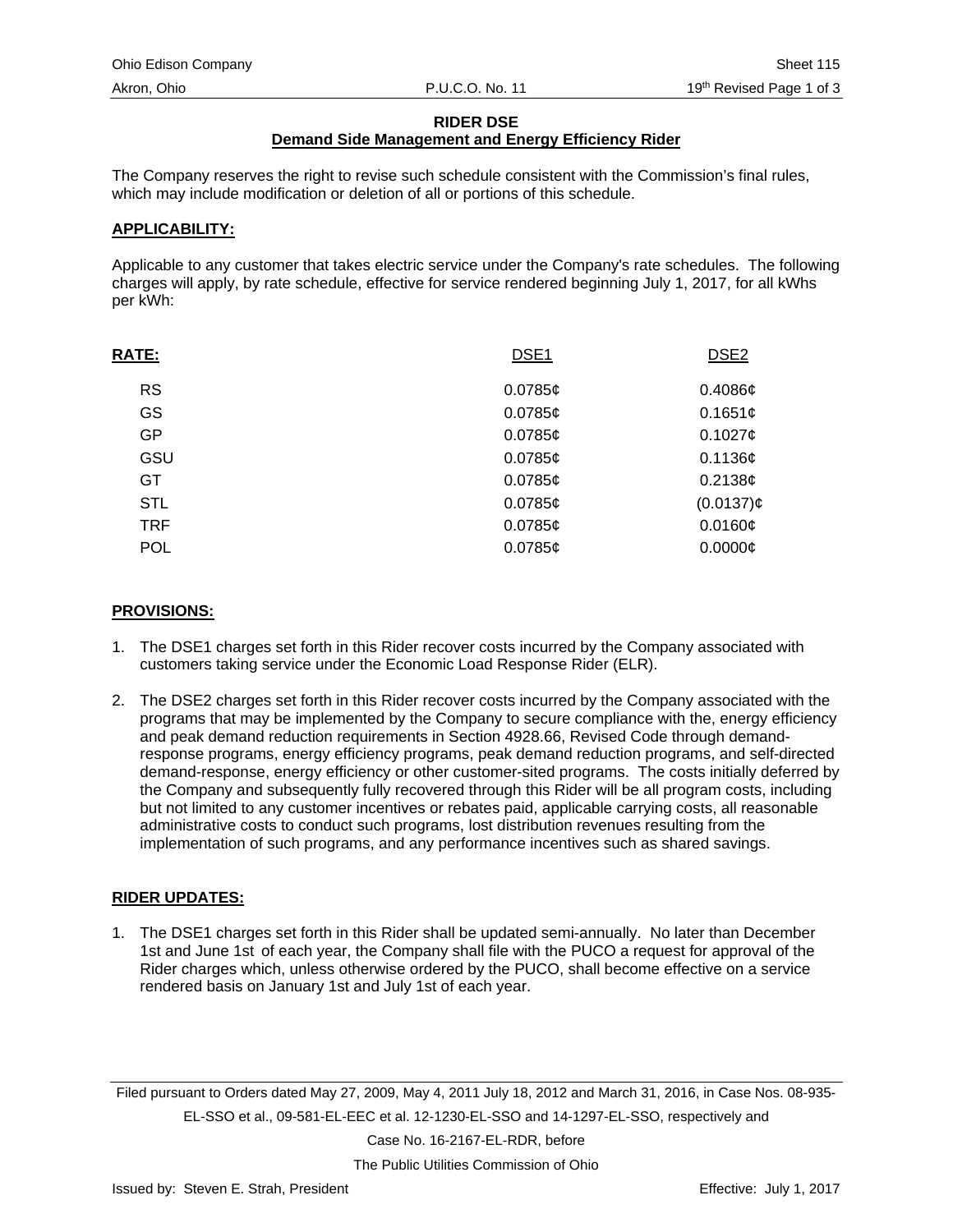## **RIDER DSE**

# **Demand Side Management and Energy Efficiency Rider**

The Company reserves the right to revise such schedule consistent with the Commission's final rules, which may include modification or deletion of all or portions of this schedule.

#### **APPLICABILITY:**

Applicable to any customer that takes electric service under the Company's rate schedules. The following charges will apply, by rate schedule, effective for service rendered beginning July 1, 2017, for all kWhs per kWh:

| <b>RATE:</b> | DSE <sub>1</sub> | DSE <sub>2</sub> |
|--------------|------------------|------------------|
| <b>RS</b>    | $0.0785$ ¢       | 0.4086c          |
| GS           | $0.0785$ ¢       | 0.1651c          |
| GP           | $0.0785$ ¢       | 0.10276          |
| GSU          | $0.0785$ ¢       | 0.1136¢          |
| GT.          | $0.0785$ ¢       | 0.2138c          |
| <b>STL</b>   | $0.0785$ ¢       | $(0.0137)$ ¢     |
| <b>TRF</b>   | $0.0785$ ¢       | 0.0160¢          |
| <b>POL</b>   | $0.0785$ ¢       | 0.0000C          |

## **PROVISIONS:**

- 1. The DSE1 charges set forth in this Rider recover costs incurred by the Company associated with customers taking service under the Economic Load Response Rider (ELR).
- 2. The DSE2 charges set forth in this Rider recover costs incurred by the Company associated with the programs that may be implemented by the Company to secure compliance with the, energy efficiency and peak demand reduction requirements in Section 4928.66, Revised Code through demandresponse programs, energy efficiency programs, peak demand reduction programs, and self-directed demand-response, energy efficiency or other customer-sited programs. The costs initially deferred by the Company and subsequently fully recovered through this Rider will be all program costs, including but not limited to any customer incentives or rebates paid, applicable carrying costs, all reasonable administrative costs to conduct such programs, lost distribution revenues resulting from the implementation of such programs, and any performance incentives such as shared savings.

# **RIDER UPDATES:**

1. The DSE1 charges set forth in this Rider shall be updated semi-annually. No later than December 1st and June 1st of each year, the Company shall file with the PUCO a request for approval of the Rider charges which, unless otherwise ordered by the PUCO, shall become effective on a service rendered basis on January 1st and July 1st of each year.

Filed pursuant to Orders dated May 27, 2009, May 4, 2011 July 18, 2012 and March 31, 2016, in Case Nos. 08-935- EL-SSO et al., 09-581-EL-EEC et al. 12-1230-EL-SSO and 14-1297-EL-SSO, respectively and

Case No. 16-2167-EL-RDR, before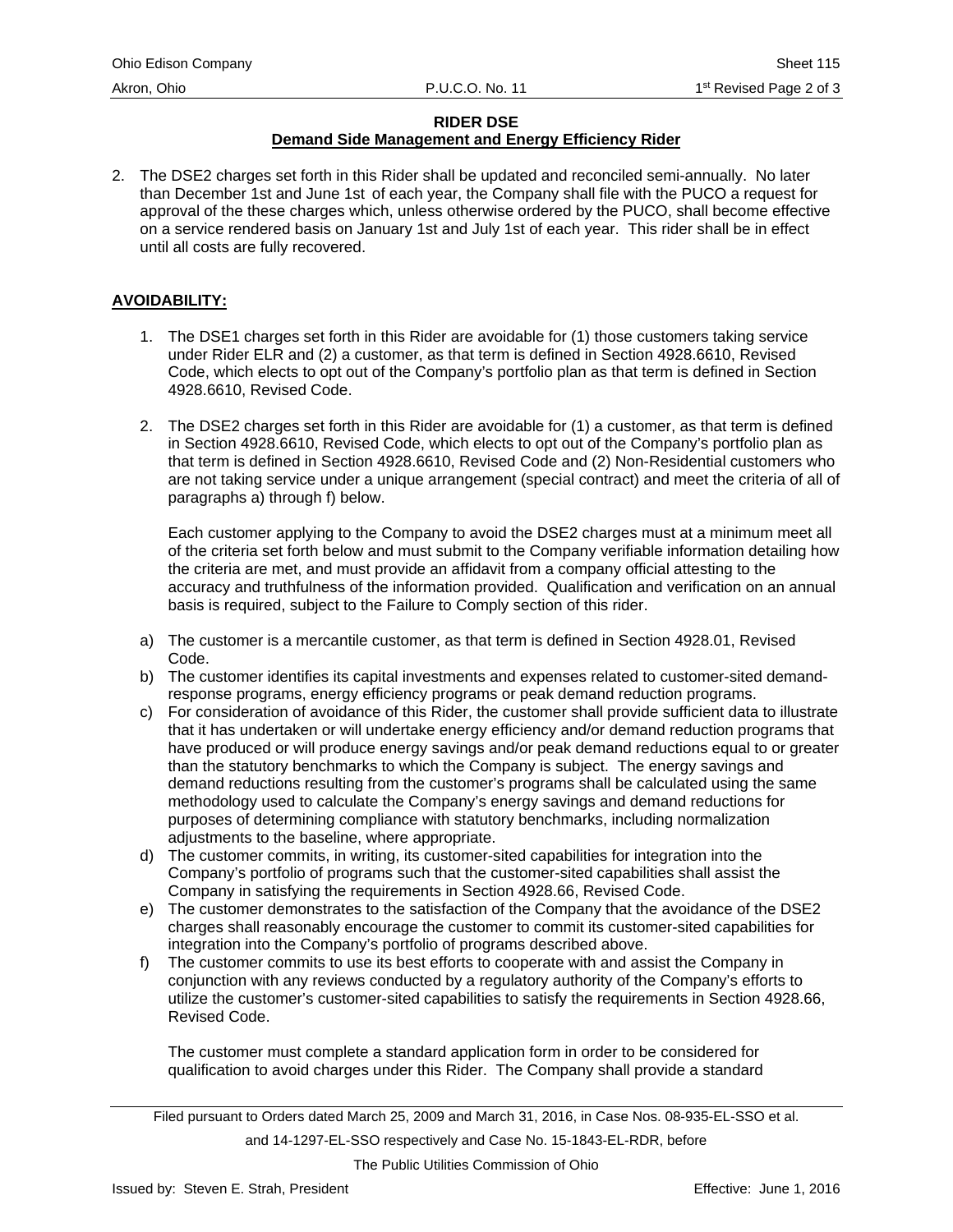# **RIDER DSE**

# **Demand Side Management and Energy Efficiency Rider**

2. The DSE2 charges set forth in this Rider shall be updated and reconciled semi-annually. No later than December 1st and June 1st of each year, the Company shall file with the PUCO a request for approval of the these charges which, unless otherwise ordered by the PUCO, shall become effective on a service rendered basis on January 1st and July 1st of each year. This rider shall be in effect until all costs are fully recovered.

## **AVOIDABILITY:**

- 1. The DSE1 charges set forth in this Rider are avoidable for (1) those customers taking service under Rider ELR and (2) a customer, as that term is defined in Section 4928.6610, Revised Code, which elects to opt out of the Company's portfolio plan as that term is defined in Section 4928.6610, Revised Code.
- 2. The DSE2 charges set forth in this Rider are avoidable for (1) a customer, as that term is defined in Section 4928.6610, Revised Code, which elects to opt out of the Company's portfolio plan as that term is defined in Section 4928.6610, Revised Code and (2) Non-Residential customers who are not taking service under a unique arrangement (special contract) and meet the criteria of all of paragraphs a) through f) below.

Each customer applying to the Company to avoid the DSE2 charges must at a minimum meet all of the criteria set forth below and must submit to the Company verifiable information detailing how the criteria are met, and must provide an affidavit from a company official attesting to the accuracy and truthfulness of the information provided. Qualification and verification on an annual basis is required, subject to the Failure to Comply section of this rider.

- a) The customer is a mercantile customer, as that term is defined in Section 4928.01, Revised Code.
- b) The customer identifies its capital investments and expenses related to customer-sited demandresponse programs, energy efficiency programs or peak demand reduction programs.
- c) For consideration of avoidance of this Rider, the customer shall provide sufficient data to illustrate that it has undertaken or will undertake energy efficiency and/or demand reduction programs that have produced or will produce energy savings and/or peak demand reductions equal to or greater than the statutory benchmarks to which the Company is subject. The energy savings and demand reductions resulting from the customer's programs shall be calculated using the same methodology used to calculate the Company's energy savings and demand reductions for purposes of determining compliance with statutory benchmarks, including normalization adjustments to the baseline, where appropriate.
- d) The customer commits, in writing, its customer-sited capabilities for integration into the Company's portfolio of programs such that the customer-sited capabilities shall assist the Company in satisfying the requirements in Section 4928.66, Revised Code.
- e) The customer demonstrates to the satisfaction of the Company that the avoidance of the DSE2 charges shall reasonably encourage the customer to commit its customer-sited capabilities for integration into the Company's portfolio of programs described above.
- f) The customer commits to use its best efforts to cooperate with and assist the Company in conjunction with any reviews conducted by a regulatory authority of the Company's efforts to utilize the customer's customer-sited capabilities to satisfy the requirements in Section 4928.66, Revised Code.

The customer must complete a standard application form in order to be considered for qualification to avoid charges under this Rider. The Company shall provide a standard

and 14-1297-EL-SSO respectively and Case No. 15-1843-EL-RDR, before

Filed pursuant to Orders dated March 25, 2009 and March 31, 2016, in Case Nos. 08-935-EL-SSO et al.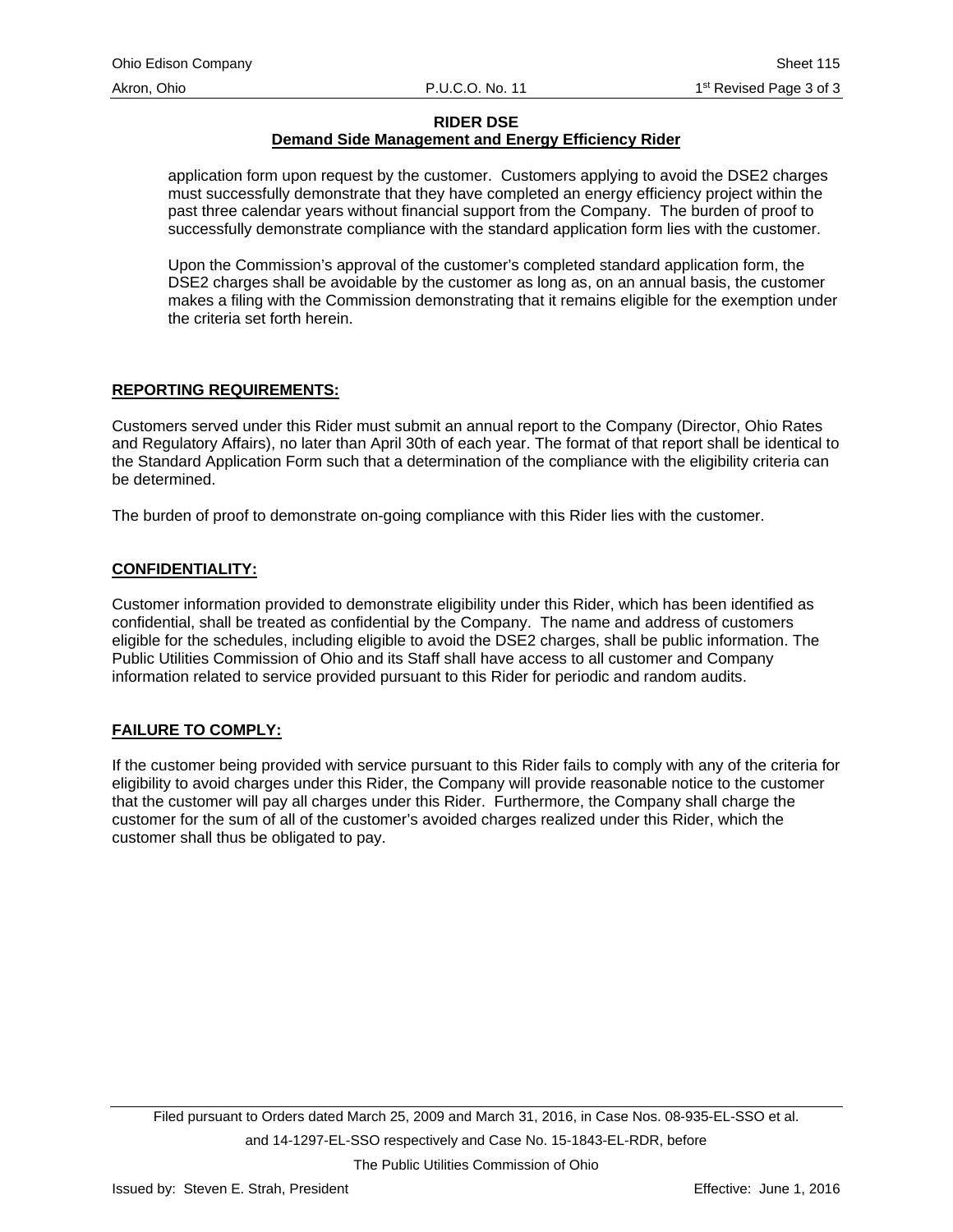**RIDER DSE**

# **Demand Side Management and Energy Efficiency Rider**

application form upon request by the customer. Customers applying to avoid the DSE2 charges must successfully demonstrate that they have completed an energy efficiency project within the past three calendar years without financial support from the Company. The burden of proof to successfully demonstrate compliance with the standard application form lies with the customer.

Upon the Commission's approval of the customer's completed standard application form, the DSE2 charges shall be avoidable by the customer as long as, on an annual basis, the customer makes a filing with the Commission demonstrating that it remains eligible for the exemption under the criteria set forth herein.

# **REPORTING REQUIREMENTS:**

Customers served under this Rider must submit an annual report to the Company (Director, Ohio Rates and Regulatory Affairs), no later than April 30th of each year. The format of that report shall be identical to the Standard Application Form such that a determination of the compliance with the eligibility criteria can be determined.

The burden of proof to demonstrate on-going compliance with this Rider lies with the customer.

#### **CONFIDENTIALITY:**

Customer information provided to demonstrate eligibility under this Rider, which has been identified as confidential, shall be treated as confidential by the Company. The name and address of customers eligible for the schedules, including eligible to avoid the DSE2 charges, shall be public information. The Public Utilities Commission of Ohio and its Staff shall have access to all customer and Company information related to service provided pursuant to this Rider for periodic and random audits.

# **FAILURE TO COMPLY:**

If the customer being provided with service pursuant to this Rider fails to comply with any of the criteria for eligibility to avoid charges under this Rider, the Company will provide reasonable notice to the customer that the customer will pay all charges under this Rider. Furthermore, the Company shall charge the customer for the sum of all of the customer's avoided charges realized under this Rider, which the customer shall thus be obligated to pay.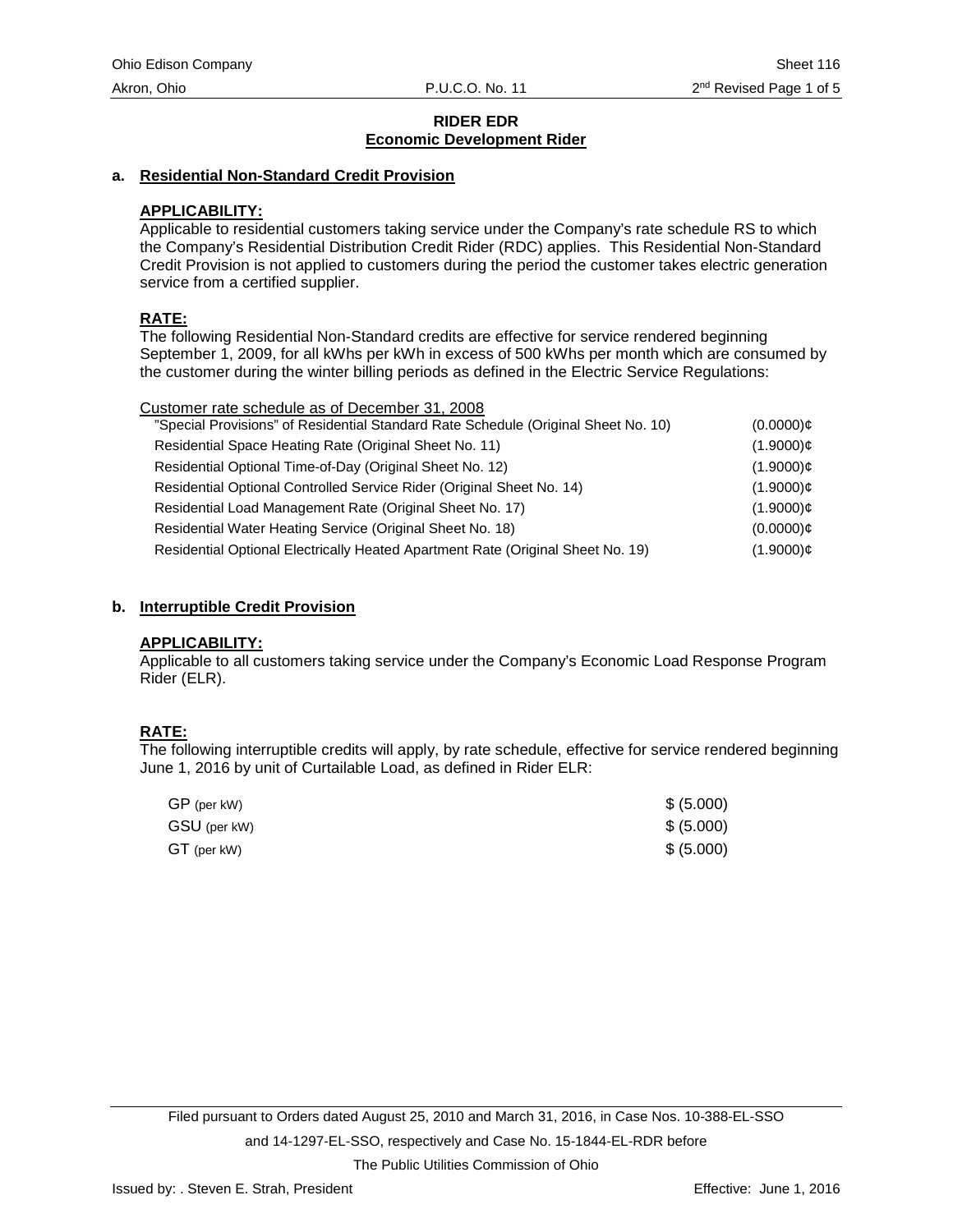## **a. Residential Non-Standard Credit Provision**

## **APPLICABILITY:**

Applicable to residential customers taking service under the Company's rate schedule RS to which the Company's Residential Distribution Credit Rider (RDC) applies. This Residential Non-Standard Credit Provision is not applied to customers during the period the customer takes electric generation service from a certified supplier.

## **RATE:**

The following Residential Non-Standard credits are effective for service rendered beginning September 1, 2009, for all kWhs per kWh in excess of 500 kWhs per month which are consumed by the customer during the winter billing periods as defined in the Electric Service Regulations:

| Customer rate schedule as of December 31, 2008                                     |              |
|------------------------------------------------------------------------------------|--------------|
| "Special Provisions" of Residential Standard Rate Schedule (Original Sheet No. 10) | $(0.0000)$ ¢ |
| Residential Space Heating Rate (Original Sheet No. 11)                             | $(1.9000)$ ¢ |
| Residential Optional Time-of-Day (Original Sheet No. 12)                           | $(1.9000)$ ¢ |
| Residential Optional Controlled Service Rider (Original Sheet No. 14)              | $(1.9000)$ ¢ |
| Residential Load Management Rate (Original Sheet No. 17)                           | $(1.9000)$ ¢ |
| Residential Water Heating Service (Original Sheet No. 18)                          | $(0.0000)$ ¢ |
| Residential Optional Electrically Heated Apartment Rate (Original Sheet No. 19)    | $(1.9000)$ ¢ |
|                                                                                    |              |

#### **b. Interruptible Credit Provision**

#### **APPLICABILITY:**

Applicable to all customers taking service under the Company's Economic Load Response Program Rider (ELR).

# **RATE:**

The following interruptible credits will apply, by rate schedule, effective for service rendered beginning June 1, 2016 by unit of Curtailable Load, as defined in Rider ELR:

| GP (per kW)  | \$ (5.000) |
|--------------|------------|
| GSU (per kW) | \$ (5.000) |
| GT (per kW)  | \$ (5.000) |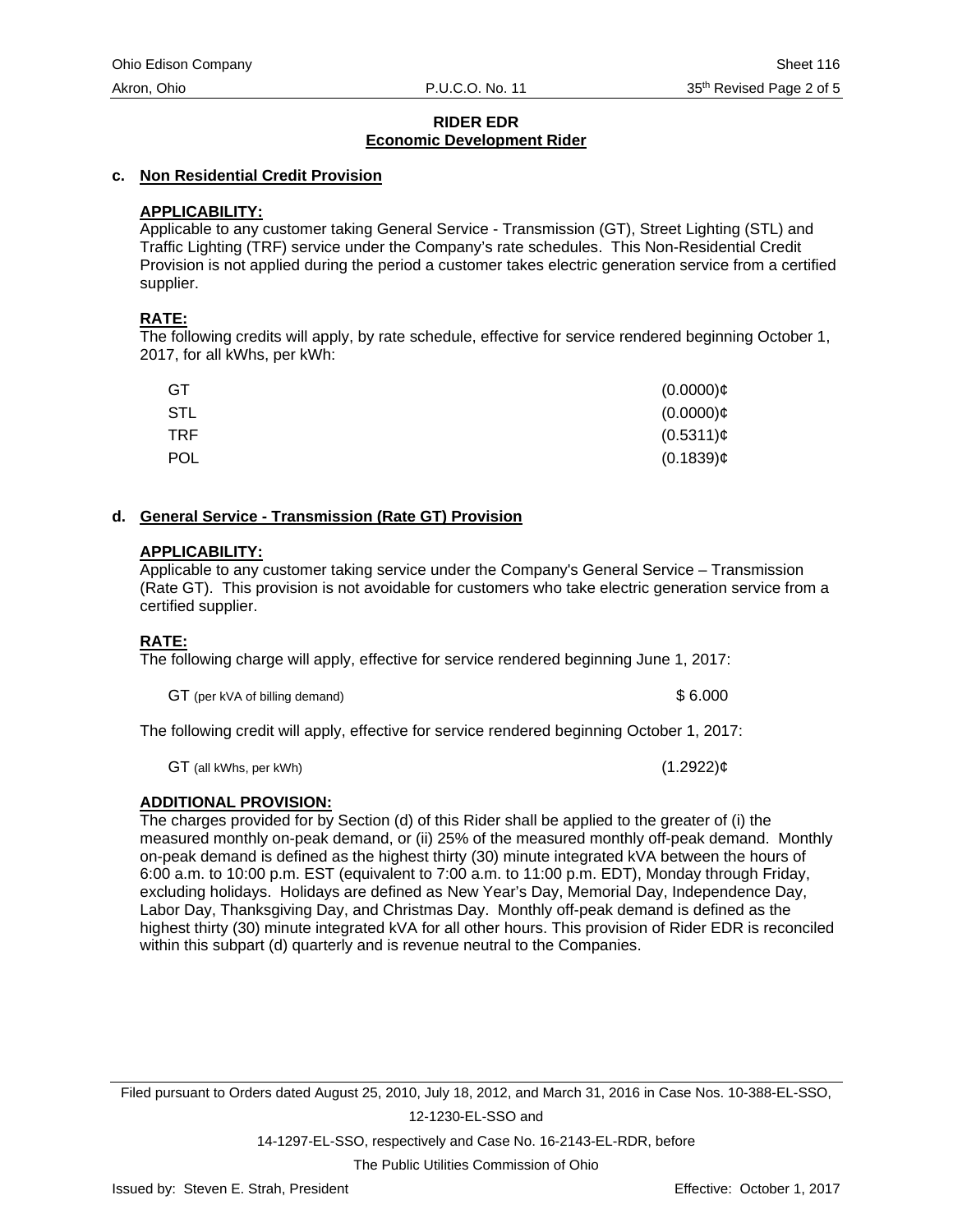#### **c. Non Residential Credit Provision**

## **APPLICABILITY:**

Applicable to any customer taking General Service - Transmission (GT), Street Lighting (STL) and Traffic Lighting (TRF) service under the Company's rate schedules. This Non-Residential Credit Provision is not applied during the period a customer takes electric generation service from a certified supplier.

## **RATE:**

The following credits will apply, by rate schedule, effective for service rendered beginning October 1, 2017, for all kWhs, per kWh:

| <b>GT</b>  | $(0.0000)$ ¢   |
|------------|----------------|
| <b>STL</b> | $(0.0000)$ ¢   |
| <b>TRF</b> | $(0.5311)\phi$ |
| <b>POL</b> | $(0.1839)$ ¢   |

#### **d. General Service - Transmission (Rate GT) Provision**

#### **APPLICABILITY:**

Applicable to any customer taking service under the Company's General Service – Transmission (Rate GT). This provision is not avoidable for customers who take electric generation service from a certified supplier.

# **RATE:**

The following charge will apply, effective for service rendered beginning June 1, 2017:

GT (per kVA of billing demand)  $$6.000$ 

The following credit will apply, effective for service rendered beginning October 1, 2017:

 $GT$  (all kWhs, per kWh) (1.2922)¢

# **ADDITIONAL PROVISION:**

The charges provided for by Section (d) of this Rider shall be applied to the greater of (i) the measured monthly on-peak demand, or (ii) 25% of the measured monthly off-peak demand. Monthly on-peak demand is defined as the highest thirty (30) minute integrated kVA between the hours of 6:00 a.m. to 10:00 p.m. EST (equivalent to 7:00 a.m. to 11:00 p.m. EDT), Monday through Friday, excluding holidays. Holidays are defined as New Year's Day, Memorial Day, Independence Day, Labor Day, Thanksgiving Day, and Christmas Day. Monthly off-peak demand is defined as the highest thirty (30) minute integrated kVA for all other hours. This provision of Rider EDR is reconciled within this subpart (d) quarterly and is revenue neutral to the Companies.

Filed pursuant to Orders dated August 25, 2010, July 18, 2012, and March 31, 2016 in Case Nos. 10-388-EL-SSO, 12-1230-EL-SSO and

14-1297-EL-SSO, respectively and Case No. 16-2143-EL-RDR, before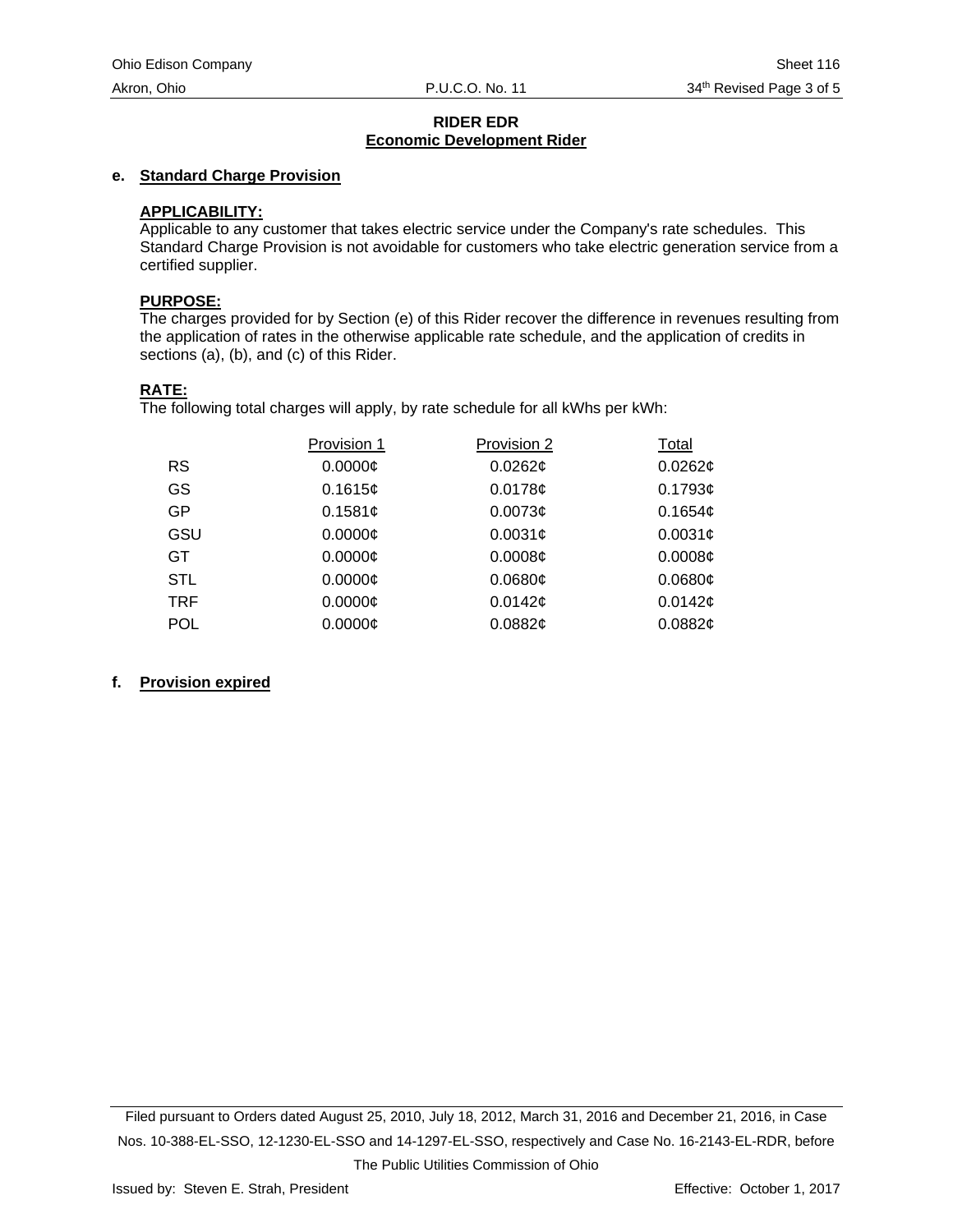# **e. Standard Charge Provision**

#### **APPLICABILITY:**

Applicable to any customer that takes electric service under the Company's rate schedules. This Standard Charge Provision is not avoidable for customers who take electric generation service from a certified supplier.

#### **PURPOSE:**

The charges provided for by Section (e) of this Rider recover the difference in revenues resulting from the application of rates in the otherwise applicable rate schedule, and the application of credits in sections (a), (b), and (c) of this Rider.

#### **RATE:**

The following total charges will apply, by rate schedule for all kWhs per kWh:

|            | Provision 1   | Provision 2         | Total               |
|------------|---------------|---------------------|---------------------|
| <b>RS</b>  | 0.0000C       | $0.0262$ ¢          | $0.0262$ ¢          |
| GS         | 0.1615c       | 0.0178c             | 0.1793¢             |
| GP.        | 0.1581¢       | 0.0073c             | 0.1654 <sub>¢</sub> |
| GSU        | 0.0000C       | 0.0031 <sub>¢</sub> | 0.0031 <sub>¢</sub> |
| GT.        | $0.0000 \phi$ | 0.0008¢             | 0.0008¢             |
| <b>STL</b> | $0.0000$ ¢    | 0.0680¢             | 0.0680¢             |
| TRF        | $0.0000$ ¢    | 0.0142c             | 0.0142c             |
| <b>POL</b> | $0.0000$ ¢    | 0.0882¢             | 0.0882¢             |

#### **f. Provision expired**

Filed pursuant to Orders dated August 25, 2010, July 18, 2012, March 31, 2016 and December 21, 2016, in Case Nos. 10-388-EL-SSO, 12-1230-EL-SSO and 14-1297-EL-SSO, respectively and Case No. 16-2143-EL-RDR, before The Public Utilities Commission of Ohio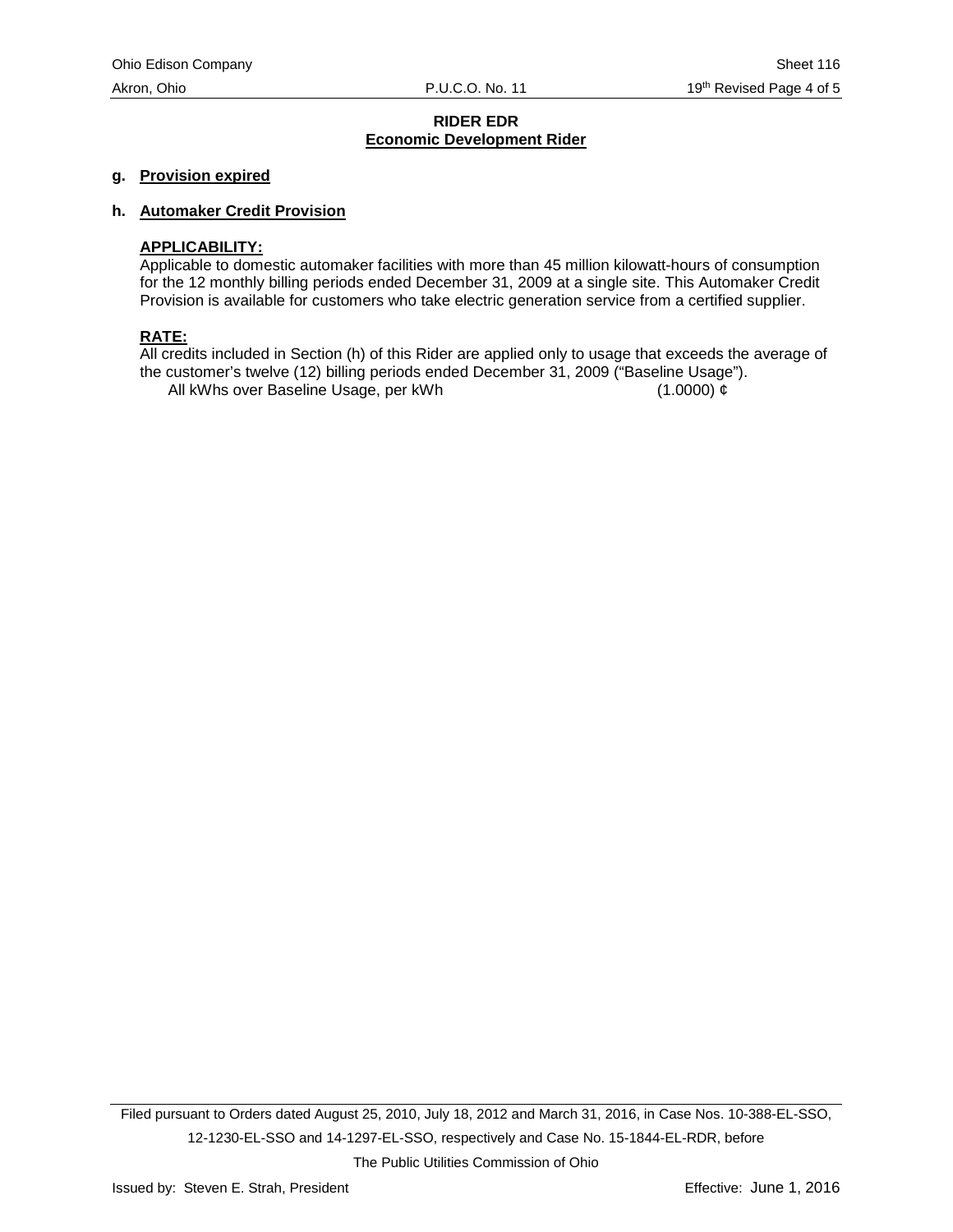#### **g. Provision expired**

#### **h. Automaker Credit Provision**

#### **APPLICABILITY:**

Applicable to domestic automaker facilities with more than 45 million kilowatt-hours of consumption for the 12 monthly billing periods ended December 31, 2009 at a single site. This Automaker Credit Provision is available for customers who take electric generation service from a certified supplier.

# **RATE:**

All credits included in Section (h) of this Rider are applied only to usage that exceeds the average of the customer's twelve (12) billing periods ended December 31, 2009 ("Baseline Usage"). All kWhs over Baseline Usage, per kWh (1.0000)  $\phi$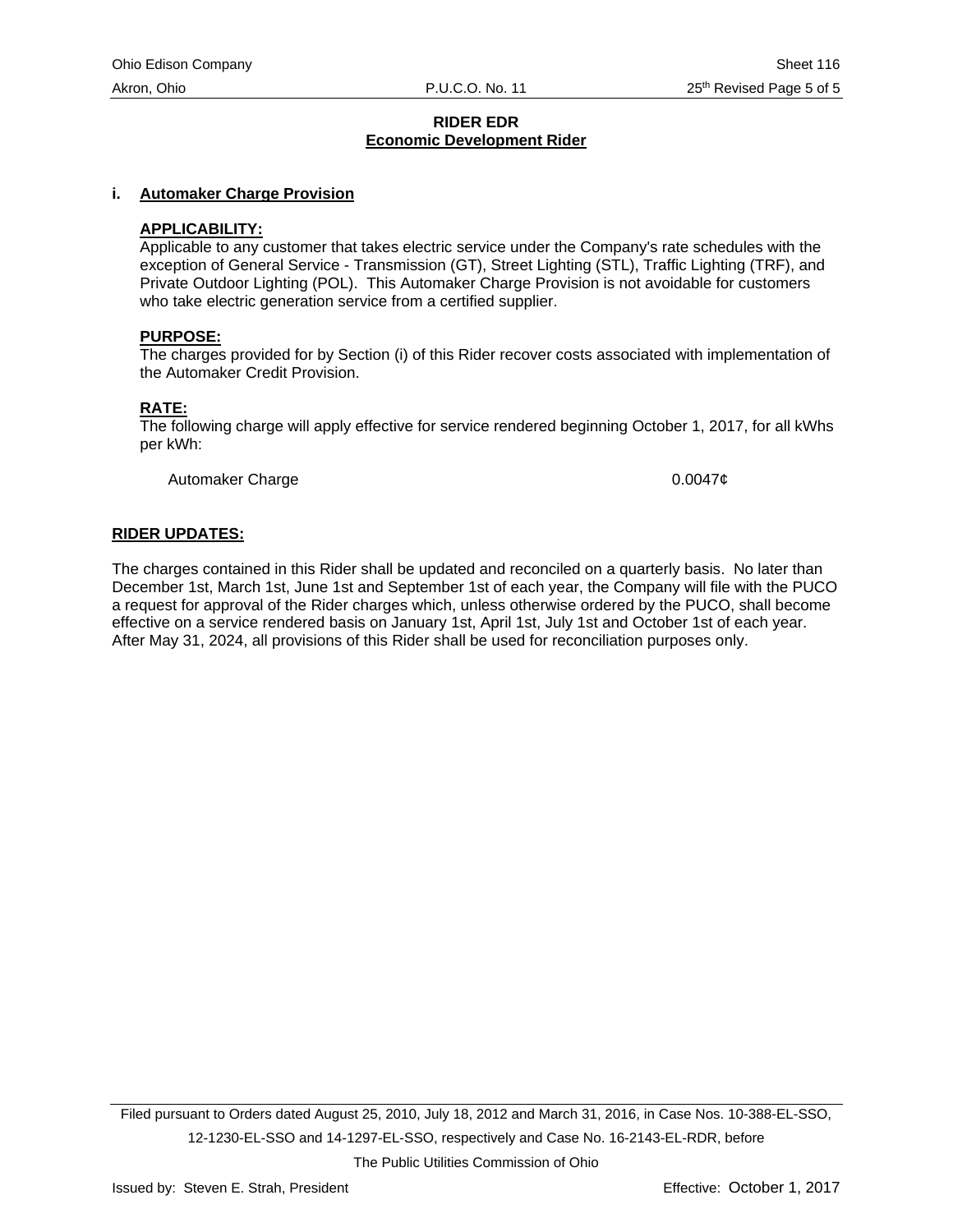#### **i. Automaker Charge Provision**

#### **APPLICABILITY:**

Applicable to any customer that takes electric service under the Company's rate schedules with the exception of General Service - Transmission (GT), Street Lighting (STL), Traffic Lighting (TRF), and Private Outdoor Lighting (POL). This Automaker Charge Provision is not avoidable for customers who take electric generation service from a certified supplier.

#### **PURPOSE:**

The charges provided for by Section (i) of this Rider recover costs associated with implementation of the Automaker Credit Provision.

#### **RATE:**

The following charge will apply effective for service rendered beginning October 1, 2017, for all kWhs per kWh:

Automaker Charge **1.2000** 2.00047¢

#### **RIDER UPDATES:**

The charges contained in this Rider shall be updated and reconciled on a quarterly basis. No later than December 1st, March 1st, June 1st and September 1st of each year, the Company will file with the PUCO a request for approval of the Rider charges which, unless otherwise ordered by the PUCO, shall become effective on a service rendered basis on January 1st, April 1st, July 1st and October 1st of each year. After May 31, 2024, all provisions of this Rider shall be used for reconciliation purposes only.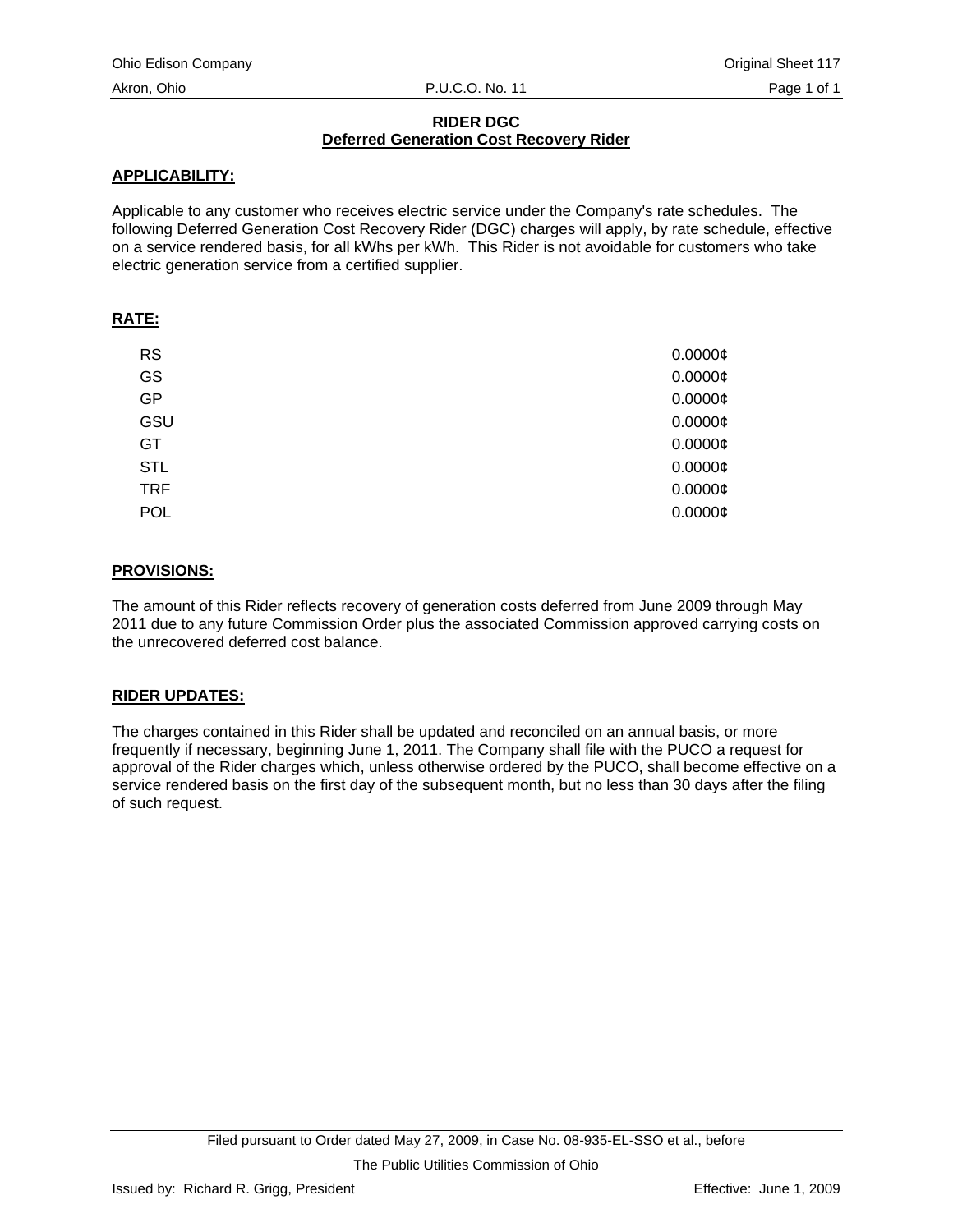# **RIDER DGC Deferred Generation Cost Recovery Rider**

# **APPLICABILITY:**

Applicable to any customer who receives electric service under the Company's rate schedules. The following Deferred Generation Cost Recovery Rider (DGC) charges will apply, by rate schedule, effective on a service rendered basis, for all kWhs per kWh. This Rider is not avoidable for customers who take electric generation service from a certified supplier.

# **RATE:**

| <b>RS</b>  | 0.0000C      |
|------------|--------------|
| GS         | 0.0000C      |
| GP         | 0.0000C      |
| GSU        | $0.0000$ ¢   |
| GT         | 0.0000C      |
| <b>STL</b> | $0.0000\phi$ |
| <b>TRF</b> | 0.0000C      |
| <b>POL</b> | 0.0000C      |

# **PROVISIONS:**

The amount of this Rider reflects recovery of generation costs deferred from June 2009 through May 2011 due to any future Commission Order plus the associated Commission approved carrying costs on the unrecovered deferred cost balance.

# **RIDER UPDATES:**

The charges contained in this Rider shall be updated and reconciled on an annual basis, or more frequently if necessary, beginning June 1, 2011. The Company shall file with the PUCO a request for approval of the Rider charges which, unless otherwise ordered by the PUCO, shall become effective on a service rendered basis on the first day of the subsequent month, but no less than 30 days after the filing of such request.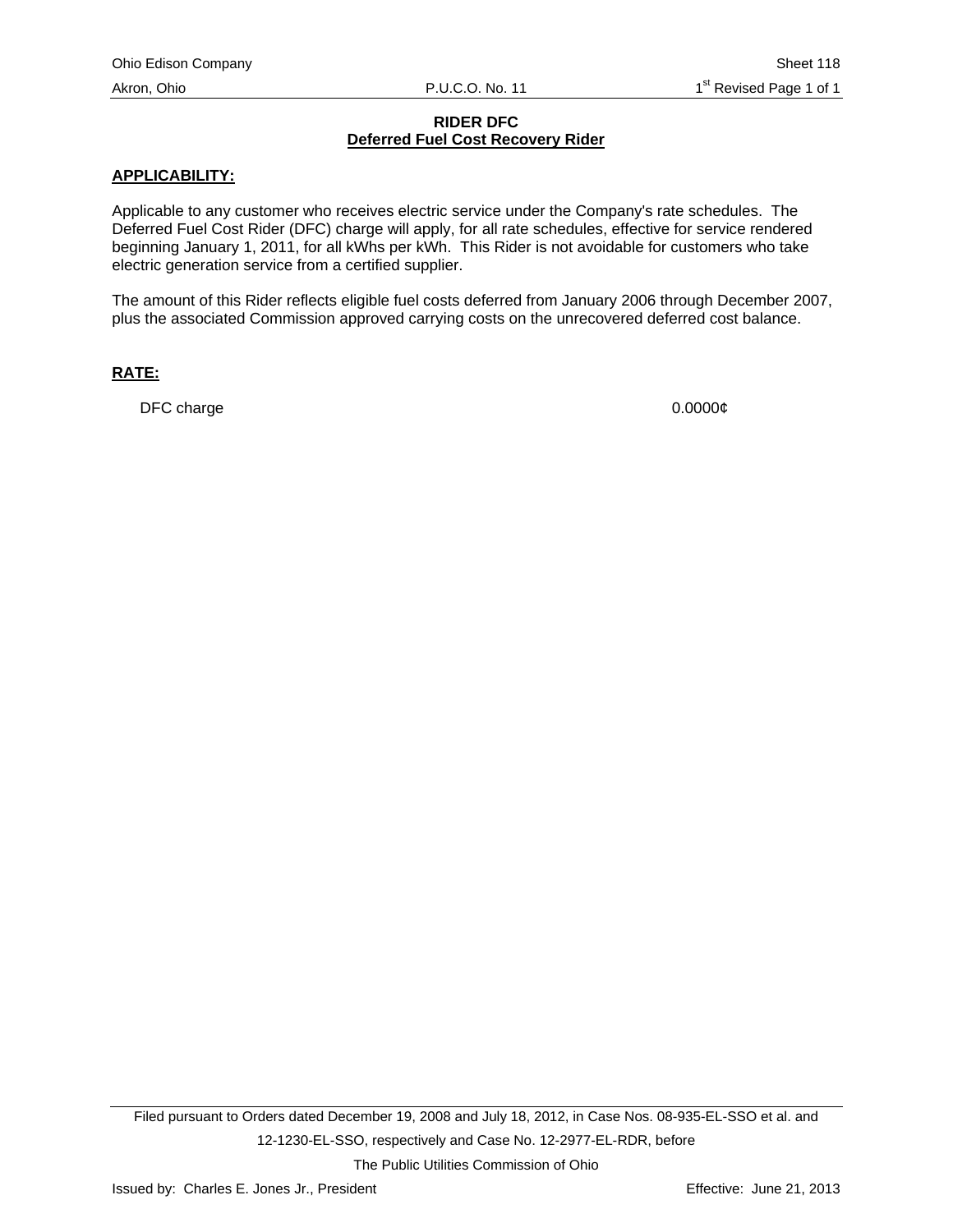### **RIDER DFC Deferred Fuel Cost Recovery Rider**

## **APPLICABILITY:**

Applicable to any customer who receives electric service under the Company's rate schedules. The Deferred Fuel Cost Rider (DFC) charge will apply, for all rate schedules, effective for service rendered beginning January 1, 2011, for all kWhs per kWh. This Rider is not avoidable for customers who take electric generation service from a certified supplier.

The amount of this Rider reflects eligible fuel costs deferred from January 2006 through December 2007, plus the associated Commission approved carrying costs on the unrecovered deferred cost balance.

#### **RATE:**

DFC charge 0.0000¢

The Public Utilities Commission of Ohio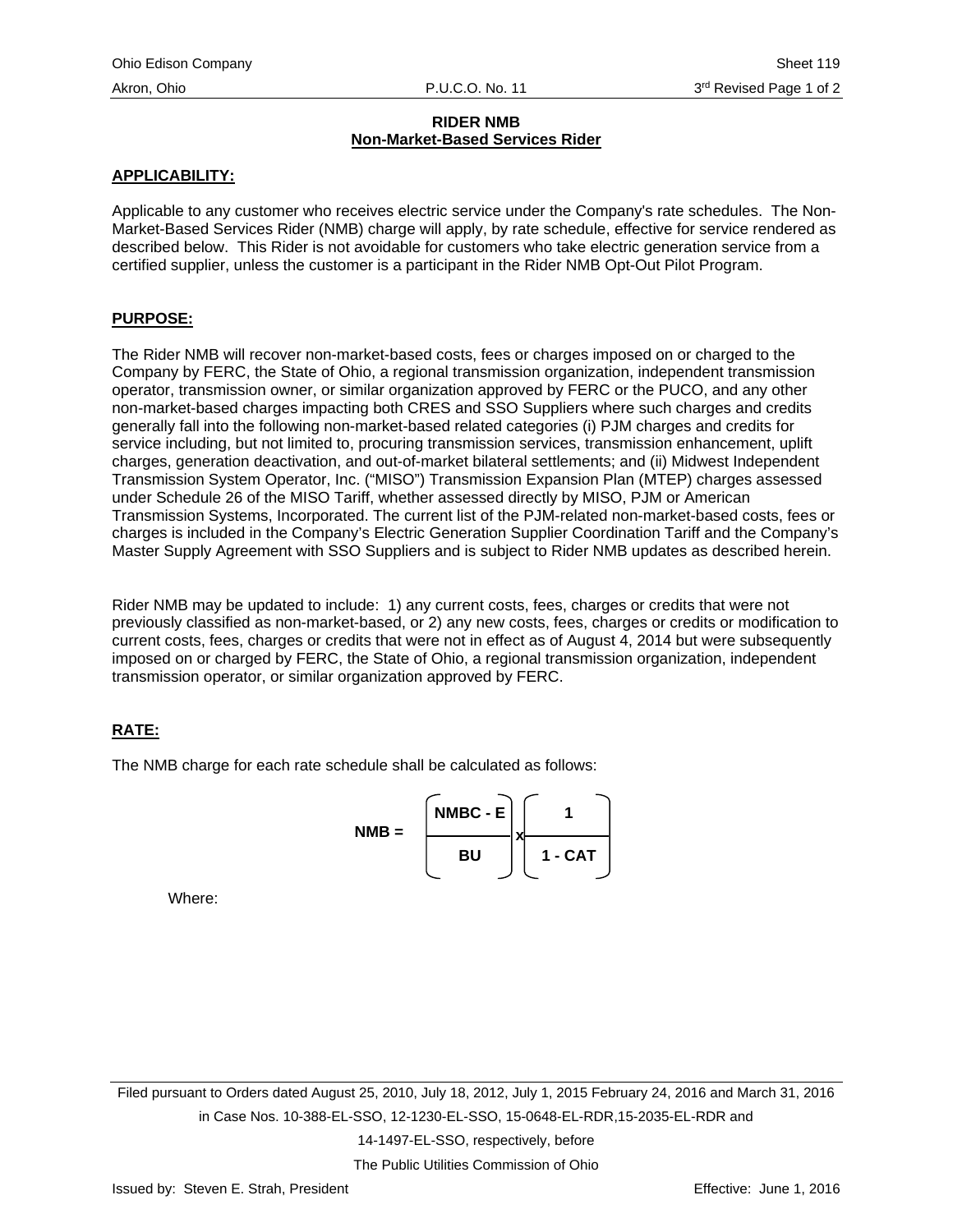## **RIDER NMB Non-Market-Based Services Rider**

## **APPLICABILITY:**

Applicable to any customer who receives electric service under the Company's rate schedules. The Non-Market-Based Services Rider (NMB) charge will apply, by rate schedule, effective for service rendered as described below. This Rider is not avoidable for customers who take electric generation service from a certified supplier, unless the customer is a participant in the Rider NMB Opt-Out Pilot Program.

#### **PURPOSE:**

The Rider NMB will recover non-market-based costs, fees or charges imposed on or charged to the Company by FERC, the State of Ohio, a regional transmission organization, independent transmission operator, transmission owner, or similar organization approved by FERC or the PUCO, and any other non-market-based charges impacting both CRES and SSO Suppliers where such charges and credits generally fall into the following non-market-based related categories (i) PJM charges and credits for service including, but not limited to, procuring transmission services, transmission enhancement, uplift charges, generation deactivation, and out-of-market bilateral settlements; and (ii) Midwest Independent Transmission System Operator, Inc. ("MISO") Transmission Expansion Plan (MTEP) charges assessed under Schedule 26 of the MISO Tariff, whether assessed directly by MISO, PJM or American Transmission Systems, Incorporated. The current list of the PJM-related non-market-based costs, fees or charges is included in the Company's Electric Generation Supplier Coordination Tariff and the Company's Master Supply Agreement with SSO Suppliers and is subject to Rider NMB updates as described herein.

Rider NMB may be updated to include: 1) any current costs, fees, charges or credits that were not previously classified as non-market-based, or 2) any new costs, fees, charges or credits or modification to current costs, fees, charges or credits that were not in effect as of August 4, 2014 but were subsequently imposed on or charged by FERC, the State of Ohio, a regional transmission organization, independent transmission operator, or similar organization approved by FERC.

# **RATE:**

The NMB charge for each rate schedule shall be calculated as follows:



Where:

Filed pursuant to Orders dated August 25, 2010, July 18, 2012, July 1, 2015 February 24, 2016 and March 31, 2016 in Case Nos. 10-388-EL-SSO, 12-1230-EL-SSO, 15-0648-EL-RDR,15-2035-EL-RDR and

14-1497-EL-SSO, respectively, before

The Public Utilities Commission of Ohio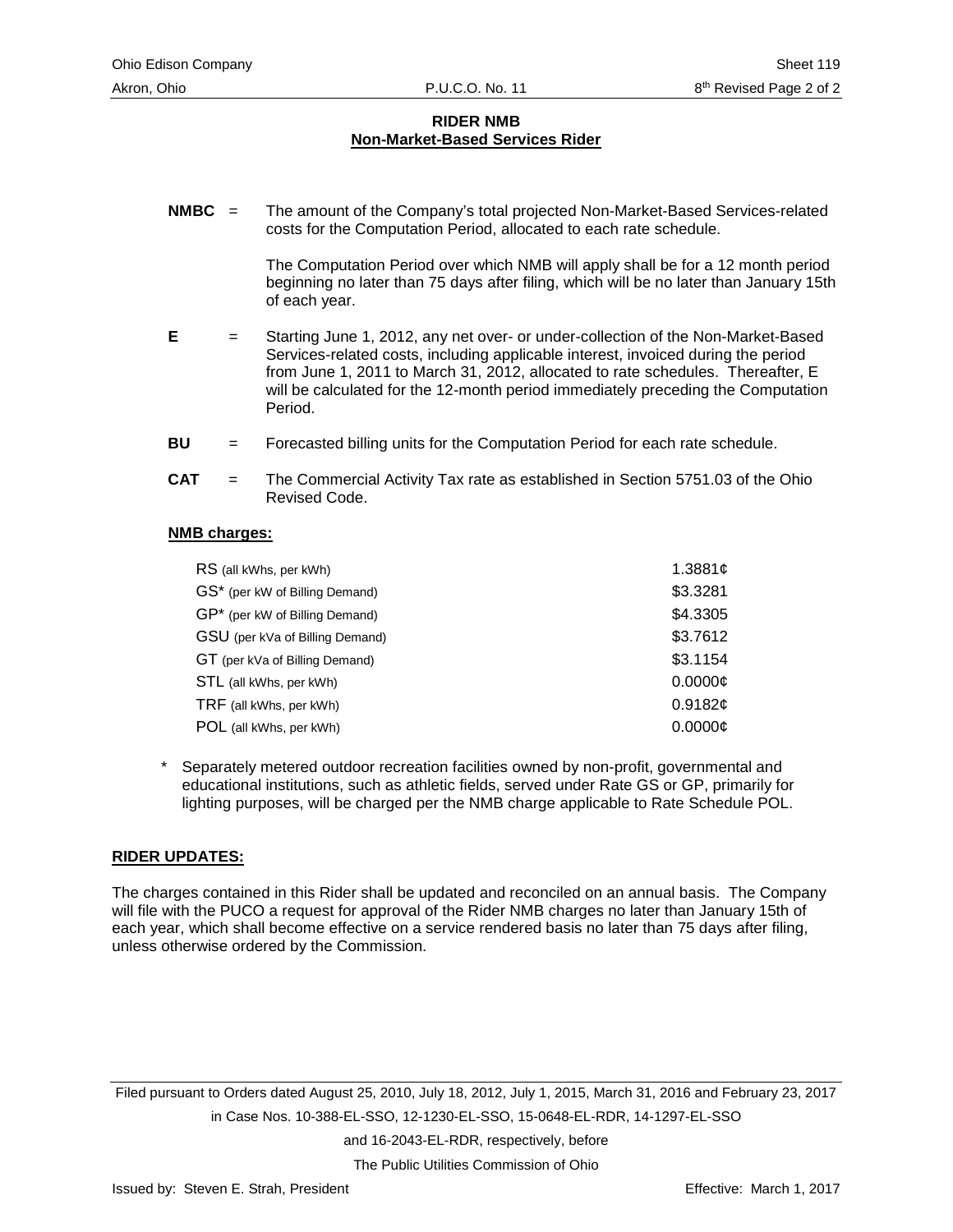#### **RIDER NMB Non-Market-Based Services Rider**

**NMBC** = The amount of the Company's total projected Non-Market-Based Services-related costs for the Computation Period, allocated to each rate schedule.

> The Computation Period over which NMB will apply shall be for a 12 month period beginning no later than 75 days after filing, which will be no later than January 15th of each year.

- **E** = Starting June 1, 2012, any net over- or under-collection of the Non-Market-Based Services-related costs, including applicable interest, invoiced during the period from June 1, 2011 to March 31, 2012, allocated to rate schedules. Thereafter, E will be calculated for the 12-month period immediately preceding the Computation Period.
- **BU** = Forecasted billing units for the Computation Period for each rate schedule.
- **CAT** = The Commercial Activity Tax rate as established in Section 5751.03 of the Ohio Revised Code.

#### **NMB charges:**

| RS (all kWhs, per kWh)          | 1.3881c  |
|---------------------------------|----------|
| GS* (per kW of Billing Demand)  | \$3.3281 |
| GP* (per kW of Billing Demand)  | \$4.3305 |
| GSU (per kVa of Billing Demand) | \$3.7612 |
| GT (per kVa of Billing Demand)  | \$3.1154 |
| STL (all kWhs, per kWh)         | 0.0000c  |
| TRF (all kWhs, per kWh)         | 0.9182c  |
| POL (all kWhs, per kWh)         | 0.0000c  |

Separately metered outdoor recreation facilities owned by non-profit, governmental and educational institutions, such as athletic fields, served under Rate GS or GP, primarily for lighting purposes, will be charged per the NMB charge applicable to Rate Schedule POL.

#### **RIDER UPDATES:**

The charges contained in this Rider shall be updated and reconciled on an annual basis. The Company will file with the PUCO a request for approval of the Rider NMB charges no later than January 15th of each year, which shall become effective on a service rendered basis no later than 75 days after filing, unless otherwise ordered by the Commission.

Filed pursuant to Orders dated August 25, 2010, July 18, 2012, July 1, 2015, March 31, 2016 and February 23, 2017 in Case Nos. 10-388-EL-SSO, 12-1230-EL-SSO, 15-0648-EL-RDR, 14-1297-EL-SSO

and 16-2043-EL-RDR, respectively, before

The Public Utilities Commission of Ohio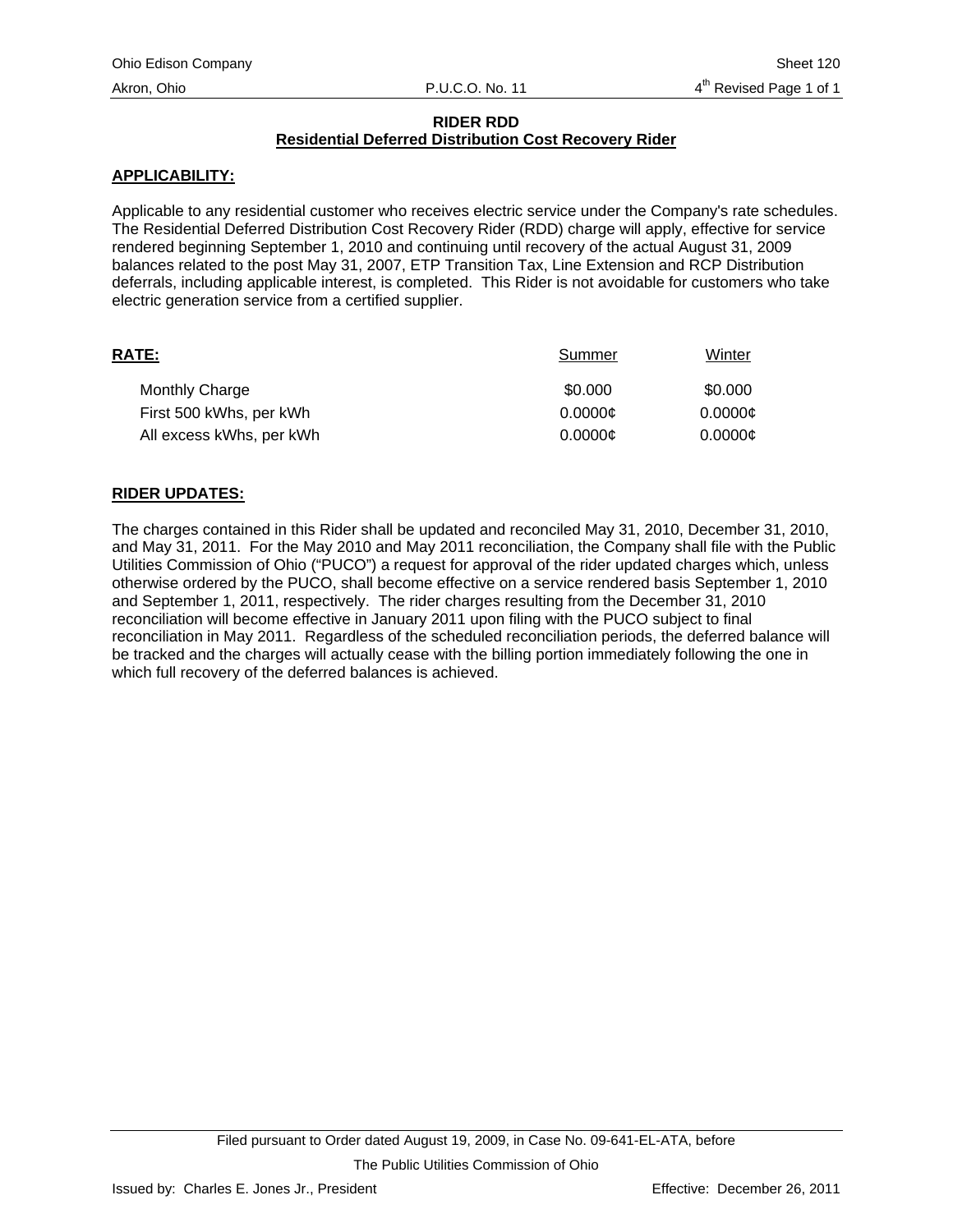## **RIDER RDD Residential Deferred Distribution Cost Recovery Rider**

## **APPLICABILITY:**

Applicable to any residential customer who receives electric service under the Company's rate schedules. The Residential Deferred Distribution Cost Recovery Rider (RDD) charge will apply, effective for service rendered beginning September 1, 2010 and continuing until recovery of the actual August 31, 2009 balances related to the post May 31, 2007, ETP Transition Tax, Line Extension and RCP Distribution deferrals, including applicable interest, is completed. This Rider is not avoidable for customers who take electric generation service from a certified supplier.

| RATE:                    | Summer  | Winter  |
|--------------------------|---------|---------|
| <b>Monthly Charge</b>    | \$0.000 | \$0.000 |
| First 500 kWhs, per kWh  | 0.0000c | 0.0000c |
| All excess kWhs, per kWh | 0.0000c | 0.0000c |

## **RIDER UPDATES:**

The charges contained in this Rider shall be updated and reconciled May 31, 2010, December 31, 2010, and May 31, 2011. For the May 2010 and May 2011 reconciliation, the Company shall file with the Public Utilities Commission of Ohio ("PUCO") a request for approval of the rider updated charges which, unless otherwise ordered by the PUCO, shall become effective on a service rendered basis September 1, 2010 and September 1, 2011, respectively. The rider charges resulting from the December 31, 2010 reconciliation will become effective in January 2011 upon filing with the PUCO subject to final reconciliation in May 2011. Regardless of the scheduled reconciliation periods, the deferred balance will be tracked and the charges will actually cease with the billing portion immediately following the one in which full recovery of the deferred balances is achieved.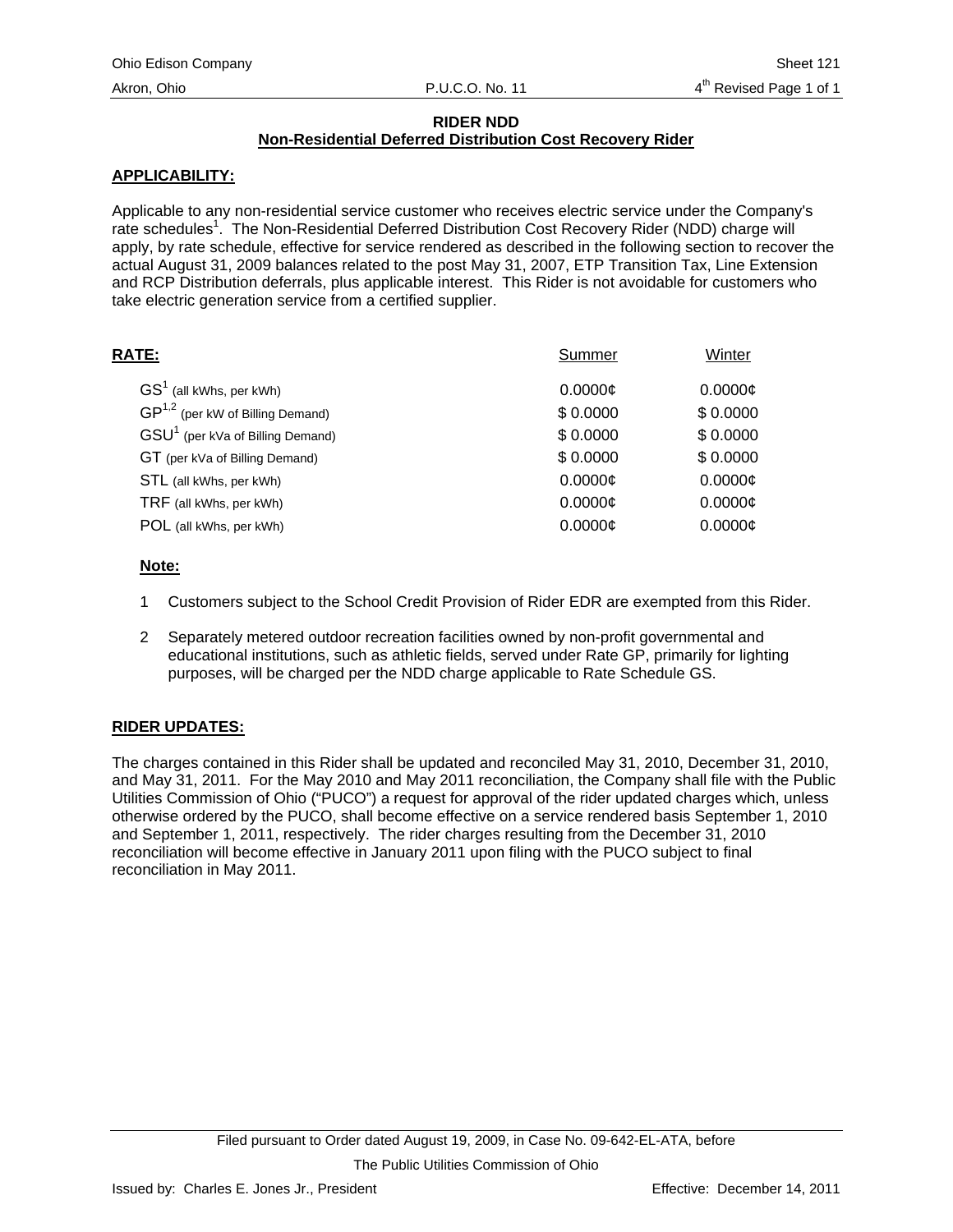## **RIDER NDD**

# **Non-Residential Deferred Distribution Cost Recovery Rider**

# **APPLICABILITY:**

Applicable to any non-residential service customer who receives electric service under the Company's rate schedules<sup>1</sup>. The Non-Residential Deferred Distribution Cost Recovery Rider (NDD) charge will apply, by rate schedule, effective for service rendered as described in the following section to recover the actual August 31, 2009 balances related to the post May 31, 2007, ETP Transition Tax, Line Extension and RCP Distribution deferrals, plus applicable interest. This Rider is not avoidable for customers who take electric generation service from a certified supplier.

| RATE:                                        | Summer   | Winter   |
|----------------------------------------------|----------|----------|
| $GS1$ (all kWhs, per kWh)                    | 0.0000c  | 0.0000c  |
| $GP^{1,2}$ (per kW of Billing Demand)        | \$0.0000 | \$0.0000 |
| GSU <sup>1</sup> (per kVa of Billing Demand) | \$0.0000 | \$0.0000 |
| GT (per kVa of Billing Demand)               | \$0.0000 | \$0.0000 |
| STL (all kWhs, per kWh)                      | 0.0000c  | 0.0000c  |
| TRF (all kWhs, per kWh)                      | 0.0000c  | 0.0000c  |
| POL (all kWhs, per kWh)                      | 0.0000c  | 0.0000c  |
|                                              |          |          |

## **Note:**

- 1 Customers subject to the School Credit Provision of Rider EDR are exempted from this Rider.
- 2 Separately metered outdoor recreation facilities owned by non-profit governmental and educational institutions, such as athletic fields, served under Rate GP, primarily for lighting purposes, will be charged per the NDD charge applicable to Rate Schedule GS.

# **RIDER UPDATES:**

The charges contained in this Rider shall be updated and reconciled May 31, 2010, December 31, 2010, and May 31, 2011. For the May 2010 and May 2011 reconciliation, the Company shall file with the Public Utilities Commission of Ohio ("PUCO") a request for approval of the rider updated charges which, unless otherwise ordered by the PUCO, shall become effective on a service rendered basis September 1, 2010 and September 1, 2011, respectively. The rider charges resulting from the December 31, 2010 reconciliation will become effective in January 2011 upon filing with the PUCO subject to final reconciliation in May 2011.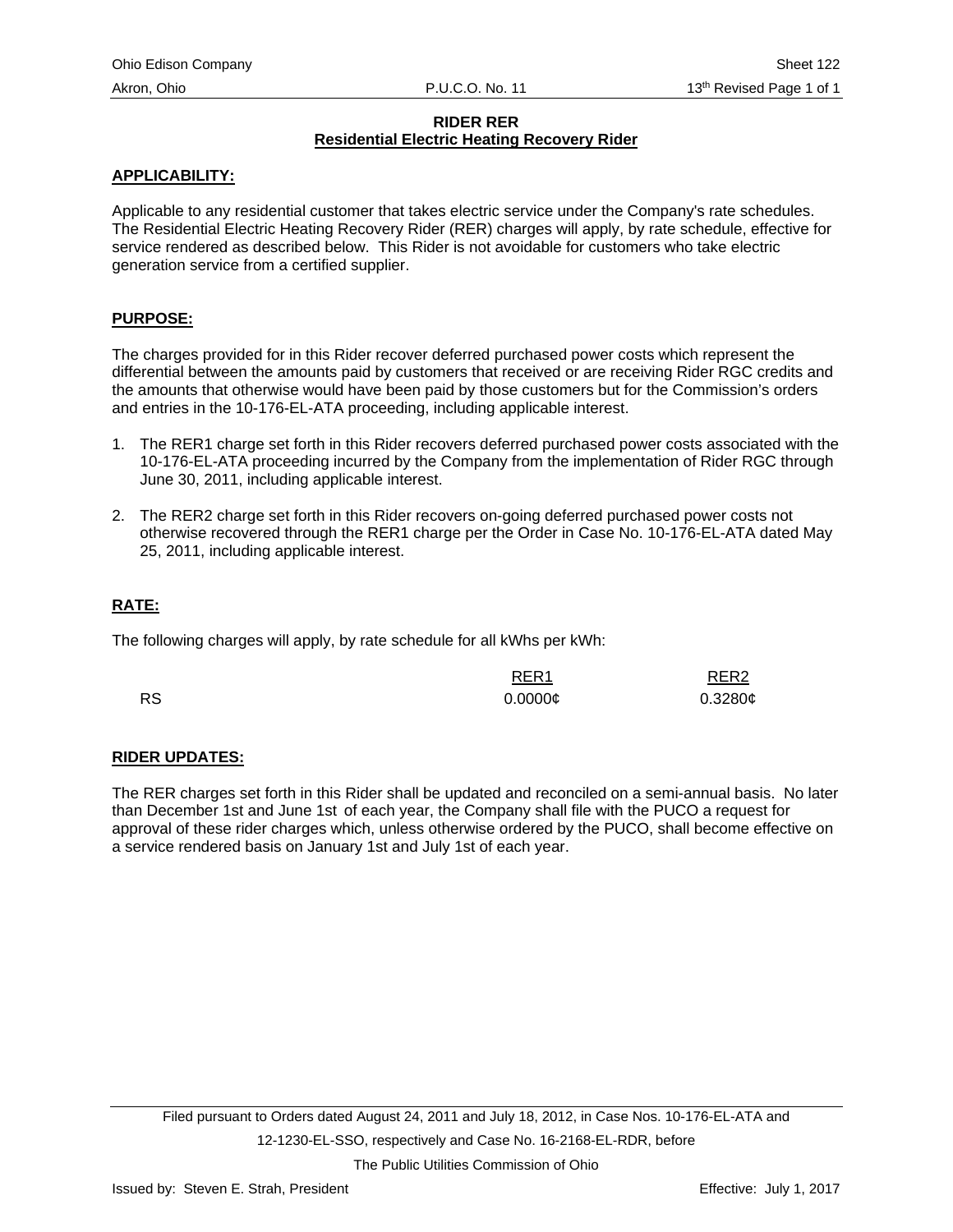## **RIDER RER Residential Electric Heating Recovery Rider**

## **APPLICABILITY:**

Applicable to any residential customer that takes electric service under the Company's rate schedules. The Residential Electric Heating Recovery Rider (RER) charges will apply, by rate schedule, effective for service rendered as described below. This Rider is not avoidable for customers who take electric generation service from a certified supplier.

#### **PURPOSE:**

The charges provided for in this Rider recover deferred purchased power costs which represent the differential between the amounts paid by customers that received or are receiving Rider RGC credits and the amounts that otherwise would have been paid by those customers but for the Commission's orders and entries in the 10-176-EL-ATA proceeding, including applicable interest.

- 1. The RER1 charge set forth in this Rider recovers deferred purchased power costs associated with the 10-176-EL-ATA proceeding incurred by the Company from the implementation of Rider RGC through June 30, 2011, including applicable interest.
- 2. The RER2 charge set forth in this Rider recovers on-going deferred purchased power costs not otherwise recovered through the RER1 charge per the Order in Case No. 10-176-EL-ATA dated May 25, 2011, including applicable interest.

## **RATE:**

The following charges will apply, by rate schedule for all kWhs per kWh:

|           | RER <sub>1</sub><br><u> 1980 - Johann Stoff, Amerikaansk politiker (</u> | RER <sub>2</sub> |
|-----------|--------------------------------------------------------------------------|------------------|
| <b>RS</b> | $0.0000 \phi$                                                            | 0.3280c          |

## **RIDER UPDATES:**

The RER charges set forth in this Rider shall be updated and reconciled on a semi-annual basis. No later than December 1st and June 1st of each year, the Company shall file with the PUCO a request for approval of these rider charges which, unless otherwise ordered by the PUCO, shall become effective on a service rendered basis on January 1st and July 1st of each year.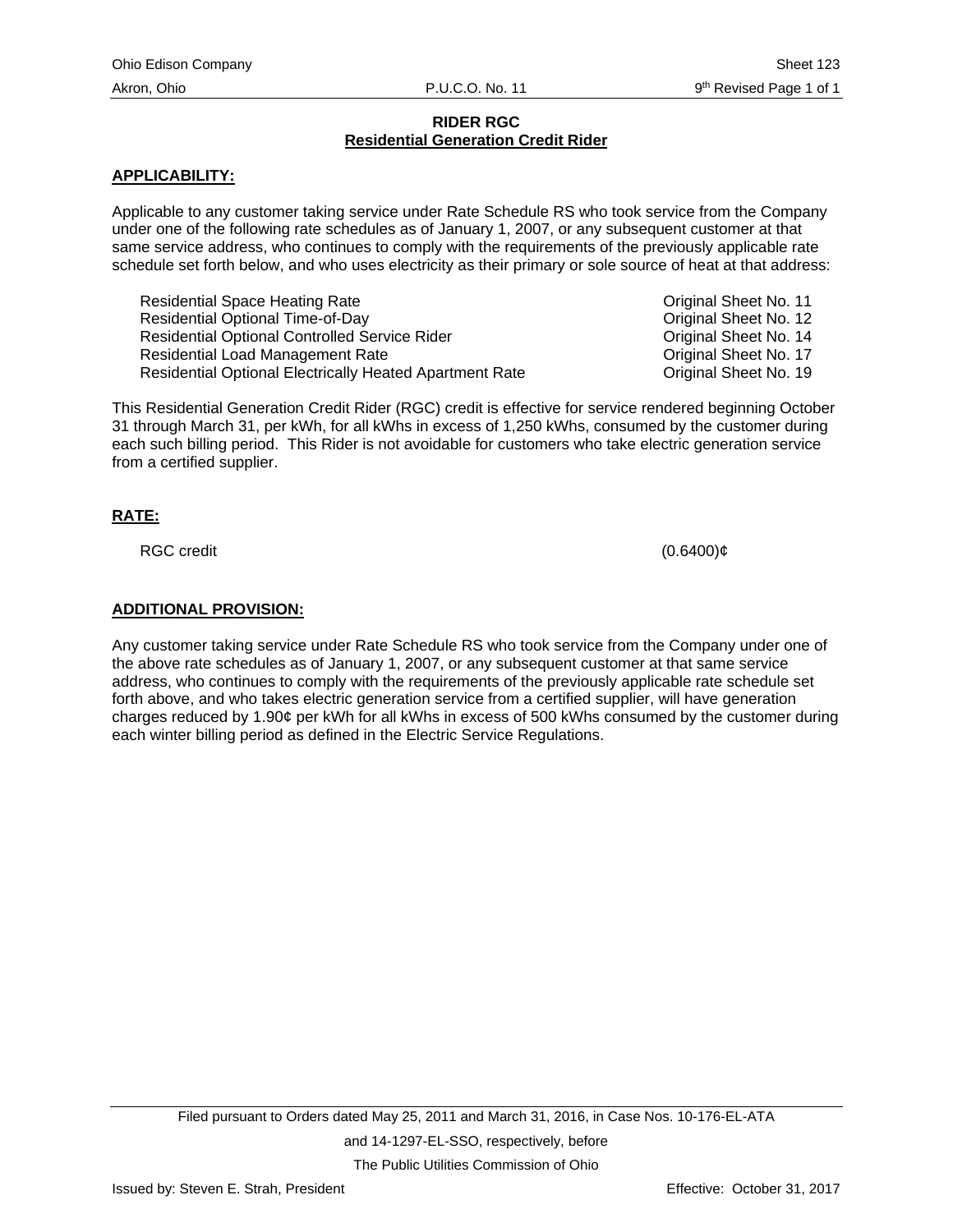## **RIDER RGC Residential Generation Credit Rider**

## **APPLICABILITY:**

Applicable to any customer taking service under Rate Schedule RS who took service from the Company under one of the following rate schedules as of January 1, 2007, or any subsequent customer at that same service address, who continues to comply with the requirements of the previously applicable rate schedule set forth below, and who uses electricity as their primary or sole source of heat at that address:

Residential Space Heating Rate **Containers** Constanting Rate Construction Construction Construction Construction Residential Optional Time-of-Day **Contact Contact Contact Contact Contact Contact Contact Contact Contact Contact Contact Contact Contact Contact Contact Contact Contact Contact Contact Contact Contact Contact Contact Cont** Residential Optional Controlled Service Rider Content Content Content Content Original Sheet No. 14 Residential Load Management Rate **Communist Communist Communist Communist Communist Communist Communist Communist Communist Communist Communist Communist Communist Communist Communist Communist Communist Communist Communis** Residential Optional Electrically Heated Apartment Rate **Communist Construction** Original Sheet No. 19

This Residential Generation Credit Rider (RGC) credit is effective for service rendered beginning October 31 through March 31, per kWh, for all kWhs in excess of 1,250 kWhs, consumed by the customer during each such billing period. This Rider is not avoidable for customers who take electric generation service from a certified supplier.

## **RATE:**

 $RGC$  credit  $(0.6400)$ ¢

## **ADDITIONAL PROVISION:**

Any customer taking service under Rate Schedule RS who took service from the Company under one of the above rate schedules as of January 1, 2007, or any subsequent customer at that same service address, who continues to comply with the requirements of the previously applicable rate schedule set forth above, and who takes electric generation service from a certified supplier, will have generation charges reduced by 1.90¢ per kWh for all kWhs in excess of 500 kWhs consumed by the customer during each winter billing period as defined in the Electric Service Regulations.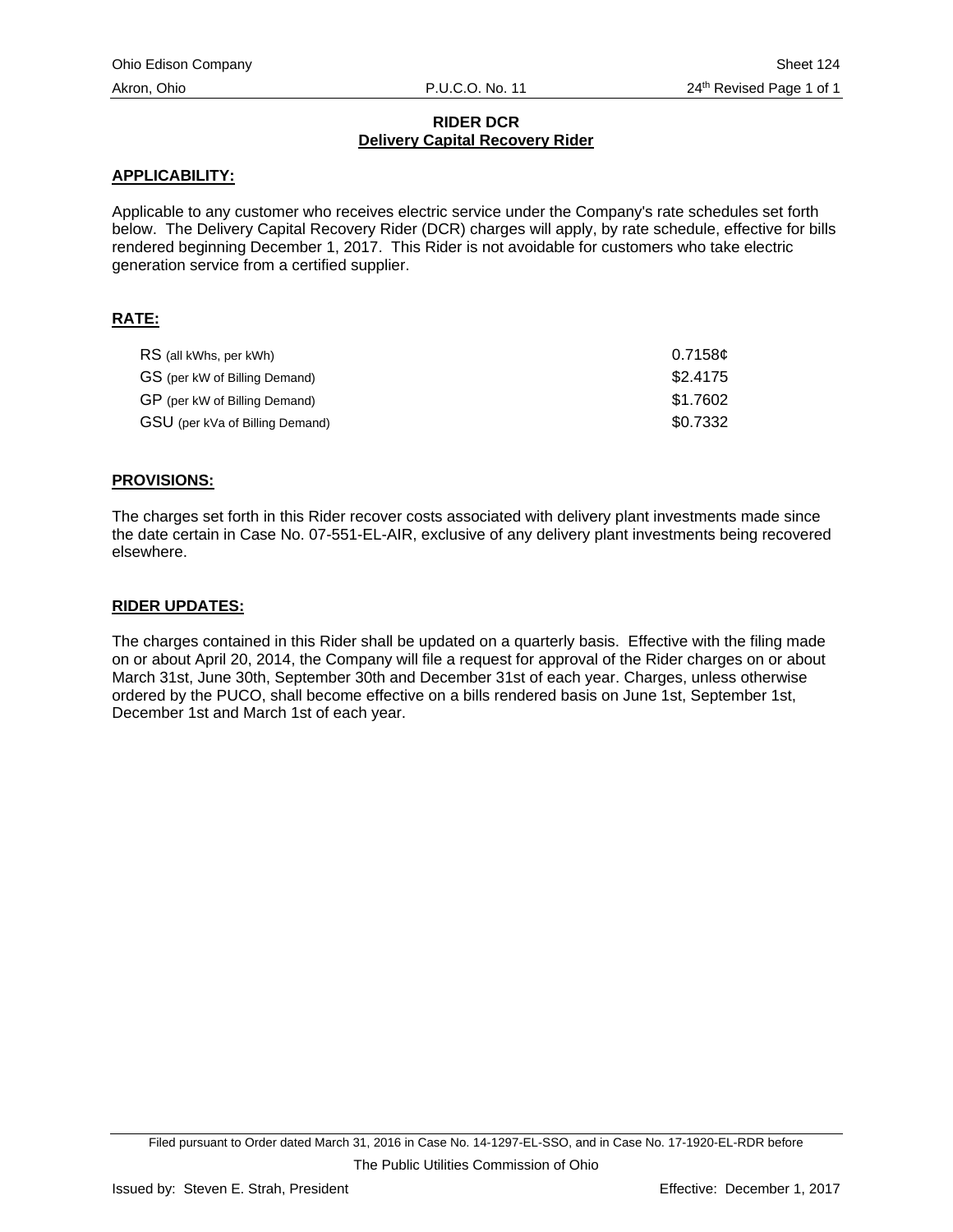## **RIDER DCR Delivery Capital Recovery Rider**

#### **APPLICABILITY:**

Applicable to any customer who receives electric service under the Company's rate schedules set forth below. The Delivery Capital Recovery Rider (DCR) charges will apply, by rate schedule, effective for bills rendered beginning December 1, 2017. This Rider is not avoidable for customers who take electric generation service from a certified supplier.

## **RATE:**

| RS (all kWhs, per kWh)          | 0.7158c  |
|---------------------------------|----------|
| GS (per kW of Billing Demand)   | \$2.4175 |
| GP (per kW of Billing Demand)   | \$1.7602 |
| GSU (per kVa of Billing Demand) | \$0.7332 |

#### **PROVISIONS:**

The charges set forth in this Rider recover costs associated with delivery plant investments made since the date certain in Case No. 07-551-EL-AIR, exclusive of any delivery plant investments being recovered elsewhere.

#### **RIDER UPDATES:**

The charges contained in this Rider shall be updated on a quarterly basis. Effective with the filing made on or about April 20, 2014, the Company will file a request for approval of the Rider charges on or about March 31st, June 30th, September 30th and December 31st of each year. Charges, unless otherwise ordered by the PUCO, shall become effective on a bills rendered basis on June 1st, September 1st, December 1st and March 1st of each year.

Filed pursuant to Order dated March 31, 2016 in Case No. 14-1297-EL-SSO, and in Case No. 17-1920-EL-RDR before The Public Utilities Commission of Ohio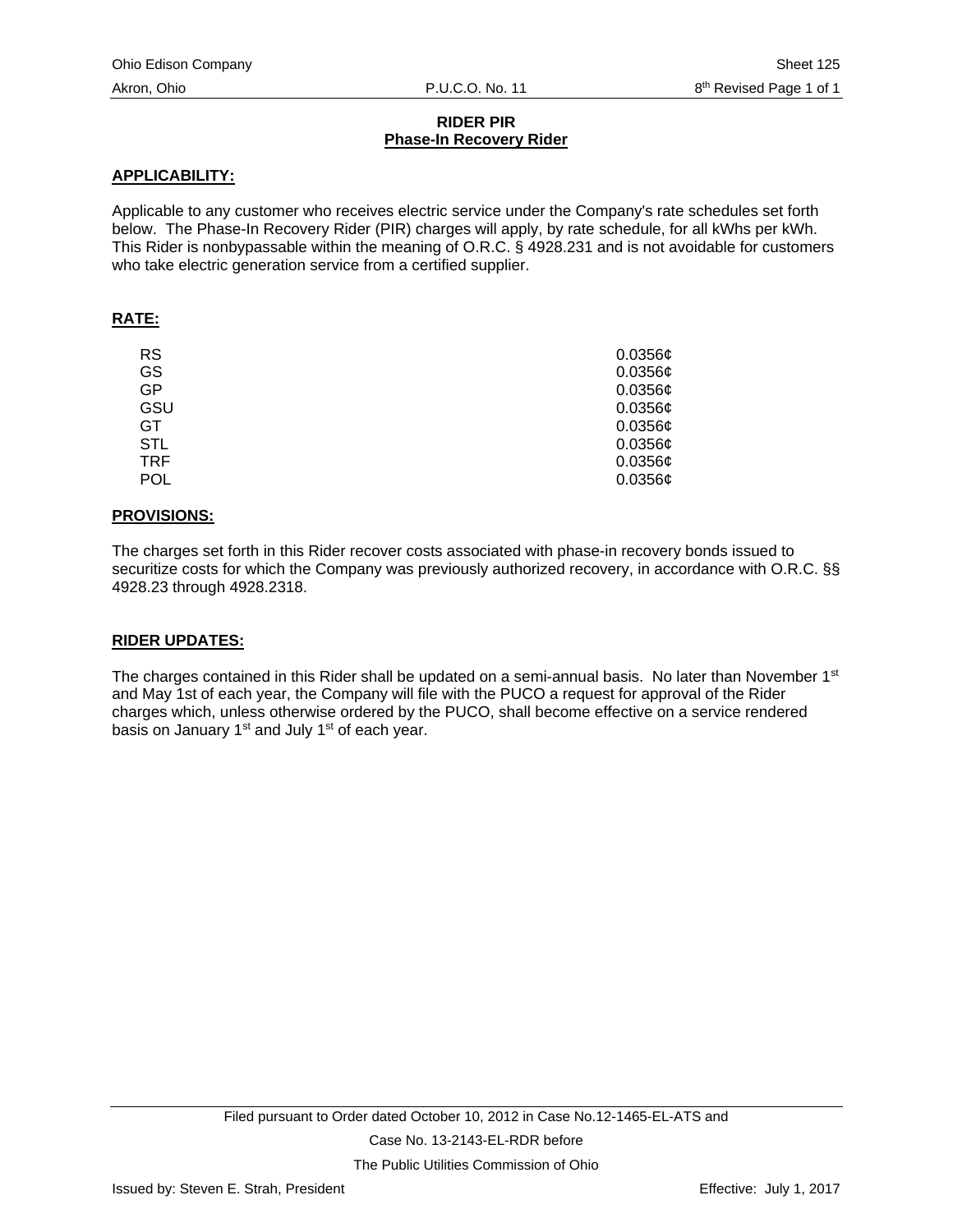## **RIDER PIR Phase-In Recovery Rider**

## **APPLICABILITY:**

Applicable to any customer who receives electric service under the Company's rate schedules set forth below. The Phase-In Recovery Rider (PIR) charges will apply, by rate schedule, for all kWhs per kWh. This Rider is nonbypassable within the meaning of O.R.C. § 4928.231 and is not avoidable for customers who take electric generation service from a certified supplier.

#### **RATE:**

| <b>RS</b>  | $0.0356$ ¢ |
|------------|------------|
| GS         | $0.0356$ ¢ |
| <b>GP</b>  | $0.0356$ ¢ |
| GSU        | $0.0356$ ¢ |
| GT.        | $0.0356$ ¢ |
| <b>STL</b> | $0.0356$ ¢ |
| <b>TRF</b> | $0.0356$ ¢ |
| POL        | $0.0356$ ¢ |

#### **PROVISIONS:**

The charges set forth in this Rider recover costs associated with phase-in recovery bonds issued to securitize costs for which the Company was previously authorized recovery, in accordance with O.R.C. §§ 4928.23 through 4928.2318.

## **RIDER UPDATES:**

The charges contained in this Rider shall be updated on a semi-annual basis. No later than November  $1<sup>st</sup>$ and May 1st of each year, the Company will file with the PUCO a request for approval of the Rider charges which, unless otherwise ordered by the PUCO, shall become effective on a service rendered basis on January  $1<sup>st</sup>$  and July  $1<sup>st</sup>$  of each year.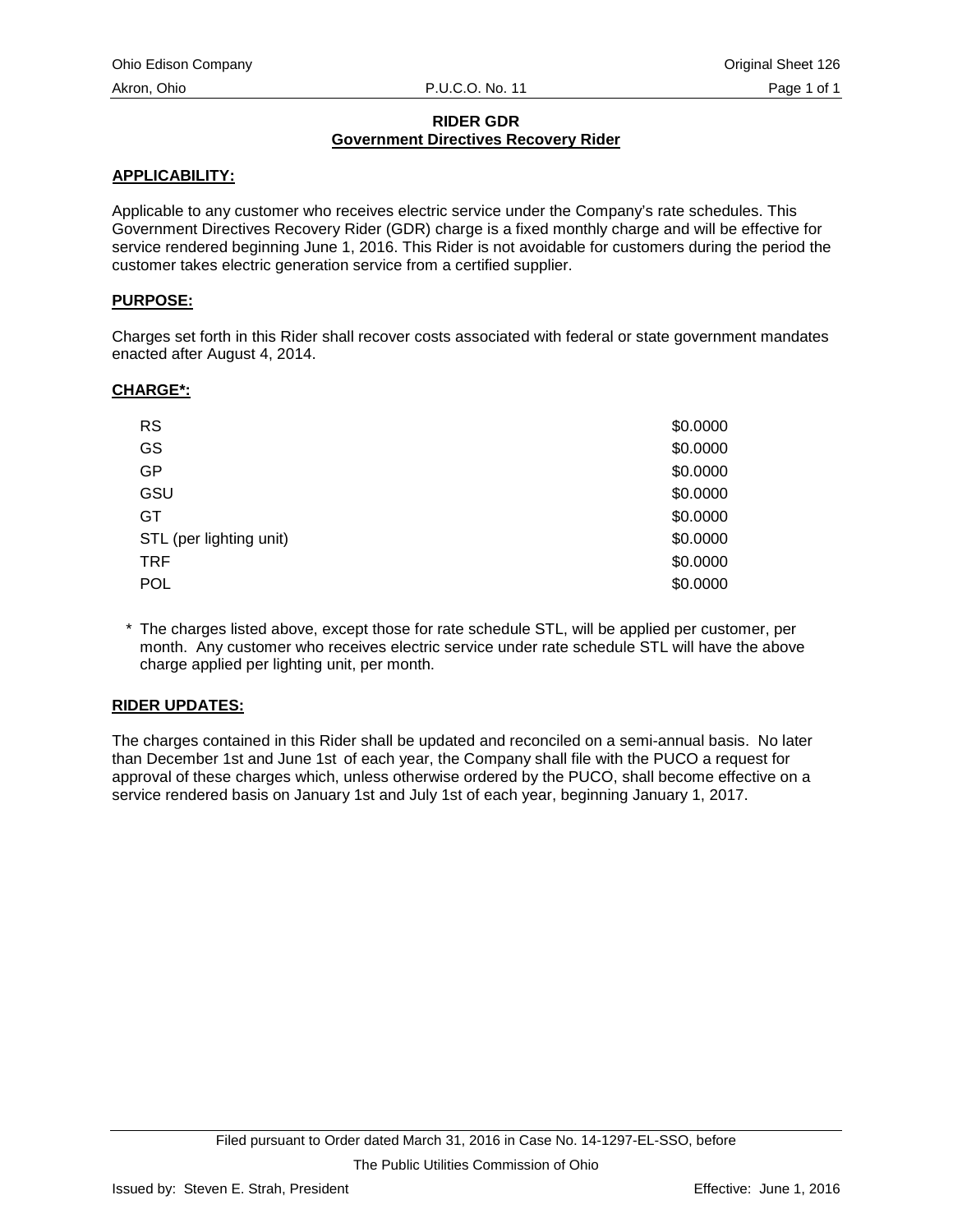## **RIDER GDR Government Directives Recovery Rider**

## **APPLICABILITY:**

Applicable to any customer who receives electric service under the Company's rate schedules. This Government Directives Recovery Rider (GDR) charge is a fixed monthly charge and will be effective for service rendered beginning June 1, 2016. This Rider is not avoidable for customers during the period the customer takes electric generation service from a certified supplier.

## **PURPOSE:**

Charges set forth in this Rider shall recover costs associated with federal or state government mandates enacted after August 4, 2014.

## **CHARGE\*:**

| <b>RS</b>               | \$0.0000 |
|-------------------------|----------|
| GS                      | \$0.0000 |
| GP                      | \$0.0000 |
| GSU                     | \$0.0000 |
| GT                      | \$0.0000 |
| STL (per lighting unit) | \$0.0000 |
| <b>TRF</b>              | \$0.0000 |
| <b>POL</b>              | \$0.0000 |

\* The charges listed above, except those for rate schedule STL, will be applied per customer, per month. Any customer who receives electric service under rate schedule STL will have the above charge applied per lighting unit, per month.

## **RIDER UPDATES:**

The charges contained in this Rider shall be updated and reconciled on a semi-annual basis. No later than December 1st and June 1st of each year, the Company shall file with the PUCO a request for approval of these charges which, unless otherwise ordered by the PUCO, shall become effective on a service rendered basis on January 1st and July 1st of each year, beginning January 1, 2017.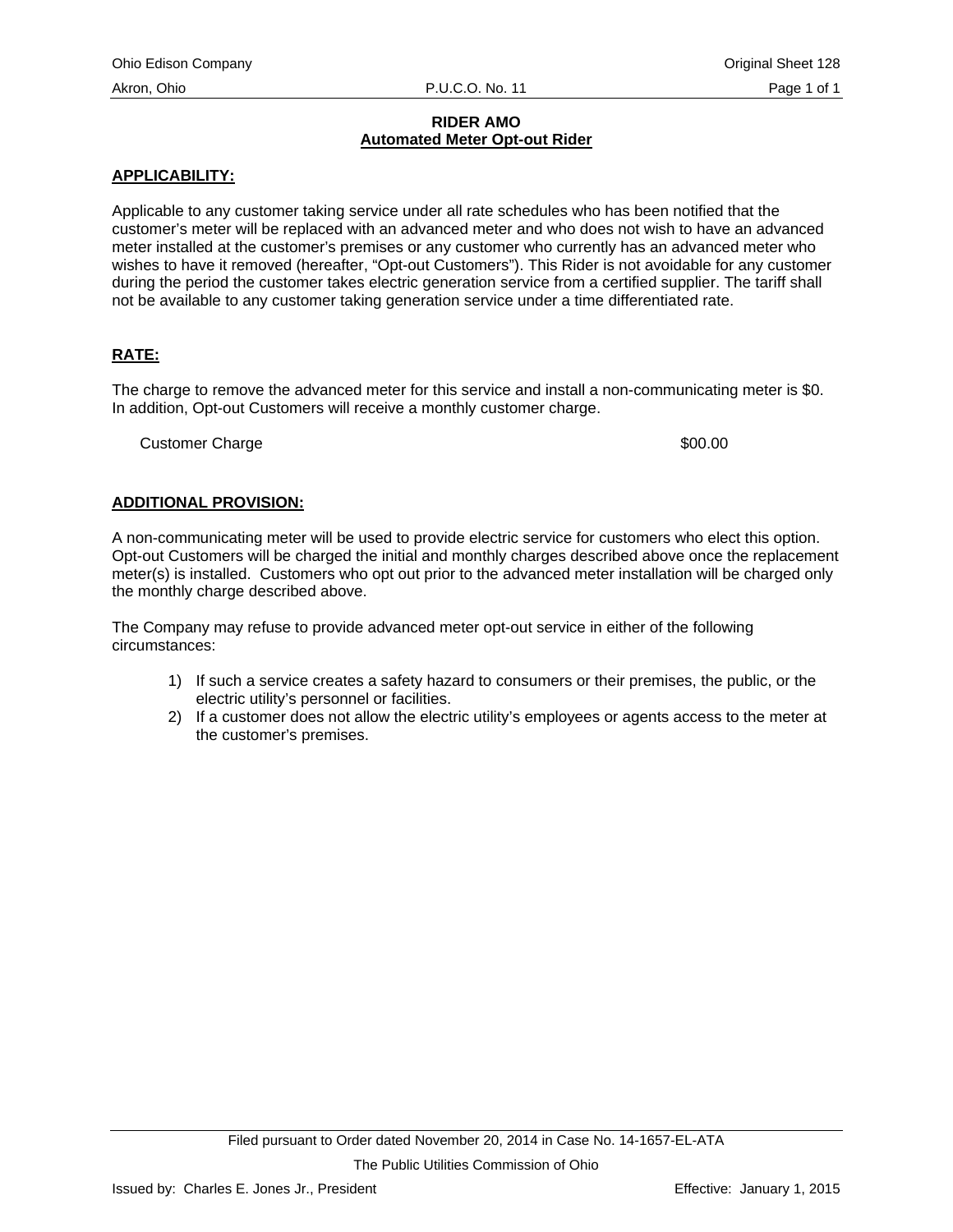### **RIDER AMO Automated Meter Opt-out Rider**

## **APPLICABILITY:**

Applicable to any customer taking service under all rate schedules who has been notified that the customer's meter will be replaced with an advanced meter and who does not wish to have an advanced meter installed at the customer's premises or any customer who currently has an advanced meter who wishes to have it removed (hereafter, "Opt-out Customers"). This Rider is not avoidable for any customer during the period the customer takes electric generation service from a certified supplier. The tariff shall not be available to any customer taking generation service under a time differentiated rate.

## **RATE:**

The charge to remove the advanced meter for this service and install a non-communicating meter is \$0. In addition, Opt-out Customers will receive a monthly customer charge.

Customer Charge  $\sim$  200.000  $\sim$  300.000  $\sim$  300.000  $\sim$  300.000  $\sim$ 

## **ADDITIONAL PROVISION:**

A non-communicating meter will be used to provide electric service for customers who elect this option. Opt-out Customers will be charged the initial and monthly charges described above once the replacement meter(s) is installed. Customers who opt out prior to the advanced meter installation will be charged only the monthly charge described above.

The Company may refuse to provide advanced meter opt-out service in either of the following circumstances:

- 1) If such a service creates a safety hazard to consumers or their premises, the public, or the electric utility's personnel or facilities.
- 2) If a customer does not allow the electric utility's employees or agents access to the meter at the customer's premises.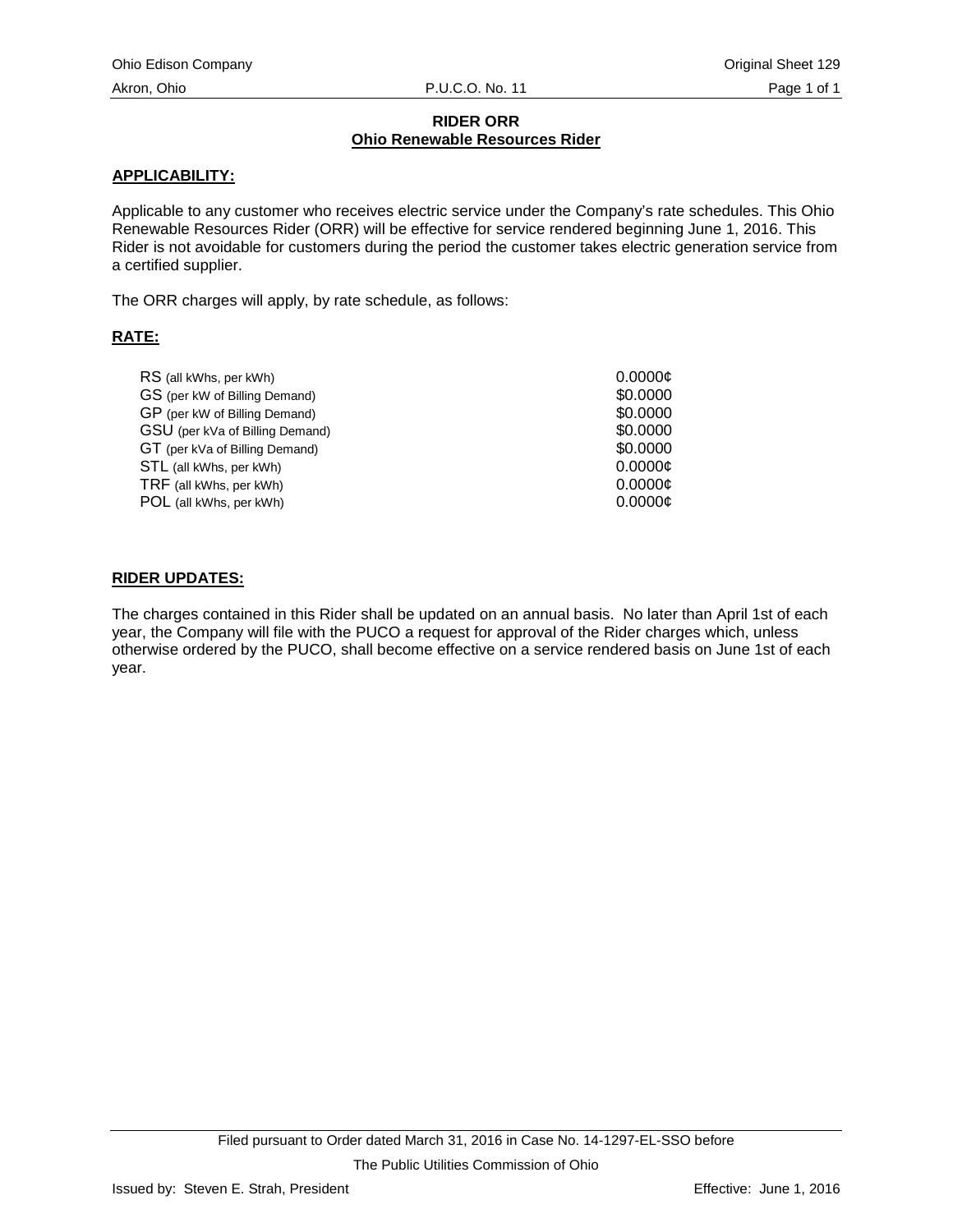#### **RIDER ORR Ohio Renewable Resources Rider**

## **APPLICABILITY:**

Applicable to any customer who receives electric service under the Company's rate schedules. This Ohio Renewable Resources Rider (ORR) will be effective for service rendered beginning June 1, 2016. This Rider is not avoidable for customers during the period the customer takes electric generation service from a certified supplier.

The ORR charges will apply, by rate schedule, as follows:

## **RATE:**

| RS (all kWhs, per kWh)          | 0.0000c  |
|---------------------------------|----------|
| GS (per kW of Billing Demand)   | \$0,0000 |
| GP (per kW of Billing Demand)   | \$0,0000 |
| GSU (per kVa of Billing Demand) | \$0,0000 |
| GT (per kVa of Billing Demand)  | \$0,0000 |
| STL (all kWhs, per kWh)         | 0.0000c  |
| TRF (all kWhs, per kWh)         | 0.0000c  |
| POL (all kWhs, per kWh)         | 0.0000c  |
|                                 |          |

#### **RIDER UPDATES:**

The charges contained in this Rider shall be updated on an annual basis. No later than April 1st of each year, the Company will file with the PUCO a request for approval of the Rider charges which, unless otherwise ordered by the PUCO, shall become effective on a service rendered basis on June 1st of each year.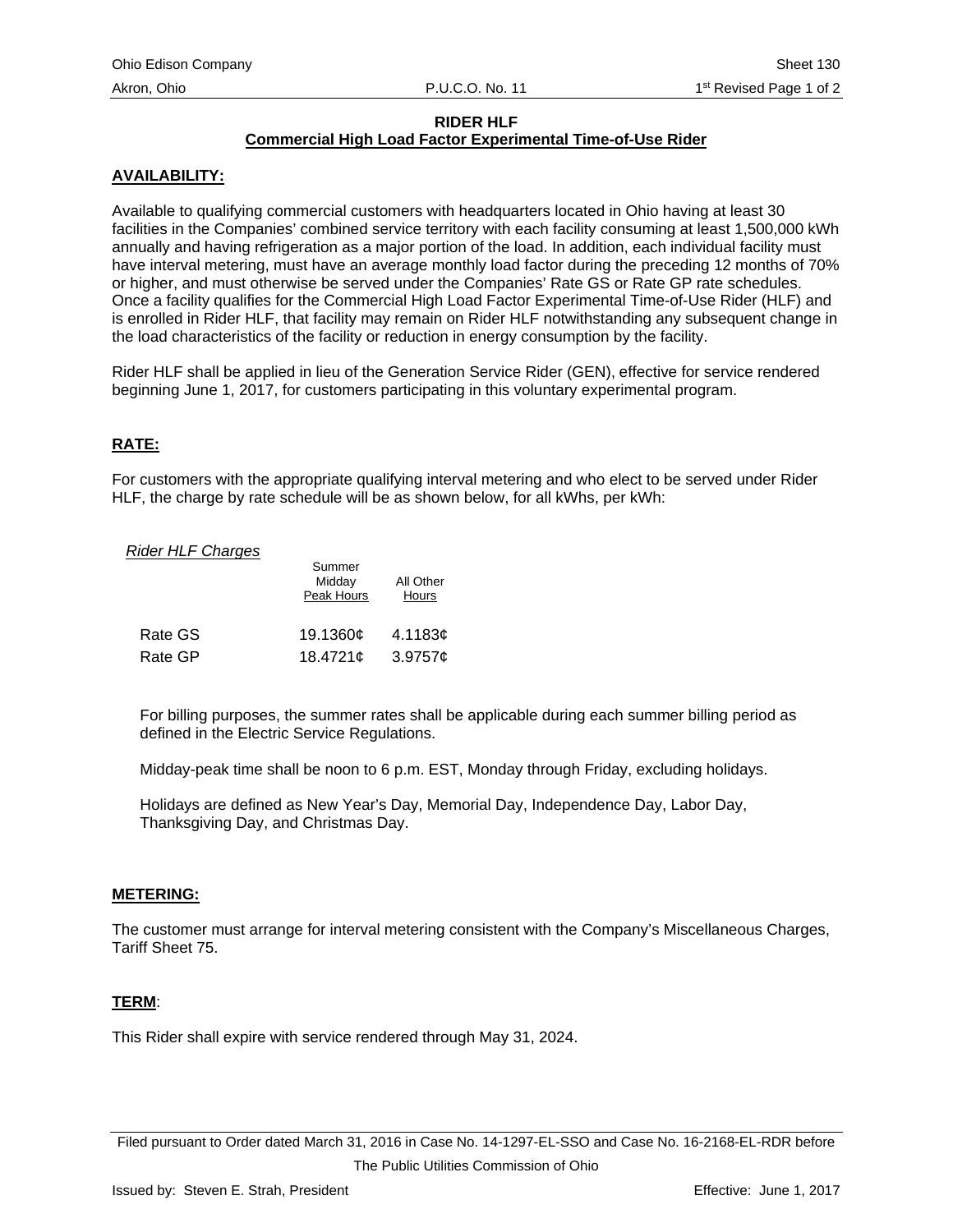## **RIDER HLF**

# **Commercial High Load Factor Experimental Time-of-Use Rider**

## **AVAILABILITY:**

Available to qualifying commercial customers with headquarters located in Ohio having at least 30 facilities in the Companies' combined service territory with each facility consuming at least 1,500,000 kWh annually and having refrigeration as a major portion of the load. In addition, each individual facility must have interval metering, must have an average monthly load factor during the preceding 12 months of 70% or higher, and must otherwise be served under the Companies' Rate GS or Rate GP rate schedules. Once a facility qualifies for the Commercial High Load Factor Experimental Time-of-Use Rider (HLF) and is enrolled in Rider HLF, that facility may remain on Rider HLF notwithstanding any subsequent change in the load characteristics of the facility or reduction in energy consumption by the facility.

Rider HLF shall be applied in lieu of the Generation Service Rider (GEN), effective for service rendered beginning June 1, 2017, for customers participating in this voluntary experimental program.

## **RATE:**

For customers with the appropriate qualifying interval metering and who elect to be served under Rider HLF, the charge by rate schedule will be as shown below, for all kWhs, per kWh:

#### **Rider HLF Charges**

|         | Summer<br>Midday<br>Peak Hours | All Other<br>Hours |
|---------|--------------------------------|--------------------|
| Rate GS | 19.1360¢                       | 4.1183 $\sigma$    |
| Rate GP | 18.4721¢                       | 3.9757c            |

For billing purposes, the summer rates shall be applicable during each summer billing period as defined in the Electric Service Regulations.

Midday-peak time shall be noon to 6 p.m. EST, Monday through Friday, excluding holidays.

Holidays are defined as New Year's Day, Memorial Day, Independence Day, Labor Day, Thanksgiving Day, and Christmas Day.

#### **METERING:**

The customer must arrange for interval metering consistent with the Company's Miscellaneous Charges, Tariff Sheet 75.

## **TERM**:

This Rider shall expire with service rendered through May 31, 2024.

Filed pursuant to Order dated March 31, 2016 in Case No. 14-1297-EL-SSO and Case No. 16-2168-EL-RDR before The Public Utilities Commission of Ohio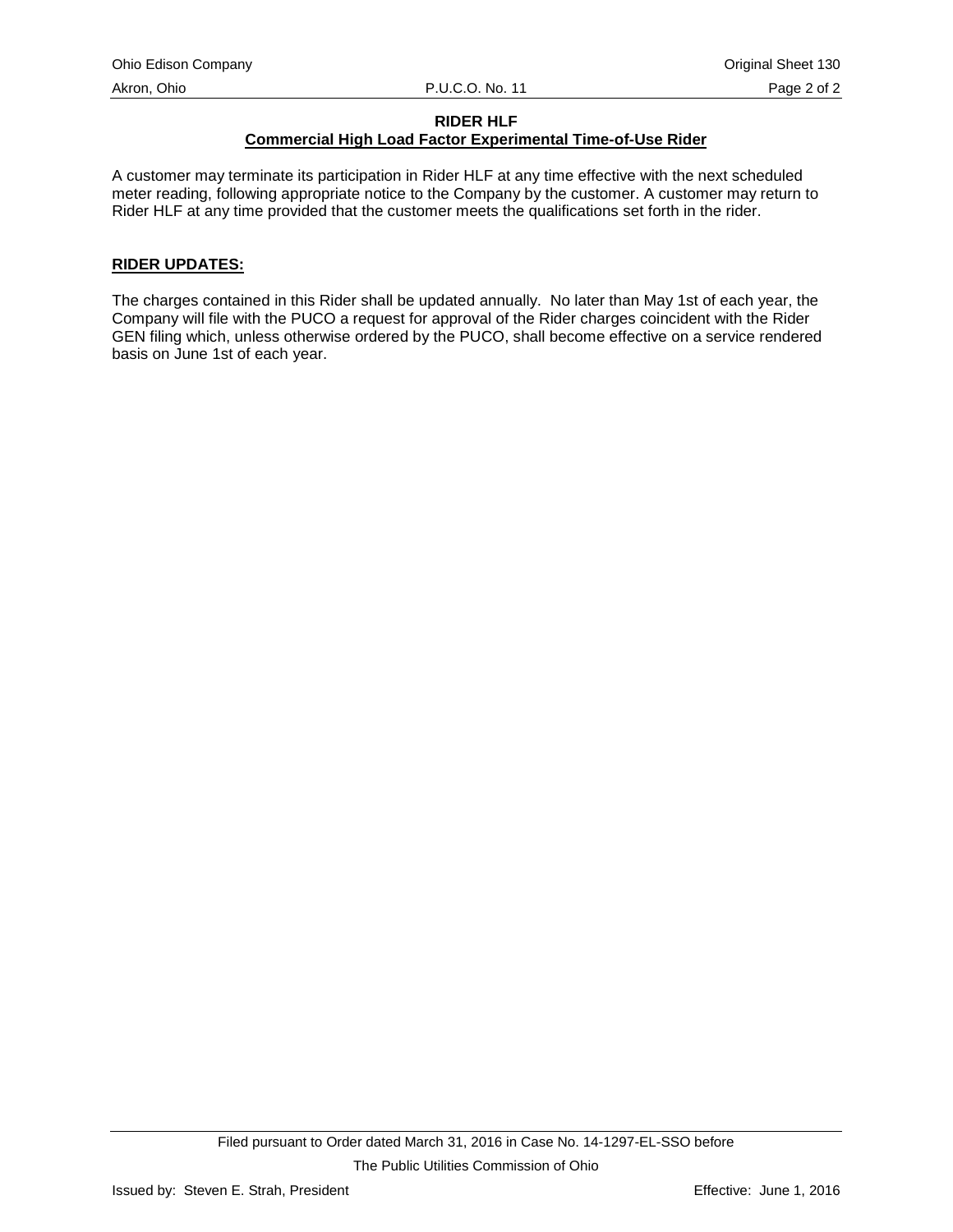## **RIDER HLF**

# **Commercial High Load Factor Experimental Time-of-Use Rider**

A customer may terminate its participation in Rider HLF at any time effective with the next scheduled meter reading, following appropriate notice to the Company by the customer. A customer may return to Rider HLF at any time provided that the customer meets the qualifications set forth in the rider.

## **RIDER UPDATES:**

The charges contained in this Rider shall be updated annually. No later than May 1st of each year, the Company will file with the PUCO a request for approval of the Rider charges coincident with the Rider GEN filing which, unless otherwise ordered by the PUCO, shall become effective on a service rendered basis on June 1st of each year.